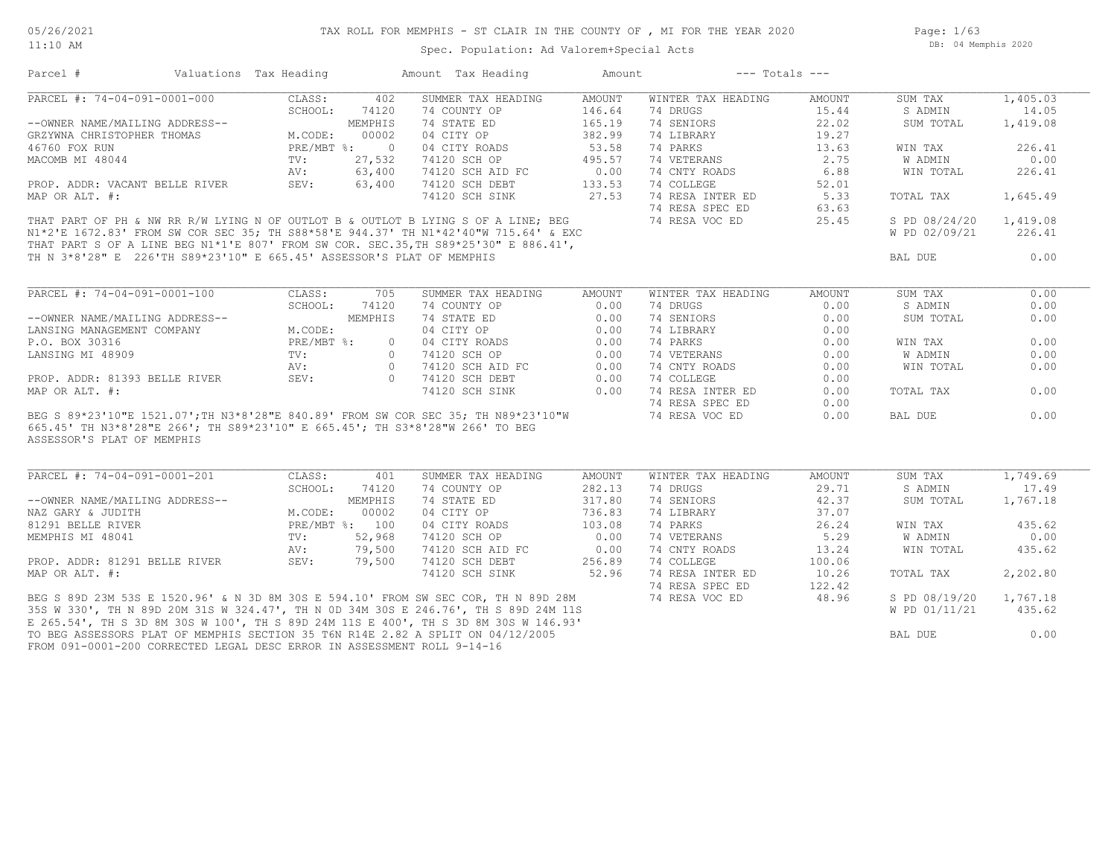Page: 1/63 DB: 04 Memphis 2020

#### Spec. Population: Ad Valorem+Special Acts

Parcel # Valuations Tax Heading Amount Tax Heading Amount --- Totals ---

| PARCEL #: 74-04-091-0001-000                                                                                                                                                                                                                                                                                 | CLASS:         | 402            | SUMMER TAX HEADING                                                            | AMOUNT | WINTER TAX HEADING | AMOUNT | SUM TAX        | 1,405.03 |
|--------------------------------------------------------------------------------------------------------------------------------------------------------------------------------------------------------------------------------------------------------------------------------------------------------------|----------------|----------------|-------------------------------------------------------------------------------|--------|--------------------|--------|----------------|----------|
|                                                                                                                                                                                                                                                                                                              | SCHOOL:        | 74120          | 74 COUNTY OP                                                                  | 146.64 | 74 DRUGS           | 15.44  | S ADMIN        | 14.05    |
|                                                                                                                                                                                                                                                                                                              |                |                | 74 STATE ED                                                                   | 165.19 | 74 SENIORS         | 22.02  | SUM TOTAL      | 1,419.08 |
| --OWNER NAME/MAILING ADDRESS--<br>GRZYWNA CHRISTOPHER THOMAS M.CODE: 00002<br>46760 FOX RUN PRE/MBT %: 0                                                                                                                                                                                                     |                |                | 74 STALE L.<br>04 CITY OP<br>----- POADS                                      | 382.99 | 74 LIBRARY         | 19.27  |                |          |
|                                                                                                                                                                                                                                                                                                              |                |                |                                                                               | 53.58  | 74 PARKS           | 13.63  | WIN TAX        | 226.41   |
| MACOMB MI 48044                                                                                                                                                                                                                                                                                              | TV:            | 27,532         | 74120 SCH OP<br>74120 SCH AID FC<br>74120 SCH DEBT<br>74120 SCH DEBT<br>77.53 |        | 74 VETERANS        | 2.75   | W ADMIN        | 0.00     |
|                                                                                                                                                                                                                                                                                                              | AV:            | 63,400         |                                                                               |        | 74 CNTY ROADS      | 6.88   | WIN TOTAL      | 226.41   |
| PROP. ADDR: VACANT BELLE RIVER SEV: 63,400                                                                                                                                                                                                                                                                   |                |                |                                                                               |        | 74 COLLEGE         | 52.01  |                |          |
| MAP OR ALT. #:                                                                                                                                                                                                                                                                                               |                |                | 74120 SCH SINK 27.53                                                          |        | 74 RESA INTER ED   | 5.33   | TOTAL TAX      | 1,645.49 |
|                                                                                                                                                                                                                                                                                                              |                |                |                                                                               |        | 74 RESA SPEC ED    | 63.63  |                |          |
|                                                                                                                                                                                                                                                                                                              |                |                |                                                                               |        |                    | 25.45  | S PD 08/24/20  | 1,419.08 |
|                                                                                                                                                                                                                                                                                                              |                |                |                                                                               |        |                    |        | W PD 02/09/21  | 226.41   |
|                                                                                                                                                                                                                                                                                                              |                |                |                                                                               |        |                    |        |                |          |
| THAT PART OF PH & NW RR R/W LYING N OF OUTLOT B & OUTLOT B LYING S OF A LINE; BEG 74 RESA VOC ED<br>N1*2'E 1672.83' FROM SW COR SEC 35; TH S88*58'E 944.37' TH N1*42'40"W 715.64' & EXC<br>THAT PART S OF A LINE BEG N1*1'E 807' FR<br>TH N 3*8'28" E 226'TH S89*23'10" E 665.45' ASSESSOR'S PLAT OF MEMPHIS |                |                |                                                                               |        |                    |        | BAL DUE        | 0.00     |
|                                                                                                                                                                                                                                                                                                              |                |                |                                                                               |        |                    |        |                |          |
| PARCEL #: 74-04-091-0001-100                                                                                                                                                                                                                                                                                 | CLASS:         | 705            | SUMMER TAX HEADING AMOUNT                                                     |        | WINTER TAX HEADING | AMOUNT | SUM TAX        | 0.00     |
|                                                                                                                                                                                                                                                                                                              | SCHOOL:        | 74120          | 74 COUNTY OP                                                                  | 0.00   | 74 DRUGS           | 0.00   | S ADMIN        | 0.00     |
| --OWNER NAME/MAILING ADDRESS--                                                                                                                                                                                                                                                                               |                | MEMPHIS        |                                                                               | 0.00   | 74 SENIORS         | 0.00   | SUM TOTAL      | 0.00     |
| LANSING MANAGEMENT COMPANY                                                                                                                                                                                                                                                                                   | M.CODE:        |                |                                                                               | 0.00   | 74 LIBRARY         | 0.00   |                |          |
| P.O. BOX 30316                                                                                                                                                                                                                                                                                               | PRE/MBT %:     | $\overline{0}$ | 74 STATE ED<br>04 CITY OP<br>04 CITY ROADS<br>74120 SCH OP                    | 0.00   | 74 PARKS           | 0.00   | WIN TAX        | 0.00     |
|                                                                                                                                                                                                                                                                                                              |                |                |                                                                               |        |                    |        |                |          |
| LANSING MI 48909                                                                                                                                                                                                                                                                                             |                |                | TV: 0 74120 SCH OP                                                            | 0.00   | 74 VETERANS        | 0.00   | W ADMIN        | 0.00     |
|                                                                                                                                                                                                                                                                                                              | AV:            | $\Omega$       | 74120 SCH AID FC                                                              | 0.00   | 74 CNTY ROADS      | 0.00   | WIN TOTAL      | 0.00     |
| PROP. ADDR: 81393 BELLE RIVER SEV:                                                                                                                                                                                                                                                                           |                |                | 0 74120 SCH DEBT<br>74120 SCH SINK                                            | 0.00   | 74 COLLEGE         | 0.00   |                |          |
| MAP OR ALT. #:                                                                                                                                                                                                                                                                                               |                |                |                                                                               | 0.00   | 74 RESA INTER ED   | 0.00   | TOTAL TAX      | 0.00     |
|                                                                                                                                                                                                                                                                                                              |                |                |                                                                               |        | 74 RESA SPEC ED    | 0.00   |                |          |
| BEG S 89*23'10"E 1521.07'; TH N3*8'28"E 840.89' FROM SW COR SEC 35; TH N89*23'10"W                                                                                                                                                                                                                           |                |                |                                                                               |        | 74 RESA VOC ED     | 0.00   | BAL DUE        | 0.00     |
| 665.45' TH N3*8'28"E 266'; TH S89*23'10" E 665.45'; TH S3*8'28"W 266' TO BEG                                                                                                                                                                                                                                 |                |                |                                                                               |        |                    |        |                |          |
| ASSESSOR'S PLAT OF MEMPHIS                                                                                                                                                                                                                                                                                   |                |                |                                                                               |        |                    |        |                |          |
| PARCEL #: 74-04-091-0001-201                                                                                                                                                                                                                                                                                 | CLASS:         | 401            | SUMMER TAX HEADING                                                            | AMOUNT | WINTER TAX HEADING | AMOUNT | SUM TAX        | 1,749.69 |
|                                                                                                                                                                                                                                                                                                              | SCHOOL:        | 74120          | 74 COUNTY OP                                                                  | 282.13 | 74 DRUGS           | 29.71  | S ADMIN        | 17.49    |
| --OWNER NAME/MAILING ADDRESS--                                                                                                                                                                                                                                                                               |                | MEMPHIS        |                                                                               | 317.80 | 74 SENIORS         | 42.37  | SUM TOTAL      | 1,767.18 |
| NAZ GARY & JUDITH                                                                                                                                                                                                                                                                                            | M.CODE:        | 00002          | 74 STATE ED<br>04 CITY OP                                                     | 736.83 | 74 LIBRARY         | 37.07  |                |          |
| 81291 BELLE RIVER                                                                                                                                                                                                                                                                                            | PRE/MBT %: 100 |                | 04 CITY ROADS                                                                 | 103.08 | 74 PARKS           | 26.24  | WIN TAX        | 435.62   |
| MEMPHIS MI 48041                                                                                                                                                                                                                                                                                             | TV:            | 52,968         | 74120 SCH OP                                                                  | 0.00   | 74 VETERANS        | 5.29   | <b>W ADMIN</b> | 0.00     |
|                                                                                                                                                                                                                                                                                                              |                |                | 74120 SCH AID FC 0.00                                                         |        | 74 CNTY ROADS      |        |                |          |
|                                                                                                                                                                                                                                                                                                              | AV:            | 79,500         |                                                                               |        |                    | 13.24  | WIN TOTAL      | 435.62   |
| PROP. ADDR: 81291 BELLE RIVER SEV:                                                                                                                                                                                                                                                                           |                | 79,500         | 74120 SCH DEBT 256.89<br>74120 SCH SINK 52.96                                 |        | 74 COLLEGE         | 100.06 |                |          |
| MAP OR ALT. #:                                                                                                                                                                                                                                                                                               |                |                |                                                                               |        | 74 RESA INTER ED   | 10.26  | TOTAL TAX      | 2,202.80 |
| BEG S 89D 23M 53S E 1520.96' & N 3D 8M 30S E 594.10' FROM SW SEC COR, TH N 89D 28M 74 RESA VOC ED 48.96                                                                                                                                                                                                      |                |                |                                                                               |        | 74 RESA SPEC ED    | 122.42 |                |          |
|                                                                                                                                                                                                                                                                                                              |                |                |                                                                               |        |                    |        | S PD 08/19/20  | 1,767.18 |
| 35S W 330', TH N 89D 20M 31S W 324.47', TH N 0D 34M 30S E 246.76', TH S 89D 24M 11S                                                                                                                                                                                                                          |                |                |                                                                               |        |                    |        | W PD 01/11/21  | 435.62   |
| E 265.54', TH S 3D 8M 30S W 100', TH S 89D 24M 11S E 400', TH S 3D 8M 30S W 146.93'                                                                                                                                                                                                                          |                |                |                                                                               |        |                    |        |                |          |
| TO BEG ASSESSORS PLAT OF MEMPHIS SECTION 35 T6N R14E 2.82 A SPLIT ON 04/12/2005                                                                                                                                                                                                                              |                |                |                                                                               |        |                    |        | BAL DUE        | 0.00     |
| FROM 091-0001-200 CORRECTED LEGAL DESC ERROR IN ASSESSMENT ROLL 9-14-16                                                                                                                                                                                                                                      |                |                |                                                                               |        |                    |        |                |          |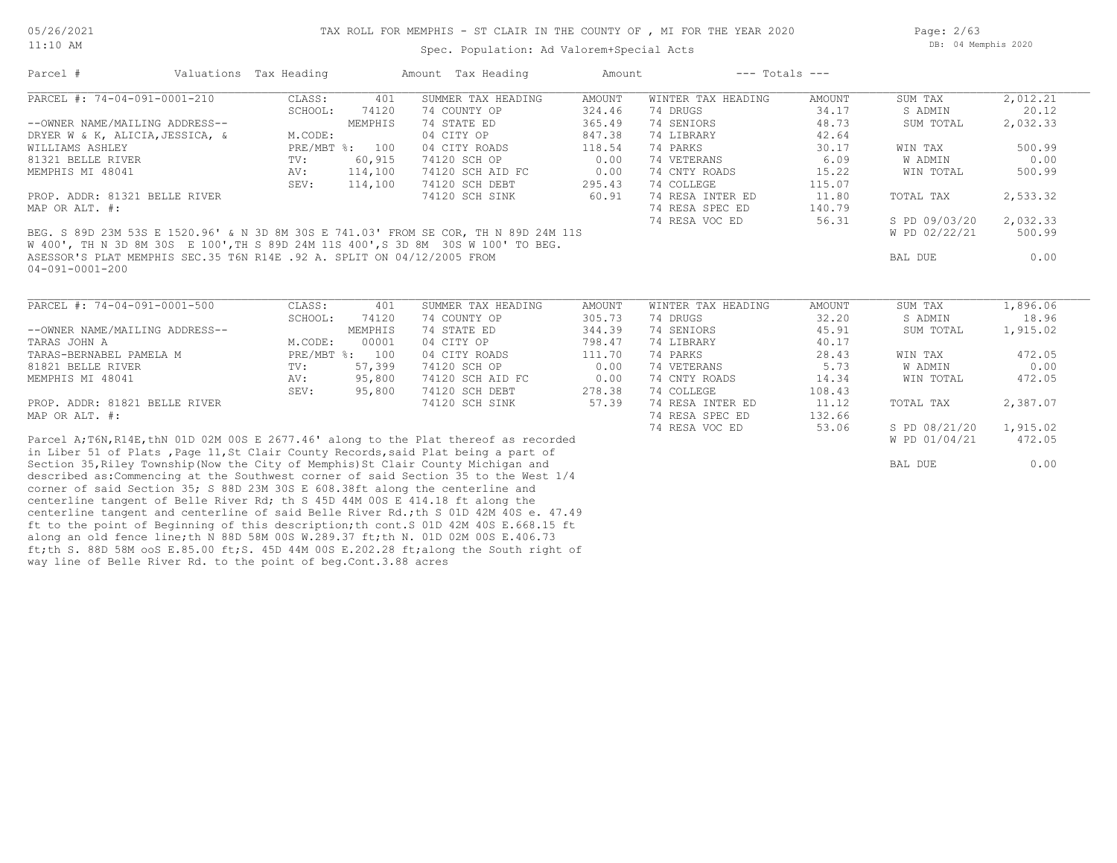way line of Belle River Rd. to the point of beg.Cont.3.88 acres

Spec. Population: Ad Valorem+Special Acts

Page: 2/63 DB: 04 Memphis 2020

| Parcel #                                                               | Valuations Tax Heading |               |                | Amount Tax Heading                                                                    | Amount        | $---$ Totals $---$ |               |               |          |
|------------------------------------------------------------------------|------------------------|---------------|----------------|---------------------------------------------------------------------------------------|---------------|--------------------|---------------|---------------|----------|
| PARCEL #: $74-04-091-0001-210$                                         |                        | CLASS:        | 401            | SUMMER TAX HEADING                                                                    | <b>AMOUNT</b> | WINTER TAX HEADING | <b>AMOUNT</b> | SUM TAX       | 2,012.21 |
|                                                                        |                        | SCHOOL:       | 74120          | 74 COUNTY OP                                                                          | 324.46        | 74 DRUGS           | 34.17         | S ADMIN       | 20.12    |
| --OWNER NAME/MAILING ADDRESS--                                         |                        |               | MEMPHIS        | 74 STATE ED                                                                           | 365.49        | 74 SENIORS         | 48.73         | SUM TOTAL     | 2,032.33 |
| DRYER W & K, ALICIA, JESSICA, &                                        |                        | M.CODE:       |                | 04 CITY OP                                                                            | 847.38        | 74 LIBRARY         | 42.64         |               |          |
| WILLIAMS ASHLEY                                                        |                        |               | PRE/MBT %: 100 | 04 CITY ROADS                                                                         | 118.54        | 74 PARKS           | 30.17         | WIN TAX       | 500.99   |
| 81321 BELLE RIVER                                                      |                        | $\text{TV}$ : | 60,915         | 74120 SCH OP                                                                          | 0.00          | 74 VETERANS        | 6.09          | W ADMIN       | 0.00     |
| MEMPHIS MI 48041                                                       |                        | AV:           | 114,100        | 74120 SCH AID FC                                                                      | 0.00          | 74 CNTY ROADS      | 15.22         | WIN TOTAL     | 500.99   |
|                                                                        |                        | SEV:          | 114,100        | 74120 SCH DEBT                                                                        | 295.43        | 74 COLLEGE         | 115.07        |               |          |
| PROP. ADDR: 81321 BELLE RIVER                                          |                        |               |                | 74120 SCH SINK                                                                        | 60.91         | 74 RESA INTER ED   | 11.80         | TOTAL TAX     | 2,533.32 |
| MAP OR ALT. #:                                                         |                        |               |                |                                                                                       |               | 74 RESA SPEC ED    | 140.79        |               |          |
|                                                                        |                        |               |                |                                                                                       |               | 74 RESA VOC ED     | 56.31         | S PD 09/03/20 | 2,032.33 |
|                                                                        |                        |               |                | BEG. S 89D 23M 53S E 1520.96' & N 3D 8M 30S E 741.03' FROM SE COR, TH N 89D 24M 11S   |               |                    |               | W PD 02/22/21 | 500.99   |
|                                                                        |                        |               |                | W 400', TH N 3D 8M 30S E 100', TH S 89D 24M 11S 400', S 3D 8M 30S W 100' TO BEG.      |               |                    |               |               |          |
| ASESSOR'S PLAT MEMPHIS SEC.35 T6N R14E .92 A. SPLIT ON 04/12/2005 FROM |                        |               |                |                                                                                       |               |                    |               | BAL DUE       | 0.00     |
| 04-091-0001-200                                                        |                        |               |                |                                                                                       |               |                    |               |               |          |
|                                                                        |                        |               |                |                                                                                       |               |                    |               |               |          |
| PARCEL #: 74-04-091-0001-500                                           |                        | CLASS:        | 401            | SUMMER TAX HEADING                                                                    | <b>AMOUNT</b> | WINTER TAX HEADING | AMOUNT        | SUM TAX       | 1,896.06 |
|                                                                        |                        | SCHOOL:       | 74120          | 74 COUNTY OP                                                                          | 305.73        | 74 DRUGS           | 32.20         | S ADMIN       | 18.96    |
| --OWNER NAME/MAILING ADDRESS--                                         |                        |               | MEMPHIS        | 74 STATE ED                                                                           | 344.39        | 74 SENIORS         | 45.91         | SUM TOTAL     | 1,915.02 |
| TARAS JOHN A                                                           |                        | M.CODE:       | 00001          | 04 CITY OP                                                                            | 798.47        | 74 LIBRARY         | 40.17         |               |          |
| TARAS-BERNABEL PAMELA M                                                |                        |               | PRE/MBT %: 100 | 04 CITY ROADS                                                                         | 111.70        | 74 PARKS           | 28.43         | WIN TAX       | 472.05   |
| 81821 BELLE RIVER                                                      |                        | TV:           | 57,399         | 74120 SCH OP                                                                          | 0.00          | 74 VETERANS        | 5.73          | W ADMIN       | 0.00     |
| MEMPHIS MI 48041                                                       |                        | AV:           | 95,800         | 74120 SCH AID FC                                                                      | 0.00          | 74 CNTY ROADS      | 14.34         | WIN TOTAL     | 472.05   |
|                                                                        |                        | SEV:          | 95,800         | 74120 SCH DEBT                                                                        | 278.38        | 74 COLLEGE         | 108.43        |               |          |
| PROP. ADDR: 81821 BELLE RIVER                                          |                        |               |                | 74120 SCH SINK                                                                        | 57.39         | 74 RESA INTER ED   | 11.12         |               |          |
|                                                                        |                        |               |                |                                                                                       |               |                    |               | TOTAL TAX     | 2,387.07 |
| MAP OR ALT. #:                                                         |                        |               |                |                                                                                       |               | 74 RESA SPEC ED    | 132.66        |               |          |
|                                                                        |                        |               |                |                                                                                       |               | 74 RESA VOC ED     | 53.06         | S PD 08/21/20 | 1,915.02 |
|                                                                        |                        |               |                | Parcel A; T6N, R14E, thN 01D 02M 00S E 2677.46' along to the Plat thereof as recorded |               |                    |               | W PD 01/04/21 | 472.05   |
|                                                                        |                        |               |                | in Liber 51 of Plats, Page 11, St Clair County Records, said Plat being a part of     |               |                    |               |               |          |
|                                                                        |                        |               |                | Section 35, Riley Township (Now the City of Memphis) St Clair County Michigan and     |               |                    |               | BAL DUE       | 0.00     |
|                                                                        |                        |               |                | described as: Commencing at the Southwest corner of said Section 35 to the West 1/4   |               |                    |               |               |          |
|                                                                        |                        |               |                | corner of said Section 35; S 88D 23M 30S E 608.38ft along the centerline and          |               |                    |               |               |          |
|                                                                        |                        |               |                | centerline tangent of Belle River Rd; th S 45D 44M 00S E 414.18 ft along the          |               |                    |               |               |          |
|                                                                        |                        |               |                | centerline tangent and centerline of said Belle River Rd.; th S 01D 42M 40S e. 47.49  |               |                    |               |               |          |
|                                                                        |                        |               |                | ft to the point of Beginning of this description; th cont. S 01D 42M 40S E.668.15 ft  |               |                    |               |               |          |
|                                                                        |                        |               |                | along an old fence line; th N 88D 58M 00S W.289.37 ft; th N. 01D 02M 00S E.406.73     |               |                    |               |               |          |
|                                                                        |                        |               |                | ft;th S. 88D 58M ooS E.85.00 ft;S. 45D 44M 00S E.202.28 ft;along the South right of   |               |                    |               |               |          |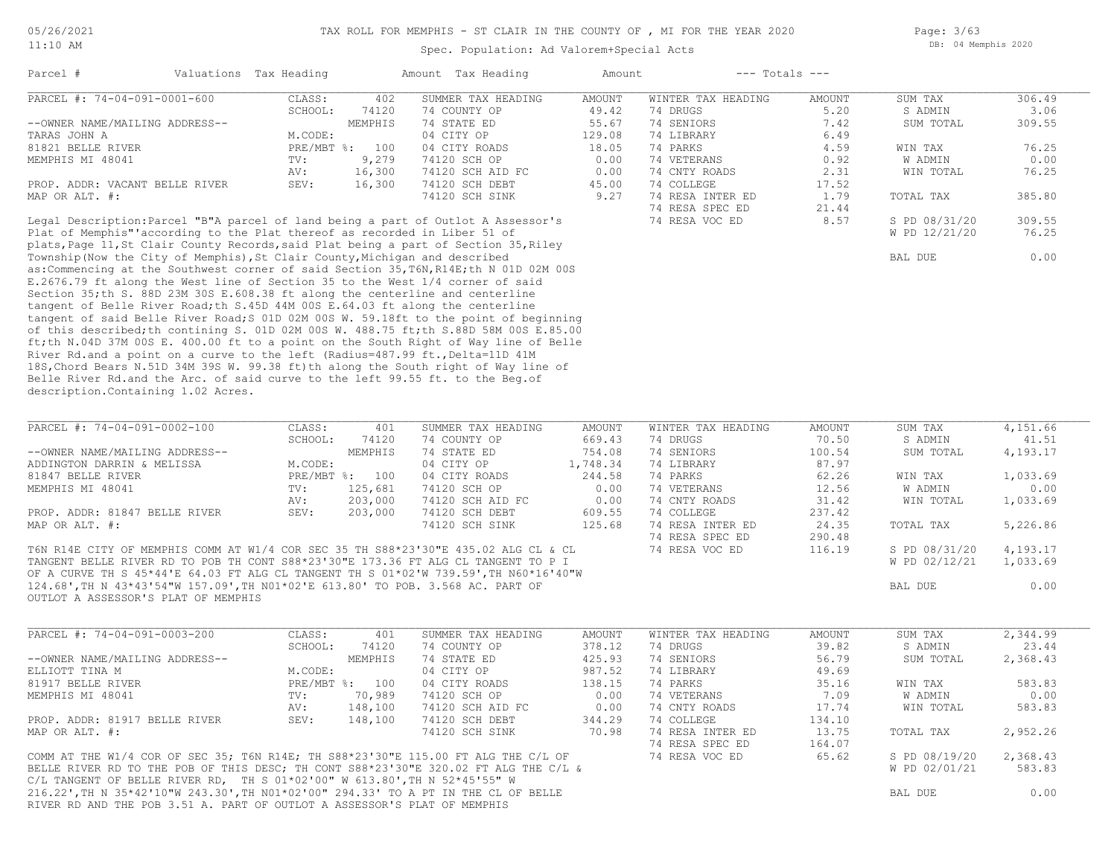Spec. Population: Ad Valorem+Special Acts

Page: 3/63 DB: 04 Memphis 2020

|                                                                                                                        | Valuations Tax Heading |                  | Amount Tax Heading          | Amount         | $---$ Totals $---$                  |                 |                      |                |
|------------------------------------------------------------------------------------------------------------------------|------------------------|------------------|-----------------------------|----------------|-------------------------------------|-----------------|----------------------|----------------|
| PARCEL #: 74-04-091-0001-600                                                                                           | CLASS:                 | 402              | SUMMER TAX HEADING          | <b>AMOUNT</b>  | WINTER TAX HEADING                  | <b>AMOUNT</b>   | SUM TAX              | 306.49         |
| --OWNER NAME/MAILING ADDRESS--                                                                                         | SCHOOL:                | 74120<br>MEMPHIS | 74 COUNTY OP<br>74 STATE ED | 49.42<br>55.67 | 74 DRUGS<br>74 SENIORS              | 5.20<br>7.42    | S ADMIN<br>SUM TOTAL | 3.06<br>309.55 |
| TARAS JOHN A                                                                                                           | M.CODE:                |                  | 04 CITY OP                  | 129.08         | 74 LIBRARY                          | 6.49            |                      |                |
| 81821 BELLE RIVER                                                                                                      |                        | PRE/MBT %: 100   | 04 CITY ROADS               | 18.05          | 74 PARKS                            | 4.59            | WIN TAX              | 76.25          |
| MEMPHIS MI 48041                                                                                                       | TV:                    | 9,279            | 74120 SCH OP                | 0.00           | 74 VETERANS                         | 0.92            | W ADMIN              | 0.00           |
|                                                                                                                        | AV:                    | 16,300           | 74120 SCH AID FC            | 0.00           | 74 CNTY ROADS                       | 2.31            | WIN TOTAL            | 76.25          |
| PROP. ADDR: VACANT BELLE RIVER                                                                                         | SEV:                   | 16,300           | 74120 SCH DEBT              | 45.00          | 74 COLLEGE                          | 17.52           |                      |                |
| MAP OR ALT. #:                                                                                                         |                        |                  | 74120 SCH SINK              | 9.27           | 74 RESA INTER ED                    | 1.79            | TOTAL TAX            | 385.80         |
|                                                                                                                        |                        |                  |                             |                | 74 RESA SPEC ED                     | 21.44           |                      |                |
| Legal Description: Parcel "B"A parcel of land being a part of Outlot A Assessor's                                      |                        |                  |                             |                | 74 RESA VOC ED                      | 8.57            | S PD 08/31/20        | 309.55         |
| Plat of Memphis" according to the Plat thereof as recorded in Liber 51 of                                              |                        |                  |                             |                |                                     |                 | W PD 12/21/20        | 76.25          |
| plats, Page 11, St Clair County Records, said Plat being a part of Section 35, Riley                                   |                        |                  |                             |                |                                     |                 |                      |                |
| Township (Now the City of Memphis), St Clair County, Michigan and described                                            |                        |                  |                             |                |                                     |                 | <b>BAL DUE</b>       | 0.00           |
| as: Commencing at the Southwest corner of said Section 35, T6N, R14E; th N 01D 02M 00S                                 |                        |                  |                             |                |                                     |                 |                      |                |
| E.2676.79 ft along the West line of Section 35 to the West 1/4 corner of said                                          |                        |                  |                             |                |                                     |                 |                      |                |
| Section 35; th S. 88D 23M 30S E.608.38 ft along the centerline and centerline                                          |                        |                  |                             |                |                                     |                 |                      |                |
| tangent of Belle River Road; th S.45D 44M 00S E.64.03 ft along the centerline                                          |                        |                  |                             |                |                                     |                 |                      |                |
| tangent of said Belle River Road; S 01D 02M 00S W. 59.18ft to the point of beginning                                   |                        |                  |                             |                |                                     |                 |                      |                |
| of this described; th contining S. 01D 02M 00S W. 488.75 ft; th S.88D 58M 00S E.85.00                                  |                        |                  |                             |                |                                     |                 |                      |                |
| ft; th N.04D 37M 00S E. 400.00 ft to a point on the South Right of Way line of Belle                                   |                        |                  |                             |                |                                     |                 |                      |                |
| River Rd.and a point on a curve to the left (Radius=487.99 ft., Delta=11D 41M                                          |                        |                  |                             |                |                                     |                 |                      |                |
| 18S, Chord Bears N.51D 34M 39S W. 99.38 ft) th along the South right of Way line of                                    |                        |                  |                             |                |                                     |                 |                      |                |
| Belle River Rd.and the Arc. of said curve to the left 99.55 ft. to the Beg.of                                          |                        |                  |                             |                |                                     |                 |                      |                |
| description. Containing 1.02 Acres.                                                                                    |                        |                  |                             |                |                                     |                 |                      |                |
|                                                                                                                        |                        |                  |                             |                |                                     |                 |                      |                |
|                                                                                                                        |                        |                  |                             |                |                                     |                 |                      |                |
|                                                                                                                        |                        |                  |                             |                |                                     |                 |                      |                |
|                                                                                                                        | CLASS:                 | 401              | SUMMER TAX HEADING          | <b>AMOUNT</b>  | WINTER TAX HEADING                  | <b>AMOUNT</b>   | SUM TAX              | 4,151.66       |
| PARCEL #: 74-04-091-0002-100                                                                                           | SCHOOL:                | 74120            | 74 COUNTY OP                | 669.43         | 74 DRUGS                            | 70.50           | S ADMIN              | 41.51          |
|                                                                                                                        |                        | MEMPHIS          | 74 STATE ED                 | 754.08         | 74 SENIORS                          | 100.54          | SUM TOTAL            | 4,193.17       |
| --OWNER NAME/MAILING ADDRESS--<br>ADDINGTON DARRIN & MELISSA                                                           | M.CODE:                |                  | 04 CITY OP                  | 1,748.34       | 74 LIBRARY                          | 87.97           |                      |                |
| 81847 BELLE RIVER                                                                                                      |                        | PRE/MBT %: 100   | 04 CITY ROADS               | 244.58         | 74 PARKS                            | 62.26           | WIN TAX              | 1,033.69       |
| MEMPHIS MI 48041                                                                                                       | TV:                    | 125,681          | 74120 SCH OP                | 0.00           | 74 VETERANS                         | 12.56           | W ADMIN              | 0.00           |
|                                                                                                                        | AV:                    | 203,000          | 74120 SCH AID FC            | 0.00           | 74 CNTY ROADS                       | 31.42           | WIN TOTAL            | 1,033.69       |
| PROP. ADDR: 81847 BELLE RIVER                                                                                          | SEV:                   | 203,000          | 74120 SCH DEBT              | 609.55         | 74 COLLEGE                          | 237.42          |                      |                |
| MAP OR ALT. #:                                                                                                         |                        |                  | 74120 SCH SINK              | 125.68         | 74 RESA INTER ED                    | 24.35           | TOTAL TAX            | 5,226.86       |
|                                                                                                                        |                        |                  |                             |                | 74 RESA SPEC ED                     | 290.48          |                      |                |
| T6N R14E CITY OF MEMPHIS COMM AT W1/4 COR SEC 35 TH S88*23'30"E 435.02 ALG CL & CL                                     |                        |                  |                             |                | 74 RESA VOC ED                      | 116.19          | S PD 08/31/20        | 4,193.17       |
| TANGENT BELLE RIVER RD TO POB TH CONT S88*23'30"E 173.36 FT ALG CL TANGENT TO P I                                      |                        |                  |                             |                |                                     |                 | W PD 02/12/21        | 1,033.69       |
| OF A CURVE TH S 45*44'E 64.03 FT ALG CL TANGENT TH S 01*02'W 739.59', TH N60*16'40"W                                   |                        |                  |                             |                |                                     |                 |                      |                |
|                                                                                                                        |                        |                  |                             |                |                                     |                 | BAL DUE              | 0.00           |
|                                                                                                                        |                        |                  |                             |                |                                     |                 |                      |                |
| 124.68', TH N 43*43'54"W 157.09', TH NO1*02'E 613.80' TO POB. 3.568 AC. PART OF<br>OUTLOT A ASSESSOR'S PLAT OF MEMPHIS |                        |                  |                             |                |                                     |                 |                      |                |
|                                                                                                                        |                        |                  |                             |                |                                     |                 |                      |                |
| PARCEL #: 74-04-091-0003-200                                                                                           | CLASS:                 | 401              | SUMMER TAX HEADING          | <b>AMOUNT</b>  | WINTER TAX HEADING                  | <b>AMOUNT</b>   | SUM TAX              | 2,344.99       |
|                                                                                                                        | SCHOOL:                | 74120            | 74 COUNTY OP                | 378.12         | 74 DRUGS                            | 39.82           | S ADMIN              | 23.44          |
| --OWNER NAME/MAILING ADDRESS--                                                                                         |                        | MEMPHIS          | 74 STATE ED                 | 425.93         | 74 SENIORS                          | 56.79           | SUM TOTAL            | 2,368.43       |
| ELLIOTT TINA M                                                                                                         | M.CODE:                |                  | 04 CITY OP                  | 987.52         | 74 LIBRARY                          | 49.69           |                      |                |
| 81917 BELLE RIVER                                                                                                      |                        | PRE/MBT %: 100   | 04 CITY ROADS               | 138.15         | 74 PARKS                            | 35.16           | WIN TAX              | 583.83         |
| MEMPHIS MI 48041                                                                                                       | TV:                    | 70,989           | 74120 SCH OP                | 0.00           | 74 VETERANS                         | 7.09            | W ADMIN              | 0.00           |
|                                                                                                                        | AV:                    | 148,100          | 74120 SCH AID FC            | 0.00           | 74 CNTY ROADS                       | 17.74           | WIN TOTAL            | 583.83         |
| PROP. ADDR: 81917 BELLE RIVER                                                                                          | SEV:                   | 148,100          | 74120 SCH DEBT              | 344.29         | 74 COLLEGE                          | 134.10          |                      |                |
| MAP OR ALT. #:                                                                                                         |                        |                  | 74120 SCH SINK              | 70.98          | 74 RESA INTER ED<br>74 RESA SPEC ED | 13.75<br>164.07 | TOTAL TAX            | 2,952.26       |

RIVER RD AND THE POB 3.51 A. PART OF OUTLOT A ASSESSOR'S PLAT OF MEMPHIS 216.22', TH N 35\*42'10"W 243.30', TH N01\*02'00" 294.33' TO A PT IN THE CL OF BELLE C/L TANGENT OF BELLE RIVER RD, TH S  $01*02'00''$  W  $613.80'$ , TH N  $52*45'55''$  W BELLE RIVER RD TO THE POB OF THIS DESC; TH CONT S88\*23'30"E 320.02 FT ALG THE C/L & COMM AT THE W1/4 COR OF SEC 35; T6N R14E; TH S88\*23'30"E 115.00 FT ALG THE C/L OF  $74$  RESA VOC ED

| 13.75<br>164.07 | TOTAL TAX                      | 2,952.26           |
|-----------------|--------------------------------|--------------------|
| 65.62           | S PD 08/19/20<br>W PD 02/01/21 | 2,368.43<br>583.83 |
|                 | BAL DUE                        | 0.00               |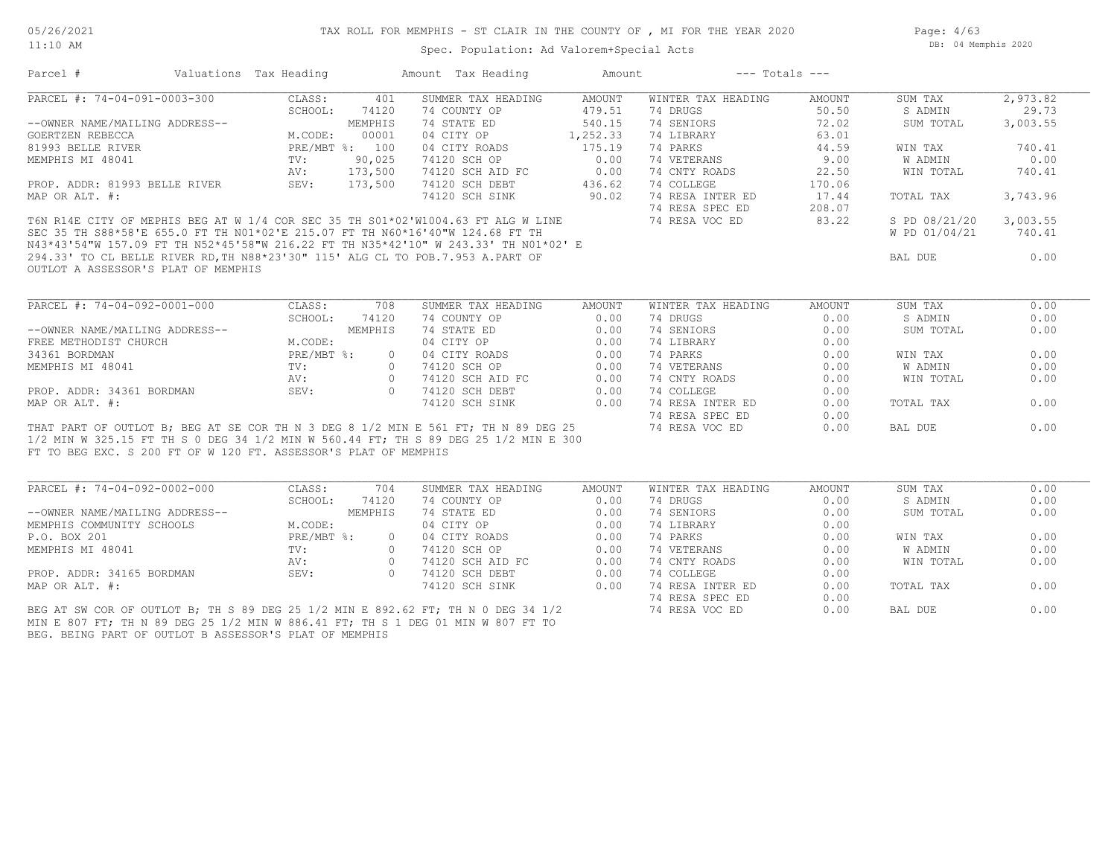11:10 AM

#### Spec. Population: Ad Valorem+Special Acts

Page: 4/63 DB: 04 Memphis 2020

| Parcel #                                                        | Valuations Tax Heading |                | Amount Tax Heading                                                                                                                                                                                                                                              | Amount   |                    | $---$ Totals $---$ |               |          |
|-----------------------------------------------------------------|------------------------|----------------|-----------------------------------------------------------------------------------------------------------------------------------------------------------------------------------------------------------------------------------------------------------------|----------|--------------------|--------------------|---------------|----------|
| PARCEL #: 74-04-091-0003-300                                    | CLASS:                 | 401            | SUMMER TAX HEADING                                                                                                                                                                                                                                              | AMOUNT   | WINTER TAX HEADING | AMOUNT             | SUM TAX       | 2,973.82 |
|                                                                 | SCHOOL:                | 74120          | 74 COUNTY OP                                                                                                                                                                                                                                                    | 479.51   | 74 DRUGS           | 50.50              | S ADMIN       | 29.73    |
| --OWNER NAME/MAILING ADDRESS--                                  |                        | MEMPHIS        | 74 STATE ED                                                                                                                                                                                                                                                     | 540.15   | 74 SENIORS         | 72.02              | SUM TOTAL     | 3,003.55 |
| GOERTZEN REBECCA                                                | M.CODE:                | 00001          | 04 CITY OP                                                                                                                                                                                                                                                      | 1,252.33 | 74 LIBRARY         | 63.01              |               |          |
| 81993 BELLE RIVER                                               |                        | PRE/MBT %: 100 | 04 CITY ROADS                                                                                                                                                                                                                                                   | 175.19   | 74 PARKS           | 44.59              | WIN TAX       | 740.41   |
| MEMPHIS MI 48041                                                | TV:                    | 90,025         | 74120 SCH OP                                                                                                                                                                                                                                                    | 0.00     | 74 VETERANS        | 9.00               | W ADMIN       | 0.00     |
|                                                                 | AV:                    | 173,500        | 74120 SCH AID FC                                                                                                                                                                                                                                                | 0.00     | 74 CNTY ROADS      | 22.50              | WIN TOTAL     | 740.41   |
| PROP. ADDR: 81993 BELLE RIVER                                   | SEV:                   | 173,500        | 74120 SCH DEBT                                                                                                                                                                                                                                                  | 436.62   | 74 COLLEGE         | 170.06             |               |          |
| MAP OR ALT. #:                                                  |                        |                | 74120 SCH SINK                                                                                                                                                                                                                                                  | 90.02    | 74 RESA INTER ED   | 17.44              | TOTAL TAX     | 3,743.96 |
|                                                                 |                        |                |                                                                                                                                                                                                                                                                 |          | 74 RESA SPEC ED    | 208.07             |               |          |
|                                                                 |                        |                | T6N R14E CITY OF MEPHIS BEG AT W 1/4 COR SEC 35 TH S01*02'W1004.63 FT ALG W LINE                                                                                                                                                                                |          | 74 RESA VOC ED     | 83.22              | S PD 08/21/20 | 3,003.55 |
|                                                                 |                        |                | SEC 35 TH S88*58'E 655.0 FT TH NO1*02'E 215.07 FT TH N60*16'40"W 124.68 FT TH                                                                                                                                                                                   |          |                    |                    | W PD 01/04/21 | 740.41   |
|                                                                 |                        |                |                                                                                                                                                                                                                                                                 |          |                    |                    |               |          |
|                                                                 |                        |                | SEC 35 TH S88*58'E 655.0 FT TH NUITUZER ZIJ.07 II IN NOS IS IS IS 243.33' TH NO1*02' E<br>N43*43'54"W 157.09 FT TH N52*45'58"W 216.22 FT TH N35*42'10" W 243.33' TH NO1*02' E<br>294.33' TO CL BELLE RIVER RD, TH N88*23'30" 115' ALG CL TO POB.7.953 A.PART OF |          |                    |                    | BAL DUE       | 0.00     |
| OUTLOT A ASSESSOR'S PLAT OF MEMPHIS                             |                        |                |                                                                                                                                                                                                                                                                 |          |                    |                    |               |          |
|                                                                 |                        |                |                                                                                                                                                                                                                                                                 |          |                    |                    |               |          |
|                                                                 |                        |                |                                                                                                                                                                                                                                                                 |          |                    |                    |               |          |
| PARCEL #: 74-04-092-0001-000                                    | CLASS:                 | 708            | SUMMER TAX HEADING                                                                                                                                                                                                                                              | AMOUNT   | WINTER TAX HEADING | AMOUNT             | SUM TAX       | 0.00     |
|                                                                 | SCHOOL:                | 74120          | 74 COUNTY OP                                                                                                                                                                                                                                                    | 0.00     | 74 DRUGS           | 0.00               | S ADMIN       | 0.00     |
| --OWNER NAME/MAILING ADDRESS--                                  |                        | MEMPHIS        | 74 STATE ED                                                                                                                                                                                                                                                     | 0.00     | 74 SENIORS         | 0.00               | SUM TOTAL     | 0.00     |
| FREE METHODIST CHURCH                                           | M.CODE:                |                | 04 CITY OP                                                                                                                                                                                                                                                      | 0.00     | 74 LIBRARY         | 0.00               |               |          |
| 34361 BORDMAN                                                   | $PRE/MBT$ %:           | $\Omega$       | 04 CITY ROADS                                                                                                                                                                                                                                                   | 0.00     | 74 PARKS           | 0.00               | WIN TAX       | 0.00     |
| MEMPHIS MI 48041                                                | TV:                    | $\bigcirc$     | 74120 SCH OP                                                                                                                                                                                                                                                    | 0.00     | 74 VETERANS        | 0.00               | W ADMIN       | 0.00     |
|                                                                 | AV:                    | $\circ$        | 74120 SCH AID FC                                                                                                                                                                                                                                                | 0.00     | 74 CNTY ROADS      | 0.00               | WIN TOTAL     | 0.00     |
| PROP. ADDR: 34361 BORDMAN                                       | SEV:                   | $\bigcap$      | 74120 SCH AID FC<br>74120 SCH DEBT                                                                                                                                                                                                                              | 0.00     | 74 COLLEGE         | 0.00               |               |          |
| MAP OR ALT. #:                                                  |                        |                | 74120 SCH SINK                                                                                                                                                                                                                                                  | 0.00     | 74 RESA INTER ED   | 0.00               | TOTAL TAX     | 0.00     |
|                                                                 |                        |                |                                                                                                                                                                                                                                                                 |          |                    |                    |               |          |
|                                                                 |                        |                |                                                                                                                                                                                                                                                                 |          | 74 RESA SPEC ED    | 0.00               |               |          |
|                                                                 |                        |                | THAT PART OF OUTLOT B; BEG AT SE COR TH N 3 DEG 8 1/2 MIN E 561 FT; TH N 89 DEG 25                                                                                                                                                                              |          | 74 RESA VOC ED     | 0.00               | BAL DUE       | 0.00     |
|                                                                 |                        |                | 1/2 MIN W 325.15 FT TH S 0 DEG 34 1/2 MIN W 560.44 FT; TH S 89 DEG 25 1/2 MIN E 300                                                                                                                                                                             |          |                    |                    |               |          |
| FT TO BEG EXC. S 200 FT OF W 120 FT. ASSESSOR'S PLAT OF MEMPHIS |                        |                |                                                                                                                                                                                                                                                                 |          |                    |                    |               |          |
|                                                                 |                        |                |                                                                                                                                                                                                                                                                 |          |                    |                    |               |          |
| PARCEL #: 74-04-092-0002-000                                    | CLASS:                 | 704            | SUMMER TAX HEADING                                                                                                                                                                                                                                              | AMOUNT   | WINTER TAX HEADING | AMOUNT             | SUM TAX       | 0.00     |
|                                                                 | SCHOOL:                | 74120          | 74 COUNTY OP                                                                                                                                                                                                                                                    | 0.00     | 74 DRUGS           | 0.00               | S ADMIN       | 0.00     |
| --OWNER NAME/MAILING ADDRESS--                                  |                        | MEMPHIS        | 74 STATE ED                                                                                                                                                                                                                                                     | 0.00     | 74 SENIORS         | 0.00               | SUM TOTAL     | 0.00     |
| MEMPHIS COMMUNITY SCHOOLS                                       | M.CODE:                |                | 04 CITY OP                                                                                                                                                                                                                                                      | 0.00     | 74 LIBRARY         | 0.00               |               |          |
| P.O. BOX 201                                                    | $PRE/MBT$ %:           | $\Omega$       | 04 CITY ROADS                                                                                                                                                                                                                                                   | 0.00     | 74 PARKS           | 0.00               | WIN TAX       | 0.00     |
| MEMPHIS MI 48041                                                | TV:                    | $\Omega$       | 74120 SCH OP                                                                                                                                                                                                                                                    | 0.00     | 74 VETERANS        | 0.00               | W ADMIN       | 0.00     |
|                                                                 | AV:                    | $\bigcirc$     | 74120 SCH AID FC                                                                                                                                                                                                                                                | 0.00     | 74 CNTY ROADS      | 0.00               | WIN TOTAL     | 0.00     |
| PROP. ADDR: 34165 BORDMAN                                       | SEV:                   | $\bigcirc$     | 74120 SCH DEBT                                                                                                                                                                                                                                                  | 0.00     | 74 COLLEGE         | 0.00               |               |          |
| MAP OR ALT. #:                                                  |                        |                | 74120 SCH SINK                                                                                                                                                                                                                                                  | 0.00     | 74 RESA INTER ED   | 0.00               | TOTAL TAX     | 0.00     |
|                                                                 |                        |                |                                                                                                                                                                                                                                                                 |          | 74 RESA SPEC ED    | 0.00               |               |          |
|                                                                 |                        |                | BEG AT SW COR OF OUTLOT B; TH S 89 DEG 25 1/2 MIN E 892.62 FT; TH N 0 DEG 34 1/2                                                                                                                                                                                |          | 74 RESA VOC ED     | 0.00               | BAL DUE       | 0.00     |
|                                                                 |                        |                | MIN E 807 FT; TH N 89 DEG 25 1/2 MIN W 886.41 FT; TH S 1 DEG 01 MIN W 807 FT TO                                                                                                                                                                                 |          |                    |                    |               |          |
| BEG. BEING PART OF OUTLOT B ASSESSOR'S PLAT OF MEMPHIS          |                        |                |                                                                                                                                                                                                                                                                 |          |                    |                    |               |          |
|                                                                 |                        |                |                                                                                                                                                                                                                                                                 |          |                    |                    |               |          |
|                                                                 |                        |                |                                                                                                                                                                                                                                                                 |          |                    |                    |               |          |
|                                                                 |                        |                |                                                                                                                                                                                                                                                                 |          |                    |                    |               |          |
|                                                                 |                        |                |                                                                                                                                                                                                                                                                 |          |                    |                    |               |          |
|                                                                 |                        |                |                                                                                                                                                                                                                                                                 |          |                    |                    |               |          |
|                                                                 |                        |                |                                                                                                                                                                                                                                                                 |          |                    |                    |               |          |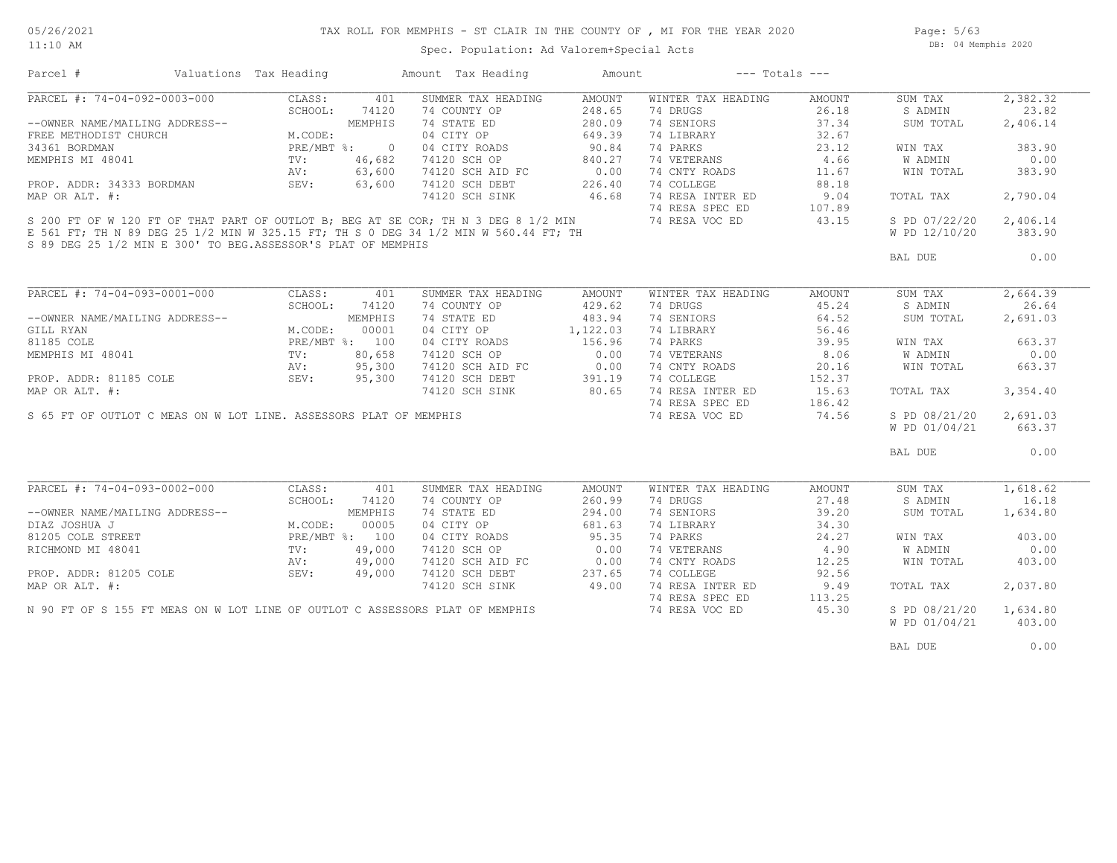11:10 AM

## TAX ROLL FOR MEMPHIS - ST CLAIR IN THE COUNTY OF , MI FOR THE YEAR 2020

Page: 5/63 DB: 04 Memphis 2020

Spec. Population: Ad Valorem+Special Acts

| Parcel #                                                                     | Valuations Tax Heading                |                | Amount Tax Heading                                                                  | Amount   | $---$ Totals $---$ |        |               |          |
|------------------------------------------------------------------------------|---------------------------------------|----------------|-------------------------------------------------------------------------------------|----------|--------------------|--------|---------------|----------|
| PARCEL #: 74-04-092-0003-000                                                 | CLASS:                                | 401            | SUMMER TAX HEADING                                                                  | AMOUNT   | WINTER TAX HEADING | AMOUNT | SUM TAX       | 2,382.32 |
|                                                                              | SCHOOL:                               | 74120          | 74 COUNTY OP                                                                        | 248.65   | 74 DRUGS           | 26.18  | S ADMIN       | 23.82    |
| --OWNER NAME/MAILING ADDRESS--                                               |                                       | MEMPHIS        | 74 STATE ED                                                                         | 280.09   | 74 SENIORS         | 37.34  | SUM TOTAL     | 2,406.14 |
| FREE METHODIST CHURCH                                                        | M.CO<br>PRE/<br>TV:<br>AV·<br>M.CODE: |                | 04 CITY OP                                                                          | 649.39   | 74 LIBRARY         | 32.67  |               |          |
| 34361 BORDMAN                                                                | PRE/MBT %:                            | $\circ$        | 04 CITY ROADS                                                                       | 90.84    | 74 PARKS           | 23.12  | WIN TAX       | 383.90   |
| MEMPHIS MI 48041                                                             |                                       | 46,682         | 74120 SCH OP                                                                        | 840.27   | 74 VETERANS        | 4.66   | W ADMIN       | 0.00     |
|                                                                              | AV:                                   | 63,600         | 74120 SCH AID FC                                                                    | 0.00     | 74 CNTY ROADS      | 11.67  | WIN TOTAL     | 383.90   |
| PROP. ADDR: 34333 BORDMAN                                                    | SEV:                                  | 63,600         | 74120 SCH DEBT                                                                      | 226.40   | 74 COLLEGE         | 88.18  |               |          |
| MAP OR ALT. #:                                                               |                                       |                | 74120 SCH SINK                                                                      | 46.68    | 74 RESA INTER ED   | 9.04   | TOTAL TAX     | 2,790.04 |
|                                                                              |                                       |                |                                                                                     |          | 74 RESA SPEC ED    | 107.89 |               |          |
|                                                                              |                                       |                | S 200 FT OF W 120 FT OF THAT PART OF OUTLOT B; BEG AT SE COR; TH N 3 DEG 8 1/2 MIN  |          | 74 RESA VOC ED     | 43.15  | S PD 07/22/20 | 2,406.14 |
|                                                                              |                                       |                | E 561 FT; TH N 89 DEG 25 1/2 MIN W 325.15 FT; TH S 0 DEG 34 1/2 MIN W 560.44 FT; TH |          |                    |        | W PD 12/10/20 | 383.90   |
| S 89 DEG 25 1/2 MIN E 300' TO BEG.ASSESSOR'S PLAT OF MEMPHIS                 |                                       |                |                                                                                     |          |                    |        | BAL DUE       | 0.00     |
|                                                                              |                                       |                |                                                                                     |          |                    |        |               |          |
| PARCEL #: 74-04-093-0001-000                                                 | CLASS:                                | 401            | SUMMER TAX HEADING                                                                  | AMOUNT   | WINTER TAX HEADING | AMOUNT | SUM TAX       | 2,664.39 |
|                                                                              | SCHOOL:                               | 74120          | 74 COUNTY OP                                                                        | 429.62   | 74 DRUGS           | 45.24  | S ADMIN       | 26.64    |
| --OWNER NAME/MAILING ADDRESS--                                               |                                       | MEMPHIS        | 74 STATE ED                                                                         | 483.94   | 74 SENIORS         | 64.52  | SUM TOTAL     | 2,691.03 |
| GILL RYAN                                                                    | M.CODE:                               | 00001          | 04 CITY OP                                                                          | 1,122.03 | 74 LIBRARY         | 56.46  |               |          |
| 81185 COLE                                                                   |                                       | PRE/MBT %: 100 | 04 CITY ROADS                                                                       | 156.96   | 74 PARKS           | 39.95  | WIN TAX       | 663.37   |
| MEMPHIS MI 48041                                                             | TV:                                   | 80,658         | 74120 SCH OP                                                                        | 0.00     | 74 VETERANS        | 8.06   | W ADMIN       | 0.00     |
|                                                                              | AV:                                   | 95,300         | 74120 SCH AID FC                                                                    | 0.00     | 74 CNTY ROADS      | 20.16  | WIN TOTAL     | 663.37   |
| PROP. ADDR: 81185 COLE                                                       | SEV:                                  | 95,300         | 74120 SCH DEBT                                                                      | 391.19   | 74 COLLEGE         | 152.37 |               |          |
| MAP OR ALT. #:                                                               |                                       |                | 74120 SCH SINK                                                                      | 80.65    | 74 RESA INTER ED   | 15.63  | TOTAL TAX     | 3,354.40 |
|                                                                              |                                       |                |                                                                                     |          | 74 RESA SPEC ED    | 186.42 |               |          |
| S 65 FT OF OUTLOT C MEAS ON W LOT LINE. ASSESSORS PLAT OF MEMPHIS            |                                       |                |                                                                                     |          | 74 RESA VOC ED     | 74.56  | S PD 08/21/20 | 2,691.03 |
|                                                                              |                                       |                |                                                                                     |          |                    |        | W PD 01/04/21 | 663.37   |
|                                                                              |                                       |                |                                                                                     |          |                    |        |               |          |
|                                                                              |                                       |                |                                                                                     |          |                    |        | BAL DUE       | 0.00     |
|                                                                              |                                       |                |                                                                                     |          |                    |        |               |          |
| PARCEL #: 74-04-093-0002-000                                                 | CLASS:                                | 401            | SUMMER TAX HEADING                                                                  | AMOUNT   | WINTER TAX HEADING | AMOUNT | SUM TAX       | 1,618.62 |
|                                                                              | SCHOOL:                               | 74120          | 74 COUNTY OP                                                                        | 260.99   | 74 DRUGS           | 27.48  | S ADMIN       | 16.18    |
| --OWNER NAME/MAILING ADDRESS--                                               |                                       | MEMPHIS        | 74 STATE ED                                                                         | 294.00   | 74 SENIORS         | 39.20  | SUM TOTAL     | 1,634.80 |
| DIAZ JOSHUA J                                                                | M.CODE:                               | 00005          | 04 CITY OP                                                                          | 681.63   | 74 LIBRARY         | 34.30  |               |          |
| 81205 COLE STREET                                                            |                                       | PRE/MBT %: 100 | 04 CITY ROADS                                                                       | 95.35    | 74 PARKS           | 24.27  | WIN TAX       | 403.00   |
| RICHMOND MI 48041                                                            | TV:                                   | 49,000         | 74120 SCH OP                                                                        | 0.00     | 74 VETERANS        | 4.90   | W ADMIN       | 0.00     |
|                                                                              | AV:                                   | 49,000         | 74120 SCH AID FC                                                                    | 0.00     | 74 CNTY ROADS      | 12.25  | WIN TOTAL     | 403.00   |
| PROP. ADDR: 81205 COLE                                                       | SEV:                                  | 49,000         | 74120 SCH DEBT                                                                      | 237.65   | 74 COLLEGE         | 92.56  |               |          |
| MAP OR ALT. #:                                                               |                                       |                | 74120 SCH SINK                                                                      | 49.00    | 74 RESA INTER ED   | 9.49   | TOTAL TAX     | 2,037.80 |
|                                                                              |                                       |                |                                                                                     |          | 74 RESA SPEC ED    | 113.25 |               |          |
| N 90 FT OF S 155 FT MEAS ON W LOT LINE OF OUTLOT C ASSESSORS PLAT OF MEMPHIS |                                       |                |                                                                                     |          | 74 RESA VOC ED     | 45.30  | S PD 08/21/20 | 1,634.80 |
|                                                                              |                                       |                |                                                                                     |          |                    |        | W PD 01/04/21 | 403.00   |
|                                                                              |                                       |                |                                                                                     |          |                    |        | BAL DUE       | 0.00     |
|                                                                              |                                       |                |                                                                                     |          |                    |        |               |          |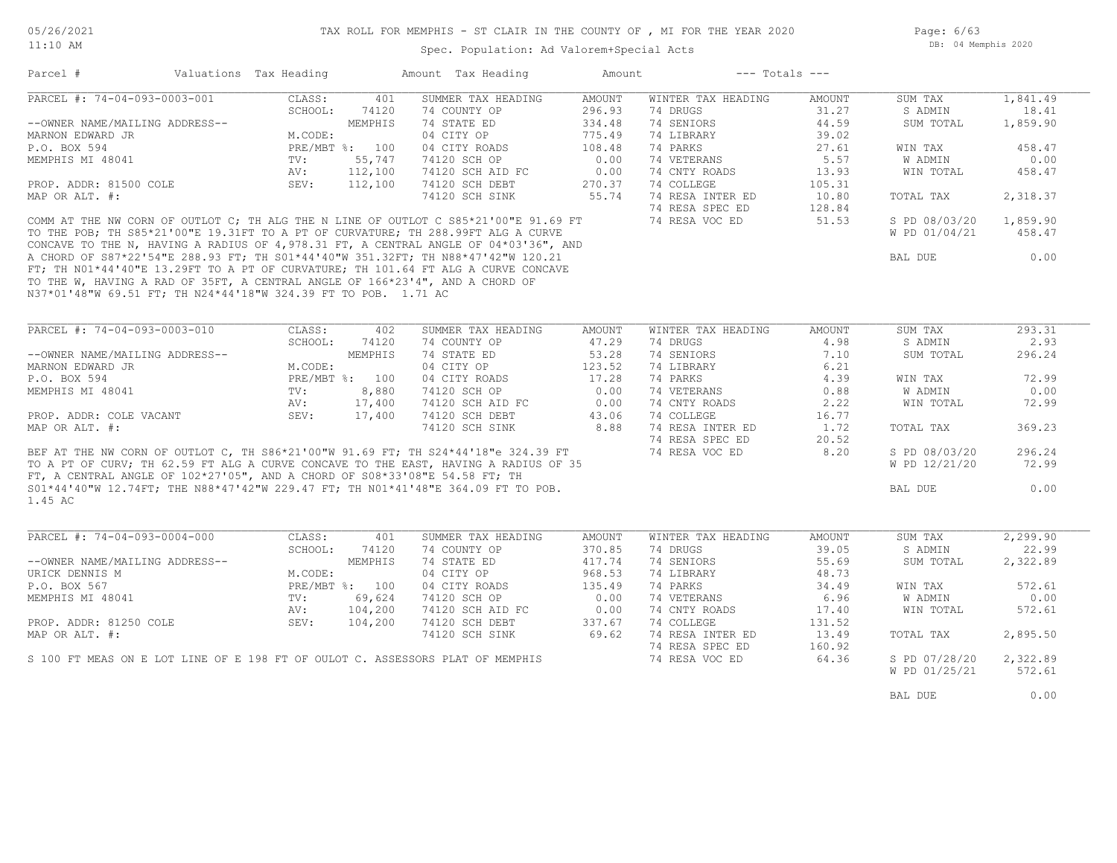Spec. Population: Ad Valorem+Special Acts

Page: 6/63 DB: 04 Memphis 2020

| Parcel #                                                                      | Valuations Tax Heading |                | Amount Tax Heading                                                                  | Amount | $---$ Totals $---$ |               |               |          |
|-------------------------------------------------------------------------------|------------------------|----------------|-------------------------------------------------------------------------------------|--------|--------------------|---------------|---------------|----------|
| PARCEL #: 74-04-093-0003-001                                                  | CLASS:                 | 401            | SUMMER TAX HEADING                                                                  | AMOUNT | WINTER TAX HEADING | AMOUNT        | SUM TAX       | 1,841.49 |
|                                                                               | SCHOOL:                | 74120          | 74 COUNTY OP                                                                        | 296.93 | 74 DRUGS           | 31.27         | S ADMIN       | 18.41    |
| --OWNER NAME/MAILING ADDRESS--                                                |                        | MEMPHIS        | 74 STATE ED                                                                         | 334.48 | 74 SENIORS         | 44.59         | SUM TOTAL     | 1,859.90 |
| MARNON EDWARD JR                                                              | M.CODE:                |                | 04 CITY OP                                                                          | 775.49 | 74 LIBRARY         | 39.02         |               |          |
| P.O. BOX 594                                                                  |                        | PRE/MBT %: 100 | 04 CITY ROADS                                                                       | 108.48 | 74 PARKS           | 27.61         | WIN TAX       | 458.47   |
| MEMPHIS MI 48041                                                              | TV:                    | 55,747         | 74120 SCH OP                                                                        | 0.00   | 74 VETERANS        | 5.57          | W ADMIN       | 0.00     |
|                                                                               | AV:                    | 112,100        | 74120 SCH AID FC                                                                    | 0.00   | 74 CNTY ROADS      | 13.93         | WIN TOTAL     | 458.47   |
| PROP. ADDR: 81500 COLE                                                        | SEV:                   | 112,100        | 74120 SCH DEBT                                                                      | 270.37 | 74 COLLEGE         | 105.31        |               |          |
| MAP OR ALT. #:                                                                |                        |                | 74120 SCH SINK                                                                      | 55.74  | 74 RESA INTER ED   | 10.80         | TOTAL TAX     | 2,318.37 |
|                                                                               |                        |                |                                                                                     |        | 74 RESA SPEC ED    | 128.84        |               |          |
|                                                                               |                        |                | COMM AT THE NW CORN OF OUTLOT C; TH ALG THE N LINE OF OUTLOT C S85*21'00"E 91.69 FT |        | 74 RESA VOC ED     | 51.53         | S PD 08/03/20 | 1,859.90 |
|                                                                               |                        |                | TO THE POB; TH S85*21'00"E 19.31FT TO A PT OF CURVATURE; TH 288.99FT ALG A CURVE    |        |                    |               | W PD 01/04/21 | 458.47   |
|                                                                               |                        |                | CONCAVE TO THE N, HAVING A RADIUS OF 4,978.31 FT, A CENTRAL ANGLE OF 04*03'36", AND |        |                    |               |               |          |
|                                                                               |                        |                | A CHORD OF S87*22'54"E 288.93 FT; TH S01*44'40"W 351.32FT; TH N88*47'42"W 120.21    |        |                    |               | BAL DUE       | 0.00     |
|                                                                               |                        |                | FT; TH NO1*44'40"E 13.29FT TO A PT OF CURVATURE; TH 101.64 FT ALG A CURVE CONCAVE   |        |                    |               |               |          |
|                                                                               |                        |                |                                                                                     |        |                    |               |               |          |
| TO THE W, HAVING A RAD OF 35FT, A CENTRAL ANGLE OF 166*23'4", AND A CHORD OF  |                        |                |                                                                                     |        |                    |               |               |          |
| N37*01'48"W 69.51 FT; TH N24*44'18"W 324.39 FT TO POB. 1.71 AC                |                        |                |                                                                                     |        |                    |               |               |          |
|                                                                               |                        |                |                                                                                     |        |                    |               |               |          |
|                                                                               |                        |                |                                                                                     |        |                    |               |               |          |
| PARCEL #: 74-04-093-0003-010                                                  | CLASS:                 | 402            | SUMMER TAX HEADING                                                                  | AMOUNT | WINTER TAX HEADING | <b>AMOUNT</b> | SUM TAX       | 293.31   |
|                                                                               | SCHOOL:                | 74120          | 74 COUNTY OP                                                                        | 47.29  | 74 DRUGS           | 4.98          | S ADMIN       | 2.93     |
| --OWNER NAME/MAILING ADDRESS--                                                |                        | MEMPHIS        | 74 STATE ED                                                                         | 53.28  | 74 SENIORS         | 7.10          | SUM TOTAL     | 296.24   |
| MARNON EDWARD JR                                                              | M.CODE:                |                | 04 CITY OP                                                                          | 123.52 | 74 LIBRARY         | 6.21          |               |          |
| P.O. BOX 594                                                                  |                        | PRE/MBT %: 100 | 04 CITY ROADS                                                                       | 17.28  | 74 PARKS           | 4.39          | WIN TAX       | 72.99    |
| MEMPHIS MI 48041                                                              | TV:                    | 8,880          | 74120 SCH OP                                                                        | 0.00   | 74 VETERANS        | 0.88          | W ADMIN       | 0.00     |
|                                                                               | AV:                    | 17,400         | 74120 SCH AID FC                                                                    | 0.00   | 74 CNTY ROADS      | 2.22          | WIN TOTAL     | 72.99    |
| PROP. ADDR: COLE VACANT                                                       | SEV:                   | 17,400         | 74120 SCH DEBT                                                                      | 43.06  | 74 COLLEGE         | 16.77         |               |          |
| MAP OR ALT. #:                                                                |                        |                | 74120 SCH SINK                                                                      | 8.88   | 74 RESA INTER ED   | 1.72          | TOTAL TAX     | 369.23   |
|                                                                               |                        |                |                                                                                     |        | 74 RESA SPEC ED    | 20.52         |               |          |
|                                                                               |                        |                | BEF AT THE NW CORN OF OUTLOT C, TH S86*21'00"W 91.69 FT; TH S24*44'18"e 324.39 FT   |        | 74 RESA VOC ED     | 8.20          | S PD 08/03/20 | 296.24   |
|                                                                               |                        |                | TO A PT OF CURV; TH 62.59 FT ALG A CURVE CONCAVE TO THE EAST, HAVING A RADIUS OF 35 |        |                    |               | W PD 12/21/20 | 72.99    |
| FT, A CENTRAL ANGLE OF 102*27'05", AND A CHORD OF S08*33'08"E 54.58 FT; TH    |                        |                |                                                                                     |        |                    |               |               |          |
|                                                                               |                        |                | S01*44'40"W 12.74FT; THE N88*47'42"W 229.47 FT; TH N01*41'48"E 364.09 FT TO POB.    |        |                    |               | BAL DUE       | 0.00     |
| 1.45 AC                                                                       |                        |                |                                                                                     |        |                    |               |               |          |
|                                                                               |                        |                |                                                                                     |        |                    |               |               |          |
|                                                                               |                        |                |                                                                                     |        |                    |               |               |          |
| PARCEL #: 74-04-093-0004-000                                                  | CLASS:                 | 401            | SUMMER TAX HEADING                                                                  | AMOUNT | WINTER TAX HEADING | <b>AMOUNT</b> | SUM TAX       | 2,299.90 |
|                                                                               | SCHOOL:                | 74120          | 74 COUNTY OP                                                                        | 370.85 | 74 DRUGS           | 39.05         | S ADMIN       | 22.99    |
| --OWNER NAME/MAILING ADDRESS--                                                |                        | MEMPHIS        | 74 STATE ED                                                                         | 417.74 | 74 SENIORS         | 55.69         | SUM TOTAL     | 2,322.89 |
| URICK DENNIS M                                                                | M.CODE:                |                | 04 CITY OP                                                                          | 968.53 | 74 LIBRARY         | 48.73         |               |          |
| P.O. BOX 567                                                                  |                        | PRE/MBT %: 100 | 04 CITY ROADS                                                                       | 135.49 | 74 PARKS           | 34.49         | WIN TAX       | 572.61   |
| MEMPHIS MI 48041                                                              | TV:                    | 69,624         | 74120 SCH OP                                                                        | 0.00   | 74 VETERANS        | 6.96          | W ADMIN       | 0.00     |
|                                                                               | AV:                    | 104,200        | 74120 SCH AID FC                                                                    | 0.00   | 74 CNTY ROADS      | 17.40         | WIN TOTAL     | 572.61   |
| PROP. ADDR: 81250 COLE                                                        | SEV:                   | 104,200        | 74120 SCH DEBT                                                                      | 337.67 | 74 COLLEGE         | 131.52        |               |          |
| MAP OR ALT. #:                                                                |                        |                | 74120 SCH SINK                                                                      | 69.62  | 74 RESA INTER ED   | 13.49         | TOTAL TAX     | 2,895.50 |
|                                                                               |                        |                |                                                                                     |        | 74 RESA SPEC ED    | 160.92        |               |          |
| S 100 FT MEAS ON E LOT LINE OF E 198 FT OF OULOT C. ASSESSORS PLAT OF MEMPHIS |                        |                |                                                                                     |        | 74 RESA VOC ED     | 64.36         | S PD 07/28/20 | 2,322.89 |
|                                                                               |                        |                |                                                                                     |        |                    |               | W PD 01/25/21 | 572.61   |
|                                                                               |                        |                |                                                                                     |        |                    |               |               |          |
|                                                                               |                        |                |                                                                                     |        |                    |               | BAL DUE       | 0.00     |
|                                                                               |                        |                |                                                                                     |        |                    |               |               |          |
|                                                                               |                        |                |                                                                                     |        |                    |               |               |          |
|                                                                               |                        |                |                                                                                     |        |                    |               |               |          |
|                                                                               |                        |                |                                                                                     |        |                    |               |               |          |
|                                                                               |                        |                |                                                                                     |        |                    |               |               |          |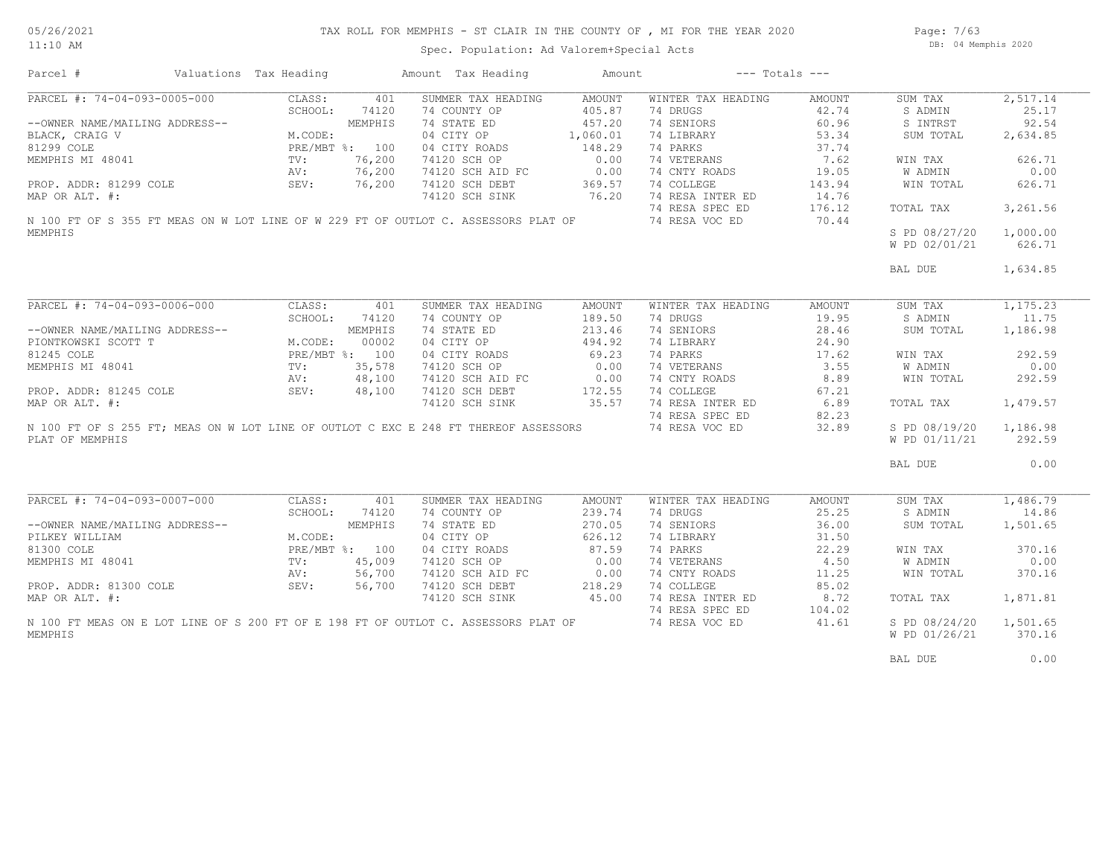Page: 7/63 DB: 04 Memphis 2020

Spec. Population: Ad Valorem+Special Acts

| Parcel #                                                                                                                                                                                                     | Valuations Tax Heading |         | Amount Tax Heading | Amount   | $---$ Totals $---$ |        |               |           |
|--------------------------------------------------------------------------------------------------------------------------------------------------------------------------------------------------------------|------------------------|---------|--------------------|----------|--------------------|--------|---------------|-----------|
| PARCEL #: 74-04-093-0005-000                                                                                                                                                                                 | CLASS:                 | 401     | SUMMER TAX HEADING | AMOUNT   | WINTER TAX HEADING | AMOUNT | SUM TAX       | 2,517.14  |
|                                                                                                                                                                                                              | SCHOOL:                | 74120   | 74 COUNTY OP       | 405.87   | 74 DRUGS           | 42.74  | S ADMIN       | 25.17     |
| --OWNER NAME/MAILING ADDRESS--<br>BLACK, CRAIG V<br>81299 COLE (MEMPHIS MI 48041 PRE/MBT %: 100<br>MEMPHIS MI 48041 PV: 76,200<br>PROP. ADDR: 81299 COLE (MEV: 76,200<br>PROP. ADDR: 81299 COLE (MEV: 76,200 |                        |         | 74 STATE ED        | 457.20   | 74 SENIORS         | 60.96  | S INTRST      | 92.54     |
|                                                                                                                                                                                                              |                        |         | 04 CITY OP         | 1,060.01 | 74 LIBRARY         | 53.34  | SUM TOTAL     | 2,634.85  |
|                                                                                                                                                                                                              |                        |         | 04 CITY ROADS      | 148.29   | 74 PARKS           | 37.74  |               |           |
|                                                                                                                                                                                                              |                        |         |                    | 0.00     | 74 VETERANS        | 7.62   |               | 626.71    |
|                                                                                                                                                                                                              |                        |         | 74120 SCH OP       |          |                    |        | WIN TAX       |           |
|                                                                                                                                                                                                              |                        |         | 74120 SCH AID FC   | 0.00     | 74 CNTY ROADS      | 19.05  | W ADMIN       | 0.00      |
|                                                                                                                                                                                                              |                        |         | 74120 SCH DEBT     | 369.57   | 74 COLLEGE         | 143.94 | WIN TOTAL     | 626.71    |
| MAP OR ALT. #:                                                                                                                                                                                               |                        |         | 74120 SCH SINK     | 76.20    | 74 RESA INTER ED   | 14.76  |               |           |
|                                                                                                                                                                                                              |                        |         |                    |          | 74 RESA SPEC ED    | 176.12 | TOTAL TAX     | 3,261.56  |
| N 100 FT OF S 355 FT MEAS ON W LOT LINE OF W 229 FT OF OUTLOT C. ASSESSORS PLAT OF                                                                                                                           |                        |         |                    |          | 74 RESA VOC ED     | 70.44  |               |           |
| MEMPHIS                                                                                                                                                                                                      |                        |         |                    |          |                    |        | S PD 08/27/20 | 1,000.00  |
|                                                                                                                                                                                                              |                        |         |                    |          |                    |        | W PD 02/01/21 | 626.71    |
|                                                                                                                                                                                                              |                        |         |                    |          |                    |        |               |           |
|                                                                                                                                                                                                              |                        |         |                    |          |                    |        | BAL DUE       | 1,634.85  |
|                                                                                                                                                                                                              |                        |         |                    |          |                    |        |               |           |
| PARCEL #: 74-04-093-0006-000                                                                                                                                                                                 | CLASS:                 | 401     | SUMMER TAX HEADING | AMOUNT   | WINTER TAX HEADING | AMOUNT | SUM TAX       | 1, 175.23 |
|                                                                                                                                                                                                              |                        |         |                    |          |                    |        |               |           |
|                                                                                                                                                                                                              | SCHOOL:                | 74120   | 74 COUNTY OP       | 189.50   | 74 DRUGS           | 19.95  | S ADMIN       | 11.75     |
|                                                                                                                                                                                                              |                        |         | 74 STATE ED        | 213.46   | 74 SENIORS         | 28.46  | SUM TOTAL     | 1,186.98  |
|                                                                                                                                                                                                              |                        |         | 04 CITY OP         | 494.92   | 74 LIBRARY         | 24.90  |               |           |
|                                                                                                                                                                                                              |                        |         | 04 CITY ROADS      | 69.23    | 74 PARKS           | 17.62  | WIN TAX       | 292.59    |
| --OWNER NAME/MAILING ADDRESS--<br>PIONTKOWSKI SCOTT T<br>81245 COLE<br>MEMPHIS MI 48041<br>MEMPHIS MI 48041<br>TV: 35,578<br>AV: 48,100<br>PROP. ADDR: 81245 COLE<br>SEV: 48,100                             |                        |         | 74120 SCH OP       | 0.00     | 74 VETERANS        | 3.55   | W ADMIN       | 0.00      |
|                                                                                                                                                                                                              |                        |         | 74120 SCH AID FC   | 0.00     | 74 CNTY ROADS      | 8.89   | WIN TOTAL     | 292.59    |
|                                                                                                                                                                                                              |                        |         | 74120 SCH DEBT     | 172.55   | 74 COLLEGE         | 67.21  |               |           |
| MAP OR ALT. #:                                                                                                                                                                                               |                        |         | 74120 SCH SINK     | 35.57    | 74 RESA INTER ED   | 6.89   | TOTAL TAX     | 1,479.57  |
|                                                                                                                                                                                                              |                        |         |                    |          | 74 RESA SPEC ED    | 82.23  |               |           |
| N 100 FT OF S 255 FT; MEAS ON W LOT LINE OF OUTLOT C EXC E 248 FT THEREOF ASSESSORS                                                                                                                          |                        |         |                    |          | 74 RESA VOC ED     | 32.89  | S PD 08/19/20 | 1,186.98  |
|                                                                                                                                                                                                              |                        |         |                    |          |                    |        |               |           |
| PLAT OF MEMPHIS                                                                                                                                                                                              |                        |         |                    |          |                    |        | W PD 01/11/21 | 292.59    |
|                                                                                                                                                                                                              |                        |         |                    |          |                    |        | BAL DUE       | 0.00      |
|                                                                                                                                                                                                              |                        |         |                    |          |                    |        |               |           |
| PARCEL #: 74-04-093-0007-000                                                                                                                                                                                 | CLASS:                 | 401     | SUMMER TAX HEADING | AMOUNT   | WINTER TAX HEADING | AMOUNT | SUM TAX       | 1,486.79  |
|                                                                                                                                                                                                              | SCHOOL:                | 74120   | 74 COUNTY OP       | 239.74   | 74 DRUGS           | 25.25  | S ADMIN       | 14.86     |
| --OWNER NAME/MAILING ADDRESS--                                                                                                                                                                               |                        | MEMPHIS | 74 STATE ED        | 270.05   | 74 SENIORS         | 36.00  | SUM TOTAL     | 1,501.65  |
| PILKEY WILLIAM                                                                                                                                                                                               | M.CODE:                |         | 04 CITY OP         | 626.12   | 74 LIBRARY         | 31.50  |               |           |
| 81300 COLE                                                                                                                                                                                                   | PRE/MBT %: 100         |         | 04 CITY ROADS      | 87.59    | 74 PARKS           | 22.29  | WIN TAX       | 370.16    |
| MEMPHIS MI 48041                                                                                                                                                                                             | TV:                    | 45,009  | 74120 SCH OP       | 0.00     | 74 VETERANS        | 4.50   | W ADMIN       | 0.00      |
|                                                                                                                                                                                                              | AV:                    | 56,700  | 74120 SCH AID FC   | 0.00     | 74 CNTY ROADS      | 11.25  | WIN TOTAL     | 370.16    |
| PROP. ADDR: 81300 COLE                                                                                                                                                                                       | SEV:                   | 56,700  | 74120 SCH DEBT     | 218.29   | 74 COLLEGE         | 85.02  |               |           |
|                                                                                                                                                                                                              |                        |         |                    |          |                    |        |               |           |
| MAP OR ALT. #:                                                                                                                                                                                               |                        |         | 74120 SCH SINK     | 45.00    | 74 RESA INTER ED   | 8.72   | TOTAL TAX     | 1,871.81  |
|                                                                                                                                                                                                              |                        |         |                    |          | 74 RESA SPEC ED    | 104.02 |               |           |
| N 100 FT MEAS ON E LOT LINE OF S 200 FT OF E 198 FT OF OUTLOT C. ASSESSORS PLAT OF                                                                                                                           |                        |         |                    |          | 74 RESA VOC ED     | 41.61  | S PD 08/24/20 | 1,501.65  |
| MEMPHIS                                                                                                                                                                                                      |                        |         |                    |          |                    |        | W PD 01/26/21 | 370.16    |
|                                                                                                                                                                                                              |                        |         |                    |          |                    |        | BAL DUE       | 0.00      |
|                                                                                                                                                                                                              |                        |         |                    |          |                    |        |               |           |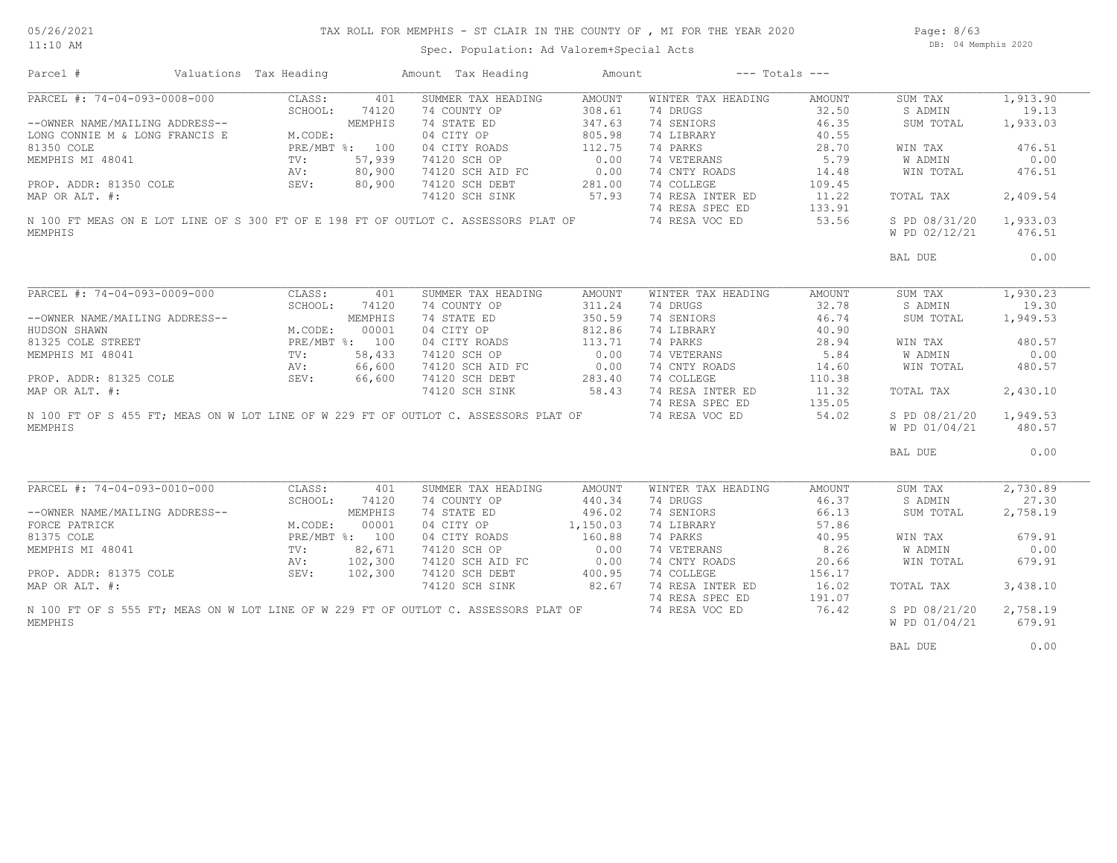Spec. Population: Ad Valorem+Special Acts

Page: 8/63 DB: 04 Memphis 2020

| Parcel #                                                                                                                                                                                                                      | Valuations Tax Heading                                                       |                | Amount Tax Heading                                                                  | Amount   | $---$ Totals $---$ |        |                                |                    |
|-------------------------------------------------------------------------------------------------------------------------------------------------------------------------------------------------------------------------------|------------------------------------------------------------------------------|----------------|-------------------------------------------------------------------------------------|----------|--------------------|--------|--------------------------------|--------------------|
| PARCEL #: 74-04-093-0008-000                                                                                                                                                                                                  | CLASS:                                                                       | 401            | SUMMER TAX HEADING                                                                  | AMOUNT   | WINTER TAX HEADING | AMOUNT | SUM TAX                        | 1,913.90           |
|                                                                                                                                                                                                                               | SCHOOL:                                                                      | 74120          | 74 COUNTY OP                                                                        | 308.61   | 74 DRUGS           | 32.50  | S ADMIN                        | 19.13              |
| --OWNER NAME/MAILING ADDRESS--                                                                                                                                                                                                |                                                                              | MEMPHIS        | 74 STATE ED                                                                         | 347.63   | 74 SENIORS         | 46.35  | SUM TOTAL                      | 1,933.03           |
| LONG CONNIE M & LONG FRANCIS E                                                                                                                                                                                                | M.CODE:                                                                      |                | 04 CITY OP                                                                          | 805.98   | 74 LIBRARY         | 40.55  |                                |                    |
| 81350 COLE                                                                                                                                                                                                                    |                                                                              | PRE/MBT %: 100 | 04 CITY ROADS                                                                       | 112.75   | 74 PARKS           | 28.70  | WIN TAX                        | 476.51             |
| MEMPHIS MI 48041                                                                                                                                                                                                              | $\texttt{TV}$ :                                                              | 57,939         | 74120 SCH OP                                                                        | 0.00     | 74 VETERANS        | 5.79   | W ADMIN                        | 0.00               |
|                                                                                                                                                                                                                               | AV:                                                                          | 80,900         | 74120 SCH AID FC                                                                    | 0.00     | 74 CNTY ROADS      | 14.48  | WIN TOTAL                      | 476.51             |
| PROP. ADDR: 81350 COLE                                                                                                                                                                                                        | SEV:                                                                         | 80,900         | 74120 SCH DEBT                                                                      | 281.00   | 74 COLLEGE         | 109.45 |                                |                    |
| MAP OR ALT. #:                                                                                                                                                                                                                |                                                                              |                | 74120 SCH SINK                                                                      | 57.93    | 74 RESA INTER ED   | 11.22  | TOTAL TAX                      | 2,409.54           |
|                                                                                                                                                                                                                               |                                                                              |                |                                                                                     |          | 74 RESA SPEC ED    | 133.91 |                                |                    |
|                                                                                                                                                                                                                               |                                                                              |                | N 100 FT MEAS ON E LOT LINE OF S 300 FT OF E 198 FT OF OUTLOT C. ASSESSORS PLAT OF  |          |                    |        |                                |                    |
| MEMPHIS                                                                                                                                                                                                                       |                                                                              |                |                                                                                     |          | 74 RESA VOC ED     | 53.56  | S PD 08/31/20<br>W PD 02/12/21 | 1,933.03<br>476.51 |
|                                                                                                                                                                                                                               |                                                                              |                |                                                                                     |          |                    |        | BAL DUE                        | 0.00               |
|                                                                                                                                                                                                                               |                                                                              |                |                                                                                     |          |                    |        |                                |                    |
| PARCEL #: 74-04-093-0009-000                                                                                                                                                                                                  | CLASS:                                                                       | 401            | SUMMER TAX HEADING                                                                  | AMOUNT   | WINTER TAX HEADING | AMOUNT | SUM TAX                        | 1,930.23           |
|                                                                                                                                                                                                                               | SCHOOL:                                                                      | 74120          | 74 COUNTY OP                                                                        | 311.24   | 74 DRUGS           | 32.78  | S ADMIN                        | 19.30              |
| --OWNER NAME/MAILING ADDRESS--                                                                                                                                                                                                |                                                                              | MEMPHIS        | 74 STATE ED                                                                         | 350.59   | 74 SENIORS         | 46.74  | SUM TOTAL                      | 1,949.53           |
| HUDSON SHAWN                                                                                                                                                                                                                  | M.CODE:                                                                      | 00001          | 04 CITY OP                                                                          | 812.86   | 74 LIBRARY         | 40.90  |                                |                    |
|                                                                                                                                                                                                                               |                                                                              | PRE/MBT %: 100 | 04 CITY ROADS                                                                       | 113.71   | 74 PARKS           | 28.94  | WIN TAX                        | 480.57             |
|                                                                                                                                                                                                                               |                                                                              | 58,433         | 74120 SCH OP                                                                        | 0.00     | 74 VETERANS        | 5.84   | W ADMIN                        | 0.00               |
| FREAM PREAM PREAM PREAM PREAM PREAM PREAM PREAM PREAM PREAM PREAM PREAM PREAM PREAM PREAM PREAM PREAM PREAM PREAM PREAM PREAM PREAM PREAM PREAM PREAM PREAM PREAM PREAM PREAM PREAM PREAM PREAM PREAM PREAM PREAM PREAM PREAM |                                                                              | 66,600         | 74120 SCH AID FC                                                                    | 0.00     | 74 CNTY ROADS      | 14.60  | WIN TOTAL                      | 480.57             |
|                                                                                                                                                                                                                               |                                                                              | 66,600         | 74120 SCH DEBT                                                                      | 283.40   | 74 COLLEGE         | 110.38 |                                |                    |
| MAP OR ALT. #:                                                                                                                                                                                                                |                                                                              |                | 74120 SCH SINK                                                                      | 58.43    | 74 RESA INTER ED   | 11.32  | TOTAL TAX                      | 2,430.10           |
|                                                                                                                                                                                                                               |                                                                              |                |                                                                                     |          | 74 RESA SPEC ED    | 135.05 |                                |                    |
|                                                                                                                                                                                                                               |                                                                              |                | N 100 FT OF S 455 FT; MEAS ON W LOT LINE OF W 229 FT OF OUTLOT C. ASSESSORS PLAT OF |          |                    | 54.02  |                                |                    |
| MEMPHIS                                                                                                                                                                                                                       |                                                                              |                |                                                                                     |          | 74 RESA VOC ED     |        | S PD 08/21/20<br>W PD 01/04/21 | 1,949.53<br>480.57 |
|                                                                                                                                                                                                                               |                                                                              |                |                                                                                     |          |                    |        | BAL DUE                        | 0.00               |
|                                                                                                                                                                                                                               |                                                                              |                |                                                                                     |          |                    |        |                                |                    |
| PARCEL #: 74-04-093-0010-000                                                                                                                                                                                                  | CLASS:                                                                       | 401            | SUMMER TAX HEADING                                                                  | AMOUNT   | WINTER TAX HEADING | AMOUNT | SUM TAX                        | 2,730.89           |
|                                                                                                                                                                                                                               | SCHOOL:                                                                      | 74120          | 74 COUNTY OP                                                                        | 440.34   | 74 DRUGS           | 46.37  | S ADMIN                        | 27.30              |
| --OWNER NAME/MAILING ADDRESS--                                                                                                                                                                                                |                                                                              | MEMPHIS        | 74 STATE ED                                                                         | 496.02   | 74 SENIORS         | 66.13  | SUM TOTAL                      | 2,758.19           |
| FORCE PATRICK                                                                                                                                                                                                                 |                                                                              |                | 04 CITY OP                                                                          | 1,150.03 | 74 LIBRARY         | 57.86  |                                |                    |
| 81375 COLE                                                                                                                                                                                                                    |                                                                              |                | 04 CITY ROADS                                                                       | 160.88   | 74 PARKS           | 40.95  | WIN TAX                        | 679.91             |
| MEMPHIS MI 48041                                                                                                                                                                                                              | M.CODE: 00001<br>PRE/MBT %: 100<br>TV: 82,671<br>AV: 102,300<br>SEV: 102,300 |                | 74120 SCH OP                                                                        | 0.00     | 74 VETERANS        | 8.26   | W ADMIN                        | 0.00               |
|                                                                                                                                                                                                                               |                                                                              |                | 74120 SCH AID FC                                                                    | 0.00     | 74 CNTY ROADS      | 20.66  | WIN TOTAL                      | 679.91             |
| PROP. ADDR: 81375 COLE                                                                                                                                                                                                        |                                                                              |                | 74120 SCH DEBT                                                                      | 400.95   | 74 COLLEGE         | 156.17 |                                |                    |
| MAP OR ALT. #:                                                                                                                                                                                                                |                                                                              |                | 74120 SCH SINK                                                                      | 82.67    | 74 RESA INTER ED   | 16.02  | TOTAL TAX                      | 3,438.10           |
|                                                                                                                                                                                                                               |                                                                              |                |                                                                                     |          | 74 RESA SPEC ED    | 191.07 |                                |                    |
|                                                                                                                                                                                                                               |                                                                              |                | N 100 FT OF S 555 FT; MEAS ON W LOT LINE OF W 229 FT OF OUTLOT C. ASSESSORS PLAT OF |          | 74 RESA VOC ED     | 76.42  | S PD 08/21/20                  | 2,758.19           |
| MEMPHIS                                                                                                                                                                                                                       |                                                                              |                |                                                                                     |          |                    |        | W PD 01/04/21                  | 679.91             |
|                                                                                                                                                                                                                               |                                                                              |                |                                                                                     |          |                    |        |                                |                    |
|                                                                                                                                                                                                                               |                                                                              |                |                                                                                     |          |                    |        | BAL DUE                        | 0.00               |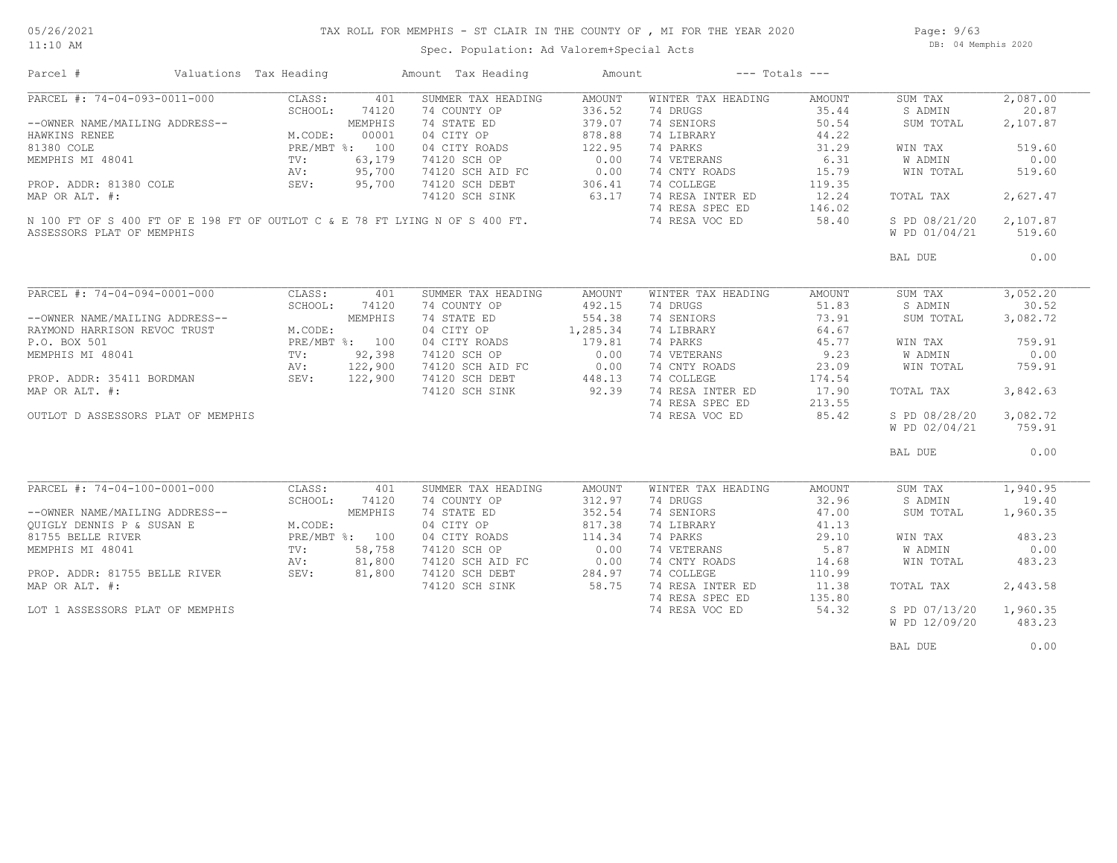## TAX ROLL FOR MEMPHIS - ST CLAIR IN THE COUNTY OF , MI FOR THE YEAR 2020

11:10 AM

#### Spec. Population: Ad Valorem+Special Acts

Page: 9/63 DB: 04 Memphis 2020

| Parcel #                           | Valuations Tax Heading |                | Amount Tax Heading                                                          | Amount           |                    | $---$ Totals $---$ |               |          |
|------------------------------------|------------------------|----------------|-----------------------------------------------------------------------------|------------------|--------------------|--------------------|---------------|----------|
| PARCEL #: 74-04-093-0011-000       | CLASS:                 | 401            | SUMMER TAX HEADING                                                          | AMOUNT           | WINTER TAX HEADING | AMOUNT             | SUM TAX       | 2,087.00 |
|                                    | SCHOOL:                | 74120          | 74 COUNTY OP                                                                | 336.52           | 74 DRUGS           | 35.44              | S ADMIN       | 20.87    |
| --OWNER NAME/MAILING ADDRESS--     |                        | MEMPHIS        | 74 STATE ED                                                                 | 379.07           | 74 SENIORS         | 50.54              | SUM TOTAL     | 2,107.87 |
| HAWKINS RENEE                      | M.CODE:                | 00001          | 04 CITY OP                                                                  | 878.88           | 74 LIBRARY         | 44.22              |               |          |
| 81380 COLE                         |                        | PRE/MBT %: 100 | 04 CITY ROADS                                                               | 122.95           | 74 PARKS           | 31.29              | WIN TAX       | 519.60   |
| MEMPHIS MI 48041                   | TV:                    | 63,179         | 74120 SCH OP                                                                | 0.00             | 74 VETERANS        | 6.31               | W ADMIN       | 0.00     |
|                                    | AV:                    | 95,700         | 74120 SCH AID FC                                                            | 0.00             | 74 CNTY ROADS      | 15.79              | WIN TOTAL     | 519.60   |
|                                    |                        |                |                                                                             |                  |                    |                    |               |          |
| PROP. ADDR: 81380 COLE             | SEV:                   | 95,700         | 74120 SCH DEBT                                                              | 306.41           | 74 COLLEGE         | 119.35             |               |          |
| MAP OR ALT. #:                     |                        |                | 74120 SCH SINK                                                              | 63.17            | 74 RESA INTER ED   | 12.24              | TOTAL TAX     | 2,627.47 |
|                                    |                        |                |                                                                             |                  | 74 RESA SPEC ED    | 146.02             |               |          |
|                                    |                        |                | N 100 FT OF S 400 FT OF E 198 FT OF OUTLOT C & E 78 FT LYING N OF S 400 FT. |                  | 74 RESA VOC ED     | 58.40              | S PD 08/21/20 | 2,107.87 |
| ASSESSORS PLAT OF MEMPHIS          |                        |                |                                                                             |                  |                    |                    | W PD 01/04/21 | 519.60   |
|                                    |                        |                |                                                                             |                  |                    |                    | BAL DUE       | 0.00     |
|                                    |                        |                |                                                                             |                  |                    |                    |               |          |
| PARCEL #: 74-04-094-0001-000       | CLASS:                 | 401            | SUMMER TAX HEADING                                                          | AMOUNT           | WINTER TAX HEADING | AMOUNT             | SUM TAX       | 3,052,20 |
|                                    | SCHOOL:                | 74120          | 74 COUNTY OP                                                                | 492.15           | 74 DRUGS           | 51.83              | S ADMIN       | 30.52    |
| --OWNER NAME/MAILING ADDRESS--     |                        | MEMPHIS        | 74 STATE ED                                                                 | 554.38           | 74 SENIORS         | 73.91              | SUM TOTAL     | 3,082.72 |
| RAYMOND HARRISON REVOC TRUST       | M.CODE:                |                | 04 CITY OP                                                                  | 1,285.34         | 74 LIBRARY         | 64.67              |               |          |
| P.O. BOX 501                       |                        | PRE/MBT %: 100 | 04 CITY ROADS                                                               | 179.81           | 74 PARKS           | 45.77              | WIN TAX       | 759.91   |
| MEMPHIS MI 48041                   | TV:                    | 92,398         | 74120 SCH OP                                                                | 0.00             | 74 VETERANS        | 9.23               | W ADMIN       | 0.00     |
|                                    | AV:                    | 122,900        | 74120 SCH AID FC                                                            |                  | 74 CNTY ROADS      | 23.09              | WIN TOTAL     | 759.91   |
| PROP. ADDR: 35411 BORDMAN          | SEV: 122,900           |                | 74120 SCH DEBT                                                              | $0.00$<br>448 12 | 74 COLLEGE         | 174.54             |               |          |
| MAP OR ALT. #:                     |                        |                | 74120 SCH SINK                                                              | 92.39            | 74 RESA INTER ED   | 17.90              |               | 3,842.63 |
|                                    |                        |                |                                                                             |                  |                    |                    | TOTAL TAX     |          |
|                                    |                        |                |                                                                             |                  | 74 RESA SPEC ED    | 213.55             |               |          |
| OUTLOT D ASSESSORS PLAT OF MEMPHIS |                        |                |                                                                             |                  | 74 RESA VOC ED     | 85.42              | S PD 08/28/20 | 3,082.72 |
|                                    |                        |                |                                                                             |                  |                    |                    | W PD 02/04/21 | 759.91   |
|                                    |                        |                |                                                                             |                  |                    |                    | BAL DUE       | 0.00     |
|                                    |                        |                |                                                                             |                  |                    |                    |               |          |
| PARCEL #: 74-04-100-0001-000       | CLASS:                 | 401            | SUMMER TAX HEADING                                                          | AMOUNT           | WINTER TAX HEADING | AMOUNT             | SUM TAX       | 1,940.95 |
|                                    | SCHOOL:                | 74120          | 74 COUNTY OP                                                                | 312.97           | 74 DRUGS           | 32.96              | S ADMIN       | 19.40    |
| --OWNER NAME/MAILING ADDRESS--     |                        | MEMPHIS        | 74 STATE ED                                                                 | 352.54           | 74 SENIORS         | 47.00              | SUM TOTAL     | 1,960.35 |
| OUIGLY DENNIS P & SUSAN E          | M.CODE:                |                | 04 CITY OP                                                                  | 817.38           | 74 LIBRARY         | 41.13              |               |          |
| 81755 BELLE RIVER                  |                        | PRE/MBT %: 100 | 04 CITY ROADS                                                               | 114.34           | 74 PARKS           | 29.10              | WIN TAX       | 483.23   |
| MEMPHIS MI 48041                   | TV:                    | 58,758         | 74120 SCH OP                                                                | 0.00             | 74 VETERANS        | 5.87               | W ADMIN       | 0.00     |
|                                    | AV:                    | 81,800         | 74120 SCH AID FC                                                            | 0.00             | 74 CNTY ROADS      | 14.68              | WIN TOTAL     | 483.23   |
| PROP. ADDR: 81755 BELLE RIVER      | SEV:                   | 81,800         | 74120 SCH DEBT                                                              | 284.97           | 74 COLLEGE         | 110.99             |               |          |
| MAP OR ALT. #:                     |                        |                | 74120 SCH SINK                                                              | 58.75            | 74 RESA INTER ED   | 11.38              | TOTAL TAX     | 2,443.58 |
|                                    |                        |                |                                                                             |                  | 74 RESA SPEC ED    | 135.80             |               |          |
|                                    |                        |                |                                                                             |                  | 74 RESA VOC ED     | 54.32              | S PD 07/13/20 | 1,960.35 |
| LOT 1 ASSESSORS PLAT OF MEMPHIS    |                        |                |                                                                             |                  |                    |                    |               |          |
|                                    |                        |                |                                                                             |                  |                    |                    | W PD 12/09/20 | 483.23   |
|                                    |                        |                |                                                                             |                  |                    |                    | BAL DUE       | 0.00     |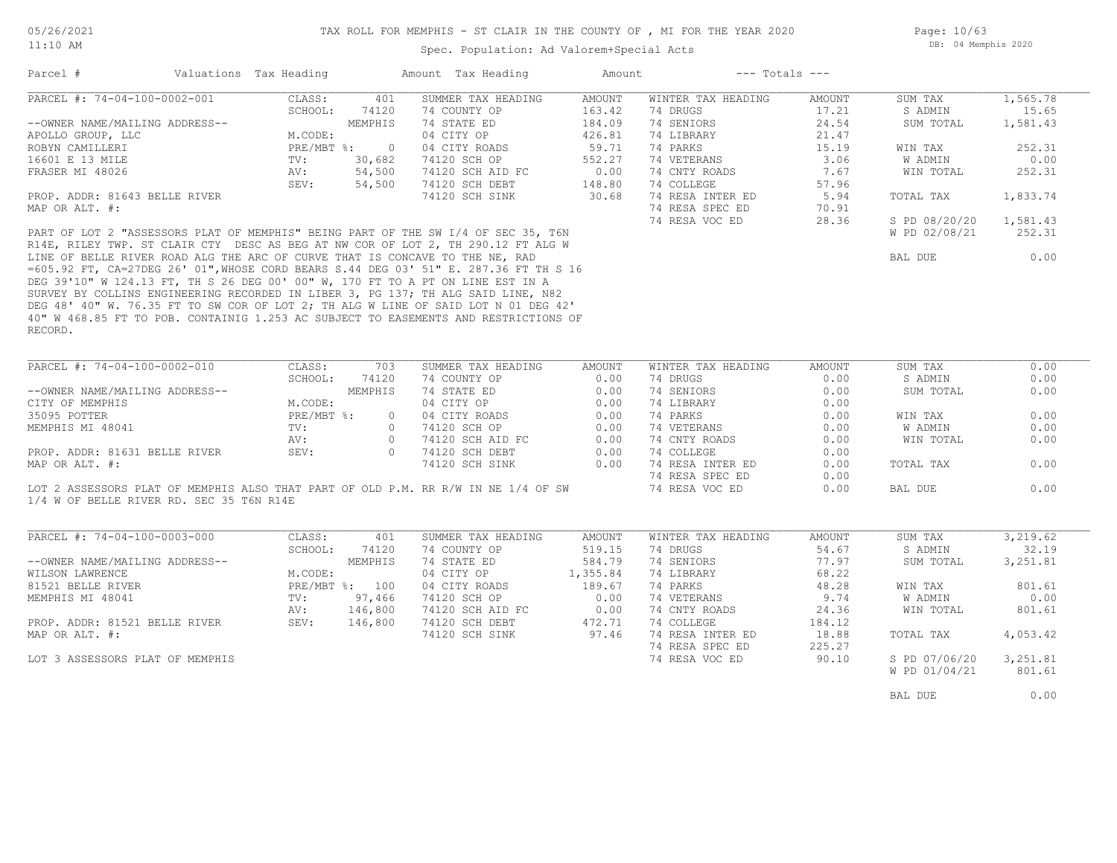11:10 AM

#### TAX ROLL FOR MEMPHIS - ST CLAIR IN THE COUNTY OF , MI FOR THE YEAR 2020

Spec. Population: Ad Valorem+Special Acts

| Parcel #          |                                | Valuations Tax Heading |          | Amount Tax Heading | Amount | $---$ Totals $---$ |        |               |          |
|-------------------|--------------------------------|------------------------|----------|--------------------|--------|--------------------|--------|---------------|----------|
|                   | PARCEL #: 74-04-100-0002-001   | CLASS:                 | 401      | SUMMER TAX HEADING | AMOUNT | WINTER TAX HEADING | AMOUNT | SUM TAX       | 1,565.78 |
|                   |                                | SCHOOL:                | 74120    | 74 COUNTY OP       | 163.42 | 74 DRUGS           | 17.21  | S ADMIN       | 15.65    |
|                   | --OWNER NAME/MAILING ADDRESS-- |                        | MEMPHIS  | 74 STATE ED        | 184.09 | 74 SENIORS         | 24.54  | SUM TOTAL     | 1,581.43 |
| APOLLO GROUP, LLC |                                | M.CODE:                |          | 04 CITY OP         | 426.81 | 74 LIBRARY         | 21.47  |               |          |
| ROBYN CAMILLERI   |                                | $PRE/MBT$ %:           | $\Omega$ | 04 CITY ROADS      | 59.71  | 74 PARKS           | 15.19  | WIN TAX       | 252.31   |
| 16601 E 13 MILE   |                                | TV:                    | 30,682   | 74120 SCH OP       | 552.27 | 74 VETERANS        | 3.06   | W ADMIN       | 0.00     |
| FRASER MI 48026   |                                | AV:                    | 54,500   | 74120 SCH AID FC   | 0.00   | 74 CNTY ROADS      | 7.67   | WIN TOTAL     | 252.31   |
|                   |                                | SEV:                   | 54,500   | 74120 SCH DEBT     | 148.80 | 74 COLLEGE         | 57.96  |               |          |
|                   | PROP. ADDR: 81643 BELLE RIVER  |                        |          | 74120 SCH SINK     | 30.68  | 74 RESA INTER ED   | 5.94   | TOTAL TAX     | 1,833.74 |
| MAP OR ALT. #:    |                                |                        |          |                    |        | 74 RESA SPEC ED    | 70.91  |               |          |
|                   |                                |                        |          |                    |        | 74 RESA VOC ED     | 28.36  | S PD 08/20/20 | 1,581.43 |

RECORD. 40" W 468.85 FT TO POB. CONTAINIG 1.253 AC SUBJECT TO EASEMENTS AND RESTRICTIONS OF DEG 48' 40" W. 76.35 FT TO SW COR OF LOT 2; TH ALG W LINE OF SAID LOT N 01 DEG 42' SURVEY BY COLLINS ENGINEERING RECORDED IN LIBER 3, PG 137; TH ALG SAID LINE, N82 DEG 39'10" W 124.13 FT, TH S 26 DEG 00' 00" W, 170 FT TO A PT ON LINE EST IN A =605.92 FT, CA=27DEG 26' 01",WHOSE CORD BEARS S.44 DEG 03' 51" E. 287.36 FT TH S 16 LINE OF BELLE RIVER ROAD ALG THE ARC OF CURVE THAT IS CONCAVE TO THE NE, RAD R14E, RILEY TWP. ST CLAIR CTY DESC AS BEG AT NW COR OF LOT 2, TH 290.12 FT ALG W PART OF LOT 2 "ASSESSORS PLAT OF MEMPHIS" BEING PART OF THE SW I/4 OF SEC 35, T6N

| 74 DRUGS         | 17.21 | S ADMIN       | 15.65    |  |
|------------------|-------|---------------|----------|--|
| 74 SENIORS       | 24.54 | SUM TOTAL     | 1,581.43 |  |
| 74 LIBRARY       | 21.47 |               |          |  |
| 74 PARKS         | 15.19 | WIN TAX       | 252.31   |  |
| 74 VETERANS      | 3.06  | W ADMIN       | 0.00     |  |
| 74 CNTY ROADS    | 7.67  | WIN TOTAL     | 252.31   |  |
| 74 COLLEGE       | 57.96 |               |          |  |
| 74 RESA INTER ED | 5.94  | TOTAL TAX     | 1,833.74 |  |
| 74 RESA SPEC ED  | 70.91 |               |          |  |
| 74 RESA VOC ED   | 28.36 | S PD 08/20/20 | 1,581.43 |  |
|                  |       | W PD 02/08/21 | 252.31   |  |
|                  |       | BAL DUE       | 0.00     |  |

| PARCEL #: 74-04-100-0002-010                                                      | CLASS:       | 703      | SUMMER TAX HEADING | AMOUNT | WINTER TAX HEADING | AMOUNT | SUM TAX   | 0.00 |
|-----------------------------------------------------------------------------------|--------------|----------|--------------------|--------|--------------------|--------|-----------|------|
|                                                                                   | SCHOOL:      | 74120    | 74 COUNTY OP       | 0.00   | 74 DRUGS           | 0.00   | S ADMIN   | 0.00 |
| --OWNER NAME/MAILING ADDRESS--                                                    |              | MEMPHIS  | 74 STATE ED        | 0.00   | 74 SENIORS         | 0.00   | SUM TOTAL | 0.00 |
| CITY OF MEMPHIS                                                                   | M.CODE:      |          | 04 CITY OP         | 0.00   | 74 LIBRARY         | 0.00   |           |      |
| 35095 POTTER                                                                      | $PRE/MBT$ %: | $\Omega$ | 04 CITY ROADS      | 0.00   | 74 PARKS           | 0.00   | WIN TAX   | 0.00 |
| MEMPHIS MI 48041                                                                  | TV:          |          | 74120 SCH OP       | 0.00   | 74 VETERANS        | 0.00   | W ADMIN   | 0.00 |
|                                                                                   | AV:          |          | 74120 SCH AID FC   | 0.00   | 74 CNTY ROADS      | 0.00   | WIN TOTAL | 0.00 |
| PROP. ADDR: 81631 BELLE RIVER                                                     | SEV:         |          | 74120 SCH DEBT     | 0.00   | 74 COLLEGE         | 0.00   |           |      |
| MAP OR ALT. #:                                                                    |              |          | 74120 SCH SINK     | 0.00   | 74 RESA INTER ED   | 0.00   | TOTAL TAX | 0.00 |
|                                                                                   |              |          |                    |        | 74 RESA SPEC ED    | 0.00   |           |      |
| LOT 2 ASSESSORS PLAT OF MEMPHIS ALSO THAT PART OF OLD P.M. RR R/W IN NE 1/4 OF SW |              |          |                    |        | 74 RESA VOC ED     | 0.00   | BAL DUE   | 0.00 |

 $\mathcal{L}_\mathcal{L} = \mathcal{L}_\mathcal{L} = \mathcal{L}_\mathcal{L} = \mathcal{L}_\mathcal{L} = \mathcal{L}_\mathcal{L} = \mathcal{L}_\mathcal{L} = \mathcal{L}_\mathcal{L} = \mathcal{L}_\mathcal{L} = \mathcal{L}_\mathcal{L} = \mathcal{L}_\mathcal{L} = \mathcal{L}_\mathcal{L} = \mathcal{L}_\mathcal{L} = \mathcal{L}_\mathcal{L} = \mathcal{L}_\mathcal{L} = \mathcal{L}_\mathcal{L} = \mathcal{L}_\mathcal{L} = \mathcal{L}_\mathcal{L}$ 

1/4 W OF BELLE RIVER RD. SEC 35 T6N R14E

| PARCEL #: 74-04-100-0003-000    | CLASS:       | 401     | SUMMER TAX HEADING | AMOUNT   | WINTER TAX HEADING | AMOUNT | SUM TAX       | 3,219.62 |
|---------------------------------|--------------|---------|--------------------|----------|--------------------|--------|---------------|----------|
|                                 | SCHOOL:      | 74120   | 74 COUNTY OP       | 519.15   | 74 DRUGS           | 54.67  | S ADMIN       | 32.19    |
| --OWNER NAME/MAILING ADDRESS--  |              | MEMPHIS | 74 STATE ED        | 584.79   | 74 SENIORS         | 77.97  | SUM TOTAL     | 3,251.81 |
| WILSON LAWRENCE                 | M.CODE:      |         | 04 CITY OP         | 1,355.84 | 74 LIBRARY         | 68.22  |               |          |
| 81521 BELLE RIVER               | $PRE/MBT$ %: | 100     | 04 CITY ROADS      | 189.67   | 74 PARKS           | 48.28  | WIN TAX       | 801.61   |
| MEMPHIS MI 48041                | TV:          | 97,466  | 74120 SCH OP       | 0.00     | 74 VETERANS        | 9.74   | W ADMIN       | 0.00     |
|                                 | AV:          | 146,800 | 74120 SCH AID FC   | 0.00     | 74 CNTY ROADS      | 24.36  | WIN TOTAL     | 801.61   |
| PROP. ADDR: 81521 BELLE RIVER   | SEV:         | 146,800 | 74120 SCH DEBT     | 472.71   | 74 COLLEGE         | 184.12 |               |          |
| MAP OR ALT. #:                  |              |         | 74120 SCH SINK     | 97.46    | 74 RESA INTER ED   | 18.88  | TOTAL TAX     | 4,053.42 |
|                                 |              |         |                    |          | 74 RESA SPEC ED    | 225.27 |               |          |
| LOT 3 ASSESSORS PLAT OF MEMPHIS |              |         |                    |          | 74 RESA VOC ED     | 90.10  | S PD 07/06/20 | 3,251.81 |
|                                 |              |         |                    |          |                    |        | W PD 01/04/21 | 801.61   |

BAL DUE  $0.00$ 

 $\mathcal{L}_\mathcal{L} = \mathcal{L}_\mathcal{L} = \mathcal{L}_\mathcal{L} = \mathcal{L}_\mathcal{L} = \mathcal{L}_\mathcal{L} = \mathcal{L}_\mathcal{L} = \mathcal{L}_\mathcal{L} = \mathcal{L}_\mathcal{L} = \mathcal{L}_\mathcal{L} = \mathcal{L}_\mathcal{L} = \mathcal{L}_\mathcal{L} = \mathcal{L}_\mathcal{L} = \mathcal{L}_\mathcal{L} = \mathcal{L}_\mathcal{L} = \mathcal{L}_\mathcal{L} = \mathcal{L}_\mathcal{L} = \mathcal{L}_\mathcal{L}$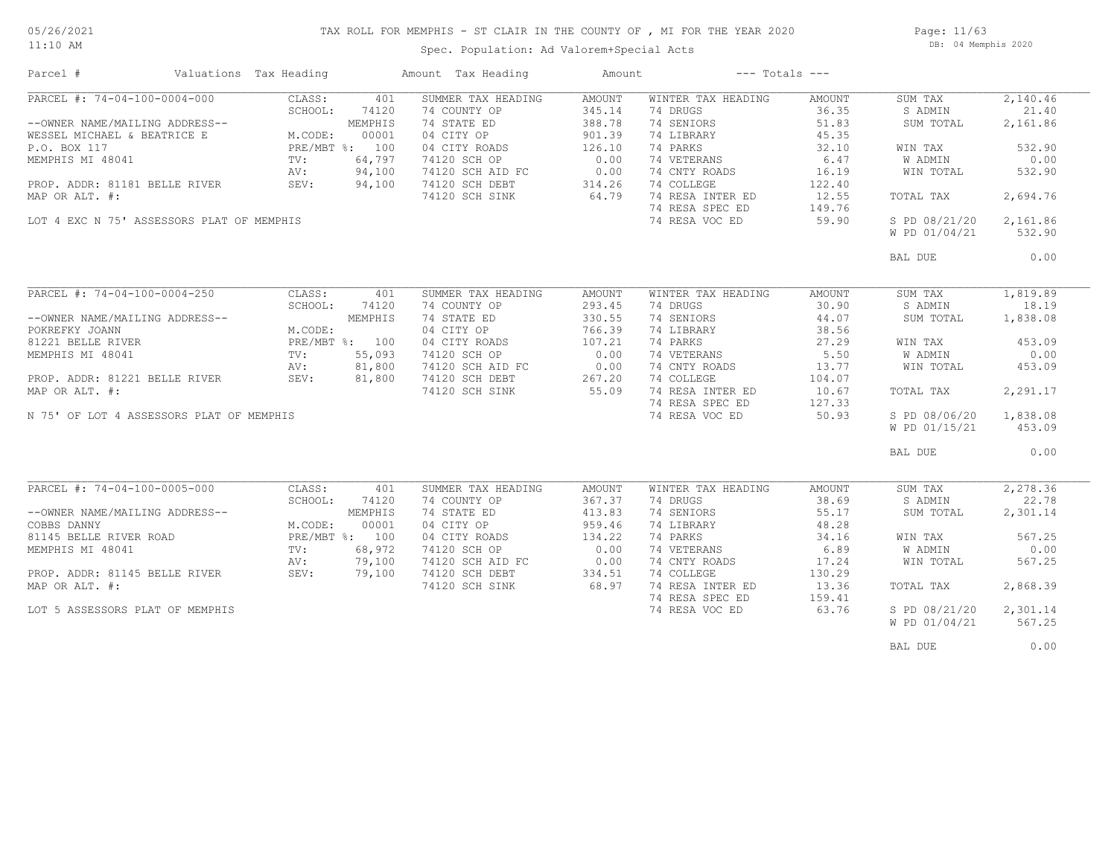## TAX ROLL FOR MEMPHIS - ST CLAIR IN THE COUNTY OF , MI FOR THE YEAR 2020

11:10 AM

#### Spec. Population: Ad Valorem+Special Acts

Page: 11/63 DB: 04 Memphis 2020

| PARCEL #: 74-04-100-0004-000<br>CLASS:<br>401<br>SUMMER TAX HEADING<br>AMOUNT<br>WINTER TAX HEADING<br>AMOUNT<br>SUM TAX<br>345.14<br>74 DRUGS<br>36.35<br>S ADMIN<br>SCHOOL:<br>74120<br>74 COUNTY OP<br>74 SENIORS<br>--OWNER NAME/MAILING ADDRESS--<br>MEMPHIS<br>74 STATE ED<br>388.78<br>51.83<br>SUM TOTAL<br>901.39<br>45.35<br>M.CODE:<br>00001<br>04 CITY OP<br>74 LIBRARY<br>WESSEL MICHAEL & BEATRICE E<br>P.O. BOX 117<br>PRE/MBT %: 100<br>04 CITY ROADS<br>126.10<br>74 PARKS<br>32.10<br>WIN TAX<br>0.00<br>6.47<br>MEMPHIS MI 48041<br>64,797<br>74 VETERANS<br>$\text{TV}$ :<br>74120 SCH OP<br>W ADMIN<br>0.00<br>AV:<br>94,100<br>74120 SCH AID FC<br>74 CNTY ROADS<br>16.19<br>WIN TOTAL<br>314.26<br>74 COLLEGE<br>PROP. ADDR: 81181 BELLE RIVER<br>SEV:<br>94,100<br>74120 SCH DEBT<br>122.40<br>64.79<br>MAP OR ALT. #:<br>74 RESA INTER ED<br>12.55<br>74120 SCH SINK<br>TOTAL TAX<br>74 RESA SPEC ED<br>149.76 | 2,140.46<br>21.40<br>2,161.86<br>532.90<br>0.00<br>532.90<br>2,694.76<br>2,161.86<br>532.90 |
|-----------------------------------------------------------------------------------------------------------------------------------------------------------------------------------------------------------------------------------------------------------------------------------------------------------------------------------------------------------------------------------------------------------------------------------------------------------------------------------------------------------------------------------------------------------------------------------------------------------------------------------------------------------------------------------------------------------------------------------------------------------------------------------------------------------------------------------------------------------------------------------------------------------------------------------------|---------------------------------------------------------------------------------------------|
|                                                                                                                                                                                                                                                                                                                                                                                                                                                                                                                                                                                                                                                                                                                                                                                                                                                                                                                                         |                                                                                             |
|                                                                                                                                                                                                                                                                                                                                                                                                                                                                                                                                                                                                                                                                                                                                                                                                                                                                                                                                         |                                                                                             |
|                                                                                                                                                                                                                                                                                                                                                                                                                                                                                                                                                                                                                                                                                                                                                                                                                                                                                                                                         |                                                                                             |
|                                                                                                                                                                                                                                                                                                                                                                                                                                                                                                                                                                                                                                                                                                                                                                                                                                                                                                                                         |                                                                                             |
|                                                                                                                                                                                                                                                                                                                                                                                                                                                                                                                                                                                                                                                                                                                                                                                                                                                                                                                                         |                                                                                             |
|                                                                                                                                                                                                                                                                                                                                                                                                                                                                                                                                                                                                                                                                                                                                                                                                                                                                                                                                         |                                                                                             |
|                                                                                                                                                                                                                                                                                                                                                                                                                                                                                                                                                                                                                                                                                                                                                                                                                                                                                                                                         |                                                                                             |
|                                                                                                                                                                                                                                                                                                                                                                                                                                                                                                                                                                                                                                                                                                                                                                                                                                                                                                                                         |                                                                                             |
|                                                                                                                                                                                                                                                                                                                                                                                                                                                                                                                                                                                                                                                                                                                                                                                                                                                                                                                                         |                                                                                             |
|                                                                                                                                                                                                                                                                                                                                                                                                                                                                                                                                                                                                                                                                                                                                                                                                                                                                                                                                         |                                                                                             |
| LOT 4 EXC N 75' ASSESSORS PLAT OF MEMPHIS<br>74 RESA VOC ED<br>59.90<br>S PD 08/21/20                                                                                                                                                                                                                                                                                                                                                                                                                                                                                                                                                                                                                                                                                                                                                                                                                                                   |                                                                                             |
| W PD 01/04/21                                                                                                                                                                                                                                                                                                                                                                                                                                                                                                                                                                                                                                                                                                                                                                                                                                                                                                                           |                                                                                             |
| BAL DUE                                                                                                                                                                                                                                                                                                                                                                                                                                                                                                                                                                                                                                                                                                                                                                                                                                                                                                                                 | 0.00                                                                                        |
|                                                                                                                                                                                                                                                                                                                                                                                                                                                                                                                                                                                                                                                                                                                                                                                                                                                                                                                                         |                                                                                             |
| PARCEL #: $74-04-100-0004-250$<br>CLASS:<br>401<br>SUMMER TAX HEADING<br>AMOUNT<br>WINTER TAX HEADING<br>AMOUNT<br>SUM TAX                                                                                                                                                                                                                                                                                                                                                                                                                                                                                                                                                                                                                                                                                                                                                                                                              | 1,819.89                                                                                    |
| SCHOOL:<br>74120<br>74 COUNTY OP<br>293.45<br>74 DRUGS<br>30.90<br>S ADMIN                                                                                                                                                                                                                                                                                                                                                                                                                                                                                                                                                                                                                                                                                                                                                                                                                                                              | 18.19                                                                                       |
| MEMPHIS<br>74 STATE ED<br>330.55<br>74 SENIORS<br>44.07<br>--OWNER NAME/MAILING ADDRESS--<br>SUM TOTAL                                                                                                                                                                                                                                                                                                                                                                                                                                                                                                                                                                                                                                                                                                                                                                                                                                  | 1,838.08                                                                                    |
| 04 CITY OP<br>766.39<br>74 LIBRARY<br>38.56<br>POKREFKY JOANN<br>M.CODE:                                                                                                                                                                                                                                                                                                                                                                                                                                                                                                                                                                                                                                                                                                                                                                                                                                                                |                                                                                             |
| 107.21<br>81221 BELLE RIVER<br>PRE/MBT %: 100<br>04 CITY ROADS<br>74 PARKS<br>27.29<br>WIN TAX                                                                                                                                                                                                                                                                                                                                                                                                                                                                                                                                                                                                                                                                                                                                                                                                                                          | 453.09                                                                                      |
| 0.00<br>74 VETERANS<br>MEMPHIS MI 48041<br>55,093<br>74120 SCH OP<br>5.50<br>W ADMIN<br>TV:                                                                                                                                                                                                                                                                                                                                                                                                                                                                                                                                                                                                                                                                                                                                                                                                                                             | 0.00                                                                                        |
| 81,800<br>74120 SCH AID FC<br>0.00<br>74 CNTY ROADS<br>13.77<br>WIN TOTAL<br>AV:                                                                                                                                                                                                                                                                                                                                                                                                                                                                                                                                                                                                                                                                                                                                                                                                                                                        | 453.09                                                                                      |
| 74 COLLEGE<br>PROP. ADDR: 81221 BELLE RIVER<br>SEV:<br>81,800<br>74120 SCH DEBT<br>267.20<br>104.07                                                                                                                                                                                                                                                                                                                                                                                                                                                                                                                                                                                                                                                                                                                                                                                                                                     |                                                                                             |
| 74 RESA INTER ED<br>MAP OR ALT. #:<br>74120 SCH SINK<br>55.09<br>10.67<br>TOTAL TAX                                                                                                                                                                                                                                                                                                                                                                                                                                                                                                                                                                                                                                                                                                                                                                                                                                                     | 2,291.17                                                                                    |
| 74 RESA SPEC ED<br>127.33                                                                                                                                                                                                                                                                                                                                                                                                                                                                                                                                                                                                                                                                                                                                                                                                                                                                                                               |                                                                                             |
| 74 RESA VOC ED<br>50.93<br>S PD 08/06/20<br>N 75' OF LOT 4 ASSESSORS PLAT OF MEMPHIS                                                                                                                                                                                                                                                                                                                                                                                                                                                                                                                                                                                                                                                                                                                                                                                                                                                    | 1,838.08                                                                                    |
| W PD 01/15/21                                                                                                                                                                                                                                                                                                                                                                                                                                                                                                                                                                                                                                                                                                                                                                                                                                                                                                                           | 453.09                                                                                      |
|                                                                                                                                                                                                                                                                                                                                                                                                                                                                                                                                                                                                                                                                                                                                                                                                                                                                                                                                         |                                                                                             |
| BAL DUE                                                                                                                                                                                                                                                                                                                                                                                                                                                                                                                                                                                                                                                                                                                                                                                                                                                                                                                                 | 0.00                                                                                        |
|                                                                                                                                                                                                                                                                                                                                                                                                                                                                                                                                                                                                                                                                                                                                                                                                                                                                                                                                         |                                                                                             |
| PARCEL #: 74-04-100-0005-000<br>CLASS:<br>401<br>SUMMER TAX HEADING<br>WINTER TAX HEADING<br>SUM TAX<br>AMOUNT<br>AMOUNT                                                                                                                                                                                                                                                                                                                                                                                                                                                                                                                                                                                                                                                                                                                                                                                                                | 2,278.36                                                                                    |
| SCHOOL:<br>74 COUNTY OP<br>367.37<br>74 DRUGS<br>38.69<br>S ADMIN<br>74120                                                                                                                                                                                                                                                                                                                                                                                                                                                                                                                                                                                                                                                                                                                                                                                                                                                              | 22.78                                                                                       |
| 74 STATE ED<br>413.83<br>74 SENIORS<br>55.17<br>--OWNER NAME/MAILING ADDRESS--<br>MEMPHIS<br>SUM TOTAL                                                                                                                                                                                                                                                                                                                                                                                                                                                                                                                                                                                                                                                                                                                                                                                                                                  | 2,301.14                                                                                    |
| 00001<br>04 CITY OP<br>959.46<br>74 LIBRARY<br>48.28<br>COBBS DANNY<br>M.CODE:                                                                                                                                                                                                                                                                                                                                                                                                                                                                                                                                                                                                                                                                                                                                                                                                                                                          |                                                                                             |
| PRE/MBT %: 100<br>134.22<br>74 PARKS<br>81145 BELLE RIVER ROAD<br>04 CITY ROADS<br>34.16<br>WIN TAX                                                                                                                                                                                                                                                                                                                                                                                                                                                                                                                                                                                                                                                                                                                                                                                                                                     | 567.25                                                                                      |
| 0.00<br>68,972<br>74 VETERANS<br>6.89<br>W ADMIN<br>MEMPHIS MI 48041<br>TV:<br>74120 SCH OP                                                                                                                                                                                                                                                                                                                                                                                                                                                                                                                                                                                                                                                                                                                                                                                                                                             | 0.00                                                                                        |
| 74 CNTY ROADS<br>79,100<br>74120 SCH AID FC<br>0.00<br>17.24<br>WIN TOTAL<br>AV:                                                                                                                                                                                                                                                                                                                                                                                                                                                                                                                                                                                                                                                                                                                                                                                                                                                        | 567.25                                                                                      |
| 74 COLLEGE<br>SEV:<br>79,100<br>74120 SCH DEBT<br>334.51<br>130.29<br>PROP. ADDR: 81145 BELLE RIVER                                                                                                                                                                                                                                                                                                                                                                                                                                                                                                                                                                                                                                                                                                                                                                                                                                     |                                                                                             |
| 68.97<br>74 RESA INTER ED<br>MAP OR ALT. #:<br>74120 SCH SINK<br>13.36<br>TOTAL TAX                                                                                                                                                                                                                                                                                                                                                                                                                                                                                                                                                                                                                                                                                                                                                                                                                                                     | 2,868.39                                                                                    |
| 74 RESA SPEC ED<br>159.41                                                                                                                                                                                                                                                                                                                                                                                                                                                                                                                                                                                                                                                                                                                                                                                                                                                                                                               |                                                                                             |
| 74 RESA VOC ED<br>63.76<br>S PD 08/21/20<br>LOT 5 ASSESSORS PLAT OF MEMPHIS                                                                                                                                                                                                                                                                                                                                                                                                                                                                                                                                                                                                                                                                                                                                                                                                                                                             | 2,301.14                                                                                    |
| W PD 01/04/21                                                                                                                                                                                                                                                                                                                                                                                                                                                                                                                                                                                                                                                                                                                                                                                                                                                                                                                           | 567.25                                                                                      |
|                                                                                                                                                                                                                                                                                                                                                                                                                                                                                                                                                                                                                                                                                                                                                                                                                                                                                                                                         |                                                                                             |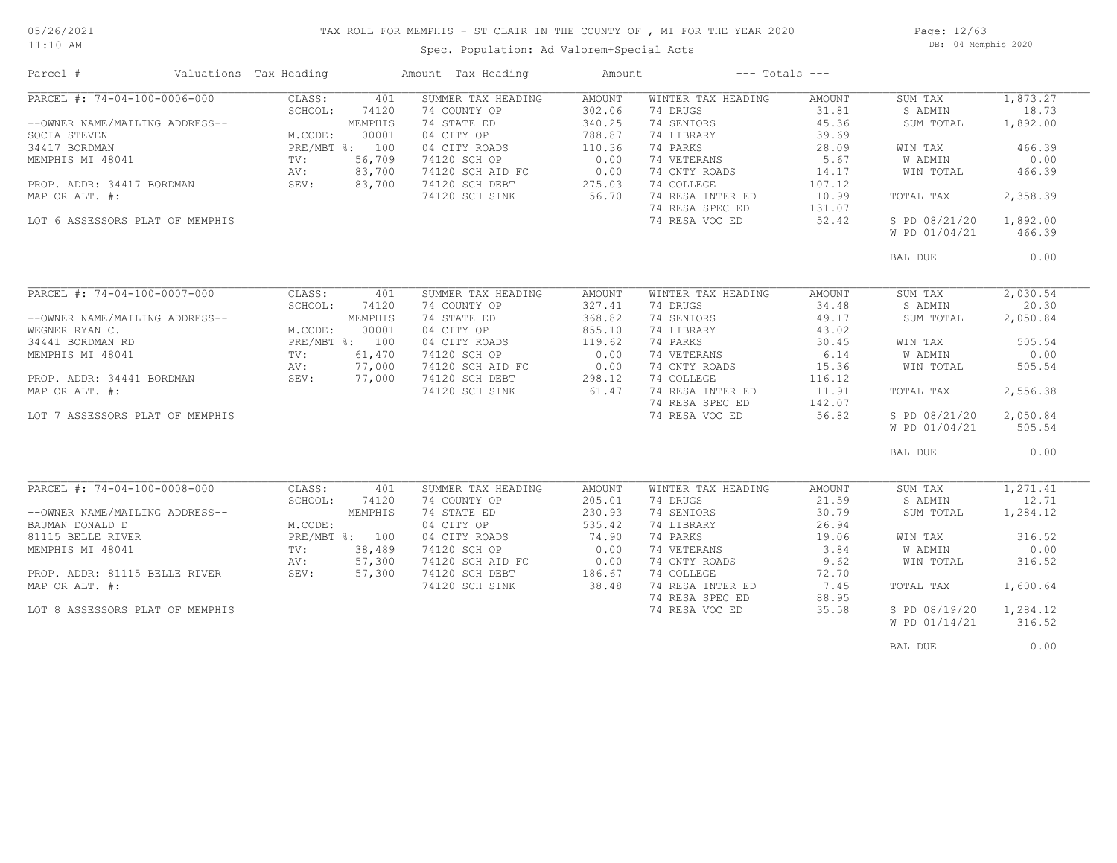## TAX ROLL FOR MEMPHIS - ST CLAIR IN THE COUNTY OF , MI FOR THE YEAR 2020

11:10 AM

#### Spec. Population: Ad Valorem+Special Acts

Page: 12/63 DB: 04 Memphis 2020

| Parcel #                        | Valuations Tax Heading |         | Amount Tax Heading | Amount        |                    | $---$ Totals $---$ |                |          |
|---------------------------------|------------------------|---------|--------------------|---------------|--------------------|--------------------|----------------|----------|
| PARCEL #: 74-04-100-0006-000    | CLASS:                 | 401     | SUMMER TAX HEADING | AMOUNT        | WINTER TAX HEADING | AMOUNT             | SUM TAX        | 1,873.27 |
|                                 | SCHOOL:                | 74120   | 74 COUNTY OP       | 302.06        | 74 DRUGS           | 31.81              | S ADMIN        | 18.73    |
| --OWNER NAME/MAILING ADDRESS--  |                        | MEMPHIS | 74 STATE ED        | 340.25        | 74 SENIORS         | 45.36              | SUM TOTAL      | 1,892.00 |
| SOCIA STEVEN                    | M.CODE:                | 00001   | 04 CITY OP         | 788.87        | 74 LIBRARY         | 39.69              |                |          |
| 34417 BORDMAN                   | PRE/MBT %: 100         |         | 04 CITY ROADS      | 110.36        | 74 PARKS           | 28.09              | WIN TAX        | 466.39   |
| MEMPHIS MI 48041                | TV:                    | 56,709  | 74120 SCH OP       | 0.00          | 74 VETERANS        | 5.67               | <b>W ADMIN</b> | 0.00     |
|                                 | AV:                    | 83,700  | 74120 SCH AID FC   | 0.00          | 74 CNTY ROADS      | 14.17              | WIN TOTAL      | 466.39   |
| PROP. ADDR: 34417 BORDMAN       | SEV:                   | 83,700  | 74120 SCH DEBT     | 275.03        | 74 COLLEGE         | 107.12             |                |          |
| MAP OR ALT. #:                  |                        |         | 74120 SCH SINK     | 56.70         | 74 RESA INTER ED   | 10.99              | TOTAL TAX      | 2,358.39 |
|                                 |                        |         |                    |               | 74 RESA SPEC ED    | 131.07             |                |          |
| LOT 6 ASSESSORS PLAT OF MEMPHIS |                        |         |                    |               | 74 RESA VOC ED     | 52.42              | S PD 08/21/20  | 1,892.00 |
|                                 |                        |         |                    |               |                    |                    | W PD 01/04/21  | 466.39   |
|                                 |                        |         |                    |               |                    |                    |                |          |
|                                 |                        |         |                    |               |                    |                    | BAL DUE        | 0.00     |
|                                 |                        |         |                    |               |                    |                    |                |          |
| PARCEL #: 74-04-100-0007-000    | CLASS:                 | 401     | SUMMER TAX HEADING | <b>AMOUNT</b> | WINTER TAX HEADING | AMOUNT             | SUM TAX        | 2,030.54 |
|                                 | SCHOOL:                | 74120   | 74 COUNTY OP       | 327.41        | 74 DRUGS           | 34.48              | S ADMIN        | 20.30    |
| --OWNER NAME/MAILING ADDRESS--  |                        | MEMPHIS | 74 STATE ED        | 368.82        | 74 SENIORS         | 49.17              | SUM TOTAL      | 2,050.84 |
| WEGNER RYAN C.                  | M.CODE:                | 00001   | 04 CITY OP         | 855.10        | 74 LIBRARY         | 43.02              |                |          |
| 34441 BORDMAN RD                | PRE/MBT %: 100         |         | 04 CITY ROADS      | 119.62        | 74 PARKS           | 30.45              | WIN TAX        | 505.54   |
| MEMPHIS MI 48041                | TV:                    | 61,470  | 74120 SCH OP       | 0.00          | 74 VETERANS        | 6.14               | W ADMIN        | 0.00     |
|                                 | AV:                    | 77,000  | 74120 SCH AID FC   | 0.00          | 74 CNTY ROADS      | 15.36              | WIN TOTAL      | 505.54   |
| PROP. ADDR: 34441 BORDMAN       | SEV:                   | 77,000  | 74120 SCH DEBT     | 298.12        | 74 COLLEGE         | 116.12             |                |          |
| MAP OR ALT. #:                  |                        |         | 74120 SCH SINK     | 61.47         | 74 RESA INTER ED   | 11.91              | TOTAL TAX      | 2,556.38 |
|                                 |                        |         |                    |               | 74 RESA SPEC ED    | 142.07             |                |          |
| LOT 7 ASSESSORS PLAT OF MEMPHIS |                        |         |                    |               | 74 RESA VOC ED     | 56.82              | S PD 08/21/20  | 2,050.84 |
|                                 |                        |         |                    |               |                    |                    |                |          |
|                                 |                        |         |                    |               |                    |                    | W PD 01/04/21  | 505.54   |
|                                 |                        |         |                    |               |                    |                    | BAL DUE        | 0.00     |
|                                 |                        |         |                    |               |                    |                    |                |          |
| PARCEL #: 74-04-100-0008-000    | CLASS:                 | 401     | SUMMER TAX HEADING | <b>AMOUNT</b> | WINTER TAX HEADING | AMOUNT             | SUM TAX        | 1,271.41 |
|                                 | SCHOOL:                | 74120   | 74 COUNTY OP       | 205.01        | 74 DRUGS           | 21.59              | S ADMIN        | 12.71    |
| --OWNER NAME/MAILING ADDRESS--  |                        | MEMPHIS | 74 STATE ED        | 230.93        | 74 SENIORS         | 30.79              | SUM TOTAL      | 1,284.12 |
| BAUMAN DONALD D                 | M.CODE:                |         | 04 CITY OP         | 535.42        | 74 LIBRARY         | 26.94              |                |          |
| 81115 BELLE RIVER               | PRE/MBT %: 100         |         | 04 CITY ROADS      | 74.90         | 74 PARKS           | 19.06              | WIN TAX        | 316.52   |
| MEMPHIS MI 48041                | TV:                    | 38,489  | 74120 SCH OP       | 0.00          | 74 VETERANS        | 3.84               | <b>W ADMIN</b> | 0.00     |
|                                 | AV:                    | 57,300  | 74120 SCH AID FC   | 0.00          | 74 CNTY ROADS      | 9.62               | WIN TOTAL      | 316.52   |
| PROP. ADDR: 81115 BELLE RIVER   | SEV:                   | 57,300  | 74120 SCH DEBT     | 186.67        | 74 COLLEGE         | 72.70              |                |          |
| MAP OR ALT. #:                  |                        |         | 74120 SCH SINK     | 38.48         | 74 RESA INTER ED   | 7.45               | TOTAL TAX      | 1,600.64 |
|                                 |                        |         |                    |               | 74 RESA SPEC ED    | 88.95              |                |          |
| LOT 8 ASSESSORS PLAT OF MEMPHIS |                        |         |                    |               | 74 RESA VOC ED     | 35.58              | S PD 08/19/20  | 1,284.12 |
|                                 |                        |         |                    |               |                    |                    | W PD 01/14/21  | 316.52   |
|                                 |                        |         |                    |               |                    |                    |                |          |
|                                 |                        |         |                    |               |                    |                    |                |          |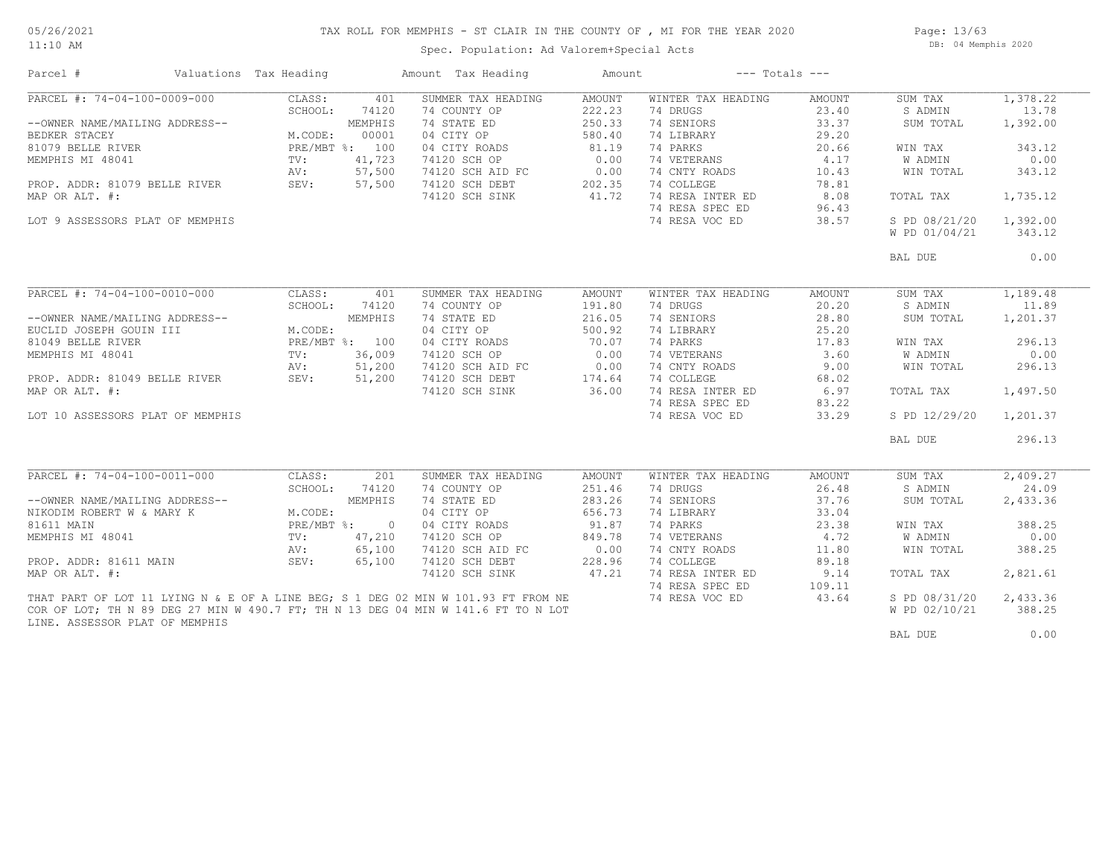#### TAX ROLL FOR MEMPHIS - ST CLAIR IN THE COUNTY OF , MI FOR THE YEAR 2020

11:10 AM

### Spec. Population: Ad Valorem+Special Acts

Page: 13/63 DB: 04 Memphis 2020

| Parcel #                                                | Valuations Tax Heading |                  | Amount Tax Heading                                                                | Amount              |                    | $---$ Totals $---$ |                |          |
|---------------------------------------------------------|------------------------|------------------|-----------------------------------------------------------------------------------|---------------------|--------------------|--------------------|----------------|----------|
| PARCEL #: 74-04-100-0009-000                            | CLASS:                 | 401              | SUMMER TAX HEADING                                                                | AMOUNT              | WINTER TAX HEADING | AMOUNT             | SUM TAX        | 1,378.22 |
|                                                         | SCHOOL:                | 74120            | 74 COUNTY OP                                                                      | 222.23              | 74 DRUGS           | 23.40              | S ADMIN        | 13.78    |
| --OWNER NAME/MAILING ADDRESS--                          |                        | MEMPHIS          | 74 STATE ED                                                                       | 250.33              | 74 SENIORS         | 33.37              | SUM TOTAL      | 1,392.00 |
| BEDKER STACEY                                           | M.CODE:                | 00001            | 04 CITY OP                                                                        | 580.40              | 74 LIBRARY         | 29.20              |                |          |
| 81079 BELLE RIVER                                       |                        | PRE/MBT %: 100   | 04 CITY ROADS                                                                     | 81.19               | 74 PARKS           | 20.66              | WIN TAX        | 343.12   |
| MEMPHIS MI 48041                                        | $\texttt{TV}$ :        | 41,723           | 74120 SCH OP                                                                      | 0.00                | 74 VETERANS        | 4.17               | <b>W ADMIN</b> | 0.00     |
|                                                         | AV:                    | 57,500           | 74120 SCH AID FC                                                                  | 0.00                | 74 CNTY ROADS      | 10.43              | WIN TOTAL      | 343.12   |
| PROP. ADDR: 81079 BELLE RIVER SEV:                      |                        | 57,500           | 74120 SCH DEBT                                                                    | $202.35$<br>$41.72$ | 74 COLLEGE         | 78.81              |                |          |
| MAP OR ALT. #:                                          |                        |                  | 74120 SCH SINK                                                                    |                     | 74 RESA INTER ED   | 8.08               | TOTAL TAX      | 1,735.12 |
|                                                         |                        |                  |                                                                                   |                     | 74 RESA SPEC ED    | 96.43              |                |          |
| LOT 9 ASSESSORS PLAT OF MEMPHIS                         |                        |                  |                                                                                   |                     | 74 RESA VOC ED     | 38.57              | S PD 08/21/20  | 1,392.00 |
|                                                         |                        |                  |                                                                                   |                     |                    |                    | W PD 01/04/21  | 343.12   |
|                                                         |                        |                  |                                                                                   |                     |                    |                    | BAL DUE        | 0.00     |
|                                                         |                        |                  |                                                                                   |                     |                    |                    |                |          |
| PARCEL #: 74-04-100-0010-000                            | CLASS:                 | 401              | SUMMER TAX HEADING                                                                | AMOUNT              | WINTER TAX HEADING | AMOUNT             | SUM TAX        | 1,189.48 |
|                                                         | SCHOOL:                | 74120            | 74 COUNTY OP                                                                      | 191.80              | 74 DRUGS           | 20.20              | S ADMIN        | 11.89    |
| --OWNER NAME/MAILING ADDRESS--                          |                        | MEMPHIS          | 74 STATE ED                                                                       | 216.05              | 74 SENIORS         | 28.80              | SUM TOTAL      | 1,201.37 |
| EUCLID JOSEPH GOUIN III                                 | M.CODE:                |                  | 04 CITY OP                                                                        | 500.92              | 74 LIBRARY         | 25.20              |                |          |
| 81049 BELLE RIVER                                       |                        | PRE/MBT %: 100   | 04 CITY ROADS                                                                     | 70.07               | 74 PARKS           | 17.83              | WIN TAX        | 296.13   |
| MEMPHIS MI 48041                                        | $\texttt{TV}$ :        | 36,009           | 74120 SCH OP                                                                      | 0.00                | 74 VETERANS        | 3.60               | W ADMIN        | 0.00     |
|                                                         |                        |                  | 74120 SCH AID FC                                                                  | 0.00                | 74 CNTY ROADS      | 9.00               | WIN TOTAL      | 296.13   |
| RV: 51,200<br>PROP. ADDR: 81049 BELLE RIVER SEV: 51,200 |                        |                  | 74120 SCH AID FC 0.00<br>74120 SCH DEBT 174.64                                    |                     | 74 COLLEGE         | 68.02              |                |          |
| MAP OR ALT. #:                                          |                        |                  | 74120 SCH SINK                                                                    | 36.00               | 74 RESA INTER ED   | 6.97               | TOTAL TAX      | 1,497.50 |
|                                                         |                        |                  |                                                                                   |                     | 74 RESA SPEC ED    | 83.22              |                |          |
| LOT 10 ASSESSORS PLAT OF MEMPHIS                        |                        |                  |                                                                                   |                     | 74 RESA VOC ED     | 33.29              | S PD 12/29/20  | 1,201.37 |
|                                                         |                        |                  |                                                                                   |                     |                    |                    | BAL DUE        | 296.13   |
|                                                         |                        |                  |                                                                                   |                     |                    |                    |                |          |
| PARCEL #: $74-04-100-0011-000$                          | CLASS:                 | $\overline{201}$ | SUMMER TAX HEADING                                                                | AMOUNT              | WINTER TAX HEADING | <b>AMOUNT</b>      | SUM TAX        | 2,409.27 |
|                                                         | SCHOOL:                | 74120            | 74 COUNTY OP                                                                      | 251.46              | 74 DRUGS           | 26.48              | S ADMIN        | 24.09    |
| --OWNER NAME/MAILING ADDRESS--                          |                        | MEMPHIS          | 74 STATE ED                                                                       | 283.26              | 74 SENIORS         | 37.76              | SUM TOTAL      | 2,433.36 |
| NIKODIM ROBERT W & MARY K                               | M.CODE:                |                  | 04 CITY OP                                                                        | 656.73              | 74 LIBRARY         | 33.04              |                |          |
| 81611 MAIN                                              |                        | PRE/MBT %: 0     | 04 CITY ROADS                                                                     | 91.87               | 74 PARKS           | 23.38              | WIN TAX        | 388.25   |
| MEMPHIS MI 48041                                        | $\text{TV}$ :          | 47,210           | 74120 SCH OP                                                                      | 849.78              | 74 VETERANS        | 4,72               | W ADMIN        | 0.00     |
|                                                         | AV:                    | 65,100           | 74120 SCH AID FC                                                                  | 0.00                | 74 CNTY ROADS      | 11.80              | WIN TOTAL      | 388.25   |
| PROP. ADDR: 81611 MAIN                                  | SEV:                   | 65,100           | 74120 SCH DEBT                                                                    | 228.96              | 74 COLLEGE         | 89.18              |                |          |
| MAP OR ALT. #:                                          |                        |                  | 74120 SCH SINK                                                                    | 47.21               | 74 RESA INTER ED   | 9.14               | TOTAL TAX      | 2,821.61 |
|                                                         |                        |                  |                                                                                   |                     | 74 RESA SPEC ED    | 109.11             |                |          |
|                                                         |                        |                  | THAT PART OF LOT 11 LYING N & E OF A LINE BEG; S 1 DEG 02 MIN W 101.93 FT FROM NE |                     | 74 RESA VOC ED     | 43.64              | S PD 08/31/20  | 2,433.36 |
|                                                         |                        |                  | COR OF LOT; TH N 89 DEG 27 MIN W 490.7 FT; TH N 13 DEG 04 MIN W 141.6 FT TO N LOT |                     |                    |                    | W PD 02/10/21  | 388.25   |
| LINE. ASSESSOR PLAT OF MEMPHIS                          |                        |                  |                                                                                   |                     |                    |                    |                |          |
|                                                         |                        |                  |                                                                                   |                     |                    |                    | BAL DUE        | 0.00     |
|                                                         |                        |                  |                                                                                   |                     |                    |                    |                |          |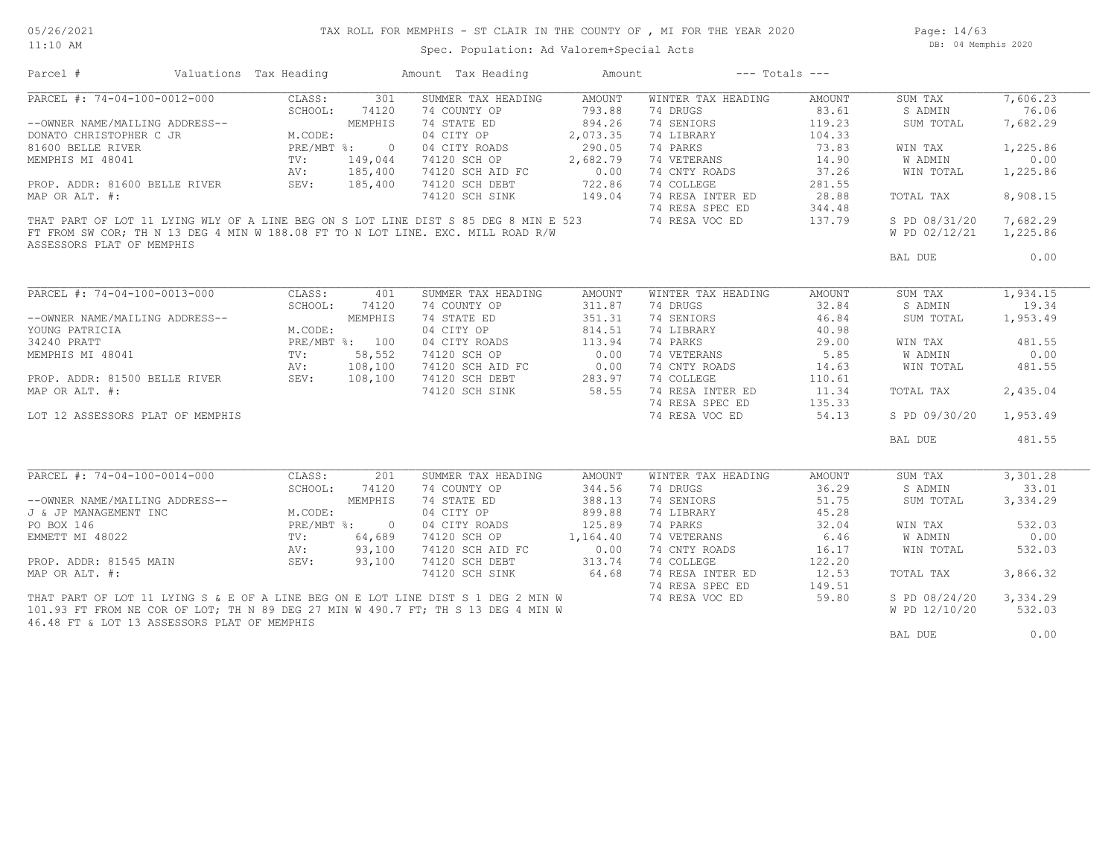#### 05/26/2021 11:10 AM

## TAX ROLL FOR MEMPHIS - ST CLAIR IN THE COUNTY OF , MI FOR THE YEAR 2020

Spec. Population: Ad Valorem+Special Acts

Page: 14/63 DB: 04 Memphis 2020

| Parcel #                                                                            | Valuations Tax Heading |                | Amount Tax Heading | Amount   | $---$ Totals $---$ |        |                |          |
|-------------------------------------------------------------------------------------|------------------------|----------------|--------------------|----------|--------------------|--------|----------------|----------|
| PARCEL #: 74-04-100-0012-000                                                        | CLASS:                 | 301            | SUMMER TAX HEADING | AMOUNT   | WINTER TAX HEADING | AMOUNT | SUM TAX        | 7,606.23 |
|                                                                                     | SCHOOL:                | 74120          | 74 COUNTY OP       | 793.88   | 74 DRUGS           | 83.61  | S ADMIN        | 76.06    |
| --OWNER NAME/MAILING ADDRESS--                                                      |                        | MEMPHIS        | 74 STATE ED        | 894.26   | 74 SENIORS         | 119.23 | SUM TOTAL      | 7,682.29 |
| DONATO CHRISTOPHER C JR                                                             | M.CODE:                |                | 04 CITY OP         | 2,073.35 | 74 LIBRARY         | 104.33 |                |          |
| 81600 BELLE RIVER                                                                   |                        | PRE/MBT %: 0   | 04 CITY ROADS      | 290.05   | 74 PARKS           | 73.83  | WIN TAX        | 1,225.86 |
| MEMPHIS MI 48041                                                                    | TV:                    | 149,044        | 74120 SCH OP       | 2,682.79 | 74 VETERANS        | 14.90  | <b>W ADMIN</b> | 0.00     |
|                                                                                     | AV:                    | 185,400        | 74120 SCH AID FC   | 0.00     | 74 CNTY ROADS      | 37.26  | WIN TOTAL      | 1,225.86 |
| PROP. ADDR: 81600 BELLE RIVER                                                       | SEV:                   | 185,400        | 74120 SCH DEBT     | 722.86   | 74 COLLEGE         | 281.55 |                |          |
| MAP OR ALT. #:                                                                      |                        |                | 74120 SCH SINK     | 149.04   | 74 RESA INTER ED   | 28.88  | TOTAL TAX      | 8,908.15 |
|                                                                                     |                        |                |                    |          | 74 RESA SPEC ED    | 344.48 |                |          |
| THAT PART OF LOT 11 LYING WLY OF A LINE BEG ON S LOT LINE DIST S 85 DEG 8 MIN E 523 |                        |                |                    |          | 74 RESA VOC ED     | 137.79 | S PD 08/31/20  | 7,682.29 |
| FT FROM SW COR; TH N 13 DEG 4 MIN W 188.08 FT TO N LOT LINE. EXC. MILL ROAD R/W     |                        |                |                    |          |                    |        | W PD 02/12/21  | 1,225.86 |
| ASSESSORS PLAT OF MEMPHIS                                                           |                        |                |                    |          |                    |        |                |          |
|                                                                                     |                        |                |                    |          |                    |        | BAL DUE        | 0.00     |
|                                                                                     |                        |                |                    |          |                    |        |                |          |
| PARCEL #: 74-04-100-0013-000                                                        | CLASS:                 | 401            | SUMMER TAX HEADING | AMOUNT   | WINTER TAX HEADING | AMOUNT | SUM TAX        | 1,934.15 |
|                                                                                     | SCHOOL:                | 74120          | 74 COUNTY OP       | 311.87   | 74 DRUGS           | 32.84  | S ADMIN        | 19.34    |
| --OWNER NAME/MAILING ADDRESS--                                                      |                        | MEMPHIS        | 74 STATE ED        | 351.31   | 74 SENIORS         | 46.84  | SUM TOTAL      | 1,953.49 |
| YOUNG PATRICIA                                                                      | M.CODE:                |                | 04 CITY OP         | 814.51   | 74 LIBRARY         | 40.98  |                |          |
| 34240 PRATT                                                                         |                        | PRE/MBT %: 100 | 04 CITY ROADS      | 113.94   | 74 PARKS           | 29.00  | WIN TAX        | 481.55   |
| MEMPHIS MI 48041                                                                    | TV:                    | 58,552         | 74120 SCH OP       | 0.00     | 74 VETERANS        | 5.85   | W ADMIN        | 0.00     |
|                                                                                     |                        |                |                    |          |                    |        |                |          |
|                                                                                     | AV:                    | 108,100        | 74120 SCH AID FC   | 0.00     | 74 CNTY ROADS      | 14.63  | WIN TOTAL      | 481.55   |
| PROP. ADDR: 81500 BELLE RIVER                                                       | SEV:                   | 108,100        | 74120 SCH DEBT     | 283.97   | 74 COLLEGE         | 110.61 |                |          |
| MAP OR ALT. #:                                                                      |                        |                | 74120 SCH SINK     | 58.55    | 74 RESA INTER ED   | 11.34  | TOTAL TAX      | 2,435.04 |
|                                                                                     |                        |                |                    |          | 74 RESA SPEC ED    | 135.33 |                |          |
| LOT 12 ASSESSORS PLAT OF MEMPHIS                                                    |                        |                |                    |          | 74 RESA VOC ED     | 54.13  | S PD 09/30/20  | 1,953.49 |
|                                                                                     |                        |                |                    |          |                    |        | BAL DUE        | 481.55   |
|                                                                                     |                        |                |                    |          |                    |        |                |          |
| $\overline{\text{PARCH}}$ #: 74-04-100-0014-000                                     | CLASS:                 | 201            | SUMMER TAX HEADING | AMOUNT   | WINTER TAX HEADING | AMOUNT | SUM TAX        | 3,301.28 |
|                                                                                     | SCHOOL:                | 74120          | 74 COUNTY OP       | 344.56   | 74 DRUGS           | 36.29  | S ADMIN        | 33.01    |
| --OWNER NAME/MAILING ADDRESS--                                                      |                        | MEMPHIS        | 74 STATE ED        | 388.13   | 74 SENIORS         | 51.75  | SUM TOTAL      | 3,334.29 |
| J & JP MANAGEMENT INC                                                               | M.CODE:                |                | 04 CITY OP         | 899.88   | 74 LIBRARY         | 45.28  |                |          |
| PO BOX 146                                                                          | PRE/MBT %:             | $\overline{0}$ | 04 CITY ROADS      | 125.89   | 74 PARKS           | 32.04  | WIN TAX        | 532.03   |
| EMMETT MI 48022                                                                     | TV:                    | 64,689         | 74120 SCH OP       | 1,164.40 | 74 VETERANS        | 6.46   | W ADMIN        | 0.00     |
|                                                                                     | AV:                    | 93,100         | 74120 SCH AID FC   | 0.00     | 74 CNTY ROADS      | 16.17  | WIN TOTAL      | 532.03   |
| PROP. ADDR: 81545 MAIN                                                              | SEV:                   | 93,100         | 74120 SCH DEBT     | 313.74   | 74 COLLEGE         | 122.20 |                |          |
| MAP OR ALT. #:                                                                      |                        |                | 74120 SCH SINK     | 64.68    | 74 RESA INTER ED   | 12.53  | TOTAL TAX      | 3,866.32 |
|                                                                                     |                        |                |                    |          | 74 RESA SPEC ED    | 149.51 |                |          |
| THAT PART OF LOT 11 LYING S & E OF A LINE BEG ON E LOT LINE DIST S 1 DEG 2 MIN W    |                        |                |                    |          | 74 RESA VOC ED     | 59.80  | S PD 08/24/20  | 3,334.29 |
| 101.93 FT FROM NE COR OF LOT; TH N 89 DEG 27 MIN W 490.7 FT; TH S 13 DEG 4 MIN W    |                        |                |                    |          |                    |        | W PD 12/10/20  | 532.03   |
| 46.48 FT & LOT 13 ASSESSORS PLAT OF MEMPHIS                                         |                        |                |                    |          |                    |        |                |          |
|                                                                                     |                        |                |                    |          |                    |        | BAL DUE        | 0.00     |
|                                                                                     |                        |                |                    |          |                    |        |                |          |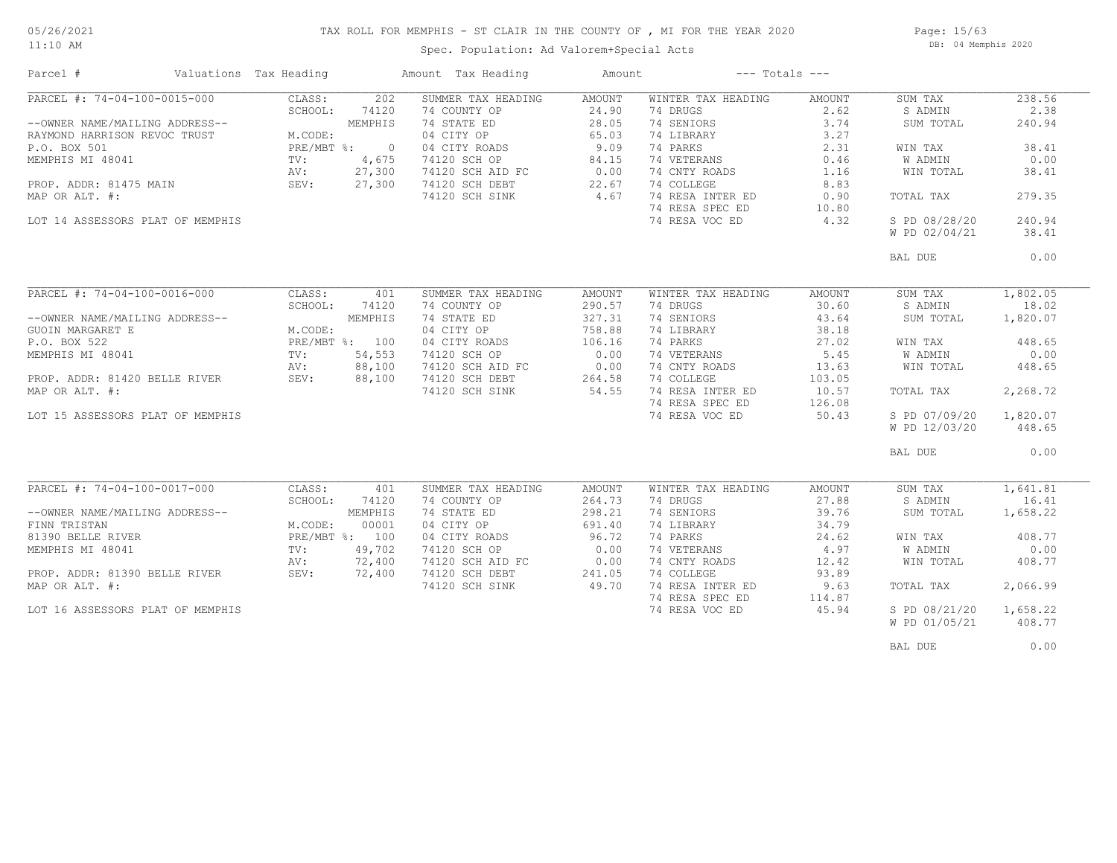## TAX ROLL FOR MEMPHIS - ST CLAIR IN THE COUNTY OF , MI FOR THE YEAR 2020

11:10 AM

### Spec. Population: Ad Valorem+Special Acts

Page: 15/63 DB: 04 Memphis 2020

| Parcel #                         | Valuations Tax Heading |            |                | Amount Tax Heading    | Amount | $---$ Totals $---$ |        |               |          |
|----------------------------------|------------------------|------------|----------------|-----------------------|--------|--------------------|--------|---------------|----------|
| PARCEL #: 74-04-100-0015-000     |                        | CLASS:     | 202            | SUMMER TAX HEADING    | AMOUNT | WINTER TAX HEADING | AMOUNT | SUM TAX       | 238.56   |
|                                  |                        | SCHOOL:    | 74120          | 74 COUNTY OP          | 24.90  | 74 DRUGS           | 2.62   | S ADMIN       | 2.38     |
| --OWNER NAME/MAILING ADDRESS--   |                        |            | MEMPHIS        | 74 STATE ED           | 28.05  | 74 SENIORS         | 3.74   | SUM TOTAL     | 240.94   |
| RAYMOND HARRISON REVOC TRUST     |                        | M.CODE:    |                | 04 CITY OP            | 65.03  | 74 LIBRARY         | 3.27   |               |          |
| P.O. BOX 501                     |                        | PRE/MBT %: | $\overline{0}$ | 04 CITY ROADS         | 9.09   | 74 PARKS           | 2.31   | WIN TAX       | 38.41    |
| MEMPHIS MI 48041                 |                        | TV:        | 4,675          | 74120 SCH OP          | 84.15  | 74 VETERANS        | 0.46   | W ADMIN       | 0.00     |
|                                  |                        | AV:        | 27,300         | 74120 SCH AID FC 0.00 |        | 74 CNTY ROADS      | 1.16   | WIN TOTAL     | 38.41    |
| PROP. ADDR: 81475 MAIN SEV:      |                        |            | 27,300         | 74120 SCH DEBT        | 22.67  | 74 COLLEGE         | 8.83   |               |          |
| MAP OR ALT. #:                   |                        |            |                | 74120 SCH SINK        | 4.67   | 74 RESA INTER ED   | 0.90   | TOTAL TAX     | 279.35   |
|                                  |                        |            |                |                       |        | 74 RESA SPEC ED    | 10.80  |               |          |
| LOT 14 ASSESSORS PLAT OF MEMPHIS |                        |            |                |                       |        | 74 RESA VOC ED     | 4.32   | S PD 08/28/20 | 240.94   |
|                                  |                        |            |                |                       |        |                    |        | W PD 02/04/21 | 38.41    |
|                                  |                        |            |                |                       |        |                    |        | BAL DUE       | 0.00     |
|                                  |                        |            |                |                       |        |                    |        |               |          |
| PARCEL #: 74-04-100-0016-000     |                        | CLASS:     | 401            | SUMMER TAX HEADING    | AMOUNT | WINTER TAX HEADING | AMOUNT | SUM TAX       | 1,802.05 |
|                                  |                        | SCHOOL:    | 74120          | 74 COUNTY OP          | 290.57 | 74 DRUGS           | 30.60  | S ADMIN       | 18.02    |
| --OWNER NAME/MAILING ADDRESS--   |                        |            | MEMPHIS        | 74 STATE ED           | 327.31 | 74 SENIORS         | 43.64  | SUM TOTAL     | 1,820.07 |
| GUOIN MARGARET E                 |                        | M.CODE:    |                | 04 CITY OP            | 758.88 | 74 LIBRARY         | 38.18  |               |          |
| P.O. BOX 522                     |                        |            | PRE/MBT %: 100 | 04 CITY ROADS         | 106.16 | 74 PARKS           | 27.02  | WIN TAX       | 448.65   |
| MEMPHIS MI 48041                 |                        | TV:        | 54,553         | 74120 SCH OP          | 0.00   | 74 VETERANS        | 5.45   | W ADMIN       | 0.00     |
|                                  |                        | AV:        | 88,100         | 74120 SCH AID FC      | 0.00   | 74 CNTY ROADS      | 13.63  | WIN TOTAL     | 448.65   |
| PROP. ADDR: 81420 BELLE RIVER    |                        | SEV:       | 88,100         | 74120 SCH DEBT        | 264.58 | 74 COLLEGE         | 103.05 |               |          |
| MAP OR ALT. #:                   |                        |            |                | 74120 SCH SINK        | 54.55  | 74 RESA INTER ED   | 10.57  | TOTAL TAX     | 2,268.72 |
|                                  |                        |            |                |                       |        | 74 RESA SPEC ED    | 126.08 |               |          |
| LOT 15 ASSESSORS PLAT OF MEMPHIS |                        |            |                |                       |        | 74 RESA VOC ED     | 50.43  | S PD 07/09/20 | 1,820.07 |
|                                  |                        |            |                |                       |        |                    |        | W PD 12/03/20 | 448.65   |
|                                  |                        |            |                |                       |        |                    |        | BAL DUE       | 0.00     |
|                                  |                        |            |                |                       |        |                    |        |               |          |
| PARCEL #: 74-04-100-0017-000     |                        | CLASS:     | 401            | SUMMER TAX HEADING    | AMOUNT | WINTER TAX HEADING | AMOUNT | SUM TAX       | 1,641.81 |
|                                  |                        | SCHOOL:    | 74120          | 74 COUNTY OP          | 264.73 | 74 DRUGS           | 27.88  | S ADMIN       | 16.41    |
| --OWNER NAME/MAILING ADDRESS--   |                        |            | MEMPHIS        | 74 STATE ED           | 298.21 | 74 SENIORS         | 39.76  | SUM TOTAL     | 1,658.22 |
| FINN TRISTAN                     |                        | M.CODE:    | 00001          | 04 CITY OP            | 691.40 | 74 LIBRARY         | 34.79  |               |          |
| 81390 BELLE RIVER                |                        |            | PRE/MBT %: 100 | 04 CITY ROADS         | 96.72  | 74 PARKS           | 24.62  | WIN TAX       | 408.77   |
| MEMPHIS MI 48041                 |                        | TV:        | 49,702         | 74120 SCH OP          | 0.00   | 74 VETERANS        | 4.97   | W ADMIN       | 0.00     |
|                                  |                        | AV:        | 72,400         | 74120 SCH AID FC      | 0.00   | 74 CNTY ROADS      | 12.42  | WIN TOTAL     | 408.77   |
|                                  |                        | SEV:       | 72,400         | 74120 SCH DEBT        | 241.05 | 74 COLLEGE         | 93.89  |               |          |
| PROP. ADDR: 81390 BELLE RIVER    |                        |            |                | 74120 SCH SINK        | 49.70  | 74 RESA INTER ED   | 9.63   | TOTAL TAX     | 2,066.99 |
| MAP OR ALT. #:                   |                        |            |                |                       |        |                    |        |               |          |
|                                  |                        |            |                |                       |        | 74 RESA SPEC ED    | 114.87 |               |          |
| LOT 16 ASSESSORS PLAT OF MEMPHIS |                        |            |                |                       |        | 74 RESA VOC ED     | 45.94  | S PD 08/21/20 | 1,658.22 |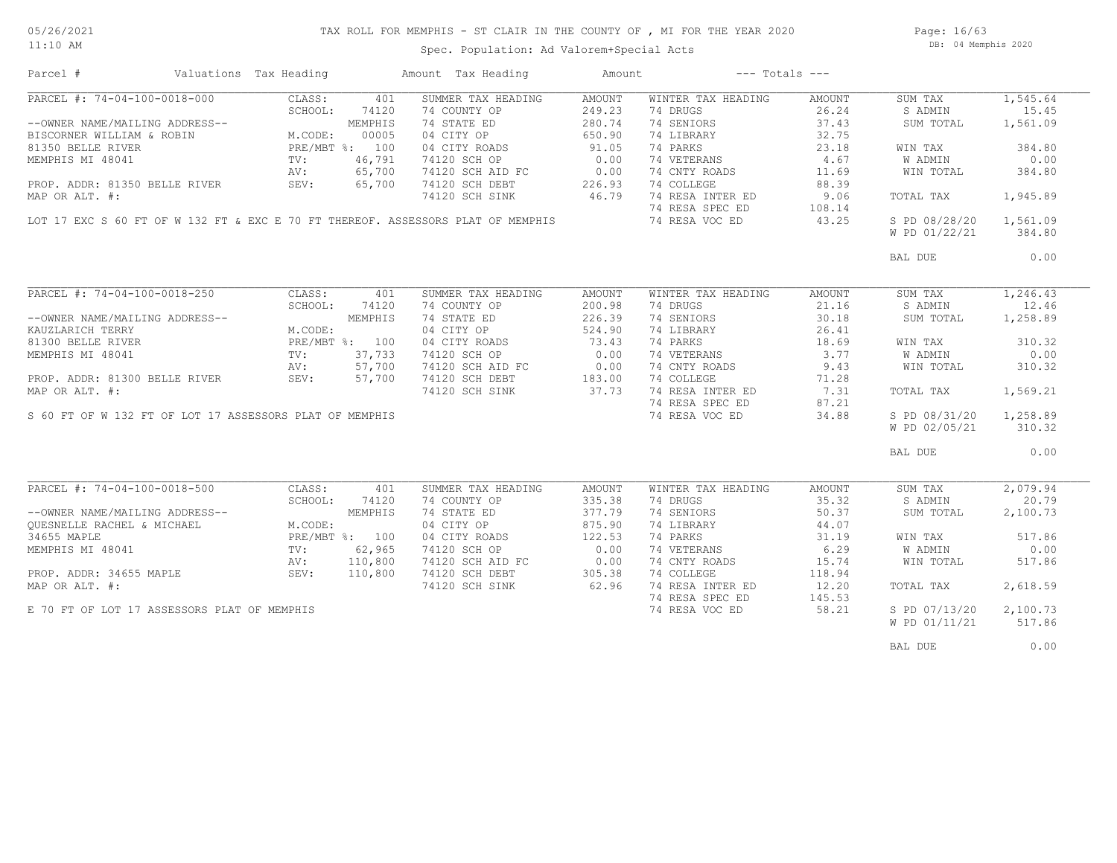Spec. Population: Ad Valorem+Special Acts

Page: 16/63 DB: 04 Memphis 2020

| Parcel #                                                | Valuations Tax Heading |         | Amount Tax Heading                                                              | Amount | $---$ Totals $---$ |        |               |          |
|---------------------------------------------------------|------------------------|---------|---------------------------------------------------------------------------------|--------|--------------------|--------|---------------|----------|
| PARCEL #: 74-04-100-0018-000                            | CLASS:                 | 401     | SUMMER TAX HEADING                                                              | AMOUNT | WINTER TAX HEADING | AMOUNT | SUM TAX       | 1,545.64 |
|                                                         | SCHOOL:                | 74120   | 74 COUNTY OP                                                                    | 249.23 | 74 DRUGS           | 26.24  | S ADMIN       | 15.45    |
| --OWNER NAME/MAILING ADDRESS--                          |                        | MEMPHIS | 74 STATE ED                                                                     | 280.74 | 74 SENIORS         | 37.43  | SUM TOTAL     | 1,561.09 |
| BISCORNER WILLIAM & ROBIN                               | M.CODE:                | 00005   | 04 CITY OP                                                                      | 650.90 | 74 LIBRARY         | 32.75  |               |          |
| 81350 BELLE RIVER                                       | PRE/MBT %: 100         |         | 04 CITY ROADS                                                                   | 91.05  | 74 PARKS           | 23.18  | WIN TAX       | 384.80   |
| MEMPHIS MI 48041                                        | TV:                    | 46,791  | 74120 SCH OP                                                                    | 0.00   | 74 VETERANS        | 4.67   | W ADMIN       | 0.00     |
|                                                         | AV:                    | 65,700  |                                                                                 |        | 74 CNTY ROADS      | 11.69  | WIN TOTAL     | 384.80   |
| PROP. ADDR: 81350 BELLE RIVER                           | SEV:                   | 65,700  | 74120 SCH AID FC 0.00<br>74120 SCH DEBT 226.93                                  | 226.93 | 74 COLLEGE         | 88.39  |               |          |
| MAP OR ALT. #:                                          |                        |         | 74120 SCH SINK                                                                  | 46.79  | 74 RESA INTER ED   | 9.06   | TOTAL TAX     | 1,945.89 |
|                                                         |                        |         |                                                                                 |        |                    |        |               |          |
|                                                         |                        |         | LOT 17 EXC S 60 FT OF W 132 FT & EXC E 70 FT THEREOF. ASSESSORS PLAT OF MEMPHIS |        | 74 RESA SPEC ED    | 108.14 |               |          |
|                                                         |                        |         |                                                                                 |        | 74 RESA VOC ED     | 43.25  | S PD 08/28/20 | 1,561.09 |
|                                                         |                        |         |                                                                                 |        |                    |        | W PD 01/22/21 | 384.80   |
|                                                         |                        |         |                                                                                 |        |                    |        | BAL DUE       | 0.00     |
|                                                         |                        |         |                                                                                 |        |                    |        |               |          |
| PARCEL #: 74-04-100-0018-250                            | CLASS:                 | 401     | SUMMER TAX HEADING                                                              | AMOUNT | WINTER TAX HEADING | AMOUNT | SUM TAX       | 1,246.43 |
|                                                         | SCHOOL:                | 74120   | 74 COUNTY OP                                                                    | 200.98 | 74 DRUGS           | 21.16  | S ADMIN       | 12.46    |
| --OWNER NAME/MAILING ADDRESS--                          |                        | MEMPHIS | 74 STATE ED                                                                     | 226.39 | 74 SENIORS         | 30.18  | SUM TOTAL     | 1,258.89 |
| KAUZLARICH TERRY                                        | M.CODE:                |         | 04 CITY OP                                                                      | 524.90 | 74 LIBRARY         | 26.41  |               |          |
| 81300 BELLE RIVER                                       | PRE/MBT %: 100         |         | 04 CITY ROADS                                                                   | 73.43  | 74 PARKS           | 18.69  | WIN TAX       | 310.32   |
|                                                         |                        |         |                                                                                 | 0.00   |                    | 3.77   |               | 0.00     |
| MEMPHIS MI 48041                                        | TV:                    | 37,733  | 74120 SCH OP                                                                    |        | 74 VETERANS        |        | W ADMIN       |          |
|                                                         | AV:                    | 57,700  | 74120 SCH AID FC 0.00<br>74120 SCH DEBT 183.00<br>74120 SCH SINK 37.73          |        | 74 CNTY ROADS      | 9.43   | WIN TOTAL     | 310.32   |
| PROP. ADDR: 81300 BELLE RIVER SEV: 57,700               |                        |         |                                                                                 |        | 74 COLLEGE         | 71.28  |               |          |
| MAP OR ALT. #:                                          |                        |         |                                                                                 |        | 74 RESA INTER ED   | 7.31   | TOTAL TAX     | 1,569.21 |
|                                                         |                        |         |                                                                                 |        | 74 RESA SPEC ED    | 87.21  |               |          |
| S 60 FT OF W 132 FT OF LOT 17 ASSESSORS PLAT OF MEMPHIS |                        |         |                                                                                 |        | 74 RESA VOC ED     | 34.88  | S PD 08/31/20 | 1,258.89 |
|                                                         |                        |         |                                                                                 |        |                    |        | W PD 02/05/21 | 310.32   |
|                                                         |                        |         |                                                                                 |        |                    |        | BAL DUE       | 0.00     |
|                                                         |                        |         |                                                                                 |        |                    |        |               |          |
| PARCEL #: 74-04-100-0018-500                            | CLASS:                 | 401     | SUMMER TAX HEADING                                                              | AMOUNT | WINTER TAX HEADING | AMOUNT | SUM TAX       | 2,079.94 |
|                                                         | SCHOOL:                | 74120   | 74 COUNTY OP                                                                    | 335.38 | 74 DRUGS           | 35.32  | S ADMIN       | 20.79    |
| --OWNER NAME/MAILING ADDRESS--                          |                        | MEMPHIS | 74 STATE ED                                                                     | 377.79 | 74 SENIORS         | 50.37  | SUM TOTAL     | 2,100.73 |
| QUESNELLE RACHEL & MICHAEL                              | M.CODE:                |         | 04 CITY OP                                                                      | 875.90 | 74 LIBRARY         | 44.07  |               |          |
| 34655 MAPLE                                             | PRE/MBT %: 100         |         | 04 CITY ROADS                                                                   | 122.53 | 74 PARKS           | 31.19  | WIN TAX       | 517.86   |
| MEMPHIS MI 48041                                        | $\text{TV}$ :          | 62,965  | 74120 SCH OP                                                                    | 0.00   | 74 VETERANS        | 6.29   | W ADMIN       | 0.00     |
|                                                         | AV:                    | 110,800 |                                                                                 |        | 74 CNTY ROADS      | 15.74  | WIN TOTAL     | 517.86   |
| PROP. ADDR: 34655 MAPLE                                 | SEV: 110,800           |         | 74120 SCH AID FC 0.00<br>74120 SCH DEBT 305.38                                  |        | 74 COLLEGE         | 118.94 |               |          |
| MAP OR ALT. #:                                          |                        |         |                                                                                 | 62.96  | 74 RESA INTER ED   | 12.20  | TOTAL TAX     | 2,618.59 |
|                                                         |                        |         | 74120 SCH SINK                                                                  |        |                    |        |               |          |
|                                                         |                        |         |                                                                                 |        | 74 RESA SPEC ED    | 145.53 |               |          |
| E 70 FT OF LOT 17 ASSESSORS PLAT OF MEMPHIS             |                        |         |                                                                                 |        | 74 RESA VOC ED     | 58.21  | S PD 07/13/20 | 2,100.73 |
|                                                         |                        |         |                                                                                 |        |                    |        | W PD 01/11/21 | 517.86   |
|                                                         |                        |         |                                                                                 |        |                    |        | BAL DUE       | 0.00     |
|                                                         |                        |         |                                                                                 |        |                    |        |               |          |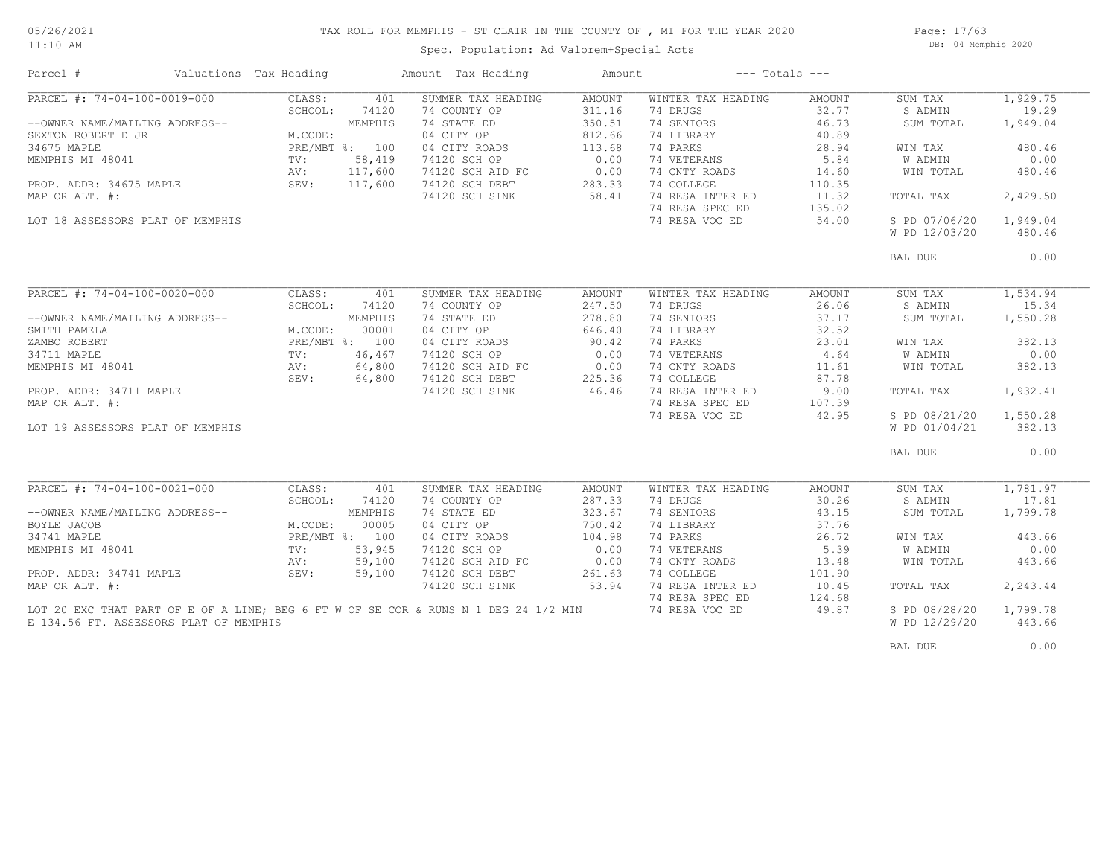11:10 AM

## TAX ROLL FOR MEMPHIS - ST CLAIR IN THE COUNTY OF , MI FOR THE YEAR 2020

Spec. Population: Ad Valorem+Special Acts

Page: 17/63 DB: 04 Memphis 2020

| Parcel #                               | Valuations Tax Heading |         | Amount Tax Heading                                                                  | Amount |                    | $---$ Totals $---$ |                |          |
|----------------------------------------|------------------------|---------|-------------------------------------------------------------------------------------|--------|--------------------|--------------------|----------------|----------|
| PARCEL #: 74-04-100-0019-000           | CLASS:                 | 401     | SUMMER TAX HEADING                                                                  | AMOUNT | WINTER TAX HEADING | AMOUNT             | SUM TAX        | 1,929.75 |
|                                        | SCHOOL:                | 74120   | 74 COUNTY OP                                                                        | 311.16 | 74 DRUGS           | 32.77              | S ADMIN        | 19.29    |
| --OWNER NAME/MAILING ADDRESS--         |                        | MEMPHIS | 74 STATE ED                                                                         | 350.51 | 74 SENIORS         | 46.73              | SUM TOTAL      | 1,949.04 |
| SEXTON ROBERT D JR                     | M.CODE:                |         | 04 CITY OP                                                                          | 812.66 | 74 LIBRARY         | 40.89              |                |          |
| 34675 MAPLE                            | PRE/MBT %: 100         |         | 04 CITY ROADS                                                                       | 113.68 | 74 PARKS           | 28.94              | WIN TAX        | 480.46   |
| MEMPHIS MI 48041                       | $\texttt{TV}$ :        | 58,419  | 74120 SCH OP                                                                        | 0.00   | 74 VETERANS        | 5.84               | <b>W ADMIN</b> | 0.00     |
|                                        | AV:                    | 117,600 | 74120 SCH AID FC                                                                    | 0.00   | 74 CNTY ROADS      | 14.60              | WIN TOTAL      | 480.46   |
| PROP. ADDR: 34675 MAPLE                | SEV: 117,600           |         | 74120 SCH DEBT                                                                      | 283.33 | 74 COLLEGE         | 110.35             |                |          |
| MAP OR ALT. #:                         |                        |         | 74120 SCH SINK                                                                      | 58.41  | 74 RESA INTER ED   | 11.32              | TOTAL TAX      | 2,429.50 |
|                                        |                        |         |                                                                                     |        | 74 RESA SPEC ED    | 135.02             |                |          |
| LOT 18 ASSESSORS PLAT OF MEMPHIS       |                        |         |                                                                                     |        | 74 RESA VOC ED     | 54.00              | S PD 07/06/20  | 1,949.04 |
|                                        |                        |         |                                                                                     |        |                    |                    | W PD 12/03/20  | 480.46   |
|                                        |                        |         |                                                                                     |        |                    |                    |                |          |
|                                        |                        |         |                                                                                     |        |                    |                    | BAL DUE        | 0.00     |
|                                        |                        |         |                                                                                     |        |                    |                    |                |          |
|                                        |                        |         |                                                                                     |        |                    |                    |                |          |
| PARCEL #: $74-04-100-0020-000$         | CLASS:                 | 401     | SUMMER TAX HEADING                                                                  | AMOUNT | WINTER TAX HEADING | AMOUNT             | SUM TAX        | 1,534.94 |
|                                        | SCHOOL:                | 74120   | 74 COUNTY OP                                                                        | 247.50 | 74 DRUGS           | 26.06              | S ADMIN        | 15.34    |
| --OWNER NAME/MAILING ADDRESS--         |                        | MEMPHIS | 74 STATE ED                                                                         | 278.80 | 74 SENIORS         | 37.17              | SUM TOTAL      | 1,550.28 |
| SMITH PAMELA                           | M.CODE:                | 00001   | 04 CITY OP                                                                          | 646.40 | 74 LIBRARY         | 32.52              |                |          |
| ZAMBO ROBERT                           | PRE/MBT %: 100         |         | 04 CITY ROADS                                                                       | 90.42  | 74 PARKS           | 23.01              | WIN TAX        | 382.13   |
| 34711 MAPLE                            | TV:                    | 46,467  | 74120 SCH OP                                                                        | 0.00   | 74 VETERANS        | 4.64               | W ADMIN        | 0.00     |
| MEMPHIS MI 48041                       | AV:                    | 64,800  |                                                                                     |        | 74 CNTY ROADS      | 11.61              | WIN TOTAL      | 382.13   |
|                                        | SEV:                   | 64,800  | 74120 SCH AID FC 0.00<br>74120 SCH DEBT 225.36                                      |        | 74 COLLEGE         | 87.78              |                |          |
| PROP. ADDR: 34711 MAPLE                |                        |         | 74120 SCH SINK                                                                      | 46.46  | 74 RESA INTER ED   | 9.00               | TOTAL TAX      | 1,932.41 |
| MAP OR ALT. #:                         |                        |         |                                                                                     |        | 74 RESA SPEC ED    | 107.39             |                |          |
|                                        |                        |         |                                                                                     |        | 74 RESA VOC ED     | 42.95              | S PD 08/21/20  | 1,550.28 |
| LOT 19 ASSESSORS PLAT OF MEMPHIS       |                        |         |                                                                                     |        |                    |                    | W PD 01/04/21  | 382.13   |
|                                        |                        |         |                                                                                     |        |                    |                    |                |          |
|                                        |                        |         |                                                                                     |        |                    |                    | BAL DUE        | 0.00     |
|                                        |                        |         |                                                                                     |        |                    |                    |                |          |
| PARCEL #: $74-04-100-0021-000$         | CLASS:                 | 401     | SUMMER TAX HEADING                                                                  | AMOUNT | WINTER TAX HEADING | AMOUNT             | SUM TAX        | 1,781.97 |
|                                        | SCHOOL:                | 74120   | 74 COUNTY OP                                                                        | 287.33 | 74 DRUGS           | 30.26              | S ADMIN        | 17.81    |
| --OWNER NAME/MAILING ADDRESS--         |                        | MEMPHIS | 74 STATE ED                                                                         | 323.67 | 74 SENIORS         | 43.15              | SUM TOTAL      | 1,799.78 |
| BOYLE JACOB                            | M.CODE:                | 00005   | 04 CITY OP                                                                          | 750.42 | 74 LIBRARY         | 37.76              |                |          |
| 34741 MAPLE                            | PRE/MBT %: 100         |         | 04 CITY ROADS                                                                       | 104.98 | 74 PARKS           | 26.72              | WIN TAX        | 443.66   |
|                                        |                        |         |                                                                                     |        |                    |                    |                |          |
| MEMPHIS MI 48041                       | TV:                    | 53,945  | 74120 SCH OP                                                                        | 0.00   | 74 VETERANS        | 5.39               | W ADMIN        | 0.00     |
|                                        | AV:                    | 59,100  | 74120 SCH AID FC                                                                    | 0.00   | 74 CNTY ROADS      | 13.48              | WIN TOTAL      | 443.66   |
| PROP. ADDR: 34741 MAPLE                | SEV:                   | 59,100  | 74120 SCH DEBT                                                                      | 261.63 | 74 COLLEGE         | 101.90             |                |          |
| MAP OR ALT. #:                         |                        |         | 74120 SCH SINK                                                                      | 53.94  | 74 RESA INTER ED   | 10.45              | TOTAL TAX      | 2,243.44 |
|                                        |                        |         |                                                                                     |        | 74 RESA SPEC ED    | 124.68             |                |          |
|                                        |                        |         | LOT 20 EXC THAT PART OF E OF A LINE; BEG 6 FT W OF SE COR & RUNS N 1 DEG 24 1/2 MIN |        | 74 RESA VOC ED     | 49.87              | S PD 08/28/20  | 1,799.78 |
| E 134.56 FT. ASSESSORS PLAT OF MEMPHIS |                        |         |                                                                                     |        |                    |                    | W PD 12/29/20  | 443.66   |
|                                        |                        |         |                                                                                     |        |                    |                    |                |          |
|                                        |                        |         |                                                                                     |        |                    |                    | BAL DUE        | 0.00     |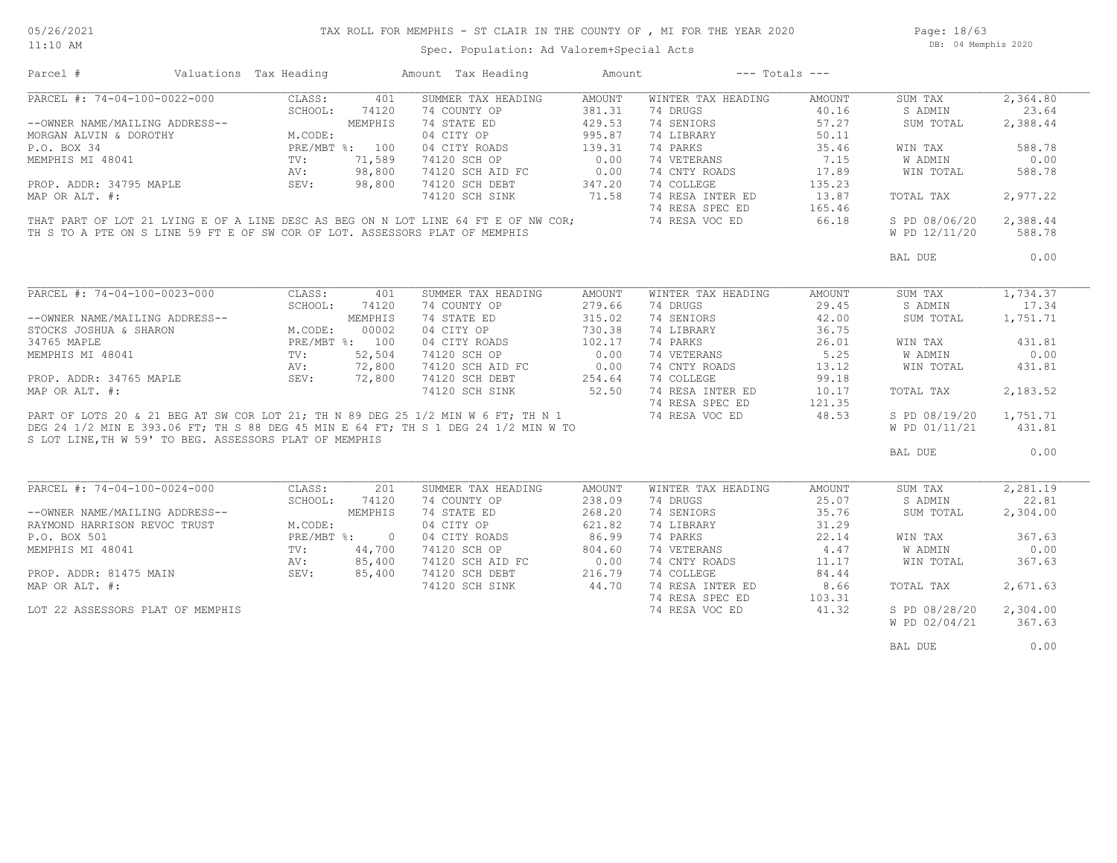Page: 18/63 DB: 04 Memphis 2020

Spec. Population: Ad Valorem+Special Acts

| Parcel #                                                                    | Valuations Tax Heading |         | Amount Tax Heading                                                                 | Amount | $---$ Totals $---$ |        |               |          |
|-----------------------------------------------------------------------------|------------------------|---------|------------------------------------------------------------------------------------|--------|--------------------|--------|---------------|----------|
| PARCEL #: 74-04-100-0022-000                                                | CLASS:                 | 401     | SUMMER TAX HEADING                                                                 | AMOUNT | WINTER TAX HEADING | AMOUNT | SUM TAX       | 2,364.80 |
|                                                                             | SCHOOL:                | 74120   | 74 COUNTY OP                                                                       | 381.31 | 74 DRUGS           | 40.16  | S ADMIN       | 23.64    |
| --OWNER NAME/MAILING ADDRESS--                                              |                        | MEMPHIS | 74 STATE ED                                                                        | 429.53 | 74 SENIORS         | 57.27  | SUM TOTAL     | 2,388.44 |
| MORGAN ALVIN & DOROTHY                                                      | M.CODE:                |         | 04 CITY OP                                                                         | 995.87 | 74 LIBRARY         | 50.11  |               |          |
| P.O. BOX 34                                                                 | PRE/MBT %: 100         |         | 04 CITY ROADS                                                                      | 139.31 | 74 PARKS           | 35.46  | WIN TAX       | 588.78   |
| MEMPHIS MI 48041                                                            | TV:                    | 71,589  | 74120 SCH OP                                                                       | 0.00   | 74 VETERANS        | 7.15   | W ADMIN       | 0.00     |
|                                                                             | AV:                    | 98,800  | 74120 SCH AID FC                                                                   | 0.00   | 74 CNTY ROADS      | 17.89  | WIN TOTAL     | 588.78   |
|                                                                             |                        |         |                                                                                    |        |                    |        |               |          |
| PROP. ADDR: 34795 MAPLE                                                     | SEV:                   | 98,800  | 74120 SCH DEBT                                                                     | 347.20 | 74 COLLEGE         | 135.23 |               |          |
| MAP OR ALT. #:                                                              |                        |         | 74120 SCH SINK                                                                     | 71.58  | 74 RESA INTER ED   | 13.87  | TOTAL TAX     | 2,977.22 |
|                                                                             |                        |         |                                                                                    |        | 74 RESA SPEC ED    | 165.46 |               |          |
|                                                                             |                        |         | THAT PART OF LOT 21 LYING E OF A LINE DESC AS BEG ON N LOT LINE 64 FT E OF NW COR; |        | 74 RESA VOC ED     | 66.18  | S PD 08/06/20 | 2,388.44 |
| TH S TO A PTE ON S LINE 59 FT E OF SW COR OF LOT. ASSESSORS PLAT OF MEMPHIS |                        |         |                                                                                    |        |                    |        | W PD 12/11/20 | 588.78   |
|                                                                             |                        |         |                                                                                    |        |                    |        | BAL DUE       | 0.00     |
|                                                                             |                        |         |                                                                                    |        |                    |        |               |          |
| PARCEL #: 74-04-100-0023-000                                                | CLASS:                 | 401     | SUMMER TAX HEADING                                                                 | AMOUNT | WINTER TAX HEADING | AMOUNT | SUM TAX       | 1,734.37 |
|                                                                             | SCHOOL:                | 74120   | 74 COUNTY OP                                                                       | 279.66 | 74 DRUGS           | 29.45  | S ADMIN       | 17.34    |
| --OWNER NAME/MAILING ADDRESS--                                              |                        | MEMPHIS | 74 STATE ED                                                                        | 315.02 | 74 SENIORS         | 42.00  | SUM TOTAL     | 1,751.71 |
| STOCKS JOSHUA & SHARON                                                      | M.CODE:                | 00002   | 04 CITY OP                                                                         | 730.38 | 74 LIBRARY         | 36.75  |               |          |
| 34765 MAPLE                                                                 | PRE/MBT %: 100         |         | 04 CITY ROADS                                                                      | 102.17 | 74 PARKS           | 26.01  | WIN TAX       | 431.81   |
| MEMPHIS MI 48041                                                            | TV:                    | 52,504  | 74120 SCH OP                                                                       | 0.00   | 74 VETERANS        | 5.25   | W ADMIN       | 0.00     |
|                                                                             | AV:                    | 72,800  |                                                                                    | 0.00   | 74 CNTY ROADS      | 13.12  | WIN TOTAL     | 431.81   |
| PROP. ADDR: 34765 MAPLE                                                     | SEV:                   | 72,800  | 74120 SCH AID FC<br>74120 SCH DEBT                                                 | 254.64 | 74 COLLEGE         | 99.18  |               |          |
| MAP OR ALT. #:                                                              |                        |         | 74120 SCH SINK                                                                     | 52.50  | 74 RESA INTER ED   | 10.17  | TOTAL TAX     | 2,183.52 |
|                                                                             |                        |         |                                                                                    |        | 74 RESA SPEC ED    |        |               |          |
|                                                                             |                        |         |                                                                                    |        |                    | 121.35 |               |          |
|                                                                             |                        |         | PART OF LOTS 20 & 21 BEG AT SW COR LOT 21; TH N 89 DEG 25 1/2 MIN W 6 FT; TH N 1   |        | 74 RESA VOC ED     | 48.53  | S PD 08/19/20 | 1,751.71 |
|                                                                             |                        |         | DEG 24 1/2 MIN E 393.06 FT; TH S 88 DEG 45 MIN E 64 FT; TH S 1 DEG 24 1/2 MIN W TO |        |                    |        | W PD 01/11/21 | 431.81   |
| S LOT LINE, TH W 59' TO BEG. ASSESSORS PLAT OF MEMPHIS                      |                        |         |                                                                                    |        |                    |        | BAL DUE       | 0.00     |
|                                                                             |                        |         |                                                                                    |        |                    |        |               |          |
| PARCEL #: 74-04-100-0024-000                                                | CLASS:                 | 201     | SUMMER TAX HEADING                                                                 | AMOUNT | WINTER TAX HEADING | AMOUNT | SUM TAX       | 2,281.19 |
|                                                                             | SCHOOL:                | 74120   | 74 COUNTY OP                                                                       | 238.09 | 74 DRUGS           | 25.07  | S ADMIN       | 22.81    |
| --OWNER NAME/MAILING ADDRESS--                                              |                        | MEMPHIS | 74 STATE ED                                                                        | 268.20 | 74 SENIORS         | 35.76  | SUM TOTAL     | 2,304.00 |
| RAYMOND HARRISON REVOC TRUST                                                | M.CODE:                |         | 04 CITY OP                                                                         | 621.82 | 74 LIBRARY         | 31.29  |               |          |
| P.O. BOX 501                                                                | PRE/MBT %: 0           |         | 04 CITY ROADS                                                                      | 86.99  | 74 PARKS           | 22.14  | WIN TAX       | 367.63   |
| MEMPHIS MI 48041                                                            | $\text{TV}$ :          | 44,700  | 74120 SCH OP                                                                       | 804.60 | 74 VETERANS        | 4.47   | W ADMIN       | 0.00     |
|                                                                             | AV:                    | 85,400  | 74120 SCH AID FC                                                                   | 0.00   | 74 CNTY ROADS      | 11.17  | WIN TOTAL     | 367.63   |
|                                                                             |                        |         |                                                                                    |        |                    |        |               |          |
| PROP. ADDR: 81475 MAIN                                                      | SEV:                   | 85,400  | 74120 SCH DEBT                                                                     | 216.79 | 74 COLLEGE         | 84.44  |               |          |
| MAP OR ALT. #:                                                              |                        |         | 74120 SCH SINK                                                                     | 44.70  | 74 RESA INTER ED   | 8.66   | TOTAL TAX     | 2,671.63 |
|                                                                             |                        |         |                                                                                    |        | 74 RESA SPEC ED    | 103.31 |               |          |
| LOT 22 ASSESSORS PLAT OF MEMPHIS                                            |                        |         |                                                                                    |        | 74 RESA VOC ED     | 41.32  | S PD 08/28/20 | 2,304.00 |
|                                                                             |                        |         |                                                                                    |        |                    |        | W PD 02/04/21 | 367.63   |
|                                                                             |                        |         |                                                                                    |        |                    |        | BAL DUE       | 0.00     |
|                                                                             |                        |         |                                                                                    |        |                    |        |               |          |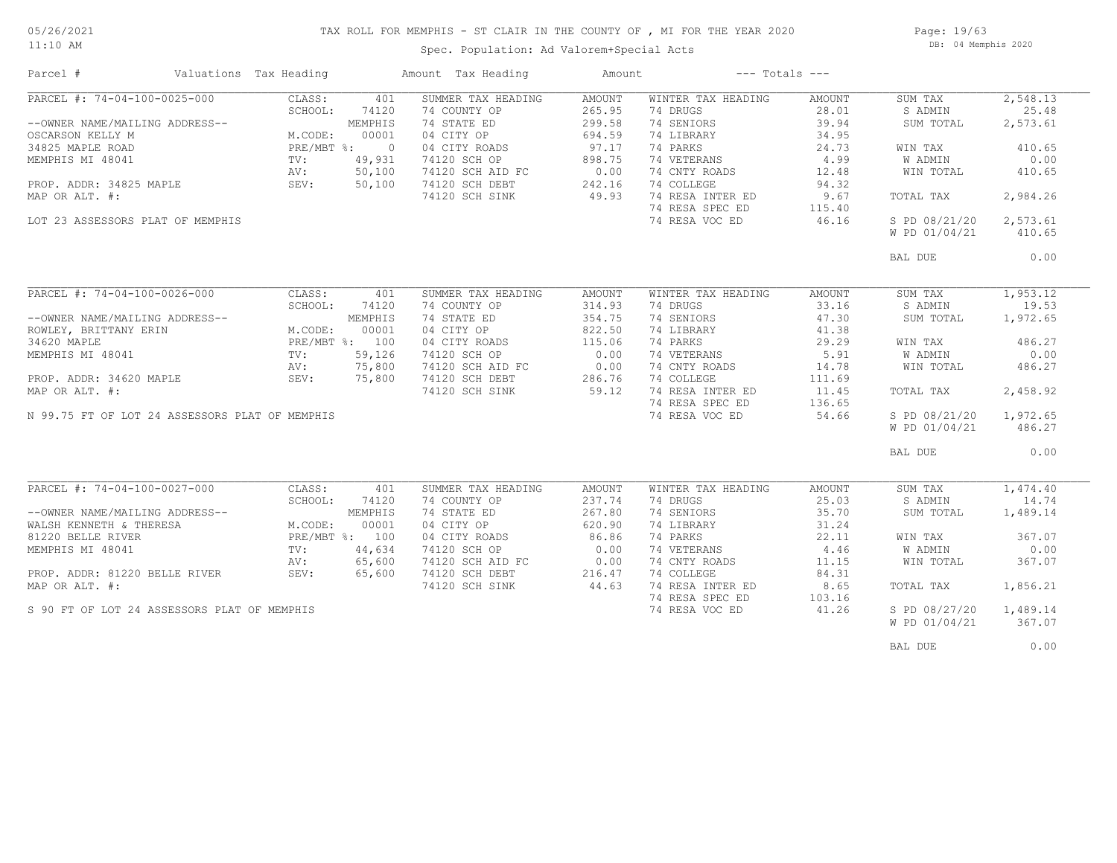## TAX ROLL FOR MEMPHIS - ST CLAIR IN THE COUNTY OF , MI FOR THE YEAR 2020

11:10 AM

#### Spec. Population: Ad Valorem+Special Acts

Page: 19/63 DB: 04 Memphis 2020

| PARCEL #: 74-04-100-0025-000<br>CLASS:<br>401<br>SUMMER TAX HEADING<br>WINTER TAX HEADING<br>SUM TAX<br>AMOUNT<br>AMOUNT<br>265.95<br>25.48<br>SCHOOL:<br>74120<br>74 COUNTY OP<br>74 DRUGS<br>28.01<br>S ADMIN<br>74 STATE ED<br>299.58<br>74 SENIORS<br>39.94<br>2,573.61<br>--OWNER NAME/MAILING ADDRESS--<br>MEMPHIS<br>SUM TOTAL<br>M.CODE:<br>04 CITY OP<br>694.59<br>74 LIBRARY<br>34.95<br>OSCARSON KELLY M<br>00001<br>97.17<br>74 PARKS<br>34825 MAPLE ROAD<br>PRE/MBT %: 0<br>04 CITY ROADS<br>24.73<br>410.65<br>WIN TAX<br>898.75<br>74 VETERANS<br>4.99<br>0.00<br>49,931<br>74120 SCH OP<br><b>W ADMIN</b><br>MEMPHIS MI 48041<br>$\text{TV}$ :<br>0.00<br>AV:<br>50,100<br>74120 SCH AID FC<br>74 CNTY ROADS<br>12.48<br>WIN TOTAL<br>410.65<br>242.16<br>PROP. ADDR: 34825 MAPLE<br>SEV:<br>50,100<br>74120 SCH DEBT<br>74 COLLEGE<br>94.32<br>49.93<br>74 RESA INTER ED<br>9.67<br>2,984.26<br>MAP OR ALT. #:<br>74120 SCH SINK<br>TOTAL TAX<br>74 RESA SPEC ED<br>115.40<br>74 RESA VOC ED<br>46.16<br>S PD 08/21/20<br>2,573.61<br>LOT 23 ASSESSORS PLAT OF MEMPHIS<br>W PD 01/04/21<br>410.65<br>0.00<br>BAL DUE<br>PARCEL #: $74-04-100-0026-000$<br>1,953.12<br>CLASS:<br>SUMMER TAX HEADING<br>WINTER TAX HEADING<br>401<br>AMOUNT<br>AMOUNT<br>SUM TAX<br>SCHOOL:<br>74120<br>74 COUNTY OP<br>314.93<br>74 DRUGS<br>33.16<br>S ADMIN<br>19.53<br>74 STATE ED<br>74 SENIORS<br>47.30<br>MEMPHIS<br>354.75<br>1,972.65<br>--OWNER NAME/MAILING ADDRESS--<br>SUM TOTAL<br>M.CODE:<br>04 CITY OP<br>822.50<br>00001<br>74 LIBRARY<br>41.38<br>ROWLEY, BRITTANY ERIN<br>PRE/MBT %: 100<br>115.06<br>74 PARKS<br>486.27<br>34620 MAPLE<br>04 CITY ROADS<br>29.29<br>WIN TAX<br>MEMPHIS MI 48041<br>59,126<br>0.00<br>74 VETERANS<br>5.91<br><b>W ADMIN</b><br>0.00<br>TV:<br>74120 SCH OP<br>0.00<br>75,800<br>74 CNTY ROADS<br>14.78<br>AV:<br>74120 SCH AID FC<br>WIN TOTAL<br>486.27<br>PROP. ADDR: 34620 MAPLE<br>SEV:<br>75,800<br>286.76<br>74 COLLEGE<br>74120 SCH DEBT<br>111.69<br>74 RESA INTER ED<br>MAP OR ALT. #:<br>59.12<br>11.45<br>2,458.92<br>74120 SCH SINK<br>TOTAL TAX<br>74 RESA SPEC ED<br>136.65<br>1,972.65<br>N 99.75 FT OF LOT 24 ASSESSORS PLAT OF MEMPHIS<br>74 RESA VOC ED<br>54.66<br>S PD 08/21/20<br>W PD 01/04/21<br>486.27<br>0.00<br>BAL DUE<br>PARCEL #: 74-04-100-0027-000<br>1,474.40<br>CLASS:<br>SUMMER TAX HEADING<br>AMOUNT<br>WINTER TAX HEADING<br>AMOUNT<br>SUM TAX<br>401<br>74 DRUGS<br>25.03<br>SCHOOL:<br>74120<br>74 COUNTY OP<br>237.74<br>S ADMIN<br>14.74<br>--OWNER NAME/MAILING ADDRESS--<br>MEMPHIS<br>74 STATE ED<br>267.80<br>74 SENIORS<br>35.70<br>SUM TOTAL<br>1,489.14<br>04 CITY OP<br>620.90<br>31.24<br>WALSH KENNETH & THERESA<br>M.CODE:<br>00001<br>74 LIBRARY<br>86.86<br>PRE/MBT %: 100<br>04 CITY ROADS<br>74 PARKS<br>22.11<br>367.07<br>81220 BELLE RIVER<br>WIN TAX<br>44,634<br>0.00<br>74 VETERANS<br>4.46<br><b>W ADMIN</b><br>0.00<br>MEMPHIS MI 48041<br>TV:<br>74120 SCH OP<br>0.00<br>74 CNTY ROADS<br>367.07<br>65,600<br>74120 SCH AID FC<br>11.15<br>WIN TOTAL<br>AV:<br>74 COLLEGE<br>PROP. ADDR: 81220 BELLE RIVER<br>SEV:<br>65,600<br>74120 SCH DEBT<br>216.47<br>84.31<br>44.63<br>74 RESA INTER ED<br>74120 SCH SINK<br>8.65<br>TOTAL TAX<br>1,856.21<br>74 RESA SPEC ED<br>103.16<br>S 90 FT OF LOT 24 ASSESSORS PLAT OF MEMPHIS<br>74 RESA VOC ED<br>41.26<br>S PD 08/27/20<br>1,489.14<br>367.07 | Parcel #       | Valuations Tax Heading |  | Amount Tax Heading | Amount | $---$ Totals $---$ |               |          |
|-------------------------------------------------------------------------------------------------------------------------------------------------------------------------------------------------------------------------------------------------------------------------------------------------------------------------------------------------------------------------------------------------------------------------------------------------------------------------------------------------------------------------------------------------------------------------------------------------------------------------------------------------------------------------------------------------------------------------------------------------------------------------------------------------------------------------------------------------------------------------------------------------------------------------------------------------------------------------------------------------------------------------------------------------------------------------------------------------------------------------------------------------------------------------------------------------------------------------------------------------------------------------------------------------------------------------------------------------------------------------------------------------------------------------------------------------------------------------------------------------------------------------------------------------------------------------------------------------------------------------------------------------------------------------------------------------------------------------------------------------------------------------------------------------------------------------------------------------------------------------------------------------------------------------------------------------------------------------------------------------------------------------------------------------------------------------------------------------------------------------------------------------------------------------------------------------------------------------------------------------------------------------------------------------------------------------------------------------------------------------------------------------------------------------------------------------------------------------------------------------------------------------------------------------------------------------------------------------------------------------------------------------------------------------------------------------------------------------------------------------------------------------------------------------------------------------------------------------------------------------------------------------------------------------------------------------------------------------------------------------------------------------------------------------------------------------------------------------------------------------------------------------------------------------------------------------------------------------------------------------------------------------------------------------------------------------------------------------------------------------------------------------------------------|----------------|------------------------|--|--------------------|--------|--------------------|---------------|----------|
|                                                                                                                                                                                                                                                                                                                                                                                                                                                                                                                                                                                                                                                                                                                                                                                                                                                                                                                                                                                                                                                                                                                                                                                                                                                                                                                                                                                                                                                                                                                                                                                                                                                                                                                                                                                                                                                                                                                                                                                                                                                                                                                                                                                                                                                                                                                                                                                                                                                                                                                                                                                                                                                                                                                                                                                                                                                                                                                                                                                                                                                                                                                                                                                                                                                                                                                                                                                                                   |                |                        |  |                    |        |                    |               | 2,548.13 |
|                                                                                                                                                                                                                                                                                                                                                                                                                                                                                                                                                                                                                                                                                                                                                                                                                                                                                                                                                                                                                                                                                                                                                                                                                                                                                                                                                                                                                                                                                                                                                                                                                                                                                                                                                                                                                                                                                                                                                                                                                                                                                                                                                                                                                                                                                                                                                                                                                                                                                                                                                                                                                                                                                                                                                                                                                                                                                                                                                                                                                                                                                                                                                                                                                                                                                                                                                                                                                   |                |                        |  |                    |        |                    |               |          |
|                                                                                                                                                                                                                                                                                                                                                                                                                                                                                                                                                                                                                                                                                                                                                                                                                                                                                                                                                                                                                                                                                                                                                                                                                                                                                                                                                                                                                                                                                                                                                                                                                                                                                                                                                                                                                                                                                                                                                                                                                                                                                                                                                                                                                                                                                                                                                                                                                                                                                                                                                                                                                                                                                                                                                                                                                                                                                                                                                                                                                                                                                                                                                                                                                                                                                                                                                                                                                   |                |                        |  |                    |        |                    |               |          |
|                                                                                                                                                                                                                                                                                                                                                                                                                                                                                                                                                                                                                                                                                                                                                                                                                                                                                                                                                                                                                                                                                                                                                                                                                                                                                                                                                                                                                                                                                                                                                                                                                                                                                                                                                                                                                                                                                                                                                                                                                                                                                                                                                                                                                                                                                                                                                                                                                                                                                                                                                                                                                                                                                                                                                                                                                                                                                                                                                                                                                                                                                                                                                                                                                                                                                                                                                                                                                   |                |                        |  |                    |        |                    |               |          |
|                                                                                                                                                                                                                                                                                                                                                                                                                                                                                                                                                                                                                                                                                                                                                                                                                                                                                                                                                                                                                                                                                                                                                                                                                                                                                                                                                                                                                                                                                                                                                                                                                                                                                                                                                                                                                                                                                                                                                                                                                                                                                                                                                                                                                                                                                                                                                                                                                                                                                                                                                                                                                                                                                                                                                                                                                                                                                                                                                                                                                                                                                                                                                                                                                                                                                                                                                                                                                   |                |                        |  |                    |        |                    |               |          |
|                                                                                                                                                                                                                                                                                                                                                                                                                                                                                                                                                                                                                                                                                                                                                                                                                                                                                                                                                                                                                                                                                                                                                                                                                                                                                                                                                                                                                                                                                                                                                                                                                                                                                                                                                                                                                                                                                                                                                                                                                                                                                                                                                                                                                                                                                                                                                                                                                                                                                                                                                                                                                                                                                                                                                                                                                                                                                                                                                                                                                                                                                                                                                                                                                                                                                                                                                                                                                   |                |                        |  |                    |        |                    |               |          |
|                                                                                                                                                                                                                                                                                                                                                                                                                                                                                                                                                                                                                                                                                                                                                                                                                                                                                                                                                                                                                                                                                                                                                                                                                                                                                                                                                                                                                                                                                                                                                                                                                                                                                                                                                                                                                                                                                                                                                                                                                                                                                                                                                                                                                                                                                                                                                                                                                                                                                                                                                                                                                                                                                                                                                                                                                                                                                                                                                                                                                                                                                                                                                                                                                                                                                                                                                                                                                   |                |                        |  |                    |        |                    |               |          |
|                                                                                                                                                                                                                                                                                                                                                                                                                                                                                                                                                                                                                                                                                                                                                                                                                                                                                                                                                                                                                                                                                                                                                                                                                                                                                                                                                                                                                                                                                                                                                                                                                                                                                                                                                                                                                                                                                                                                                                                                                                                                                                                                                                                                                                                                                                                                                                                                                                                                                                                                                                                                                                                                                                                                                                                                                                                                                                                                                                                                                                                                                                                                                                                                                                                                                                                                                                                                                   |                |                        |  |                    |        |                    |               |          |
|                                                                                                                                                                                                                                                                                                                                                                                                                                                                                                                                                                                                                                                                                                                                                                                                                                                                                                                                                                                                                                                                                                                                                                                                                                                                                                                                                                                                                                                                                                                                                                                                                                                                                                                                                                                                                                                                                                                                                                                                                                                                                                                                                                                                                                                                                                                                                                                                                                                                                                                                                                                                                                                                                                                                                                                                                                                                                                                                                                                                                                                                                                                                                                                                                                                                                                                                                                                                                   |                |                        |  |                    |        |                    |               |          |
|                                                                                                                                                                                                                                                                                                                                                                                                                                                                                                                                                                                                                                                                                                                                                                                                                                                                                                                                                                                                                                                                                                                                                                                                                                                                                                                                                                                                                                                                                                                                                                                                                                                                                                                                                                                                                                                                                                                                                                                                                                                                                                                                                                                                                                                                                                                                                                                                                                                                                                                                                                                                                                                                                                                                                                                                                                                                                                                                                                                                                                                                                                                                                                                                                                                                                                                                                                                                                   |                |                        |  |                    |        |                    |               |          |
|                                                                                                                                                                                                                                                                                                                                                                                                                                                                                                                                                                                                                                                                                                                                                                                                                                                                                                                                                                                                                                                                                                                                                                                                                                                                                                                                                                                                                                                                                                                                                                                                                                                                                                                                                                                                                                                                                                                                                                                                                                                                                                                                                                                                                                                                                                                                                                                                                                                                                                                                                                                                                                                                                                                                                                                                                                                                                                                                                                                                                                                                                                                                                                                                                                                                                                                                                                                                                   |                |                        |  |                    |        |                    |               |          |
|                                                                                                                                                                                                                                                                                                                                                                                                                                                                                                                                                                                                                                                                                                                                                                                                                                                                                                                                                                                                                                                                                                                                                                                                                                                                                                                                                                                                                                                                                                                                                                                                                                                                                                                                                                                                                                                                                                                                                                                                                                                                                                                                                                                                                                                                                                                                                                                                                                                                                                                                                                                                                                                                                                                                                                                                                                                                                                                                                                                                                                                                                                                                                                                                                                                                                                                                                                                                                   |                |                        |  |                    |        |                    |               |          |
|                                                                                                                                                                                                                                                                                                                                                                                                                                                                                                                                                                                                                                                                                                                                                                                                                                                                                                                                                                                                                                                                                                                                                                                                                                                                                                                                                                                                                                                                                                                                                                                                                                                                                                                                                                                                                                                                                                                                                                                                                                                                                                                                                                                                                                                                                                                                                                                                                                                                                                                                                                                                                                                                                                                                                                                                                                                                                                                                                                                                                                                                                                                                                                                                                                                                                                                                                                                                                   |                |                        |  |                    |        |                    |               |          |
|                                                                                                                                                                                                                                                                                                                                                                                                                                                                                                                                                                                                                                                                                                                                                                                                                                                                                                                                                                                                                                                                                                                                                                                                                                                                                                                                                                                                                                                                                                                                                                                                                                                                                                                                                                                                                                                                                                                                                                                                                                                                                                                                                                                                                                                                                                                                                                                                                                                                                                                                                                                                                                                                                                                                                                                                                                                                                                                                                                                                                                                                                                                                                                                                                                                                                                                                                                                                                   |                |                        |  |                    |        |                    |               |          |
|                                                                                                                                                                                                                                                                                                                                                                                                                                                                                                                                                                                                                                                                                                                                                                                                                                                                                                                                                                                                                                                                                                                                                                                                                                                                                                                                                                                                                                                                                                                                                                                                                                                                                                                                                                                                                                                                                                                                                                                                                                                                                                                                                                                                                                                                                                                                                                                                                                                                                                                                                                                                                                                                                                                                                                                                                                                                                                                                                                                                                                                                                                                                                                                                                                                                                                                                                                                                                   |                |                        |  |                    |        |                    |               |          |
|                                                                                                                                                                                                                                                                                                                                                                                                                                                                                                                                                                                                                                                                                                                                                                                                                                                                                                                                                                                                                                                                                                                                                                                                                                                                                                                                                                                                                                                                                                                                                                                                                                                                                                                                                                                                                                                                                                                                                                                                                                                                                                                                                                                                                                                                                                                                                                                                                                                                                                                                                                                                                                                                                                                                                                                                                                                                                                                                                                                                                                                                                                                                                                                                                                                                                                                                                                                                                   |                |                        |  |                    |        |                    |               |          |
|                                                                                                                                                                                                                                                                                                                                                                                                                                                                                                                                                                                                                                                                                                                                                                                                                                                                                                                                                                                                                                                                                                                                                                                                                                                                                                                                                                                                                                                                                                                                                                                                                                                                                                                                                                                                                                                                                                                                                                                                                                                                                                                                                                                                                                                                                                                                                                                                                                                                                                                                                                                                                                                                                                                                                                                                                                                                                                                                                                                                                                                                                                                                                                                                                                                                                                                                                                                                                   |                |                        |  |                    |        |                    |               |          |
|                                                                                                                                                                                                                                                                                                                                                                                                                                                                                                                                                                                                                                                                                                                                                                                                                                                                                                                                                                                                                                                                                                                                                                                                                                                                                                                                                                                                                                                                                                                                                                                                                                                                                                                                                                                                                                                                                                                                                                                                                                                                                                                                                                                                                                                                                                                                                                                                                                                                                                                                                                                                                                                                                                                                                                                                                                                                                                                                                                                                                                                                                                                                                                                                                                                                                                                                                                                                                   |                |                        |  |                    |        |                    |               |          |
|                                                                                                                                                                                                                                                                                                                                                                                                                                                                                                                                                                                                                                                                                                                                                                                                                                                                                                                                                                                                                                                                                                                                                                                                                                                                                                                                                                                                                                                                                                                                                                                                                                                                                                                                                                                                                                                                                                                                                                                                                                                                                                                                                                                                                                                                                                                                                                                                                                                                                                                                                                                                                                                                                                                                                                                                                                                                                                                                                                                                                                                                                                                                                                                                                                                                                                                                                                                                                   |                |                        |  |                    |        |                    |               |          |
|                                                                                                                                                                                                                                                                                                                                                                                                                                                                                                                                                                                                                                                                                                                                                                                                                                                                                                                                                                                                                                                                                                                                                                                                                                                                                                                                                                                                                                                                                                                                                                                                                                                                                                                                                                                                                                                                                                                                                                                                                                                                                                                                                                                                                                                                                                                                                                                                                                                                                                                                                                                                                                                                                                                                                                                                                                                                                                                                                                                                                                                                                                                                                                                                                                                                                                                                                                                                                   |                |                        |  |                    |        |                    |               |          |
|                                                                                                                                                                                                                                                                                                                                                                                                                                                                                                                                                                                                                                                                                                                                                                                                                                                                                                                                                                                                                                                                                                                                                                                                                                                                                                                                                                                                                                                                                                                                                                                                                                                                                                                                                                                                                                                                                                                                                                                                                                                                                                                                                                                                                                                                                                                                                                                                                                                                                                                                                                                                                                                                                                                                                                                                                                                                                                                                                                                                                                                                                                                                                                                                                                                                                                                                                                                                                   |                |                        |  |                    |        |                    |               |          |
|                                                                                                                                                                                                                                                                                                                                                                                                                                                                                                                                                                                                                                                                                                                                                                                                                                                                                                                                                                                                                                                                                                                                                                                                                                                                                                                                                                                                                                                                                                                                                                                                                                                                                                                                                                                                                                                                                                                                                                                                                                                                                                                                                                                                                                                                                                                                                                                                                                                                                                                                                                                                                                                                                                                                                                                                                                                                                                                                                                                                                                                                                                                                                                                                                                                                                                                                                                                                                   |                |                        |  |                    |        |                    |               |          |
|                                                                                                                                                                                                                                                                                                                                                                                                                                                                                                                                                                                                                                                                                                                                                                                                                                                                                                                                                                                                                                                                                                                                                                                                                                                                                                                                                                                                                                                                                                                                                                                                                                                                                                                                                                                                                                                                                                                                                                                                                                                                                                                                                                                                                                                                                                                                                                                                                                                                                                                                                                                                                                                                                                                                                                                                                                                                                                                                                                                                                                                                                                                                                                                                                                                                                                                                                                                                                   |                |                        |  |                    |        |                    |               |          |
|                                                                                                                                                                                                                                                                                                                                                                                                                                                                                                                                                                                                                                                                                                                                                                                                                                                                                                                                                                                                                                                                                                                                                                                                                                                                                                                                                                                                                                                                                                                                                                                                                                                                                                                                                                                                                                                                                                                                                                                                                                                                                                                                                                                                                                                                                                                                                                                                                                                                                                                                                                                                                                                                                                                                                                                                                                                                                                                                                                                                                                                                                                                                                                                                                                                                                                                                                                                                                   |                |                        |  |                    |        |                    |               |          |
|                                                                                                                                                                                                                                                                                                                                                                                                                                                                                                                                                                                                                                                                                                                                                                                                                                                                                                                                                                                                                                                                                                                                                                                                                                                                                                                                                                                                                                                                                                                                                                                                                                                                                                                                                                                                                                                                                                                                                                                                                                                                                                                                                                                                                                                                                                                                                                                                                                                                                                                                                                                                                                                                                                                                                                                                                                                                                                                                                                                                                                                                                                                                                                                                                                                                                                                                                                                                                   |                |                        |  |                    |        |                    |               |          |
|                                                                                                                                                                                                                                                                                                                                                                                                                                                                                                                                                                                                                                                                                                                                                                                                                                                                                                                                                                                                                                                                                                                                                                                                                                                                                                                                                                                                                                                                                                                                                                                                                                                                                                                                                                                                                                                                                                                                                                                                                                                                                                                                                                                                                                                                                                                                                                                                                                                                                                                                                                                                                                                                                                                                                                                                                                                                                                                                                                                                                                                                                                                                                                                                                                                                                                                                                                                                                   |                |                        |  |                    |        |                    |               |          |
|                                                                                                                                                                                                                                                                                                                                                                                                                                                                                                                                                                                                                                                                                                                                                                                                                                                                                                                                                                                                                                                                                                                                                                                                                                                                                                                                                                                                                                                                                                                                                                                                                                                                                                                                                                                                                                                                                                                                                                                                                                                                                                                                                                                                                                                                                                                                                                                                                                                                                                                                                                                                                                                                                                                                                                                                                                                                                                                                                                                                                                                                                                                                                                                                                                                                                                                                                                                                                   |                |                        |  |                    |        |                    |               |          |
|                                                                                                                                                                                                                                                                                                                                                                                                                                                                                                                                                                                                                                                                                                                                                                                                                                                                                                                                                                                                                                                                                                                                                                                                                                                                                                                                                                                                                                                                                                                                                                                                                                                                                                                                                                                                                                                                                                                                                                                                                                                                                                                                                                                                                                                                                                                                                                                                                                                                                                                                                                                                                                                                                                                                                                                                                                                                                                                                                                                                                                                                                                                                                                                                                                                                                                                                                                                                                   |                |                        |  |                    |        |                    |               |          |
|                                                                                                                                                                                                                                                                                                                                                                                                                                                                                                                                                                                                                                                                                                                                                                                                                                                                                                                                                                                                                                                                                                                                                                                                                                                                                                                                                                                                                                                                                                                                                                                                                                                                                                                                                                                                                                                                                                                                                                                                                                                                                                                                                                                                                                                                                                                                                                                                                                                                                                                                                                                                                                                                                                                                                                                                                                                                                                                                                                                                                                                                                                                                                                                                                                                                                                                                                                                                                   |                |                        |  |                    |        |                    |               |          |
|                                                                                                                                                                                                                                                                                                                                                                                                                                                                                                                                                                                                                                                                                                                                                                                                                                                                                                                                                                                                                                                                                                                                                                                                                                                                                                                                                                                                                                                                                                                                                                                                                                                                                                                                                                                                                                                                                                                                                                                                                                                                                                                                                                                                                                                                                                                                                                                                                                                                                                                                                                                                                                                                                                                                                                                                                                                                                                                                                                                                                                                                                                                                                                                                                                                                                                                                                                                                                   |                |                        |  |                    |        |                    |               |          |
|                                                                                                                                                                                                                                                                                                                                                                                                                                                                                                                                                                                                                                                                                                                                                                                                                                                                                                                                                                                                                                                                                                                                                                                                                                                                                                                                                                                                                                                                                                                                                                                                                                                                                                                                                                                                                                                                                                                                                                                                                                                                                                                                                                                                                                                                                                                                                                                                                                                                                                                                                                                                                                                                                                                                                                                                                                                                                                                                                                                                                                                                                                                                                                                                                                                                                                                                                                                                                   |                |                        |  |                    |        |                    |               |          |
|                                                                                                                                                                                                                                                                                                                                                                                                                                                                                                                                                                                                                                                                                                                                                                                                                                                                                                                                                                                                                                                                                                                                                                                                                                                                                                                                                                                                                                                                                                                                                                                                                                                                                                                                                                                                                                                                                                                                                                                                                                                                                                                                                                                                                                                                                                                                                                                                                                                                                                                                                                                                                                                                                                                                                                                                                                                                                                                                                                                                                                                                                                                                                                                                                                                                                                                                                                                                                   |                |                        |  |                    |        |                    |               |          |
|                                                                                                                                                                                                                                                                                                                                                                                                                                                                                                                                                                                                                                                                                                                                                                                                                                                                                                                                                                                                                                                                                                                                                                                                                                                                                                                                                                                                                                                                                                                                                                                                                                                                                                                                                                                                                                                                                                                                                                                                                                                                                                                                                                                                                                                                                                                                                                                                                                                                                                                                                                                                                                                                                                                                                                                                                                                                                                                                                                                                                                                                                                                                                                                                                                                                                                                                                                                                                   |                |                        |  |                    |        |                    |               |          |
|                                                                                                                                                                                                                                                                                                                                                                                                                                                                                                                                                                                                                                                                                                                                                                                                                                                                                                                                                                                                                                                                                                                                                                                                                                                                                                                                                                                                                                                                                                                                                                                                                                                                                                                                                                                                                                                                                                                                                                                                                                                                                                                                                                                                                                                                                                                                                                                                                                                                                                                                                                                                                                                                                                                                                                                                                                                                                                                                                                                                                                                                                                                                                                                                                                                                                                                                                                                                                   |                |                        |  |                    |        |                    |               |          |
|                                                                                                                                                                                                                                                                                                                                                                                                                                                                                                                                                                                                                                                                                                                                                                                                                                                                                                                                                                                                                                                                                                                                                                                                                                                                                                                                                                                                                                                                                                                                                                                                                                                                                                                                                                                                                                                                                                                                                                                                                                                                                                                                                                                                                                                                                                                                                                                                                                                                                                                                                                                                                                                                                                                                                                                                                                                                                                                                                                                                                                                                                                                                                                                                                                                                                                                                                                                                                   |                |                        |  |                    |        |                    |               |          |
|                                                                                                                                                                                                                                                                                                                                                                                                                                                                                                                                                                                                                                                                                                                                                                                                                                                                                                                                                                                                                                                                                                                                                                                                                                                                                                                                                                                                                                                                                                                                                                                                                                                                                                                                                                                                                                                                                                                                                                                                                                                                                                                                                                                                                                                                                                                                                                                                                                                                                                                                                                                                                                                                                                                                                                                                                                                                                                                                                                                                                                                                                                                                                                                                                                                                                                                                                                                                                   |                |                        |  |                    |        |                    |               |          |
|                                                                                                                                                                                                                                                                                                                                                                                                                                                                                                                                                                                                                                                                                                                                                                                                                                                                                                                                                                                                                                                                                                                                                                                                                                                                                                                                                                                                                                                                                                                                                                                                                                                                                                                                                                                                                                                                                                                                                                                                                                                                                                                                                                                                                                                                                                                                                                                                                                                                                                                                                                                                                                                                                                                                                                                                                                                                                                                                                                                                                                                                                                                                                                                                                                                                                                                                                                                                                   |                |                        |  |                    |        |                    |               |          |
|                                                                                                                                                                                                                                                                                                                                                                                                                                                                                                                                                                                                                                                                                                                                                                                                                                                                                                                                                                                                                                                                                                                                                                                                                                                                                                                                                                                                                                                                                                                                                                                                                                                                                                                                                                                                                                                                                                                                                                                                                                                                                                                                                                                                                                                                                                                                                                                                                                                                                                                                                                                                                                                                                                                                                                                                                                                                                                                                                                                                                                                                                                                                                                                                                                                                                                                                                                                                                   | MAP OR ALT. #: |                        |  |                    |        |                    |               |          |
|                                                                                                                                                                                                                                                                                                                                                                                                                                                                                                                                                                                                                                                                                                                                                                                                                                                                                                                                                                                                                                                                                                                                                                                                                                                                                                                                                                                                                                                                                                                                                                                                                                                                                                                                                                                                                                                                                                                                                                                                                                                                                                                                                                                                                                                                                                                                                                                                                                                                                                                                                                                                                                                                                                                                                                                                                                                                                                                                                                                                                                                                                                                                                                                                                                                                                                                                                                                                                   |                |                        |  |                    |        |                    |               |          |
|                                                                                                                                                                                                                                                                                                                                                                                                                                                                                                                                                                                                                                                                                                                                                                                                                                                                                                                                                                                                                                                                                                                                                                                                                                                                                                                                                                                                                                                                                                                                                                                                                                                                                                                                                                                                                                                                                                                                                                                                                                                                                                                                                                                                                                                                                                                                                                                                                                                                                                                                                                                                                                                                                                                                                                                                                                                                                                                                                                                                                                                                                                                                                                                                                                                                                                                                                                                                                   |                |                        |  |                    |        |                    |               |          |
|                                                                                                                                                                                                                                                                                                                                                                                                                                                                                                                                                                                                                                                                                                                                                                                                                                                                                                                                                                                                                                                                                                                                                                                                                                                                                                                                                                                                                                                                                                                                                                                                                                                                                                                                                                                                                                                                                                                                                                                                                                                                                                                                                                                                                                                                                                                                                                                                                                                                                                                                                                                                                                                                                                                                                                                                                                                                                                                                                                                                                                                                                                                                                                                                                                                                                                                                                                                                                   |                |                        |  |                    |        |                    | W PD 01/04/21 |          |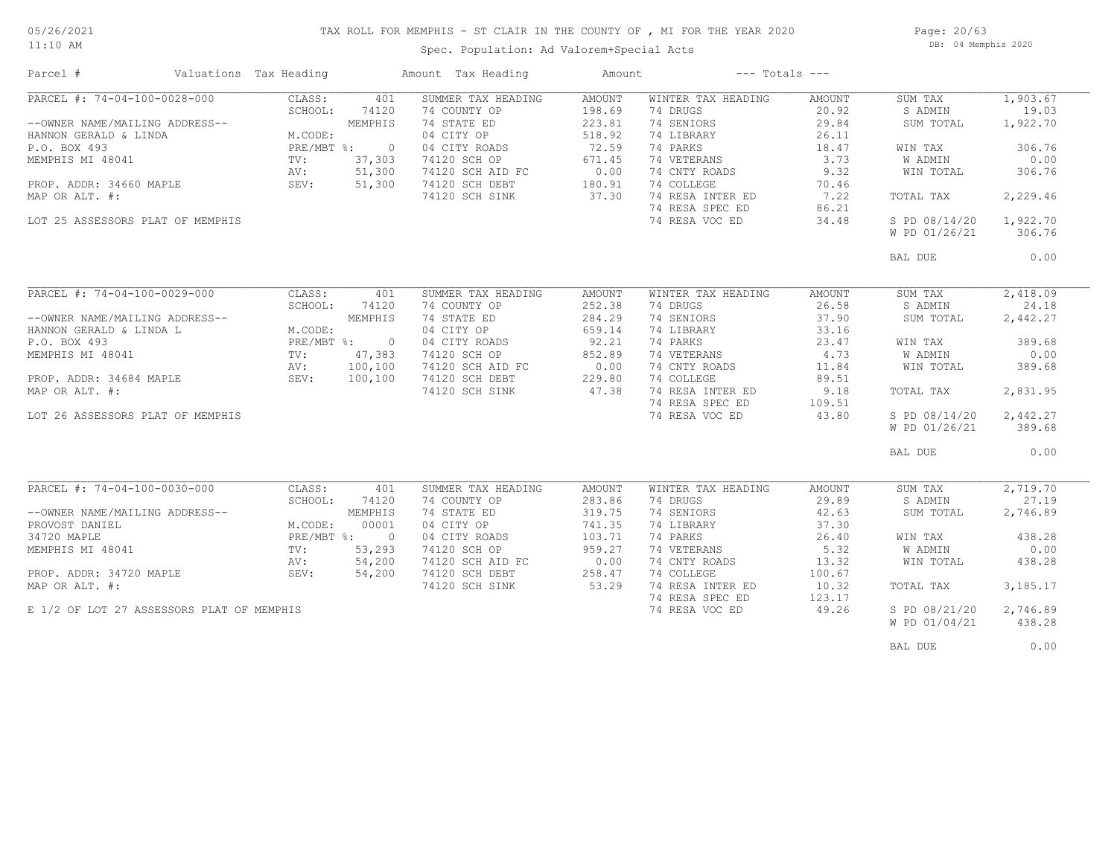## TAX ROLL FOR MEMPHIS - ST CLAIR IN THE COUNTY OF , MI FOR THE YEAR 2020

11:10 AM

### Spec. Population: Ad Valorem+Special Acts

Page: 20/63 DB: 04 Memphis 2020

| PARCEL #: 74-04-100-0028-000<br>SUMMER TAX HEADING<br>AMOUNT<br>WINTER TAX HEADING<br>1,903.67<br>CLASS:<br>401<br>AMOUNT<br>SUM TAX<br>SCHOOL:<br>74120<br>74 COUNTY OP<br>198.69<br>74 DRUGS<br>20.92<br>S ADMIN<br>19.03<br>223.81<br>74 SENIORS<br>29.84<br>MEMPHIS<br>74 STATE ED<br>SUM TOTAL<br>1,922.70<br>--OWNER NAME/MAILING ADDRESS--<br>M.CODE:<br>04 CITY OP<br>518.92<br>HANNON GERALD & LINDA<br>74 LIBRARY<br>26.11<br>PRE/MBT %:<br>72.59<br>306.76<br>P.O. BOX 493<br>$\bigcirc$<br>04 CITY ROADS<br>74 PARKS<br>18.47<br>WIN TAX<br>671.45<br>74 VETERANS<br>3.73<br><b>W ADMIN</b><br>0.00<br>MEMPHIS MI 48041<br>TV:<br>37,303<br>74120 SCH OP<br>0.00<br>51,300<br>74 CNTY ROADS<br>9.32<br>306.76<br>AV:<br>74120 SCH AID FC<br>WIN TOTAL<br>PROP. ADDR: 34660 MAPLE SEV:<br>180.91<br>51,300<br>74 COLLEGE<br>70.46<br>74120 SCH DEBT<br>37.30<br>74 RESA INTER ED<br>7.22<br>2,229.46<br>MAP OR ALT. #:<br>74120 SCH SINK<br>TOTAL TAX<br>74 RESA SPEC ED<br>86.21<br>1,922.70<br>LOT 25 ASSESSORS PLAT OF MEMPHIS<br>74 RESA VOC ED<br>34.48<br>S PD 08/14/20<br>W PD 01/26/21<br>306.76<br>0.00<br>BAL DUE<br>PARCEL #: 74-04-100-0029-000<br>2,418.09<br>CLASS:<br>401<br>SUMMER TAX HEADING<br><b>AMOUNT</b><br>WINTER TAX HEADING<br>AMOUNT<br>SUM TAX<br>252.38<br>26.58<br>SCHOOL:<br>74120<br>74 COUNTY OP<br>74 DRUGS<br>S ADMIN<br>24.18<br>--OWNER NAME/MAILING ADDRESS--<br>MEMPHIS<br>74 STATE ED<br>284.29<br>74 SENIORS<br>37.90<br>SUM TOTAL<br>2,442.27<br>04 CITY OP<br>659.14<br>33.16<br>HANNON GERALD & LINDA L<br>M.CODE:<br>74 LIBRARY<br>PRE/MBT %: 0<br>92.21<br>74 PARKS<br>389.68<br>P.O. BOX 493<br>04 CITY ROADS<br>23.47<br>WIN TAX<br>852.89<br>47,383<br>74 VETERANS<br>4.73<br>0.00<br>MEMPHIS MI 48041<br>$\texttt{TV}$ :<br>74120 SCH OP<br>W ADMIN<br>0.00<br>74 CNTY ROADS<br>AV:<br>100,100<br>74120 SCH AID FC<br>11.84<br>WIN TOTAL<br>389.68<br>SEV:<br>100,100<br>229.80<br>74 COLLEGE<br>89.51<br>PROP. ADDR: 34684 MAPLE<br>74120 SCH DEBT<br>47.38<br>74 RESA INTER ED<br>MAP OR ALT. #:<br>9.18<br>74120 SCH SINK<br>TOTAL TAX<br>2,831.95<br>74 RESA SPEC ED<br>109.51<br>S PD 08/14/20<br>2,442.27<br>LOT 26 ASSESSORS PLAT OF MEMPHIS<br>74 RESA VOC ED<br>43.80<br>W PD 01/26/21<br>389.68<br>BAL DUE<br>0.00<br>PARCEL #: 74-04-100-0030-000<br>CLASS:<br>SUMMER TAX HEADING<br>WINTER TAX HEADING<br>2,719.70<br>401<br>AMOUNT<br>AMOUNT<br>SUM TAX<br>74 COUNTY OP<br>283.86<br>74 DRUGS<br>29.89<br>27.19<br>SCHOOL:<br>74120<br>S ADMIN<br>74 STATE ED<br>319.75<br>74 SENIORS<br>--OWNER NAME/MAILING ADDRESS--<br>MEMPHIS<br>42.63<br>SUM TOTAL<br>2,746.89<br>00001<br>741.35<br>74 LIBRARY<br>37.30<br>PROVOST DANIEL<br>M.CODE:<br>04 CITY OP<br>34720 MAPLE<br>PRE/MBT %: 0<br>04 CITY ROADS<br>103.71<br>74 PARKS<br>26.40<br>WIN TAX<br>438.28<br>959.27<br>74 VETERANS<br>5.32<br>W ADMIN<br>0.00<br>MEMPHIS MI 48041<br>TV:<br>53,293<br>74120 SCH OP<br>0.00<br>54,200<br>74120 SCH AID FC<br>74 CNTY ROADS<br>13.32<br>438.28<br>WIN TOTAL<br>AV:<br>74 COLLEGE<br>PROP. ADDR: 34720 MAPLE<br>SEV:<br>54,200<br>74120 SCH DEBT<br>258.47<br>100.67<br>53.29<br>74 RESA INTER ED<br>3,185.17<br>74120 SCH SINK<br>10.32<br>TOTAL TAX<br>74 RESA SPEC ED<br>123.17<br>E 1/2 OF LOT 27 ASSESSORS PLAT OF MEMPHIS<br>74 RESA VOC ED<br>49.26<br>S PD 08/21/20<br>2,746.89 | Parcel #       | Valuations Tax Heading | Amount Tax Heading | Amount | $---$ Totals $---$ |               |        |
|--------------------------------------------------------------------------------------------------------------------------------------------------------------------------------------------------------------------------------------------------------------------------------------------------------------------------------------------------------------------------------------------------------------------------------------------------------------------------------------------------------------------------------------------------------------------------------------------------------------------------------------------------------------------------------------------------------------------------------------------------------------------------------------------------------------------------------------------------------------------------------------------------------------------------------------------------------------------------------------------------------------------------------------------------------------------------------------------------------------------------------------------------------------------------------------------------------------------------------------------------------------------------------------------------------------------------------------------------------------------------------------------------------------------------------------------------------------------------------------------------------------------------------------------------------------------------------------------------------------------------------------------------------------------------------------------------------------------------------------------------------------------------------------------------------------------------------------------------------------------------------------------------------------------------------------------------------------------------------------------------------------------------------------------------------------------------------------------------------------------------------------------------------------------------------------------------------------------------------------------------------------------------------------------------------------------------------------------------------------------------------------------------------------------------------------------------------------------------------------------------------------------------------------------------------------------------------------------------------------------------------------------------------------------------------------------------------------------------------------------------------------------------------------------------------------------------------------------------------------------------------------------------------------------------------------------------------------------------------------------------------------------------------------------------------------------------------------------------------------------------------------------------------------------------------------------------------------------------------------------------------------------------------------------------------------------------------------------------------------------|----------------|------------------------|--------------------|--------|--------------------|---------------|--------|
|                                                                                                                                                                                                                                                                                                                                                                                                                                                                                                                                                                                                                                                                                                                                                                                                                                                                                                                                                                                                                                                                                                                                                                                                                                                                                                                                                                                                                                                                                                                                                                                                                                                                                                                                                                                                                                                                                                                                                                                                                                                                                                                                                                                                                                                                                                                                                                                                                                                                                                                                                                                                                                                                                                                                                                                                                                                                                                                                                                                                                                                                                                                                                                                                                                                                                                                                                                    |                |                        |                    |        |                    |               |        |
|                                                                                                                                                                                                                                                                                                                                                                                                                                                                                                                                                                                                                                                                                                                                                                                                                                                                                                                                                                                                                                                                                                                                                                                                                                                                                                                                                                                                                                                                                                                                                                                                                                                                                                                                                                                                                                                                                                                                                                                                                                                                                                                                                                                                                                                                                                                                                                                                                                                                                                                                                                                                                                                                                                                                                                                                                                                                                                                                                                                                                                                                                                                                                                                                                                                                                                                                                                    |                |                        |                    |        |                    |               |        |
|                                                                                                                                                                                                                                                                                                                                                                                                                                                                                                                                                                                                                                                                                                                                                                                                                                                                                                                                                                                                                                                                                                                                                                                                                                                                                                                                                                                                                                                                                                                                                                                                                                                                                                                                                                                                                                                                                                                                                                                                                                                                                                                                                                                                                                                                                                                                                                                                                                                                                                                                                                                                                                                                                                                                                                                                                                                                                                                                                                                                                                                                                                                                                                                                                                                                                                                                                                    |                |                        |                    |        |                    |               |        |
|                                                                                                                                                                                                                                                                                                                                                                                                                                                                                                                                                                                                                                                                                                                                                                                                                                                                                                                                                                                                                                                                                                                                                                                                                                                                                                                                                                                                                                                                                                                                                                                                                                                                                                                                                                                                                                                                                                                                                                                                                                                                                                                                                                                                                                                                                                                                                                                                                                                                                                                                                                                                                                                                                                                                                                                                                                                                                                                                                                                                                                                                                                                                                                                                                                                                                                                                                                    |                |                        |                    |        |                    |               |        |
|                                                                                                                                                                                                                                                                                                                                                                                                                                                                                                                                                                                                                                                                                                                                                                                                                                                                                                                                                                                                                                                                                                                                                                                                                                                                                                                                                                                                                                                                                                                                                                                                                                                                                                                                                                                                                                                                                                                                                                                                                                                                                                                                                                                                                                                                                                                                                                                                                                                                                                                                                                                                                                                                                                                                                                                                                                                                                                                                                                                                                                                                                                                                                                                                                                                                                                                                                                    |                |                        |                    |        |                    |               |        |
|                                                                                                                                                                                                                                                                                                                                                                                                                                                                                                                                                                                                                                                                                                                                                                                                                                                                                                                                                                                                                                                                                                                                                                                                                                                                                                                                                                                                                                                                                                                                                                                                                                                                                                                                                                                                                                                                                                                                                                                                                                                                                                                                                                                                                                                                                                                                                                                                                                                                                                                                                                                                                                                                                                                                                                                                                                                                                                                                                                                                                                                                                                                                                                                                                                                                                                                                                                    |                |                        |                    |        |                    |               |        |
|                                                                                                                                                                                                                                                                                                                                                                                                                                                                                                                                                                                                                                                                                                                                                                                                                                                                                                                                                                                                                                                                                                                                                                                                                                                                                                                                                                                                                                                                                                                                                                                                                                                                                                                                                                                                                                                                                                                                                                                                                                                                                                                                                                                                                                                                                                                                                                                                                                                                                                                                                                                                                                                                                                                                                                                                                                                                                                                                                                                                                                                                                                                                                                                                                                                                                                                                                                    |                |                        |                    |        |                    |               |        |
|                                                                                                                                                                                                                                                                                                                                                                                                                                                                                                                                                                                                                                                                                                                                                                                                                                                                                                                                                                                                                                                                                                                                                                                                                                                                                                                                                                                                                                                                                                                                                                                                                                                                                                                                                                                                                                                                                                                                                                                                                                                                                                                                                                                                                                                                                                                                                                                                                                                                                                                                                                                                                                                                                                                                                                                                                                                                                                                                                                                                                                                                                                                                                                                                                                                                                                                                                                    |                |                        |                    |        |                    |               |        |
|                                                                                                                                                                                                                                                                                                                                                                                                                                                                                                                                                                                                                                                                                                                                                                                                                                                                                                                                                                                                                                                                                                                                                                                                                                                                                                                                                                                                                                                                                                                                                                                                                                                                                                                                                                                                                                                                                                                                                                                                                                                                                                                                                                                                                                                                                                                                                                                                                                                                                                                                                                                                                                                                                                                                                                                                                                                                                                                                                                                                                                                                                                                                                                                                                                                                                                                                                                    |                |                        |                    |        |                    |               |        |
|                                                                                                                                                                                                                                                                                                                                                                                                                                                                                                                                                                                                                                                                                                                                                                                                                                                                                                                                                                                                                                                                                                                                                                                                                                                                                                                                                                                                                                                                                                                                                                                                                                                                                                                                                                                                                                                                                                                                                                                                                                                                                                                                                                                                                                                                                                                                                                                                                                                                                                                                                                                                                                                                                                                                                                                                                                                                                                                                                                                                                                                                                                                                                                                                                                                                                                                                                                    |                |                        |                    |        |                    |               |        |
|                                                                                                                                                                                                                                                                                                                                                                                                                                                                                                                                                                                                                                                                                                                                                                                                                                                                                                                                                                                                                                                                                                                                                                                                                                                                                                                                                                                                                                                                                                                                                                                                                                                                                                                                                                                                                                                                                                                                                                                                                                                                                                                                                                                                                                                                                                                                                                                                                                                                                                                                                                                                                                                                                                                                                                                                                                                                                                                                                                                                                                                                                                                                                                                                                                                                                                                                                                    |                |                        |                    |        |                    |               |        |
|                                                                                                                                                                                                                                                                                                                                                                                                                                                                                                                                                                                                                                                                                                                                                                                                                                                                                                                                                                                                                                                                                                                                                                                                                                                                                                                                                                                                                                                                                                                                                                                                                                                                                                                                                                                                                                                                                                                                                                                                                                                                                                                                                                                                                                                                                                                                                                                                                                                                                                                                                                                                                                                                                                                                                                                                                                                                                                                                                                                                                                                                                                                                                                                                                                                                                                                                                                    |                |                        |                    |        |                    |               |        |
|                                                                                                                                                                                                                                                                                                                                                                                                                                                                                                                                                                                                                                                                                                                                                                                                                                                                                                                                                                                                                                                                                                                                                                                                                                                                                                                                                                                                                                                                                                                                                                                                                                                                                                                                                                                                                                                                                                                                                                                                                                                                                                                                                                                                                                                                                                                                                                                                                                                                                                                                                                                                                                                                                                                                                                                                                                                                                                                                                                                                                                                                                                                                                                                                                                                                                                                                                                    |                |                        |                    |        |                    |               |        |
|                                                                                                                                                                                                                                                                                                                                                                                                                                                                                                                                                                                                                                                                                                                                                                                                                                                                                                                                                                                                                                                                                                                                                                                                                                                                                                                                                                                                                                                                                                                                                                                                                                                                                                                                                                                                                                                                                                                                                                                                                                                                                                                                                                                                                                                                                                                                                                                                                                                                                                                                                                                                                                                                                                                                                                                                                                                                                                                                                                                                                                                                                                                                                                                                                                                                                                                                                                    |                |                        |                    |        |                    |               |        |
|                                                                                                                                                                                                                                                                                                                                                                                                                                                                                                                                                                                                                                                                                                                                                                                                                                                                                                                                                                                                                                                                                                                                                                                                                                                                                                                                                                                                                                                                                                                                                                                                                                                                                                                                                                                                                                                                                                                                                                                                                                                                                                                                                                                                                                                                                                                                                                                                                                                                                                                                                                                                                                                                                                                                                                                                                                                                                                                                                                                                                                                                                                                                                                                                                                                                                                                                                                    |                |                        |                    |        |                    |               |        |
|                                                                                                                                                                                                                                                                                                                                                                                                                                                                                                                                                                                                                                                                                                                                                                                                                                                                                                                                                                                                                                                                                                                                                                                                                                                                                                                                                                                                                                                                                                                                                                                                                                                                                                                                                                                                                                                                                                                                                                                                                                                                                                                                                                                                                                                                                                                                                                                                                                                                                                                                                                                                                                                                                                                                                                                                                                                                                                                                                                                                                                                                                                                                                                                                                                                                                                                                                                    |                |                        |                    |        |                    |               |        |
|                                                                                                                                                                                                                                                                                                                                                                                                                                                                                                                                                                                                                                                                                                                                                                                                                                                                                                                                                                                                                                                                                                                                                                                                                                                                                                                                                                                                                                                                                                                                                                                                                                                                                                                                                                                                                                                                                                                                                                                                                                                                                                                                                                                                                                                                                                                                                                                                                                                                                                                                                                                                                                                                                                                                                                                                                                                                                                                                                                                                                                                                                                                                                                                                                                                                                                                                                                    |                |                        |                    |        |                    |               |        |
|                                                                                                                                                                                                                                                                                                                                                                                                                                                                                                                                                                                                                                                                                                                                                                                                                                                                                                                                                                                                                                                                                                                                                                                                                                                                                                                                                                                                                                                                                                                                                                                                                                                                                                                                                                                                                                                                                                                                                                                                                                                                                                                                                                                                                                                                                                                                                                                                                                                                                                                                                                                                                                                                                                                                                                                                                                                                                                                                                                                                                                                                                                                                                                                                                                                                                                                                                                    |                |                        |                    |        |                    |               |        |
|                                                                                                                                                                                                                                                                                                                                                                                                                                                                                                                                                                                                                                                                                                                                                                                                                                                                                                                                                                                                                                                                                                                                                                                                                                                                                                                                                                                                                                                                                                                                                                                                                                                                                                                                                                                                                                                                                                                                                                                                                                                                                                                                                                                                                                                                                                                                                                                                                                                                                                                                                                                                                                                                                                                                                                                                                                                                                                                                                                                                                                                                                                                                                                                                                                                                                                                                                                    |                |                        |                    |        |                    |               |        |
|                                                                                                                                                                                                                                                                                                                                                                                                                                                                                                                                                                                                                                                                                                                                                                                                                                                                                                                                                                                                                                                                                                                                                                                                                                                                                                                                                                                                                                                                                                                                                                                                                                                                                                                                                                                                                                                                                                                                                                                                                                                                                                                                                                                                                                                                                                                                                                                                                                                                                                                                                                                                                                                                                                                                                                                                                                                                                                                                                                                                                                                                                                                                                                                                                                                                                                                                                                    |                |                        |                    |        |                    |               |        |
|                                                                                                                                                                                                                                                                                                                                                                                                                                                                                                                                                                                                                                                                                                                                                                                                                                                                                                                                                                                                                                                                                                                                                                                                                                                                                                                                                                                                                                                                                                                                                                                                                                                                                                                                                                                                                                                                                                                                                                                                                                                                                                                                                                                                                                                                                                                                                                                                                                                                                                                                                                                                                                                                                                                                                                                                                                                                                                                                                                                                                                                                                                                                                                                                                                                                                                                                                                    |                |                        |                    |        |                    |               |        |
|                                                                                                                                                                                                                                                                                                                                                                                                                                                                                                                                                                                                                                                                                                                                                                                                                                                                                                                                                                                                                                                                                                                                                                                                                                                                                                                                                                                                                                                                                                                                                                                                                                                                                                                                                                                                                                                                                                                                                                                                                                                                                                                                                                                                                                                                                                                                                                                                                                                                                                                                                                                                                                                                                                                                                                                                                                                                                                                                                                                                                                                                                                                                                                                                                                                                                                                                                                    |                |                        |                    |        |                    |               |        |
|                                                                                                                                                                                                                                                                                                                                                                                                                                                                                                                                                                                                                                                                                                                                                                                                                                                                                                                                                                                                                                                                                                                                                                                                                                                                                                                                                                                                                                                                                                                                                                                                                                                                                                                                                                                                                                                                                                                                                                                                                                                                                                                                                                                                                                                                                                                                                                                                                                                                                                                                                                                                                                                                                                                                                                                                                                                                                                                                                                                                                                                                                                                                                                                                                                                                                                                                                                    |                |                        |                    |        |                    |               |        |
|                                                                                                                                                                                                                                                                                                                                                                                                                                                                                                                                                                                                                                                                                                                                                                                                                                                                                                                                                                                                                                                                                                                                                                                                                                                                                                                                                                                                                                                                                                                                                                                                                                                                                                                                                                                                                                                                                                                                                                                                                                                                                                                                                                                                                                                                                                                                                                                                                                                                                                                                                                                                                                                                                                                                                                                                                                                                                                                                                                                                                                                                                                                                                                                                                                                                                                                                                                    |                |                        |                    |        |                    |               |        |
|                                                                                                                                                                                                                                                                                                                                                                                                                                                                                                                                                                                                                                                                                                                                                                                                                                                                                                                                                                                                                                                                                                                                                                                                                                                                                                                                                                                                                                                                                                                                                                                                                                                                                                                                                                                                                                                                                                                                                                                                                                                                                                                                                                                                                                                                                                                                                                                                                                                                                                                                                                                                                                                                                                                                                                                                                                                                                                                                                                                                                                                                                                                                                                                                                                                                                                                                                                    |                |                        |                    |        |                    |               |        |
|                                                                                                                                                                                                                                                                                                                                                                                                                                                                                                                                                                                                                                                                                                                                                                                                                                                                                                                                                                                                                                                                                                                                                                                                                                                                                                                                                                                                                                                                                                                                                                                                                                                                                                                                                                                                                                                                                                                                                                                                                                                                                                                                                                                                                                                                                                                                                                                                                                                                                                                                                                                                                                                                                                                                                                                                                                                                                                                                                                                                                                                                                                                                                                                                                                                                                                                                                                    |                |                        |                    |        |                    |               |        |
|                                                                                                                                                                                                                                                                                                                                                                                                                                                                                                                                                                                                                                                                                                                                                                                                                                                                                                                                                                                                                                                                                                                                                                                                                                                                                                                                                                                                                                                                                                                                                                                                                                                                                                                                                                                                                                                                                                                                                                                                                                                                                                                                                                                                                                                                                                                                                                                                                                                                                                                                                                                                                                                                                                                                                                                                                                                                                                                                                                                                                                                                                                                                                                                                                                                                                                                                                                    |                |                        |                    |        |                    |               |        |
|                                                                                                                                                                                                                                                                                                                                                                                                                                                                                                                                                                                                                                                                                                                                                                                                                                                                                                                                                                                                                                                                                                                                                                                                                                                                                                                                                                                                                                                                                                                                                                                                                                                                                                                                                                                                                                                                                                                                                                                                                                                                                                                                                                                                                                                                                                                                                                                                                                                                                                                                                                                                                                                                                                                                                                                                                                                                                                                                                                                                                                                                                                                                                                                                                                                                                                                                                                    |                |                        |                    |        |                    |               |        |
|                                                                                                                                                                                                                                                                                                                                                                                                                                                                                                                                                                                                                                                                                                                                                                                                                                                                                                                                                                                                                                                                                                                                                                                                                                                                                                                                                                                                                                                                                                                                                                                                                                                                                                                                                                                                                                                                                                                                                                                                                                                                                                                                                                                                                                                                                                                                                                                                                                                                                                                                                                                                                                                                                                                                                                                                                                                                                                                                                                                                                                                                                                                                                                                                                                                                                                                                                                    |                |                        |                    |        |                    |               |        |
|                                                                                                                                                                                                                                                                                                                                                                                                                                                                                                                                                                                                                                                                                                                                                                                                                                                                                                                                                                                                                                                                                                                                                                                                                                                                                                                                                                                                                                                                                                                                                                                                                                                                                                                                                                                                                                                                                                                                                                                                                                                                                                                                                                                                                                                                                                                                                                                                                                                                                                                                                                                                                                                                                                                                                                                                                                                                                                                                                                                                                                                                                                                                                                                                                                                                                                                                                                    |                |                        |                    |        |                    |               |        |
|                                                                                                                                                                                                                                                                                                                                                                                                                                                                                                                                                                                                                                                                                                                                                                                                                                                                                                                                                                                                                                                                                                                                                                                                                                                                                                                                                                                                                                                                                                                                                                                                                                                                                                                                                                                                                                                                                                                                                                                                                                                                                                                                                                                                                                                                                                                                                                                                                                                                                                                                                                                                                                                                                                                                                                                                                                                                                                                                                                                                                                                                                                                                                                                                                                                                                                                                                                    |                |                        |                    |        |                    |               |        |
|                                                                                                                                                                                                                                                                                                                                                                                                                                                                                                                                                                                                                                                                                                                                                                                                                                                                                                                                                                                                                                                                                                                                                                                                                                                                                                                                                                                                                                                                                                                                                                                                                                                                                                                                                                                                                                                                                                                                                                                                                                                                                                                                                                                                                                                                                                                                                                                                                                                                                                                                                                                                                                                                                                                                                                                                                                                                                                                                                                                                                                                                                                                                                                                                                                                                                                                                                                    |                |                        |                    |        |                    |               |        |
|                                                                                                                                                                                                                                                                                                                                                                                                                                                                                                                                                                                                                                                                                                                                                                                                                                                                                                                                                                                                                                                                                                                                                                                                                                                                                                                                                                                                                                                                                                                                                                                                                                                                                                                                                                                                                                                                                                                                                                                                                                                                                                                                                                                                                                                                                                                                                                                                                                                                                                                                                                                                                                                                                                                                                                                                                                                                                                                                                                                                                                                                                                                                                                                                                                                                                                                                                                    |                |                        |                    |        |                    |               |        |
|                                                                                                                                                                                                                                                                                                                                                                                                                                                                                                                                                                                                                                                                                                                                                                                                                                                                                                                                                                                                                                                                                                                                                                                                                                                                                                                                                                                                                                                                                                                                                                                                                                                                                                                                                                                                                                                                                                                                                                                                                                                                                                                                                                                                                                                                                                                                                                                                                                                                                                                                                                                                                                                                                                                                                                                                                                                                                                                                                                                                                                                                                                                                                                                                                                                                                                                                                                    |                |                        |                    |        |                    |               |        |
|                                                                                                                                                                                                                                                                                                                                                                                                                                                                                                                                                                                                                                                                                                                                                                                                                                                                                                                                                                                                                                                                                                                                                                                                                                                                                                                                                                                                                                                                                                                                                                                                                                                                                                                                                                                                                                                                                                                                                                                                                                                                                                                                                                                                                                                                                                                                                                                                                                                                                                                                                                                                                                                                                                                                                                                                                                                                                                                                                                                                                                                                                                                                                                                                                                                                                                                                                                    |                |                        |                    |        |                    |               |        |
|                                                                                                                                                                                                                                                                                                                                                                                                                                                                                                                                                                                                                                                                                                                                                                                                                                                                                                                                                                                                                                                                                                                                                                                                                                                                                                                                                                                                                                                                                                                                                                                                                                                                                                                                                                                                                                                                                                                                                                                                                                                                                                                                                                                                                                                                                                                                                                                                                                                                                                                                                                                                                                                                                                                                                                                                                                                                                                                                                                                                                                                                                                                                                                                                                                                                                                                                                                    |                |                        |                    |        |                    |               |        |
|                                                                                                                                                                                                                                                                                                                                                                                                                                                                                                                                                                                                                                                                                                                                                                                                                                                                                                                                                                                                                                                                                                                                                                                                                                                                                                                                                                                                                                                                                                                                                                                                                                                                                                                                                                                                                                                                                                                                                                                                                                                                                                                                                                                                                                                                                                                                                                                                                                                                                                                                                                                                                                                                                                                                                                                                                                                                                                                                                                                                                                                                                                                                                                                                                                                                                                                                                                    |                |                        |                    |        |                    |               |        |
|                                                                                                                                                                                                                                                                                                                                                                                                                                                                                                                                                                                                                                                                                                                                                                                                                                                                                                                                                                                                                                                                                                                                                                                                                                                                                                                                                                                                                                                                                                                                                                                                                                                                                                                                                                                                                                                                                                                                                                                                                                                                                                                                                                                                                                                                                                                                                                                                                                                                                                                                                                                                                                                                                                                                                                                                                                                                                                                                                                                                                                                                                                                                                                                                                                                                                                                                                                    | MAP OR ALT. #: |                        |                    |        |                    |               |        |
|                                                                                                                                                                                                                                                                                                                                                                                                                                                                                                                                                                                                                                                                                                                                                                                                                                                                                                                                                                                                                                                                                                                                                                                                                                                                                                                                                                                                                                                                                                                                                                                                                                                                                                                                                                                                                                                                                                                                                                                                                                                                                                                                                                                                                                                                                                                                                                                                                                                                                                                                                                                                                                                                                                                                                                                                                                                                                                                                                                                                                                                                                                                                                                                                                                                                                                                                                                    |                |                        |                    |        |                    |               |        |
|                                                                                                                                                                                                                                                                                                                                                                                                                                                                                                                                                                                                                                                                                                                                                                                                                                                                                                                                                                                                                                                                                                                                                                                                                                                                                                                                                                                                                                                                                                                                                                                                                                                                                                                                                                                                                                                                                                                                                                                                                                                                                                                                                                                                                                                                                                                                                                                                                                                                                                                                                                                                                                                                                                                                                                                                                                                                                                                                                                                                                                                                                                                                                                                                                                                                                                                                                                    |                |                        |                    |        |                    |               |        |
|                                                                                                                                                                                                                                                                                                                                                                                                                                                                                                                                                                                                                                                                                                                                                                                                                                                                                                                                                                                                                                                                                                                                                                                                                                                                                                                                                                                                                                                                                                                                                                                                                                                                                                                                                                                                                                                                                                                                                                                                                                                                                                                                                                                                                                                                                                                                                                                                                                                                                                                                                                                                                                                                                                                                                                                                                                                                                                                                                                                                                                                                                                                                                                                                                                                                                                                                                                    |                |                        |                    |        |                    | W PD 01/04/21 | 438.28 |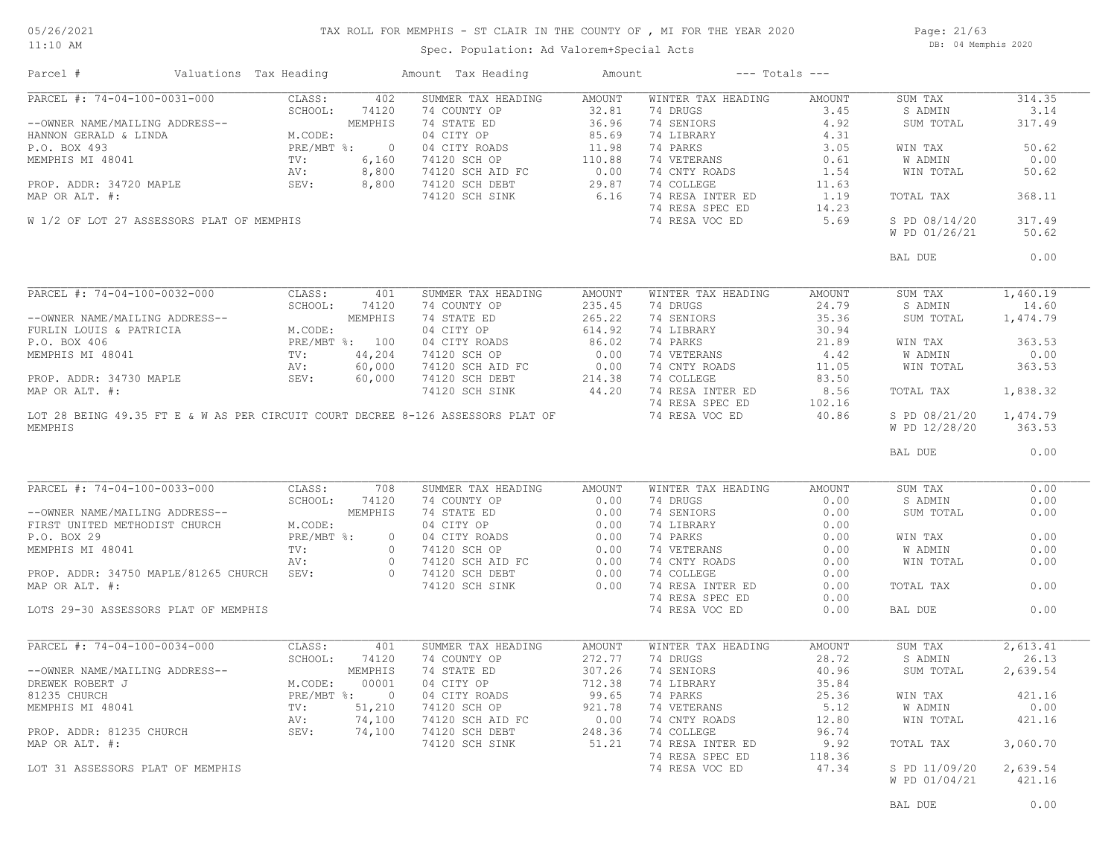#### TAX ROLL FOR MEMPHIS - ST CLAIR IN THE COUNTY OF , MI FOR THE YEAR 2020

11:10 AM

### Spec. Population: Ad Valorem+Special Acts

Page: 21/63 DB: 04 Memphis 2020

| Parcel #                             | Valuations Tax Heading |     | Amount Tax Heading                                                                                                                                                                                                                                                                                                                                                                                                       | Amount |                                                                                                                                                           | $---$ Totals $---$ |                     |        |
|--------------------------------------|------------------------|-----|--------------------------------------------------------------------------------------------------------------------------------------------------------------------------------------------------------------------------------------------------------------------------------------------------------------------------------------------------------------------------------------------------------------------------|--------|-----------------------------------------------------------------------------------------------------------------------------------------------------------|--------------------|---------------------|--------|
| PARCEL #: 74-04-100-0031-000 CLASS:  |                        | 402 | SUMMER TAX HEADING                                                                                                                                                                                                                                                                                                                                                                                                       | AMOUNT | WINTER TAX HEADING AMOUNT                                                                                                                                 |                    | SUM TAX             | 314.35 |
|                                      |                        |     | PARCEL #: 74-04-100-0031-000 CLASS: 402 SUMMER TAX HEADING MINITER TAX HEADING MOUNTY OF SUMMER TAX HEADING MOUNTY OF 32.81 74 DRUGS<br>--OWNER NAME/MAILING ADDRESS--<br>HEMPHIS 74120 74 COUNTY OP 36.66 74 EIBRARY 4.92 SUMM T                                                                                                                                                                                        |        |                                                                                                                                                           |                    |                     | 3.14   |
|                                      |                        |     |                                                                                                                                                                                                                                                                                                                                                                                                                          |        |                                                                                                                                                           |                    |                     | 317.49 |
|                                      |                        |     |                                                                                                                                                                                                                                                                                                                                                                                                                          |        |                                                                                                                                                           |                    |                     |        |
|                                      |                        |     |                                                                                                                                                                                                                                                                                                                                                                                                                          |        |                                                                                                                                                           |                    |                     | 50.62  |
|                                      |                        |     |                                                                                                                                                                                                                                                                                                                                                                                                                          |        |                                                                                                                                                           |                    |                     | 0.00   |
|                                      |                        |     |                                                                                                                                                                                                                                                                                                                                                                                                                          |        |                                                                                                                                                           |                    |                     | 50.62  |
|                                      |                        |     |                                                                                                                                                                                                                                                                                                                                                                                                                          |        |                                                                                                                                                           |                    |                     |        |
|                                      |                        |     |                                                                                                                                                                                                                                                                                                                                                                                                                          |        |                                                                                                                                                           |                    |                     | 368.11 |
|                                      |                        |     |                                                                                                                                                                                                                                                                                                                                                                                                                          |        |                                                                                                                                                           |                    |                     |        |
|                                      |                        |     |                                                                                                                                                                                                                                                                                                                                                                                                                          |        |                                                                                                                                                           |                    |                     | 317.49 |
|                                      |                        |     |                                                                                                                                                                                                                                                                                                                                                                                                                          |        |                                                                                                                                                           |                    | W PD 01/26/21 50.62 |        |
|                                      |                        |     |                                                                                                                                                                                                                                                                                                                                                                                                                          |        |                                                                                                                                                           |                    |                     |        |
|                                      |                        |     |                                                                                                                                                                                                                                                                                                                                                                                                                          |        |                                                                                                                                                           |                    | BAL DUE             | 0.00   |
|                                      |                        |     | $\begin{tabular}{l cccc} \hline \texttt{PARCH} & +; 74-04-100-0032-000 & \texttt{CLASS:} & 401 & \texttt{SUMNER TAX HEADING} & \texttt{AMOUNT} & \texttt{MINTER TAX HEADING} & \texttt{AMOUNT} & \texttt{SUM TAX} & \texttt{SUM TAX} \\ -\texttt{OMNER NAME/MALIMG ADDRESS--} & \texttt{SEKOD.} & 74120 \texttt{NATE} & 743 \texttt{ SNTE} & 245.45 & 740 \texttt{ENIMS} & 24.79 & 8.4420 \$                             |        |                                                                                                                                                           |                    |                     |        |
|                                      |                        |     |                                                                                                                                                                                                                                                                                                                                                                                                                          |        |                                                                                                                                                           |                    |                     |        |
|                                      |                        |     |                                                                                                                                                                                                                                                                                                                                                                                                                          |        |                                                                                                                                                           |                    |                     |        |
|                                      |                        |     |                                                                                                                                                                                                                                                                                                                                                                                                                          |        |                                                                                                                                                           |                    |                     |        |
|                                      |                        |     |                                                                                                                                                                                                                                                                                                                                                                                                                          |        |                                                                                                                                                           |                    |                     |        |
|                                      |                        |     |                                                                                                                                                                                                                                                                                                                                                                                                                          |        |                                                                                                                                                           |                    |                     |        |
|                                      |                        |     |                                                                                                                                                                                                                                                                                                                                                                                                                          |        |                                                                                                                                                           |                    |                     |        |
|                                      |                        |     |                                                                                                                                                                                                                                                                                                                                                                                                                          |        |                                                                                                                                                           |                    |                     |        |
|                                      |                        |     |                                                                                                                                                                                                                                                                                                                                                                                                                          |        |                                                                                                                                                           |                    |                     |        |
|                                      |                        |     |                                                                                                                                                                                                                                                                                                                                                                                                                          |        |                                                                                                                                                           |                    |                     |        |
|                                      |                        |     |                                                                                                                                                                                                                                                                                                                                                                                                                          |        |                                                                                                                                                           |                    |                     |        |
|                                      |                        |     |                                                                                                                                                                                                                                                                                                                                                                                                                          |        |                                                                                                                                                           |                    |                     |        |
|                                      |                        |     |                                                                                                                                                                                                                                                                                                                                                                                                                          |        |                                                                                                                                                           |                    |                     |        |
|                                      |                        |     |                                                                                                                                                                                                                                                                                                                                                                                                                          |        |                                                                                                                                                           |                    | BAL DUE             | 0.00   |
|                                      |                        |     |                                                                                                                                                                                                                                                                                                                                                                                                                          |        |                                                                                                                                                           |                    |                     |        |
|                                      |                        |     | $\begin{tabular}{l c c c c c c} \hline \texttt{PARCH} & \#: & 74-04-100-0033-000 & \texttt{CLASS:} & 708 & \texttt{SUMMER TAX HEADING} & \texttt{AMOUNT} & \texttt{WINTER TAX HEADING} & \texttt{AMOUNT} \\[.2cm] \hline \texttt{--OWNER NAME/MALING ADDRESS--} & \texttt{SEHODE}: & 74120 & 74 \texttt{COUNTY OP} & 0.00 & 74 \texttt{ DRUGS} & 0.00 \\[.2cm] \hline \texttt{FIRST UUTED METHODIST CHUREH} & \texttt{M$ |        |                                                                                                                                                           |                    | SUM TAX             | 0.00   |
|                                      |                        |     |                                                                                                                                                                                                                                                                                                                                                                                                                          |        |                                                                                                                                                           |                    | S ADMIN             | 0.00   |
|                                      |                        |     |                                                                                                                                                                                                                                                                                                                                                                                                                          |        |                                                                                                                                                           |                    | SUM TOTAL           | 0.00   |
|                                      |                        |     |                                                                                                                                                                                                                                                                                                                                                                                                                          |        |                                                                                                                                                           |                    |                     |        |
|                                      |                        |     |                                                                                                                                                                                                                                                                                                                                                                                                                          |        |                                                                                                                                                           |                    | WIN TAX             | 0.00   |
|                                      |                        |     |                                                                                                                                                                                                                                                                                                                                                                                                                          |        |                                                                                                                                                           |                    | W ADMIN             | 0.00   |
|                                      |                        |     |                                                                                                                                                                                                                                                                                                                                                                                                                          |        |                                                                                                                                                           |                    | WIN TOTAL           | 0.00   |
|                                      |                        |     |                                                                                                                                                                                                                                                                                                                                                                                                                          |        |                                                                                                                                                           |                    |                     |        |
|                                      |                        |     |                                                                                                                                                                                                                                                                                                                                                                                                                          |        |                                                                                                                                                           |                    | TOTAL TAX           | 0.00   |
|                                      |                        |     |                                                                                                                                                                                                                                                                                                                                                                                                                          |        |                                                                                                                                                           |                    |                     |        |
| LOTS 29-30 ASSESSORS PLAT OF MEMPHIS |                        |     |                                                                                                                                                                                                                                                                                                                                                                                                                          |        | 74 RESA VOC ED                                                                                                                                            | 0.00               | BAL DUE 0.00        |        |
|                                      |                        |     |                                                                                                                                                                                                                                                                                                                                                                                                                          |        |                                                                                                                                                           |                    |                     |        |
|                                      |                        |     | PARCEL #: 74-04-100-0034-000 CLASS: 401 SUMMER TAX HEADING AMOUNT WINTER-TAX HEADING AMOUNT SUM TAX<br>--OWNER NAME/MAILING ADDRESS--<br>DREWER ROBERT J M.CODE: 00001 04 CITY OF 307.26 74 SANARY 40.3<br>DREWER ROBERT J M.CODE:                                                                                                                                                                                       |        |                                                                                                                                                           |                    |                     |        |
|                                      |                        |     |                                                                                                                                                                                                                                                                                                                                                                                                                          |        |                                                                                                                                                           |                    |                     |        |
|                                      |                        |     |                                                                                                                                                                                                                                                                                                                                                                                                                          |        |                                                                                                                                                           |                    |                     |        |
|                                      |                        |     |                                                                                                                                                                                                                                                                                                                                                                                                                          |        |                                                                                                                                                           |                    |                     |        |
|                                      |                        |     |                                                                                                                                                                                                                                                                                                                                                                                                                          |        |                                                                                                                                                           |                    |                     |        |
|                                      |                        |     |                                                                                                                                                                                                                                                                                                                                                                                                                          |        |                                                                                                                                                           |                    |                     |        |
|                                      |                        |     |                                                                                                                                                                                                                                                                                                                                                                                                                          |        |                                                                                                                                                           |                    |                     |        |
|                                      |                        |     |                                                                                                                                                                                                                                                                                                                                                                                                                          |        |                                                                                                                                                           |                    |                     |        |
|                                      |                        |     |                                                                                                                                                                                                                                                                                                                                                                                                                          |        |                                                                                                                                                           |                    |                     |        |
|                                      |                        |     |                                                                                                                                                                                                                                                                                                                                                                                                                          |        |                                                                                                                                                           |                    |                     |        |
| LOT 31 ASSESSORS PLAT OF MEMPHIS     |                        |     |                                                                                                                                                                                                                                                                                                                                                                                                                          |        | 74 COLLEGE<br>74 RESA INTER ED 9.92<br>74 RESA SPEC ED 118.36<br>74 RESA SPEC ED 118.36<br>77 MOC ED 47.34 S PD 11/09/20 2,639.54<br>8 PD 11/04/21 421.16 |                    |                     |        |
|                                      |                        |     |                                                                                                                                                                                                                                                                                                                                                                                                                          |        |                                                                                                                                                           |                    |                     |        |
|                                      |                        |     |                                                                                                                                                                                                                                                                                                                                                                                                                          |        |                                                                                                                                                           |                    |                     |        |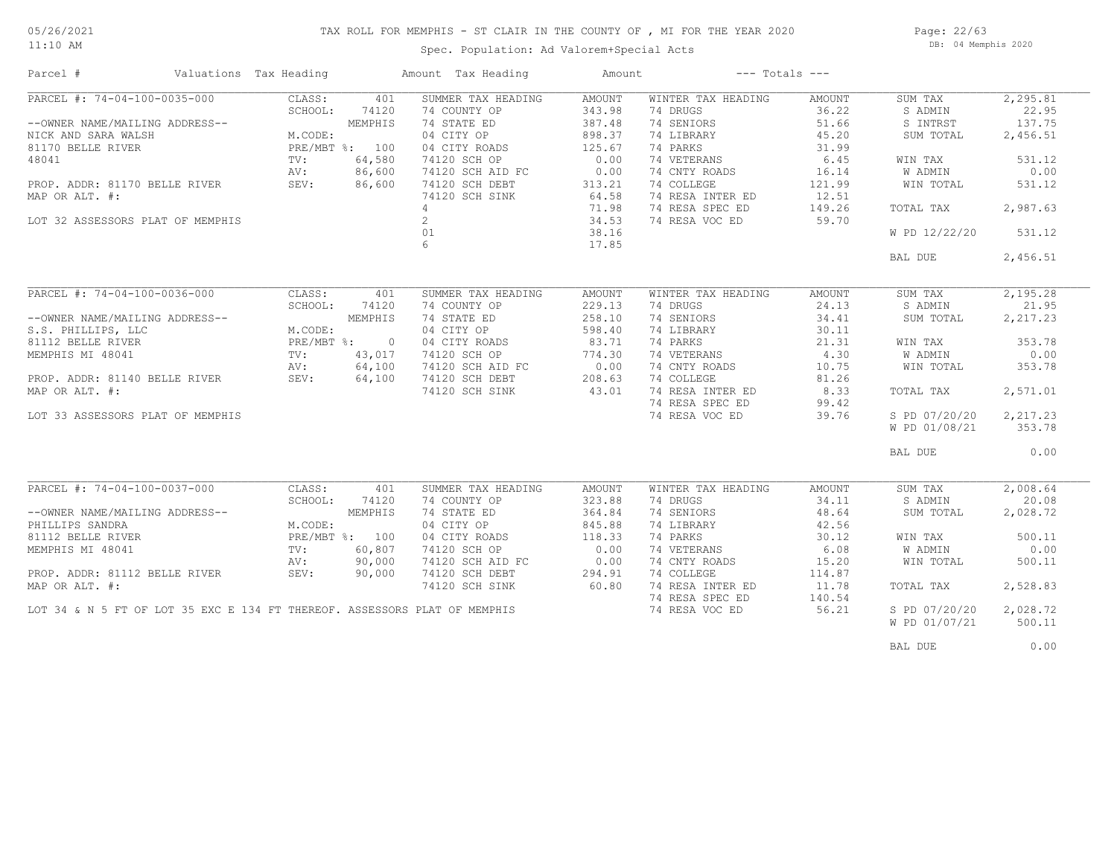#### 11:10 AM

#### TAX ROLL FOR MEMPHIS - ST CLAIR IN THE COUNTY OF , MI FOR THE YEAR 2020

Spec. Population: Ad Valorem+Special Acts

Page: 22/63 DB: 04 Memphis 2020

| Parcel #                                                                                                                              | Valuations Tax Heading             |                                                              |                                                       | Amount Tax Heading                                                                                                                                            | Amount                                                                                     |                                                                                                                                                             | $---$ Totals $---$                                                                       |                                                                                             |                                                                                  |
|---------------------------------------------------------------------------------------------------------------------------------------|------------------------------------|--------------------------------------------------------------|-------------------------------------------------------|---------------------------------------------------------------------------------------------------------------------------------------------------------------|--------------------------------------------------------------------------------------------|-------------------------------------------------------------------------------------------------------------------------------------------------------------|------------------------------------------------------------------------------------------|---------------------------------------------------------------------------------------------|----------------------------------------------------------------------------------|
| PARCEL #: 74-04-100-0035-000<br>--OWNER NAME/MAILING ADDRESS--<br>NICK AND SARA WALSH<br>81170 BELLE RIVER<br>48041<br>MAP OR ALT. #: | PROP. ADDR: 81170 BELLE RIVER SEV: | CLASS:<br>SCHOOL:<br>M.CODE:<br>PRE/MBT %: 100<br>TV:<br>AV: | 401<br>74120<br>MEMPHIS<br>64,580<br>86,600<br>86,600 | SUMMER TAX HEADING<br>74 COUNTY OP<br>74 STATE ED<br>04 CITY OP<br>04 CITY ROADS<br>74120 SCH OP<br>74120 SCH AID FC<br>74120 SCH DEBT<br>74120 SCH SINK<br>4 | AMOUNT<br>343.98<br>387.48<br>898.37<br>125.67<br>0.00<br>0.00<br>313.21<br>64.58<br>71.98 | WINTER TAX HEADING<br>74 DRUGS<br>74 SENIORS<br>74 LIBRARY<br>74 PARKS<br>74 VETERANS<br>74 CNTY ROADS<br>74 COLLEGE<br>74 RESA INTER ED<br>74 RESA SPEC ED | AMOUNT<br>36.22<br>51.66<br>45.20<br>31.99<br>6.45<br>16.14<br>121.99<br>12.51<br>149.26 | SUM TAX<br>S ADMIN<br>S INTRST<br>SUM TOTAL<br>WIN TAX<br>W ADMIN<br>WIN TOTAL<br>TOTAL TAX | 2, 295.81<br>22.95<br>137.75<br>2,456.51<br>531.12<br>0.00<br>531.12<br>2,987.63 |
| LOT 32 ASSESSORS PLAT OF MEMPHIS                                                                                                      |                                    |                                                              |                                                       | $\overline{2}$<br>01                                                                                                                                          | 34.53<br>38.16                                                                             | 74 RESA VOC ED                                                                                                                                              | 59.70                                                                                    | W PD 12/22/20                                                                               | 531.12                                                                           |
|                                                                                                                                       |                                    |                                                              |                                                       | 6 <sup>1</sup>                                                                                                                                                | 17.85                                                                                      |                                                                                                                                                             |                                                                                          | BAL DUE                                                                                     | 2,456.51                                                                         |
|                                                                                                                                       |                                    |                                                              |                                                       |                                                                                                                                                               |                                                                                            |                                                                                                                                                             |                                                                                          |                                                                                             |                                                                                  |
|                                                                                                                                       | PARCEL #: 74-04-100-0036-000       | CLASS:<br>SCHOOL:                                            | 401<br>74120                                          | SUMMER TAX HEADING<br>74 COUNTY OP                                                                                                                            | AMOUNT<br>229.13                                                                           | WINTER TAX HEADING<br>74 DRUGS                                                                                                                              | AMOUNT<br>24.13                                                                          | SUM TAX<br>S ADMIN                                                                          | 2,195.28<br>21.95                                                                |
| --OWNER NAME/MAILING ADDRESS--                                                                                                        |                                    |                                                              | MEMPHIS                                               | 74 STATE ED                                                                                                                                                   | 258.10                                                                                     | 74 SENIORS                                                                                                                                                  | 34.41                                                                                    | SUM TOTAL                                                                                   | 2,217.23                                                                         |
| S.S. PHILLIPS, LLC                                                                                                                    | G ADDRESS--<br>-                   | M.CODE:                                                      |                                                       | 04 CITY OP                                                                                                                                                    | 598.40                                                                                     | 74 LIBRARY                                                                                                                                                  | 30.11                                                                                    |                                                                                             |                                                                                  |
| 81112 BELLE RIVER                                                                                                                     |                                    | PRE/MBT %:                                                   | $\overline{0}$                                        | 04 CITY ROADS                                                                                                                                                 | 83.71                                                                                      | 74 PARKS                                                                                                                                                    | 21.31                                                                                    | WIN TAX                                                                                     | 353.78                                                                           |
| MEMPHIS MI 48041                                                                                                                      |                                    | TV:                                                          | 43,017                                                | 74120 SCH OP                                                                                                                                                  | 774.30                                                                                     | 74 VETERANS                                                                                                                                                 | 4.30                                                                                     | W ADMIN                                                                                     | 0.00                                                                             |
|                                                                                                                                       |                                    |                                                              | 64,100                                                |                                                                                                                                                               |                                                                                            | 74 CNTY ROADS                                                                                                                                               | 10.75                                                                                    | WIN TOTAL                                                                                   | 353.78                                                                           |
|                                                                                                                                       |                                    |                                                              | 64,100                                                | 74120 SCH AID FC 0.00<br>74120 SCH DEBT 208.63<br>74120 SCH SINK 43.01                                                                                        |                                                                                            | 74 COLLEGE                                                                                                                                                  | 81.26                                                                                    |                                                                                             |                                                                                  |
| MAP OR ALT. #:                                                                                                                        |                                    |                                                              |                                                       |                                                                                                                                                               |                                                                                            | 74 RESA INTER ED<br>74 RESA SPEC ED                                                                                                                         | 8.33<br>99.42                                                                            | TOTAL TAX                                                                                   | 2,571.01                                                                         |
| LOT 33 ASSESSORS PLAT OF MEMPHIS                                                                                                      |                                    |                                                              |                                                       |                                                                                                                                                               |                                                                                            | 74 RESA VOC ED                                                                                                                                              | 39.76                                                                                    | S PD 07/20/20                                                                               | 2,217.23                                                                         |
|                                                                                                                                       |                                    |                                                              |                                                       |                                                                                                                                                               |                                                                                            |                                                                                                                                                             |                                                                                          | W PD 01/08/21                                                                               | 353.78                                                                           |
|                                                                                                                                       |                                    |                                                              |                                                       |                                                                                                                                                               |                                                                                            |                                                                                                                                                             |                                                                                          | BAL DUE                                                                                     | 0.00                                                                             |
| PARCEL #: 74-04-100-0037-000                                                                                                          |                                    | CLASS:                                                       |                                                       | SUMMER TAX HEADING                                                                                                                                            | AMOUNT                                                                                     | WINTER TAX HEADING                                                                                                                                          | AMOUNT                                                                                   | SUM TAX                                                                                     | 2,008.64                                                                         |
|                                                                                                                                       |                                    | SCHOOL:                                                      | 401<br>74120                                          | 74 COUNTY OP                                                                                                                                                  | 323.88                                                                                     | 74 DRUGS                                                                                                                                                    | 34.11                                                                                    | S ADMIN                                                                                     | 20.08                                                                            |
| --OWNER NAME/MAILING ADDRESS--                                                                                                        |                                    |                                                              | MEMPHIS                                               | 74 STATE ED                                                                                                                                                   | 364.84                                                                                     | 74 SENIORS                                                                                                                                                  | 48.64                                                                                    | SUM TOTAL                                                                                   | 2,028.72                                                                         |
| PHILLIPS SANDRA                                                                                                                       |                                    | M.CODE:                                                      |                                                       | 04 CITY OP                                                                                                                                                    | 845.88                                                                                     | 74 LIBRARY                                                                                                                                                  | 42.56                                                                                    |                                                                                             |                                                                                  |
|                                                                                                                                       |                                    | PRE/MBT %: 100                                               |                                                       | 04 CITY ROADS                                                                                                                                                 | 118.33                                                                                     | 74 PARKS                                                                                                                                                    | 30.12                                                                                    | WIN TAX                                                                                     | 500.11                                                                           |
| 81112 BELLE RIVER<br>MEMPHIS MI 48041                                                                                                 |                                    | $\text{TV}$ :                                                | 60,807                                                | 74120 SCH OP                                                                                                                                                  | 0.00                                                                                       | 74 VETERANS                                                                                                                                                 | 6.08                                                                                     | W ADMIN                                                                                     | 0.00                                                                             |
|                                                                                                                                       |                                    | AV:                                                          | 90,000                                                | 74120 SCH AID FC                                                                                                                                              | 0.00                                                                                       | 74 CNTY ROADS                                                                                                                                               | 15.20                                                                                    | WIN TOTAL                                                                                   | 500.11                                                                           |
| PROP. ADDR: 81112 BELLE RIVER                                                                                                         |                                    | SEV:                                                         | 90,000                                                | 74120 SCH DEBT                                                                                                                                                | 294.91                                                                                     | 74 COLLEGE                                                                                                                                                  | 114.87                                                                                   |                                                                                             |                                                                                  |
| MAP OR ALT. #:                                                                                                                        |                                    |                                                              |                                                       | 74120 SCH SINK                                                                                                                                                | 60.80                                                                                      | 74 RESA INTER ED<br>74 RESA SPEC ED                                                                                                                         | 11.78<br>140.54                                                                          | TOTAL TAX                                                                                   | 2,528.83                                                                         |
|                                                                                                                                       |                                    |                                                              |                                                       | LOT 34 & N 5 FT OF LOT 35 EXC E 134 FT THEREOF. ASSESSORS PLAT OF MEMPHIS                                                                                     |                                                                                            | 74 RESA VOC ED                                                                                                                                              | 56.21                                                                                    | S PD 07/20/20<br>W PD 01/07/21                                                              | 2,028.72<br>500.11                                                               |
|                                                                                                                                       |                                    |                                                              |                                                       |                                                                                                                                                               |                                                                                            |                                                                                                                                                             |                                                                                          | BAL DUE                                                                                     | 0.00                                                                             |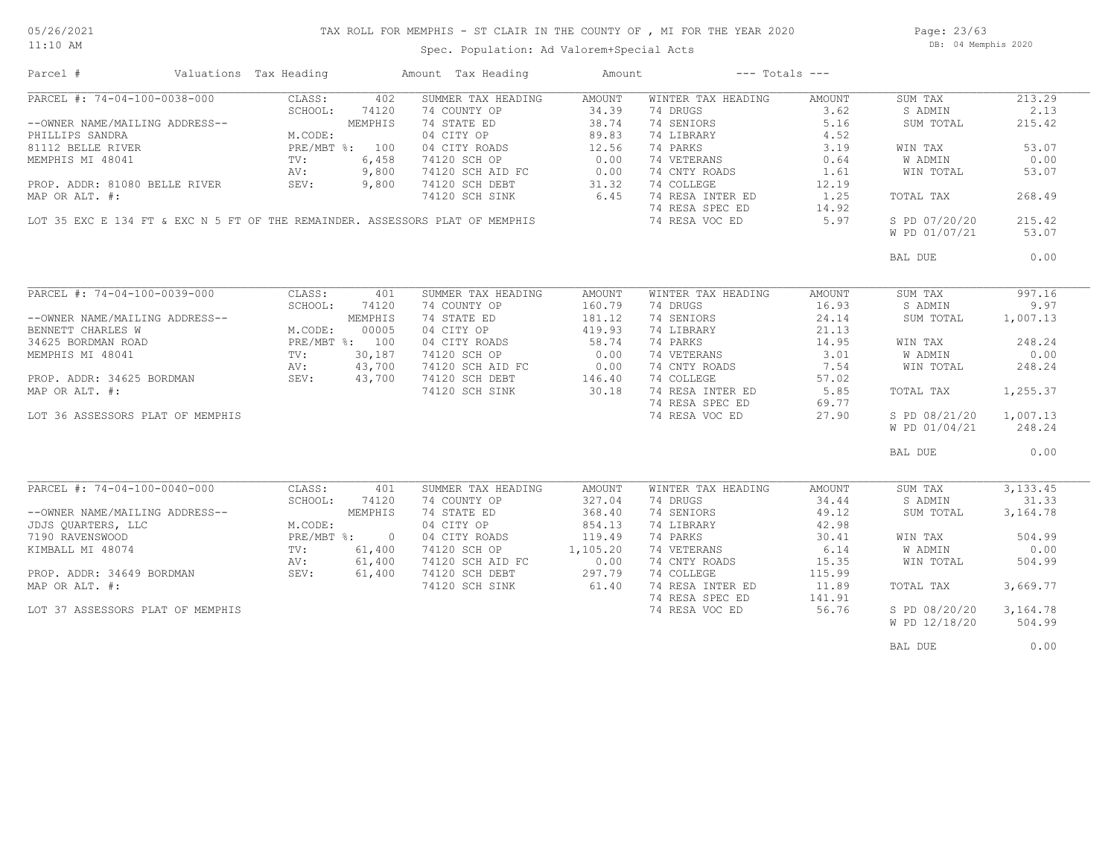## TAX ROLL FOR MEMPHIS - ST CLAIR IN THE COUNTY OF , MI FOR THE YEAR 2020

11:10 AM

### Spec. Population: Ad Valorem+Special Acts

Page: 23/63 DB: 04 Memphis 2020

| Parcel #                         | Valuations Tax Heading |                |                | Amount Tax Heading                                                           | Amount        |                    | $---$ Totals $---$ |               |           |
|----------------------------------|------------------------|----------------|----------------|------------------------------------------------------------------------------|---------------|--------------------|--------------------|---------------|-----------|
| PARCEL #: 74-04-100-0038-000     |                        | CLASS:         | 402            | SUMMER TAX HEADING                                                           | AMOUNT        | WINTER TAX HEADING | AMOUNT             | SUM TAX       | 213.29    |
|                                  |                        | SCHOOL:        | 74120          | 74 COUNTY OP                                                                 | 34.39         | 74 DRUGS           | 3.62               | S ADMIN       | 2.13      |
| --OWNER NAME/MAILING ADDRESS--   |                        |                | MEMPHIS        | 74 STATE ED                                                                  | 38.74         | 74 SENIORS         | 5.16               | SUM TOTAL     | 215.42    |
| PHILLIPS SANDRA                  |                        | M.CODE:        |                | 04 CITY OP                                                                   | 89.83         | 74 LIBRARY         | 4.52               |               |           |
| 81112 BELLE RIVER                |                        | PRE/MBT %: 100 |                | 04 CITY ROADS                                                                | 12.56         | 74 PARKS           | 3.19               | WIN TAX       | 53.07     |
| MEMPHIS MI 48041                 |                        | $\text{TV}$ :  | 6,458          | 74120 SCH OP                                                                 | 0.00          | 74 VETERANS        | 0.64               | W ADMIN       | 0.00      |
|                                  |                        | AV:            | 9,800          |                                                                              | 0.00          | 74 CNTY ROADS      | 1.61               | WIN TOTAL     | 53.07     |
|                                  |                        |                | 9,800          | 74120 SCH AID FC<br>74120 SCH DEBT                                           |               | 74 COLLEGE         | 12.19              |               |           |
| PROP. ADDR: 81080 BELLE RIVER    |                        | SEV:           |                |                                                                              | 31.32<br>6.45 |                    |                    |               |           |
| MAP OR ALT. #:                   |                        |                |                | 74120 SCH SINK                                                               |               | 74 RESA INTER ED   | 1.25               | TOTAL TAX     | 268.49    |
|                                  |                        |                |                |                                                                              |               | 74 RESA SPEC ED    | 14.92              |               |           |
|                                  |                        |                |                | LOT 35 EXC E 134 FT & EXC N 5 FT OF THE REMAINDER. ASSESSORS PLAT OF MEMPHIS |               | 74 RESA VOC ED     | 5.97               | S PD 07/20/20 | 215.42    |
|                                  |                        |                |                |                                                                              |               |                    |                    | W PD 01/07/21 | 53.07     |
|                                  |                        |                |                |                                                                              |               |                    |                    | BAL DUE       | 0.00      |
|                                  |                        |                |                |                                                                              |               |                    |                    |               |           |
|                                  |                        |                |                |                                                                              |               |                    |                    |               |           |
| PARCEL #: 74-04-100-0039-000     |                        | CLASS:         | 401            | SUMMER TAX HEADING                                                           | AMOUNT        | WINTER TAX HEADING | AMOUNT             | SUM TAX       | 997.16    |
|                                  |                        | SCHOOL:        | 74120          | 74 COUNTY OP                                                                 | 160.79        | 74 DRUGS           | 16.93              | S ADMIN       | 9.97      |
| --OWNER NAME/MAILING ADDRESS--   |                        |                | MEMPHIS        | 74 STATE ED                                                                  | 181.12        | 74 SENIORS         | 24.14              | SUM TOTAL     | 1,007.13  |
| BENNETT CHARLES W                |                        | M.CODE:        | 00005          | 04 CITY OP                                                                   | 419.93        | 74 LIBRARY         | 21.13              |               |           |
| 34625 BORDMAN ROAD               |                        | PRE/MBT %: 100 |                | 04 CITY ROADS                                                                | 58.74         | 74 PARKS           | 14.95              | WIN TAX       | 248.24    |
| MEMPHIS MI 48041                 |                        | TV:            | 30,187         | 74120 SCH OP                                                                 | 0.00          | 74 VETERANS        | 3.01               | W ADMIN       | 0.00      |
|                                  |                        | AV:            | 43,700         | 74120 SCH AID FC 0.00<br>74120 SCH DEBT 146.40                               |               | 74 CNTY ROADS      | 7.54               | WIN TOTAL     | 248.24    |
| PROP. ADDR: 34625 BORDMAN SEV:   |                        |                | 43,700         |                                                                              |               | 74 COLLEGE         | 57.02              |               |           |
| MAP OR ALT. #:                   |                        |                |                | 74120 SCH SINK                                                               | 30.18         | 74 RESA INTER ED   | 5.85               | TOTAL TAX     | 1,255.37  |
|                                  |                        |                |                |                                                                              |               | 74 RESA SPEC ED    | 69.77              |               |           |
| LOT 36 ASSESSORS PLAT OF MEMPHIS |                        |                |                |                                                                              |               | 74 RESA VOC ED     | 27.90              | S PD 08/21/20 | 1,007.13  |
|                                  |                        |                |                |                                                                              |               |                    |                    | W PD 01/04/21 | 248.24    |
|                                  |                        |                |                |                                                                              |               |                    |                    |               |           |
|                                  |                        |                |                |                                                                              |               |                    |                    | BAL DUE       | 0.00      |
|                                  |                        |                |                |                                                                              |               |                    |                    |               |           |
| $PARCEL$ #: 74-04-100-0040-000   |                        | CLASS:         | 401            | SUMMER TAX HEADING                                                           | AMOUNT        | WINTER TAX HEADING | AMOUNT             | SUM TAX       | 3, 133.45 |
|                                  |                        | SCHOOL:        | 74120          | 74 COUNTY OP                                                                 | 327.04        | 74 DRUGS           | 34.44              | S ADMIN       | 31.33     |
| --OWNER NAME/MAILING ADDRESS--   |                        |                | MEMPHIS        | 74 STATE ED                                                                  | 368.40        | 74 SENIORS         | 49.12              | SUM TOTAL     | 3,164.78  |
| JDJS QUARTERS, LLC               |                        | M.CODE:        |                | 04 CITY OP                                                                   | 854.13        | 74 LIBRARY         | 42.98              |               |           |
| 7190 RAVENSWOOD                  |                        | $PRE/MBT$ %:   | $\overline{0}$ | 04 CITY ROADS                                                                | 119.49        | 74 PARKS           | 30.41              |               | 504.99    |
|                                  |                        |                |                |                                                                              |               |                    |                    | WIN TAX       |           |
| KIMBALL MI 48074                 |                        | TV:            | 61,400         | 74120 SCH OP                                                                 | 1,105.20      | 74 VETERANS        | 6.14               | W ADMIN       | 0.00      |
|                                  |                        | AV:            | 61,400         | 74120 SCH AID FC                                                             | 0.00          | 74 CNTY ROADS      | 15.35              | WIN TOTAL     | 504.99    |
| PROP. ADDR: 34649 BORDMAN        |                        | SEV:           | 61,400         | 74120 SCH DEBT                                                               | 297.79        | 74 COLLEGE         | 115.99             |               |           |
| MAP OR ALT. #:                   |                        |                |                | 74120 SCH SINK                                                               | 61.40         | 74 RESA INTER ED   | 11.89              | TOTAL TAX     | 3,669.77  |
|                                  |                        |                |                |                                                                              |               | 74 RESA SPEC ED    | 141.91             |               |           |
| LOT 37 ASSESSORS PLAT OF MEMPHIS |                        |                |                |                                                                              |               | 74 RESA VOC ED     | 56.76              | S PD 08/20/20 | 3,164.78  |
|                                  |                        |                |                |                                                                              |               |                    |                    | W PD 12/18/20 | 504.99    |
|                                  |                        |                |                |                                                                              |               |                    |                    |               |           |
|                                  |                        |                |                |                                                                              |               |                    |                    | BAL DUE       | 0.00      |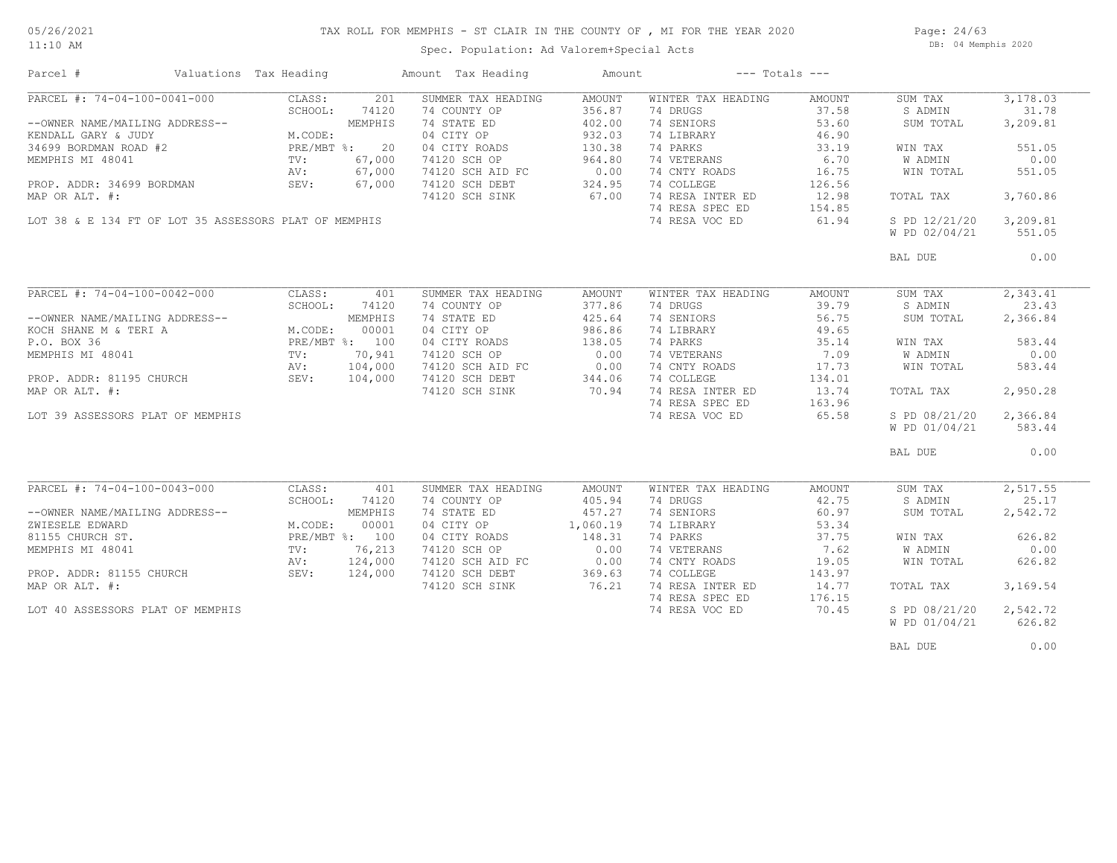#### 05/26/2021 11:10 AM

## TAX ROLL FOR MEMPHIS - ST CLAIR IN THE COUNTY OF , MI FOR THE YEAR 2020

Spec. Population: Ad Valorem+Special Acts

Page: 24/63 DB: 04 Memphis 2020

| Parcel #                                                                                                                                                                                                                                                                                                                     | Valuations Tax Heading                              |                                                                      |                                                                  | Amount Tax Heading                                                                                                                                                                           | Amount                                                                                |                                                                                                                                                                               | $---$ Totals $---$                                                                                |                                                                                                                              |                                                                                                     |
|------------------------------------------------------------------------------------------------------------------------------------------------------------------------------------------------------------------------------------------------------------------------------------------------------------------------------|-----------------------------------------------------|----------------------------------------------------------------------|------------------------------------------------------------------|----------------------------------------------------------------------------------------------------------------------------------------------------------------------------------------------|---------------------------------------------------------------------------------------|-------------------------------------------------------------------------------------------------------------------------------------------------------------------------------|---------------------------------------------------------------------------------------------------|------------------------------------------------------------------------------------------------------------------------------|-----------------------------------------------------------------------------------------------------|
| PARCEL #: 74-04-100-0041-000<br>--OWNER NAME/MAILING ADDRESS--<br>KENDALL GARY & JUDY<br>34699 BORDMAN ROAD #2<br>MEMPHIS MI 48041<br>PROP. ADDR: 34699 BORDMAN<br>MAP OR ALT. #:<br>LOT 38 & E 134 FT OF LOT 35 ASSESSORS PLAT OF MEMPHIS                                                                                   | ADDRESS--<br>M.CODE:<br>PRE/MBT %: 20<br>The ST 000 | CLASS:<br>SCHOOL:<br>TV:<br>AV:<br>SEV:                              | 201<br>74120<br>67,000<br>67,000<br>67,000                       | SUMMER TAX HEADING<br>74 COUNTY OP<br>74 STATE ED<br>04 CITY OP<br>04 CITY ROADS<br>74120 SCH OP<br>74120 SCH AID FC<br>74120 SCH DEBT<br>74120 SCH SINK                                     | AMOUNT<br>356.87<br>402.00<br>932.03<br>130.38<br>964.80<br>0.00<br>324.95<br>67.00   | WINTER TAX HEADING<br>74 DRUGS<br>74 SENIORS<br>74 LIBRARY<br>74 PARKS<br>74 VETERANS<br>74 CNTY ROADS<br>74 COLLEGE<br>74 RESA INTER ED<br>74 RESA SPEC ED<br>74 RESA VOC ED | AMOUNT<br>37.58<br>53.60<br>46.90<br>33.19<br>6.70<br>16.75<br>126.56<br>12.98<br>154.85<br>61.94 | SUM TAX<br>S ADMIN<br>SUM TOTAL<br>WIN TAX<br>W ADMIN<br>WIN TOTAL<br>TOTAL TAX<br>S PD 12/21/20<br>W PD 02/04/21            | 3,178.03<br>31.78<br>3,209.81<br>551.05<br>0.00<br>551.05<br>3,760.86<br>3,209.81<br>551.05         |
|                                                                                                                                                                                                                                                                                                                              |                                                     |                                                                      |                                                                  |                                                                                                                                                                                              |                                                                                       |                                                                                                                                                                               |                                                                                                   | BAL DUE                                                                                                                      | 0.00                                                                                                |
| PARCEL #: 74-04-100-0042-000<br>--OWNER NAME/MAILING ADDRESS--<br>KOCH SHANE M & TERI A<br>M.CODE: 00001<br>P.O. BOX 36<br>MEMPHIS MI 48041<br>PROP. ADDR: 81195 CHURCH<br>MV: 70,941<br>NV: 104,000<br>PROP. ADDR: 81195 CHURCH<br>MEMPIT & 104,000<br>MAP OR ALT. #:<br>MAP OR ALT. #:<br>LOT 39 ASSESSORS PLAT OF MEMPHIS |                                                     | CLASS:<br>SCHOOL:                                                    | 401<br>74120                                                     | SUMMER TAX HEADING<br>74 COUNTY OP<br>74 STATE ED<br>04 CITY OP<br>04 CITY ROADS<br>74120 SCH OP<br>74120 SCH AID FC 0.00<br>74120 SCH DEBT 344.06<br>74120 SCH SINK 70.94<br>74120 SCH SINK | AMOUNT<br>377.86<br>425.64<br>986.86<br>138.05<br>0.00<br>70.94                       | WINTER TAX HEADING<br>74 DRUGS<br>74 SENIORS<br>74 LIBRARY<br>74 PARKS<br>74 VETERANS<br>74 CNTY ROADS<br>74 COLLEGE<br>74 RESA INTER ED<br>74 RESA SPEC ED<br>74 RESA VOC ED | AMOUNT<br>39.79<br>56.75<br>49.65<br>35.14<br>7.09<br>17.73<br>134.01<br>13.74<br>163.96<br>65.58 | SUM TAX<br>S ADMIN<br>SUM TOTAL<br>WIN TAX<br>W ADMIN<br>WIN TOTAL<br>TOTAL TAX<br>S PD 08/21/20<br>W PD 01/04/21<br>BAL DUE | 2,343.41<br>23.43<br>2,366.84<br>583.44<br>0.00<br>583.44<br>2,950.28<br>2,366.84<br>583.44<br>0.00 |
| PARCEL #: 74-04-100-0043-000<br>--OWNER NAME/MAILING ADDRESS--<br>ZWIESELE EDWARD<br>81155 CHURCH ST.<br>MEMPHIS MI 48041<br>PROP. ADDR: 81155 CHURCH<br>MAP OR ALT. #:<br>LOT 40 ASSESSORS PLAT OF MEMPHIS                                                                                                                  |                                                     | CLASS:<br>SCHOOL:<br>M.CODE:<br>PRE/MBT %: 100<br>TV:<br>AV:<br>SEV: | 401<br>74120<br>MEMPHIS<br>00001<br>76,213<br>124,000<br>124,000 | SUMMER TAX HEADING<br>74 COUNTY OP<br>74 STATE ED<br>04 CITY OP<br>04 CITY ROADS<br>74120 SCH OP<br>74120 SCH AID FC<br>74120 SCH DEBT<br>74120 SCH SINK                                     | AMOUNT<br>405.94<br>457.27<br>1,060.19<br>148.31<br>0.00<br>$0.00$<br>369.63<br>76.21 | WINTER TAX HEADING<br>74 DRUGS<br>74 SENIORS<br>74 LIBRARY<br>74 PARKS<br>74 VETERANS<br>74 CNTY ROADS<br>74 COLLEGE<br>74 RESA INTER ED<br>74 RESA SPEC ED<br>74 RESA VOC ED | AMOUNT<br>42.75<br>60.97<br>53.34<br>37.75<br>7.62<br>19.05<br>143.97<br>14.77<br>176.15<br>70.45 | SUM TAX<br>S ADMIN<br>SUM TOTAL<br>WIN TAX<br>W ADMIN<br>WIN TOTAL<br>TOTAL TAX<br>S PD 08/21/20<br>W PD 01/04/21            | 2,517.55<br>25.17<br>2,542.72<br>626.82<br>0.00<br>626.82<br>3,169.54<br>2,542.72<br>626.82         |
|                                                                                                                                                                                                                                                                                                                              |                                                     |                                                                      |                                                                  |                                                                                                                                                                                              |                                                                                       |                                                                                                                                                                               |                                                                                                   | BAL DUE                                                                                                                      | 0.00                                                                                                |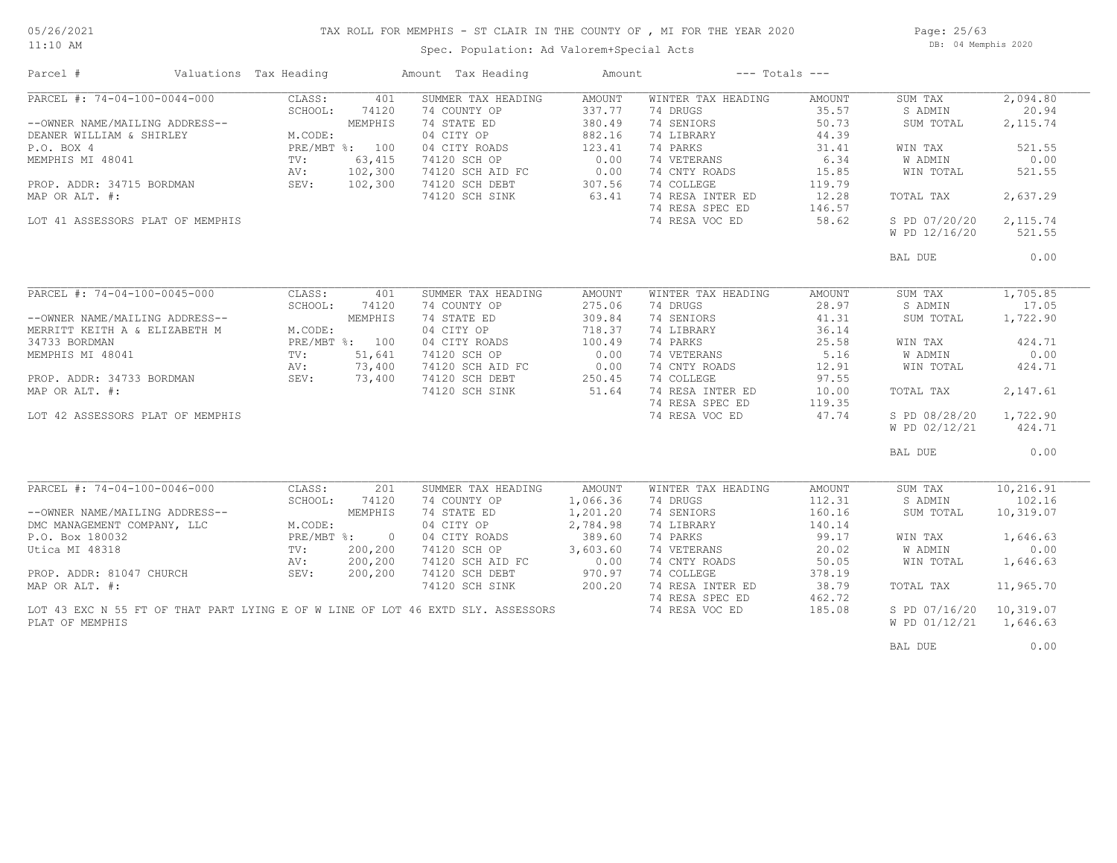#### 05/26/2021 11:10 AM

## TAX ROLL FOR MEMPHIS - ST CLAIR IN THE COUNTY OF , MI FOR THE YEAR 2020

Spec. Population: Ad Valorem+Special Acts

Page: 25/63 DB: 04 Memphis 2020

| Parcel #                         | Valuations Tax Heading |                | Amount Tax Heading                                                              | Amount   |                    | $---$ Totals $---$ |               |            |
|----------------------------------|------------------------|----------------|---------------------------------------------------------------------------------|----------|--------------------|--------------------|---------------|------------|
| PARCEL #: 74-04-100-0044-000     | CLASS:                 | 401            | SUMMER TAX HEADING                                                              | AMOUNT   | WINTER TAX HEADING | AMOUNT             | SUM TAX       | 2,094.80   |
|                                  | SCHOOL:                | 74120          | 74 COUNTY OP                                                                    | 337.77   | 74 DRUGS           | 35.57              | S ADMIN       | 20.94      |
| --OWNER NAME/MAILING ADDRESS--   |                        | MEMPHIS        | 74 STATE ED                                                                     | 380.49   | 74 SENIORS         | 50.73              | SUM TOTAL     | 2, 115.74  |
| DEANER WILLIAM & SHIRLEY         | M.CODE:                |                | 04 CITY OP                                                                      | 882.16   | 74 LIBRARY         | 44.39              |               |            |
| P.O. BOX 4                       | PRE/MBT %: 100         |                | 04 CITY ROADS                                                                   | 123.41   | 74 PARKS           | 31.41              | WIN TAX       | 521.55     |
| MEMPHIS MI 48041                 | TV:                    | 63,415         | 74120 SCH OP                                                                    | 0.00     | 74 VETERANS        | 6.34               | W ADMIN       | 0.00       |
|                                  | AV:                    | 102,300        | 74120 SCH AID FC                                                                | 0.00     | 74 CNTY ROADS      | 15.85              | WIN TOTAL     | 521.55     |
| PROP. ADDR: 34715 BORDMAN        | SEV: 102,300           |                | 74120 SCH DEBT                                                                  | 307.56   | 74 COLLEGE         | 119.79             |               |            |
| MAP OR ALT. #:                   |                        |                | 74120 SCH SINK                                                                  | 63.41    | 74 RESA INTER ED   | 12.28              | TOTAL TAX     | 2,637.29   |
|                                  |                        |                |                                                                                 |          | 74 RESA SPEC ED    | 146.57             |               |            |
| LOT 41 ASSESSORS PLAT OF MEMPHIS |                        |                |                                                                                 |          | 74 RESA VOC ED     | 58.62              | S PD 07/20/20 | 2,115.74   |
|                                  |                        |                |                                                                                 |          |                    |                    | W PD 12/16/20 | 521.55     |
|                                  |                        |                |                                                                                 |          |                    |                    |               |            |
|                                  |                        |                |                                                                                 |          |                    |                    | BAL DUE       | 0.00       |
|                                  |                        |                |                                                                                 |          |                    |                    |               |            |
|                                  |                        |                |                                                                                 |          |                    |                    |               |            |
| PARCEL #: 74-04-100-0045-000     | CLASS:                 | 401            | SUMMER TAX HEADING                                                              | AMOUNT   | WINTER TAX HEADING | AMOUNT             | SUM TAX       | 1,705.85   |
|                                  | SCHOOL:                | 74120          | 74 COUNTY OP                                                                    | 275.06   | 74 DRUGS           | 28.97              | S ADMIN       | 17.05      |
| --OWNER NAME/MAILING ADDRESS--   |                        | MEMPHIS        | 74 STATE ED                                                                     | 309.84   | 74 SENIORS         | 41.31              | SUM TOTAL     | 1,722.90   |
| MERRITT KEITH A & ELIZABETH M    | M.CODE:                |                | 04 CITY OP                                                                      | 718.37   | 74 LIBRARY         | 36.14              |               |            |
| 34733 BORDMAN                    |                        | PRE/MBT %: 100 | 04 CITY ROADS                                                                   | 100.49   | 74 PARKS           | 25.58              | WIN TAX       | 424.71     |
| MEMPHIS MI 48041                 | TV:                    | 51,641         | 74120 SCH OP                                                                    | 0.00     | 74 VETERANS        | 5.16               | W ADMIN       | 0.00       |
|                                  | AV:                    | 73,400         | 74120 SCH AID FC                                                                | 0.00     | 74 CNTY ROADS      | 12.91              | WIN TOTAL     | 424.71     |
| PROP. ADDR: 34733 BORDMAN        | SEV:                   | 73,400         | 74120 SCH DEBT                                                                  | 250.45   | 74 COLLEGE         | 97.55              |               |            |
| MAP OR ALT. #:                   |                        |                | 74120 SCH SINK                                                                  | 51.64    | 74 RESA INTER ED   | 10.00              | TOTAL TAX     | 2,147.61   |
|                                  |                        |                |                                                                                 |          | 74 RESA SPEC ED    | 119.35             |               |            |
| LOT 42 ASSESSORS PLAT OF MEMPHIS |                        |                |                                                                                 |          | 74 RESA VOC ED     | 47.74              | S PD 08/28/20 | 1,722.90   |
|                                  |                        |                |                                                                                 |          |                    |                    | W PD 02/12/21 | 424.71     |
|                                  |                        |                |                                                                                 |          |                    |                    |               |            |
|                                  |                        |                |                                                                                 |          |                    |                    | BAL DUE       | 0.00       |
|                                  |                        |                |                                                                                 |          |                    |                    |               |            |
| PARCEL #: 74-04-100-0046-000     | CLASS:                 | 201            | SUMMER TAX HEADING                                                              | AMOUNT   | WINTER TAX HEADING | AMOUNT             | SUM TAX       | 10, 216.91 |
|                                  | SCHOOL:                | 74120          | 74 COUNTY OP                                                                    | 1,066.36 | 74 DRUGS           | 112.31             | S ADMIN       | 102.16     |
| --OWNER NAME/MAILING ADDRESS--   |                        | MEMPHIS        | 74 STATE ED                                                                     | 1,201.20 | 74 SENIORS         | 160.16             | SUM TOTAL     | 10,319.07  |
| DMC MANAGEMENT COMPANY, LLC      | M.CODE:                |                | 04 CITY OP                                                                      | 2,784.98 | 74 LIBRARY         | 140.14             |               |            |
| P.O. Box 180032                  | $PRE/MBT$ %:           | $\overline{0}$ | 04 CITY ROADS                                                                   | 389.60   | 74 PARKS           | 99.17              | WIN TAX       | 1,646.63   |
| Utica MI 48318                   | $\text{TV}$ :          | 200,200        | 74120 SCH OP                                                                    | 3,603.60 | 74 VETERANS        | 20.02              | W ADMIN       | 0.00       |
|                                  | AV:                    | 200,200        | 74120 SCH AID FC                                                                | 0.00     | 74 CNTY ROADS      | 50.05              | WIN TOTAL     | 1,646.63   |
| PROP. ADDR: 81047 CHURCH         | SEV:                   | 200,200        | 74120 SCH DEBT                                                                  | 970.97   | 74 COLLEGE         | 378.19             |               |            |
| MAP OR ALT. #:                   |                        |                | 74120 SCH SINK                                                                  | 200.20   | 74 RESA INTER ED   | 38.79              | TOTAL TAX     | 11,965.70  |
|                                  |                        |                |                                                                                 |          | 74 RESA SPEC ED    | 462.72             |               |            |
|                                  |                        |                | LOT 43 EXC N 55 FT OF THAT PART LYING E OF W LINE OF LOT 46 EXTD SLY. ASSESSORS |          | 74 RESA VOC ED     | 185.08             | S PD 07/16/20 | 10,319.07  |
| PLAT OF MEMPHIS                  |                        |                |                                                                                 |          |                    |                    | W PD 01/12/21 | 1,646.63   |
|                                  |                        |                |                                                                                 |          |                    |                    |               |            |
|                                  |                        |                |                                                                                 |          |                    |                    | BAL DUE       | 0.00       |
|                                  |                        |                |                                                                                 |          |                    |                    |               |            |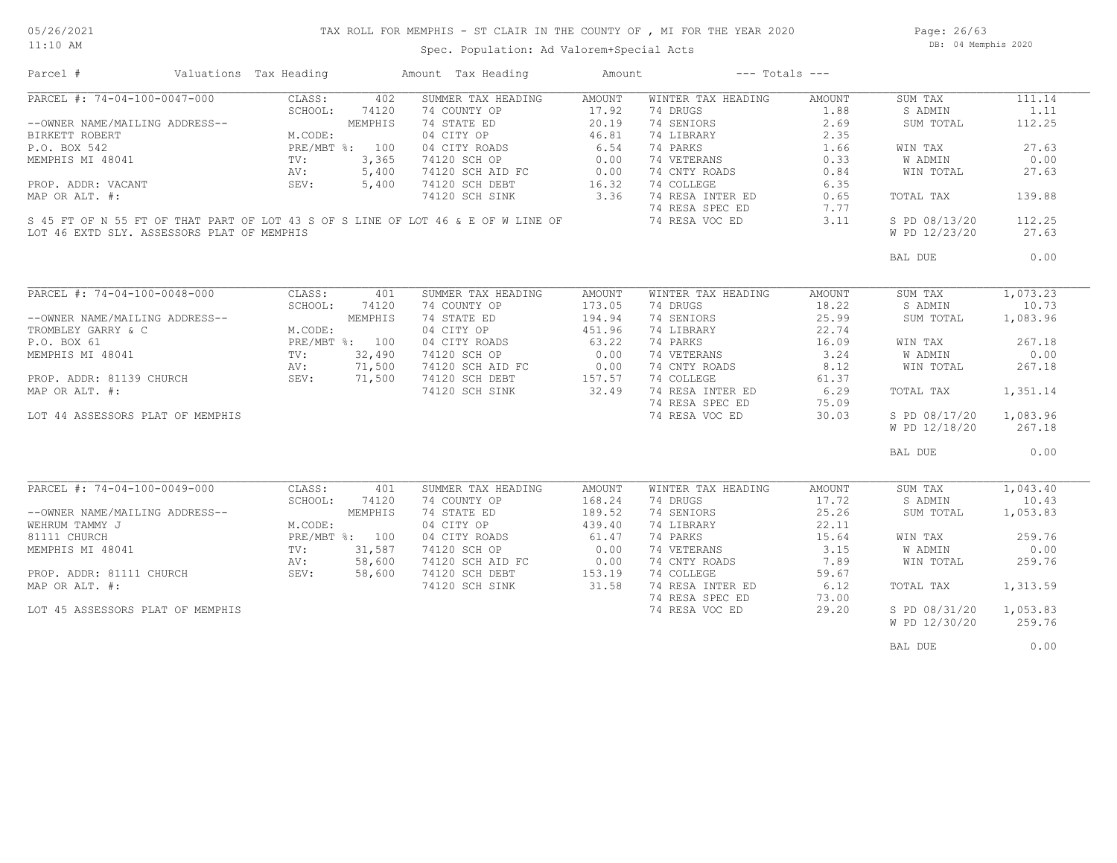Page: 26/63 DB: 04 Memphis 2020

Spec. Population: Ad Valorem+Special Acts

| Parcel #                                   | Valuations Tax Heading |                | Amount Tax Heading                                                               | Amount |                    | $---$ Totals $---$ |                |          |
|--------------------------------------------|------------------------|----------------|----------------------------------------------------------------------------------|--------|--------------------|--------------------|----------------|----------|
| PARCEL #: 74-04-100-0047-000               | CLASS:                 | 402            | SUMMER TAX HEADING                                                               | AMOUNT | WINTER TAX HEADING | AMOUNT             | SUM TAX        | 111.14   |
|                                            | SCHOOL:                | 74120          | 74 COUNTY OP                                                                     | 17.92  | 74 DRUGS           | 1.88               | S ADMIN        | 1.11     |
| --OWNER NAME/MAILING ADDRESS--             |                        | MEMPHIS        | 74 STATE ED                                                                      | 20.19  | 74 SENIORS         | 2.69               | SUM TOTAL      | 112.25   |
| BIRKETT ROBERT                             | M.CODE:                |                | 04 CITY OP                                                                       | 46.81  | 74 LIBRARY         | 2.35               |                |          |
| P.O. BOX 542                               |                        | PRE/MBT %: 100 | 04 CITY ROADS                                                                    | 6.54   | 74 PARKS           | 1.66               | WIN TAX        | 27.63    |
| MEMPHIS MI 48041                           | TV:                    | 3,365          | 74120 SCH OP                                                                     | 0.00   | 74 VETERANS        | 0.33               | W ADMIN        | 0.00     |
|                                            | AV:                    | 5,400          | 74120 SCH AID FC                                                                 | 0.00   | 74 CNTY ROADS      | 0.84               | WIN TOTAL      | 27.63    |
| PROP. ADDR: VACANT                         | SEV:                   | 5,400          | 74120 SCH DEBT                                                                   | 16.32  | 74 COLLEGE         | 6.35               |                |          |
| MAP OR ALT. #:                             |                        |                | 74120 SCH SINK                                                                   | 3.36   | 74 RESA INTER ED   | 0.65               | TOTAL TAX      | 139.88   |
|                                            |                        |                |                                                                                  |        | 74 RESA SPEC ED    | 7.77               |                |          |
|                                            |                        |                | S 45 FT OF N 55 FT OF THAT PART OF LOT 43 S OF S LINE OF LOT 46 & E OF W LINE OF |        | 74 RESA VOC ED     | 3.11               | S PD 08/13/20  | 112.25   |
|                                            |                        |                |                                                                                  |        |                    |                    |                |          |
| LOT 46 EXTD SLY. ASSESSORS PLAT OF MEMPHIS |                        |                |                                                                                  |        |                    |                    | W PD 12/23/20  | 27.63    |
|                                            |                        |                |                                                                                  |        |                    |                    | BAL DUE        | 0.00     |
|                                            |                        |                |                                                                                  |        |                    |                    |                |          |
| PARCEL #: 74-04-100-0048-000               | CLASS:                 | 401            | SUMMER TAX HEADING                                                               | AMOUNT | WINTER TAX HEADING | AMOUNT             | SUM TAX        | 1,073.23 |
|                                            | SCHOOL:                | 74120          | 74 COUNTY OP                                                                     | 173.05 | 74 DRUGS           | 18.22              | S ADMIN        | 10.73    |
| --OWNER NAME/MAILING ADDRESS--             |                        | MEMPHIS        | 74 STATE ED                                                                      | 194.94 | 74 SENIORS         | 25.99              | SUM TOTAL      | 1,083.96 |
| TROMBLEY GARRY & C                         | M.CODE:                |                | 04 CITY OP                                                                       | 451.96 | 74 LIBRARY         | 22.74              |                |          |
| P.O. BOX 61                                |                        | PRE/MBT %: 100 | 04 CITY ROADS                                                                    | 63.22  | 74 PARKS           | 16.09              | WIN TAX        | 267.18   |
| MEMPHIS MI 48041                           | TV:                    | 32,490         | 74120 SCH OP                                                                     | 0.00   | 74 VETERANS        | 3.24               | W ADMIN        | 0.00     |
|                                            | AV:                    | 71,500         | 74120 SCH AID FC                                                                 | 0.00   | 74 CNTY ROADS      | 8.12               | WIN TOTAL      | 267.18   |
|                                            |                        |                |                                                                                  | 157.57 | 74 COLLEGE         |                    |                |          |
| PROP. ADDR: 81139 CHURCH                   | SEV:                   | 71,500         | 74120 SCH DEBT                                                                   |        |                    | 61.37              |                |          |
| MAP OR ALT. #:                             |                        |                | 74120 SCH SINK                                                                   | 32.49  | 74 RESA INTER ED   | 6.29               | TOTAL TAX      | 1,351.14 |
|                                            |                        |                |                                                                                  |        | 74 RESA SPEC ED    | 75.09              |                |          |
| LOT 44 ASSESSORS PLAT OF MEMPHIS           |                        |                |                                                                                  |        | 74 RESA VOC ED     | 30.03              | S PD 08/17/20  | 1,083.96 |
|                                            |                        |                |                                                                                  |        |                    |                    | W PD 12/18/20  | 267.18   |
|                                            |                        |                |                                                                                  |        |                    |                    | BAL DUE        | 0.00     |
|                                            |                        |                |                                                                                  |        |                    |                    |                |          |
| PARCEL #: 74-04-100-0049-000               | CLASS:                 | 401            | SUMMER TAX HEADING                                                               | AMOUNT | WINTER TAX HEADING | AMOUNT             | SUM TAX        | 1,043.40 |
|                                            | SCHOOL:                | 74120          | 74 COUNTY OP                                                                     | 168.24 | 74 DRUGS           | 17.72              | S ADMIN        | 10.43    |
| --OWNER NAME/MAILING ADDRESS--             |                        | MEMPHIS        | 74 STATE ED                                                                      | 189.52 | 74 SENIORS         | 25.26              | SUM TOTAL      | 1,053.83 |
| WEHRUM TAMMY J                             | M.CODE:                |                | 04 CITY OP                                                                       | 439.40 | 74 LIBRARY         | 22.11              |                |          |
| 81111 CHURCH                               |                        | PRE/MBT %: 100 | 04 CITY ROADS                                                                    | 61.47  | 74 PARKS           | 15.64              | WIN TAX        | 259.76   |
| MEMPHIS MI 48041                           | TV:                    | 31,587         | 74120 SCH OP                                                                     | 0.00   | 74 VETERANS        | 3.15               | W ADMIN        | 0.00     |
|                                            | AV:                    | 58,600         | 74120 SCH AID FC                                                                 | 0.00   | 74 CNTY ROADS      | 7.89               | WIN TOTAL      | 259.76   |
| PROP. ADDR: 81111 CHURCH                   | SEV:                   | 58,600         | 74120 SCH DEBT                                                                   | 153.19 | 74 COLLEGE         | 59.67              |                |          |
| MAP OR ALT. #:                             |                        |                | 74120 SCH SINK                                                                   | 31.58  | 74 RESA INTER ED   | 6.12               | TOTAL TAX      | 1,313.59 |
|                                            |                        |                |                                                                                  |        | 74 RESA SPEC ED    | 73.00              |                |          |
| LOT 45 ASSESSORS PLAT OF MEMPHIS           |                        |                |                                                                                  |        | 74 RESA VOC ED     | 29.20              | S PD 08/31/20  | 1,053.83 |
|                                            |                        |                |                                                                                  |        |                    |                    | W PD 12/30/20  | 259.76   |
|                                            |                        |                |                                                                                  |        |                    |                    |                |          |
|                                            |                        |                |                                                                                  |        |                    |                    | <b>BAL DUE</b> | 0.00     |
|                                            |                        |                |                                                                                  |        |                    |                    |                |          |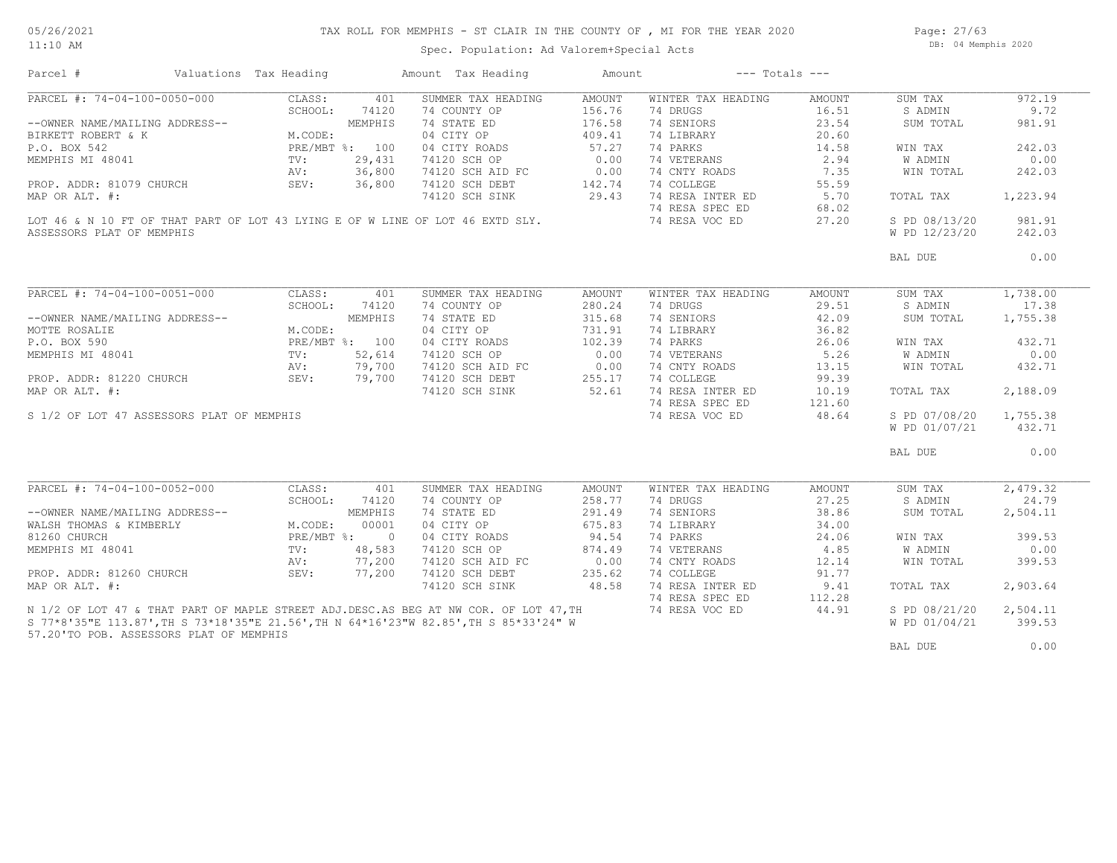Spec. Population: Ad Valorem+Special Acts

Page: 27/63 DB: 04 Memphis 2020

| Parcel #                                                                                                                                                                                  | Valuations Tax Heading                                                              |                | Amount Tax Heading                                                                          | Amount | $---$ Totals $---$ |        |               |          |
|-------------------------------------------------------------------------------------------------------------------------------------------------------------------------------------------|-------------------------------------------------------------------------------------|----------------|---------------------------------------------------------------------------------------------|--------|--------------------|--------|---------------|----------|
| PARCEL #: 74-04-100-0050-000                                                                                                                                                              | CLASS:                                                                              | 401            | SUMMER TAX HEADING                                                                          | AMOUNT | WINTER TAX HEADING | AMOUNT | SUM TAX       | 972.19   |
|                                                                                                                                                                                           |                                                                                     |                | 74 COUNTY OP                                                                                | 156.76 | 74 DRUGS           | 16.51  | S ADMIN       | 9.72     |
| --OWNER NAME/MAILING ADDRESS--                                                                                                                                                            | UU<br>JDRESS--<br>M.CODE:<br>PRE/MBT %: 100<br>TV: 29,431<br>AV: 36,80<br>SEV: 36,8 |                |                                                                                             |        | 74 SENIORS         | 23.54  | SUM TOTAL     | 981.91   |
| BIRKETT ROBERT & K                                                                                                                                                                        |                                                                                     |                | 74 STATE ED 176.58<br>04 CITY OP 409.41                                                     |        | 74 LIBRARY         | 20.60  |               |          |
| P.O. BOX 542                                                                                                                                                                              |                                                                                     |                |                                                                                             | 57.27  | 74 PARKS           | 14.58  | WIN TAX       | 242.03   |
| MEMPHIS MI 48041                                                                                                                                                                          |                                                                                     |                | 04 CITY ROADS<br>74120 SCH OP                                                               | 0.00   | 74 VETERANS        | 2.94   | W ADMIN       | 0.00     |
|                                                                                                                                                                                           |                                                                                     |                |                                                                                             |        | 74 CNTY ROADS      | 7.35   | WIN TOTAL     | 242.03   |
| PROP. ADDR: 81079 CHURCH                                                                                                                                                                  |                                                                                     |                | 74120 SCH AID FC 0.00<br>74120 SCH DEBT 142.74                                              |        | 74 COLLEGE         | 55.59  |               |          |
|                                                                                                                                                                                           |                                                                                     |                |                                                                                             |        | 74 RESA INTER ED   |        |               | 1,223.94 |
| MAP OR ALT. #:                                                                                                                                                                            |                                                                                     |                | 74120 SCH SINK                                                                              | 29.43  |                    | 5.70   | TOTAL TAX     |          |
|                                                                                                                                                                                           |                                                                                     |                |                                                                                             |        | 74 RESA SPEC ED    | 68.02  |               |          |
|                                                                                                                                                                                           |                                                                                     |                | LOT 46 & N 10 FT OF THAT PART OF LOT 43 LYING E OF W LINE OF LOT 46 EXTD SLY.               |        | 74 RESA VOC ED     | 27.20  | S PD 08/13/20 | 981.91   |
| ASSESSORS PLAT OF MEMPHIS                                                                                                                                                                 |                                                                                     |                |                                                                                             |        |                    |        | W PD 12/23/20 | 242.03   |
|                                                                                                                                                                                           |                                                                                     |                |                                                                                             |        |                    |        | BAL DUE       | 0.00     |
|                                                                                                                                                                                           |                                                                                     |                |                                                                                             |        |                    |        |               |          |
| PARCEL #: 74-04-100-0051-000                                                                                                                                                              | CLASS:                                                                              | 401            | SUMMER TAX HEADING                                                                          | AMOUNT | WINTER TAX HEADING | AMOUNT | SUM TAX       | 1,738.00 |
|                                                                                                                                                                                           | SCHOOL:                                                                             | 74120          | 74 COUNTY OP                                                                                | 280.24 | 74 DRUGS           | 29.51  | S ADMIN       | 17.38    |
| --OWNER NAME/MAILING ADDRESS--                                                                                                                                                            |                                                                                     | MEMPHIS        | 74 STATE ED                                                                                 | 315.68 | 74 SENIORS         | 42.09  | SUM TOTAL     | 1,755.38 |
| MOTTE ROSALIE                                                                                                                                                                             | M.CODE:                                                                             |                | 04 CITY OP                                                                                  | 731.91 | 74 LIBRARY         | 36.82  |               |          |
| P.O. BOX 590                                                                                                                                                                              |                                                                                     | PRE/MBT %: 100 | 04 CITY ROADS                                                                               | 102.39 | 74 PARKS           | 26.06  | WIN TAX       | 432.71   |
| MEMPHIS MI 48041                                                                                                                                                                          |                                                                                     |                |                                                                                             |        | 74 VETERANS        | 5.26   | W ADMIN       | 0.00     |
|                                                                                                                                                                                           | 2 100<br>2,614<br>2,614<br>2,79,700<br>2 19,700<br>2 19,700                         |                | 74120 SCH OP<br>74120 SCH OP<br>74120 SCH DEBT<br>74120 SCH DEBT<br>74120 SCH SINK<br>52.61 |        | 74 CNTY ROADS      | 13.15  | WIN TOTAL     | 432.71   |
| PROP. ADDR: 81220 CHURCH                                                                                                                                                                  |                                                                                     |                |                                                                                             |        | 74 COLLEGE         | 99.39  |               |          |
| MAP OR ALT. #:                                                                                                                                                                            |                                                                                     |                |                                                                                             |        | 74 RESA INTER ED   | 10.19  | TOTAL TAX     | 2,188.09 |
|                                                                                                                                                                                           |                                                                                     |                |                                                                                             |        | 74 RESA SPEC ED    | 121.60 |               |          |
| S 1/2 OF LOT 47 ASSESSORS PLAT OF MEMPHIS                                                                                                                                                 |                                                                                     |                |                                                                                             |        | 74 RESA VOC ED     | 48.64  | S PD 07/08/20 | 1,755.38 |
|                                                                                                                                                                                           |                                                                                     |                |                                                                                             |        |                    |        | W PD 01/07/21 | 432.71   |
|                                                                                                                                                                                           |                                                                                     |                |                                                                                             |        |                    |        |               |          |
|                                                                                                                                                                                           |                                                                                     |                |                                                                                             |        |                    |        | BAL DUE       | 0.00     |
|                                                                                                                                                                                           |                                                                                     |                |                                                                                             |        |                    |        |               |          |
| PARCEL #: 74-04-100-0052-000                                                                                                                                                              | CLASS:                                                                              | 401            | SUMMER TAX HEADING                                                                          | AMOUNT | WINTER TAX HEADING | AMOUNT | SUM TAX       | 2,479.32 |
|                                                                                                                                                                                           | SCHOOL:                                                                             | 74120          | 74 COUNTY OP                                                                                | 258.77 | 74 DRUGS           | 27.25  | S ADMIN       | 24.79    |
| --OWNER NAME/MAILING ADDRESS--<br>WALSH THOMAS & KIMBERLY<br>MALSH THOMAS & KIMBERLY<br>M.CODE: 00001<br>81260 CHURCH<br>MEMPHIS MI 48041<br>TV: 48,583<br>NEMPHIS MI 48041<br>TV: 48,583 |                                                                                     |                | 74 STATE ED                                                                                 | 291.49 | 74 SENIORS         | 38.86  | SUM TOTAL     | 2,504.11 |
|                                                                                                                                                                                           |                                                                                     |                | 04 CITY OP                                                                                  | 675.83 | 74 LIBRARY         | 34.00  |               |          |
|                                                                                                                                                                                           |                                                                                     |                | 04 CITY ROADS                                                                               | 94.54  | 74 PARKS           | 24.06  | WIN TAX       | 399.53   |
|                                                                                                                                                                                           |                                                                                     |                | 74120 SCH OP                                                                                | 874.49 | 74 VETERANS        | 4.85   | W ADMIN       | 0.00     |
|                                                                                                                                                                                           | AV:                                                                                 | 77,200         | 74120 SCH AID FC 0.00                                                                       |        | 74 CNTY ROADS      | 12.14  | WIN TOTAL     | 399.53   |
| PROP. ADDR: 81260 CHURCH                                                                                                                                                                  | SEV:                                                                                | 77,200         | 74120 SCH DEBT                                                                              | 235.62 | 74 COLLEGE         | 91.77  |               |          |
| MAP OR ALT. #:                                                                                                                                                                            |                                                                                     |                | 74120 SCH SINK                                                                              | 48.58  | 74 RESA INTER ED   | 9.41   | TOTAL TAX     | 2,903.64 |
|                                                                                                                                                                                           |                                                                                     |                |                                                                                             |        | 74 RESA SPEC ED    | 112.28 |               |          |
|                                                                                                                                                                                           |                                                                                     |                | N 1/2 OF LOT 47 & THAT PART OF MAPLE STREET ADJ. DESC. AS BEG AT NW COR. OF LOT 47, TH      |        | 74 RESA VOC ED     | 44.91  | S PD 08/21/20 | 2,504.11 |
|                                                                                                                                                                                           |                                                                                     |                | S 77*8'35"E 113.87', TH S 73*18'35"E 21.56', TH N 64*16'23"W 82.85', TH S 85*33'24" W       |        |                    |        | W PD 01/04/21 | 399.53   |
| 57.20'TO POB. ASSESSORS PLAT OF MEMPHIS                                                                                                                                                   |                                                                                     |                |                                                                                             |        |                    |        |               |          |
|                                                                                                                                                                                           |                                                                                     |                |                                                                                             |        |                    |        | BAL DUE       | 0.00     |
|                                                                                                                                                                                           |                                                                                     |                |                                                                                             |        |                    |        |               |          |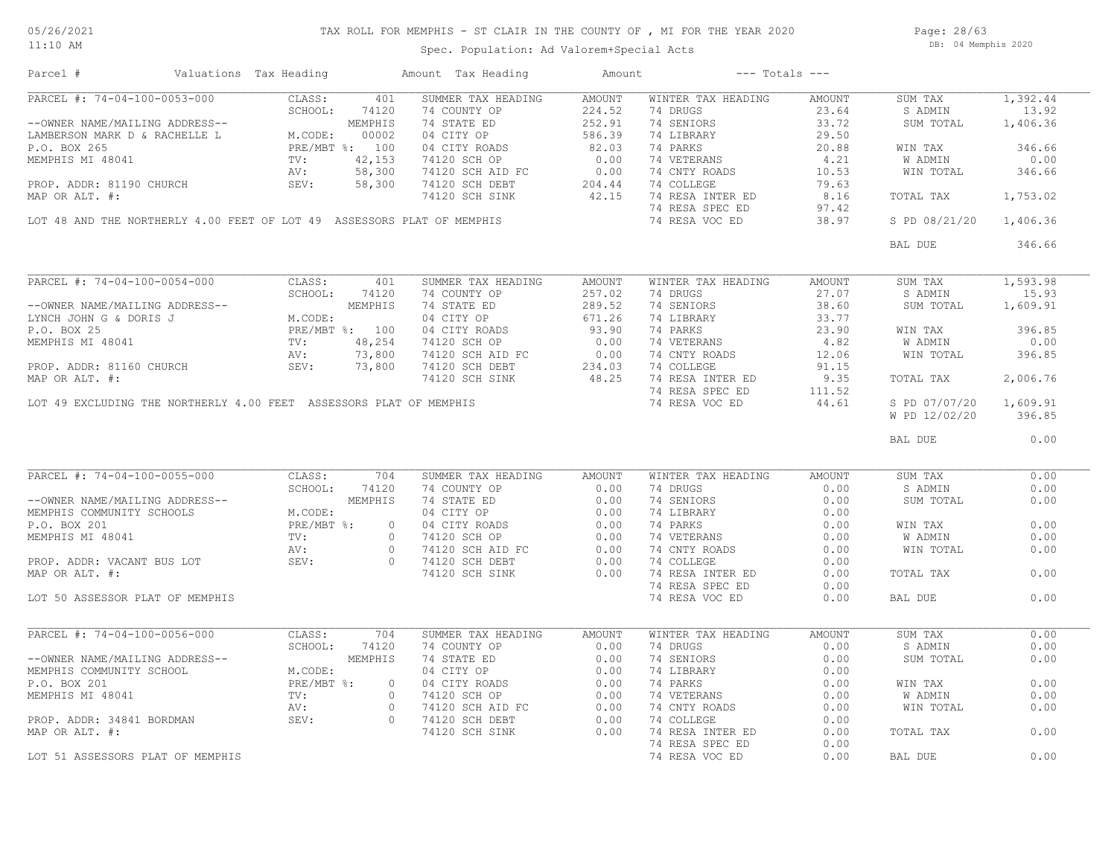Spec. Population: Ad Valorem+Special Acts

Page: 28/63 DB: 04 Memphis 2020

| Parcel #                                                                                       | Valuations Tax Heading                                                                                                                                                                                                                                     | Amount Tax Heading                                                                                                                                                                                                                           | Amount | $---$ Totals $---$                                                                                                                                                                                                                                                                                                                                                                                                                                      |        |                        |          |
|------------------------------------------------------------------------------------------------|------------------------------------------------------------------------------------------------------------------------------------------------------------------------------------------------------------------------------------------------------------|----------------------------------------------------------------------------------------------------------------------------------------------------------------------------------------------------------------------------------------------|--------|---------------------------------------------------------------------------------------------------------------------------------------------------------------------------------------------------------------------------------------------------------------------------------------------------------------------------------------------------------------------------------------------------------------------------------------------------------|--------|------------------------|----------|
| PARCEL #: 74-04-100-0053-000                                                                   | CLASS:                                                                                                                                                                                                                                                     | 401<br>SUMMER TAX HEADING                                                                                                                                                                                                                    | AMOUNT | WINTER TAX HEADING                                                                                                                                                                                                                                                                                                                                                                                                                                      | AMOUNT | SUM TAX                | 1,392.44 |
|                                                                                                | SCHOOL:<br>74120                                                                                                                                                                                                                                           | 74 COUNTY OP                                                                                                                                                                                                                                 | 224.52 | 74 DRUGS                                                                                                                                                                                                                                                                                                                                                                                                                                                | 23.64  | S ADMIN                | 13.92    |
|                                                                                                | --OWNER NAME/MAILING ADDRESS--<br>LAMBERSON MARK D & RACHELLE L<br>P.O. BOX 265<br>MEMPHIS MI 48041<br>MEMPHIS MI 48041<br>PROP. ADDR: 81190 CHURCH<br>PROP. ADDR: 81190 CHURCH<br>SEV: 58,300                                                             | 74 STATE ED                                                                                                                                                                                                                                  | 252.91 | 74 SENIORS                                                                                                                                                                                                                                                                                                                                                                                                                                              | 33.72  | SUM TOTAL              | 1,406.36 |
|                                                                                                |                                                                                                                                                                                                                                                            | 04 CITY OP<br>04 CITY ROADS                                                                                                                                                                                                                  | 586.39 | 74 LIBRARY                                                                                                                                                                                                                                                                                                                                                                                                                                              | 29.50  |                        |          |
|                                                                                                |                                                                                                                                                                                                                                                            | 04 CITY ROADS                                                                                                                                                                                                                                | 82.03  | 74 PARKS                                                                                                                                                                                                                                                                                                                                                                                                                                                | 20.88  | WIN TAX                | 346.66   |
|                                                                                                |                                                                                                                                                                                                                                                            | 74120 SCH OP                                                                                                                                                                                                                                 | 0.00   | 74 VETERANS                                                                                                                                                                                                                                                                                                                                                                                                                                             | 4.21   | W ADMIN                | 0.00     |
|                                                                                                |                                                                                                                                                                                                                                                            | 74120 SCH AID FC<br>74120 SCH AID FC 0.00<br>74120 SCH BEBT 204.44<br>74120 SCH SINK 42.15                                                                                                                                                   |        | 74 CNTY ROADS                                                                                                                                                                                                                                                                                                                                                                                                                                           | 10.53  | WIN TOTAL              | 346.66   |
|                                                                                                |                                                                                                                                                                                                                                                            |                                                                                                                                                                                                                                              |        | 74 COLLEGE                                                                                                                                                                                                                                                                                                                                                                                                                                              | 79.63  |                        |          |
| MAP OR ALT. #:                                                                                 |                                                                                                                                                                                                                                                            |                                                                                                                                                                                                                                              |        | 74 RESA INTER ED                                                                                                                                                                                                                                                                                                                                                                                                                                        | 8.16   | TOTAL TAX              | 1,753.02 |
|                                                                                                |                                                                                                                                                                                                                                                            |                                                                                                                                                                                                                                              |        | 74 RESA SPEC ED                                                                                                                                                                                                                                                                                                                                                                                                                                         | 97.42  |                        |          |
|                                                                                                | LOT 48 AND THE NORTHERLY 4.00 FEET OF LOT 49 ASSESSORS PLAT OF MEMPHIS                                                                                                                                                                                     |                                                                                                                                                                                                                                              |        | 74 RESA VOC ED                                                                                                                                                                                                                                                                                                                                                                                                                                          | 38.97  | S PD 08/21/20 1,406.36 |          |
|                                                                                                |                                                                                                                                                                                                                                                            |                                                                                                                                                                                                                                              |        |                                                                                                                                                                                                                                                                                                                                                                                                                                                         |        | BAL DUE                | 346.66   |
|                                                                                                |                                                                                                                                                                                                                                                            |                                                                                                                                                                                                                                              |        |                                                                                                                                                                                                                                                                                                                                                                                                                                                         |        |                        |          |
|                                                                                                | PARCEL #: 74-04-100-0054-000 CLASS: 401<br>-OWNER NAME/MAILING ADDRESS--<br>LYNCH JOHN G & DORIS J MEMPHIS<br>P.O. BOX 25<br>P.O. BOX 25<br>PROP. ADDR: 81160 CHURCH SEV: 73,800<br>PROP. ADDR: 81160 CHURCH SEV: 73,800<br>PROP. ADDR: 73,8<br>CLASS: 401 | SUMMER TAX HEADING                                                                                                                                                                                                                           | AMOUNT | WINTER TAX HEADING                                                                                                                                                                                                                                                                                                                                                                                                                                      | AMOUNT | SUM TAX                | 1,593.98 |
|                                                                                                |                                                                                                                                                                                                                                                            |                                                                                                                                                                                                                                              | 257.02 | 74 DRUGS                                                                                                                                                                                                                                                                                                                                                                                                                                                | 27.07  | S ADMIN                | 15.93    |
|                                                                                                |                                                                                                                                                                                                                                                            | 30 NEWS COUNTY OF                                                                                                                                                                                                                            | 289.52 | 74 SENIORS                                                                                                                                                                                                                                                                                                                                                                                                                                              | 38.60  | SUM TOTAL              | 1,609.91 |
|                                                                                                |                                                                                                                                                                                                                                                            | 04 CITY OP                                                                                                                                                                                                                                   | 671.26 | 74 LIBRARY                                                                                                                                                                                                                                                                                                                                                                                                                                              | 33.77  |                        |          |
|                                                                                                |                                                                                                                                                                                                                                                            |                                                                                                                                                                                                                                              |        |                                                                                                                                                                                                                                                                                                                                                                                                                                                         |        | WIN TAX                | 396.85   |
|                                                                                                |                                                                                                                                                                                                                                                            |                                                                                                                                                                                                                                              |        | 74 PARKS 23.90<br>74 VETERANS 4.82                                                                                                                                                                                                                                                                                                                                                                                                                      |        | W ADMIN                | 0.00     |
|                                                                                                |                                                                                                                                                                                                                                                            |                                                                                                                                                                                                                                              |        |                                                                                                                                                                                                                                                                                                                                                                                                                                                         |        | WIN TOTAL              | 396.85   |
|                                                                                                |                                                                                                                                                                                                                                                            |                                                                                                                                                                                                                                              |        | 74 CNTY ROADS 12.06<br>74 COLLEGE 91.15<br>74 COLLEGE                                                                                                                                                                                                                                                                                                                                                                                                   |        |                        |          |
| MAP OR ALT. #:                                                                                 |                                                                                                                                                                                                                                                            | 04 CITY ROADS<br>74120 SCH OP 0.00<br>74120 SCH AID FC 0.00<br>74120 SCH DEBT 234.03<br>74120 SCH SINK 48.25                                                                                                                                 |        | 74 RESA INTER ED 9.35                                                                                                                                                                                                                                                                                                                                                                                                                                   |        | TOTAL TAX              | 2,006.76 |
|                                                                                                |                                                                                                                                                                                                                                                            |                                                                                                                                                                                                                                              |        |                                                                                                                                                                                                                                                                                                                                                                                                                                                         |        |                        |          |
|                                                                                                |                                                                                                                                                                                                                                                            |                                                                                                                                                                                                                                              |        | 74 RESA SPEC ED                                                                                                                                                                                                                                                                                                                                                                                                                                         | 111.52 |                        |          |
|                                                                                                | LOT 49 EXCLUDING THE NORTHERLY 4.00 FEET ASSESSORS PLAT OF MEMPHIS                                                                                                                                                                                         |                                                                                                                                                                                                                                              |        | 74 RESA VOC ED                                                                                                                                                                                                                                                                                                                                                                                                                                          | 44.61  | S PD 07/07/20          | 1,609.91 |
|                                                                                                |                                                                                                                                                                                                                                                            |                                                                                                                                                                                                                                              |        |                                                                                                                                                                                                                                                                                                                                                                                                                                                         |        | W PD 12/02/20          | 396.85   |
|                                                                                                |                                                                                                                                                                                                                                                            |                                                                                                                                                                                                                                              |        |                                                                                                                                                                                                                                                                                                                                                                                                                                                         |        | BAL DUE                | 0.00     |
|                                                                                                |                                                                                                                                                                                                                                                            |                                                                                                                                                                                                                                              |        |                                                                                                                                                                                                                                                                                                                                                                                                                                                         |        |                        |          |
|                                                                                                | PARCEL #: 74-04-100-0055-000<br>--OWNER NAME/MAILING ADDRESS--<br>MEMPHIS COMMUNITY SCHOOLS<br>- ^ ROX 201<br>PRE/MBT %: 0<br>TV: 0<br>PRE/MBT %: 0<br>TV: 0<br>PRE/MBT %: 0<br>PRE/MBT %: 0<br>PRE/MBT %: 0                                               | SUMMER TAX HEADING                                                                                                                                                                                                                           | AMOUNT | WINTER TAX HEADING                                                                                                                                                                                                                                                                                                                                                                                                                                      | AMOUNT | SUM TAX                | 0.00     |
|                                                                                                |                                                                                                                                                                                                                                                            |                                                                                                                                                                                                                                              |        | 74 DRUGS                                                                                                                                                                                                                                                                                                                                                                                                                                                | 0.00   | S ADMIN                | 0.00     |
|                                                                                                |                                                                                                                                                                                                                                                            |                                                                                                                                                                                                                                              |        | 74 SENIORS                                                                                                                                                                                                                                                                                                                                                                                                                                              | 0.00   | SUM TOTAL              | 0.00     |
|                                                                                                |                                                                                                                                                                                                                                                            |                                                                                                                                                                                                                                              |        |                                                                                                                                                                                                                                                                                                                                                                                                                                                         |        |                        |          |
|                                                                                                |                                                                                                                                                                                                                                                            |                                                                                                                                                                                                                                              |        |                                                                                                                                                                                                                                                                                                                                                                                                                                                         |        |                        |          |
|                                                                                                |                                                                                                                                                                                                                                                            | CLASS: 74120 74 COUNTY OF 0.00<br>MEMPHIS 74 STATE ED 0.00<br>MEMPHIS 74 STATE ED 0.00<br>MEMPHIS 74 STATE ED 0.00<br>PRE/MBT %: 0 04 CITY ROADS 0.00<br>TV: 0 74120 SCH OP 0.00<br>AV: 0 74120 SCH AID FC 0.00<br>SEV: 0 74120 SCH BEBT 0.0 |        | $\begin{tabular}{lllllllllll} \multicolumn{2}{c}{\mbox{\textbf{74}}}&\multicolumn{2}{c}{\mbox{\textbf{LIBRARY}}} & & & & & & \\ \multicolumn{2}{c}{\mbox{\textbf{74}}}&\multicolumn{2}{c}{\mbox{\textbf{EIBRARY}}} & & & & 0.00 \\ \multicolumn{2}{c}{\mbox{\textbf{74}}}&\multicolumn{2}{c}{\mbox{\textbf{WETERANS}}} & & & 0.00 \\ \multicolumn{2}{c}{\mbox{\textbf{74}}}&\multicolumn{2}{c}{\mbox{\textbf{W-TRMS}}} & & & 0.00 \\ \multicolumn{2}{c$ |        | WIN TAX                | 0.00     |
|                                                                                                |                                                                                                                                                                                                                                                            |                                                                                                                                                                                                                                              |        |                                                                                                                                                                                                                                                                                                                                                                                                                                                         |        | W ADMIN                | 0.00     |
|                                                                                                |                                                                                                                                                                                                                                                            |                                                                                                                                                                                                                                              |        |                                                                                                                                                                                                                                                                                                                                                                                                                                                         |        | WIN TOTAL              | 0.00     |
| PROP. ADDR: VACANT BUS LOT<br>MAP OR ALT #:                                                    |                                                                                                                                                                                                                                                            |                                                                                                                                                                                                                                              |        | 74 COLLEGE                                                                                                                                                                                                                                                                                                                                                                                                                                              | 0.00   |                        |          |
| MAP OR ALT. #:                                                                                 |                                                                                                                                                                                                                                                            |                                                                                                                                                                                                                                              |        | 74 RESA INTER ED                                                                                                                                                                                                                                                                                                                                                                                                                                        | 0.00   | TOTAL TAX              | 0.00     |
|                                                                                                |                                                                                                                                                                                                                                                            |                                                                                                                                                                                                                                              |        | 74 RESA SPEC ED                                                                                                                                                                                                                                                                                                                                                                                                                                         | 0.00   |                        |          |
| LOT 50 ASSESSOR PLAT OF MEMPHIS                                                                |                                                                                                                                                                                                                                                            |                                                                                                                                                                                                                                              |        | 74 RESA VOC ED                                                                                                                                                                                                                                                                                                                                                                                                                                          | 0.00   | BAL DUE                | 0.00     |
|                                                                                                |                                                                                                                                                                                                                                                            |                                                                                                                                                                                                                                              |        |                                                                                                                                                                                                                                                                                                                                                                                                                                                         |        |                        |          |
| PARCEL #: 74-04-100-0056-000                                                                   | CLASS:                                                                                                                                                                                                                                                     | 704<br>SUMMER TAX HEADING                                                                                                                                                                                                                    | AMOUNT | WINTER TAX HEADING                                                                                                                                                                                                                                                                                                                                                                                                                                      | AMOUNT | SUM TAX                | 0.00     |
|                                                                                                | SCHOOL:<br>74120                                                                                                                                                                                                                                           | 74 COUNTY OP                                                                                                                                                                                                                                 | 0.00   | 74 DRUGS                                                                                                                                                                                                                                                                                                                                                                                                                                                | 0.00   | S ADMIN                | 0.00     |
| --OWNER NAME/MAILING ADDRESS--<br>MEMPHIS COMMUNITY SCHOOL<br>P.O. BOX 201<br>MEMPHIS MI 48041 | MEMPHIS                                                                                                                                                                                                                                                    | 74 STATE ED                                                                                                                                                                                                                                  | 0.00   | 74 SENIORS                                                                                                                                                                                                                                                                                                                                                                                                                                              | 0.00   | SUM TOTAL              | 0.00     |
|                                                                                                | M.CODE:                                                                                                                                                                                                                                                    | 14 STATE ED<br>04 CITY OP<br>04 CITY ROADS<br>74120 SCH OP<br>74120 SCH AID FC<br>74120 SCH DEBT<br>74120 SCH SINK<br>0.00<br>74120 SCH SINK<br>0.00                                                                                         |        | 74 LIBRARY                                                                                                                                                                                                                                                                                                                                                                                                                                              | 0.00   |                        |          |
|                                                                                                | PRE/MBT %:                                                                                                                                                                                                                                                 | $\circ$                                                                                                                                                                                                                                      |        | 74 PARKS                                                                                                                                                                                                                                                                                                                                                                                                                                                | 0.00   | WIN TAX                | 0.00     |
| MEMPHIS MI 48041                                                                               | TV:                                                                                                                                                                                                                                                        | $\bigcirc$                                                                                                                                                                                                                                   |        | 74 VETERANS                                                                                                                                                                                                                                                                                                                                                                                                                                             | 0.00   | W ADMIN                | 0.00     |
|                                                                                                | AV:                                                                                                                                                                                                                                                        | $\overline{0}$                                                                                                                                                                                                                               |        | 74 CNTY ROADS                                                                                                                                                                                                                                                                                                                                                                                                                                           | 0.00   | WIN TOTAL              | 0.00     |
| PROP. ADDR: 34841 BORDMAN                                                                      | SEV:                                                                                                                                                                                                                                                       | $\circ$                                                                                                                                                                                                                                      |        | 74 COLLEGE                                                                                                                                                                                                                                                                                                                                                                                                                                              | 0.00   |                        |          |
| MAP OR ALT. #:                                                                                 |                                                                                                                                                                                                                                                            |                                                                                                                                                                                                                                              |        |                                                                                                                                                                                                                                                                                                                                                                                                                                                         | 0.00   |                        | 0.00     |
|                                                                                                |                                                                                                                                                                                                                                                            |                                                                                                                                                                                                                                              |        | 74 RESA INTER ED                                                                                                                                                                                                                                                                                                                                                                                                                                        |        | TOTAL TAX              |          |
|                                                                                                |                                                                                                                                                                                                                                                            |                                                                                                                                                                                                                                              |        | 74 RESA SPEC ED                                                                                                                                                                                                                                                                                                                                                                                                                                         | 0.00   |                        |          |
| LOT 51 ASSESSORS PLAT OF MEMPHIS                                                               |                                                                                                                                                                                                                                                            |                                                                                                                                                                                                                                              |        | 74 RESA VOC ED                                                                                                                                                                                                                                                                                                                                                                                                                                          | 0.00   | BAL DUE                | 0.00     |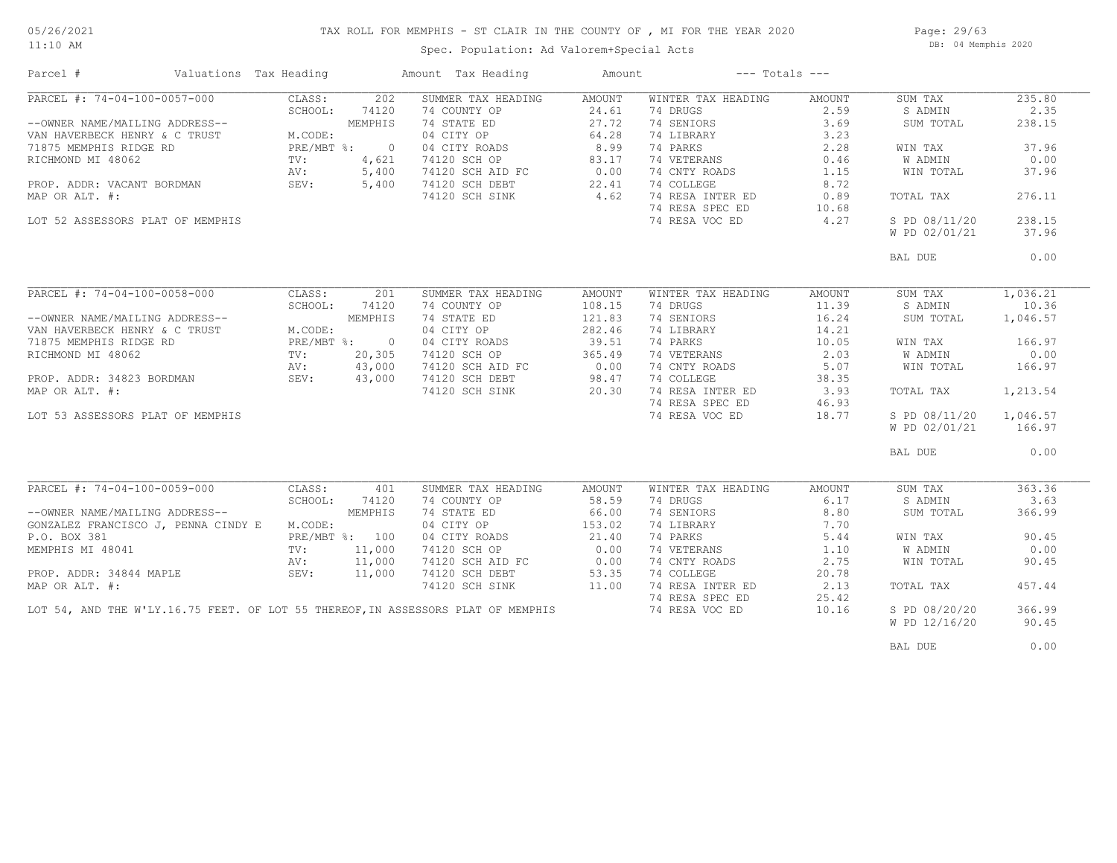# TAX ROLL FOR MEMPHIS - ST CLAIR IN THE COUNTY OF , MI FOR THE YEAR 2020

11:10 AM

### Spec. Population: Ad Valorem+Special Acts

Page: 29/63 DB: 04 Memphis 2020

| Parcel #                                    | Valuations Tax Heading |              |                | Amount Tax Heading                                                               | Amount |                    | $---$ Totals $---$ |               |          |
|---------------------------------------------|------------------------|--------------|----------------|----------------------------------------------------------------------------------|--------|--------------------|--------------------|---------------|----------|
| PARCEL #: 74-04-100-0057-000                |                        | CLASS:       | 202            | SUMMER TAX HEADING                                                               | AMOUNT | WINTER TAX HEADING | AMOUNT             | SUM TAX       | 235.80   |
|                                             |                        | SCHOOL:      | 74120          | 74 COUNTY OP                                                                     | 24.61  | 74 DRUGS           | 2.59               | S ADMIN       | 2.35     |
| --OWNER NAME/MAILING ADDRESS--              |                        |              | MEMPHIS        | 74 STATE ED                                                                      | 27.72  | 74 SENIORS         | 3.69               | SUM TOTAL     | 238.15   |
| VAN HAVERBECK HENRY & C TRUST               |                        | M.CODE:      |                | 74 STATE ED<br>04 CITY OP                                                        | 64.28  | 74 LIBRARY         | 3.23               |               |          |
| 71875 MEMPHIS RIDGE RD                      |                        | PRE/MBT %: 0 |                |                                                                                  | 8.99   | 74 PARKS           | 2.28               | WIN TAX       | 37.96    |
| RICHMOND MI 48062                           |                        | TV:          | 4,621          | 04 CITY ROADS<br>74120 SCH OP                                                    | 83.17  | 74 VETERANS        | 0.46               | W ADMIN       | 0.00     |
|                                             |                        |              |                |                                                                                  |        |                    |                    |               |          |
|                                             |                        | AV:          | 5,400          | 74120 SCH AID FC<br>74120 SCH DEBT                                               | 0.00   | 74 CNTY ROADS      | 1.15               | WIN TOTAL     | 37.96    |
| PROP. ADDR: VACANT BORDMAN                  |                        | SEV:         | 5,400          |                                                                                  | 22.41  | 74 COLLEGE         | 8.72               |               |          |
| MAP OR ALT. #:                              |                        |              |                | 74120 SCH SINK                                                                   | 4.62   | 74 RESA INTER ED   | 0.89               | TOTAL TAX     | 276.11   |
|                                             |                        |              |                |                                                                                  |        | 74 RESA SPEC ED    | 10.68              |               |          |
| LOT 52 ASSESSORS PLAT OF MEMPHIS            |                        |              |                |                                                                                  |        | 74 RESA VOC ED     | 4.27               | S PD 08/11/20 | 238.15   |
|                                             |                        |              |                |                                                                                  |        |                    |                    | W PD 02/01/21 | 37.96    |
|                                             |                        |              |                |                                                                                  |        |                    |                    | BAL DUE       | 0.00     |
|                                             |                        |              |                |                                                                                  |        |                    |                    |               |          |
| PARCEL #: 74-04-100-0058-000                |                        | CLASS:       | 201            | SUMMER TAX HEADING                                                               | AMOUNT | WINTER TAX HEADING | AMOUNT             | SUM TAX       | 1,036.21 |
|                                             |                        | SCHOOL:      | 74120          | 74 COUNTY OP                                                                     | 108.15 | 74 DRUGS           | 11.39              | S ADMIN       | 10.36    |
| --OWNER NAME/MAILING ADDRESS--              |                        |              | MEMPHIS        | 74 STATE ED                                                                      | 121.83 | 74 SENIORS         | 16.24              | SUM TOTAL     | 1,046.57 |
| VAN HAVERBECK HENRY & C TRUST               |                        | M.CODE:      |                | 04 CITY OP                                                                       | 282.46 | 74 LIBRARY         | 14.21              |               |          |
| 71875 MEMPHIS RIDGE RD                      |                        |              | PRE/MBT %: 0   | 04 CITY ROADS                                                                    | 39.51  | 74 PARKS           | 10.05              | WIN TAX       | 166.97   |
| RICHMOND MI 48062                           |                        | TV:          | 20,305         | 74120 SCH OP                                                                     | 365.49 | 74 VETERANS        | 2.03               | W ADMIN       | 0.00     |
|                                             |                        | AV:          | 43,000         |                                                                                  |        | 74 CNTY ROADS      | 5.07               | WIN TOTAL     | 166.97   |
| PROP. ADDR: 34823 BORDMAN                   |                        | SEV: 43,000  |                | 74120 SCH AID FC 0.00<br>74120 SCH DEBT 98.47                                    |        | 74 COLLEGE         |                    |               |          |
|                                             |                        |              |                |                                                                                  | 98.47  |                    | 38.35              |               |          |
| MAP OR ALT. #:                              |                        |              |                | 74120 SCH SINK                                                                   | 20.30  | 74 RESA INTER ED   | 3.93               | TOTAL TAX     | 1,213.54 |
|                                             |                        |              |                |                                                                                  |        | 74 RESA SPEC ED    | 46.93              |               |          |
| LOT 53 ASSESSORS PLAT OF MEMPHIS            |                        |              |                |                                                                                  |        | 74 RESA VOC ED     | 18.77              | S PD 08/11/20 | 1,046.57 |
|                                             |                        |              |                |                                                                                  |        |                    |                    | W PD 02/01/21 | 166.97   |
|                                             |                        |              |                |                                                                                  |        |                    |                    | BAL DUE       | 0.00     |
|                                             |                        |              |                |                                                                                  |        |                    |                    |               |          |
| PARCEL #: 74-04-100-0059-000                |                        | CLASS:       | 401            | SUMMER TAX HEADING                                                               | AMOUNT | WINTER TAX HEADING | AMOUNT             | SUM TAX       | 363.36   |
|                                             |                        | SCHOOL:      | 74120          | 74 COUNTY OP                                                                     | 58.59  | 74 DRUGS           | 6.17               | S ADMIN       | 3.63     |
| --OWNER NAME/MAILING ADDRESS--              |                        |              | MEMPHIS        | 74 STATE ED                                                                      | 66.00  | 74 SENIORS         | 8.80               | SUM TOTAL     | 366.99   |
| GONZALEZ FRANCISCO J, PENNA CINDY E M.CODE: |                        |              |                | 04 CITY OP                                                                       | 153.02 | 74 LIBRARY         | 7.70               |               |          |
| P.O. BOX 381                                |                        |              | PRE/MBT %: 100 | 04 CITY ROADS                                                                    | 21.40  | 74 PARKS           | 5.44               | WIN TAX       | 90.45    |
| MEMPHIS MI 48041                            |                        | TV:          | 11,000         | 74120 SCH OP                                                                     | 0.00   | 74 VETERANS        | 1.10               | W ADMIN       | 0.00     |
|                                             |                        | AV:          | 11,000         | 74120 SCH AID FC                                                                 | 0.00   | 74 CNTY ROADS      | 2.75               | WIN TOTAL     | 90.45    |
| PROP. ADDR: 34844 MAPLE                     |                        | SEV:         | 11,000         | 74120 SCH DEBT                                                                   | 53.35  | 74 COLLEGE         | 20.78              |               |          |
| MAP OR ALT. #:                              |                        |              |                | 74120 SCH SINK                                                                   | 11.00  | 74 RESA INTER ED   | 2.13               | TOTAL TAX     | 457.44   |
|                                             |                        |              |                |                                                                                  |        | 74 RESA SPEC ED    | 25.42              |               |          |
|                                             |                        |              |                | LOT 54, AND THE W'LY.16.75 FEET. OF LOT 55 THEREOF, IN ASSESSORS PLAT OF MEMPHIS |        | 74 RESA VOC ED     | 10.16              | S PD 08/20/20 | 366.99   |
|                                             |                        |              |                |                                                                                  |        |                    |                    |               |          |
|                                             |                        |              |                |                                                                                  |        |                    |                    | W PD 12/16/20 | 90.45    |
|                                             |                        |              |                |                                                                                  |        |                    |                    | BAL DUE       | 0.00     |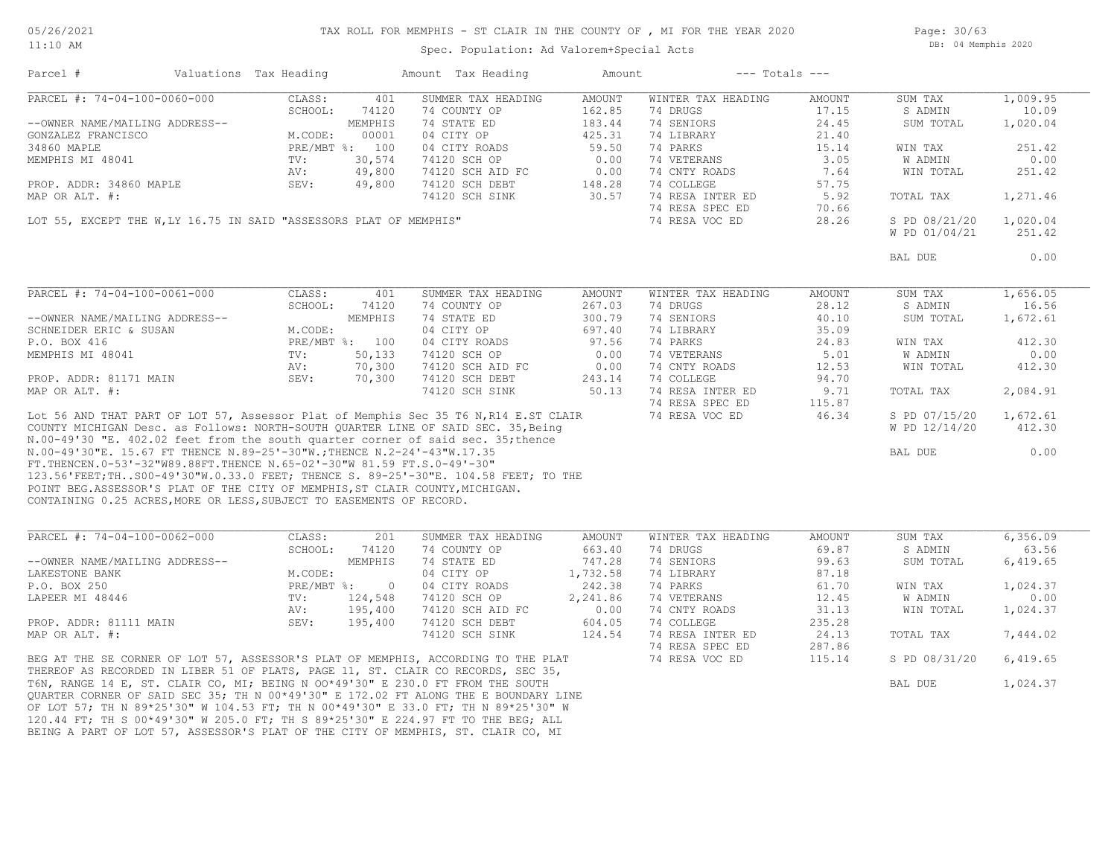Spec. Population: Ad Valorem+Special Acts

Page: 30/63 DB: 04 Memphis 2020

| Parcel #                                                                     | Valuations Tax Heading |         |                | Amount Tax Heading                                                                   | Amount                                                                |                    | $---$ Totals $---$ |               |          |
|------------------------------------------------------------------------------|------------------------|---------|----------------|--------------------------------------------------------------------------------------|-----------------------------------------------------------------------|--------------------|--------------------|---------------|----------|
| PARCEL #: 74-04-100-0060-000                                                 |                        | CLASS:  | 401            | SUMMER TAX HEADING                                                                   | AMOUNT                                                                | WINTER TAX HEADING | AMOUNT             | SUM TAX       | 1,009.95 |
|                                                                              |                        | SCHOOL: | 74120          | 74 COUNTY OP                                                                         | 162.85                                                                | 74 DRUGS           | 17.15              | S ADMIN       | 10.09    |
| --OWNER NAME/MAILING ADDRESS--                                               |                        |         | MEMPHIS        | 74 STATE ED                                                                          | 183.44                                                                | 74 SENIORS         | 24.45              | SUM TOTAL     | 1,020.04 |
| GONZALEZ FRANCISCO                                                           |                        | M.CODE: | 00001          | 04 CITY OP                                                                           | 425.31                                                                | 74 LIBRARY         | 21.40              |               |          |
| 34860 MAPLE                                                                  |                        |         | PRE/MBT %: 100 | 04 CITY ROADS                                                                        | 59.50                                                                 | 74 PARKS           | 15.14              | WIN TAX       | 251.42   |
| MEMPHIS MI 48041                                                             |                        | TV:     | 30,574         | 74120 SCH OP                                                                         | 0.00                                                                  | 74 VETERANS        | 3.05               | W ADMIN       | 0.00     |
|                                                                              |                        | AV:     | 49,800         | 74120 SCH AID FC                                                                     | 0.00                                                                  | 74 CNTY ROADS      | 7.64               | WIN TOTAL     | 251.42   |
| PROP. ADDR: 34860 MAPLE                                                      |                        | SEV:    | 49,800         | 74120 SCH DEBT                                                                       | 148.28                                                                | 74 COLLEGE         | 57.75              |               |          |
| MAP OR ALT. #:                                                               |                        |         |                | 74120 SCH SINK                                                                       | 30.57                                                                 | 74 RESA INTER ED   | 5.92               | TOTAL TAX     | 1,271.46 |
|                                                                              |                        |         |                |                                                                                      |                                                                       | 74 RESA SPEC ED    |                    |               |          |
|                                                                              |                        |         |                | LOT 55, EXCEPT THE W, LY 16.75 IN SAID "ASSESSORS PLAT OF MEMPHIS"                   |                                                                       |                    | 70.66              |               |          |
|                                                                              |                        |         |                |                                                                                      |                                                                       | 74 RESA VOC ED     | 28.26              | S PD 08/21/20 | 1,020.04 |
|                                                                              |                        |         |                |                                                                                      |                                                                       |                    |                    | W PD 01/04/21 | 251.42   |
|                                                                              |                        |         |                |                                                                                      |                                                                       |                    |                    | BAL DUE       | 0.00     |
|                                                                              |                        |         |                |                                                                                      |                                                                       |                    |                    |               |          |
| PARCEL #: 74-04-100-0061-000                                                 |                        | CLASS:  | 401            | SUMMER TAX HEADING                                                                   | AMOUNT                                                                | WINTER TAX HEADING | AMOUNT             | SUM TAX       | 1,656.05 |
|                                                                              |                        | SCHOOL: | 74120          | 74 COUNTY OP                                                                         | 267.03                                                                | 74 DRUGS           | 28.12              | S ADMIN       | 16.56    |
| --OWNER NAME/MAILING ADDRESS--                                               |                        |         | MEMPHIS        | 74 STATE ED                                                                          | 300.79                                                                | 74 SENIORS         | 40.10              | SUM TOTAL     | 1,672.61 |
| SCHNEIDER ERIC & SUSAN                                                       |                        | M.CODE: |                | 04 CITY OP                                                                           | 697.40                                                                | 74 LIBRARY         | 35.09              |               |          |
| P.O. BOX 416                                                                 |                        |         | PRE/MBT %: 100 | 04 CITY ROADS                                                                        | 97.56                                                                 | 74 PARKS           | 24.83              | WIN TAX       | 412.30   |
| MEMPHIS MI 48041                                                             |                        | TV:     | 50,133         | 74120 SCH OP                                                                         | 0.00                                                                  | 74 VETERANS        | 5.01               | W ADMIN       | 0.00     |
|                                                                              |                        | AV:     | 70,300         | 74120 SCH AID FC                                                                     |                                                                       | 74 CNTY ROADS      | 12.53              | WIN TOTAL     | 412.30   |
| PROP. ADDR: 81171 MAIN                                                       |                        | SEV:    | 70,300         | 74120 SCH DEBT                                                                       | $\begin{array}{cc}\n 2 & 0.00 \\  & 243.14 \\  & 50.13\n \end{array}$ | 74 COLLEGE         | 94.70              |               |          |
| MAP OR ALT. #:                                                               |                        |         |                | 74120 SCH SINK                                                                       |                                                                       | 74 RESA INTER ED   | 9.71               | TOTAL TAX     | 2,084.91 |
|                                                                              |                        |         |                |                                                                                      |                                                                       | 74 RESA SPEC ED    | 115.87             |               |          |
|                                                                              |                        |         |                | Lot 56 AND THAT PART OF LOT 57, Assessor Plat of Memphis Sec 35 T6 N, R14 E.ST CLAIR |                                                                       | 74 RESA VOC ED     | 46.34              | S PD 07/15/20 | 1,672.61 |
|                                                                              |                        |         |                | COUNTY MICHIGAN Desc. as Follows: NORTH-SOUTH QUARTER LINE OF SAID SEC. 35, Being    |                                                                       |                    |                    | W PD 12/14/20 | 412.30   |
|                                                                              |                        |         |                | N.00-49'30 "E. 402.02 feet from the south quarter corner of said sec. 35; thence     |                                                                       |                    |                    |               |          |
| N.00-49'30"E. 15.67 FT THENCE N.89-25'-30"W.; THENCE N.2-24'-43"W.17.35      |                        |         |                |                                                                                      |                                                                       |                    |                    | BAL DUE       | 0.00     |
| FT. THENCEN. 0-53'-32"W89.88FT. THENCE N. 65-02'-30"W 81.59 FT. S. 0-49'-30" |                        |         |                |                                                                                      |                                                                       |                    |                    |               |          |
|                                                                              |                        |         |                | 123.56'FEET;THS00-49'30"W.0.33.0 FEET; THENCE S. 89-25'-30"E. 104.58 FEET; TO THE    |                                                                       |                    |                    |               |          |
| POINT BEG.ASSESSOR'S PLAT OF THE CITY OF MEMPHIS, ST CLAIR COUNTY, MICHIGAN. |                        |         |                |                                                                                      |                                                                       |                    |                    |               |          |
| CONTAINING 0.25 ACRES, MORE OR LESS, SUBJECT TO EASEMENTS OF RECORD.         |                        |         |                |                                                                                      |                                                                       |                    |                    |               |          |
|                                                                              |                        |         |                |                                                                                      |                                                                       |                    |                    |               |          |
|                                                                              |                        |         |                |                                                                                      |                                                                       |                    |                    |               |          |
| PARCEL #: 74-04-100-0062-000                                                 |                        | CLASS:  | 201            | SUMMER TAX HEADING                                                                   | <b>AMOUNT</b>                                                         | WINTER TAX HEADING | AMOUNT             | SUM TAX       | 6,356.09 |
|                                                                              |                        | SCHOOL: | 74120          | 74 COUNTY OP                                                                         | 663.40                                                                | 74 DRUGS           | 69.87              | S ADMIN       | 63.56    |
| --OWNER NAME/MAILING ADDRESS--                                               |                        |         | MEMPHIS        | 74 STATE ED                                                                          | 747.28                                                                | 74 SENIORS         | 99.63              | SUM TOTAL     | 6,419.65 |
| LAKESTONE BANK                                                               |                        | M.CODE: |                | 04 CITY OP                                                                           | 1,732.58                                                              | 74 LIBRARY         | 87.18              |               |          |
| P.O. BOX 250                                                                 |                        |         | PRE/MBT %: 0   | 04 CITY ROADS                                                                        | 242.38                                                                | 74 PARKS           | 61.70              | WIN TAX       | 1,024.37 |
| LAPEER MI 48446                                                              |                        | TV:     | 124,548        | 74120 SCH OP                                                                         | 2,241.86                                                              | 74 VETERANS        | 12.45              | W ADMIN       | 0.00     |
|                                                                              |                        | AV:     | 195,400        | 74120 SCH AID FC                                                                     | 0.00                                                                  | 74 CNTY ROADS      | 31.13              | WIN TOTAL     | 1,024.37 |
| PROP. ADDR: 81111 MAIN                                                       |                        | SEV:    | 195,400        | 74120 SCH DEBT                                                                       | 604.05                                                                | 74 COLLEGE         | 235.28             |               |          |
| MAP OR ALT. #:                                                               |                        |         |                | 74120 SCH SINK                                                                       | 124.54                                                                | 74 RESA INTER ED   | 24.13              | TOTAL TAX     | 7,444.02 |
|                                                                              |                        |         |                |                                                                                      |                                                                       | 74 RESA SPEC ED    | 287.86             |               |          |
|                                                                              |                        |         |                | BEG AT THE SE CORNER OF LOT 57, ASSESSOR'S PLAT OF MEMPHIS, ACCORDING TO THE PLAT    |                                                                       | 74 RESA VOC ED     | 115.14             | S PD 08/31/20 | 6,419.65 |
|                                                                              |                        |         |                | THEREOF AS RECORDED IN LIBER 51 OF PLATS, PAGE 11, ST. CLAIR CO RECORDS, SEC 35,     |                                                                       |                    |                    |               |          |
|                                                                              |                        |         |                |                                                                                      |                                                                       |                    |                    |               |          |

BEING A PART OF LOT 57, ASSESSOR'S PLAT OF THE CITY OF MEMPHIS, ST. CLAIR CO, MI 120.44 FT; TH S 00\*49'30" W 205.0 FT; TH S 89\*25'30" E 224.97 FT TO THE BEG; ALL OF LOT 57; TH N 89\*25'30" W 104.53 FT; TH N 00\*49'30" E 33.0 FT; TH N 89\*25'30" W QUARTER CORNER OF SAID SEC 35; TH N 00\*49'30" E 172.02 FT ALONG THE E BOUNDARY LINE T6N, RANGE 14 E, ST. CLAIR CO, MI; BEING N 00\*49'30" E 230.0 FT FROM THE SOUTH **BAL PROM** THE 1,024.37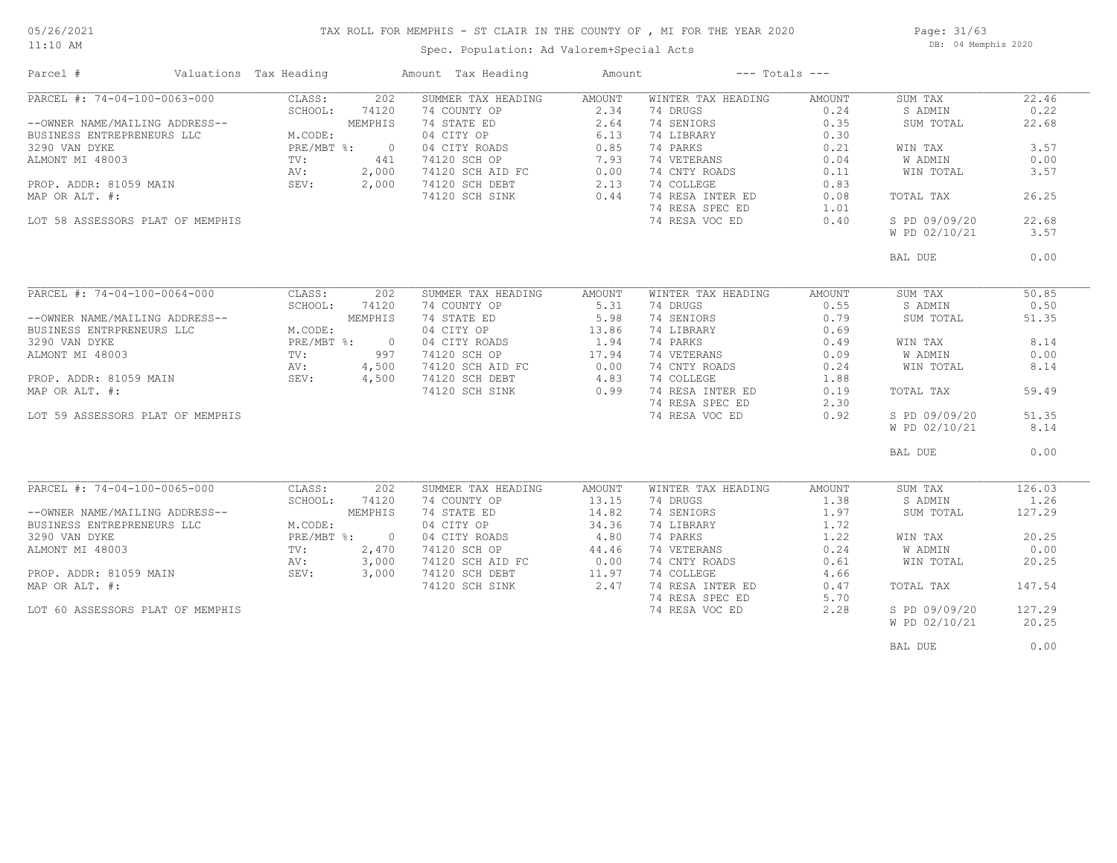11:10 AM

## TAX ROLL FOR MEMPHIS - ST CLAIR IN THE COUNTY OF , MI FOR THE YEAR 2020

Spec. Population: Ad Valorem+Special Acts

Page: 31/63 DB: 04 Memphis 2020

| Parcel #                         | Valuations Tax Heading      | Amount Tax Heading                                         | Amount | $---$ Totals $---$ |        |               |        |
|----------------------------------|-----------------------------|------------------------------------------------------------|--------|--------------------|--------|---------------|--------|
| PARCEL #: 74-04-100-0063-000     | CLASS:<br>202               | SUMMER TAX HEADING                                         | AMOUNT | WINTER TAX HEADING | AMOUNT | SUM TAX       | 22.46  |
|                                  | SCHOOL:<br>74120            | 74 COUNTY OP                                               | 2.34   | 74 DRUGS           | 0.24   | S ADMIN       | 0.22   |
| --OWNER NAME/MAILING ADDRESS--   | MEMPHIS                     | 74 STATE ED<br>04 CITY OP<br>04 CITY ROADS<br>74120 SCH OP | 2.64   | 74 SENIORS         | 0.35   | SUM TOTAL     | 22.68  |
| BUSINESS ENTREPRENEURS LLC       | M.CODE:                     |                                                            | 6.13   | 74 LIBRARY         | 0.30   |               |        |
| 3290 VAN DYKE                    | PRE/MBT %: 0                |                                                            | 0.85   | 74 PARKS           | 0.21   | WIN TAX       | 3.57   |
| ALMONT MI 48003                  | 441<br>TV:                  |                                                            | 7.93   | 74 VETERANS        | 0.04   | W ADMIN       | 0.00   |
|                                  | AV:<br>2,000                |                                                            |        | 74 CNTY ROADS      | 0.11   | WIN TOTAL     | 3.57   |
| PROP. ADDR: 81059 MAIN           | SEV:<br>2,000               | 74120 SCH AID FC 0.00<br>74120 SCH DEBT 2.13               |        | 74 COLLEGE         | 0.83   |               |        |
| MAP OR ALT. #:                   |                             | 74120 SCH SINK                                             | 0.44   | 74 RESA INTER ED   | 0.08   | TOTAL TAX     | 26.25  |
|                                  |                             |                                                            |        | 74 RESA SPEC ED    | 1.01   |               |        |
| LOT 58 ASSESSORS PLAT OF MEMPHIS |                             |                                                            |        | 74 RESA VOC ED     | 0.40   | S PD 09/09/20 | 22.68  |
|                                  |                             |                                                            |        |                    |        | W PD 02/10/21 | 3.57   |
|                                  |                             |                                                            |        |                    |        |               |        |
|                                  |                             |                                                            |        |                    |        | BAL DUE       | 0.00   |
|                                  |                             |                                                            |        |                    |        |               |        |
|                                  |                             |                                                            |        |                    |        |               |        |
| PARCEL #: 74-04-100-0064-000     | CLASS:<br>202               | SUMMER TAX HEADING                                         | AMOUNT | WINTER TAX HEADING | AMOUNT | SUM TAX       | 50.85  |
|                                  | SCHOOL:<br>74120            | 74 COUNTY OP                                               | 5.31   | 74 DRUGS           | 0.55   | S ADMIN       | 0.50   |
| --OWNER NAME/MAILING ADDRESS--   | MEMPHIS                     | 74 STATE ED                                                | 5.98   | 74 SENIORS         | 0.79   | SUM TOTAL     | 51.35  |
| BUSINESS ENTRPRENEURS LLC        | M.CODE:                     | 04 CITY OP                                                 | 13.86  | 74 LIBRARY         | 0.69   |               |        |
| 3290 VAN DYKE                    | $PRE/MBT$ $\frac{1}{6}$ : 0 | 04 CITY ROADS                                              | 1.94   | 74 PARKS           | 0.49   | WIN TAX       | 8.14   |
| ALMONT MI 48003                  | TV:<br>997                  | 74120 SCH OP                                               | 17.94  | 74 VETERANS        | 0.09   | W ADMIN       | 0.00   |
|                                  | AV:<br>4,500                |                                                            |        | 74 CNTY ROADS      | 0.24   | WIN TOTAL     | 8.14   |
| PROP. ADDR: 81059 MAIN           | SEV: 4,500                  | 74120 SCH AID FC 0.00<br>74120 SCH DEBT 4.83               |        | 74 COLLEGE         | 1.88   |               |        |
| MAP OR ALT. #:                   |                             | 74120 SCH SINK                                             | 0.99   | 74 RESA INTER ED   | 0.19   | TOTAL TAX     | 59.49  |
|                                  |                             |                                                            |        | 74 RESA SPEC ED    | 2.30   |               |        |
| LOT 59 ASSESSORS PLAT OF MEMPHIS |                             |                                                            |        | 74 RESA VOC ED     | 0.92   | S PD 09/09/20 | 51.35  |
|                                  |                             |                                                            |        |                    |        |               | 8.14   |
|                                  |                             |                                                            |        |                    |        | W PD 02/10/21 |        |
|                                  |                             |                                                            |        |                    |        | BAL DUE       | 0.00   |
|                                  |                             |                                                            |        |                    |        |               |        |
|                                  |                             |                                                            |        |                    |        |               |        |
| PARCEL #: 74-04-100-0065-000     | CLASS:<br>202               | SUMMER TAX HEADING                                         | AMOUNT | WINTER TAX HEADING | AMOUNT | SUM TAX       | 126.03 |
|                                  | SCHOOL:<br>74120            | 74 COUNTY OP                                               | 13.15  | 74 DRUGS           | 1.38   | S ADMIN       | 1.26   |
| --OWNER NAME/MAILING ADDRESS--   | MEMPHIS                     | 74 STATE ED                                                | 14.82  | 74 SENIORS         | 1.97   | SUM TOTAL     | 127.29 |
| BUSINESS ENTREPRENEURS LLC       | M.CODE:                     | 04 CITY OP                                                 | 34.36  | 74 LIBRARY         | 1.72   |               |        |
| 3290 VAN DYKE                    | PRE/MBT %: 0                | 04 CITY ROADS<br>74120 SCH OP                              | 4.80   | 74 PARKS           | 1.22   | WIN TAX       | 20.25  |
| ALMONT MI 48003                  | 2,470<br>TV:                |                                                            | 44.46  | 74 VETERANS        | 0.24   | W ADMIN       | 0.00   |
|                                  | AV:<br>3,000                |                                                            | 0.00   | 74 CNTY ROADS      | 0.61   | WIN TOTAL     | 20.25  |
| PROP. ADDR: 81059 MAIN           | SEV:<br>3,000               | 74120 SCH AID FC<br>74120 SCH DEBT<br>74120 SCH DEBT       | 11.97  | 74 COLLEGE         | 4.66   |               |        |
| MAP OR ALT. #:                   |                             | 74120 SCH SINK                                             | 2.47   | 74 RESA INTER ED   | 0.47   | TOTAL TAX     | 147.54 |
|                                  |                             |                                                            |        | 74 RESA SPEC ED    | 5.70   |               |        |
| LOT 60 ASSESSORS PLAT OF MEMPHIS |                             |                                                            |        | 74 RESA VOC ED     | 2.28   | S PD 09/09/20 | 127.29 |
|                                  |                             |                                                            |        |                    |        | W PD 02/10/21 | 20.25  |
|                                  |                             |                                                            |        |                    |        |               |        |
|                                  |                             |                                                            |        |                    |        | BAL DUE       | 0.00   |
|                                  |                             |                                                            |        |                    |        |               |        |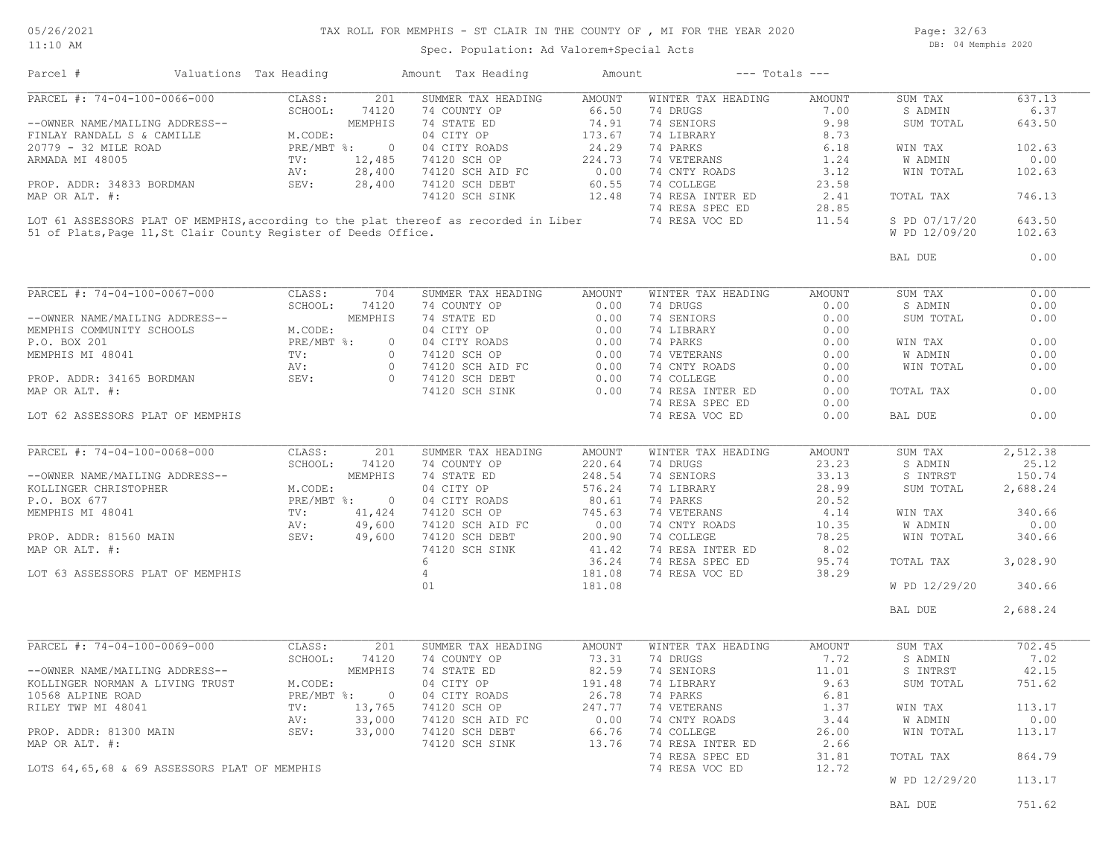#### 05/26/2021 11:10 AM

# TAX ROLL FOR MEMPHIS - ST CLAIR IN THE COUNTY OF , MI FOR THE YEAR 2020 Spec. Population: Ad Valorem+Special Acts

Page: 32/63 DB: 04 Memphis 2020

| Parcel #                                                                             | Valuations Tax Heading |              |                | Amount Tax Heading | Amount        | $---$ Totals $---$ |               |               |          |
|--------------------------------------------------------------------------------------|------------------------|--------------|----------------|--------------------|---------------|--------------------|---------------|---------------|----------|
| PARCEL #: 74-04-100-0066-000                                                         |                        | CLASS:       | 201            | SUMMER TAX HEADING | <b>AMOUNT</b> | WINTER TAX HEADING | <b>AMOUNT</b> | SUM TAX       | 637.13   |
|                                                                                      |                        | SCHOOL:      | 74120          | 74 COUNTY OP       | 66.50         | 74 DRUGS           | 7.00          | S ADMIN       | 6.37     |
| --OWNER NAME/MAILING ADDRESS--                                                       |                        |              | MEMPHIS        | 74 STATE ED        | 74.91         | 74 SENIORS         | 9.98          | SUM TOTAL     | 643.50   |
| FINLAY RANDALL S & CAMILLE                                                           |                        | M.CODE:      |                | 04 CITY OP         | 173.67        | 74 LIBRARY         | 8.73          |               |          |
| 20779 - 32 MILE ROAD                                                                 |                        | $PRE/MBT$ %: | $\circ$        | 04 CITY ROADS      | 24.29         | 74 PARKS           | 6.18          | WIN TAX       | 102.63   |
| ARMADA MI 48005                                                                      |                        | TV:          | 12,485         | 74120 SCH OP       | 224.73        | 74 VETERANS        | 1.24          | W ADMIN       | 0.00     |
|                                                                                      |                        | AV:          | 28,400         | 74120 SCH AID FC   | 0.00          | 74 CNTY ROADS      | 3.12          | WIN TOTAL     | 102.63   |
| PROP. ADDR: 34833 BORDMAN                                                            |                        | SEV:         | 28,400         | 74120 SCH DEBT     | 60.55         | 74 COLLEGE         | 23.58         |               |          |
|                                                                                      |                        |              |                |                    |               |                    |               |               |          |
| MAP OR ALT. #:                                                                       |                        |              |                | 74120 SCH SINK     | 12.48         | 74 RESA INTER ED   | 2.41          | TOTAL TAX     | 746.13   |
|                                                                                      |                        |              |                |                    |               | 74 RESA SPEC ED    | 28.85         |               |          |
| LOT 61 ASSESSORS PLAT OF MEMPHIS, according to the plat thereof as recorded in Liber |                        |              |                |                    |               | 74 RESA VOC ED     | 11.54         | S PD 07/17/20 | 643.50   |
| 51 of Plats, Page 11, St Clair County Register of Deeds Office.                      |                        |              |                |                    |               |                    |               | W PD 12/09/20 | 102.63   |
|                                                                                      |                        |              |                |                    |               |                    |               | BAL DUE       | 0.00     |
|                                                                                      |                        |              |                |                    |               |                    |               |               |          |
| PARCEL #: 74-04-100-0067-000                                                         |                        | CLASS:       | 704            | SUMMER TAX HEADING | AMOUNT        | WINTER TAX HEADING | <b>AMOUNT</b> | SUM TAX       | 0.00     |
|                                                                                      |                        | SCHOOL:      | 74120          | 74 COUNTY OP       | 0.00          | 74 DRUGS           | 0.00          | S ADMIN       | 0.00     |
| --OWNER NAME/MAILING ADDRESS--                                                       |                        |              | MEMPHIS        | 74 STATE ED        | 0.00          | 74 SENIORS         | 0.00          | SUM TOTAL     | 0.00     |
| MEMPHIS COMMUNITY SCHOOLS                                                            |                        | M.CODE:      |                | 04 CITY OP         | 0.00          | 74 LIBRARY         | 0.00          |               |          |
| P.O. BOX 201                                                                         |                        | PRE/MBT %:   | $\circ$        | 04 CITY ROADS      | 0.00          | 74 PARKS           | 0.00          | WIN TAX       | 0.00     |
| MEMPHIS MI 48041                                                                     |                        | TV:          | $\circ$        | 74120 SCH OP       | 0.00          | 74 VETERANS        | 0.00          | W ADMIN       | 0.00     |
|                                                                                      |                        | AV:          | $\circ$        | 74120 SCH AID FC   | 0.00          | 74 CNTY ROADS      | 0.00          | WIN TOTAL     | 0.00     |
| PROP. ADDR: 34165 BORDMAN                                                            |                        | SEV:         | $\circ$        | 74120 SCH DEBT     | 0.00          | 74 COLLEGE         | 0.00          |               |          |
| MAP OR ALT. #:                                                                       |                        |              |                | 74120 SCH SINK     | 0.00          | 74 RESA INTER ED   | 0.00          | TOTAL TAX     | 0.00     |
|                                                                                      |                        |              |                |                    |               | 74 RESA SPEC ED    | 0.00          |               |          |
| LOT 62 ASSESSORS PLAT OF MEMPHIS                                                     |                        |              |                |                    |               | 74 RESA VOC ED     | 0.00          | BAL DUE       | 0.00     |
|                                                                                      |                        |              |                |                    |               |                    |               |               |          |
|                                                                                      |                        |              |                |                    |               |                    |               |               |          |
| PARCEL #: 74-04-100-0068-000                                                         |                        | CLASS:       | 201            | SUMMER TAX HEADING | AMOUNT        | WINTER TAX HEADING | <b>AMOUNT</b> | SUM TAX       | 2,512.38 |
|                                                                                      |                        | SCHOOL:      | 74120          | 74 COUNTY OP       | 220.64        | 74 DRUGS           | 23.23         | S ADMIN       | 25.12    |
| --OWNER NAME/MAILING ADDRESS--                                                       |                        |              | MEMPHIS        | 74 STATE ED        | 248.54        | 74 SENIORS         | 33.13         | S INTRST      | 150.74   |
| KOLLINGER CHRISTOPHER                                                                |                        | M.CODE:      |                | 04 CITY OP         | 576.24        | 74 LIBRARY         | 28.99         | SUM TOTAL     | 2,688.24 |
| P.O. BOX 677                                                                         |                        | PRE/MBT %:   | $\overline{0}$ | 04 CITY ROADS      | 80.61         | 74 PARKS           | 20.52         |               |          |
| MEMPHIS MI 48041                                                                     |                        | TV:          | 41,424         | 74120 SCH OP       | 745.63        | 74 VETERANS        | 4.14          | WIN TAX       | 340.66   |
|                                                                                      |                        | AV:          | 49,600         | 74120 SCH AID FC   | 0.00          | 74 CNTY ROADS      | 10.35         | W ADMIN       | 0.00     |
| PROP. ADDR: 81560 MAIN                                                               |                        | SEV:         | 49,600         | 74120 SCH DEBT     | 200.90        | 74 COLLEGE         | 78.25         | WIN TOTAL     | 340.66   |
| MAP OR ALT. #:                                                                       |                        |              |                | 74120 SCH SINK     | 41.42         | 74 RESA INTER ED   | 8.02          |               |          |
|                                                                                      |                        |              |                | $6\overline{6}$    | 36.24         | 74 RESA SPEC ED    | 95.74         | TOTAL TAX     | 3,028.90 |
| LOT 63 ASSESSORS PLAT OF MEMPHIS                                                     |                        |              |                | $\overline{4}$     | 181.08        | 74 RESA VOC ED     | 38.29         |               |          |
|                                                                                      |                        |              |                | 01                 | 181.08        |                    |               | W PD 12/29/20 | 340.66   |
|                                                                                      |                        |              |                |                    |               |                    |               | BAL DUE       | 2,688.24 |
|                                                                                      |                        |              |                |                    |               |                    |               |               |          |
| PARCEL #: 74-04-100-0069-000                                                         |                        | CLASS:       | 201            | SUMMER TAX HEADING | <b>AMOUNT</b> | WINTER TAX HEADING | <b>AMOUNT</b> | SUM TAX       | 702.45   |
|                                                                                      |                        | SCHOOL:      | 74120          | 74 COUNTY OP       | 73.31         | 74 DRUGS           | 7.72          | S ADMIN       | 7.02     |
| --OWNER NAME/MAILING ADDRESS--                                                       |                        |              | MEMPHIS        | 74 STATE ED        | 82.59         | 74 SENIORS         | 11.01         | S INTRST      | 42.15    |
|                                                                                      |                        |              |                |                    |               |                    |               |               |          |
| KOLLINGER NORMAN A LIVING TRUST                                                      |                        | M.CODE:      |                | 04 CITY OP         | 191.48        | 74 LIBRARY         | 9.63          | SUM TOTAL     | 751.62   |
| 10568 ALPINE ROAD                                                                    |                        | PRE/MBT %:   | $\overline{0}$ | 04 CITY ROADS      | 26.78         | 74 PARKS           | 6.81          |               |          |
| RILEY TWP MI 48041                                                                   |                        | TV:          | 13,765         | 74120 SCH OP       | 247.77        | 74 VETERANS        | 1.37          | WIN TAX       | 113.17   |
|                                                                                      |                        | AV:          | 33,000         | 74120 SCH AID FC   | 0.00          | 74 CNTY ROADS      | 3.44          | W ADMIN       | 0.00     |
| PROP. ADDR: 81300 MAIN                                                               |                        | SEV:         | 33,000         | 74120 SCH DEBT     | 66.76         | 74 COLLEGE         | 26.00         | WIN TOTAL     | 113.17   |
| MAP OR ALT. #:                                                                       |                        |              |                | 74120 SCH SINK     | 13.76         | 74 RESA INTER ED   | 2.66          |               |          |
|                                                                                      |                        |              |                |                    |               | 74 RESA SPEC ED    | 31.81         | TOTAL TAX     | 864.79   |
| LOTS 64,65,68 & 69 ASSESSORS PLAT OF MEMPHIS                                         |                        |              |                |                    |               | 74 RESA VOC ED     | 12.72         |               |          |
|                                                                                      |                        |              |                |                    |               |                    |               | W PD 12/29/20 | 113.17   |
|                                                                                      |                        |              |                |                    |               |                    |               |               |          |

end the ball of the state of the state of the state of the state of the state of the state of the state of the state of the state of the state of the state of the state of the state of the state of the state of the state o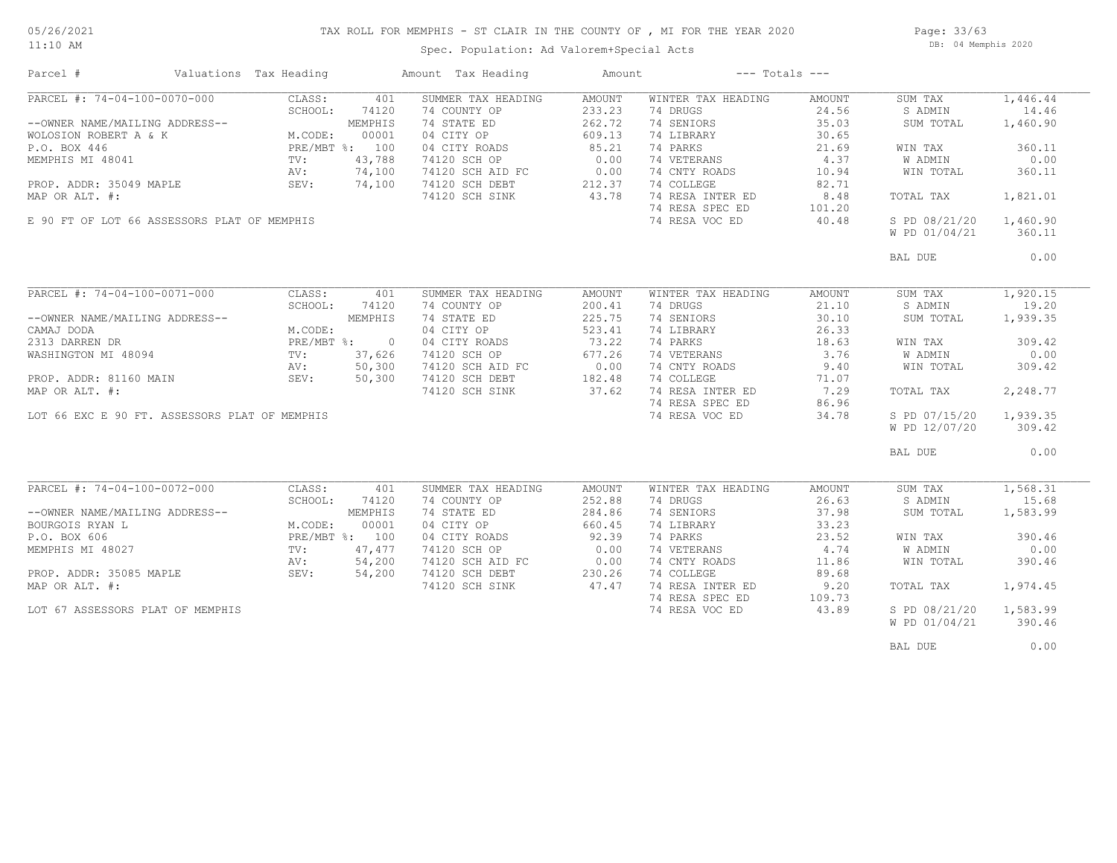#### TAX ROLL FOR MEMPHIS - ST CLAIR IN THE COUNTY OF , MI FOR THE YEAR 2020

11:10 AM

### Spec. Population: Ad Valorem+Special Acts

Page: 33/63 DB: 04 Memphis 2020

| Parcel #                                      | Valuations Tax Heading                                                             |              | Amount Tax Heading                                                     | Amount        |                     | $---$ Totals $---$ |               |          |
|-----------------------------------------------|------------------------------------------------------------------------------------|--------------|------------------------------------------------------------------------|---------------|---------------------|--------------------|---------------|----------|
| PARCEL #: 74-04-100-0070-000                  | CLASS:                                                                             | 401          | SUMMER TAX HEADING                                                     | AMOUNT        | WINTER TAX HEADING  | AMOUNT             | SUM TAX       | 1,446.44 |
|                                               | SCHOOL:                                                                            | 74120        | 74 COUNTY OP                                                           | 233.23        | 74 DRUGS            | 24.56              | S ADMIN       | 14.46    |
| --OWNER NAME/MAILING ADDRESS--                | DRESS--<br>M.CODE: UUVV.<br>PRE/MBT %: 100<br>TV: 43,788<br>AV: 74,10<br>AV: 74,11 |              | 74 STATE ED                                                            | 262.72        | 74 SENIORS          | 35.03              | SUM TOTAL     | 1,460.90 |
| WOLOSION ROBERT A & K                         |                                                                                    |              | 04 CITY OP                                                             | 609.13        | 74 LIBRARY          | 30.65              |               |          |
| P.O. BOX 446                                  |                                                                                    |              | 04 CITY ROADS                                                          | 85.21         | 74 PARKS            | 21.69              | WIN TAX       | 360.11   |
| MEMPHIS MI 48041                              |                                                                                    |              | 74120 SCH OP                                                           | 0.00          | 74 VETERANS         | 4.37               | W ADMIN       | 0.00     |
|                                               |                                                                                    |              |                                                                        |               | 74 CNTY ROADS 10.94 |                    | WIN TOTAL     | 360.11   |
| PROP. ADDR: 35049 MAPLE                       |                                                                                    |              | 74120 SCH AID FC 0.00<br>74120 SCH DEBT 212.37                         | 212.37        | 74 COLLEGE          | 82.71              |               |          |
| MAP OR ALT. #:                                |                                                                                    |              | 74120 SCH SINK                                                         | 43.78         | 74 RESA INTER ED    | 8.48               | TOTAL TAX     | 1,821.01 |
|                                               |                                                                                    |              |                                                                        |               | 74 RESA SPEC ED     | 101.20             |               |          |
| E 90 FT OF LOT 66 ASSESSORS PLAT OF MEMPHIS   |                                                                                    |              |                                                                        |               | 74 RESA VOC ED      | 40.48              | S PD 08/21/20 | 1,460.90 |
|                                               |                                                                                    |              |                                                                        |               |                     |                    | W PD 01/04/21 | 360.11   |
|                                               |                                                                                    |              |                                                                        |               |                     |                    | BAL DUE       | 0.00     |
|                                               |                                                                                    |              |                                                                        |               |                     |                    |               |          |
| PARCEL #: 74-04-100-0071-000                  | CLASS:                                                                             | 401          | SUMMER TAX HEADING                                                     | AMOUNT        | WINTER TAX HEADING  | AMOUNT             | SUM TAX       | 1,920.15 |
|                                               | SCHOOL:                                                                            | 74120        | 74 COUNTY OP                                                           | 200.41        | 74 DRUGS            | 21.10              | S ADMIN       | 19.20    |
| --OWNER NAME/MAILING ADDRESS--                |                                                                                    | MEMPHIS      | 74 STATE ED                                                            | 225.75        | 74 SENIORS          | 30.10              | SUM TOTAL     | 1,939.35 |
| CAMAJ DODA                                    | M.CODE:                                                                            |              | 04 CITY OP                                                             | 523.41        | 74 LIBRARY          | 26.33              |               |          |
| 2313 DARREN DR                                |                                                                                    | PRE/MBT %: 0 | 04 CITY ROADS                                                          | 73.22         | 74 PARKS            | 18.63              | WIN TAX       | 309.42   |
| 2313 DARKEN DIN<br>WASHINGTON MI 48094        | TV:                                                                                | 37,626       | 74120 SCH OP                                                           | 677.26        | 74 VETERANS         | 3.76               | W ADMIN       | 0.00     |
|                                               |                                                                                    |              |                                                                        |               | 74 CNTY ROADS       | 9.40               | WIN TOTAL     | 309.42   |
| PROP. ADDR: 81160 MAIN                        | AV: 50,300<br>SEV: 50,300                                                          |              |                                                                        |               | 74 COLLEGE          | 71.07              |               |          |
| MAP OR ALT. #:                                |                                                                                    |              | 74120 SCH AID FC 0.00<br>74120 SCH DEBT 182.48<br>74120 SCH SINK 37.62 |               | 74 RESA INTER ED    | 7.29               | TOTAL TAX     | 2,248.77 |
|                                               |                                                                                    |              |                                                                        |               | 74 RESA SPEC ED     | 86.96              |               |          |
| LOT 66 EXC E 90 FT. ASSESSORS PLAT OF MEMPHIS |                                                                                    |              |                                                                        |               | 74 RESA VOC ED      | 34.78              | S PD 07/15/20 | 1,939.35 |
|                                               |                                                                                    |              |                                                                        |               |                     |                    | W PD 12/07/20 | 309.42   |
|                                               |                                                                                    |              |                                                                        |               |                     |                    | BAL DUE       | 0.00     |
|                                               |                                                                                    |              |                                                                        |               |                     |                    |               |          |
| PARCEL #: 74-04-100-0072-000                  | CLASS:                                                                             | 401          | SUMMER TAX HEADING                                                     | <b>AMOUNT</b> | WINTER TAX HEADING  | AMOUNT             | SUM TAX       | 1,568.31 |
|                                               | SCHOOL:                                                                            | 74120        | 74 COUNTY OP                                                           | 252.88        | 74 DRUGS            | 26.63              | S ADMIN       | 15.68    |
| --OWNER NAME/MAILING ADDRESS--                |                                                                                    | MEMPHIS      | 74 STATE ED                                                            | 284.86        | 74 SENIORS          | 37.98              | SUM TOTAL     | 1,583.99 |
| BOURGOIS RYAN L                               | M.CODE:                                                                            | 00001        | 04 CITY OP                                                             | 660.45        | 74 LIBRARY          | 33.23              |               |          |
| P.O. BOX 606                                  | PRE/MBT %: 100                                                                     |              | 04 CITY ROADS                                                          | 92.39         | 74 PARKS            | 23.52              | WIN TAX       | 390.46   |
| MEMPHIS MI 48027                              | TV:                                                                                | 47,477       | 74120 SCH OP                                                           | 0.00          | 74 VETERANS         | 4.74               | W ADMIN       | 0.00     |
|                                               | AV:                                                                                | 54,200       | 74120 SCH AID FC<br>74120 SCH AID FC                                   | 0.00          | 74 CNTY ROADS       | 11.86              | WIN TOTAL     | 390.46   |
| PROP. ADDR: 35085 MAPLE                       | SEV:                                                                               | 54,200       |                                                                        | 230.26        | 74 COLLEGE          | 89.68              |               |          |
| MAP OR ALT. #:                                |                                                                                    |              | 74120 SCH SINK                                                         | 47.47         | 74 RESA INTER ED    | 9.20               | TOTAL TAX     | 1,974.45 |
|                                               |                                                                                    |              |                                                                        |               | 74 RESA SPEC ED     | 109.73             |               |          |
| LOT 67 ASSESSORS PLAT OF MEMPHIS              |                                                                                    |              |                                                                        |               | 74 RESA VOC ED      | 43.89              | S PD 08/21/20 | 1,583.99 |
|                                               |                                                                                    |              |                                                                        |               |                     |                    | W PD 01/04/21 | 390.46   |
|                                               |                                                                                    |              |                                                                        |               |                     |                    | BAL DUE       | 0.00     |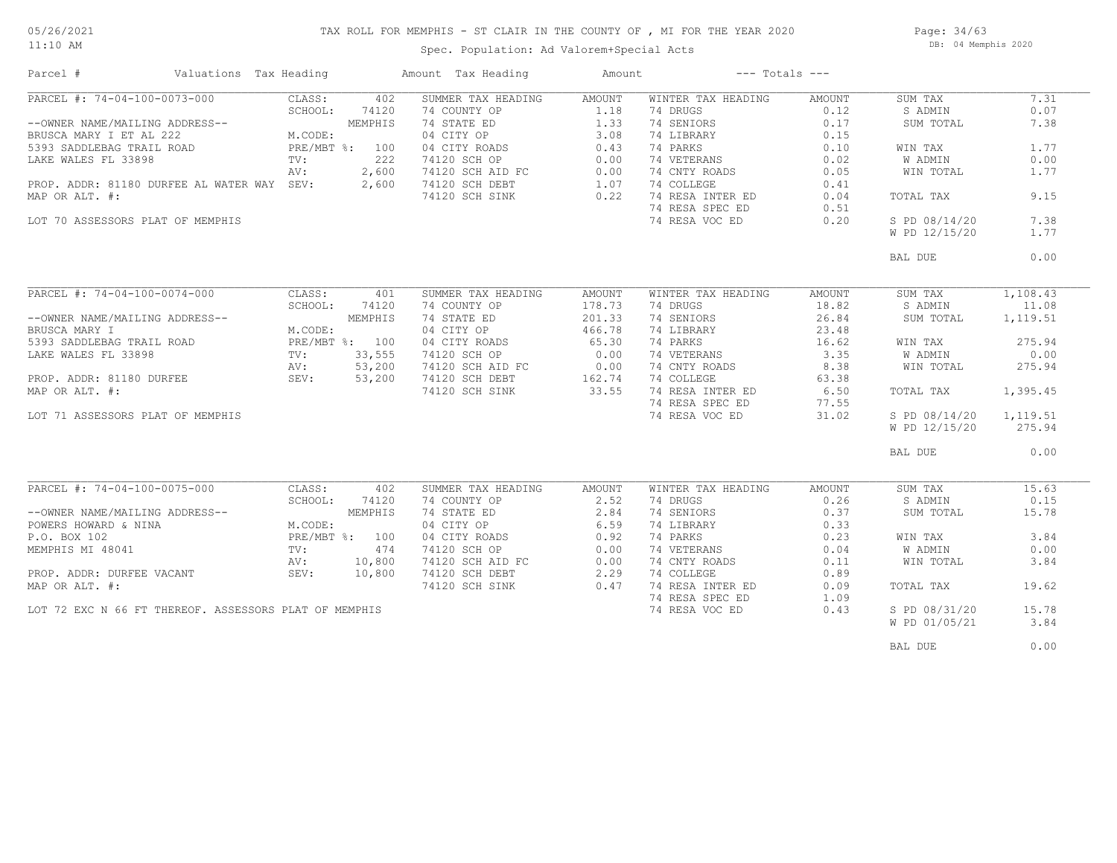## TAX ROLL FOR MEMPHIS - ST CLAIR IN THE COUNTY OF , MI FOR THE YEAR 2020

11:10 AM

### Spec. Population: Ad Valorem+Special Acts

Page: 34/63 DB: 04 Memphis 2020

| Parcel #                                                  | Valuations Tax Heading |                |                | Amount Tax Heading                   | Amount                                                           |                    | $---$ Totals $---$ |               |          |
|-----------------------------------------------------------|------------------------|----------------|----------------|--------------------------------------|------------------------------------------------------------------|--------------------|--------------------|---------------|----------|
| PARCEL #: 74-04-100-0073-000                              |                        | CLASS:         | 402            | SUMMER TAX HEADING                   | AMOUNT                                                           | WINTER TAX HEADING | AMOUNT             | SUM TAX       | 7.31     |
|                                                           |                        | SCHOOL:        | 74120          | 74 COUNTY OP                         | 1.18                                                             | 74 DRUGS           | 0.12               | S ADMIN       | 0.07     |
| --OWNER NAME/MAILING ADDRESS--                            |                        |                | MEMPHIS        | 74 STATE ED                          | 1.33                                                             | 74 SENIORS         | 0.17               | SUM TOTAL     | 7.38     |
| BRUSCA MARY I ET AL 222                                   |                        | M.CODE:        |                | 04 CITY OP                           | 3.08                                                             | 74 LIBRARY         | 0.15               |               |          |
| 5393 SADDLEBAG TRAIL ROAD                                 |                        | PRE/MBT %: 100 |                | 04 CITY ROADS                        | 0.43                                                             | 74 PARKS           | 0.10               | WIN TAX       | 1.77     |
| LAKE WALES FL 33898                                       |                        | $\text{TV}$ :  | 222            | 74120 SCH OP                         | 0.00                                                             | 74 VETERANS        | 0.02               | W ADMIN       | 0.00     |
|                                                           |                        |                | 2,600          |                                      | 0.00                                                             | 74 CNTY ROADS      | 0.05               | WIN TOTAL     | 1.77     |
|                                                           |                        | AV:            |                | 74120 SCH AID FC<br>74120 SCH AID FC |                                                                  |                    |                    |               |          |
| PROP. ADDR: 81180 DURFEE AL WATER WAY SEV:                |                        |                | 2,600          | 74120 SCH DEBT                       | 1.07                                                             | 74 COLLEGE         | 0.41               |               |          |
| MAP OR ALT. #:                                            |                        |                |                | 74120 SCH SINK                       | 0.22                                                             | 74 RESA INTER ED   | 0.04               | TOTAL TAX     | 9.15     |
|                                                           |                        |                |                |                                      |                                                                  | 74 RESA SPEC ED    | 0.51               |               |          |
| LOT 70 ASSESSORS PLAT OF MEMPHIS                          |                        |                |                |                                      |                                                                  | 74 RESA VOC ED     | 0.20               | S PD 08/14/20 | 7.38     |
|                                                           |                        |                |                |                                      |                                                                  |                    |                    | W PD 12/15/20 | 1.77     |
|                                                           |                        |                |                |                                      |                                                                  |                    |                    | BAL DUE       | 0.00     |
|                                                           |                        |                |                |                                      |                                                                  |                    |                    |               |          |
| PARCEL #: 74-04-100-0074-000                              |                        | CLASS:         | 401            | SUMMER TAX HEADING                   | AMOUNT                                                           | WINTER TAX HEADING | AMOUNT             | SUM TAX       | 1,108.43 |
|                                                           |                        | SCHOOL:        | 74120          | 74 COUNTY OP                         | 178.73                                                           | 74 DRUGS           | 18.82              | S ADMIN       | 11.08    |
| --OWNER NAME/MAILING ADDRESS--                            |                        |                | MEMPHIS        | 74 STATE ED                          | 201.33                                                           | 74 SENIORS         | 26.84              | SUM TOTAL     | 1,119.51 |
| BRUSCA MARY I                                             |                        | M.CODE:        |                | 04 CITY OP                           | 466.78                                                           | 74 LIBRARY         | 23.48              |               |          |
|                                                           |                        |                | PRE/MBT %: 100 | 04 CITY ROADS                        | 65.30                                                            | 74 PARKS           | 16.62              | WIN TAX       | 275.94   |
| -----<br>5393 SADDLEBAG TRAIL ROAD<br>LAKE WALES FL 33898 |                        | TV:            | 33,555         | 74120 SCH OP                         | 0.00                                                             | 74 VETERANS        | 3.35               | W ADMIN       | 0.00     |
|                                                           |                        | AV:            | 53,200         | 74120 SCH AID FC                     |                                                                  | 74 CNTY ROADS      | 8.38               | WIN TOTAL     | 275.94   |
| PROP. ADDR: 81180 DURFEE AV:<br>MAD ON NAT "              |                        |                | 53,200         | 74120 SCH DEBT                       | $\begin{array}{cc}\n 3 \text{ } & 0.00 \\  162.74\n \end{array}$ | 74 COLLEGE         | 63.38              |               |          |
|                                                           |                        |                |                |                                      |                                                                  |                    |                    |               |          |
| MAP OR ALT. #:                                            |                        |                |                | 74120 SCH SINK                       | 33.55                                                            | 74 RESA INTER ED   | 6.50               | TOTAL TAX     | 1,395.45 |
|                                                           |                        |                |                |                                      |                                                                  | 74 RESA SPEC ED    | 77.55              |               |          |
| LOT 71 ASSESSORS PLAT OF MEMPHIS                          |                        |                |                |                                      |                                                                  | 74 RESA VOC ED     | 31.02              | S PD 08/14/20 | 1,119.51 |
|                                                           |                        |                |                |                                      |                                                                  |                    |                    | W PD 12/15/20 | 275.94   |
|                                                           |                        |                |                |                                      |                                                                  |                    |                    | BAL DUE       | 0.00     |
|                                                           |                        |                |                |                                      |                                                                  |                    |                    |               |          |
| PARCEL #: 74-04-100-0075-000                              |                        | CLASS:         | 402            | SUMMER TAX HEADING                   | AMOUNT                                                           | WINTER TAX HEADING | AMOUNT             | SUM TAX       | 15.63    |
|                                                           |                        | SCHOOL:        | 74120          | 74 COUNTY OP                         | 2.52                                                             | 74 DRUGS           | 0.26               | S ADMIN       | 0.15     |
| --OWNER NAME/MAILING ADDRESS--                            |                        |                | MEMPHIS        | 74 STATE ED                          | 2.84                                                             | 74 SENIORS         | 0.37               | SUM TOTAL     | 15.78    |
| POWERS HOWARD & NINA                                      |                        | M.CODE:        |                | 04 CITY OP                           | 6.59                                                             | 74 LIBRARY         | 0.33               |               |          |
| P.O. BOX 102                                              |                        |                | PRE/MBT %: 100 | 04 CITY ROADS                        | 0.92                                                             | 74 PARKS           | 0.23               | WIN TAX       | 3.84     |
| MEMPHIS MI 48041                                          |                        | $\text{TV}$ :  | 474            | 74120 SCH OP                         | 0.00                                                             | 74 VETERANS        | 0.04               | W ADMIN       | 0.00     |
|                                                           |                        | AV:            | 10,800         | 74120 SCH AID FC<br>74120 SCH AID FC | 0.00                                                             | 74 CNTY ROADS      | 0.11               | WIN TOTAL     | 3.84     |
| PROP. ADDR: DURFEE VACANT                                 |                        | SEV:           | 10,800         | 74120 SCH DEBT                       | 2.29                                                             | 74 COLLEGE         | 0.89               |               |          |
|                                                           |                        |                |                |                                      |                                                                  | 74 RESA INTER ED   |                    |               |          |
| MAP OR ALT. #:                                            |                        |                |                | 74120 SCH SINK                       | 0.47                                                             |                    | 0.09               | TOTAL TAX     | 19.62    |
|                                                           |                        |                |                |                                      |                                                                  | 74 RESA SPEC ED    | 1.09               |               |          |
| LOT 72 EXC N 66 FT THEREOF. ASSESSORS PLAT OF MEMPHIS     |                        |                |                |                                      |                                                                  | 74 RESA VOC ED     | 0.43               | S PD 08/31/20 | 15.78    |
|                                                           |                        |                |                |                                      |                                                                  |                    |                    | W PD 01/05/21 | 3.84     |
|                                                           |                        |                |                |                                      |                                                                  |                    |                    | BAL DUE       | 0.00     |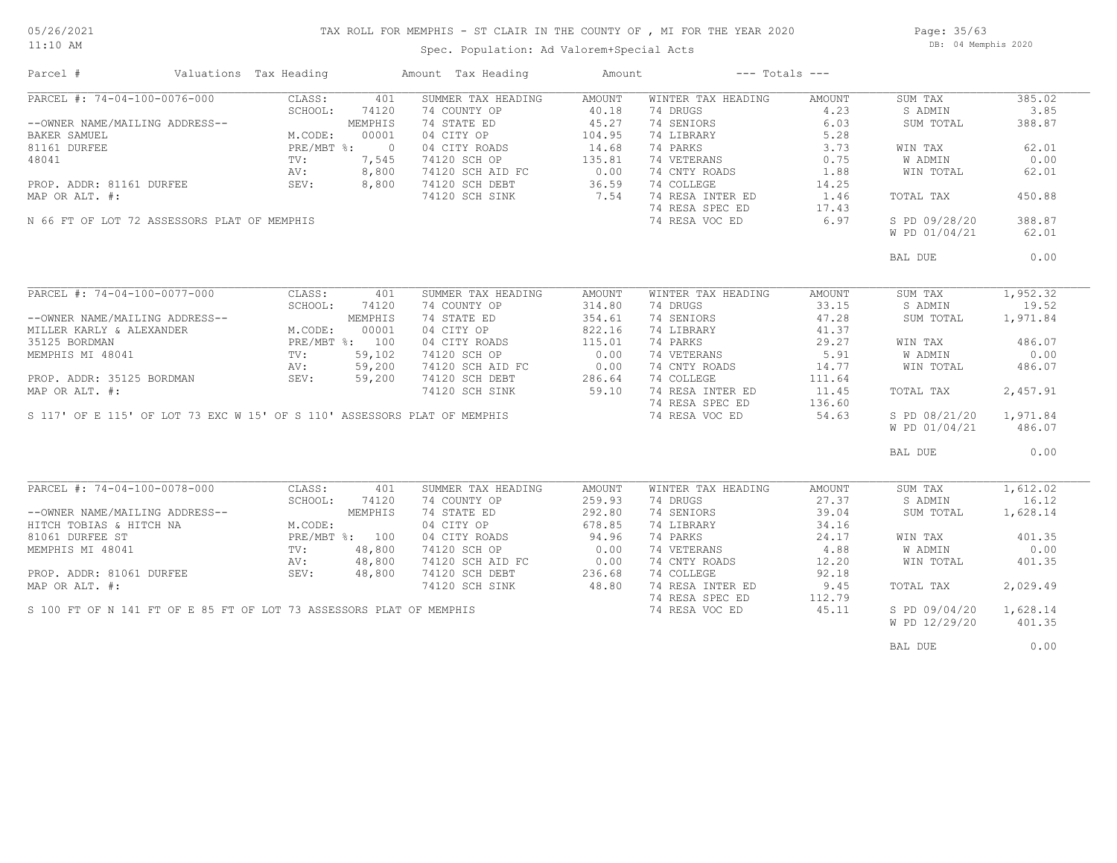#### TAX ROLL FOR MEMPHIS - ST CLAIR IN THE COUNTY OF , MI FOR THE YEAR 2020

11:10 AM

### Spec. Population: Ad Valorem+Special Acts

Page: 35/63 DB: 04 Memphis 2020

| Parcel #                                                      | Valuations Tax Heading |         | Amount Tax Heading                                                       | Amount |                    | $---$ Totals $---$ |               |          |
|---------------------------------------------------------------|------------------------|---------|--------------------------------------------------------------------------|--------|--------------------|--------------------|---------------|----------|
| PARCEL #: 74-04-100-0076-000                                  | CLASS:                 | 401     | SUMMER TAX HEADING                                                       | AMOUNT | WINTER TAX HEADING | AMOUNT             | SUM TAX       | 385.02   |
|                                                               | SCHOOL:                | 74120   | 74 COUNTY OP                                                             | 40.18  | 74 DRUGS           | 4.23               | S ADMIN       | 3.85     |
| --OWNER NAME/MAILING ADDRESS--                                |                        | MEMPHIS | 74 STATE ED                                                              | 45.27  | 74 SENIORS         | 6.03               | SUM TOTAL     | 388.87   |
| BAKER SAMUEL                                                  | M.CODE:                | 00001   | 04 CITY OP                                                               | 104.95 | 74 LIBRARY         | 5.28               |               |          |
| 81161 DURFEE                                                  | PRE/MBT %: 0           |         | 04 CITY ROADS                                                            | 14.68  | 74 PARKS           | 3.73               | WIN TAX       | 62.01    |
| 48041                                                         | TV:                    | 7,545   | 74120 SCH OP                                                             | 135.81 | 74 VETERANS        | 0.75               | W ADMIN       | 0.00     |
|                                                               |                        |         |                                                                          |        | 74 CNTY ROADS      | 1.88               |               | 62.01    |
|                                                               | AV:<br>SEV:            | 8,800   | 74120 SCH AID FC 0.00<br>74120 SCH DEBT 36.59                            |        |                    |                    | WIN TOTAL     |          |
| PROP. ADDR: 81161 DURFEE                                      |                        | 8,800   |                                                                          | 36.59  | 74 COLLEGE         | 14.25              |               |          |
| MAP OR ALT. #:                                                |                        |         | 74120 SCH SINK                                                           | 7.54   | 74 RESA INTER ED   | 1.46               | TOTAL TAX     | 450.88   |
|                                                               |                        |         |                                                                          |        | 74 RESA SPEC ED    | 17.43              |               |          |
| N 66 FT OF LOT 72 ASSESSORS PLAT OF MEMPHIS                   |                        |         |                                                                          |        | 74 RESA VOC ED     | 6.97               | S PD 09/28/20 | 388.87   |
|                                                               |                        |         |                                                                          |        |                    |                    | W PD 01/04/21 | 62.01    |
|                                                               |                        |         |                                                                          |        |                    |                    | BAL DUE       | 0.00     |
|                                                               |                        |         |                                                                          |        |                    |                    |               |          |
| PARCEL #: 74-04-100-0077-000                                  | CLASS:                 | 401     | SUMMER TAX HEADING                                                       | AMOUNT | WINTER TAX HEADING | AMOUNT             | SUM TAX       | 1,952.32 |
|                                                               | SCHOOL:                | 74120   | 74 COUNTY OP                                                             | 314.80 | 74 DRUGS           | 33.15              | S ADMIN       | 19.52    |
| --OWNER NAME/MAILING ADDRESS--<br>MILLER KARLY & ALEXANDER    |                        | MEMPHIS | 74 STATE ED                                                              | 354.61 | 74 SENIORS         | 47.28              | SUM TOTAL     | 1,971.84 |
|                                                               | M.CODE:                | 00001   | 04 CITY OP                                                               | 822.16 | 74 LIBRARY         | 41.37              |               |          |
| 35125 BORDMAN                                                 | PRE/MBT %: 100         |         | 04 CITY ROADS                                                            | 115.01 | 74 PARKS           | 29.27              | WIN TAX       | 486.07   |
|                                                               | $\texttt{TV}$ :        |         |                                                                          |        |                    |                    |               |          |
| MEMPHIS MI 48041                                              |                        | 59,102  | 74120 SCH OP                                                             | 0.00   | 74 VETERANS        | 5.91               | W ADMIN       | 0.00     |
| PROP. ADDR: 35125 BORDMAN AV: 59,200<br>MAP OR ALT. #: 59,200 |                        |         | 74120 SCH AID FC 0.00<br>74120 SCH DEBT 286.64                           |        | 74 CNTY ROADS      | 14.77              | WIN TOTAL     | 486.07   |
|                                                               |                        |         |                                                                          | 286.64 | 74 COLLEGE         | 111.64             |               |          |
|                                                               |                        |         | 74120 SCH SINK                                                           | 59.10  | 74 RESA INTER ED   | 11.45              | TOTAL TAX     | 2,457.91 |
|                                                               |                        |         |                                                                          |        | 74 RESA SPEC ED    | 136.60             |               |          |
|                                                               |                        |         | S 117' OF E 115' OF LOT 73 EXC W 15' OF S 110' ASSESSORS PLAT OF MEMPHIS |        | 74 RESA VOC ED     | 54.63              | S PD 08/21/20 | 1,971.84 |
|                                                               |                        |         |                                                                          |        |                    |                    | W PD 01/04/21 | 486.07   |
|                                                               |                        |         |                                                                          |        |                    |                    | BAL DUE       | 0.00     |
|                                                               |                        |         |                                                                          |        |                    |                    |               |          |
| PARCEL #: 74-04-100-0078-000                                  | CLASS:                 | 401     | SUMMER TAX HEADING                                                       | AMOUNT | WINTER TAX HEADING | AMOUNT             | SUM TAX       | 1,612.02 |
|                                                               | SCHOOL:                | 74120   | 74 COUNTY OP                                                             | 259.93 | 74 DRUGS           | 27.37              | S ADMIN       | 16.12    |
| --OWNER NAME/MAILING ADDRESS--                                |                        | MEMPHIS | 74 STATE ED                                                              | 292.80 | 74 SENIORS         | 39.04              | SUM TOTAL     | 1,628.14 |
| HITCH TOBIAS & HITCH NA                                       | M.CODE:                |         | 04 CITY OP                                                               | 678.85 | 74 LIBRARY         | 34.16              |               |          |
| 81061 DURFEE ST                                               | PRE/MBT %: 100         |         | 04 CITY ROADS                                                            | 94.96  | 74 PARKS           | 24.17              | WIN TAX       | 401.35   |
| MEMPHIS MI 48041                                              | $\text{TV}$ :          | 48,800  | 74120 SCH OP                                                             | 0.00   | 74 VETERANS        | 4.88               | W ADMIN       | 0.00     |
|                                                               | AV:                    | 48,800  | 74120 SCH AID FC                                                         | 0.00   | 74 CNTY ROADS      | 12.20              | WIN TOTAL     | 401.35   |
| PROP. ADDR: 81061 DURFEE                                      | SEV:                   | 48,800  | 74120 SCH DEBT                                                           | 236.68 | 74 COLLEGE         | 92.18              |               |          |
| MAP OR ALT. #:                                                |                        |         | 74120 SCH SINK                                                           | 48.80  | 74 RESA INTER ED   | 9.45               | TOTAL TAX     | 2,029.49 |
|                                                               |                        |         |                                                                          |        |                    |                    |               |          |
|                                                               |                        |         | S 100 FT OF N 141 FT OF E 85 FT OF LOT 73 ASSESSORS PLAT OF MEMPHIS      |        | 74 RESA SPEC ED    | 112.79             |               |          |
|                                                               |                        |         |                                                                          |        | 74 RESA VOC ED     | 45.11              | S PD 09/04/20 | 1,628.14 |
|                                                               |                        |         |                                                                          |        |                    |                    | W PD 12/29/20 | 401.35   |
|                                                               |                        |         |                                                                          |        |                    |                    | BAL DUE       | 0.00     |
|                                                               |                        |         |                                                                          |        |                    |                    |               |          |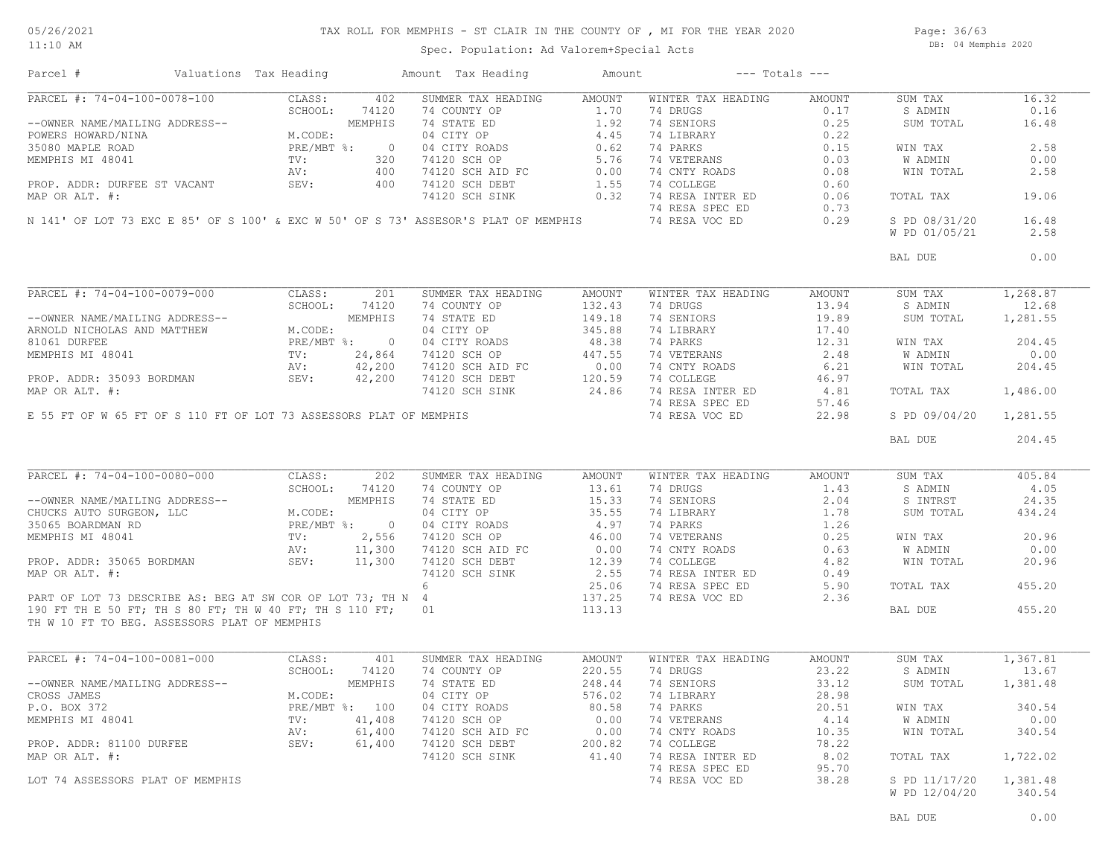Page: 36/63 DB: 04 Memphis 2020

Spec. Population: Ad Valorem+Special Acts

|                                                                                                                                                                                                                                                                                                                                                                 |                 |                | Amount Tax Heading                                                                  | Amount | $---$ Totals $---$ |        |                                |                    |
|-----------------------------------------------------------------------------------------------------------------------------------------------------------------------------------------------------------------------------------------------------------------------------------------------------------------------------------------------------------------|-----------------|----------------|-------------------------------------------------------------------------------------|--------|--------------------|--------|--------------------------------|--------------------|
| PARCEL #: 74-04-100-0078-100                                                                                                                                                                                                                                                                                                                                    | CLASS:          | 402            | SUMMER TAX HEADING                                                                  | AMOUNT | WINTER TAX HEADING | AMOUNT | SUM TAX                        | 16.32              |
|                                                                                                                                                                                                                                                                                                                                                                 | SCHOOL:         | 74120          | 74 COUNTY OP                                                                        | 1.70   | 74 DRUGS           | 0.17   | S ADMIN                        | 0.16               |
| --OWNER NAME/MAILING ADDRESS--                                                                                                                                                                                                                                                                                                                                  |                 | MEMPHIS        | 74 STATE ED                                                                         | 1.92   | 74 SENIORS         | 0.25   | SUM TOTAL                      | 16.48              |
| POWERS HOWARD/NINA                                                                                                                                                                                                                                                                                                                                              | M.CODE:         |                | 04 CITY OP                                                                          | 4.45   | 74 LIBRARY         | 0.22   |                                |                    |
|                                                                                                                                                                                                                                                                                                                                                                 |                 |                |                                                                                     |        |                    |        |                                |                    |
| 35080 MAPLE ROAD                                                                                                                                                                                                                                                                                                                                                | $PRE/MBT$ %:    | $\overline{0}$ | 04 CITY ROADS                                                                       | 0.62   | 74 PARKS           | 0.15   | WIN TAX                        | 2.58               |
| MEMPHIS MI 48041                                                                                                                                                                                                                                                                                                                                                | $\text{TV}$ :   | 320            | 74120 SCH OP                                                                        | 5.76   | 74 VETERANS        | 0.03   | W ADMIN                        | 0.00               |
|                                                                                                                                                                                                                                                                                                                                                                 | AV:             | 400            | $74120$ SCH AID FC                                                                  | 0.00   | 74 CNTY ROADS      | 0.08   | WIN TOTAL                      | 2.58               |
| PROP. ADDR: DURFEE ST VACANT                                                                                                                                                                                                                                                                                                                                    | SEV:            | 400            | 74120 SCH DEBT                                                                      | 1.55   | 74 COLLEGE         | 0.60   |                                |                    |
| MAP OR ALT. #:                                                                                                                                                                                                                                                                                                                                                  |                 |                | 74120 SCH SINK                                                                      | 0.32   | 74 RESA INTER ED   | 0.06   | TOTAL TAX                      | 19.06              |
|                                                                                                                                                                                                                                                                                                                                                                 |                 |                |                                                                                     |        | 74 RESA SPEC ED    | 0.73   |                                |                    |
|                                                                                                                                                                                                                                                                                                                                                                 |                 |                | N 141' OF LOT 73 EXC E 85' OF S 100' & EXC W 50' OF S 73' ASSESOR'S PLAT OF MEMPHIS |        | 74 RESA VOC ED     | 0.29   | S PD 08/31/20                  | 16.48              |
|                                                                                                                                                                                                                                                                                                                                                                 |                 |                |                                                                                     |        |                    |        | W PD 01/05/21                  | 2.58               |
|                                                                                                                                                                                                                                                                                                                                                                 |                 |                |                                                                                     |        |                    |        |                                |                    |
|                                                                                                                                                                                                                                                                                                                                                                 |                 |                |                                                                                     |        |                    |        | BAL DUE                        | 0.00               |
|                                                                                                                                                                                                                                                                                                                                                                 |                 |                |                                                                                     |        |                    |        |                                |                    |
| PARCEL #: 74-04-100-0079-000                                                                                                                                                                                                                                                                                                                                    | CLASS:          | 201            | SUMMER TAX HEADING                                                                  | AMOUNT | WINTER TAX HEADING | AMOUNT | SUM TAX                        | 1,268.87           |
|                                                                                                                                                                                                                                                                                                                                                                 | SCHOOL:         | 74120          | 74 COUNTY OP                                                                        | 132.43 | 74 DRUGS           | 13.94  | S ADMIN                        | 12.68              |
| --OWNER NAME/MAILING ADDRESS--                                                                                                                                                                                                                                                                                                                                  |                 | MEMPHIS        | 74 STATE ED                                                                         | 149.18 | 74 SENIORS         | 19.89  | SUM TOTAL                      | 1,281.55           |
| ARNOLD NICHOLAS AND MATTHEW                                                                                                                                                                                                                                                                                                                                     | M.CODE:         |                | 04 CITY OP                                                                          | 345.88 | 74 LIBRARY         | 17.40  |                                |                    |
| 81061 DURFEE                                                                                                                                                                                                                                                                                                                                                    | $PRE/MBT$ %:    | $\overline{0}$ | 04 CITY ROADS                                                                       | 48.38  | 74 PARKS           | 12.31  | WIN TAX                        | 204.45             |
| MEMPHIS MI 48041                                                                                                                                                                                                                                                                                                                                                | $\texttt{TV}$ : | 24,864         | 74120 SCH OP                                                                        | 447.55 | 74 VETERANS        | 2.48   | W ADMIN                        | 0.00               |
|                                                                                                                                                                                                                                                                                                                                                                 | AV:             | 42,200         | 74120 SCH AID FC                                                                    | 0.00   | 74 CNTY ROADS      | 6.21   | WIN TOTAL                      | 204.45             |
|                                                                                                                                                                                                                                                                                                                                                                 |                 |                |                                                                                     |        | 74 COLLEGE         |        |                                |                    |
| PROP. ADDR: 35093 BORDMAN                                                                                                                                                                                                                                                                                                                                       | SEV:            | 42,200         | 74120 SCH DEBT                                                                      | 120.59 |                    | 46.97  |                                |                    |
| MAP OR ALT. #:                                                                                                                                                                                                                                                                                                                                                  |                 |                | 74120 SCH SINK                                                                      | 24.86  | 74 RESA INTER ED   | 4.81   | TOTAL TAX                      | 1,486.00           |
|                                                                                                                                                                                                                                                                                                                                                                 |                 |                |                                                                                     |        | 74 RESA SPEC ED    | 57.46  |                                |                    |
| E 55 FT OF W 65 FT OF S 110 FT OF LOT 73 ASSESSORS PLAT OF MEMPHIS                                                                                                                                                                                                                                                                                              |                 |                |                                                                                     |        | 74 RESA VOC ED     | 22.98  | S PD 09/04/20                  | 1,281.55           |
|                                                                                                                                                                                                                                                                                                                                                                 |                 |                |                                                                                     |        |                    |        |                                |                    |
|                                                                                                                                                                                                                                                                                                                                                                 |                 |                |                                                                                     |        |                    |        | BAL DUE                        | 204.45             |
|                                                                                                                                                                                                                                                                                                                                                                 |                 |                |                                                                                     |        |                    |        |                                |                    |
|                                                                                                                                                                                                                                                                                                                                                                 | CLASS:          | 202            | SUMMER TAX HEADING                                                                  | AMOUNT | WINTER TAX HEADING | AMOUNT | SUM TAX                        | 405.84             |
|                                                                                                                                                                                                                                                                                                                                                                 |                 |                |                                                                                     |        |                    |        |                                |                    |
|                                                                                                                                                                                                                                                                                                                                                                 | SCHOOL:         | 74120          | 74 COUNTY OP                                                                        | 13.61  | 74 DRUGS           | 1.43   | S ADMIN                        | 4.05               |
|                                                                                                                                                                                                                                                                                                                                                                 |                 | MEMPHIS        | 74 STATE ED                                                                         | 15.33  | 74 SENIORS         | 2.04   | S INTRST                       | 24.35              |
|                                                                                                                                                                                                                                                                                                                                                                 | M.CODE:         |                | 04 CITY OP                                                                          | 35.55  | 74 LIBRARY         | 1.78   | SUM TOTAL                      | 434.24             |
|                                                                                                                                                                                                                                                                                                                                                                 |                 | PRE/MBT %: 0   | 04 CITY ROADS                                                                       | 4.97   | 74 PARKS           | 1.26   |                                |                    |
|                                                                                                                                                                                                                                                                                                                                                                 | $\texttt{TV}$ : | 2,556          |                                                                                     | 46.00  | 74 VETERANS        | 0.25   | WIN TAX                        | 20.96              |
|                                                                                                                                                                                                                                                                                                                                                                 | AV:             | 11,300         | 74120 SCH OP<br>74120 SCH AID FC                                                    | 0.00   | 74 CNTY ROADS      | 0.63   | W ADMIN                        | 0.00               |
|                                                                                                                                                                                                                                                                                                                                                                 | SEV: 11,300     |                | 74120 SCH DEBT                                                                      | 12.39  | 74 COLLEGE         | 4.82   | WIN TOTAL                      | 20.96              |
|                                                                                                                                                                                                                                                                                                                                                                 |                 |                | 74120 SCH SINK                                                                      | 2.55   | 74 RESA INTER ED   | 0.49   |                                |                    |
|                                                                                                                                                                                                                                                                                                                                                                 |                 |                | 6                                                                                   |        |                    | 5.90   | TOTAL TAX                      | 455.20             |
|                                                                                                                                                                                                                                                                                                                                                                 |                 |                |                                                                                     | 25.06  | 74 RESA SPEC ED    |        |                                |                    |
|                                                                                                                                                                                                                                                                                                                                                                 |                 |                |                                                                                     | 137.25 | 74 RESA VOC ED     | 2.36   |                                |                    |
|                                                                                                                                                                                                                                                                                                                                                                 |                 |                |                                                                                     | 113.13 |                    |        | BAL DUE                        | 455.20             |
| PARCEL #: 74-04-100-0080-000<br>--OWNER NAME/MAILING ADDRESS--<br>CHUCKS AUTO SURGEON, LLC<br>35065 BOARDMAN RD<br>MEMPHIS MI 48041<br>PROP. ADDR: 35065 BORDMAN<br>MAP OR ALT. #:<br>PART OF LOT 73 DESCRIBE AS: BEG AT SW COR OF LOT 73; TH N 4<br>190 FT TH E 50 FT; TH S 80 FT; TH W 40 FT; TH S 110 FT; 01<br>TH W 10 FT TO BEG. ASSESSORS PLAT OF MEMPHIS |                 |                |                                                                                     |        |                    |        |                                |                    |
|                                                                                                                                                                                                                                                                                                                                                                 | CLASS:          | 401            | SUMMER TAX HEADING                                                                  | AMOUNT | WINTER TAX HEADING | AMOUNT | SUM TAX                        | 1,367.81           |
|                                                                                                                                                                                                                                                                                                                                                                 | SCHOOL:         | 74120          | 74 COUNTY OP                                                                        | 220.55 | 74 DRUGS           | 23.22  | S ADMIN                        | 13.67              |
|                                                                                                                                                                                                                                                                                                                                                                 |                 | MEMPHIS        |                                                                                     |        | 74 SENIORS         |        |                                |                    |
|                                                                                                                                                                                                                                                                                                                                                                 |                 |                | 74 STATE ED                                                                         | 248.44 |                    | 33.12  | SUM TOTAL                      | 1,381.48           |
|                                                                                                                                                                                                                                                                                                                                                                 | M.CODE:         |                | 04 CITY OP                                                                          | 576.02 | 74 LIBRARY         | 28.98  |                                |                    |
|                                                                                                                                                                                                                                                                                                                                                                 |                 | PRE/MBT %: 100 | 04 CITY ROADS                                                                       | 80.58  | 74 PARKS           | 20.51  | WIN TAX                        | 340.54             |
|                                                                                                                                                                                                                                                                                                                                                                 | TV:             | 41,408         | 74120 SCH OP                                                                        | 0.00   | 74 VETERANS        | 4.14   | W ADMIN                        | 0.00               |
|                                                                                                                                                                                                                                                                                                                                                                 | AV:             | 61,400         | 74120 SCH AID FC                                                                    | 0.00   | 74 CNTY ROADS      | 10.35  | WIN TOTAL                      | 340.54             |
| PARCEL #: 74-04-100-0081-000<br>--OWNER NAME/MAILING ADDRESS--<br>CROSS JAMES<br>P.O. BOX 372<br>MEMPHIS MI 48041<br>PROP. ADDR: 81100 DURFEE                                                                                                                                                                                                                   | SEV:            | 61,400         | 74120 SCH DEBT                                                                      | 200.82 | 74 COLLEGE         | 78.22  |                                |                    |
|                                                                                                                                                                                                                                                                                                                                                                 |                 |                |                                                                                     |        |                    |        |                                |                    |
| MAP OR ALT. #:                                                                                                                                                                                                                                                                                                                                                  |                 |                | 74120 SCH SINK                                                                      | 41.40  | 74 RESA INTER ED   | 8.02   | TOTAL TAX                      | 1,722.02           |
|                                                                                                                                                                                                                                                                                                                                                                 |                 |                |                                                                                     |        | 74 RESA SPEC ED    | 95.70  |                                |                    |
| LOT 74 ASSESSORS PLAT OF MEMPHIS                                                                                                                                                                                                                                                                                                                                |                 |                |                                                                                     |        | 74 RESA VOC ED     | 38.28  | S PD 11/17/20<br>W PD 12/04/20 | 1,381.48<br>340.54 |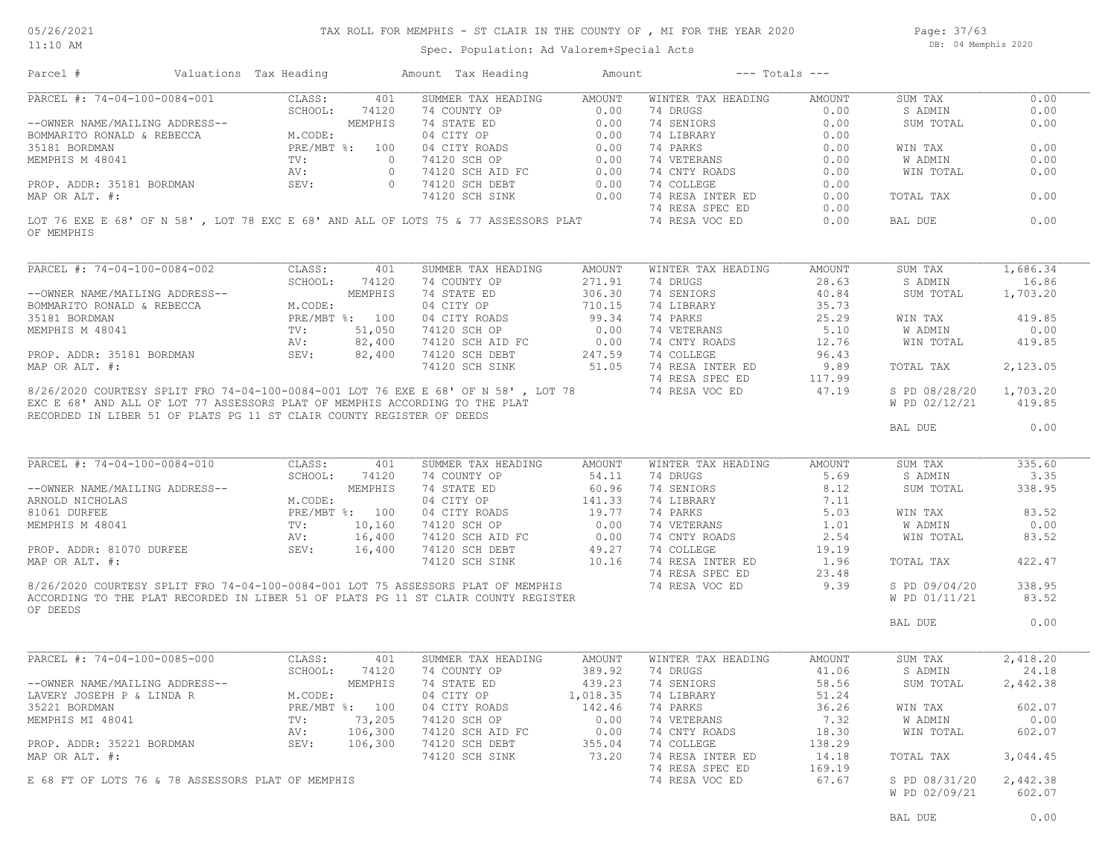#### 11:10 AM

#### TAX ROLL FOR MEMPHIS - ST CLAIR IN THE COUNTY OF , MI FOR THE YEAR 2020

Page: 37/63 DB: 04 Memphis 2020

Spec. Population: Ad Valorem+Special Acts

| PARCEL #: 74-04-100-0084-001<br>CLASS:<br>401<br>SUMMER TAX HEADING<br>AMOUNT<br>WINTER TAX HEADING<br>SUM TAX<br>AMOUNT<br>0.00<br>S ADMIN<br>0.00<br>SUM TOTAL<br>0.00<br>0.00<br>WIN TAX<br>74 VETERANS 0.00<br>74 CNTY ROADS 0.00<br>W ADMIN<br>WIN TOTAL<br>0.00<br>0.00<br>TOTAL TAX<br>0.00<br>LOT 76 EXE E 68' OF N 58', LOT 78 EXC E 68' AND ALL OF LOTS 75 & 77 ASSESSORS PLAT<br>0.00<br>74 RESA VOC ED<br>0.00<br>BAL DUE<br>PARCEL #: 74-04-100-0084-002<br>CLASS: 401<br>SUMMER TAX HEADING<br>AMOUNT<br>WINTER TAX HEADING<br>AMOUNT<br>SUM TAX<br>SCHOOL: 74120<br>271.91<br>74 DRUGS<br>28.63<br>74 COUNTY OP<br>S ADMIN<br>--OWNER NAME/MAILING ADDRESS--<br>BOMMARITO RONALD & REBECCA<br>35181 BORDMAN<br>MEMPHIS M 48041<br>MEMPHIS M 48041<br>MEMPHIS M 48041<br>MEMPHIS M 48041<br>MEMPHIS M 48041<br>MORE S2,400<br>MUSIC RV:<br>22,400<br>MUSIC RV:<br>22,400<br>40.84<br>74 STATE ED<br>74 STATE ED<br>806.30<br>04 CITY OP<br>710.15<br>04 CITY ROADS<br>74120 SCH OP<br>74120 SCH AID FC<br>74120 SCH DEBT<br>74120 SCH DEBT<br>74120 SCH DEBT<br>74120 SCH SINK<br>51.05<br>74 SENIORS<br>SUM TOTAL<br>74 LIBRARY<br>35.73<br>25.29<br>WIN TAX<br>419.85<br>$\begin{tabular}{llllll} 74 \hbox{ PARKS} & 25.29 \\ 74 \hbox{ VETERANS} & 5.10 \\ 74 \hbox{ CNTY ROADS} & 12.76 \\ 74 \hbox{ COLLEGE} & 96.43 \\ 74 \hbox{ RESA INTER ED} & 9.89 \\ \end{tabular}$<br>0.00<br>W ADMIN<br>WIN TOTAL<br>419.85<br>PROP. ADDR: 35181 BORDMAN SEV: 82,400<br>TOTAL TAX 2,123.05<br>MAP OR ALT. #:<br>74 RESA SPEC ED 117.99 74 RESA VOC ED 147.19<br>8/26/2020 COURTESY SPLIT FRO 74-04-100-0084-001 LOT 76 EXE E 68' OF N 58', LOT 78<br>S PD 08/28/20 1,703.20<br>EXC E 68' AND ALL OF LOT 77 ASSESSORS PLAT OF MEMPHIS ACCORDING TO THE PLAT<br>W PD 02/12/21 419.85<br>RECORDED IN LIBER 51 OF PLATS PG 11 ST CLAIR COUNTY REGISTER OF DEEDS<br>$\sim$ 0.00<br>BAL DUE<br>PARCEL #: 74-04-100-0084-010 CLASS: 401<br>SUMMER TAX HEADING<br>WINTER TAX HEADING AMOUNT<br>SUM TAX<br>335.60<br>AMOUNT<br>74 COUNTY OP 54.11<br>74 DRUGS<br>5.69<br>3.35<br>SCHOOL: 74120<br>S ADMIN<br>LING ADDRESS--<br>M.CODE:<br>M.CODE:<br>PRE/MBT %: 100<br>TV: 10,160<br>74 STATE ED<br>74 STATE ED<br>8.12<br>94 CITY OP<br>96.96 74 SENIORS<br>96.96 74 SENIORS<br>74 LIBRARY<br>74 LIBRARY<br>74 LIBRARY<br>74 LIBRARY<br>74 LIBRARY<br>74 LIBRARY<br>74 RARKS<br>5.03<br>74 NETERANS<br>1.01<br>74 RESA INTER SOLUTION 1.96<br>2.54<br><br>338.95<br>--OWNER NAME/MAILING ADDRESS--<br>SUM TOTAL<br>ARNOLD NICHOLAS<br>81061 DURFEE<br>83.52<br>WIN TAX<br>MEMPHIS M 48041<br>0.00<br>W ADMIN<br>16,400<br>AV:<br>WIN TOTAL<br>PROP. ADDR: 81070 DURFEE<br>SEV: 16,400<br>MAP OR ALT. #:<br>TOTAL TAX<br>74 RESA SPEC ED 23.48<br>74 RESA VOC ED 9.39<br>8/26/2020 COURTESY SPLIT FRO 74-04-100-0084-001 LOT 75 ASSESSORS PLAT OF MEMPHIS<br>S PD 09/04/20<br>W PD 01/11/21<br>ACCORDING TO THE PLAT RECORDED IN LIBER 51 OF PLATS PG 11 ST CLAIR COUNTY REGISTER<br>OF DEEDS<br>BAL DUE<br>PARCEL #: 74-04-100-0085-000<br>AMOUNT<br>CLASS:<br>401<br>SUMMER TAX HEADING<br>WINTER TAX HEADING<br>AMOUNT<br>SUM TAX<br>2,418.20<br>SCHOOL: 74120<br>74 COUNTY OP<br>389.92<br>74 DRUGS 41.06<br>S ADMIN<br>24.18<br>MEMPHIS<br>74 STATE ED<br>439.23<br>74 SENIORS<br>58.56<br>SUM TOTAL<br>2,442.38<br>--OWNER NAME/MAILING ADDRESS--<br>M.CODE:<br>04 CITY OP 1,018.35<br>74 LIBRARY<br>LAVERY JOSEPH P & LINDA R<br>51.24<br>35221 BORDMAN<br>PRE/MBT %: 100<br>04 CITY ROADS<br>142.46<br>36.26<br>602.07<br>74 PARKS<br>WIN TAX<br>MEMPHIS MI 48041<br>73,205<br>74120 SCH OP<br>0.00<br>74 VETERANS<br>7.32<br>W ADMIN<br>0.00<br>$\text{TV}$ :<br>106,300<br>18.30<br>74120 SCH AID FC<br>0.00<br>74 CNTY ROADS<br>WIN TOTAL<br>602.07<br>AV:<br>106,300<br>138.29<br>PROP. ADDR: 35221 BORDMAN<br>SEV:<br>74120 SCH DEBT<br>355.04<br>74 COLLEGE<br>74 RESA INTER ED<br>74120 SCH SINK<br>73.20<br>14.18<br>TOTAL TAX<br>74 RESA SPEC ED<br>169.19<br>74 RESA VOC ED<br>67.67<br>S PD 08/31/20<br>2,442.38<br>E 68 FT OF LOTS 76 & 78 ASSESSORS PLAT OF MEMPHIS<br>W PD 02/09/21<br>602.07 | Parcel #       |  | Valuations Tax Heading Mamount Tax Heading | Amount<br>$---$ Totals $---$ |  |          |
|-----------------------------------------------------------------------------------------------------------------------------------------------------------------------------------------------------------------------------------------------------------------------------------------------------------------------------------------------------------------------------------------------------------------------------------------------------------------------------------------------------------------------------------------------------------------------------------------------------------------------------------------------------------------------------------------------------------------------------------------------------------------------------------------------------------------------------------------------------------------------------------------------------------------------------------------------------------------------------------------------------------------------------------------------------------------------------------------------------------------------------------------------------------------------------------------------------------------------------------------------------------------------------------------------------------------------------------------------------------------------------------------------------------------------------------------------------------------------------------------------------------------------------------------------------------------------------------------------------------------------------------------------------------------------------------------------------------------------------------------------------------------------------------------------------------------------------------------------------------------------------------------------------------------------------------------------------------------------------------------------------------------------------------------------------------------------------------------------------------------------------------------------------------------------------------------------------------------------------------------------------------------------------------------------------------------------------------------------------------------------------------------------------------------------------------------------------------------------------------------------------------------------------------------------------------------------------------------------------------------------------------------------------------------------------------------------------------------------------------------------------------------------------------------------------------------------------------------------------------------------------------------------------------------------------------------------------------------------------------------------------------------------------------------------------------------------------------------------------------------------------------------------------------------------------------------------------------------------------------------------------------------------------------------------------------------------------------------------------------------------------------------------------------------------------------------------------------------------------------------------------------------------------------------------------------------------------------------------------------------------------------------------------------------------------------------------------------------------------------------------------------------------------------------------------------------------------------------------------------------------------------------------------------------------------------------------------------------------------------------------------------------------------------------------------------------------------------------------------------------------|----------------|--|--------------------------------------------|------------------------------|--|----------|
|                                                                                                                                                                                                                                                                                                                                                                                                                                                                                                                                                                                                                                                                                                                                                                                                                                                                                                                                                                                                                                                                                                                                                                                                                                                                                                                                                                                                                                                                                                                                                                                                                                                                                                                                                                                                                                                                                                                                                                                                                                                                                                                                                                                                                                                                                                                                                                                                                                                                                                                                                                                                                                                                                                                                                                                                                                                                                                                                                                                                                                                                                                                                                                                                                                                                                                                                                                                                                                                                                                                                                                                                                                                                                                                                                                                                                                                                                                                                                                                                                                                                                                                       |                |  |                                            |                              |  | 0.00     |
|                                                                                                                                                                                                                                                                                                                                                                                                                                                                                                                                                                                                                                                                                                                                                                                                                                                                                                                                                                                                                                                                                                                                                                                                                                                                                                                                                                                                                                                                                                                                                                                                                                                                                                                                                                                                                                                                                                                                                                                                                                                                                                                                                                                                                                                                                                                                                                                                                                                                                                                                                                                                                                                                                                                                                                                                                                                                                                                                                                                                                                                                                                                                                                                                                                                                                                                                                                                                                                                                                                                                                                                                                                                                                                                                                                                                                                                                                                                                                                                                                                                                                                                       |                |  |                                            |                              |  | 0.00     |
|                                                                                                                                                                                                                                                                                                                                                                                                                                                                                                                                                                                                                                                                                                                                                                                                                                                                                                                                                                                                                                                                                                                                                                                                                                                                                                                                                                                                                                                                                                                                                                                                                                                                                                                                                                                                                                                                                                                                                                                                                                                                                                                                                                                                                                                                                                                                                                                                                                                                                                                                                                                                                                                                                                                                                                                                                                                                                                                                                                                                                                                                                                                                                                                                                                                                                                                                                                                                                                                                                                                                                                                                                                                                                                                                                                                                                                                                                                                                                                                                                                                                                                                       |                |  |                                            |                              |  | 0.00     |
|                                                                                                                                                                                                                                                                                                                                                                                                                                                                                                                                                                                                                                                                                                                                                                                                                                                                                                                                                                                                                                                                                                                                                                                                                                                                                                                                                                                                                                                                                                                                                                                                                                                                                                                                                                                                                                                                                                                                                                                                                                                                                                                                                                                                                                                                                                                                                                                                                                                                                                                                                                                                                                                                                                                                                                                                                                                                                                                                                                                                                                                                                                                                                                                                                                                                                                                                                                                                                                                                                                                                                                                                                                                                                                                                                                                                                                                                                                                                                                                                                                                                                                                       |                |  |                                            |                              |  |          |
|                                                                                                                                                                                                                                                                                                                                                                                                                                                                                                                                                                                                                                                                                                                                                                                                                                                                                                                                                                                                                                                                                                                                                                                                                                                                                                                                                                                                                                                                                                                                                                                                                                                                                                                                                                                                                                                                                                                                                                                                                                                                                                                                                                                                                                                                                                                                                                                                                                                                                                                                                                                                                                                                                                                                                                                                                                                                                                                                                                                                                                                                                                                                                                                                                                                                                                                                                                                                                                                                                                                                                                                                                                                                                                                                                                                                                                                                                                                                                                                                                                                                                                                       |                |  |                                            |                              |  | 0.00     |
|                                                                                                                                                                                                                                                                                                                                                                                                                                                                                                                                                                                                                                                                                                                                                                                                                                                                                                                                                                                                                                                                                                                                                                                                                                                                                                                                                                                                                                                                                                                                                                                                                                                                                                                                                                                                                                                                                                                                                                                                                                                                                                                                                                                                                                                                                                                                                                                                                                                                                                                                                                                                                                                                                                                                                                                                                                                                                                                                                                                                                                                                                                                                                                                                                                                                                                                                                                                                                                                                                                                                                                                                                                                                                                                                                                                                                                                                                                                                                                                                                                                                                                                       |                |  |                                            |                              |  | 0.00     |
|                                                                                                                                                                                                                                                                                                                                                                                                                                                                                                                                                                                                                                                                                                                                                                                                                                                                                                                                                                                                                                                                                                                                                                                                                                                                                                                                                                                                                                                                                                                                                                                                                                                                                                                                                                                                                                                                                                                                                                                                                                                                                                                                                                                                                                                                                                                                                                                                                                                                                                                                                                                                                                                                                                                                                                                                                                                                                                                                                                                                                                                                                                                                                                                                                                                                                                                                                                                                                                                                                                                                                                                                                                                                                                                                                                                                                                                                                                                                                                                                                                                                                                                       |                |  |                                            |                              |  | 0.00     |
|                                                                                                                                                                                                                                                                                                                                                                                                                                                                                                                                                                                                                                                                                                                                                                                                                                                                                                                                                                                                                                                                                                                                                                                                                                                                                                                                                                                                                                                                                                                                                                                                                                                                                                                                                                                                                                                                                                                                                                                                                                                                                                                                                                                                                                                                                                                                                                                                                                                                                                                                                                                                                                                                                                                                                                                                                                                                                                                                                                                                                                                                                                                                                                                                                                                                                                                                                                                                                                                                                                                                                                                                                                                                                                                                                                                                                                                                                                                                                                                                                                                                                                                       |                |  |                                            |                              |  |          |
|                                                                                                                                                                                                                                                                                                                                                                                                                                                                                                                                                                                                                                                                                                                                                                                                                                                                                                                                                                                                                                                                                                                                                                                                                                                                                                                                                                                                                                                                                                                                                                                                                                                                                                                                                                                                                                                                                                                                                                                                                                                                                                                                                                                                                                                                                                                                                                                                                                                                                                                                                                                                                                                                                                                                                                                                                                                                                                                                                                                                                                                                                                                                                                                                                                                                                                                                                                                                                                                                                                                                                                                                                                                                                                                                                                                                                                                                                                                                                                                                                                                                                                                       |                |  |                                            |                              |  | 0.00     |
|                                                                                                                                                                                                                                                                                                                                                                                                                                                                                                                                                                                                                                                                                                                                                                                                                                                                                                                                                                                                                                                                                                                                                                                                                                                                                                                                                                                                                                                                                                                                                                                                                                                                                                                                                                                                                                                                                                                                                                                                                                                                                                                                                                                                                                                                                                                                                                                                                                                                                                                                                                                                                                                                                                                                                                                                                                                                                                                                                                                                                                                                                                                                                                                                                                                                                                                                                                                                                                                                                                                                                                                                                                                                                                                                                                                                                                                                                                                                                                                                                                                                                                                       |                |  |                                            |                              |  |          |
|                                                                                                                                                                                                                                                                                                                                                                                                                                                                                                                                                                                                                                                                                                                                                                                                                                                                                                                                                                                                                                                                                                                                                                                                                                                                                                                                                                                                                                                                                                                                                                                                                                                                                                                                                                                                                                                                                                                                                                                                                                                                                                                                                                                                                                                                                                                                                                                                                                                                                                                                                                                                                                                                                                                                                                                                                                                                                                                                                                                                                                                                                                                                                                                                                                                                                                                                                                                                                                                                                                                                                                                                                                                                                                                                                                                                                                                                                                                                                                                                                                                                                                                       |                |  |                                            |                              |  |          |
|                                                                                                                                                                                                                                                                                                                                                                                                                                                                                                                                                                                                                                                                                                                                                                                                                                                                                                                                                                                                                                                                                                                                                                                                                                                                                                                                                                                                                                                                                                                                                                                                                                                                                                                                                                                                                                                                                                                                                                                                                                                                                                                                                                                                                                                                                                                                                                                                                                                                                                                                                                                                                                                                                                                                                                                                                                                                                                                                                                                                                                                                                                                                                                                                                                                                                                                                                                                                                                                                                                                                                                                                                                                                                                                                                                                                                                                                                                                                                                                                                                                                                                                       | OF MEMPHIS     |  |                                            |                              |  |          |
|                                                                                                                                                                                                                                                                                                                                                                                                                                                                                                                                                                                                                                                                                                                                                                                                                                                                                                                                                                                                                                                                                                                                                                                                                                                                                                                                                                                                                                                                                                                                                                                                                                                                                                                                                                                                                                                                                                                                                                                                                                                                                                                                                                                                                                                                                                                                                                                                                                                                                                                                                                                                                                                                                                                                                                                                                                                                                                                                                                                                                                                                                                                                                                                                                                                                                                                                                                                                                                                                                                                                                                                                                                                                                                                                                                                                                                                                                                                                                                                                                                                                                                                       |                |  |                                            |                              |  | 1,686.34 |
|                                                                                                                                                                                                                                                                                                                                                                                                                                                                                                                                                                                                                                                                                                                                                                                                                                                                                                                                                                                                                                                                                                                                                                                                                                                                                                                                                                                                                                                                                                                                                                                                                                                                                                                                                                                                                                                                                                                                                                                                                                                                                                                                                                                                                                                                                                                                                                                                                                                                                                                                                                                                                                                                                                                                                                                                                                                                                                                                                                                                                                                                                                                                                                                                                                                                                                                                                                                                                                                                                                                                                                                                                                                                                                                                                                                                                                                                                                                                                                                                                                                                                                                       |                |  |                                            |                              |  | 16.86    |
|                                                                                                                                                                                                                                                                                                                                                                                                                                                                                                                                                                                                                                                                                                                                                                                                                                                                                                                                                                                                                                                                                                                                                                                                                                                                                                                                                                                                                                                                                                                                                                                                                                                                                                                                                                                                                                                                                                                                                                                                                                                                                                                                                                                                                                                                                                                                                                                                                                                                                                                                                                                                                                                                                                                                                                                                                                                                                                                                                                                                                                                                                                                                                                                                                                                                                                                                                                                                                                                                                                                                                                                                                                                                                                                                                                                                                                                                                                                                                                                                                                                                                                                       |                |  |                                            |                              |  | 1,703.20 |
|                                                                                                                                                                                                                                                                                                                                                                                                                                                                                                                                                                                                                                                                                                                                                                                                                                                                                                                                                                                                                                                                                                                                                                                                                                                                                                                                                                                                                                                                                                                                                                                                                                                                                                                                                                                                                                                                                                                                                                                                                                                                                                                                                                                                                                                                                                                                                                                                                                                                                                                                                                                                                                                                                                                                                                                                                                                                                                                                                                                                                                                                                                                                                                                                                                                                                                                                                                                                                                                                                                                                                                                                                                                                                                                                                                                                                                                                                                                                                                                                                                                                                                                       |                |  |                                            |                              |  |          |
|                                                                                                                                                                                                                                                                                                                                                                                                                                                                                                                                                                                                                                                                                                                                                                                                                                                                                                                                                                                                                                                                                                                                                                                                                                                                                                                                                                                                                                                                                                                                                                                                                                                                                                                                                                                                                                                                                                                                                                                                                                                                                                                                                                                                                                                                                                                                                                                                                                                                                                                                                                                                                                                                                                                                                                                                                                                                                                                                                                                                                                                                                                                                                                                                                                                                                                                                                                                                                                                                                                                                                                                                                                                                                                                                                                                                                                                                                                                                                                                                                                                                                                                       |                |  |                                            |                              |  |          |
|                                                                                                                                                                                                                                                                                                                                                                                                                                                                                                                                                                                                                                                                                                                                                                                                                                                                                                                                                                                                                                                                                                                                                                                                                                                                                                                                                                                                                                                                                                                                                                                                                                                                                                                                                                                                                                                                                                                                                                                                                                                                                                                                                                                                                                                                                                                                                                                                                                                                                                                                                                                                                                                                                                                                                                                                                                                                                                                                                                                                                                                                                                                                                                                                                                                                                                                                                                                                                                                                                                                                                                                                                                                                                                                                                                                                                                                                                                                                                                                                                                                                                                                       |                |  |                                            |                              |  |          |
|                                                                                                                                                                                                                                                                                                                                                                                                                                                                                                                                                                                                                                                                                                                                                                                                                                                                                                                                                                                                                                                                                                                                                                                                                                                                                                                                                                                                                                                                                                                                                                                                                                                                                                                                                                                                                                                                                                                                                                                                                                                                                                                                                                                                                                                                                                                                                                                                                                                                                                                                                                                                                                                                                                                                                                                                                                                                                                                                                                                                                                                                                                                                                                                                                                                                                                                                                                                                                                                                                                                                                                                                                                                                                                                                                                                                                                                                                                                                                                                                                                                                                                                       |                |  |                                            |                              |  |          |
|                                                                                                                                                                                                                                                                                                                                                                                                                                                                                                                                                                                                                                                                                                                                                                                                                                                                                                                                                                                                                                                                                                                                                                                                                                                                                                                                                                                                                                                                                                                                                                                                                                                                                                                                                                                                                                                                                                                                                                                                                                                                                                                                                                                                                                                                                                                                                                                                                                                                                                                                                                                                                                                                                                                                                                                                                                                                                                                                                                                                                                                                                                                                                                                                                                                                                                                                                                                                                                                                                                                                                                                                                                                                                                                                                                                                                                                                                                                                                                                                                                                                                                                       |                |  |                                            |                              |  |          |
|                                                                                                                                                                                                                                                                                                                                                                                                                                                                                                                                                                                                                                                                                                                                                                                                                                                                                                                                                                                                                                                                                                                                                                                                                                                                                                                                                                                                                                                                                                                                                                                                                                                                                                                                                                                                                                                                                                                                                                                                                                                                                                                                                                                                                                                                                                                                                                                                                                                                                                                                                                                                                                                                                                                                                                                                                                                                                                                                                                                                                                                                                                                                                                                                                                                                                                                                                                                                                                                                                                                                                                                                                                                                                                                                                                                                                                                                                                                                                                                                                                                                                                                       |                |  |                                            |                              |  |          |
|                                                                                                                                                                                                                                                                                                                                                                                                                                                                                                                                                                                                                                                                                                                                                                                                                                                                                                                                                                                                                                                                                                                                                                                                                                                                                                                                                                                                                                                                                                                                                                                                                                                                                                                                                                                                                                                                                                                                                                                                                                                                                                                                                                                                                                                                                                                                                                                                                                                                                                                                                                                                                                                                                                                                                                                                                                                                                                                                                                                                                                                                                                                                                                                                                                                                                                                                                                                                                                                                                                                                                                                                                                                                                                                                                                                                                                                                                                                                                                                                                                                                                                                       |                |  |                                            |                              |  |          |
|                                                                                                                                                                                                                                                                                                                                                                                                                                                                                                                                                                                                                                                                                                                                                                                                                                                                                                                                                                                                                                                                                                                                                                                                                                                                                                                                                                                                                                                                                                                                                                                                                                                                                                                                                                                                                                                                                                                                                                                                                                                                                                                                                                                                                                                                                                                                                                                                                                                                                                                                                                                                                                                                                                                                                                                                                                                                                                                                                                                                                                                                                                                                                                                                                                                                                                                                                                                                                                                                                                                                                                                                                                                                                                                                                                                                                                                                                                                                                                                                                                                                                                                       |                |  |                                            |                              |  |          |
|                                                                                                                                                                                                                                                                                                                                                                                                                                                                                                                                                                                                                                                                                                                                                                                                                                                                                                                                                                                                                                                                                                                                                                                                                                                                                                                                                                                                                                                                                                                                                                                                                                                                                                                                                                                                                                                                                                                                                                                                                                                                                                                                                                                                                                                                                                                                                                                                                                                                                                                                                                                                                                                                                                                                                                                                                                                                                                                                                                                                                                                                                                                                                                                                                                                                                                                                                                                                                                                                                                                                                                                                                                                                                                                                                                                                                                                                                                                                                                                                                                                                                                                       |                |  |                                            |                              |  |          |
|                                                                                                                                                                                                                                                                                                                                                                                                                                                                                                                                                                                                                                                                                                                                                                                                                                                                                                                                                                                                                                                                                                                                                                                                                                                                                                                                                                                                                                                                                                                                                                                                                                                                                                                                                                                                                                                                                                                                                                                                                                                                                                                                                                                                                                                                                                                                                                                                                                                                                                                                                                                                                                                                                                                                                                                                                                                                                                                                                                                                                                                                                                                                                                                                                                                                                                                                                                                                                                                                                                                                                                                                                                                                                                                                                                                                                                                                                                                                                                                                                                                                                                                       |                |  |                                            |                              |  |          |
|                                                                                                                                                                                                                                                                                                                                                                                                                                                                                                                                                                                                                                                                                                                                                                                                                                                                                                                                                                                                                                                                                                                                                                                                                                                                                                                                                                                                                                                                                                                                                                                                                                                                                                                                                                                                                                                                                                                                                                                                                                                                                                                                                                                                                                                                                                                                                                                                                                                                                                                                                                                                                                                                                                                                                                                                                                                                                                                                                                                                                                                                                                                                                                                                                                                                                                                                                                                                                                                                                                                                                                                                                                                                                                                                                                                                                                                                                                                                                                                                                                                                                                                       |                |  |                                            |                              |  |          |
|                                                                                                                                                                                                                                                                                                                                                                                                                                                                                                                                                                                                                                                                                                                                                                                                                                                                                                                                                                                                                                                                                                                                                                                                                                                                                                                                                                                                                                                                                                                                                                                                                                                                                                                                                                                                                                                                                                                                                                                                                                                                                                                                                                                                                                                                                                                                                                                                                                                                                                                                                                                                                                                                                                                                                                                                                                                                                                                                                                                                                                                                                                                                                                                                                                                                                                                                                                                                                                                                                                                                                                                                                                                                                                                                                                                                                                                                                                                                                                                                                                                                                                                       |                |  |                                            |                              |  |          |
|                                                                                                                                                                                                                                                                                                                                                                                                                                                                                                                                                                                                                                                                                                                                                                                                                                                                                                                                                                                                                                                                                                                                                                                                                                                                                                                                                                                                                                                                                                                                                                                                                                                                                                                                                                                                                                                                                                                                                                                                                                                                                                                                                                                                                                                                                                                                                                                                                                                                                                                                                                                                                                                                                                                                                                                                                                                                                                                                                                                                                                                                                                                                                                                                                                                                                                                                                                                                                                                                                                                                                                                                                                                                                                                                                                                                                                                                                                                                                                                                                                                                                                                       |                |  |                                            |                              |  |          |
|                                                                                                                                                                                                                                                                                                                                                                                                                                                                                                                                                                                                                                                                                                                                                                                                                                                                                                                                                                                                                                                                                                                                                                                                                                                                                                                                                                                                                                                                                                                                                                                                                                                                                                                                                                                                                                                                                                                                                                                                                                                                                                                                                                                                                                                                                                                                                                                                                                                                                                                                                                                                                                                                                                                                                                                                                                                                                                                                                                                                                                                                                                                                                                                                                                                                                                                                                                                                                                                                                                                                                                                                                                                                                                                                                                                                                                                                                                                                                                                                                                                                                                                       |                |  |                                            |                              |  |          |
|                                                                                                                                                                                                                                                                                                                                                                                                                                                                                                                                                                                                                                                                                                                                                                                                                                                                                                                                                                                                                                                                                                                                                                                                                                                                                                                                                                                                                                                                                                                                                                                                                                                                                                                                                                                                                                                                                                                                                                                                                                                                                                                                                                                                                                                                                                                                                                                                                                                                                                                                                                                                                                                                                                                                                                                                                                                                                                                                                                                                                                                                                                                                                                                                                                                                                                                                                                                                                                                                                                                                                                                                                                                                                                                                                                                                                                                                                                                                                                                                                                                                                                                       |                |  |                                            |                              |  |          |
|                                                                                                                                                                                                                                                                                                                                                                                                                                                                                                                                                                                                                                                                                                                                                                                                                                                                                                                                                                                                                                                                                                                                                                                                                                                                                                                                                                                                                                                                                                                                                                                                                                                                                                                                                                                                                                                                                                                                                                                                                                                                                                                                                                                                                                                                                                                                                                                                                                                                                                                                                                                                                                                                                                                                                                                                                                                                                                                                                                                                                                                                                                                                                                                                                                                                                                                                                                                                                                                                                                                                                                                                                                                                                                                                                                                                                                                                                                                                                                                                                                                                                                                       |                |  |                                            |                              |  |          |
|                                                                                                                                                                                                                                                                                                                                                                                                                                                                                                                                                                                                                                                                                                                                                                                                                                                                                                                                                                                                                                                                                                                                                                                                                                                                                                                                                                                                                                                                                                                                                                                                                                                                                                                                                                                                                                                                                                                                                                                                                                                                                                                                                                                                                                                                                                                                                                                                                                                                                                                                                                                                                                                                                                                                                                                                                                                                                                                                                                                                                                                                                                                                                                                                                                                                                                                                                                                                                                                                                                                                                                                                                                                                                                                                                                                                                                                                                                                                                                                                                                                                                                                       |                |  |                                            |                              |  |          |
|                                                                                                                                                                                                                                                                                                                                                                                                                                                                                                                                                                                                                                                                                                                                                                                                                                                                                                                                                                                                                                                                                                                                                                                                                                                                                                                                                                                                                                                                                                                                                                                                                                                                                                                                                                                                                                                                                                                                                                                                                                                                                                                                                                                                                                                                                                                                                                                                                                                                                                                                                                                                                                                                                                                                                                                                                                                                                                                                                                                                                                                                                                                                                                                                                                                                                                                                                                                                                                                                                                                                                                                                                                                                                                                                                                                                                                                                                                                                                                                                                                                                                                                       |                |  |                                            |                              |  |          |
|                                                                                                                                                                                                                                                                                                                                                                                                                                                                                                                                                                                                                                                                                                                                                                                                                                                                                                                                                                                                                                                                                                                                                                                                                                                                                                                                                                                                                                                                                                                                                                                                                                                                                                                                                                                                                                                                                                                                                                                                                                                                                                                                                                                                                                                                                                                                                                                                                                                                                                                                                                                                                                                                                                                                                                                                                                                                                                                                                                                                                                                                                                                                                                                                                                                                                                                                                                                                                                                                                                                                                                                                                                                                                                                                                                                                                                                                                                                                                                                                                                                                                                                       |                |  |                                            |                              |  |          |
|                                                                                                                                                                                                                                                                                                                                                                                                                                                                                                                                                                                                                                                                                                                                                                                                                                                                                                                                                                                                                                                                                                                                                                                                                                                                                                                                                                                                                                                                                                                                                                                                                                                                                                                                                                                                                                                                                                                                                                                                                                                                                                                                                                                                                                                                                                                                                                                                                                                                                                                                                                                                                                                                                                                                                                                                                                                                                                                                                                                                                                                                                                                                                                                                                                                                                                                                                                                                                                                                                                                                                                                                                                                                                                                                                                                                                                                                                                                                                                                                                                                                                                                       |                |  |                                            |                              |  |          |
|                                                                                                                                                                                                                                                                                                                                                                                                                                                                                                                                                                                                                                                                                                                                                                                                                                                                                                                                                                                                                                                                                                                                                                                                                                                                                                                                                                                                                                                                                                                                                                                                                                                                                                                                                                                                                                                                                                                                                                                                                                                                                                                                                                                                                                                                                                                                                                                                                                                                                                                                                                                                                                                                                                                                                                                                                                                                                                                                                                                                                                                                                                                                                                                                                                                                                                                                                                                                                                                                                                                                                                                                                                                                                                                                                                                                                                                                                                                                                                                                                                                                                                                       |                |  |                                            |                              |  | 83.52    |
|                                                                                                                                                                                                                                                                                                                                                                                                                                                                                                                                                                                                                                                                                                                                                                                                                                                                                                                                                                                                                                                                                                                                                                                                                                                                                                                                                                                                                                                                                                                                                                                                                                                                                                                                                                                                                                                                                                                                                                                                                                                                                                                                                                                                                                                                                                                                                                                                                                                                                                                                                                                                                                                                                                                                                                                                                                                                                                                                                                                                                                                                                                                                                                                                                                                                                                                                                                                                                                                                                                                                                                                                                                                                                                                                                                                                                                                                                                                                                                                                                                                                                                                       |                |  |                                            |                              |  |          |
|                                                                                                                                                                                                                                                                                                                                                                                                                                                                                                                                                                                                                                                                                                                                                                                                                                                                                                                                                                                                                                                                                                                                                                                                                                                                                                                                                                                                                                                                                                                                                                                                                                                                                                                                                                                                                                                                                                                                                                                                                                                                                                                                                                                                                                                                                                                                                                                                                                                                                                                                                                                                                                                                                                                                                                                                                                                                                                                                                                                                                                                                                                                                                                                                                                                                                                                                                                                                                                                                                                                                                                                                                                                                                                                                                                                                                                                                                                                                                                                                                                                                                                                       |                |  |                                            |                              |  | 422.47   |
|                                                                                                                                                                                                                                                                                                                                                                                                                                                                                                                                                                                                                                                                                                                                                                                                                                                                                                                                                                                                                                                                                                                                                                                                                                                                                                                                                                                                                                                                                                                                                                                                                                                                                                                                                                                                                                                                                                                                                                                                                                                                                                                                                                                                                                                                                                                                                                                                                                                                                                                                                                                                                                                                                                                                                                                                                                                                                                                                                                                                                                                                                                                                                                                                                                                                                                                                                                                                                                                                                                                                                                                                                                                                                                                                                                                                                                                                                                                                                                                                                                                                                                                       |                |  |                                            |                              |  |          |
|                                                                                                                                                                                                                                                                                                                                                                                                                                                                                                                                                                                                                                                                                                                                                                                                                                                                                                                                                                                                                                                                                                                                                                                                                                                                                                                                                                                                                                                                                                                                                                                                                                                                                                                                                                                                                                                                                                                                                                                                                                                                                                                                                                                                                                                                                                                                                                                                                                                                                                                                                                                                                                                                                                                                                                                                                                                                                                                                                                                                                                                                                                                                                                                                                                                                                                                                                                                                                                                                                                                                                                                                                                                                                                                                                                                                                                                                                                                                                                                                                                                                                                                       |                |  |                                            |                              |  | 338.95   |
|                                                                                                                                                                                                                                                                                                                                                                                                                                                                                                                                                                                                                                                                                                                                                                                                                                                                                                                                                                                                                                                                                                                                                                                                                                                                                                                                                                                                                                                                                                                                                                                                                                                                                                                                                                                                                                                                                                                                                                                                                                                                                                                                                                                                                                                                                                                                                                                                                                                                                                                                                                                                                                                                                                                                                                                                                                                                                                                                                                                                                                                                                                                                                                                                                                                                                                                                                                                                                                                                                                                                                                                                                                                                                                                                                                                                                                                                                                                                                                                                                                                                                                                       |                |  |                                            |                              |  | 83.52    |
|                                                                                                                                                                                                                                                                                                                                                                                                                                                                                                                                                                                                                                                                                                                                                                                                                                                                                                                                                                                                                                                                                                                                                                                                                                                                                                                                                                                                                                                                                                                                                                                                                                                                                                                                                                                                                                                                                                                                                                                                                                                                                                                                                                                                                                                                                                                                                                                                                                                                                                                                                                                                                                                                                                                                                                                                                                                                                                                                                                                                                                                                                                                                                                                                                                                                                                                                                                                                                                                                                                                                                                                                                                                                                                                                                                                                                                                                                                                                                                                                                                                                                                                       |                |  |                                            |                              |  | 0.00     |
|                                                                                                                                                                                                                                                                                                                                                                                                                                                                                                                                                                                                                                                                                                                                                                                                                                                                                                                                                                                                                                                                                                                                                                                                                                                                                                                                                                                                                                                                                                                                                                                                                                                                                                                                                                                                                                                                                                                                                                                                                                                                                                                                                                                                                                                                                                                                                                                                                                                                                                                                                                                                                                                                                                                                                                                                                                                                                                                                                                                                                                                                                                                                                                                                                                                                                                                                                                                                                                                                                                                                                                                                                                                                                                                                                                                                                                                                                                                                                                                                                                                                                                                       |                |  |                                            |                              |  |          |
|                                                                                                                                                                                                                                                                                                                                                                                                                                                                                                                                                                                                                                                                                                                                                                                                                                                                                                                                                                                                                                                                                                                                                                                                                                                                                                                                                                                                                                                                                                                                                                                                                                                                                                                                                                                                                                                                                                                                                                                                                                                                                                                                                                                                                                                                                                                                                                                                                                                                                                                                                                                                                                                                                                                                                                                                                                                                                                                                                                                                                                                                                                                                                                                                                                                                                                                                                                                                                                                                                                                                                                                                                                                                                                                                                                                                                                                                                                                                                                                                                                                                                                                       |                |  |                                            |                              |  |          |
|                                                                                                                                                                                                                                                                                                                                                                                                                                                                                                                                                                                                                                                                                                                                                                                                                                                                                                                                                                                                                                                                                                                                                                                                                                                                                                                                                                                                                                                                                                                                                                                                                                                                                                                                                                                                                                                                                                                                                                                                                                                                                                                                                                                                                                                                                                                                                                                                                                                                                                                                                                                                                                                                                                                                                                                                                                                                                                                                                                                                                                                                                                                                                                                                                                                                                                                                                                                                                                                                                                                                                                                                                                                                                                                                                                                                                                                                                                                                                                                                                                                                                                                       |                |  |                                            |                              |  |          |
|                                                                                                                                                                                                                                                                                                                                                                                                                                                                                                                                                                                                                                                                                                                                                                                                                                                                                                                                                                                                                                                                                                                                                                                                                                                                                                                                                                                                                                                                                                                                                                                                                                                                                                                                                                                                                                                                                                                                                                                                                                                                                                                                                                                                                                                                                                                                                                                                                                                                                                                                                                                                                                                                                                                                                                                                                                                                                                                                                                                                                                                                                                                                                                                                                                                                                                                                                                                                                                                                                                                                                                                                                                                                                                                                                                                                                                                                                                                                                                                                                                                                                                                       |                |  |                                            |                              |  |          |
|                                                                                                                                                                                                                                                                                                                                                                                                                                                                                                                                                                                                                                                                                                                                                                                                                                                                                                                                                                                                                                                                                                                                                                                                                                                                                                                                                                                                                                                                                                                                                                                                                                                                                                                                                                                                                                                                                                                                                                                                                                                                                                                                                                                                                                                                                                                                                                                                                                                                                                                                                                                                                                                                                                                                                                                                                                                                                                                                                                                                                                                                                                                                                                                                                                                                                                                                                                                                                                                                                                                                                                                                                                                                                                                                                                                                                                                                                                                                                                                                                                                                                                                       |                |  |                                            |                              |  |          |
|                                                                                                                                                                                                                                                                                                                                                                                                                                                                                                                                                                                                                                                                                                                                                                                                                                                                                                                                                                                                                                                                                                                                                                                                                                                                                                                                                                                                                                                                                                                                                                                                                                                                                                                                                                                                                                                                                                                                                                                                                                                                                                                                                                                                                                                                                                                                                                                                                                                                                                                                                                                                                                                                                                                                                                                                                                                                                                                                                                                                                                                                                                                                                                                                                                                                                                                                                                                                                                                                                                                                                                                                                                                                                                                                                                                                                                                                                                                                                                                                                                                                                                                       |                |  |                                            |                              |  |          |
|                                                                                                                                                                                                                                                                                                                                                                                                                                                                                                                                                                                                                                                                                                                                                                                                                                                                                                                                                                                                                                                                                                                                                                                                                                                                                                                                                                                                                                                                                                                                                                                                                                                                                                                                                                                                                                                                                                                                                                                                                                                                                                                                                                                                                                                                                                                                                                                                                                                                                                                                                                                                                                                                                                                                                                                                                                                                                                                                                                                                                                                                                                                                                                                                                                                                                                                                                                                                                                                                                                                                                                                                                                                                                                                                                                                                                                                                                                                                                                                                                                                                                                                       |                |  |                                            |                              |  |          |
|                                                                                                                                                                                                                                                                                                                                                                                                                                                                                                                                                                                                                                                                                                                                                                                                                                                                                                                                                                                                                                                                                                                                                                                                                                                                                                                                                                                                                                                                                                                                                                                                                                                                                                                                                                                                                                                                                                                                                                                                                                                                                                                                                                                                                                                                                                                                                                                                                                                                                                                                                                                                                                                                                                                                                                                                                                                                                                                                                                                                                                                                                                                                                                                                                                                                                                                                                                                                                                                                                                                                                                                                                                                                                                                                                                                                                                                                                                                                                                                                                                                                                                                       |                |  |                                            |                              |  |          |
|                                                                                                                                                                                                                                                                                                                                                                                                                                                                                                                                                                                                                                                                                                                                                                                                                                                                                                                                                                                                                                                                                                                                                                                                                                                                                                                                                                                                                                                                                                                                                                                                                                                                                                                                                                                                                                                                                                                                                                                                                                                                                                                                                                                                                                                                                                                                                                                                                                                                                                                                                                                                                                                                                                                                                                                                                                                                                                                                                                                                                                                                                                                                                                                                                                                                                                                                                                                                                                                                                                                                                                                                                                                                                                                                                                                                                                                                                                                                                                                                                                                                                                                       |                |  |                                            |                              |  |          |
|                                                                                                                                                                                                                                                                                                                                                                                                                                                                                                                                                                                                                                                                                                                                                                                                                                                                                                                                                                                                                                                                                                                                                                                                                                                                                                                                                                                                                                                                                                                                                                                                                                                                                                                                                                                                                                                                                                                                                                                                                                                                                                                                                                                                                                                                                                                                                                                                                                                                                                                                                                                                                                                                                                                                                                                                                                                                                                                                                                                                                                                                                                                                                                                                                                                                                                                                                                                                                                                                                                                                                                                                                                                                                                                                                                                                                                                                                                                                                                                                                                                                                                                       | MAP OR ALT. #: |  |                                            |                              |  | 3,044.45 |
|                                                                                                                                                                                                                                                                                                                                                                                                                                                                                                                                                                                                                                                                                                                                                                                                                                                                                                                                                                                                                                                                                                                                                                                                                                                                                                                                                                                                                                                                                                                                                                                                                                                                                                                                                                                                                                                                                                                                                                                                                                                                                                                                                                                                                                                                                                                                                                                                                                                                                                                                                                                                                                                                                                                                                                                                                                                                                                                                                                                                                                                                                                                                                                                                                                                                                                                                                                                                                                                                                                                                                                                                                                                                                                                                                                                                                                                                                                                                                                                                                                                                                                                       |                |  |                                            |                              |  |          |
|                                                                                                                                                                                                                                                                                                                                                                                                                                                                                                                                                                                                                                                                                                                                                                                                                                                                                                                                                                                                                                                                                                                                                                                                                                                                                                                                                                                                                                                                                                                                                                                                                                                                                                                                                                                                                                                                                                                                                                                                                                                                                                                                                                                                                                                                                                                                                                                                                                                                                                                                                                                                                                                                                                                                                                                                                                                                                                                                                                                                                                                                                                                                                                                                                                                                                                                                                                                                                                                                                                                                                                                                                                                                                                                                                                                                                                                                                                                                                                                                                                                                                                                       |                |  |                                            |                              |  |          |
|                                                                                                                                                                                                                                                                                                                                                                                                                                                                                                                                                                                                                                                                                                                                                                                                                                                                                                                                                                                                                                                                                                                                                                                                                                                                                                                                                                                                                                                                                                                                                                                                                                                                                                                                                                                                                                                                                                                                                                                                                                                                                                                                                                                                                                                                                                                                                                                                                                                                                                                                                                                                                                                                                                                                                                                                                                                                                                                                                                                                                                                                                                                                                                                                                                                                                                                                                                                                                                                                                                                                                                                                                                                                                                                                                                                                                                                                                                                                                                                                                                                                                                                       |                |  |                                            |                              |  |          |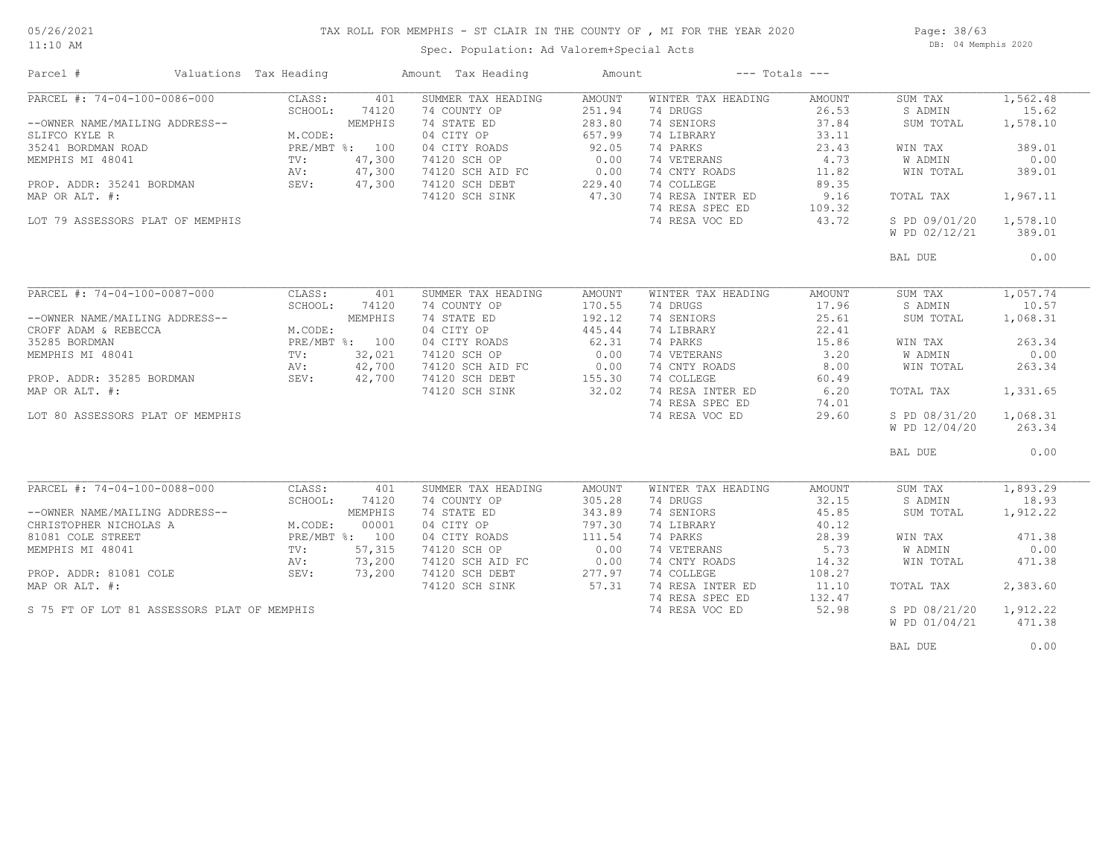#### 11:10 AM

#### TAX ROLL FOR MEMPHIS - ST CLAIR IN THE COUNTY OF , MI FOR THE YEAR 2020

Page: 38/63 DB: 04 Memphis 2020

### Spec. Population: Ad Valorem+Special Acts

| PARCEL #: 74-04-100-0086-000<br>CLASS:<br>401<br>SUMMER TAX HEADING<br><b>AMOUNT</b><br>WINTER TAX HEADING<br>SUM TAX<br>AMOUNT<br>74 DRUGS<br>S ADMIN<br>15.62<br>SCHOOL:<br>74120<br>74 COUNTY OP<br>251.94<br>26.53<br>74 SENIORS<br>37.84<br>74 STATE ED<br>283.80<br>--OWNER NAME/MAILING ADDRESS--<br>MEMPHIS<br>SUM TOTAL<br>04 CITY OP<br>SLIFCO KYLE R<br>M.CODE:<br>657.99<br>74 LIBRARY<br>33.11<br>PRE/MBT %: 100<br>04 CITY ROADS<br>92.05<br>74 PARKS<br>23.43<br>35241 BORDMAN ROAD<br>WIN TAX<br>0.00<br>74 VETERANS<br>4.73<br>MEMPHIS MI 48041<br>TV:<br>47,300<br>74120 SCH OP<br>W ADMIN<br>47,300<br>74120 SCH AID FC<br>$\begin{array}{c} 2 & 0.00 \\ 229.40 \end{array}$<br>74 CNTY ROADS<br>WIN TOTAL<br>AV:<br>11.82<br>SEV:<br>47,300<br>74 COLLEGE<br>PROP. ADDR: 35241 BORDMAN<br>74120 SCH DEBT<br>89.35<br>47.30<br>74 RESA INTER ED<br>MAP OR ALT. #:<br>74120 SCH SINK<br>9.16<br>TOTAL TAX<br>74 RESA SPEC ED<br>109.32<br>LOT 79 ASSESSORS PLAT OF MEMPHIS<br>74 RESA VOC ED<br>43.72<br>S PD 09/01/20<br>W PD 02/12/21<br>389.01<br>BAL DUE<br>PARCEL #: 74-04-100-0087-000<br>CLASS:<br>SUMMER TAX HEADING<br>WINTER TAX HEADING<br>SUM TAX<br>401<br><b>AMOUNT</b><br>AMOUNT<br>SCHOOL:<br>74120<br>74 COUNTY OP<br>170.55<br>74 DRUGS<br>17.96<br>S ADMIN<br>74 STATE ED<br>192.12<br>74 SENIORS<br>25.61<br>--OWNER NAME/MAILING ADDRESS--<br>MEMPHIS<br>SUM TOTAL<br>M.CODE:<br>04 CITY OP<br>445.44<br>74 LIBRARY<br>22.41<br>CROFF ADAM & REBECCA<br>62.31<br>PRE/MBT %: 100<br>04 CITY ROADS<br>74 PARKS<br>15.86<br>WIN TAX<br>32,021<br>0.00<br>74 VETERANS<br>3.20<br>$\text{TV}$ :<br>74120 SCH OP<br>W ADMIN<br>42,700<br>74120 SCH AID FC<br>0.00<br>74 CNTY ROADS<br>8.00<br>WIN TOTAL<br>AV:<br>155.30<br>74 COLLEGE<br>42,700<br>74120 SCH DEBT<br>PROP. ADDR: 35285 BORDMAN<br>SEV:<br>60.49<br>74 RESA INTER ED<br>32.02<br>6.20<br>74120 SCH SINK<br>TOTAL TAX<br>74 RESA SPEC ED<br>74.01<br>LOT 80 ASSESSORS PLAT OF MEMPHIS<br>74 RESA VOC ED<br>29.60<br>S PD 08/31/20<br>W PD 12/04/20<br>BAL DUE<br>PARCEL #: 74-04-100-0088-000<br>CLASS:<br>401<br>SUMMER TAX HEADING<br>WINTER TAX HEADING<br>AMOUNT<br>SUM TAX<br>AMOUNT<br>SCHOOL:<br>74 COUNTY OP<br>74 DRUGS<br>32.15<br>S ADMIN<br>74120<br>305.28<br>343.89<br>45.85<br>74 STATE ED<br>74 SENIORS<br>--OWNER NAME/MAILING ADDRESS--<br>MEMPHIS<br>SUM TOTAL<br>CHRISTOPHER NICHOLAS A<br>M.CODE:<br>00001<br>04 CITY OP<br>797.30<br>74 LIBRARY<br>40.12<br>PRE/MBT %: 100<br>04 CITY ROADS<br>111.54<br>74 PARKS<br>28.39<br>81081 COLE STREET<br>WIN TAX<br>0.00<br>74 VETERANS<br>5.73<br>MEMPHIS MI 48041<br>57,315<br>74120 SCH OP<br>W ADMIN<br>TV:<br>73,200<br>74120 SCH AID FC<br>0.00<br>74 CNTY ROADS<br>14.32<br>WIN TOTAL<br>AV:<br>277.97<br>73,200<br>74 COLLEGE<br>PROP. ADDR: 81081 COLE<br>SEV:<br>74120 SCH DEBT<br>108.27<br>74 RESA INTER ED<br>MAP OR ALT. #:<br>57.31<br>11.10<br>74120 SCH SINK<br>TOTAL TAX<br>74 RESA SPEC ED<br>132.47<br>S 75 FT OF LOT 81 ASSESSORS PLAT OF MEMPHIS<br>74 RESA VOC ED<br>52.98<br>S PD 08/21/20<br>W PD 01/04/21 | Parcel #         | Valuations Tax Heading | Amount Tax Heading | Amount | $---$ Totals $---$ |  |          |
|-----------------------------------------------------------------------------------------------------------------------------------------------------------------------------------------------------------------------------------------------------------------------------------------------------------------------------------------------------------------------------------------------------------------------------------------------------------------------------------------------------------------------------------------------------------------------------------------------------------------------------------------------------------------------------------------------------------------------------------------------------------------------------------------------------------------------------------------------------------------------------------------------------------------------------------------------------------------------------------------------------------------------------------------------------------------------------------------------------------------------------------------------------------------------------------------------------------------------------------------------------------------------------------------------------------------------------------------------------------------------------------------------------------------------------------------------------------------------------------------------------------------------------------------------------------------------------------------------------------------------------------------------------------------------------------------------------------------------------------------------------------------------------------------------------------------------------------------------------------------------------------------------------------------------------------------------------------------------------------------------------------------------------------------------------------------------------------------------------------------------------------------------------------------------------------------------------------------------------------------------------------------------------------------------------------------------------------------------------------------------------------------------------------------------------------------------------------------------------------------------------------------------------------------------------------------------------------------------------------------------------------------------------------------------------------------------------------------------------------------------------------------------------------------------------------------------------------------------------------------------------------------------------------------------------------------------------------------------------------------------------------------------------------------------------------------------------------------------------|------------------|------------------------|--------------------|--------|--------------------|--|----------|
| 1,578.10<br>389.01<br>0.00<br>389.01<br>1,967.11<br>1,578.10<br>10.57<br>1,068.31<br>263.34<br>0.00<br>263.34<br>1,331.65<br>1,068.31<br>263.34<br>0.00<br>1,893.29<br>18.93<br>1,912.22<br>471.38<br>0.00<br>471.38<br>2,383.60<br>1,912.22<br>471.38                                                                                                                                                                                                                                                                                                                                                                                                                                                                                                                                                                                                                                                                                                                                                                                                                                                                                                                                                                                                                                                                                                                                                                                                                                                                                                                                                                                                                                                                                                                                                                                                                                                                                                                                                                                                                                                                                                                                                                                                                                                                                                                                                                                                                                                                                                                                                                                                                                                                                                                                                                                                                                                                                                                                                                                                                                              |                  |                        |                    |        |                    |  | 1,562.48 |
|                                                                                                                                                                                                                                                                                                                                                                                                                                                                                                                                                                                                                                                                                                                                                                                                                                                                                                                                                                                                                                                                                                                                                                                                                                                                                                                                                                                                                                                                                                                                                                                                                                                                                                                                                                                                                                                                                                                                                                                                                                                                                                                                                                                                                                                                                                                                                                                                                                                                                                                                                                                                                                                                                                                                                                                                                                                                                                                                                                                                                                                                                                     |                  |                        |                    |        |                    |  |          |
|                                                                                                                                                                                                                                                                                                                                                                                                                                                                                                                                                                                                                                                                                                                                                                                                                                                                                                                                                                                                                                                                                                                                                                                                                                                                                                                                                                                                                                                                                                                                                                                                                                                                                                                                                                                                                                                                                                                                                                                                                                                                                                                                                                                                                                                                                                                                                                                                                                                                                                                                                                                                                                                                                                                                                                                                                                                                                                                                                                                                                                                                                                     |                  |                        |                    |        |                    |  |          |
|                                                                                                                                                                                                                                                                                                                                                                                                                                                                                                                                                                                                                                                                                                                                                                                                                                                                                                                                                                                                                                                                                                                                                                                                                                                                                                                                                                                                                                                                                                                                                                                                                                                                                                                                                                                                                                                                                                                                                                                                                                                                                                                                                                                                                                                                                                                                                                                                                                                                                                                                                                                                                                                                                                                                                                                                                                                                                                                                                                                                                                                                                                     |                  |                        |                    |        |                    |  |          |
|                                                                                                                                                                                                                                                                                                                                                                                                                                                                                                                                                                                                                                                                                                                                                                                                                                                                                                                                                                                                                                                                                                                                                                                                                                                                                                                                                                                                                                                                                                                                                                                                                                                                                                                                                                                                                                                                                                                                                                                                                                                                                                                                                                                                                                                                                                                                                                                                                                                                                                                                                                                                                                                                                                                                                                                                                                                                                                                                                                                                                                                                                                     |                  |                        |                    |        |                    |  |          |
|                                                                                                                                                                                                                                                                                                                                                                                                                                                                                                                                                                                                                                                                                                                                                                                                                                                                                                                                                                                                                                                                                                                                                                                                                                                                                                                                                                                                                                                                                                                                                                                                                                                                                                                                                                                                                                                                                                                                                                                                                                                                                                                                                                                                                                                                                                                                                                                                                                                                                                                                                                                                                                                                                                                                                                                                                                                                                                                                                                                                                                                                                                     |                  |                        |                    |        |                    |  |          |
|                                                                                                                                                                                                                                                                                                                                                                                                                                                                                                                                                                                                                                                                                                                                                                                                                                                                                                                                                                                                                                                                                                                                                                                                                                                                                                                                                                                                                                                                                                                                                                                                                                                                                                                                                                                                                                                                                                                                                                                                                                                                                                                                                                                                                                                                                                                                                                                                                                                                                                                                                                                                                                                                                                                                                                                                                                                                                                                                                                                                                                                                                                     |                  |                        |                    |        |                    |  |          |
|                                                                                                                                                                                                                                                                                                                                                                                                                                                                                                                                                                                                                                                                                                                                                                                                                                                                                                                                                                                                                                                                                                                                                                                                                                                                                                                                                                                                                                                                                                                                                                                                                                                                                                                                                                                                                                                                                                                                                                                                                                                                                                                                                                                                                                                                                                                                                                                                                                                                                                                                                                                                                                                                                                                                                                                                                                                                                                                                                                                                                                                                                                     |                  |                        |                    |        |                    |  |          |
|                                                                                                                                                                                                                                                                                                                                                                                                                                                                                                                                                                                                                                                                                                                                                                                                                                                                                                                                                                                                                                                                                                                                                                                                                                                                                                                                                                                                                                                                                                                                                                                                                                                                                                                                                                                                                                                                                                                                                                                                                                                                                                                                                                                                                                                                                                                                                                                                                                                                                                                                                                                                                                                                                                                                                                                                                                                                                                                                                                                                                                                                                                     |                  |                        |                    |        |                    |  |          |
|                                                                                                                                                                                                                                                                                                                                                                                                                                                                                                                                                                                                                                                                                                                                                                                                                                                                                                                                                                                                                                                                                                                                                                                                                                                                                                                                                                                                                                                                                                                                                                                                                                                                                                                                                                                                                                                                                                                                                                                                                                                                                                                                                                                                                                                                                                                                                                                                                                                                                                                                                                                                                                                                                                                                                                                                                                                                                                                                                                                                                                                                                                     |                  |                        |                    |        |                    |  |          |
|                                                                                                                                                                                                                                                                                                                                                                                                                                                                                                                                                                                                                                                                                                                                                                                                                                                                                                                                                                                                                                                                                                                                                                                                                                                                                                                                                                                                                                                                                                                                                                                                                                                                                                                                                                                                                                                                                                                                                                                                                                                                                                                                                                                                                                                                                                                                                                                                                                                                                                                                                                                                                                                                                                                                                                                                                                                                                                                                                                                                                                                                                                     |                  |                        |                    |        |                    |  |          |
|                                                                                                                                                                                                                                                                                                                                                                                                                                                                                                                                                                                                                                                                                                                                                                                                                                                                                                                                                                                                                                                                                                                                                                                                                                                                                                                                                                                                                                                                                                                                                                                                                                                                                                                                                                                                                                                                                                                                                                                                                                                                                                                                                                                                                                                                                                                                                                                                                                                                                                                                                                                                                                                                                                                                                                                                                                                                                                                                                                                                                                                                                                     |                  |                        |                    |        |                    |  |          |
|                                                                                                                                                                                                                                                                                                                                                                                                                                                                                                                                                                                                                                                                                                                                                                                                                                                                                                                                                                                                                                                                                                                                                                                                                                                                                                                                                                                                                                                                                                                                                                                                                                                                                                                                                                                                                                                                                                                                                                                                                                                                                                                                                                                                                                                                                                                                                                                                                                                                                                                                                                                                                                                                                                                                                                                                                                                                                                                                                                                                                                                                                                     |                  |                        |                    |        |                    |  | 0.00     |
|                                                                                                                                                                                                                                                                                                                                                                                                                                                                                                                                                                                                                                                                                                                                                                                                                                                                                                                                                                                                                                                                                                                                                                                                                                                                                                                                                                                                                                                                                                                                                                                                                                                                                                                                                                                                                                                                                                                                                                                                                                                                                                                                                                                                                                                                                                                                                                                                                                                                                                                                                                                                                                                                                                                                                                                                                                                                                                                                                                                                                                                                                                     |                  |                        |                    |        |                    |  |          |
|                                                                                                                                                                                                                                                                                                                                                                                                                                                                                                                                                                                                                                                                                                                                                                                                                                                                                                                                                                                                                                                                                                                                                                                                                                                                                                                                                                                                                                                                                                                                                                                                                                                                                                                                                                                                                                                                                                                                                                                                                                                                                                                                                                                                                                                                                                                                                                                                                                                                                                                                                                                                                                                                                                                                                                                                                                                                                                                                                                                                                                                                                                     |                  |                        |                    |        |                    |  | 1,057.74 |
|                                                                                                                                                                                                                                                                                                                                                                                                                                                                                                                                                                                                                                                                                                                                                                                                                                                                                                                                                                                                                                                                                                                                                                                                                                                                                                                                                                                                                                                                                                                                                                                                                                                                                                                                                                                                                                                                                                                                                                                                                                                                                                                                                                                                                                                                                                                                                                                                                                                                                                                                                                                                                                                                                                                                                                                                                                                                                                                                                                                                                                                                                                     |                  |                        |                    |        |                    |  |          |
|                                                                                                                                                                                                                                                                                                                                                                                                                                                                                                                                                                                                                                                                                                                                                                                                                                                                                                                                                                                                                                                                                                                                                                                                                                                                                                                                                                                                                                                                                                                                                                                                                                                                                                                                                                                                                                                                                                                                                                                                                                                                                                                                                                                                                                                                                                                                                                                                                                                                                                                                                                                                                                                                                                                                                                                                                                                                                                                                                                                                                                                                                                     |                  |                        |                    |        |                    |  |          |
|                                                                                                                                                                                                                                                                                                                                                                                                                                                                                                                                                                                                                                                                                                                                                                                                                                                                                                                                                                                                                                                                                                                                                                                                                                                                                                                                                                                                                                                                                                                                                                                                                                                                                                                                                                                                                                                                                                                                                                                                                                                                                                                                                                                                                                                                                                                                                                                                                                                                                                                                                                                                                                                                                                                                                                                                                                                                                                                                                                                                                                                                                                     |                  |                        |                    |        |                    |  |          |
|                                                                                                                                                                                                                                                                                                                                                                                                                                                                                                                                                                                                                                                                                                                                                                                                                                                                                                                                                                                                                                                                                                                                                                                                                                                                                                                                                                                                                                                                                                                                                                                                                                                                                                                                                                                                                                                                                                                                                                                                                                                                                                                                                                                                                                                                                                                                                                                                                                                                                                                                                                                                                                                                                                                                                                                                                                                                                                                                                                                                                                                                                                     | 35285 BORDMAN    |                        |                    |        |                    |  |          |
|                                                                                                                                                                                                                                                                                                                                                                                                                                                                                                                                                                                                                                                                                                                                                                                                                                                                                                                                                                                                                                                                                                                                                                                                                                                                                                                                                                                                                                                                                                                                                                                                                                                                                                                                                                                                                                                                                                                                                                                                                                                                                                                                                                                                                                                                                                                                                                                                                                                                                                                                                                                                                                                                                                                                                                                                                                                                                                                                                                                                                                                                                                     | MEMPHIS MI 48041 |                        |                    |        |                    |  |          |
|                                                                                                                                                                                                                                                                                                                                                                                                                                                                                                                                                                                                                                                                                                                                                                                                                                                                                                                                                                                                                                                                                                                                                                                                                                                                                                                                                                                                                                                                                                                                                                                                                                                                                                                                                                                                                                                                                                                                                                                                                                                                                                                                                                                                                                                                                                                                                                                                                                                                                                                                                                                                                                                                                                                                                                                                                                                                                                                                                                                                                                                                                                     |                  |                        |                    |        |                    |  |          |
|                                                                                                                                                                                                                                                                                                                                                                                                                                                                                                                                                                                                                                                                                                                                                                                                                                                                                                                                                                                                                                                                                                                                                                                                                                                                                                                                                                                                                                                                                                                                                                                                                                                                                                                                                                                                                                                                                                                                                                                                                                                                                                                                                                                                                                                                                                                                                                                                                                                                                                                                                                                                                                                                                                                                                                                                                                                                                                                                                                                                                                                                                                     |                  |                        |                    |        |                    |  |          |
|                                                                                                                                                                                                                                                                                                                                                                                                                                                                                                                                                                                                                                                                                                                                                                                                                                                                                                                                                                                                                                                                                                                                                                                                                                                                                                                                                                                                                                                                                                                                                                                                                                                                                                                                                                                                                                                                                                                                                                                                                                                                                                                                                                                                                                                                                                                                                                                                                                                                                                                                                                                                                                                                                                                                                                                                                                                                                                                                                                                                                                                                                                     | MAP OR ALT. #:   |                        |                    |        |                    |  |          |
|                                                                                                                                                                                                                                                                                                                                                                                                                                                                                                                                                                                                                                                                                                                                                                                                                                                                                                                                                                                                                                                                                                                                                                                                                                                                                                                                                                                                                                                                                                                                                                                                                                                                                                                                                                                                                                                                                                                                                                                                                                                                                                                                                                                                                                                                                                                                                                                                                                                                                                                                                                                                                                                                                                                                                                                                                                                                                                                                                                                                                                                                                                     |                  |                        |                    |        |                    |  |          |
|                                                                                                                                                                                                                                                                                                                                                                                                                                                                                                                                                                                                                                                                                                                                                                                                                                                                                                                                                                                                                                                                                                                                                                                                                                                                                                                                                                                                                                                                                                                                                                                                                                                                                                                                                                                                                                                                                                                                                                                                                                                                                                                                                                                                                                                                                                                                                                                                                                                                                                                                                                                                                                                                                                                                                                                                                                                                                                                                                                                                                                                                                                     |                  |                        |                    |        |                    |  |          |
|                                                                                                                                                                                                                                                                                                                                                                                                                                                                                                                                                                                                                                                                                                                                                                                                                                                                                                                                                                                                                                                                                                                                                                                                                                                                                                                                                                                                                                                                                                                                                                                                                                                                                                                                                                                                                                                                                                                                                                                                                                                                                                                                                                                                                                                                                                                                                                                                                                                                                                                                                                                                                                                                                                                                                                                                                                                                                                                                                                                                                                                                                                     |                  |                        |                    |        |                    |  |          |
|                                                                                                                                                                                                                                                                                                                                                                                                                                                                                                                                                                                                                                                                                                                                                                                                                                                                                                                                                                                                                                                                                                                                                                                                                                                                                                                                                                                                                                                                                                                                                                                                                                                                                                                                                                                                                                                                                                                                                                                                                                                                                                                                                                                                                                                                                                                                                                                                                                                                                                                                                                                                                                                                                                                                                                                                                                                                                                                                                                                                                                                                                                     |                  |                        |                    |        |                    |  |          |
|                                                                                                                                                                                                                                                                                                                                                                                                                                                                                                                                                                                                                                                                                                                                                                                                                                                                                                                                                                                                                                                                                                                                                                                                                                                                                                                                                                                                                                                                                                                                                                                                                                                                                                                                                                                                                                                                                                                                                                                                                                                                                                                                                                                                                                                                                                                                                                                                                                                                                                                                                                                                                                                                                                                                                                                                                                                                                                                                                                                                                                                                                                     |                  |                        |                    |        |                    |  |          |
|                                                                                                                                                                                                                                                                                                                                                                                                                                                                                                                                                                                                                                                                                                                                                                                                                                                                                                                                                                                                                                                                                                                                                                                                                                                                                                                                                                                                                                                                                                                                                                                                                                                                                                                                                                                                                                                                                                                                                                                                                                                                                                                                                                                                                                                                                                                                                                                                                                                                                                                                                                                                                                                                                                                                                                                                                                                                                                                                                                                                                                                                                                     |                  |                        |                    |        |                    |  |          |
|                                                                                                                                                                                                                                                                                                                                                                                                                                                                                                                                                                                                                                                                                                                                                                                                                                                                                                                                                                                                                                                                                                                                                                                                                                                                                                                                                                                                                                                                                                                                                                                                                                                                                                                                                                                                                                                                                                                                                                                                                                                                                                                                                                                                                                                                                                                                                                                                                                                                                                                                                                                                                                                                                                                                                                                                                                                                                                                                                                                                                                                                                                     |                  |                        |                    |        |                    |  |          |
|                                                                                                                                                                                                                                                                                                                                                                                                                                                                                                                                                                                                                                                                                                                                                                                                                                                                                                                                                                                                                                                                                                                                                                                                                                                                                                                                                                                                                                                                                                                                                                                                                                                                                                                                                                                                                                                                                                                                                                                                                                                                                                                                                                                                                                                                                                                                                                                                                                                                                                                                                                                                                                                                                                                                                                                                                                                                                                                                                                                                                                                                                                     |                  |                        |                    |        |                    |  |          |
|                                                                                                                                                                                                                                                                                                                                                                                                                                                                                                                                                                                                                                                                                                                                                                                                                                                                                                                                                                                                                                                                                                                                                                                                                                                                                                                                                                                                                                                                                                                                                                                                                                                                                                                                                                                                                                                                                                                                                                                                                                                                                                                                                                                                                                                                                                                                                                                                                                                                                                                                                                                                                                                                                                                                                                                                                                                                                                                                                                                                                                                                                                     |                  |                        |                    |        |                    |  |          |
|                                                                                                                                                                                                                                                                                                                                                                                                                                                                                                                                                                                                                                                                                                                                                                                                                                                                                                                                                                                                                                                                                                                                                                                                                                                                                                                                                                                                                                                                                                                                                                                                                                                                                                                                                                                                                                                                                                                                                                                                                                                                                                                                                                                                                                                                                                                                                                                                                                                                                                                                                                                                                                                                                                                                                                                                                                                                                                                                                                                                                                                                                                     |                  |                        |                    |        |                    |  |          |
|                                                                                                                                                                                                                                                                                                                                                                                                                                                                                                                                                                                                                                                                                                                                                                                                                                                                                                                                                                                                                                                                                                                                                                                                                                                                                                                                                                                                                                                                                                                                                                                                                                                                                                                                                                                                                                                                                                                                                                                                                                                                                                                                                                                                                                                                                                                                                                                                                                                                                                                                                                                                                                                                                                                                                                                                                                                                                                                                                                                                                                                                                                     |                  |                        |                    |        |                    |  |          |
|                                                                                                                                                                                                                                                                                                                                                                                                                                                                                                                                                                                                                                                                                                                                                                                                                                                                                                                                                                                                                                                                                                                                                                                                                                                                                                                                                                                                                                                                                                                                                                                                                                                                                                                                                                                                                                                                                                                                                                                                                                                                                                                                                                                                                                                                                                                                                                                                                                                                                                                                                                                                                                                                                                                                                                                                                                                                                                                                                                                                                                                                                                     |                  |                        |                    |        |                    |  |          |
|                                                                                                                                                                                                                                                                                                                                                                                                                                                                                                                                                                                                                                                                                                                                                                                                                                                                                                                                                                                                                                                                                                                                                                                                                                                                                                                                                                                                                                                                                                                                                                                                                                                                                                                                                                                                                                                                                                                                                                                                                                                                                                                                                                                                                                                                                                                                                                                                                                                                                                                                                                                                                                                                                                                                                                                                                                                                                                                                                                                                                                                                                                     |                  |                        |                    |        |                    |  |          |
|                                                                                                                                                                                                                                                                                                                                                                                                                                                                                                                                                                                                                                                                                                                                                                                                                                                                                                                                                                                                                                                                                                                                                                                                                                                                                                                                                                                                                                                                                                                                                                                                                                                                                                                                                                                                                                                                                                                                                                                                                                                                                                                                                                                                                                                                                                                                                                                                                                                                                                                                                                                                                                                                                                                                                                                                                                                                                                                                                                                                                                                                                                     |                  |                        |                    |        |                    |  |          |
|                                                                                                                                                                                                                                                                                                                                                                                                                                                                                                                                                                                                                                                                                                                                                                                                                                                                                                                                                                                                                                                                                                                                                                                                                                                                                                                                                                                                                                                                                                                                                                                                                                                                                                                                                                                                                                                                                                                                                                                                                                                                                                                                                                                                                                                                                                                                                                                                                                                                                                                                                                                                                                                                                                                                                                                                                                                                                                                                                                                                                                                                                                     |                  |                        |                    |        |                    |  |          |
|                                                                                                                                                                                                                                                                                                                                                                                                                                                                                                                                                                                                                                                                                                                                                                                                                                                                                                                                                                                                                                                                                                                                                                                                                                                                                                                                                                                                                                                                                                                                                                                                                                                                                                                                                                                                                                                                                                                                                                                                                                                                                                                                                                                                                                                                                                                                                                                                                                                                                                                                                                                                                                                                                                                                                                                                                                                                                                                                                                                                                                                                                                     |                  |                        |                    |        |                    |  |          |
|                                                                                                                                                                                                                                                                                                                                                                                                                                                                                                                                                                                                                                                                                                                                                                                                                                                                                                                                                                                                                                                                                                                                                                                                                                                                                                                                                                                                                                                                                                                                                                                                                                                                                                                                                                                                                                                                                                                                                                                                                                                                                                                                                                                                                                                                                                                                                                                                                                                                                                                                                                                                                                                                                                                                                                                                                                                                                                                                                                                                                                                                                                     |                  |                        |                    |        |                    |  |          |
|                                                                                                                                                                                                                                                                                                                                                                                                                                                                                                                                                                                                                                                                                                                                                                                                                                                                                                                                                                                                                                                                                                                                                                                                                                                                                                                                                                                                                                                                                                                                                                                                                                                                                                                                                                                                                                                                                                                                                                                                                                                                                                                                                                                                                                                                                                                                                                                                                                                                                                                                                                                                                                                                                                                                                                                                                                                                                                                                                                                                                                                                                                     |                  |                        |                    |        |                    |  |          |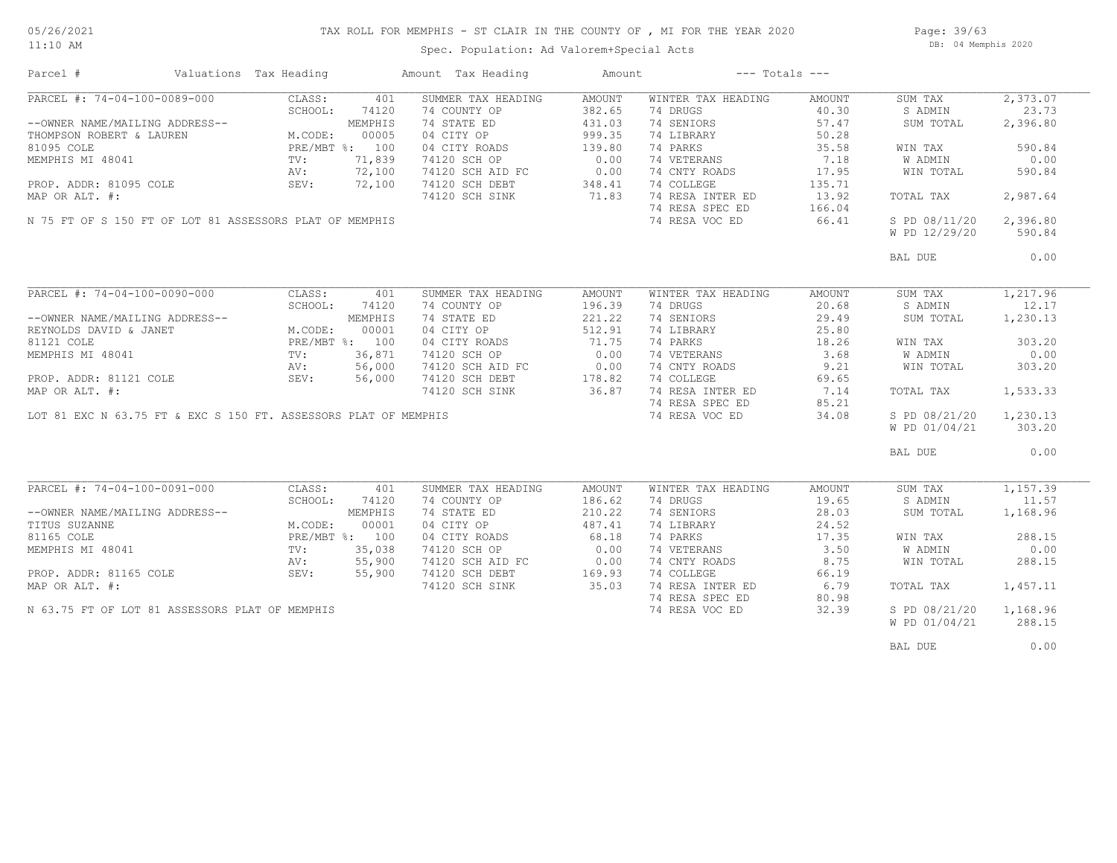#### 05/26/2021 11:10 AM

## TAX ROLL FOR MEMPHIS - ST CLAIR IN THE COUNTY OF , MI FOR THE YEAR 2020

Spec. Population: Ad Valorem+Special Acts

Page: 39/63 DB: 04 Memphis 2020

| Parcel #                                       | Valuations Tax Heading                                                                                                                                                                                                                         | Amount Tax Heading                                                                                                                                            | Amount                                                                    | $---$ Totals $---$                                                                                                                                                            |                                                                                                   |                                                                                                           |                                                                       |
|------------------------------------------------|------------------------------------------------------------------------------------------------------------------------------------------------------------------------------------------------------------------------------------------------|---------------------------------------------------------------------------------------------------------------------------------------------------------------|---------------------------------------------------------------------------|-------------------------------------------------------------------------------------------------------------------------------------------------------------------------------|---------------------------------------------------------------------------------------------------|-----------------------------------------------------------------------------------------------------------|-----------------------------------------------------------------------|
|                                                |                                                                                                                                                                                                                                                | SUMMER TAX HEADING<br>74 COUNTY OP<br>74 STATE ED<br>04 CITY OP<br>04 CITY ROADS<br>74120 SCH OP<br>74120 SCH AID FC 0.00<br>74120 SCH DEBT<br>74120 SCH SINK | AMOUNT<br>382.65<br>431.03<br>999.35<br>139.80<br>0.00<br>348.41<br>71.83 | WINTER TAX HEADING<br>74 DRUGS<br>74 SENIORS<br>74 LIBRARY<br>74 PARKS<br>74 VETERANS<br>74 CNTY ROADS<br>74 COLLEGE<br>74 RESA INTER ED<br>74 RESA SPEC ED<br>74 RESA VOC ED | AMOUNT<br>40.30<br>57.47<br>50.28<br>35.58<br>7.18<br>17.95<br>135.71<br>13.92<br>166.04<br>66.41 | SUM TAX<br>S ADMIN<br>SUM TOTAL<br>WIN TAX<br>W ADMIN<br>WIN TOTAL<br>TOTAL TAX<br>S PD 08/11/20 2,396.80 | 2,373.07<br>23.73<br>2,396.80<br>590.84<br>0.00<br>590.84<br>2,987.64 |
|                                                |                                                                                                                                                                                                                                                |                                                                                                                                                               |                                                                           |                                                                                                                                                                               |                                                                                                   | W PD 12/29/20                                                                                             | 590.84                                                                |
|                                                |                                                                                                                                                                                                                                                |                                                                                                                                                               |                                                                           |                                                                                                                                                                               |                                                                                                   | BAL DUE                                                                                                   | 0.00                                                                  |
| PARCEL #: 74-04-100-0090-000                   | CLASS:<br>SCHOOL:<br>74120                                                                                                                                                                                                                     | 401<br>SUMMER TAX HEADING<br>74 COUNTY OP                                                                                                                     | AMOUNT<br>196.39                                                          | WINTER TAX HEADING<br>74 DRUGS                                                                                                                                                | AMOUNT<br>20.68                                                                                   | SUM TAX<br>S ADMIN                                                                                        | 1,217.96<br>12.17                                                     |
|                                                | --OWNER NAME/MAILING ADDRESS--<br>REYNOLDS DAVID & JANET<br>REYNOLDS DAVID & JANET<br>M.CODE: 00001<br>81121 COLE<br>PRE/MBT %: 100<br>MEMPHIS MI 48041<br>TV: 36,871<br>AV: 56,000<br>PROP. ADDR: 81121 COLE<br>REV: 56,000<br>MAP OR ALT. #: | 74 STATE ED                                                                                                                                                   | 221.22                                                                    | 74 SENIORS                                                                                                                                                                    | 29.49                                                                                             | SUM TOTAL                                                                                                 | 1,230.13                                                              |
|                                                |                                                                                                                                                                                                                                                | 04 CITY OP                                                                                                                                                    | 512.91                                                                    | 74 LIBRARY                                                                                                                                                                    | 25.80                                                                                             |                                                                                                           |                                                                       |
|                                                |                                                                                                                                                                                                                                                | 04 CITY ROADS                                                                                                                                                 | $71.75$<br>0.00                                                           | 74 PARKS                                                                                                                                                                      | 18.26                                                                                             | WIN TAX                                                                                                   | 303.20                                                                |
|                                                |                                                                                                                                                                                                                                                | 74120 SCH OP                                                                                                                                                  |                                                                           | 74 VETERANS<br>74 CNTY ROADS                                                                                                                                                  | 3.68<br>9.21                                                                                      | W ADMIN<br>WIN TOTAL                                                                                      | 0.00<br>303.20                                                        |
|                                                |                                                                                                                                                                                                                                                |                                                                                                                                                               |                                                                           | 74 COLLEGE                                                                                                                                                                    | 69.65                                                                                             |                                                                                                           |                                                                       |
| MAP OR ALT. #:                                 |                                                                                                                                                                                                                                                | 74120 SCH AID FC 0.00<br>74120 SCH AID FC 0.00<br>74120 SCH DEBT 178.82<br>74120 SCH SINK 36.87                                                               |                                                                           | 74 RESA INTER ED 7.14                                                                                                                                                         |                                                                                                   | TOTAL TAX                                                                                                 | 1,533.33                                                              |
|                                                |                                                                                                                                                                                                                                                |                                                                                                                                                               |                                                                           | 74 RESA SPEC ED                                                                                                                                                               | 85.21                                                                                             |                                                                                                           |                                                                       |
|                                                |                                                                                                                                                                                                                                                | LOT 81 EXC N 63.75 FT & EXC S 150 FT. ASSESSORS PLAT OF MEMPHIS                                                                                               |                                                                           | 74 RESA VOC ED                                                                                                                                                                | 34.08                                                                                             | S PD 08/21/20<br>W PD 01/04/21                                                                            | 1,230.13<br>303.20                                                    |
|                                                |                                                                                                                                                                                                                                                |                                                                                                                                                               |                                                                           |                                                                                                                                                                               |                                                                                                   | BAL DUE                                                                                                   | 0.00                                                                  |
|                                                |                                                                                                                                                                                                                                                |                                                                                                                                                               |                                                                           |                                                                                                                                                                               |                                                                                                   |                                                                                                           |                                                                       |
| PARCEL #: 74-04-100-0091-000                   | CLASS:<br>SCHOOL:                                                                                                                                                                                                                              | 401<br>SUMMER TAX HEADING                                                                                                                                     | AMOUNT                                                                    | WINTER TAX HEADING                                                                                                                                                            | AMOUNT                                                                                            | SUM TAX<br>S ADMIN                                                                                        | 1,157.39                                                              |
| --OWNER NAME/MAILING ADDRESS--                 | MEMPHIS                                                                                                                                                                                                                                        | 74120<br>74 COUNTY OP<br>74 STATE ED                                                                                                                          | 186.62<br>210.22                                                          | 74 DRUGS<br>74 SENIORS                                                                                                                                                        | 19.65<br>28.03                                                                                    | SUM TOTAL                                                                                                 | 11.57<br>1,168.96                                                     |
| TITUS SUZANNE                                  | M.CODE:                                                                                                                                                                                                                                        | 04 CITY OP<br>00001                                                                                                                                           | 487.41                                                                    | 74 LIBRARY                                                                                                                                                                    | 24.52                                                                                             |                                                                                                           |                                                                       |
| 81165 COLE                                     | PRE/MBT %: 100                                                                                                                                                                                                                                 | 04 CITY ROADS                                                                                                                                                 | 68.18                                                                     | 74 PARKS                                                                                                                                                                      | 17.35                                                                                             | WIN TAX                                                                                                   | 288.15                                                                |
| MEMPHIS MI 48041                               | 35,038<br>$\text{TV}$ :                                                                                                                                                                                                                        | 74120 SCH OP                                                                                                                                                  | 0.00                                                                      | 74 VETERANS                                                                                                                                                                   | 3.50                                                                                              | W ADMIN                                                                                                   | 0.00                                                                  |
|                                                | 55,900<br>AV:                                                                                                                                                                                                                                  | 74120 SCH AID FC 0.00<br>74120 SCH DEBT 169.93                                                                                                                |                                                                           | 74 CNTY ROADS                                                                                                                                                                 | 8.75                                                                                              | WIN TOTAL                                                                                                 | 288.15                                                                |
| PROP. ADDR: 81165 COLE                         | SEV:<br>55,900                                                                                                                                                                                                                                 |                                                                                                                                                               |                                                                           | 74 COLLEGE                                                                                                                                                                    | 66.19                                                                                             |                                                                                                           |                                                                       |
| MAP OR ALT. #:                                 |                                                                                                                                                                                                                                                | 74120 SCH SINK                                                                                                                                                | 35.03                                                                     | 74 RESA INTER ED<br>74 RESA SPEC ED                                                                                                                                           | 6.79<br>80.98                                                                                     | TOTAL TAX                                                                                                 | 1,457.11                                                              |
| N 63.75 FT OF LOT 81 ASSESSORS PLAT OF MEMPHIS |                                                                                                                                                                                                                                                |                                                                                                                                                               |                                                                           | 74 RESA VOC ED                                                                                                                                                                | 32.39                                                                                             | S PD 08/21/20                                                                                             | 1,168.96                                                              |
|                                                |                                                                                                                                                                                                                                                |                                                                                                                                                               |                                                                           |                                                                                                                                                                               |                                                                                                   | W PD 01/04/21                                                                                             | 288.15                                                                |
|                                                |                                                                                                                                                                                                                                                |                                                                                                                                                               |                                                                           |                                                                                                                                                                               |                                                                                                   | BAL DUE                                                                                                   | 0.00                                                                  |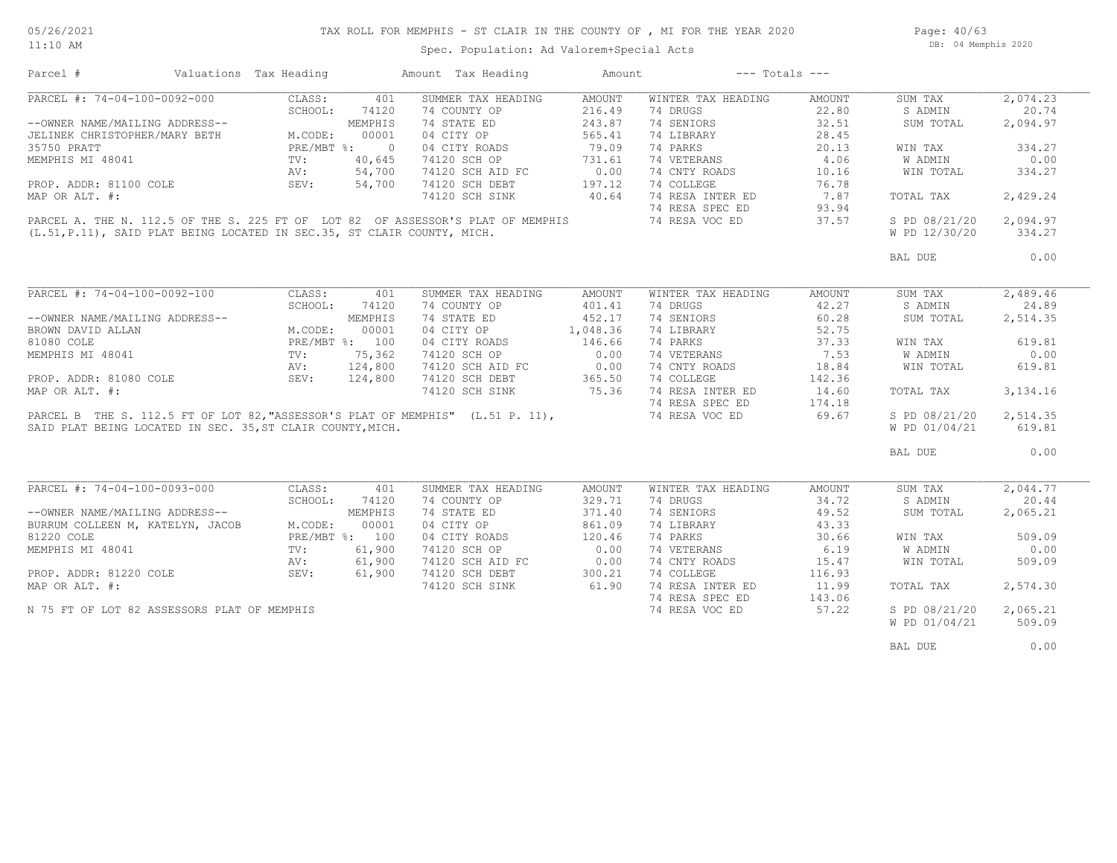Spec. Population: Ad Valorem+Special Acts

Page: 40/63 DB: 04 Memphis 2020

| Parcel #                                                                                                                                                                                          | Valuations Tax Heading                                  | Amount Tax Heading                             | Amount          | $---$ Totals $---$ |        |               |            |
|---------------------------------------------------------------------------------------------------------------------------------------------------------------------------------------------------|---------------------------------------------------------|------------------------------------------------|-----------------|--------------------|--------|---------------|------------|
| PARCEL #: 74-04-100-0092-000                                                                                                                                                                      | CLASS:                                                  | SUMMER TAX HEADING<br>401                      | AMOUNT          | WINTER TAX HEADING | AMOUNT | SUM TAX       | 2,074.23   |
|                                                                                                                                                                                                   | SCHOOL:<br>74120                                        | 74 COUNTY OP                                   | 216.49          | 74 DRUGS           | 22.80  | S ADMIN       | 20.74      |
|                                                                                                                                                                                                   | MEMPHIS                                                 | 74 STATE ED                                    | 243.87          | 74 SENIORS         | 32.51  | SUM TOTAL     | 2,094.97   |
|                                                                                                                                                                                                   | M.CODE:<br>00001                                        | 04 CITY OP                                     | 565.41          | 74 LIBRARY         | 28.45  |               |            |
|                                                                                                                                                                                                   | PRE/MBT %: 0                                            | 04 CITY ROADS                                  | 79.09           | 74 PARKS           | 20.13  | WIN TAX       | 334.27     |
| MEMPHIS MI 48041                                                                                                                                                                                  | $\frac{1}{4}v$ :<br>AV :<br>$\frac{1}{2}F_vV$<br>40,645 |                                                | 731.61          | 74 VETERANS        | 4.06   | W ADMIN       | 0.00       |
|                                                                                                                                                                                                   | 54,700                                                  | 74120 SCH OP 731.61<br>74120 SCH AID FC 0.00   |                 | 74 CNTY ROADS      | 10.16  | WIN TOTAL     | 334.27     |
|                                                                                                                                                                                                   | 54,700<br>SEV:                                          | 74120 SCH DEBT                                 |                 | 74 COLLEGE         | 76.78  |               |            |
| PROP. ADDR: 81100 COLE                                                                                                                                                                            |                                                         |                                                | 197.12<br>40.64 | 74 RESA INTER ED   |        |               |            |
| MAP OR ALT. #:                                                                                                                                                                                    |                                                         | 74120 SCH SINK                                 |                 |                    | 7.87   | TOTAL TAX     | 2,429.24   |
|                                                                                                                                                                                                   |                                                         |                                                |                 | 74 RESA SPEC ED    | 93.94  |               |            |
| PARCEL A. THE N. 112.5 OF THE S. 225 FT OF LOT 82 OF ASSESSOR'S PLAT OF MEMPHIS                                                                                                                   |                                                         |                                                |                 | 74 RESA VOC ED     | 37.57  | S PD 08/21/20 | 2,094.97   |
| (L.51, P.11), SAID PLAT BEING LOCATED IN SEC.35, ST CLAIR COUNTY, MICH.                                                                                                                           |                                                         |                                                |                 |                    |        | W PD 12/30/20 | 334.27     |
|                                                                                                                                                                                                   |                                                         |                                                |                 |                    |        | BAL DUE       | 0.00       |
|                                                                                                                                                                                                   |                                                         |                                                |                 |                    |        |               |            |
| PARCEL #: 74-04-100-0092-100                                                                                                                                                                      | CLASS:<br>401                                           | SUMMER TAX HEADING                             | AMOUNT          | WINTER TAX HEADING | AMOUNT | SUM TAX       | 2,489.46   |
|                                                                                                                                                                                                   | SCHOOL:<br>74120                                        | 74 COUNTY OP                                   | 401.41          | 74 DRUGS           | 42.27  | S ADMIN       | 24.89      |
|                                                                                                                                                                                                   |                                                         | 74 STATE ED                                    | 452.17          | 74 SENIORS         | 60.28  | SUM TOTAL     | 2,514.35   |
| --OWNER NAME/MAILING ADDRESS--<br>BROWN DAVID ALLAN M.CODE: 00001<br>81080 COLE PRE/MBT %: 100<br>MEMPHIS MI 48041 TV: 75,362<br>PROP. ADDR: 81080 COLE SEV: 124,800<br>MAR OR ALLAN SEV: 124,800 |                                                         | 04 CITY OP                                     | 1,048.36        | 74 LIBRARY         | 52.75  |               |            |
|                                                                                                                                                                                                   |                                                         | 04 CITY ROADS                                  | 146.66          | 74 PARKS           | 37.33  | WIN TAX       | 619.81     |
|                                                                                                                                                                                                   |                                                         | 74120 SCH OP                                   | 0.00            | 74 VETERANS        | 7.53   | W ADMIN       | 0.00       |
|                                                                                                                                                                                                   |                                                         | 74120 SCH AID FC 0.00                          |                 | 74 CNTY ROADS      |        |               |            |
|                                                                                                                                                                                                   |                                                         |                                                |                 |                    | 18.84  | WIN TOTAL     | 619.81     |
|                                                                                                                                                                                                   |                                                         | 74120 SCH DEBT                                 | 365.36          | 74 COLLEGE         | 142.36 |               |            |
| MAP OR ALT. #:                                                                                                                                                                                    |                                                         | 74120 SCH SINK                                 |                 | 74 RESA INTER ED   | 14.60  | TOTAL TAX     | 3, 134. 16 |
|                                                                                                                                                                                                   |                                                         |                                                |                 | 74 RESA SPEC ED    | 174.18 |               |            |
| PARCEL B THE S. 112.5 FT OF LOT 82, "ASSESSOR'S PLAT OF MEMPHIS" (L.51 P. 11),                                                                                                                    |                                                         |                                                |                 | 74 RESA VOC ED     | 69.67  | S PD 08/21/20 | 2,514.35   |
| SAID PLAT BEING LOCATED IN SEC. 35, ST CLAIR COUNTY, MICH.                                                                                                                                        |                                                         |                                                |                 |                    |        | W PD 01/04/21 | 619.81     |
|                                                                                                                                                                                                   |                                                         |                                                |                 |                    |        | BAL DUE       | 0.00       |
|                                                                                                                                                                                                   |                                                         |                                                |                 |                    |        |               |            |
| PARCEL #: 74-04-100-0093-000                                                                                                                                                                      | CLASS:                                                  | 401<br>SUMMER TAX HEADING                      | AMOUNT          | WINTER TAX HEADING | AMOUNT | SUM TAX       | 2,044.77   |
|                                                                                                                                                                                                   | SCHOOL:<br>74120                                        | 74 COUNTY OP                                   | 329.71          | 74 DRUGS           | 34.72  | S ADMIN       | 20.44      |
| --OWNER NAME/MAILING ADDRESS--                                                                                                                                                                    | MEMPHIS                                                 | 74 STATE ED                                    | 371.40          | 74 SENIORS         | 49.52  | SUM TOTAL     | 2,065.21   |
| BURRUM COLLEEN M, KATELYN, JACOB                                                                                                                                                                  | M.CODE:<br>00001                                        | 04 CITY OP                                     | 861.09          | 74 LIBRARY         | 43.33  |               |            |
| 81220 COLE                                                                                                                                                                                        | PRE/MBT %: 100                                          | 04 CITY ROADS                                  | 120.46          | 74 PARKS           | 30.66  | WIN TAX       | 509.09     |
| MEMPHIS MI 48041                                                                                                                                                                                  | 61,900<br>TV:                                           | 74120 SCH OP                                   | 0.00            | 74 VETERANS        | 6.19   | W ADMIN       | 0.00       |
|                                                                                                                                                                                                   | 61,900<br>AV:                                           |                                                |                 | 74 CNTY ROADS      | 15.47  | WIN TOTAL     | 509.09     |
|                                                                                                                                                                                                   | 61,900<br>SEV:                                          | 74120 SCH AID FC 0.00<br>74120 SCH DEBT 300.21 |                 | 74 COLLEGE         | 116.93 |               |            |
| PROP. ADDR: 81220 COLE<br>MAP OR ALT. #:                                                                                                                                                          |                                                         | 74120 SCH SINK                                 | 61.90           | 74 RESA INTER ED   | 11.99  | TOTAL TAX     | 2,574.30   |
|                                                                                                                                                                                                   |                                                         |                                                |                 | 74 RESA SPEC ED    |        |               |            |
|                                                                                                                                                                                                   |                                                         |                                                |                 |                    | 143.06 |               |            |
| N 75 FT OF LOT 82 ASSESSORS PLAT OF MEMPHIS                                                                                                                                                       |                                                         |                                                |                 | 74 RESA VOC ED     | 57.22  | S PD 08/21/20 | 2,065.21   |
|                                                                                                                                                                                                   |                                                         |                                                |                 |                    |        | W PD 01/04/21 | 509.09     |
|                                                                                                                                                                                                   |                                                         |                                                |                 |                    |        | BAL DUE       | 0.00       |
|                                                                                                                                                                                                   |                                                         |                                                |                 |                    |        |               |            |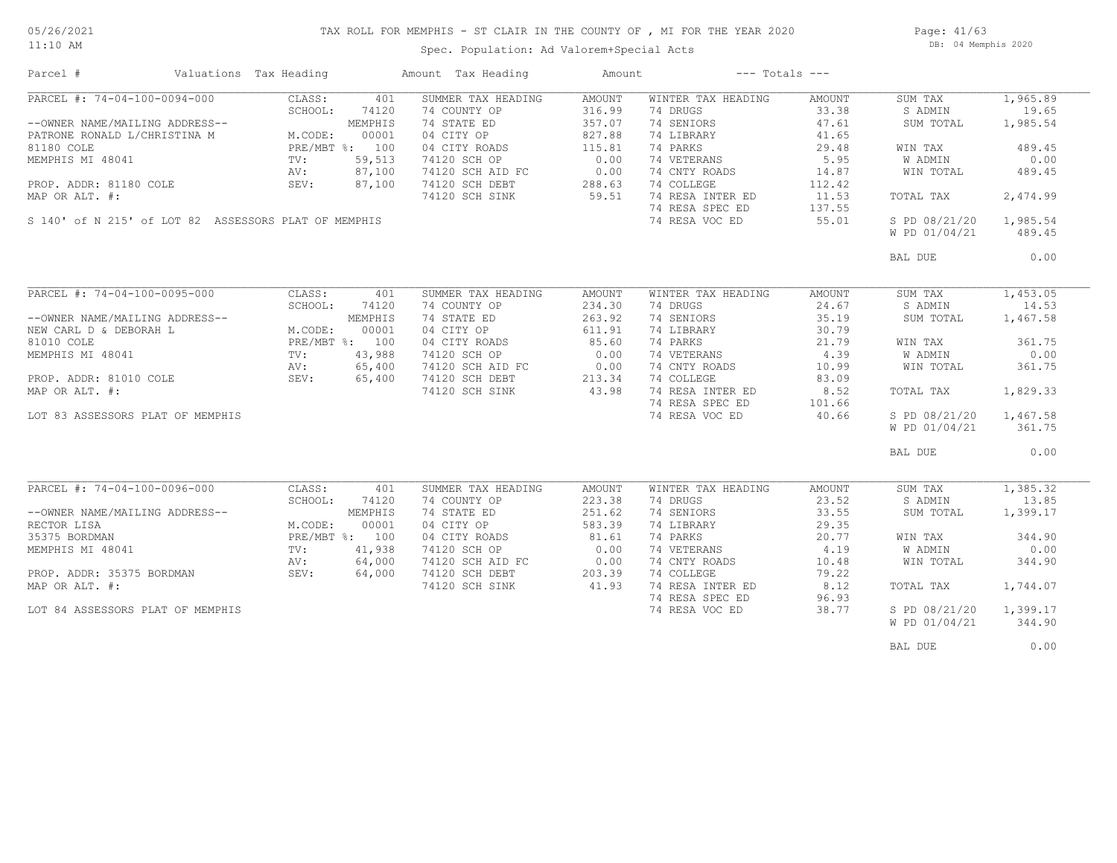#### 05/26/2021 11:10 AM

## TAX ROLL FOR MEMPHIS - ST CLAIR IN THE COUNTY OF , MI FOR THE YEAR 2020

Spec. Population: Ad Valorem+Special Acts

Page: 41/63 DB: 04 Memphis 2020

| Parcel #                                             | Valuations Tax Heading    |         | Amount Tax Heading                                                     | Amount | $---$ Totals $---$ |        |               |          |
|------------------------------------------------------|---------------------------|---------|------------------------------------------------------------------------|--------|--------------------|--------|---------------|----------|
| PARCEL #: 74-04-100-0094-000                         | CLASS:                    | 401     | SUMMER TAX HEADING                                                     | AMOUNT | WINTER TAX HEADING | AMOUNT | SUM TAX       | 1,965.89 |
|                                                      | SCHOOL:                   | 74120   | 74 COUNTY OP                                                           | 316.99 | 74 DRUGS           | 33.38  | S ADMIN       | 19.65    |
| --OWNER NAME/MAILING ADDRESS--                       |                           | MEMPHIS | 74 STATE ED                                                            | 357.07 | 74 SENIORS         | 47.61  | SUM TOTAL     | 1,985.54 |
| PATRONE RONALD L/CHRISTINA M                         | M.CODE:                   | 00001   | 04 CITY OP                                                             | 827.88 | 74 LIBRARY         | 41.65  |               |          |
| 81180 COLE                                           | PRE/MBT %: 100            |         | 04 CITY ROADS                                                          | 115.81 | 74 PARKS           | 29.48  | WIN TAX       | 489.45   |
| MEMPHIS MI 48041                                     | $\text{TV}$ :             | 59,513  | 74120 SCH OP                                                           | 0.00   | 74 VETERANS        | 5.95   | W ADMIN       | 0.00     |
|                                                      | AV:                       | 87,100  |                                                                        |        | 74 CNTY ROADS      | 14.87  | WIN TOTAL     | 489.45   |
| PROP. ADDR: 81180 COLE                               | SEV:                      | 87,100  | 74120 SCH AID FC 0.00<br>74120 SCH DEBT 288.63<br>74120 SCH SINK 59.51 | 288.63 | 74 COLLEGE         | 112.42 |               |          |
| MAP OR ALT. #:                                       |                           |         | 74120 SCH SINK                                                         | 59.51  | 74 RESA INTER ED   | 11.53  | TOTAL TAX     | 2,474.99 |
|                                                      |                           |         |                                                                        |        | 74 RESA SPEC ED    | 137.55 |               |          |
| S 140' of N 215' of LOT 82 ASSESSORS PLAT OF MEMPHIS |                           |         |                                                                        |        | 74 RESA VOC ED     | 55.01  | S PD 08/21/20 | 1,985.54 |
|                                                      |                           |         |                                                                        |        |                    |        | W PD 01/04/21 | 489.45   |
|                                                      |                           |         |                                                                        |        |                    |        |               |          |
|                                                      |                           |         |                                                                        |        |                    |        | BAL DUE       | 0.00     |
|                                                      |                           |         |                                                                        |        |                    |        |               |          |
| PARCEL #: 74-04-100-0095-000                         | CLASS:                    | 401     | SUMMER TAX HEADING                                                     | AMOUNT | WINTER TAX HEADING | AMOUNT | SUM TAX       | 1,453.05 |
|                                                      | SCHOOL:                   | 74120   | 74 COUNTY OP                                                           | 234.30 | 74 DRUGS           | 24.67  | S ADMIN       | 14.53    |
| --OWNER NAME/MAILING ADDRESS--                       |                           | MEMPHIS | 74 STATE ED                                                            | 263.92 | 74 SENIORS         | 35.19  | SUM TOTAL     | 1,467.58 |
| NEW CARL D & DEBORAH L                               | M.CODE:                   | 00001   | 04 CITY OP                                                             | 611.91 | 74 LIBRARY         | 30.79  |               |          |
| 81010 COLE                                           | PRE/MBT %: 100            |         | 04 CITY ROADS                                                          | 85.60  | 74 PARKS           | 21.79  | WIN TAX       | 361.75   |
|                                                      |                           |         |                                                                        |        |                    |        |               | 0.00     |
| MEMPHIS MI 48041                                     | TV:                       | 43,988  | 74120 SCH OP                                                           | 0.00   | 74 VETERANS        | 4.39   | W ADMIN       |          |
|                                                      | AV: 65,400<br>SEV: 65,400 | 65,400  | 74120 SCH AID FC 0.00<br>74120 SCH DEBT 213.34<br>74120 SCH SINK 43.98 |        | 74 CNTY ROADS      | 10.99  | WIN TOTAL     | 361.75   |
| PROP. ADDR: 81010 COLE<br>MAP OR ALT. #:             |                           |         |                                                                        | 213.34 | 74 COLLEGE         | 83.09  |               |          |
| MAP OR ALT. #:                                       |                           |         |                                                                        |        | 74 RESA INTER ED   | 8.52   | TOTAL TAX     | 1,829.33 |
|                                                      |                           |         |                                                                        |        | 74 RESA SPEC ED    | 101.66 |               |          |
| LOT 83 ASSESSORS PLAT OF MEMPHIS                     |                           |         |                                                                        |        | 74 RESA VOC ED     | 40.66  | S PD 08/21/20 | 1,467.58 |
|                                                      |                           |         |                                                                        |        |                    |        | W PD 01/04/21 | 361.75   |
|                                                      |                           |         |                                                                        |        |                    |        | BAL DUE       | 0.00     |
|                                                      |                           |         |                                                                        |        |                    |        |               |          |
| PARCEL #: 74-04-100-0096-000                         | CLASS:                    | 401     | SUMMER TAX HEADING                                                     | AMOUNT | WINTER TAX HEADING | AMOUNT | SUM TAX       | 1,385.32 |
|                                                      | SCHOOL:                   | 74120   | 74 COUNTY OP                                                           | 223.38 | 74 DRUGS           | 23.52  | S ADMIN       | 13.85    |
| --OWNER NAME/MAILING ADDRESS--                       |                           | MEMPHIS | 74 STATE ED                                                            | 251.62 | 74 SENIORS         | 33.55  | SUM TOTAL     | 1,399.17 |
| RECTOR LISA                                          |                           | 00001   | 04 CITY OP                                                             | 583.39 | 74 LIBRARY         | 29.35  |               |          |
|                                                      | M.CODE:                   |         |                                                                        |        |                    |        |               |          |
| 35375 BORDMAN                                        | PRE/MBT %: 100            |         | 04 CITY ROADS                                                          | 81.61  | 74 PARKS           | 20.77  | WIN TAX       | 344.90   |
| MEMPHIS MI 48041                                     | TV:                       | 41,938  | 74120 SCH OP                                                           | 0.00   | 74 VETERANS        | 4.19   | W ADMIN       | 0.00     |
|                                                      | AV:                       | 64,000  | 74120 SCH AID FC<br>74120 SCH AID FC                                   | 0.00   | 74 CNTY ROADS      | 10.48  | WIN TOTAL     | 344.90   |
| PROP. ADDR: 35375 BORDMAN                            | SEV:                      | 64,000  |                                                                        | 203.39 | 74 COLLEGE         | 79.22  |               |          |
| MAP OR ALT. #:                                       |                           |         | 74120 SCH SINK                                                         | 41.93  | 74 RESA INTER ED   | 8.12   | TOTAL TAX     | 1,744.07 |
|                                                      |                           |         |                                                                        |        | 74 RESA SPEC ED    | 96.93  |               |          |
| LOT 84 ASSESSORS PLAT OF MEMPHIS                     |                           |         |                                                                        |        | 74 RESA VOC ED     | 38.77  | S PD 08/21/20 | 1,399.17 |
|                                                      |                           |         |                                                                        |        |                    |        | W PD 01/04/21 | 344.90   |
|                                                      |                           |         |                                                                        |        |                    |        |               |          |
|                                                      |                           |         |                                                                        |        |                    |        | BAL DUE       | 0.00     |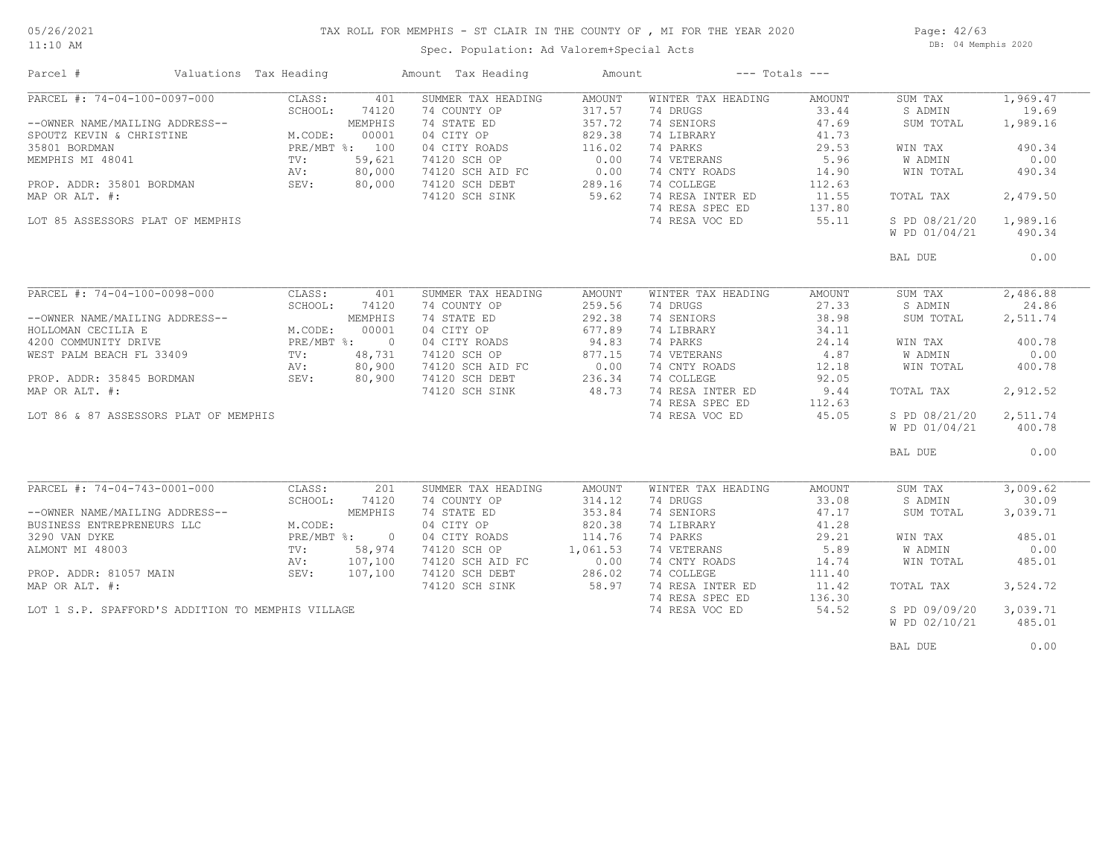## TAX ROLL FOR MEMPHIS - ST CLAIR IN THE COUNTY OF , MI FOR THE YEAR 2020

11:10 AM

#### Spec. Population: Ad Valorem+Special Acts

Page: 42/63 DB: 04 Memphis 2020

| Parcel #                                          | Valuations Tax Heading  | Amount Tax Heading | Amount   | $---$ Totals $---$ |        |               |          |
|---------------------------------------------------|-------------------------|--------------------|----------|--------------------|--------|---------------|----------|
| PARCEL #: 74-04-100-0097-000                      | CLASS:<br>401           | SUMMER TAX HEADING | AMOUNT   | WINTER TAX HEADING | AMOUNT | SUM TAX       | 1,969.47 |
|                                                   | SCHOOL:<br>74120        | 74 COUNTY OP       | 317.57   | 74 DRUGS           | 33.44  | S ADMIN       | 19.69    |
| --OWNER NAME/MAILING ADDRESS--                    | MEMPHIS                 | 74 STATE ED        | 357.72   | 74 SENIORS         | 47.69  | SUM TOTAL     | 1,989.16 |
| SPOUTZ KEVIN & CHRISTINE                          | M.CODE:<br>00001        | 04 CITY OP         | 829.38   | 74 LIBRARY         | 41.73  |               |          |
| 35801 BORDMAN                                     | PRE/MBT %: 100          | 04 CITY ROADS      | 116.02   | 74 PARKS           | 29.53  | WIN TAX       | 490.34   |
| MEMPHIS MI 48041                                  | 59,621<br>$\text{TV}$ : | 74120 SCH OP       | 0.00     | 74 VETERANS        | 5.96   | W ADMIN       | 0.00     |
|                                                   | 80,000<br>AV:           | 74120 SCH AID FC   | 0.00     | 74 CNTY ROADS      | 14.90  | WIN TOTAL     | 490.34   |
| PROP. ADDR: 35801 BORDMAN                         | SEV:<br>80,000          | 74120 SCH DEBT     | 289.16   | 74 COLLEGE         | 112.63 |               |          |
| MAP OR ALT. #:                                    |                         | 74120 SCH SINK     | 59.62    | 74 RESA INTER ED   | 11.55  | TOTAL TAX     | 2,479.50 |
|                                                   |                         |                    |          | 74 RESA SPEC ED    | 137.80 |               |          |
| LOT 85 ASSESSORS PLAT OF MEMPHIS                  |                         |                    |          | 74 RESA VOC ED     | 55.11  | S PD 08/21/20 | 1,989.16 |
|                                                   |                         |                    |          |                    |        | W PD 01/04/21 | 490.34   |
|                                                   |                         |                    |          |                    |        | BAL DUE       | 0.00     |
|                                                   |                         |                    |          |                    |        |               |          |
| PARCEL #: 74-04-100-0098-000                      | CLASS:<br>401           | SUMMER TAX HEADING | AMOUNT   | WINTER TAX HEADING | AMOUNT | SUM TAX       | 2,486.88 |
|                                                   | SCHOOL:<br>74120        | 74 COUNTY OP       | 259.56   | 74 DRUGS           | 27.33  | S ADMIN       | 24.86    |
| --OWNER NAME/MAILING ADDRESS--                    | MEMPHIS                 | 74 STATE ED        | 292.38   | 74 SENIORS         | 38.98  | SUM TOTAL     | 2,511.74 |
| HOLLOMAN CECILIA E                                | M.CODE:<br>00001        | 04 CITY OP         | 677.89   | 74 LIBRARY         | 34.11  |               |          |
| 4200 COMMUNITY DRIVE                              | PRE/MBT %: 0            | 04 CITY ROADS      | 94.83    | 74 PARKS           | 24.14  | WIN TAX       | 400.78   |
| WEST PALM BEACH FL 33409                          | 48,731<br>$\text{TV}$ : | 74120 SCH OP       | 877.15   | 74 VETERANS        | 4.87   | W ADMIN       | 0.00     |
|                                                   | 80,900<br>AV:           | 74120 SCH AID FC   | 0.00     | 74 CNTY ROADS      | 12.18  | WIN TOTAL     | 400.78   |
| PROP. ADDR: 35845 BORDMAN                         | SEV:<br>80,900          | 74120 SCH DEBT     | 236.34   | 74 COLLEGE         | 92.05  |               |          |
| MAP OR ALT. #:                                    |                         | 74120 SCH SINK     | 48.73    | 74 RESA INTER ED   | 9.44   | TOTAL TAX     | 2,912.52 |
|                                                   |                         |                    |          | 74 RESA SPEC ED    | 112.63 |               |          |
| LOT 86 & 87 ASSESSORS PLAT OF MEMPHIS             |                         |                    |          | 74 RESA VOC ED     | 45.05  | S PD 08/21/20 | 2,511.74 |
|                                                   |                         |                    |          |                    |        | W PD 01/04/21 | 400.78   |
|                                                   |                         |                    |          |                    |        |               |          |
|                                                   |                         |                    |          |                    |        | BAL DUE       | 0.00     |
|                                                   |                         |                    |          |                    |        |               |          |
| PARCEL #: 74-04-743-0001-000                      | CLASS:<br>201           | SUMMER TAX HEADING | AMOUNT   | WINTER TAX HEADING | AMOUNT | SUM TAX       | 3,009.62 |
|                                                   | SCHOOL:<br>74120        | 74 COUNTY OP       | 314.12   | 74 DRUGS           | 33.08  | S ADMIN       | 30.09    |
| --OWNER NAME/MAILING ADDRESS--                    | MEMPHIS                 | 74 STATE ED        | 353.84   | 74 SENIORS         | 47.17  | SUM TOTAL     | 3,039.71 |
| BUSINESS ENTREPRENEURS LLC                        | M.CODE:                 | 04 CITY OP         | 820.38   | 74 LIBRARY         | 41.28  |               |          |
| 3290 VAN DYKE                                     | PRE/MBT %: 0            | 04 CITY ROADS      | 114.76   | 74 PARKS           | 29.21  | WIN TAX       | 485.01   |
| ALMONT MI 48003                                   | 58,974<br>TV:           | 74120 SCH OP       | 1,061.53 | 74 VETERANS        | 5.89   | W ADMIN       | 0.00     |
|                                                   | 107,100<br>AV:          | 74120 SCH AID FC   | 0.00     | 74 CNTY ROADS      | 14.74  | WIN TOTAL     | 485.01   |
| PROP. ADDR: 81057 MAIN                            | SEV:<br>107,100         | 74120 SCH DEBT     | 286.02   | 74 COLLEGE         | 111.40 |               |          |
| MAP OR ALT. #:                                    |                         | 74120 SCH SINK     | 58.97    | 74 RESA INTER ED   | 11.42  | TOTAL TAX     | 3,524.72 |
|                                                   |                         |                    |          | 74 RESA SPEC ED    | 136.30 |               |          |
| LOT 1 S.P. SPAFFORD'S ADDITION TO MEMPHIS VILLAGE |                         |                    |          | 74 RESA VOC ED     | 54.52  | S PD 09/09/20 | 3,039.71 |
|                                                   |                         |                    |          |                    |        | W PD 02/10/21 | 485.01   |
|                                                   |                         |                    |          |                    |        |               |          |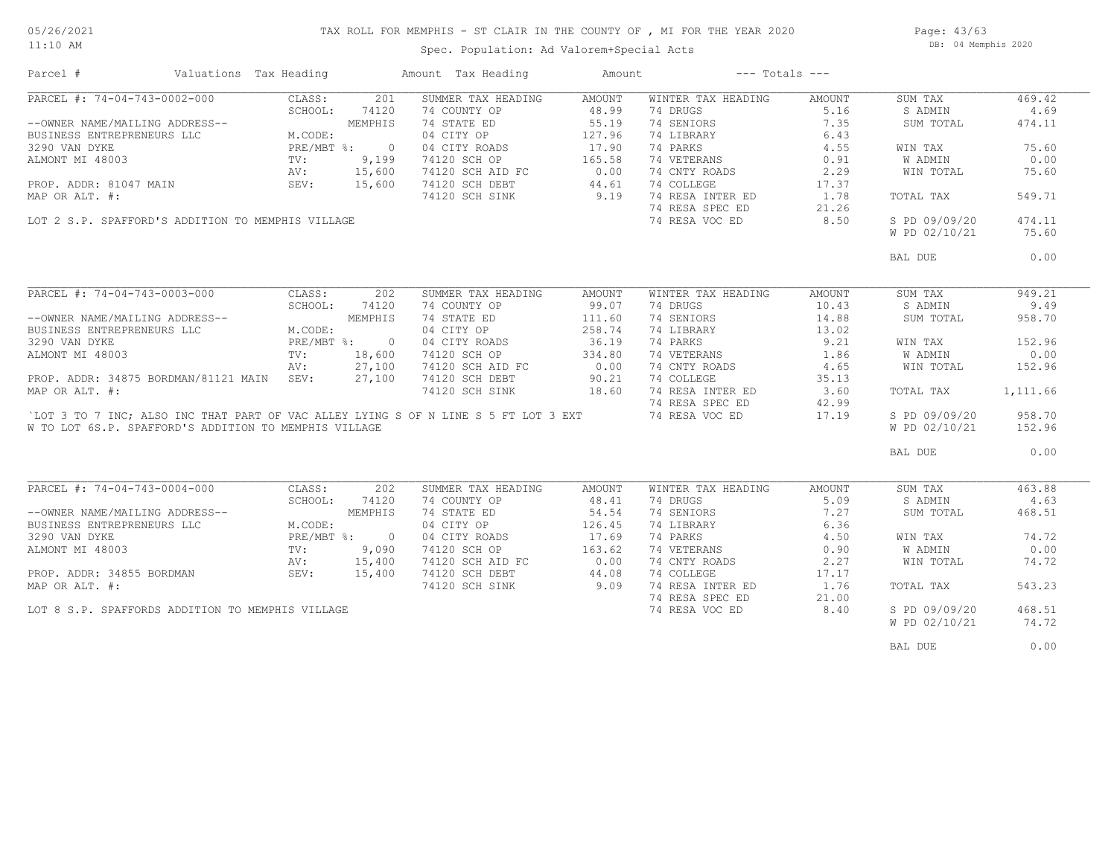#### TAX ROLL FOR MEMPHIS - ST CLAIR IN THE COUNTY OF , MI FOR THE YEAR 2020

11:10 AM

### Spec. Population: Ad Valorem+Special Acts

Page: 43/63 DB: 04 Memphis 2020

| Parcel #                                                                           | Valuations Tax Heading |         |              | Amount Tax Heading | Amount | $---$ Totals $---$ |        |               |          |
|------------------------------------------------------------------------------------|------------------------|---------|--------------|--------------------|--------|--------------------|--------|---------------|----------|
| PARCEL #: 74-04-743-0002-000                                                       |                        | CLASS:  | 201          | SUMMER TAX HEADING | AMOUNT | WINTER TAX HEADING | AMOUNT | SUM TAX       | 469.42   |
|                                                                                    |                        | SCHOOL: | 74120        | 74 COUNTY OP       | 48.99  | 74 DRUGS           | 5.16   | S ADMIN       | 4.69     |
| --OWNER NAME/MAILING ADDRESS--                                                     |                        |         | MEMPHIS      | 74 STATE ED        | 55.19  | 74 SENIORS         | 7.35   | SUM TOTAL     | 474.11   |
| BUSINESS ENTREPRENEURS LLC                                                         |                        | M.CODE: |              | 04 CITY OP         | 127.96 | 74 LIBRARY         | 6.43   |               |          |
| 3290 VAN DYKE                                                                      |                        |         | PRE/MBT %: 0 | 04 CITY ROADS      | 17.90  | 74 PARKS           | 4.55   | WIN TAX       | 75.60    |
| ALMONT MI 48003                                                                    |                        | TV:     | 9,199        | 74120 SCH OP       | 165.58 | 74 VETERANS        | 0.91   | W ADMIN       | 0.00     |
|                                                                                    |                        | AV:     | 15,600       | 74120 SCH AID FC   | 0.00   | 74 CNTY ROADS      | 2.29   | WIN TOTAL     | 75.60    |
| PROP. ADDR: 81047 MAIN                                                             |                        |         | SEV: 15,600  | 74120 SCH DEBT     | 44.61  | 74 COLLEGE         | 17.37  |               |          |
|                                                                                    |                        |         |              |                    |        | 74 RESA INTER ED   |        |               |          |
| MAP OR ALT. #:                                                                     |                        |         |              | 74120 SCH SINK     | 9.19   |                    | 1.78   | TOTAL TAX     | 549.71   |
|                                                                                    |                        |         |              |                    |        | 74 RESA SPEC ED    | 21.26  |               |          |
| LOT 2 S.P. SPAFFORD'S ADDITION TO MEMPHIS VILLAGE                                  |                        |         |              |                    |        | 74 RESA VOC ED     | 8.50   | S PD 09/09/20 | 474.11   |
|                                                                                    |                        |         |              |                    |        |                    |        | W PD 02/10/21 | 75.60    |
|                                                                                    |                        |         |              |                    |        |                    |        | BAL DUE       | 0.00     |
|                                                                                    |                        |         |              |                    |        |                    |        |               |          |
| PARCEL #: 74-04-743-0003-000                                                       |                        | CLASS:  | 202          | SUMMER TAX HEADING | AMOUNT | WINTER TAX HEADING | AMOUNT | SUM TAX       | 949.21   |
|                                                                                    |                        | SCHOOL: | 74120        | 74 COUNTY OP       | 99.07  | 74 DRUGS           | 10.43  | S ADMIN       | 9.49     |
| --OWNER NAME/MAILING ADDRESS--                                                     |                        |         | MEMPHIS      | 74 STATE ED        | 111.60 | 74 SENIORS         | 14.88  | SUM TOTAL     | 958.70   |
| BUSINESS ENTREPRENEURS LLC                                                         |                        | M.CODE: |              | 04 CITY OP         | 258.74 | 74 LIBRARY         | 13.02  |               |          |
| 3290 VAN DYKE                                                                      |                        |         | PRE/MBT %: 0 | 04 CITY ROADS      | 36.19  | 74 PARKS           | 9.21   | WIN TAX       | 152.96   |
| ALMONT MI 48003                                                                    |                        | TV:     | 18,600       | 74120 SCH OP       | 334.80 | 74 VETERANS        | 1.86   | W ADMIN       | 0.00     |
|                                                                                    |                        | AV:     | 27,100       | 74120 SCH AID FC   | 0.00   | 74 CNTY ROADS      | 4.65   | WIN TOTAL     | 152.96   |
| PROP. ADDR: 34875 BORDMAN/81121 MAIN SEV: 27,100                                   |                        |         |              | 74120 SCH DEBT     | 90.21  | 74 COLLEGE         | 35.13  |               |          |
| MAP OR ALT. #:                                                                     |                        |         |              | 74120 SCH SINK     | 18.60  | 74 RESA INTER ED   | 3.60   | TOTAL TAX     | 1,111.66 |
|                                                                                    |                        |         |              |                    |        | 74 RESA SPEC ED    |        |               |          |
|                                                                                    |                        |         |              |                    |        |                    | 42.99  |               |          |
| LOT 3 TO 7 INC; ALSO INC THAT PART OF VAC ALLEY LYING S OF N LINE S 5 FT LOT 3 EXT |                        |         |              |                    |        | 74 RESA VOC ED     | 17.19  | S PD 09/09/20 | 958.70   |
| W TO LOT 6S.P. SPAFFORD'S ADDITION TO MEMPHIS VILLAGE                              |                        |         |              |                    |        |                    |        | W PD 02/10/21 | 152.96   |
|                                                                                    |                        |         |              |                    |        |                    |        | BAL DUE       | 0.00     |
|                                                                                    |                        |         |              |                    |        |                    |        |               |          |
| PARCEL #: 74-04-743-0004-000                                                       |                        | CLASS:  | 202          | SUMMER TAX HEADING | AMOUNT | WINTER TAX HEADING | AMOUNT | SUM TAX       | 463.88   |
|                                                                                    |                        | SCHOOL: | 74120        | 74 COUNTY OP       | 48.41  | 74 DRUGS           | 5.09   | S ADMIN       | 4.63     |
| --OWNER NAME/MAILING ADDRESS--                                                     |                        |         | MEMPHIS      | 74 STATE ED        | 54.54  | 74 SENIORS         | 7.27   | SUM TOTAL     | 468.51   |
| BUSINESS ENTREPRENEURS LLC                                                         |                        | M.CODE: |              | 04 CITY OP         | 126.45 | 74 LIBRARY         | 6.36   |               |          |
| 3290 VAN DYKE                                                                      |                        |         | PRE/MBT %: 0 | 04 CITY ROADS      | 17.69  | 74 PARKS           | 4.50   | WIN TAX       | 74.72    |
| ALMONT MI 48003                                                                    |                        | $TV$ :  | 9,090        | 74120 SCH OP       | 163.62 | 74 VETERANS        | 0.90   | W ADMIN       | 0.00     |
|                                                                                    |                        | AV:     | 15,400       | 74120 SCH AID FC   | 0.00   | 74 CNTY ROADS      | 2.27   | WIN TOTAL     | 74.72    |
| PROP. ADDR: 34855 BORDMAN                                                          |                        |         | SEV: 15,400  | 74120 SCH DEBT     | 44.08  | 74 COLLEGE         | 17.17  |               |          |
| MAP OR ALT. #:                                                                     |                        |         |              | 74120 SCH SINK     | 9.09   | 74 RESA INTER ED   | 1.76   | TOTAL TAX     | 543.23   |
|                                                                                    |                        |         |              |                    |        | 74 RESA SPEC ED    | 21.00  |               |          |
| LOT 8 S.P. SPAFFORDS ADDITION TO MEMPHIS VILLAGE                                   |                        |         |              |                    |        | 74 RESA VOC ED     | 8.40   | S PD 09/09/20 | 468.51   |
|                                                                                    |                        |         |              |                    |        |                    |        | W PD 02/10/21 | 74.72    |
|                                                                                    |                        |         |              |                    |        |                    |        |               |          |
|                                                                                    |                        |         |              |                    |        |                    |        | BAL DUE       | 0.00     |
|                                                                                    |                        |         |              |                    |        |                    |        |               |          |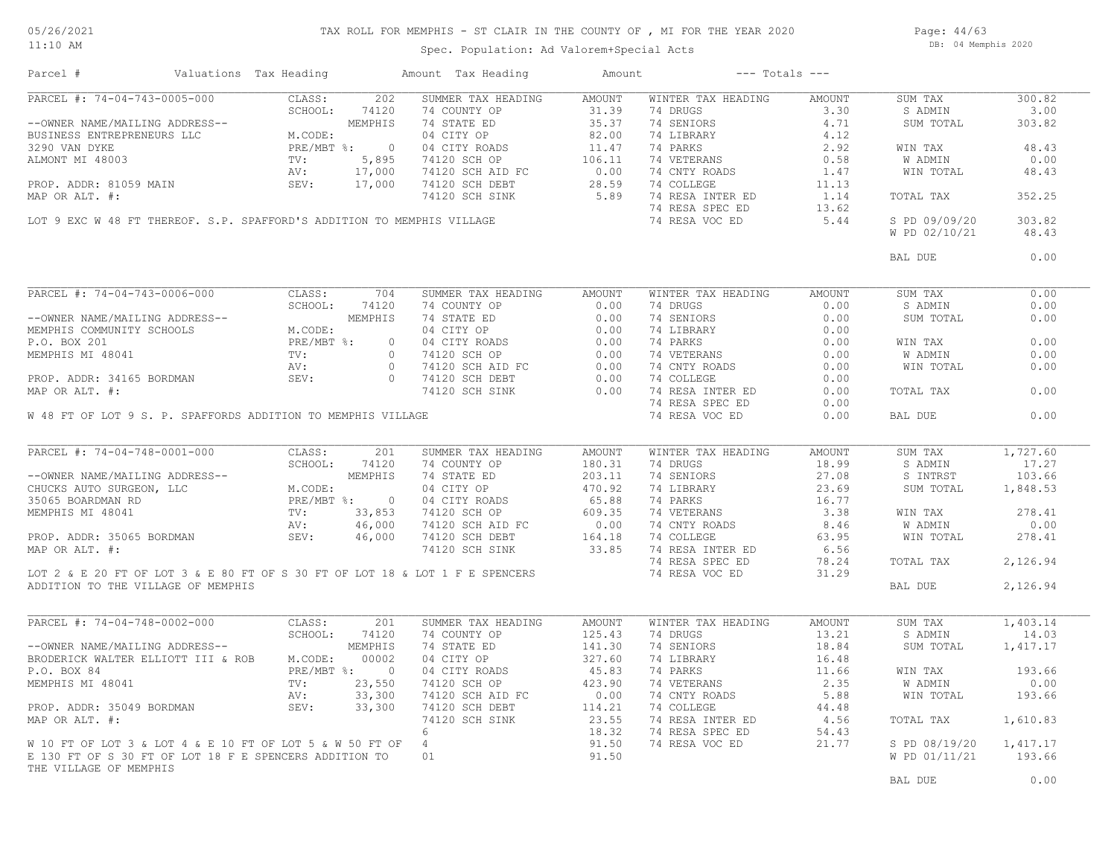#### 05/26/2021 11:10 AM

## TAX ROLL FOR MEMPHIS - ST CLAIR IN THE COUNTY OF , MI FOR THE YEAR 2020

Page: 44/63 DB: 04 Memphis 2020

Spec. Population: Ad Valorem+Special Acts

| Parcel #                                                                                                                                                                                    | Valuations Tax Heading                 |                                          | Amount Tax Heading                                                                                                                                                                                                                                                                                                                                                                                                                                                                                                                                                                                                                                                                                                                                                                                                                                                                                                                                                                                                                                                                                                                                                                                                                                                                                                                                                                                                                                                                                                                                                                                                                                                                                                                                                                                                                                                                                                                                                                                                                                                                                                                                                                                                                                                                                                                                                                                                                                                                                                                                                                                                                                                                                                                                                                                                                                                                                                                                                                                                                                                                                                                                                                                                                                                                                                                                                                                                                                                                                                                                                                                                                                                                                                                                                                                                            | Amount             |                                                                                                                                                                | $---$ Totals $---$ |                              |          |      |      |      |      |      |      |    |      |    |                                                                          |    |      |    |                                                                          |        |  |  |         |        |  |  |  |  |  |  |  |         |      |  |  |  |  |  |  |  |           |        |  |  |  |  |  |  |  |  |  |  |  |  |  |  |  |  |           |          |  |  |  |                                                                              |  |                |       |  |  |                                    |  |  |  |  |  |  |         |          |                              |  |            |                    |        |                    |        |         |          |  |  |               |              |  |          |       |         |       |  |  |  |  |        |  |  |  |  |                                                                                          |  |         |             |                    |            |       |           |          |  |  |       |            |        |            |       |  |  |             |  |                                          |                                                                                                                      |  |                                                                                                                                                                |  |         |        |                  |  |  |  |  |  |  |         |      |  |  |  |  |  |  |  |                  |  |                                |  |        |  |  |  |  |  |  |                |  |  |  |  |  |  |                    |  |  |  |  |  |  |  |  |  |  |  |  |  |  |       |  |  |                              |  |  |  |  |                                                                                                                         |       |  |  |                      |  |  |  |  |  |  |  |  |  |  |                        |  |  |  |  |  |  |  |  |  |  |  |  |  |  |  |         |      |
|---------------------------------------------------------------------------------------------------------------------------------------------------------------------------------------------|----------------------------------------|------------------------------------------|-------------------------------------------------------------------------------------------------------------------------------------------------------------------------------------------------------------------------------------------------------------------------------------------------------------------------------------------------------------------------------------------------------------------------------------------------------------------------------------------------------------------------------------------------------------------------------------------------------------------------------------------------------------------------------------------------------------------------------------------------------------------------------------------------------------------------------------------------------------------------------------------------------------------------------------------------------------------------------------------------------------------------------------------------------------------------------------------------------------------------------------------------------------------------------------------------------------------------------------------------------------------------------------------------------------------------------------------------------------------------------------------------------------------------------------------------------------------------------------------------------------------------------------------------------------------------------------------------------------------------------------------------------------------------------------------------------------------------------------------------------------------------------------------------------------------------------------------------------------------------------------------------------------------------------------------------------------------------------------------------------------------------------------------------------------------------------------------------------------------------------------------------------------------------------------------------------------------------------------------------------------------------------------------------------------------------------------------------------------------------------------------------------------------------------------------------------------------------------------------------------------------------------------------------------------------------------------------------------------------------------------------------------------------------------------------------------------------------------------------------------------------------------------------------------------------------------------------------------------------------------------------------------------------------------------------------------------------------------------------------------------------------------------------------------------------------------------------------------------------------------------------------------------------------------------------------------------------------------------------------------------------------------------------------------------------------------------------------------------------------------------------------------------------------------------------------------------------------------------------------------------------------------------------------------------------------------------------------------------------------------------------------------------------------------------------------------------------------------------------------------------------------------------------------------------------------------|--------------------|----------------------------------------------------------------------------------------------------------------------------------------------------------------|--------------------|------------------------------|----------|------|------|------|------|------|------|----|------|----|--------------------------------------------------------------------------|----|------|----|--------------------------------------------------------------------------|--------|--|--|---------|--------|--|--|--|--|--|--|--|---------|------|--|--|--|--|--|--|--|-----------|--------|--|--|--|--|--|--|--|--|--|--|--|--|--|--|--|--|-----------|----------|--|--|--|------------------------------------------------------------------------------|--|----------------|-------|--|--|------------------------------------|--|--|--|--|--|--|---------|----------|------------------------------|--|------------|--------------------|--------|--------------------|--------|---------|----------|--|--|---------------|--------------|--|----------|-------|---------|-------|--|--|--|--|--------|--|--|--|--|------------------------------------------------------------------------------------------|--|---------|-------------|--------------------|------------|-------|-----------|----------|--|--|-------|------------|--------|------------|-------|--|--|-------------|--|------------------------------------------|----------------------------------------------------------------------------------------------------------------------|--|----------------------------------------------------------------------------------------------------------------------------------------------------------------|--|---------|--------|------------------|--|--|--|--|--|--|---------|------|--|--|--|--|--|--|--|------------------|--|--------------------------------|--|--------|--|--|--|--|--|--|----------------|--|--|--|--|--|--|--------------------|--|--|--|--|--|--|--|--|--|--|--|--|--|--|-------|--|--|------------------------------|--|--|--|--|-------------------------------------------------------------------------------------------------------------------------|-------|--|--|----------------------|--|--|--|--|--|--|--|--|--|--|------------------------|--|--|--|--|--|--|--|--|--|--|--|--|--|--|--|---------|------|
| PARCEL #: 74-04-743-0005-000 CLASS:                                                                                                                                                         |                                        | 202                                      | SUMMER TAX HEADING                                                                                                                                                                                                                                                                                                                                                                                                                                                                                                                                                                                                                                                                                                                                                                                                                                                                                                                                                                                                                                                                                                                                                                                                                                                                                                                                                                                                                                                                                                                                                                                                                                                                                                                                                                                                                                                                                                                                                                                                                                                                                                                                                                                                                                                                                                                                                                                                                                                                                                                                                                                                                                                                                                                                                                                                                                                                                                                                                                                                                                                                                                                                                                                                                                                                                                                                                                                                                                                                                                                                                                                                                                                                                                                                                                                                            | AMOUNT             | WINTER TAX HEADING                                                                                                                                             | AMOUNT             | SUM TAX                      | 300.82   |      |      |      |      |      |      |    |      |    |                                                                          |    |      |    |                                                                          |        |  |  |         |        |  |  |  |  |  |  |  |         |      |  |  |  |  |  |  |  |           |        |  |  |  |  |  |  |  |  |  |  |  |  |  |  |  |  |           |          |  |  |  |                                                                              |  |                |       |  |  |                                    |  |  |  |  |  |  |         |          |                              |  |            |                    |        |                    |        |         |          |  |  |               |              |  |          |       |         |       |  |  |  |  |        |  |  |  |  |                                                                                          |  |         |             |                    |            |       |           |          |  |  |       |            |        |            |       |  |  |             |  |                                          |                                                                                                                      |  |                                                                                                                                                                |  |         |        |                  |  |  |  |  |  |  |         |      |  |  |  |  |  |  |  |                  |  |                                |  |        |  |  |  |  |  |  |                |  |  |  |  |  |  |                    |  |  |  |  |  |  |  |  |  |  |  |  |  |  |       |  |  |                              |  |  |  |  |                                                                                                                         |       |  |  |                      |  |  |  |  |  |  |  |  |  |  |                        |  |  |  |  |  |  |  |  |  |  |  |  |  |  |  |         |      |
|                                                                                                                                                                                             |                                        | SCHOOL: 74120                            | 74 COUNTY OP 31.39 (4 DROCK)<br>74 COUNTY OP 35.37 (4 BENIORS 4.71 9<br>04 CITY ROADS 82.00 74 LIBRARY 4.12<br>04 CITY ROADS 11.47 74 PARKS 2.92<br>74120 SCH AID FC 0.00 74 CNTY ROADS 1.47<br>74120 SCH AID FC 0.00 74 CNTY ROADS 1.47                                                                                                                                                                                                                                                                                                                                                                                                                                                                                                                                                                                                                                                                                                                                                                                                                                                                                                                                                                                                                                                                                                                                                                                                                                                                                                                                                                                                                                                                                                                                                                                                                                                                                                                                                                                                                                                                                                                                                                                                                                                                                                                                                                                                                                                                                                                                                                                                                                                                                                                                                                                                                                                                                                                                                                                                                                                                                                                                                                                                                                                                                                                                                                                                                                                                                                                                                                                                                                                                                                                                                                                      |                    |                                                                                                                                                                |                    | S ADMIN                      | 3.00     |      |      |      |      |      |      |    |      |    |                                                                          |    |      |    |                                                                          |        |  |  |         |        |  |  |  |  |  |  |  |         |      |  |  |  |  |  |  |  |           |        |  |  |  |  |  |  |  |  |  |  |  |  |  |  |  |  |           |          |  |  |  |                                                                              |  |                |       |  |  |                                    |  |  |  |  |  |  |         |          |                              |  |            |                    |        |                    |        |         |          |  |  |               |              |  |          |       |         |       |  |  |  |  |        |  |  |  |  |                                                                                          |  |         |             |                    |            |       |           |          |  |  |       |            |        |            |       |  |  |             |  |                                          |                                                                                                                      |  |                                                                                                                                                                |  |         |        |                  |  |  |  |  |  |  |         |      |  |  |  |  |  |  |  |                  |  |                                |  |        |  |  |  |  |  |  |                |  |  |  |  |  |  |                    |  |  |  |  |  |  |  |  |  |  |  |  |  |  |       |  |  |                              |  |  |  |  |                                                                                                                         |       |  |  |                      |  |  |  |  |  |  |  |  |  |  |                        |  |  |  |  |  |  |  |  |  |  |  |  |  |  |  |         |      |
| --OWNER NAME/MAILING ADDRESS--<br>BUSINESS ENTREPRENEURS LLC<br>3290 VAN DYKE<br>ALMONT MI 48003<br>PROP. ADDR: 81059 MAIN<br>MAR OR ATT #. 17,000<br>MAR OR ATT #. 17,000<br>MAR OR ATT #. |                                        |                                          |                                                                                                                                                                                                                                                                                                                                                                                                                                                                                                                                                                                                                                                                                                                                                                                                                                                                                                                                                                                                                                                                                                                                                                                                                                                                                                                                                                                                                                                                                                                                                                                                                                                                                                                                                                                                                                                                                                                                                                                                                                                                                                                                                                                                                                                                                                                                                                                                                                                                                                                                                                                                                                                                                                                                                                                                                                                                                                                                                                                                                                                                                                                                                                                                                                                                                                                                                                                                                                                                                                                                                                                                                                                                                                                                                                                                                               |                    |                                                                                                                                                                |                    | SUM TOTAL                    | 303.82   |      |      |      |      |      |      |    |      |    |                                                                          |    |      |    |                                                                          |        |  |  |         |        |  |  |  |  |  |  |  |         |      |  |  |  |  |  |  |  |           |        |  |  |  |  |  |  |  |  |  |  |  |  |  |  |  |  |           |          |  |  |  |                                                                              |  |                |       |  |  |                                    |  |  |  |  |  |  |         |          |                              |  |            |                    |        |                    |        |         |          |  |  |               |              |  |          |       |         |       |  |  |  |  |        |  |  |  |  |                                                                                          |  |         |             |                    |            |       |           |          |  |  |       |            |        |            |       |  |  |             |  |                                          |                                                                                                                      |  |                                                                                                                                                                |  |         |        |                  |  |  |  |  |  |  |         |      |  |  |  |  |  |  |  |                  |  |                                |  |        |  |  |  |  |  |  |                |  |  |  |  |  |  |                    |  |  |  |  |  |  |  |  |  |  |  |  |  |  |       |  |  |                              |  |  |  |  |                                                                                                                         |       |  |  |                      |  |  |  |  |  |  |  |  |  |  |                        |  |  |  |  |  |  |  |  |  |  |  |  |  |  |  |         |      |
|                                                                                                                                                                                             |                                        |                                          |                                                                                                                                                                                                                                                                                                                                                                                                                                                                                                                                                                                                                                                                                                                                                                                                                                                                                                                                                                                                                                                                                                                                                                                                                                                                                                                                                                                                                                                                                                                                                                                                                                                                                                                                                                                                                                                                                                                                                                                                                                                                                                                                                                                                                                                                                                                                                                                                                                                                                                                                                                                                                                                                                                                                                                                                                                                                                                                                                                                                                                                                                                                                                                                                                                                                                                                                                                                                                                                                                                                                                                                                                                                                                                                                                                                                                               |                    |                                                                                                                                                                |                    |                              |          |      |      |      |      |      |      |    |      |    |                                                                          |    |      |    |                                                                          |        |  |  |         |        |  |  |  |  |  |  |  |         |      |  |  |  |  |  |  |  |           |        |  |  |  |  |  |  |  |  |  |  |  |  |  |  |  |  |           |          |  |  |  |                                                                              |  |                |       |  |  |                                    |  |  |  |  |  |  |         |          |                              |  |            |                    |        |                    |        |         |          |  |  |               |              |  |          |       |         |       |  |  |  |  |        |  |  |  |  |                                                                                          |  |         |             |                    |            |       |           |          |  |  |       |            |        |            |       |  |  |             |  |                                          |                                                                                                                      |  |                                                                                                                                                                |  |         |        |                  |  |  |  |  |  |  |         |      |  |  |  |  |  |  |  |                  |  |                                |  |        |  |  |  |  |  |  |                |  |  |  |  |  |  |                    |  |  |  |  |  |  |  |  |  |  |  |  |  |  |       |  |  |                              |  |  |  |  |                                                                                                                         |       |  |  |                      |  |  |  |  |  |  |  |  |  |  |                        |  |  |  |  |  |  |  |  |  |  |  |  |  |  |  |         |      |
|                                                                                                                                                                                             |                                        |                                          |                                                                                                                                                                                                                                                                                                                                                                                                                                                                                                                                                                                                                                                                                                                                                                                                                                                                                                                                                                                                                                                                                                                                                                                                                                                                                                                                                                                                                                                                                                                                                                                                                                                                                                                                                                                                                                                                                                                                                                                                                                                                                                                                                                                                                                                                                                                                                                                                                                                                                                                                                                                                                                                                                                                                                                                                                                                                                                                                                                                                                                                                                                                                                                                                                                                                                                                                                                                                                                                                                                                                                                                                                                                                                                                                                                                                                               |                    |                                                                                                                                                                |                    | WIN TAX                      | 48.43    |      |      |      |      |      |      |    |      |    |                                                                          |    |      |    |                                                                          |        |  |  |         |        |  |  |  |  |  |  |  |         |      |  |  |  |  |  |  |  |           |        |  |  |  |  |  |  |  |  |  |  |  |  |  |  |  |  |           |          |  |  |  |                                                                              |  |                |       |  |  |                                    |  |  |  |  |  |  |         |          |                              |  |            |                    |        |                    |        |         |          |  |  |               |              |  |          |       |         |       |  |  |  |  |        |  |  |  |  |                                                                                          |  |         |             |                    |            |       |           |          |  |  |       |            |        |            |       |  |  |             |  |                                          |                                                                                                                      |  |                                                                                                                                                                |  |         |        |                  |  |  |  |  |  |  |         |      |  |  |  |  |  |  |  |                  |  |                                |  |        |  |  |  |  |  |  |                |  |  |  |  |  |  |                    |  |  |  |  |  |  |  |  |  |  |  |  |  |  |       |  |  |                              |  |  |  |  |                                                                                                                         |       |  |  |                      |  |  |  |  |  |  |  |  |  |  |                        |  |  |  |  |  |  |  |  |  |  |  |  |  |  |  |         |      |
|                                                                                                                                                                                             |                                        |                                          |                                                                                                                                                                                                                                                                                                                                                                                                                                                                                                                                                                                                                                                                                                                                                                                                                                                                                                                                                                                                                                                                                                                                                                                                                                                                                                                                                                                                                                                                                                                                                                                                                                                                                                                                                                                                                                                                                                                                                                                                                                                                                                                                                                                                                                                                                                                                                                                                                                                                                                                                                                                                                                                                                                                                                                                                                                                                                                                                                                                                                                                                                                                                                                                                                                                                                                                                                                                                                                                                                                                                                                                                                                                                                                                                                                                                                               |                    |                                                                                                                                                                |                    | W ADMIN                      | 0.00     |      |      |      |      |      |      |    |      |    |                                                                          |    |      |    |                                                                          |        |  |  |         |        |  |  |  |  |  |  |  |         |      |  |  |  |  |  |  |  |           |        |  |  |  |  |  |  |  |  |  |  |  |  |  |  |  |  |           |          |  |  |  |                                                                              |  |                |       |  |  |                                    |  |  |  |  |  |  |         |          |                              |  |            |                    |        |                    |        |         |          |  |  |               |              |  |          |       |         |       |  |  |  |  |        |  |  |  |  |                                                                                          |  |         |             |                    |            |       |           |          |  |  |       |            |        |            |       |  |  |             |  |                                          |                                                                                                                      |  |                                                                                                                                                                |  |         |        |                  |  |  |  |  |  |  |         |      |  |  |  |  |  |  |  |                  |  |                                |  |        |  |  |  |  |  |  |                |  |  |  |  |  |  |                    |  |  |  |  |  |  |  |  |  |  |  |  |  |  |       |  |  |                              |  |  |  |  |                                                                                                                         |       |  |  |                      |  |  |  |  |  |  |  |  |  |  |                        |  |  |  |  |  |  |  |  |  |  |  |  |  |  |  |         |      |
|                                                                                                                                                                                             |                                        |                                          |                                                                                                                                                                                                                                                                                                                                                                                                                                                                                                                                                                                                                                                                                                                                                                                                                                                                                                                                                                                                                                                                                                                                                                                                                                                                                                                                                                                                                                                                                                                                                                                                                                                                                                                                                                                                                                                                                                                                                                                                                                                                                                                                                                                                                                                                                                                                                                                                                                                                                                                                                                                                                                                                                                                                                                                                                                                                                                                                                                                                                                                                                                                                                                                                                                                                                                                                                                                                                                                                                                                                                                                                                                                                                                                                                                                                                               |                    |                                                                                                                                                                |                    | WIN TOTAL                    | 48.43    |      |      |      |      |      |      |    |      |    |                                                                          |    |      |    |                                                                          |        |  |  |         |        |  |  |  |  |  |  |  |         |      |  |  |  |  |  |  |  |           |        |  |  |  |  |  |  |  |  |  |  |  |  |  |  |  |  |           |          |  |  |  |                                                                              |  |                |       |  |  |                                    |  |  |  |  |  |  |         |          |                              |  |            |                    |        |                    |        |         |          |  |  |               |              |  |          |       |         |       |  |  |  |  |        |  |  |  |  |                                                                                          |  |         |             |                    |            |       |           |          |  |  |       |            |        |            |       |  |  |             |  |                                          |                                                                                                                      |  |                                                                                                                                                                |  |         |        |                  |  |  |  |  |  |  |         |      |  |  |  |  |  |  |  |                  |  |                                |  |        |  |  |  |  |  |  |                |  |  |  |  |  |  |                    |  |  |  |  |  |  |  |  |  |  |  |  |  |  |       |  |  |                              |  |  |  |  |                                                                                                                         |       |  |  |                      |  |  |  |  |  |  |  |  |  |  |                        |  |  |  |  |  |  |  |  |  |  |  |  |  |  |  |         |      |
|                                                                                                                                                                                             |                                        |                                          |                                                                                                                                                                                                                                                                                                                                                                                                                                                                                                                                                                                                                                                                                                                                                                                                                                                                                                                                                                                                                                                                                                                                                                                                                                                                                                                                                                                                                                                                                                                                                                                                                                                                                                                                                                                                                                                                                                                                                                                                                                                                                                                                                                                                                                                                                                                                                                                                                                                                                                                                                                                                                                                                                                                                                                                                                                                                                                                                                                                                                                                                                                                                                                                                                                                                                                                                                                                                                                                                                                                                                                                                                                                                                                                                                                                                                               |                    |                                                                                                                                                                |                    |                              |          |      |      |      |      |      |      |    |      |    |                                                                          |    |      |    |                                                                          |        |  |  |         |        |  |  |  |  |  |  |  |         |      |  |  |  |  |  |  |  |           |        |  |  |  |  |  |  |  |  |  |  |  |  |  |  |  |  |           |          |  |  |  |                                                                              |  |                |       |  |  |                                    |  |  |  |  |  |  |         |          |                              |  |            |                    |        |                    |        |         |          |  |  |               |              |  |          |       |         |       |  |  |  |  |        |  |  |  |  |                                                                                          |  |         |             |                    |            |       |           |          |  |  |       |            |        |            |       |  |  |             |  |                                          |                                                                                                                      |  |                                                                                                                                                                |  |         |        |                  |  |  |  |  |  |  |         |      |  |  |  |  |  |  |  |                  |  |                                |  |        |  |  |  |  |  |  |                |  |  |  |  |  |  |                    |  |  |  |  |  |  |  |  |  |  |  |  |  |  |       |  |  |                              |  |  |  |  |                                                                                                                         |       |  |  |                      |  |  |  |  |  |  |  |  |  |  |                        |  |  |  |  |  |  |  |  |  |  |  |  |  |  |  |         |      |
| MAP OR ALT. #:                                                                                                                                                                              |                                        |                                          |                                                                                                                                                                                                                                                                                                                                                                                                                                                                                                                                                                                                                                                                                                                                                                                                                                                                                                                                                                                                                                                                                                                                                                                                                                                                                                                                                                                                                                                                                                                                                                                                                                                                                                                                                                                                                                                                                                                                                                                                                                                                                                                                                                                                                                                                                                                                                                                                                                                                                                                                                                                                                                                                                                                                                                                                                                                                                                                                                                                                                                                                                                                                                                                                                                                                                                                                                                                                                                                                                                                                                                                                                                                                                                                                                                                                                               |                    |                                                                                                                                                                |                    | TOTAL TAX                    | 352.25   |      |      |      |      |      |      |    |      |    |                                                                          |    |      |    |                                                                          |        |  |  |         |        |  |  |  |  |  |  |  |         |      |  |  |  |  |  |  |  |           |        |  |  |  |  |  |  |  |  |  |  |  |  |  |  |  |  |           |          |  |  |  |                                                                              |  |                |       |  |  |                                    |  |  |  |  |  |  |         |          |                              |  |            |                    |        |                    |        |         |          |  |  |               |              |  |          |       |         |       |  |  |  |  |        |  |  |  |  |                                                                                          |  |         |             |                    |            |       |           |          |  |  |       |            |        |            |       |  |  |             |  |                                          |                                                                                                                      |  |                                                                                                                                                                |  |         |        |                  |  |  |  |  |  |  |         |      |  |  |  |  |  |  |  |                  |  |                                |  |        |  |  |  |  |  |  |                |  |  |  |  |  |  |                    |  |  |  |  |  |  |  |  |  |  |  |  |  |  |       |  |  |                              |  |  |  |  |                                                                                                                         |       |  |  |                      |  |  |  |  |  |  |  |  |  |  |                        |  |  |  |  |  |  |  |  |  |  |  |  |  |  |  |         |      |
|                                                                                                                                                                                             |                                        |                                          |                                                                                                                                                                                                                                                                                                                                                                                                                                                                                                                                                                                                                                                                                                                                                                                                                                                                                                                                                                                                                                                                                                                                                                                                                                                                                                                                                                                                                                                                                                                                                                                                                                                                                                                                                                                                                                                                                                                                                                                                                                                                                                                                                                                                                                                                                                                                                                                                                                                                                                                                                                                                                                                                                                                                                                                                                                                                                                                                                                                                                                                                                                                                                                                                                                                                                                                                                                                                                                                                                                                                                                                                                                                                                                                                                                                                                               |                    |                                                                                                                                                                |                    |                              |          |      |      |      |      |      |      |    |      |    |                                                                          |    |      |    |                                                                          |        |  |  |         |        |  |  |  |  |  |  |  |         |      |  |  |  |  |  |  |  |           |        |  |  |  |  |  |  |  |  |  |  |  |  |  |  |  |  |           |          |  |  |  |                                                                              |  |                |       |  |  |                                    |  |  |  |  |  |  |         |          |                              |  |            |                    |        |                    |        |         |          |  |  |               |              |  |          |       |         |       |  |  |  |  |        |  |  |  |  |                                                                                          |  |         |             |                    |            |       |           |          |  |  |       |            |        |            |       |  |  |             |  |                                          |                                                                                                                      |  |                                                                                                                                                                |  |         |        |                  |  |  |  |  |  |  |         |      |  |  |  |  |  |  |  |                  |  |                                |  |        |  |  |  |  |  |  |                |  |  |  |  |  |  |                    |  |  |  |  |  |  |  |  |  |  |  |  |  |  |       |  |  |                              |  |  |  |  |                                                                                                                         |       |  |  |                      |  |  |  |  |  |  |  |  |  |  |                        |  |  |  |  |  |  |  |  |  |  |  |  |  |  |  |         |      |
|                                                                                                                                                                                             |                                        |                                          | LOT 9 EXC W 48 FT THEREOF. S.P. SPAFFORD'S ADDITION TO MEMPHIS VILLAGE                                                                                                                                                                                                                                                                                                                                                                                                                                                                                                                                                                                                                                                                                                                                                                                                                                                                                                                                                                                                                                                                                                                                                                                                                                                                                                                                                                                                                                                                                                                                                                                                                                                                                                                                                                                                                                                                                                                                                                                                                                                                                                                                                                                                                                                                                                                                                                                                                                                                                                                                                                                                                                                                                                                                                                                                                                                                                                                                                                                                                                                                                                                                                                                                                                                                                                                                                                                                                                                                                                                                                                                                                                                                                                                                                        |                    |                                                                                                                                                                |                    | S PD 09/09/20                | 303.82   |      |      |      |      |      |      |    |      |    |                                                                          |    |      |    |                                                                          |        |  |  |         |        |  |  |  |  |  |  |  |         |      |  |  |  |  |  |  |  |           |        |  |  |  |  |  |  |  |  |  |  |  |  |  |  |  |  |           |          |  |  |  |                                                                              |  |                |       |  |  |                                    |  |  |  |  |  |  |         |          |                              |  |            |                    |        |                    |        |         |          |  |  |               |              |  |          |       |         |       |  |  |  |  |        |  |  |  |  |                                                                                          |  |         |             |                    |            |       |           |          |  |  |       |            |        |            |       |  |  |             |  |                                          |                                                                                                                      |  |                                                                                                                                                                |  |         |        |                  |  |  |  |  |  |  |         |      |  |  |  |  |  |  |  |                  |  |                                |  |        |  |  |  |  |  |  |                |  |  |  |  |  |  |                    |  |  |  |  |  |  |  |  |  |  |  |  |  |  |       |  |  |                              |  |  |  |  |                                                                                                                         |       |  |  |                      |  |  |  |  |  |  |  |  |  |  |                        |  |  |  |  |  |  |  |  |  |  |  |  |  |  |  |         |      |
|                                                                                                                                                                                             |                                        |                                          |                                                                                                                                                                                                                                                                                                                                                                                                                                                                                                                                                                                                                                                                                                                                                                                                                                                                                                                                                                                                                                                                                                                                                                                                                                                                                                                                                                                                                                                                                                                                                                                                                                                                                                                                                                                                                                                                                                                                                                                                                                                                                                                                                                                                                                                                                                                                                                                                                                                                                                                                                                                                                                                                                                                                                                                                                                                                                                                                                                                                                                                                                                                                                                                                                                                                                                                                                                                                                                                                                                                                                                                                                                                                                                                                                                                                                               |                    |                                                                                                                                                                |                    | W PD 02/10/21                | 48.43    |      |      |      |      |      |      |    |      |    |                                                                          |    |      |    |                                                                          |        |  |  |         |        |  |  |  |  |  |  |  |         |      |  |  |  |  |  |  |  |           |        |  |  |  |  |  |  |  |  |  |  |  |  |  |  |  |  |           |          |  |  |  |                                                                              |  |                |       |  |  |                                    |  |  |  |  |  |  |         |          |                              |  |            |                    |        |                    |        |         |          |  |  |               |              |  |          |       |         |       |  |  |  |  |        |  |  |  |  |                                                                                          |  |         |             |                    |            |       |           |          |  |  |       |            |        |            |       |  |  |             |  |                                          |                                                                                                                      |  |                                                                                                                                                                |  |         |        |                  |  |  |  |  |  |  |         |      |  |  |  |  |  |  |  |                  |  |                                |  |        |  |  |  |  |  |  |                |  |  |  |  |  |  |                    |  |  |  |  |  |  |  |  |  |  |  |  |  |  |       |  |  |                              |  |  |  |  |                                                                                                                         |       |  |  |                      |  |  |  |  |  |  |  |  |  |  |                        |  |  |  |  |  |  |  |  |  |  |  |  |  |  |  |         |      |
|                                                                                                                                                                                             |                                        |                                          |                                                                                                                                                                                                                                                                                                                                                                                                                                                                                                                                                                                                                                                                                                                                                                                                                                                                                                                                                                                                                                                                                                                                                                                                                                                                                                                                                                                                                                                                                                                                                                                                                                                                                                                                                                                                                                                                                                                                                                                                                                                                                                                                                                                                                                                                                                                                                                                                                                                                                                                                                                                                                                                                                                                                                                                                                                                                                                                                                                                                                                                                                                                                                                                                                                                                                                                                                                                                                                                                                                                                                                                                                                                                                                                                                                                                                               |                    |                                                                                                                                                                |                    |                              |          |      |      |      |      |      |      |    |      |    |                                                                          |    |      |    |                                                                          |        |  |  |         |        |  |  |  |  |  |  |  |         |      |  |  |  |  |  |  |  |           |        |  |  |  |  |  |  |  |  |  |  |  |  |  |  |  |  |           |          |  |  |  |                                                                              |  |                |       |  |  |                                    |  |  |  |  |  |  |         |          |                              |  |            |                    |        |                    |        |         |          |  |  |               |              |  |          |       |         |       |  |  |  |  |        |  |  |  |  |                                                                                          |  |         |             |                    |            |       |           |          |  |  |       |            |        |            |       |  |  |             |  |                                          |                                                                                                                      |  |                                                                                                                                                                |  |         |        |                  |  |  |  |  |  |  |         |      |  |  |  |  |  |  |  |                  |  |                                |  |        |  |  |  |  |  |  |                |  |  |  |  |  |  |                    |  |  |  |  |  |  |  |  |  |  |  |  |  |  |       |  |  |                              |  |  |  |  |                                                                                                                         |       |  |  |                      |  |  |  |  |  |  |  |  |  |  |                        |  |  |  |  |  |  |  |  |  |  |  |  |  |  |  |         |      |
|                                                                                                                                                                                             |                                        |                                          |                                                                                                                                                                                                                                                                                                                                                                                                                                                                                                                                                                                                                                                                                                                                                                                                                                                                                                                                                                                                                                                                                                                                                                                                                                                                                                                                                                                                                                                                                                                                                                                                                                                                                                                                                                                                                                                                                                                                                                                                                                                                                                                                                                                                                                                                                                                                                                                                                                                                                                                                                                                                                                                                                                                                                                                                                                                                                                                                                                                                                                                                                                                                                                                                                                                                                                                                                                                                                                                                                                                                                                                                                                                                                                                                                                                                                               |                    |                                                                                                                                                                |                    | BAL DUE                      | 0.00     |      |      |      |      |      |      |    |      |    |                                                                          |    |      |    |                                                                          |        |  |  |         |        |  |  |  |  |  |  |  |         |      |  |  |  |  |  |  |  |           |        |  |  |  |  |  |  |  |  |  |  |  |  |  |  |  |  |           |          |  |  |  |                                                                              |  |                |       |  |  |                                    |  |  |  |  |  |  |         |          |                              |  |            |                    |        |                    |        |         |          |  |  |               |              |  |          |       |         |       |  |  |  |  |        |  |  |  |  |                                                                                          |  |         |             |                    |            |       |           |          |  |  |       |            |        |            |       |  |  |             |  |                                          |                                                                                                                      |  |                                                                                                                                                                |  |         |        |                  |  |  |  |  |  |  |         |      |  |  |  |  |  |  |  |                  |  |                                |  |        |  |  |  |  |  |  |                |  |  |  |  |  |  |                    |  |  |  |  |  |  |  |  |  |  |  |  |  |  |       |  |  |                              |  |  |  |  |                                                                                                                         |       |  |  |                      |  |  |  |  |  |  |  |  |  |  |                        |  |  |  |  |  |  |  |  |  |  |  |  |  |  |  |         |      |
|                                                                                                                                                                                             |                                        |                                          |                                                                                                                                                                                                                                                                                                                                                                                                                                                                                                                                                                                                                                                                                                                                                                                                                                                                                                                                                                                                                                                                                                                                                                                                                                                                                                                                                                                                                                                                                                                                                                                                                                                                                                                                                                                                                                                                                                                                                                                                                                                                                                                                                                                                                                                                                                                                                                                                                                                                                                                                                                                                                                                                                                                                                                                                                                                                                                                                                                                                                                                                                                                                                                                                                                                                                                                                                                                                                                                                                                                                                                                                                                                                                                                                                                                                                               |                    |                                                                                                                                                                |                    |                              |          |      |      |      |      |      |      |    |      |    |                                                                          |    |      |    |                                                                          |        |  |  |         |        |  |  |  |  |  |  |  |         |      |  |  |  |  |  |  |  |           |        |  |  |  |  |  |  |  |  |  |  |  |  |  |  |  |  |           |          |  |  |  |                                                                              |  |                |       |  |  |                                    |  |  |  |  |  |  |         |          |                              |  |            |                    |        |                    |        |         |          |  |  |               |              |  |          |       |         |       |  |  |  |  |        |  |  |  |  |                                                                                          |  |         |             |                    |            |       |           |          |  |  |       |            |        |            |       |  |  |             |  |                                          |                                                                                                                      |  |                                                                                                                                                                |  |         |        |                  |  |  |  |  |  |  |         |      |  |  |  |  |  |  |  |                  |  |                                |  |        |  |  |  |  |  |  |                |  |  |  |  |  |  |                    |  |  |  |  |  |  |  |  |  |  |  |  |  |  |       |  |  |                              |  |  |  |  |                                                                                                                         |       |  |  |                      |  |  |  |  |  |  |  |  |  |  |                        |  |  |  |  |  |  |  |  |  |  |  |  |  |  |  |         |      |
| PARCEL #: $74-04-743-0006-000$                                                                                                                                                              |                                        | CLASS:                                   | 704<br>SUMMER TAX HEADING                                                                                                                                                                                                                                                                                                                                                                                                                                                                                                                                                                                                                                                                                                                                                                                                                                                                                                                                                                                                                                                                                                                                                                                                                                                                                                                                                                                                                                                                                                                                                                                                                                                                                                                                                                                                                                                                                                                                                                                                                                                                                                                                                                                                                                                                                                                                                                                                                                                                                                                                                                                                                                                                                                                                                                                                                                                                                                                                                                                                                                                                                                                                                                                                                                                                                                                                                                                                                                                                                                                                                                                                                                                                                                                                                                                                     | AMOUNT             | WINTER TAX HEADING                                                                                                                                             | AMOUNT             | SUM TAX                      | 0.00     |      |      |      |      |      |      |    |      |    |                                                                          |    |      |    |                                                                          |        |  |  |         |        |  |  |  |  |  |  |  |         |      |  |  |  |  |  |  |  |           |        |  |  |  |  |  |  |  |  |  |  |  |  |  |  |  |  |           |          |  |  |  |                                                                              |  |                |       |  |  |                                    |  |  |  |  |  |  |         |          |                              |  |            |                    |        |                    |        |         |          |  |  |               |              |  |          |       |         |       |  |  |  |  |        |  |  |  |  |                                                                                          |  |         |             |                    |            |       |           |          |  |  |       |            |        |            |       |  |  |             |  |                                          |                                                                                                                      |  |                                                                                                                                                                |  |         |        |                  |  |  |  |  |  |  |         |      |  |  |  |  |  |  |  |                  |  |                                |  |        |  |  |  |  |  |  |                |  |  |  |  |  |  |                    |  |  |  |  |  |  |  |  |  |  |  |  |  |  |       |  |  |                              |  |  |  |  |                                                                                                                         |       |  |  |                      |  |  |  |  |  |  |  |  |  |  |                        |  |  |  |  |  |  |  |  |  |  |  |  |  |  |  |         |      |
|                                                                                                                                                                                             |                                        | SCHOOL: 74120                            | 74 COUNTY OP 0.00                                                                                                                                                                                                                                                                                                                                                                                                                                                                                                                                                                                                                                                                                                                                                                                                                                                                                                                                                                                                                                                                                                                                                                                                                                                                                                                                                                                                                                                                                                                                                                                                                                                                                                                                                                                                                                                                                                                                                                                                                                                                                                                                                                                                                                                                                                                                                                                                                                                                                                                                                                                                                                                                                                                                                                                                                                                                                                                                                                                                                                                                                                                                                                                                                                                                                                                                                                                                                                                                                                                                                                                                                                                                                                                                                                                                             |                    | 74 DRUGS 0.00                                                                                                                                                  |                    | S ADMIN                      | 0.00     |      |      |      |      |      |      |    |      |    |                                                                          |    |      |    |                                                                          |        |  |  |         |        |  |  |  |  |  |  |  |         |      |  |  |  |  |  |  |  |           |        |  |  |  |  |  |  |  |  |  |  |  |  |  |  |  |  |           |          |  |  |  |                                                                              |  |                |       |  |  |                                    |  |  |  |  |  |  |         |          |                              |  |            |                    |        |                    |        |         |          |  |  |               |              |  |          |       |         |       |  |  |  |  |        |  |  |  |  |                                                                                          |  |         |             |                    |            |       |           |          |  |  |       |            |        |            |       |  |  |             |  |                                          |                                                                                                                      |  |                                                                                                                                                                |  |         |        |                  |  |  |  |  |  |  |         |      |  |  |  |  |  |  |  |                  |  |                                |  |        |  |  |  |  |  |  |                |  |  |  |  |  |  |                    |  |  |  |  |  |  |  |  |  |  |  |  |  |  |       |  |  |                              |  |  |  |  |                                                                                                                         |       |  |  |                      |  |  |  |  |  |  |  |  |  |  |                        |  |  |  |  |  |  |  |  |  |  |  |  |  |  |  |         |      |
|                                                                                                                                                                                             |                                        |                                          |                                                                                                                                                                                                                                                                                                                                                                                                                                                                                                                                                                                                                                                                                                                                                                                                                                                                                                                                                                                                                                                                                                                                                                                                                                                                                                                                                                                                                                                                                                                                                                                                                                                                                                                                                                                                                                                                                                                                                                                                                                                                                                                                                                                                                                                                                                                                                                                                                                                                                                                                                                                                                                                                                                                                                                                                                                                                                                                                                                                                                                                                                                                                                                                                                                                                                                                                                                                                                                                                                                                                                                                                                                                                                                                                                                                                                               |                    |                                                                                                                                                                |                    | SUM TOTAL                    | 0.00     |      |      |      |      |      |      |    |      |    |                                                                          |    |      |    |                                                                          |        |  |  |         |        |  |  |  |  |  |  |  |         |      |  |  |  |  |  |  |  |           |        |  |  |  |  |  |  |  |  |  |  |  |  |  |  |  |  |           |          |  |  |  |                                                                              |  |                |       |  |  |                                    |  |  |  |  |  |  |         |          |                              |  |            |                    |        |                    |        |         |          |  |  |               |              |  |          |       |         |       |  |  |  |  |        |  |  |  |  |                                                                                          |  |         |             |                    |            |       |           |          |  |  |       |            |        |            |       |  |  |             |  |                                          |                                                                                                                      |  |                                                                                                                                                                |  |         |        |                  |  |  |  |  |  |  |         |      |  |  |  |  |  |  |  |                  |  |                                |  |        |  |  |  |  |  |  |                |  |  |  |  |  |  |                    |  |  |  |  |  |  |  |  |  |  |  |  |  |  |       |  |  |                              |  |  |  |  |                                                                                                                         |       |  |  |                      |  |  |  |  |  |  |  |  |  |  |                        |  |  |  |  |  |  |  |  |  |  |  |  |  |  |  |         |      |
|                                                                                                                                                                                             |                                        |                                          |                                                                                                                                                                                                                                                                                                                                                                                                                                                                                                                                                                                                                                                                                                                                                                                                                                                                                                                                                                                                                                                                                                                                                                                                                                                                                                                                                                                                                                                                                                                                                                                                                                                                                                                                                                                                                                                                                                                                                                                                                                                                                                                                                                                                                                                                                                                                                                                                                                                                                                                                                                                                                                                                                                                                                                                                                                                                                                                                                                                                                                                                                                                                                                                                                                                                                                                                                                                                                                                                                                                                                                                                                                                                                                                                                                                                                               |                    |                                                                                                                                                                |                    |                              |          |      |      |      |      |      |      |    |      |    |                                                                          |    |      |    |                                                                          |        |  |  |         |        |  |  |  |  |  |  |  |         |      |  |  |  |  |  |  |  |           |        |  |  |  |  |  |  |  |  |  |  |  |  |  |  |  |  |           |          |  |  |  |                                                                              |  |                |       |  |  |                                    |  |  |  |  |  |  |         |          |                              |  |            |                    |        |                    |        |         |          |  |  |               |              |  |          |       |         |       |  |  |  |  |        |  |  |  |  |                                                                                          |  |         |             |                    |            |       |           |          |  |  |       |            |        |            |       |  |  |             |  |                                          |                                                                                                                      |  |                                                                                                                                                                |  |         |        |                  |  |  |  |  |  |  |         |      |  |  |  |  |  |  |  |                  |  |                                |  |        |  |  |  |  |  |  |                |  |  |  |  |  |  |                    |  |  |  |  |  |  |  |  |  |  |  |  |  |  |       |  |  |                              |  |  |  |  |                                                                                                                         |       |  |  |                      |  |  |  |  |  |  |  |  |  |  |                        |  |  |  |  |  |  |  |  |  |  |  |  |  |  |  |         |      |
|                                                                                                                                                                                             |                                        |                                          |                                                                                                                                                                                                                                                                                                                                                                                                                                                                                                                                                                                                                                                                                                                                                                                                                                                                                                                                                                                                                                                                                                                                                                                                                                                                                                                                                                                                                                                                                                                                                                                                                                                                                                                                                                                                                                                                                                                                                                                                                                                                                                                                                                                                                                                                                                                                                                                                                                                                                                                                                                                                                                                                                                                                                                                                                                                                                                                                                                                                                                                                                                                                                                                                                                                                                                                                                                                                                                                                                                                                                                                                                                                                                                                                                                                                                               |                    |                                                                                                                                                                |                    | WIN TAX                      | 0.00     |      |      |      |      |      |      |    |      |    |                                                                          |    |      |    |                                                                          |        |  |  |         |        |  |  |  |  |  |  |  |         |      |  |  |  |  |  |  |  |           |        |  |  |  |  |  |  |  |  |  |  |  |  |  |  |  |  |           |          |  |  |  |                                                                              |  |                |       |  |  |                                    |  |  |  |  |  |  |         |          |                              |  |            |                    |        |                    |        |         |          |  |  |               |              |  |          |       |         |       |  |  |  |  |        |  |  |  |  |                                                                                          |  |         |             |                    |            |       |           |          |  |  |       |            |        |            |       |  |  |             |  |                                          |                                                                                                                      |  |                                                                                                                                                                |  |         |        |                  |  |  |  |  |  |  |         |      |  |  |  |  |  |  |  |                  |  |                                |  |        |  |  |  |  |  |  |                |  |  |  |  |  |  |                    |  |  |  |  |  |  |  |  |  |  |  |  |  |  |       |  |  |                              |  |  |  |  |                                                                                                                         |       |  |  |                      |  |  |  |  |  |  |  |  |  |  |                        |  |  |  |  |  |  |  |  |  |  |  |  |  |  |  |         |      |
|                                                                                                                                                                                             |                                        |                                          |                                                                                                                                                                                                                                                                                                                                                                                                                                                                                                                                                                                                                                                                                                                                                                                                                                                                                                                                                                                                                                                                                                                                                                                                                                                                                                                                                                                                                                                                                                                                                                                                                                                                                                                                                                                                                                                                                                                                                                                                                                                                                                                                                                                                                                                                                                                                                                                                                                                                                                                                                                                                                                                                                                                                                                                                                                                                                                                                                                                                                                                                                                                                                                                                                                                                                                                                                                                                                                                                                                                                                                                                                                                                                                                                                                                                                               |                    |                                                                                                                                                                |                    | W ADMIN                      | 0.00     |      |      |      |      |      |      |    |      |    |                                                                          |    |      |    |                                                                          |        |  |  |         |        |  |  |  |  |  |  |  |         |      |  |  |  |  |  |  |  |           |        |  |  |  |  |  |  |  |  |  |  |  |  |  |  |  |  |           |          |  |  |  |                                                                              |  |                |       |  |  |                                    |  |  |  |  |  |  |         |          |                              |  |            |                    |        |                    |        |         |          |  |  |               |              |  |          |       |         |       |  |  |  |  |        |  |  |  |  |                                                                                          |  |         |             |                    |            |       |           |          |  |  |       |            |        |            |       |  |  |             |  |                                          |                                                                                                                      |  |                                                                                                                                                                |  |         |        |                  |  |  |  |  |  |  |         |      |  |  |  |  |  |  |  |                  |  |                                |  |        |  |  |  |  |  |  |                |  |  |  |  |  |  |                    |  |  |  |  |  |  |  |  |  |  |  |  |  |  |       |  |  |                              |  |  |  |  |                                                                                                                         |       |  |  |                      |  |  |  |  |  |  |  |  |  |  |                        |  |  |  |  |  |  |  |  |  |  |  |  |  |  |  |         |      |
|                                                                                                                                                                                             |                                        |                                          |                                                                                                                                                                                                                                                                                                                                                                                                                                                                                                                                                                                                                                                                                                                                                                                                                                                                                                                                                                                                                                                                                                                                                                                                                                                                                                                                                                                                                                                                                                                                                                                                                                                                                                                                                                                                                                                                                                                                                                                                                                                                                                                                                                                                                                                                                                                                                                                                                                                                                                                                                                                                                                                                                                                                                                                                                                                                                                                                                                                                                                                                                                                                                                                                                                                                                                                                                                                                                                                                                                                                                                                                                                                                                                                                                                                                                               |                    |                                                                                                                                                                |                    | WIN TOTAL                    | 0.00     |      |      |      |      |      |      |    |      |    |                                                                          |    |      |    |                                                                          |        |  |  |         |        |  |  |  |  |  |  |  |         |      |  |  |  |  |  |  |  |           |        |  |  |  |  |  |  |  |  |  |  |  |  |  |  |  |  |           |          |  |  |  |                                                                              |  |                |       |  |  |                                    |  |  |  |  |  |  |         |          |                              |  |            |                    |        |                    |        |         |          |  |  |               |              |  |          |       |         |       |  |  |  |  |        |  |  |  |  |                                                                                          |  |         |             |                    |            |       |           |          |  |  |       |            |        |            |       |  |  |             |  |                                          |                                                                                                                      |  |                                                                                                                                                                |  |         |        |                  |  |  |  |  |  |  |         |      |  |  |  |  |  |  |  |                  |  |                                |  |        |  |  |  |  |  |  |                |  |  |  |  |  |  |                    |  |  |  |  |  |  |  |  |  |  |  |  |  |  |       |  |  |                              |  |  |  |  |                                                                                                                         |       |  |  |                      |  |  |  |  |  |  |  |  |  |  |                        |  |  |  |  |  |  |  |  |  |  |  |  |  |  |  |         |      |
|                                                                                                                                                                                             |                                        |                                          |                                                                                                                                                                                                                                                                                                                                                                                                                                                                                                                                                                                                                                                                                                                                                                                                                                                                                                                                                                                                                                                                                                                                                                                                                                                                                                                                                                                                                                                                                                                                                                                                                                                                                                                                                                                                                                                                                                                                                                                                                                                                                                                                                                                                                                                                                                                                                                                                                                                                                                                                                                                                                                                                                                                                                                                                                                                                                                                                                                                                                                                                                                                                                                                                                                                                                                                                                                                                                                                                                                                                                                                                                                                                                                                                                                                                                               |                    |                                                                                                                                                                |                    |                              |          |      |      |      |      |      |      |    |      |    |                                                                          |    |      |    |                                                                          |        |  |  |         |        |  |  |  |  |  |  |  |         |      |  |  |  |  |  |  |  |           |        |  |  |  |  |  |  |  |  |  |  |  |  |  |  |  |  |           |          |  |  |  |                                                                              |  |                |       |  |  |                                    |  |  |  |  |  |  |         |          |                              |  |            |                    |        |                    |        |         |          |  |  |               |              |  |          |       |         |       |  |  |  |  |        |  |  |  |  |                                                                                          |  |         |             |                    |            |       |           |          |  |  |       |            |        |            |       |  |  |             |  |                                          |                                                                                                                      |  |                                                                                                                                                                |  |         |        |                  |  |  |  |  |  |  |         |      |  |  |  |  |  |  |  |                  |  |                                |  |        |  |  |  |  |  |  |                |  |  |  |  |  |  |                    |  |  |  |  |  |  |  |  |  |  |  |  |  |  |       |  |  |                              |  |  |  |  |                                                                                                                         |       |  |  |                      |  |  |  |  |  |  |  |  |  |  |                        |  |  |  |  |  |  |  |  |  |  |  |  |  |  |  |         |      |
|                                                                                                                                                                                             |                                        |                                          |                                                                                                                                                                                                                                                                                                                                                                                                                                                                                                                                                                                                                                                                                                                                                                                                                                                                                                                                                                                                                                                                                                                                                                                                                                                                                                                                                                                                                                                                                                                                                                                                                                                                                                                                                                                                                                                                                                                                                                                                                                                                                                                                                                                                                                                                                                                                                                                                                                                                                                                                                                                                                                                                                                                                                                                                                                                                                                                                                                                                                                                                                                                                                                                                                                                                                                                                                                                                                                                                                                                                                                                                                                                                                                                                                                                                                               |                    |                                                                                                                                                                |                    | TOTAL TAX                    | 0.00     |      |      |      |      |      |      |    |      |    |                                                                          |    |      |    |                                                                          |        |  |  |         |        |  |  |  |  |  |  |  |         |      |  |  |  |  |  |  |  |           |        |  |  |  |  |  |  |  |  |  |  |  |  |  |  |  |  |           |          |  |  |  |                                                                              |  |                |       |  |  |                                    |  |  |  |  |  |  |         |          |                              |  |            |                    |        |                    |        |         |          |  |  |               |              |  |          |       |         |       |  |  |  |  |        |  |  |  |  |                                                                                          |  |         |             |                    |            |       |           |          |  |  |       |            |        |            |       |  |  |             |  |                                          |                                                                                                                      |  |                                                                                                                                                                |  |         |        |                  |  |  |  |  |  |  |         |      |  |  |  |  |  |  |  |                  |  |                                |  |        |  |  |  |  |  |  |                |  |  |  |  |  |  |                    |  |  |  |  |  |  |  |  |  |  |  |  |  |  |       |  |  |                              |  |  |  |  |                                                                                                                         |       |  |  |                      |  |  |  |  |  |  |  |  |  |  |                        |  |  |  |  |  |  |  |  |  |  |  |  |  |  |  |         |      |
|                                                                                                                                                                                             |                                        |                                          |                                                                                                                                                                                                                                                                                                                                                                                                                                                                                                                                                                                                                                                                                                                                                                                                                                                                                                                                                                                                                                                                                                                                                                                                                                                                                                                                                                                                                                                                                                                                                                                                                                                                                                                                                                                                                                                                                                                                                                                                                                                                                                                                                                                                                                                                                                                                                                                                                                                                                                                                                                                                                                                                                                                                                                                                                                                                                                                                                                                                                                                                                                                                                                                                                                                                                                                                                                                                                                                                                                                                                                                                                                                                                                                                                                                                                               |                    | 74 RESA SPEC ED                                                                                                                                                | 0.00               |                              |          |      |      |      |      |      |      |    |      |    |                                                                          |    |      |    |                                                                          |        |  |  |         |        |  |  |  |  |  |  |  |         |      |  |  |  |  |  |  |  |           |        |  |  |  |  |  |  |  |  |  |  |  |  |  |  |  |  |           |          |  |  |  |                                                                              |  |                |       |  |  |                                    |  |  |  |  |  |  |         |          |                              |  |            |                    |        |                    |        |         |          |  |  |               |              |  |          |       |         |       |  |  |  |  |        |  |  |  |  |                                                                                          |  |         |             |                    |            |       |           |          |  |  |       |            |        |            |       |  |  |             |  |                                          |                                                                                                                      |  |                                                                                                                                                                |  |         |        |                  |  |  |  |  |  |  |         |      |  |  |  |  |  |  |  |                  |  |                                |  |        |  |  |  |  |  |  |                |  |  |  |  |  |  |                    |  |  |  |  |  |  |  |  |  |  |  |  |  |  |       |  |  |                              |  |  |  |  |                                                                                                                         |       |  |  |                      |  |  |  |  |  |  |  |  |  |  |                        |  |  |  |  |  |  |  |  |  |  |  |  |  |  |  |         |      |
| W 48 FT OF LOT 9 S. P. SPAFFORDS ADDITION TO MEMPHIS VILLAGE                                                                                                                                |                                        |                                          |                                                                                                                                                                                                                                                                                                                                                                                                                                                                                                                                                                                                                                                                                                                                                                                                                                                                                                                                                                                                                                                                                                                                                                                                                                                                                                                                                                                                                                                                                                                                                                                                                                                                                                                                                                                                                                                                                                                                                                                                                                                                                                                                                                                                                                                                                                                                                                                                                                                                                                                                                                                                                                                                                                                                                                                                                                                                                                                                                                                                                                                                                                                                                                                                                                                                                                                                                                                                                                                                                                                                                                                                                                                                                                                                                                                                                               |                    | 74 RESA VOC ED                                                                                                                                                 | 0.00               | BAL DUE                      | 0.00     |      |      |      |      |      |      |    |      |    |                                                                          |    |      |    |                                                                          |        |  |  |         |        |  |  |  |  |  |  |  |         |      |  |  |  |  |  |  |  |           |        |  |  |  |  |  |  |  |  |  |  |  |  |  |  |  |  |           |          |  |  |  |                                                                              |  |                |       |  |  |                                    |  |  |  |  |  |  |         |          |                              |  |            |                    |        |                    |        |         |          |  |  |               |              |  |          |       |         |       |  |  |  |  |        |  |  |  |  |                                                                                          |  |         |             |                    |            |       |           |          |  |  |       |            |        |            |       |  |  |             |  |                                          |                                                                                                                      |  |                                                                                                                                                                |  |         |        |                  |  |  |  |  |  |  |         |      |  |  |  |  |  |  |  |                  |  |                                |  |        |  |  |  |  |  |  |                |  |  |  |  |  |  |                    |  |  |  |  |  |  |  |  |  |  |  |  |  |  |       |  |  |                              |  |  |  |  |                                                                                                                         |       |  |  |                      |  |  |  |  |  |  |  |  |  |  |                        |  |  |  |  |  |  |  |  |  |  |  |  |  |  |  |         |      |
|                                                                                                                                                                                             |                                        |                                          |                                                                                                                                                                                                                                                                                                                                                                                                                                                                                                                                                                                                                                                                                                                                                                                                                                                                                                                                                                                                                                                                                                                                                                                                                                                                                                                                                                                                                                                                                                                                                                                                                                                                                                                                                                                                                                                                                                                                                                                                                                                                                                                                                                                                                                                                                                                                                                                                                                                                                                                                                                                                                                                                                                                                                                                                                                                                                                                                                                                                                                                                                                                                                                                                                                                                                                                                                                                                                                                                                                                                                                                                                                                                                                                                                                                                                               |                    |                                                                                                                                                                |                    |                              |          |      |      |      |      |      |      |    |      |    |                                                                          |    |      |    |                                                                          |        |  |  |         |        |  |  |  |  |  |  |  |         |      |  |  |  |  |  |  |  |           |        |  |  |  |  |  |  |  |  |  |  |  |  |  |  |  |  |           |          |  |  |  |                                                                              |  |                |       |  |  |                                    |  |  |  |  |  |  |         |          |                              |  |            |                    |        |                    |        |         |          |  |  |               |              |  |          |       |         |       |  |  |  |  |        |  |  |  |  |                                                                                          |  |         |             |                    |            |       |           |          |  |  |       |            |        |            |       |  |  |             |  |                                          |                                                                                                                      |  |                                                                                                                                                                |  |         |        |                  |  |  |  |  |  |  |         |      |  |  |  |  |  |  |  |                  |  |                                |  |        |  |  |  |  |  |  |                |  |  |  |  |  |  |                    |  |  |  |  |  |  |  |  |  |  |  |  |  |  |       |  |  |                              |  |  |  |  |                                                                                                                         |       |  |  |                      |  |  |  |  |  |  |  |  |  |  |                        |  |  |  |  |  |  |  |  |  |  |  |  |  |  |  |         |      |
| PARCEL #: 74-04-748-0001-000                                                                                                                                                                |                                        | CLASS:<br>201                            | SUMMER TAX HEADING                                                                                                                                                                                                                                                                                                                                                                                                                                                                                                                                                                                                                                                                                                                                                                                                                                                                                                                                                                                                                                                                                                                                                                                                                                                                                                                                                                                                                                                                                                                                                                                                                                                                                                                                                                                                                                                                                                                                                                                                                                                                                                                                                                                                                                                                                                                                                                                                                                                                                                                                                                                                                                                                                                                                                                                                                                                                                                                                                                                                                                                                                                                                                                                                                                                                                                                                                                                                                                                                                                                                                                                                                                                                                                                                                                                                            | AMOUNT             | WINTER TAX HEADING                                                                                                                                             | AMOUNT             | SUM TAX                      | 1,727.60 |      |      |      |      |      |      |    |      |    |                                                                          |    |      |    |                                                                          |        |  |  |         |        |  |  |  |  |  |  |  |         |      |  |  |  |  |  |  |  |           |        |  |  |  |  |  |  |  |  |  |  |  |  |  |  |  |  |           |          |  |  |  |                                                                              |  |                |       |  |  |                                    |  |  |  |  |  |  |         |          |                              |  |            |                    |        |                    |        |         |          |  |  |               |              |  |          |       |         |       |  |  |  |  |        |  |  |  |  |                                                                                          |  |         |             |                    |            |       |           |          |  |  |       |            |        |            |       |  |  |             |  |                                          |                                                                                                                      |  |                                                                                                                                                                |  |         |        |                  |  |  |  |  |  |  |         |      |  |  |  |  |  |  |  |                  |  |                                |  |        |  |  |  |  |  |  |                |  |  |  |  |  |  |                    |  |  |  |  |  |  |  |  |  |  |  |  |  |  |       |  |  |                              |  |  |  |  |                                                                                                                         |       |  |  |                      |  |  |  |  |  |  |  |  |  |  |                        |  |  |  |  |  |  |  |  |  |  |  |  |  |  |  |         |      |
|                                                                                                                                                                                             |                                        |                                          |                                                                                                                                                                                                                                                                                                                                                                                                                                                                                                                                                                                                                                                                                                                                                                                                                                                                                                                                                                                                                                                                                                                                                                                                                                                                                                                                                                                                                                                                                                                                                                                                                                                                                                                                                                                                                                                                                                                                                                                                                                                                                                                                                                                                                                                                                                                                                                                                                                                                                                                                                                                                                                                                                                                                                                                                                                                                                                                                                                                                                                                                                                                                                                                                                                                                                                                                                                                                                                                                                                                                                                                                                                                                                                                                                                                                                               |                    | 74 DRUGS 18.99                                                                                                                                                 |                    |                              | 17.27    |      |      |      |      |      |      |    |      |    |                                                                          |    |      |    |                                                                          |        |  |  |         |        |  |  |  |  |  |  |  |         |      |  |  |  |  |  |  |  |           |        |  |  |  |  |  |  |  |  |  |  |  |  |  |  |  |  |           |          |  |  |  |                                                                              |  |                |       |  |  |                                    |  |  |  |  |  |  |         |          |                              |  |            |                    |        |                    |        |         |          |  |  |               |              |  |          |       |         |       |  |  |  |  |        |  |  |  |  |                                                                                          |  |         |             |                    |            |       |           |          |  |  |       |            |        |            |       |  |  |             |  |                                          |                                                                                                                      |  |                                                                                                                                                                |  |         |        |                  |  |  |  |  |  |  |         |      |  |  |  |  |  |  |  |                  |  |                                |  |        |  |  |  |  |  |  |                |  |  |  |  |  |  |                    |  |  |  |  |  |  |  |  |  |  |  |  |  |  |       |  |  |                              |  |  |  |  |                                                                                                                         |       |  |  |                      |  |  |  |  |  |  |  |  |  |  |                        |  |  |  |  |  |  |  |  |  |  |  |  |  |  |  |         |      |
|                                                                                                                                                                                             |                                        |                                          |                                                                                                                                                                                                                                                                                                                                                                                                                                                                                                                                                                                                                                                                                                                                                                                                                                                                                                                                                                                                                                                                                                                                                                                                                                                                                                                                                                                                                                                                                                                                                                                                                                                                                                                                                                                                                                                                                                                                                                                                                                                                                                                                                                                                                                                                                                                                                                                                                                                                                                                                                                                                                                                                                                                                                                                                                                                                                                                                                                                                                                                                                                                                                                                                                                                                                                                                                                                                                                                                                                                                                                                                                                                                                                                                                                                                                               |                    | 74 SENIORS                                                                                                                                                     | 27.08              | S ADMIN<br>S INTRST          | 103.66   |      |      |      |      |      |      |    |      |    |                                                                          |    |      |    |                                                                          |        |  |  |         |        |  |  |  |  |  |  |  |         |      |  |  |  |  |  |  |  |           |        |  |  |  |  |  |  |  |  |  |  |  |  |  |  |  |  |           |          |  |  |  |                                                                              |  |                |       |  |  |                                    |  |  |  |  |  |  |         |          |                              |  |            |                    |        |                    |        |         |          |  |  |               |              |  |          |       |         |       |  |  |  |  |        |  |  |  |  |                                                                                          |  |         |             |                    |            |       |           |          |  |  |       |            |        |            |       |  |  |             |  |                                          |                                                                                                                      |  |                                                                                                                                                                |  |         |        |                  |  |  |  |  |  |  |         |      |  |  |  |  |  |  |  |                  |  |                                |  |        |  |  |  |  |  |  |                |  |  |  |  |  |  |                    |  |  |  |  |  |  |  |  |  |  |  |  |  |  |       |  |  |                              |  |  |  |  |                                                                                                                         |       |  |  |                      |  |  |  |  |  |  |  |  |  |  |                        |  |  |  |  |  |  |  |  |  |  |  |  |  |  |  |         |      |
|                                                                                                                                                                                             |                                        |                                          |                                                                                                                                                                                                                                                                                                                                                                                                                                                                                                                                                                                                                                                                                                                                                                                                                                                                                                                                                                                                                                                                                                                                                                                                                                                                                                                                                                                                                                                                                                                                                                                                                                                                                                                                                                                                                                                                                                                                                                                                                                                                                                                                                                                                                                                                                                                                                                                                                                                                                                                                                                                                                                                                                                                                                                                                                                                                                                                                                                                                                                                                                                                                                                                                                                                                                                                                                                                                                                                                                                                                                                                                                                                                                                                                                                                                                               |                    | 74 LIBRARY                                                                                                                                                     | 23.69              | SUM TOTAL 1,848.53           |          |      |      |      |      |      |      |    |      |    |                                                                          |    |      |    |                                                                          |        |  |  |         |        |  |  |  |  |  |  |  |         |      |  |  |  |  |  |  |  |           |        |  |  |  |  |  |  |  |  |  |  |  |  |  |  |  |  |           |          |  |  |  |                                                                              |  |                |       |  |  |                                    |  |  |  |  |  |  |         |          |                              |  |            |                    |        |                    |        |         |          |  |  |               |              |  |          |       |         |       |  |  |  |  |        |  |  |  |  |                                                                                          |  |         |             |                    |            |       |           |          |  |  |       |            |        |            |       |  |  |             |  |                                          |                                                                                                                      |  |                                                                                                                                                                |  |         |        |                  |  |  |  |  |  |  |         |      |  |  |  |  |  |  |  |                  |  |                                |  |        |  |  |  |  |  |  |                |  |  |  |  |  |  |                    |  |  |  |  |  |  |  |  |  |  |  |  |  |  |       |  |  |                              |  |  |  |  |                                                                                                                         |       |  |  |                      |  |  |  |  |  |  |  |  |  |  |                        |  |  |  |  |  |  |  |  |  |  |  |  |  |  |  |         |      |
|                                                                                                                                                                                             |                                        |                                          |                                                                                                                                                                                                                                                                                                                                                                                                                                                                                                                                                                                                                                                                                                                                                                                                                                                                                                                                                                                                                                                                                                                                                                                                                                                                                                                                                                                                                                                                                                                                                                                                                                                                                                                                                                                                                                                                                                                                                                                                                                                                                                                                                                                                                                                                                                                                                                                                                                                                                                                                                                                                                                                                                                                                                                                                                                                                                                                                                                                                                                                                                                                                                                                                                                                                                                                                                                                                                                                                                                                                                                                                                                                                                                                                                                                                                               |                    |                                                                                                                                                                |                    |                              |          |      |      |      |      |      |      |    |      |    |                                                                          |    |      |    |                                                                          |        |  |  |         |        |  |  |  |  |  |  |  |         |      |  |  |  |  |  |  |  |           |        |  |  |  |  |  |  |  |  |  |  |  |  |  |  |  |  |           |          |  |  |  |                                                                              |  |                |       |  |  |                                    |  |  |  |  |  |  |         |          |                              |  |            |                    |        |                    |        |         |          |  |  |               |              |  |          |       |         |       |  |  |  |  |        |  |  |  |  |                                                                                          |  |         |             |                    |            |       |           |          |  |  |       |            |        |            |       |  |  |             |  |                                          |                                                                                                                      |  |                                                                                                                                                                |  |         |        |                  |  |  |  |  |  |  |         |      |  |  |  |  |  |  |  |                  |  |                                |  |        |  |  |  |  |  |  |                |  |  |  |  |  |  |                    |  |  |  |  |  |  |  |  |  |  |  |  |  |  |       |  |  |                              |  |  |  |  |                                                                                                                         |       |  |  |                      |  |  |  |  |  |  |  |  |  |  |                        |  |  |  |  |  |  |  |  |  |  |  |  |  |  |  |         |      |
|                                                                                                                                                                                             |                                        |                                          |                                                                                                                                                                                                                                                                                                                                                                                                                                                                                                                                                                                                                                                                                                                                                                                                                                                                                                                                                                                                                                                                                                                                                                                                                                                                                                                                                                                                                                                                                                                                                                                                                                                                                                                                                                                                                                                                                                                                                                                                                                                                                                                                                                                                                                                                                                                                                                                                                                                                                                                                                                                                                                                                                                                                                                                                                                                                                                                                                                                                                                                                                                                                                                                                                                                                                                                                                                                                                                                                                                                                                                                                                                                                                                                                                                                                                               |                    |                                                                                                                                                                |                    |                              |          |      |      |      |      |      |      |    |      |    |                                                                          |    |      |    |                                                                          |        |  |  |         |        |  |  |  |  |  |  |  |         |      |  |  |  |  |  |  |  |           |        |  |  |  |  |  |  |  |  |  |  |  |  |  |  |  |  |           |          |  |  |  |                                                                              |  |                |       |  |  |                                    |  |  |  |  |  |  |         |          |                              |  |            |                    |        |                    |        |         |          |  |  |               |              |  |          |       |         |       |  |  |  |  |        |  |  |  |  |                                                                                          |  |         |             |                    |            |       |           |          |  |  |       |            |        |            |       |  |  |             |  |                                          |                                                                                                                      |  |                                                                                                                                                                |  |         |        |                  |  |  |  |  |  |  |         |      |  |  |  |  |  |  |  |                  |  |                                |  |        |  |  |  |  |  |  |                |  |  |  |  |  |  |                    |  |  |  |  |  |  |  |  |  |  |  |  |  |  |       |  |  |                              |  |  |  |  |                                                                                                                         |       |  |  |                      |  |  |  |  |  |  |  |  |  |  |                        |  |  |  |  |  |  |  |  |  |  |  |  |  |  |  |         |      |
|                                                                                                                                                                                             |                                        |                                          | <table>\n<tbody>\n<tr>\n<th>2.11</th>\n<th>••••••••••••••••••••••••••••••••}{5.08</th>\n<th>2.12</th>\n<th>2.23</th>\n<th>3.24</th>\n<th>2.25</th>\n<th>3.26</th>\n<th>3.27</th>\n<th>3.28</th>\n<th>4.20</th>\n<th>5.28</th>\n<th>74</th>\n<th>2.23</th>\n<th>74</th>\n<th>2.23</th>\n<th>74</th>\n<th>2.23</th>\n<th>74</th>\n<th>2.23<!--</td--><td></td><td></td><td></td><td>WIN TAX</td><td>278.41</td></th></tr><tr><td></td><td></td><td></td><td></td><td></td><td></td><td></td><td>W ADMIN</td><td>0.00</td></tr><tr><td></td><td></td><td></td><td></td><td></td><td></td><td></td><td>WIN TOTAL</td><td>278.41</td></tr><tr><td></td><td></td><td></td><td></td><td></td><td></td><td></td><td></td><td></td></tr><tr><td></td><td></td><td></td><td></td><td></td><td></td><td></td><td>TOTAL TAX</td><td>2,126.94</td></tr><tr><td></td><td></td><td></td><td>LOT 2 &amp; E 20 FT OF LOT 3 &amp; E 80 FT OF S 30 FT OF LOT 18 &amp; LOT 1 F E SPENCERS</td><td></td><td>74 RESA VOC ED</td><td>31.29</td><td></td><td></td></tr><tr><td>ADDITION TO THE VILLAGE OF MEMPHIS</td><td></td><td></td><td></td><td></td><td></td><td></td><td>BAL DUE</td><td>2,126.94</td></tr><tr><td>PARCEL #: 74-04-748-0002-000</td><td></td><td>CLASS: 201</td><td>SUMMER TAX HEADING</td><td>AMOUNT</td><td>WINTER TAX HEADING</td><td>AMOUNT</td><td>SUM TAX</td><td>1,403.14</td></tr><tr><td></td><td></td><td>SCHOOL: 74120</td><td>74 COUNTY OP</td><td></td><td>74 DRUGS</td><td>13.21</td><td>S ADMIN</td><td>14.03</td></tr><tr><td></td><td></td><td></td><td></td><td>125.43</td><td></td><td></td><td></td><td></td></tr><tr><td>SUROUL:<br/>A FOWNER NAME/MAILING ADDRESS--<br/>BRODERICK WALTER ELLIOTT III &amp; ROB M.CODE:</td><td></td><td>MEMPHIS</td><td>74 STATE ED</td><td><math>141.30</math><br/>327 60</td><td>74 SENIORS</td><td>18.84</td><td>SUM TOTAL</td><td>1,417.17</td></tr><tr><td></td><td></td><td>00002</td><td>04 CITY OP</td><td>327.60</td><td>74 LIBRARY</td><td>16.48</td><td></td><td></td></tr><tr><td>P.O. BOX 84</td><td></td><td>PRE/MBT %: 0<br/> TV: 23,550<br/> AV: 33,300</td><td>04 CITY ROADS<br/> 04 CITY ROADS<br/> 74120 SCH OP<br/> 74120 SCH AID FC<br/> 74120 SCH DEBT<br/> 74120 SCH SINK<br/> 8.32<br/> 6.</td><td></td><td>74 PARKS<br/> 74 VETERANS<br/> 74 CNTY ROADS<br/> 74 COLLEGE<br/> 74 RESA INTER ED<br/> 74 RESA INTER ED<br/> 74 RESA SPEC ED<br/> 74 RESA VOC ED<br/> 74 RESA VOC ED<br/> 21.77</td><td></td><td>WIN TAX</td><td>193.66</td></tr><tr><td>MEMPHIS MI 48041</td><td></td><td></td><td></td><td></td><td></td><td></td><td>W ADMIN</td><td>0.00</td></tr><tr><td></td><td></td><td></td><td></td><td></td><td></td><td></td><td>WIN TOTAL 193.66</td><td></td></tr><tr><td>PROP. ADDR: 35049 BORDMAN SEV:</td><td></td><td>33,300</td><td></td><td></td><td></td><td></td><td></td><td></td></tr><tr><td>MAP OR ALT. #:</td><td></td><td></td><td></td><td></td><td></td><td></td><td>TOTAL TAX 1,610.83</td><td></td></tr><tr><td></td><td></td><td></td><td></td><td></td><td></td><td></td><td></td><td></td></tr><tr><td></td><td></td><td></td><td></td><td>91.50</td><td></td><td></td><td>21.77 S PD 08/19/20 1,417.17</td><td></td></tr><tr><td></td><td></td><td></td><td>W 10 FT OF LOT 3 &amp; LOT 4 &amp; E 10 FT OF LOT 5 &amp; W 50 FT OF 4<br/>E 130 FT OF S 30 FT OF LOT 18 F E SPENCERS ADDITION TO 01</td><td>91.50</td><td></td><td></td><td>W PD 01/11/21 193.66</td><td></td></tr><tr><td></td><td></td><td></td><td></td><td></td><td></td><td></td><td></td><td></td></tr><tr><td>THE VILLAGE OF MEMPHIS</td><td></td><td></td><td></td><td></td><td></td><td></td><td></td><td></td></tr><tr><td></td><td></td><td></td><td></td><td></td><td></td><td></td><td>BAL DUE</td><td>0.00</td></tr></tbody></table> | 2.11               | ••••••••••••••••••••••••••••••••}{5.08                                                                                                                         | 2.12               | 2.23                         | 3.24     | 2.25 | 3.26 | 3.27 | 3.28 | 4.20 | 5.28 | 74 | 2.23 | 74 | 2.23                                                                     | 74 | 2.23 | 74 | 2.23 </td <td></td> <td></td> <td></td> <td>WIN TAX</td> <td>278.41</td> |        |  |  | WIN TAX | 278.41 |  |  |  |  |  |  |  | W ADMIN | 0.00 |  |  |  |  |  |  |  | WIN TOTAL | 278.41 |  |  |  |  |  |  |  |  |  |  |  |  |  |  |  |  | TOTAL TAX | 2,126.94 |  |  |  | LOT 2 & E 20 FT OF LOT 3 & E 80 FT OF S 30 FT OF LOT 18 & LOT 1 F E SPENCERS |  | 74 RESA VOC ED | 31.29 |  |  | ADDITION TO THE VILLAGE OF MEMPHIS |  |  |  |  |  |  | BAL DUE | 2,126.94 | PARCEL #: 74-04-748-0002-000 |  | CLASS: 201 | SUMMER TAX HEADING | AMOUNT | WINTER TAX HEADING | AMOUNT | SUM TAX | 1,403.14 |  |  | SCHOOL: 74120 | 74 COUNTY OP |  | 74 DRUGS | 13.21 | S ADMIN | 14.03 |  |  |  |  | 125.43 |  |  |  |  | SUROUL:<br>A FOWNER NAME/MAILING ADDRESS--<br>BRODERICK WALTER ELLIOTT III & ROB M.CODE: |  | MEMPHIS | 74 STATE ED | $141.30$<br>327 60 | 74 SENIORS | 18.84 | SUM TOTAL | 1,417.17 |  |  | 00002 | 04 CITY OP | 327.60 | 74 LIBRARY | 16.48 |  |  | P.O. BOX 84 |  | PRE/MBT %: 0<br>TV: 23,550<br>AV: 33,300 | 04 CITY ROADS<br>04 CITY ROADS<br>74120 SCH OP<br>74120 SCH AID FC<br>74120 SCH DEBT<br>74120 SCH SINK<br>8.32<br>6. |  | 74 PARKS<br>74 VETERANS<br>74 CNTY ROADS<br>74 COLLEGE<br>74 RESA INTER ED<br>74 RESA INTER ED<br>74 RESA SPEC ED<br>74 RESA VOC ED<br>74 RESA VOC ED<br>21.77 |  | WIN TAX | 193.66 | MEMPHIS MI 48041 |  |  |  |  |  |  | W ADMIN | 0.00 |  |  |  |  |  |  |  | WIN TOTAL 193.66 |  | PROP. ADDR: 35049 BORDMAN SEV: |  | 33,300 |  |  |  |  |  |  | MAP OR ALT. #: |  |  |  |  |  |  | TOTAL TAX 1,610.83 |  |  |  |  |  |  |  |  |  |  |  |  |  |  | 91.50 |  |  | 21.77 S PD 08/19/20 1,417.17 |  |  |  |  | W 10 FT OF LOT 3 & LOT 4 & E 10 FT OF LOT 5 & W 50 FT OF 4<br>E 130 FT OF S 30 FT OF LOT 18 F E SPENCERS ADDITION TO 01 | 91.50 |  |  | W PD 01/11/21 193.66 |  |  |  |  |  |  |  |  |  |  | THE VILLAGE OF MEMPHIS |  |  |  |  |  |  |  |  |  |  |  |  |  |  |  | BAL DUE | 0.00 |
| 2.11                                                                                                                                                                                        | ••••••••••••••••••••••••••••••••}{5.08 | 2.12                                     | 2.23                                                                                                                                                                                                                                                                                                                                                                                                                                                                                                                                                                                                                                                                                                                                                                                                                                                                                                                                                                                                                                                                                                                                                                                                                                                                                                                                                                                                                                                                                                                                                                                                                                                                                                                                                                                                                                                                                                                                                                                                                                                                                                                                                                                                                                                                                                                                                                                                                                                                                                                                                                                                                                                                                                                                                                                                                                                                                                                                                                                                                                                                                                                                                                                                                                                                                                                                                                                                                                                                                                                                                                                                                                                                                                                                                                                                                          | 3.24               | 2.25                                                                                                                                                           | 3.26               | 3.27                         | 3.28     | 4.20 | 5.28 | 74   | 2.23 | 74   | 2.23 | 74 | 2.23 | 74 | 2.23 </td <td></td> <td></td> <td></td> <td>WIN TAX</td> <td>278.41</td> |    |      |    | WIN TAX                                                                  | 278.41 |  |  |         |        |  |  |  |  |  |  |  |         |      |  |  |  |  |  |  |  |           |        |  |  |  |  |  |  |  |  |  |  |  |  |  |  |  |  |           |          |  |  |  |                                                                              |  |                |       |  |  |                                    |  |  |  |  |  |  |         |          |                              |  |            |                    |        |                    |        |         |          |  |  |               |              |  |          |       |         |       |  |  |  |  |        |  |  |  |  |                                                                                          |  |         |             |                    |            |       |           |          |  |  |       |            |        |            |       |  |  |             |  |                                          |                                                                                                                      |  |                                                                                                                                                                |  |         |        |                  |  |  |  |  |  |  |         |      |  |  |  |  |  |  |  |                  |  |                                |  |        |  |  |  |  |  |  |                |  |  |  |  |  |  |                    |  |  |  |  |  |  |  |  |  |  |  |  |  |  |       |  |  |                              |  |  |  |  |                                                                                                                         |       |  |  |                      |  |  |  |  |  |  |  |  |  |  |                        |  |  |  |  |  |  |  |  |  |  |  |  |  |  |  |         |      |
|                                                                                                                                                                                             |                                        |                                          |                                                                                                                                                                                                                                                                                                                                                                                                                                                                                                                                                                                                                                                                                                                                                                                                                                                                                                                                                                                                                                                                                                                                                                                                                                                                                                                                                                                                                                                                                                                                                                                                                                                                                                                                                                                                                                                                                                                                                                                                                                                                                                                                                                                                                                                                                                                                                                                                                                                                                                                                                                                                                                                                                                                                                                                                                                                                                                                                                                                                                                                                                                                                                                                                                                                                                                                                                                                                                                                                                                                                                                                                                                                                                                                                                                                                                               |                    |                                                                                                                                                                |                    | W ADMIN                      | 0.00     |      |      |      |      |      |      |    |      |    |                                                                          |    |      |    |                                                                          |        |  |  |         |        |  |  |  |  |  |  |  |         |      |  |  |  |  |  |  |  |           |        |  |  |  |  |  |  |  |  |  |  |  |  |  |  |  |  |           |          |  |  |  |                                                                              |  |                |       |  |  |                                    |  |  |  |  |  |  |         |          |                              |  |            |                    |        |                    |        |         |          |  |  |               |              |  |          |       |         |       |  |  |  |  |        |  |  |  |  |                                                                                          |  |         |             |                    |            |       |           |          |  |  |       |            |        |            |       |  |  |             |  |                                          |                                                                                                                      |  |                                                                                                                                                                |  |         |        |                  |  |  |  |  |  |  |         |      |  |  |  |  |  |  |  |                  |  |                                |  |        |  |  |  |  |  |  |                |  |  |  |  |  |  |                    |  |  |  |  |  |  |  |  |  |  |  |  |  |  |       |  |  |                              |  |  |  |  |                                                                                                                         |       |  |  |                      |  |  |  |  |  |  |  |  |  |  |                        |  |  |  |  |  |  |  |  |  |  |  |  |  |  |  |         |      |
|                                                                                                                                                                                             |                                        |                                          |                                                                                                                                                                                                                                                                                                                                                                                                                                                                                                                                                                                                                                                                                                                                                                                                                                                                                                                                                                                                                                                                                                                                                                                                                                                                                                                                                                                                                                                                                                                                                                                                                                                                                                                                                                                                                                                                                                                                                                                                                                                                                                                                                                                                                                                                                                                                                                                                                                                                                                                                                                                                                                                                                                                                                                                                                                                                                                                                                                                                                                                                                                                                                                                                                                                                                                                                                                                                                                                                                                                                                                                                                                                                                                                                                                                                                               |                    |                                                                                                                                                                |                    | WIN TOTAL                    | 278.41   |      |      |      |      |      |      |    |      |    |                                                                          |    |      |    |                                                                          |        |  |  |         |        |  |  |  |  |  |  |  |         |      |  |  |  |  |  |  |  |           |        |  |  |  |  |  |  |  |  |  |  |  |  |  |  |  |  |           |          |  |  |  |                                                                              |  |                |       |  |  |                                    |  |  |  |  |  |  |         |          |                              |  |            |                    |        |                    |        |         |          |  |  |               |              |  |          |       |         |       |  |  |  |  |        |  |  |  |  |                                                                                          |  |         |             |                    |            |       |           |          |  |  |       |            |        |            |       |  |  |             |  |                                          |                                                                                                                      |  |                                                                                                                                                                |  |         |        |                  |  |  |  |  |  |  |         |      |  |  |  |  |  |  |  |                  |  |                                |  |        |  |  |  |  |  |  |                |  |  |  |  |  |  |                    |  |  |  |  |  |  |  |  |  |  |  |  |  |  |       |  |  |                              |  |  |  |  |                                                                                                                         |       |  |  |                      |  |  |  |  |  |  |  |  |  |  |                        |  |  |  |  |  |  |  |  |  |  |  |  |  |  |  |         |      |
|                                                                                                                                                                                             |                                        |                                          |                                                                                                                                                                                                                                                                                                                                                                                                                                                                                                                                                                                                                                                                                                                                                                                                                                                                                                                                                                                                                                                                                                                                                                                                                                                                                                                                                                                                                                                                                                                                                                                                                                                                                                                                                                                                                                                                                                                                                                                                                                                                                                                                                                                                                                                                                                                                                                                                                                                                                                                                                                                                                                                                                                                                                                                                                                                                                                                                                                                                                                                                                                                                                                                                                                                                                                                                                                                                                                                                                                                                                                                                                                                                                                                                                                                                                               |                    |                                                                                                                                                                |                    |                              |          |      |      |      |      |      |      |    |      |    |                                                                          |    |      |    |                                                                          |        |  |  |         |        |  |  |  |  |  |  |  |         |      |  |  |  |  |  |  |  |           |        |  |  |  |  |  |  |  |  |  |  |  |  |  |  |  |  |           |          |  |  |  |                                                                              |  |                |       |  |  |                                    |  |  |  |  |  |  |         |          |                              |  |            |                    |        |                    |        |         |          |  |  |               |              |  |          |       |         |       |  |  |  |  |        |  |  |  |  |                                                                                          |  |         |             |                    |            |       |           |          |  |  |       |            |        |            |       |  |  |             |  |                                          |                                                                                                                      |  |                                                                                                                                                                |  |         |        |                  |  |  |  |  |  |  |         |      |  |  |  |  |  |  |  |                  |  |                                |  |        |  |  |  |  |  |  |                |  |  |  |  |  |  |                    |  |  |  |  |  |  |  |  |  |  |  |  |  |  |       |  |  |                              |  |  |  |  |                                                                                                                         |       |  |  |                      |  |  |  |  |  |  |  |  |  |  |                        |  |  |  |  |  |  |  |  |  |  |  |  |  |  |  |         |      |
|                                                                                                                                                                                             |                                        |                                          |                                                                                                                                                                                                                                                                                                                                                                                                                                                                                                                                                                                                                                                                                                                                                                                                                                                                                                                                                                                                                                                                                                                                                                                                                                                                                                                                                                                                                                                                                                                                                                                                                                                                                                                                                                                                                                                                                                                                                                                                                                                                                                                                                                                                                                                                                                                                                                                                                                                                                                                                                                                                                                                                                                                                                                                                                                                                                                                                                                                                                                                                                                                                                                                                                                                                                                                                                                                                                                                                                                                                                                                                                                                                                                                                                                                                                               |                    |                                                                                                                                                                |                    | TOTAL TAX                    | 2,126.94 |      |      |      |      |      |      |    |      |    |                                                                          |    |      |    |                                                                          |        |  |  |         |        |  |  |  |  |  |  |  |         |      |  |  |  |  |  |  |  |           |        |  |  |  |  |  |  |  |  |  |  |  |  |  |  |  |  |           |          |  |  |  |                                                                              |  |                |       |  |  |                                    |  |  |  |  |  |  |         |          |                              |  |            |                    |        |                    |        |         |          |  |  |               |              |  |          |       |         |       |  |  |  |  |        |  |  |  |  |                                                                                          |  |         |             |                    |            |       |           |          |  |  |       |            |        |            |       |  |  |             |  |                                          |                                                                                                                      |  |                                                                                                                                                                |  |         |        |                  |  |  |  |  |  |  |         |      |  |  |  |  |  |  |  |                  |  |                                |  |        |  |  |  |  |  |  |                |  |  |  |  |  |  |                    |  |  |  |  |  |  |  |  |  |  |  |  |  |  |       |  |  |                              |  |  |  |  |                                                                                                                         |       |  |  |                      |  |  |  |  |  |  |  |  |  |  |                        |  |  |  |  |  |  |  |  |  |  |  |  |  |  |  |         |      |
|                                                                                                                                                                                             |                                        |                                          | LOT 2 & E 20 FT OF LOT 3 & E 80 FT OF S 30 FT OF LOT 18 & LOT 1 F E SPENCERS                                                                                                                                                                                                                                                                                                                                                                                                                                                                                                                                                                                                                                                                                                                                                                                                                                                                                                                                                                                                                                                                                                                                                                                                                                                                                                                                                                                                                                                                                                                                                                                                                                                                                                                                                                                                                                                                                                                                                                                                                                                                                                                                                                                                                                                                                                                                                                                                                                                                                                                                                                                                                                                                                                                                                                                                                                                                                                                                                                                                                                                                                                                                                                                                                                                                                                                                                                                                                                                                                                                                                                                                                                                                                                                                                  |                    | 74 RESA VOC ED                                                                                                                                                 | 31.29              |                              |          |      |      |      |      |      |      |    |      |    |                                                                          |    |      |    |                                                                          |        |  |  |         |        |  |  |  |  |  |  |  |         |      |  |  |  |  |  |  |  |           |        |  |  |  |  |  |  |  |  |  |  |  |  |  |  |  |  |           |          |  |  |  |                                                                              |  |                |       |  |  |                                    |  |  |  |  |  |  |         |          |                              |  |            |                    |        |                    |        |         |          |  |  |               |              |  |          |       |         |       |  |  |  |  |        |  |  |  |  |                                                                                          |  |         |             |                    |            |       |           |          |  |  |       |            |        |            |       |  |  |             |  |                                          |                                                                                                                      |  |                                                                                                                                                                |  |         |        |                  |  |  |  |  |  |  |         |      |  |  |  |  |  |  |  |                  |  |                                |  |        |  |  |  |  |  |  |                |  |  |  |  |  |  |                    |  |  |  |  |  |  |  |  |  |  |  |  |  |  |       |  |  |                              |  |  |  |  |                                                                                                                         |       |  |  |                      |  |  |  |  |  |  |  |  |  |  |                        |  |  |  |  |  |  |  |  |  |  |  |  |  |  |  |         |      |
| ADDITION TO THE VILLAGE OF MEMPHIS                                                                                                                                                          |                                        |                                          |                                                                                                                                                                                                                                                                                                                                                                                                                                                                                                                                                                                                                                                                                                                                                                                                                                                                                                                                                                                                                                                                                                                                                                                                                                                                                                                                                                                                                                                                                                                                                                                                                                                                                                                                                                                                                                                                                                                                                                                                                                                                                                                                                                                                                                                                                                                                                                                                                                                                                                                                                                                                                                                                                                                                                                                                                                                                                                                                                                                                                                                                                                                                                                                                                                                                                                                                                                                                                                                                                                                                                                                                                                                                                                                                                                                                                               |                    |                                                                                                                                                                |                    | BAL DUE                      | 2,126.94 |      |      |      |      |      |      |    |      |    |                                                                          |    |      |    |                                                                          |        |  |  |         |        |  |  |  |  |  |  |  |         |      |  |  |  |  |  |  |  |           |        |  |  |  |  |  |  |  |  |  |  |  |  |  |  |  |  |           |          |  |  |  |                                                                              |  |                |       |  |  |                                    |  |  |  |  |  |  |         |          |                              |  |            |                    |        |                    |        |         |          |  |  |               |              |  |          |       |         |       |  |  |  |  |        |  |  |  |  |                                                                                          |  |         |             |                    |            |       |           |          |  |  |       |            |        |            |       |  |  |             |  |                                          |                                                                                                                      |  |                                                                                                                                                                |  |         |        |                  |  |  |  |  |  |  |         |      |  |  |  |  |  |  |  |                  |  |                                |  |        |  |  |  |  |  |  |                |  |  |  |  |  |  |                    |  |  |  |  |  |  |  |  |  |  |  |  |  |  |       |  |  |                              |  |  |  |  |                                                                                                                         |       |  |  |                      |  |  |  |  |  |  |  |  |  |  |                        |  |  |  |  |  |  |  |  |  |  |  |  |  |  |  |         |      |
| PARCEL #: 74-04-748-0002-000                                                                                                                                                                |                                        | CLASS: 201                               | SUMMER TAX HEADING                                                                                                                                                                                                                                                                                                                                                                                                                                                                                                                                                                                                                                                                                                                                                                                                                                                                                                                                                                                                                                                                                                                                                                                                                                                                                                                                                                                                                                                                                                                                                                                                                                                                                                                                                                                                                                                                                                                                                                                                                                                                                                                                                                                                                                                                                                                                                                                                                                                                                                                                                                                                                                                                                                                                                                                                                                                                                                                                                                                                                                                                                                                                                                                                                                                                                                                                                                                                                                                                                                                                                                                                                                                                                                                                                                                                            | AMOUNT             | WINTER TAX HEADING                                                                                                                                             | AMOUNT             | SUM TAX                      | 1,403.14 |      |      |      |      |      |      |    |      |    |                                                                          |    |      |    |                                                                          |        |  |  |         |        |  |  |  |  |  |  |  |         |      |  |  |  |  |  |  |  |           |        |  |  |  |  |  |  |  |  |  |  |  |  |  |  |  |  |           |          |  |  |  |                                                                              |  |                |       |  |  |                                    |  |  |  |  |  |  |         |          |                              |  |            |                    |        |                    |        |         |          |  |  |               |              |  |          |       |         |       |  |  |  |  |        |  |  |  |  |                                                                                          |  |         |             |                    |            |       |           |          |  |  |       |            |        |            |       |  |  |             |  |                                          |                                                                                                                      |  |                                                                                                                                                                |  |         |        |                  |  |  |  |  |  |  |         |      |  |  |  |  |  |  |  |                  |  |                                |  |        |  |  |  |  |  |  |                |  |  |  |  |  |  |                    |  |  |  |  |  |  |  |  |  |  |  |  |  |  |       |  |  |                              |  |  |  |  |                                                                                                                         |       |  |  |                      |  |  |  |  |  |  |  |  |  |  |                        |  |  |  |  |  |  |  |  |  |  |  |  |  |  |  |         |      |
|                                                                                                                                                                                             |                                        | SCHOOL: 74120                            | 74 COUNTY OP                                                                                                                                                                                                                                                                                                                                                                                                                                                                                                                                                                                                                                                                                                                                                                                                                                                                                                                                                                                                                                                                                                                                                                                                                                                                                                                                                                                                                                                                                                                                                                                                                                                                                                                                                                                                                                                                                                                                                                                                                                                                                                                                                                                                                                                                                                                                                                                                                                                                                                                                                                                                                                                                                                                                                                                                                                                                                                                                                                                                                                                                                                                                                                                                                                                                                                                                                                                                                                                                                                                                                                                                                                                                                                                                                                                                                  |                    | 74 DRUGS                                                                                                                                                       | 13.21              | S ADMIN                      | 14.03    |      |      |      |      |      |      |    |      |    |                                                                          |    |      |    |                                                                          |        |  |  |         |        |  |  |  |  |  |  |  |         |      |  |  |  |  |  |  |  |           |        |  |  |  |  |  |  |  |  |  |  |  |  |  |  |  |  |           |          |  |  |  |                                                                              |  |                |       |  |  |                                    |  |  |  |  |  |  |         |          |                              |  |            |                    |        |                    |        |         |          |  |  |               |              |  |          |       |         |       |  |  |  |  |        |  |  |  |  |                                                                                          |  |         |             |                    |            |       |           |          |  |  |       |            |        |            |       |  |  |             |  |                                          |                                                                                                                      |  |                                                                                                                                                                |  |         |        |                  |  |  |  |  |  |  |         |      |  |  |  |  |  |  |  |                  |  |                                |  |        |  |  |  |  |  |  |                |  |  |  |  |  |  |                    |  |  |  |  |  |  |  |  |  |  |  |  |  |  |       |  |  |                              |  |  |  |  |                                                                                                                         |       |  |  |                      |  |  |  |  |  |  |  |  |  |  |                        |  |  |  |  |  |  |  |  |  |  |  |  |  |  |  |         |      |
|                                                                                                                                                                                             |                                        |                                          |                                                                                                                                                                                                                                                                                                                                                                                                                                                                                                                                                                                                                                                                                                                                                                                                                                                                                                                                                                                                                                                                                                                                                                                                                                                                                                                                                                                                                                                                                                                                                                                                                                                                                                                                                                                                                                                                                                                                                                                                                                                                                                                                                                                                                                                                                                                                                                                                                                                                                                                                                                                                                                                                                                                                                                                                                                                                                                                                                                                                                                                                                                                                                                                                                                                                                                                                                                                                                                                                                                                                                                                                                                                                                                                                                                                                                               | 125.43             |                                                                                                                                                                |                    |                              |          |      |      |      |      |      |      |    |      |    |                                                                          |    |      |    |                                                                          |        |  |  |         |        |  |  |  |  |  |  |  |         |      |  |  |  |  |  |  |  |           |        |  |  |  |  |  |  |  |  |  |  |  |  |  |  |  |  |           |          |  |  |  |                                                                              |  |                |       |  |  |                                    |  |  |  |  |  |  |         |          |                              |  |            |                    |        |                    |        |         |          |  |  |               |              |  |          |       |         |       |  |  |  |  |        |  |  |  |  |                                                                                          |  |         |             |                    |            |       |           |          |  |  |       |            |        |            |       |  |  |             |  |                                          |                                                                                                                      |  |                                                                                                                                                                |  |         |        |                  |  |  |  |  |  |  |         |      |  |  |  |  |  |  |  |                  |  |                                |  |        |  |  |  |  |  |  |                |  |  |  |  |  |  |                    |  |  |  |  |  |  |  |  |  |  |  |  |  |  |       |  |  |                              |  |  |  |  |                                                                                                                         |       |  |  |                      |  |  |  |  |  |  |  |  |  |  |                        |  |  |  |  |  |  |  |  |  |  |  |  |  |  |  |         |      |
| SUROUL:<br>A FOWNER NAME/MAILING ADDRESS--<br>BRODERICK WALTER ELLIOTT III & ROB M.CODE:                                                                                                    |                                        | MEMPHIS                                  | 74 STATE ED                                                                                                                                                                                                                                                                                                                                                                                                                                                                                                                                                                                                                                                                                                                                                                                                                                                                                                                                                                                                                                                                                                                                                                                                                                                                                                                                                                                                                                                                                                                                                                                                                                                                                                                                                                                                                                                                                                                                                                                                                                                                                                                                                                                                                                                                                                                                                                                                                                                                                                                                                                                                                                                                                                                                                                                                                                                                                                                                                                                                                                                                                                                                                                                                                                                                                                                                                                                                                                                                                                                                                                                                                                                                                                                                                                                                                   | $141.30$<br>327 60 | 74 SENIORS                                                                                                                                                     | 18.84              | SUM TOTAL                    | 1,417.17 |      |      |      |      |      |      |    |      |    |                                                                          |    |      |    |                                                                          |        |  |  |         |        |  |  |  |  |  |  |  |         |      |  |  |  |  |  |  |  |           |        |  |  |  |  |  |  |  |  |  |  |  |  |  |  |  |  |           |          |  |  |  |                                                                              |  |                |       |  |  |                                    |  |  |  |  |  |  |         |          |                              |  |            |                    |        |                    |        |         |          |  |  |               |              |  |          |       |         |       |  |  |  |  |        |  |  |  |  |                                                                                          |  |         |             |                    |            |       |           |          |  |  |       |            |        |            |       |  |  |             |  |                                          |                                                                                                                      |  |                                                                                                                                                                |  |         |        |                  |  |  |  |  |  |  |         |      |  |  |  |  |  |  |  |                  |  |                                |  |        |  |  |  |  |  |  |                |  |  |  |  |  |  |                    |  |  |  |  |  |  |  |  |  |  |  |  |  |  |       |  |  |                              |  |  |  |  |                                                                                                                         |       |  |  |                      |  |  |  |  |  |  |  |  |  |  |                        |  |  |  |  |  |  |  |  |  |  |  |  |  |  |  |         |      |
|                                                                                                                                                                                             |                                        | 00002                                    | 04 CITY OP                                                                                                                                                                                                                                                                                                                                                                                                                                                                                                                                                                                                                                                                                                                                                                                                                                                                                                                                                                                                                                                                                                                                                                                                                                                                                                                                                                                                                                                                                                                                                                                                                                                                                                                                                                                                                                                                                                                                                                                                                                                                                                                                                                                                                                                                                                                                                                                                                                                                                                                                                                                                                                                                                                                                                                                                                                                                                                                                                                                                                                                                                                                                                                                                                                                                                                                                                                                                                                                                                                                                                                                                                                                                                                                                                                                                                    | 327.60             | 74 LIBRARY                                                                                                                                                     | 16.48              |                              |          |      |      |      |      |      |      |    |      |    |                                                                          |    |      |    |                                                                          |        |  |  |         |        |  |  |  |  |  |  |  |         |      |  |  |  |  |  |  |  |           |        |  |  |  |  |  |  |  |  |  |  |  |  |  |  |  |  |           |          |  |  |  |                                                                              |  |                |       |  |  |                                    |  |  |  |  |  |  |         |          |                              |  |            |                    |        |                    |        |         |          |  |  |               |              |  |          |       |         |       |  |  |  |  |        |  |  |  |  |                                                                                          |  |         |             |                    |            |       |           |          |  |  |       |            |        |            |       |  |  |             |  |                                          |                                                                                                                      |  |                                                                                                                                                                |  |         |        |                  |  |  |  |  |  |  |         |      |  |  |  |  |  |  |  |                  |  |                                |  |        |  |  |  |  |  |  |                |  |  |  |  |  |  |                    |  |  |  |  |  |  |  |  |  |  |  |  |  |  |       |  |  |                              |  |  |  |  |                                                                                                                         |       |  |  |                      |  |  |  |  |  |  |  |  |  |  |                        |  |  |  |  |  |  |  |  |  |  |  |  |  |  |  |         |      |
| P.O. BOX 84                                                                                                                                                                                 |                                        | PRE/MBT %: 0<br>TV: 23,550<br>AV: 33,300 | 04 CITY ROADS<br>04 CITY ROADS<br>74120 SCH OP<br>74120 SCH AID FC<br>74120 SCH DEBT<br>74120 SCH SINK<br>8.32<br>6.                                                                                                                                                                                                                                                                                                                                                                                                                                                                                                                                                                                                                                                                                                                                                                                                                                                                                                                                                                                                                                                                                                                                                                                                                                                                                                                                                                                                                                                                                                                                                                                                                                                                                                                                                                                                                                                                                                                                                                                                                                                                                                                                                                                                                                                                                                                                                                                                                                                                                                                                                                                                                                                                                                                                                                                                                                                                                                                                                                                                                                                                                                                                                                                                                                                                                                                                                                                                                                                                                                                                                                                                                                                                                                          |                    | 74 PARKS<br>74 VETERANS<br>74 CNTY ROADS<br>74 COLLEGE<br>74 RESA INTER ED<br>74 RESA INTER ED<br>74 RESA SPEC ED<br>74 RESA VOC ED<br>74 RESA VOC ED<br>21.77 |                    | WIN TAX                      | 193.66   |      |      |      |      |      |      |    |      |    |                                                                          |    |      |    |                                                                          |        |  |  |         |        |  |  |  |  |  |  |  |         |      |  |  |  |  |  |  |  |           |        |  |  |  |  |  |  |  |  |  |  |  |  |  |  |  |  |           |          |  |  |  |                                                                              |  |                |       |  |  |                                    |  |  |  |  |  |  |         |          |                              |  |            |                    |        |                    |        |         |          |  |  |               |              |  |          |       |         |       |  |  |  |  |        |  |  |  |  |                                                                                          |  |         |             |                    |            |       |           |          |  |  |       |            |        |            |       |  |  |             |  |                                          |                                                                                                                      |  |                                                                                                                                                                |  |         |        |                  |  |  |  |  |  |  |         |      |  |  |  |  |  |  |  |                  |  |                                |  |        |  |  |  |  |  |  |                |  |  |  |  |  |  |                    |  |  |  |  |  |  |  |  |  |  |  |  |  |  |       |  |  |                              |  |  |  |  |                                                                                                                         |       |  |  |                      |  |  |  |  |  |  |  |  |  |  |                        |  |  |  |  |  |  |  |  |  |  |  |  |  |  |  |         |      |
| MEMPHIS MI 48041                                                                                                                                                                            |                                        |                                          |                                                                                                                                                                                                                                                                                                                                                                                                                                                                                                                                                                                                                                                                                                                                                                                                                                                                                                                                                                                                                                                                                                                                                                                                                                                                                                                                                                                                                                                                                                                                                                                                                                                                                                                                                                                                                                                                                                                                                                                                                                                                                                                                                                                                                                                                                                                                                                                                                                                                                                                                                                                                                                                                                                                                                                                                                                                                                                                                                                                                                                                                                                                                                                                                                                                                                                                                                                                                                                                                                                                                                                                                                                                                                                                                                                                                                               |                    |                                                                                                                                                                |                    | W ADMIN                      | 0.00     |      |      |      |      |      |      |    |      |    |                                                                          |    |      |    |                                                                          |        |  |  |         |        |  |  |  |  |  |  |  |         |      |  |  |  |  |  |  |  |           |        |  |  |  |  |  |  |  |  |  |  |  |  |  |  |  |  |           |          |  |  |  |                                                                              |  |                |       |  |  |                                    |  |  |  |  |  |  |         |          |                              |  |            |                    |        |                    |        |         |          |  |  |               |              |  |          |       |         |       |  |  |  |  |        |  |  |  |  |                                                                                          |  |         |             |                    |            |       |           |          |  |  |       |            |        |            |       |  |  |             |  |                                          |                                                                                                                      |  |                                                                                                                                                                |  |         |        |                  |  |  |  |  |  |  |         |      |  |  |  |  |  |  |  |                  |  |                                |  |        |  |  |  |  |  |  |                |  |  |  |  |  |  |                    |  |  |  |  |  |  |  |  |  |  |  |  |  |  |       |  |  |                              |  |  |  |  |                                                                                                                         |       |  |  |                      |  |  |  |  |  |  |  |  |  |  |                        |  |  |  |  |  |  |  |  |  |  |  |  |  |  |  |         |      |
|                                                                                                                                                                                             |                                        |                                          |                                                                                                                                                                                                                                                                                                                                                                                                                                                                                                                                                                                                                                                                                                                                                                                                                                                                                                                                                                                                                                                                                                                                                                                                                                                                                                                                                                                                                                                                                                                                                                                                                                                                                                                                                                                                                                                                                                                                                                                                                                                                                                                                                                                                                                                                                                                                                                                                                                                                                                                                                                                                                                                                                                                                                                                                                                                                                                                                                                                                                                                                                                                                                                                                                                                                                                                                                                                                                                                                                                                                                                                                                                                                                                                                                                                                                               |                    |                                                                                                                                                                |                    | WIN TOTAL 193.66             |          |      |      |      |      |      |      |    |      |    |                                                                          |    |      |    |                                                                          |        |  |  |         |        |  |  |  |  |  |  |  |         |      |  |  |  |  |  |  |  |           |        |  |  |  |  |  |  |  |  |  |  |  |  |  |  |  |  |           |          |  |  |  |                                                                              |  |                |       |  |  |                                    |  |  |  |  |  |  |         |          |                              |  |            |                    |        |                    |        |         |          |  |  |               |              |  |          |       |         |       |  |  |  |  |        |  |  |  |  |                                                                                          |  |         |             |                    |            |       |           |          |  |  |       |            |        |            |       |  |  |             |  |                                          |                                                                                                                      |  |                                                                                                                                                                |  |         |        |                  |  |  |  |  |  |  |         |      |  |  |  |  |  |  |  |                  |  |                                |  |        |  |  |  |  |  |  |                |  |  |  |  |  |  |                    |  |  |  |  |  |  |  |  |  |  |  |  |  |  |       |  |  |                              |  |  |  |  |                                                                                                                         |       |  |  |                      |  |  |  |  |  |  |  |  |  |  |                        |  |  |  |  |  |  |  |  |  |  |  |  |  |  |  |         |      |
| PROP. ADDR: 35049 BORDMAN SEV:                                                                                                                                                              |                                        | 33,300                                   |                                                                                                                                                                                                                                                                                                                                                                                                                                                                                                                                                                                                                                                                                                                                                                                                                                                                                                                                                                                                                                                                                                                                                                                                                                                                                                                                                                                                                                                                                                                                                                                                                                                                                                                                                                                                                                                                                                                                                                                                                                                                                                                                                                                                                                                                                                                                                                                                                                                                                                                                                                                                                                                                                                                                                                                                                                                                                                                                                                                                                                                                                                                                                                                                                                                                                                                                                                                                                                                                                                                                                                                                                                                                                                                                                                                                                               |                    |                                                                                                                                                                |                    |                              |          |      |      |      |      |      |      |    |      |    |                                                                          |    |      |    |                                                                          |        |  |  |         |        |  |  |  |  |  |  |  |         |      |  |  |  |  |  |  |  |           |        |  |  |  |  |  |  |  |  |  |  |  |  |  |  |  |  |           |          |  |  |  |                                                                              |  |                |       |  |  |                                    |  |  |  |  |  |  |         |          |                              |  |            |                    |        |                    |        |         |          |  |  |               |              |  |          |       |         |       |  |  |  |  |        |  |  |  |  |                                                                                          |  |         |             |                    |            |       |           |          |  |  |       |            |        |            |       |  |  |             |  |                                          |                                                                                                                      |  |                                                                                                                                                                |  |         |        |                  |  |  |  |  |  |  |         |      |  |  |  |  |  |  |  |                  |  |                                |  |        |  |  |  |  |  |  |                |  |  |  |  |  |  |                    |  |  |  |  |  |  |  |  |  |  |  |  |  |  |       |  |  |                              |  |  |  |  |                                                                                                                         |       |  |  |                      |  |  |  |  |  |  |  |  |  |  |                        |  |  |  |  |  |  |  |  |  |  |  |  |  |  |  |         |      |
| MAP OR ALT. #:                                                                                                                                                                              |                                        |                                          |                                                                                                                                                                                                                                                                                                                                                                                                                                                                                                                                                                                                                                                                                                                                                                                                                                                                                                                                                                                                                                                                                                                                                                                                                                                                                                                                                                                                                                                                                                                                                                                                                                                                                                                                                                                                                                                                                                                                                                                                                                                                                                                                                                                                                                                                                                                                                                                                                                                                                                                                                                                                                                                                                                                                                                                                                                                                                                                                                                                                                                                                                                                                                                                                                                                                                                                                                                                                                                                                                                                                                                                                                                                                                                                                                                                                                               |                    |                                                                                                                                                                |                    | TOTAL TAX 1,610.83           |          |      |      |      |      |      |      |    |      |    |                                                                          |    |      |    |                                                                          |        |  |  |         |        |  |  |  |  |  |  |  |         |      |  |  |  |  |  |  |  |           |        |  |  |  |  |  |  |  |  |  |  |  |  |  |  |  |  |           |          |  |  |  |                                                                              |  |                |       |  |  |                                    |  |  |  |  |  |  |         |          |                              |  |            |                    |        |                    |        |         |          |  |  |               |              |  |          |       |         |       |  |  |  |  |        |  |  |  |  |                                                                                          |  |         |             |                    |            |       |           |          |  |  |       |            |        |            |       |  |  |             |  |                                          |                                                                                                                      |  |                                                                                                                                                                |  |         |        |                  |  |  |  |  |  |  |         |      |  |  |  |  |  |  |  |                  |  |                                |  |        |  |  |  |  |  |  |                |  |  |  |  |  |  |                    |  |  |  |  |  |  |  |  |  |  |  |  |  |  |       |  |  |                              |  |  |  |  |                                                                                                                         |       |  |  |                      |  |  |  |  |  |  |  |  |  |  |                        |  |  |  |  |  |  |  |  |  |  |  |  |  |  |  |         |      |
|                                                                                                                                                                                             |                                        |                                          |                                                                                                                                                                                                                                                                                                                                                                                                                                                                                                                                                                                                                                                                                                                                                                                                                                                                                                                                                                                                                                                                                                                                                                                                                                                                                                                                                                                                                                                                                                                                                                                                                                                                                                                                                                                                                                                                                                                                                                                                                                                                                                                                                                                                                                                                                                                                                                                                                                                                                                                                                                                                                                                                                                                                                                                                                                                                                                                                                                                                                                                                                                                                                                                                                                                                                                                                                                                                                                                                                                                                                                                                                                                                                                                                                                                                                               |                    |                                                                                                                                                                |                    |                              |          |      |      |      |      |      |      |    |      |    |                                                                          |    |      |    |                                                                          |        |  |  |         |        |  |  |  |  |  |  |  |         |      |  |  |  |  |  |  |  |           |        |  |  |  |  |  |  |  |  |  |  |  |  |  |  |  |  |           |          |  |  |  |                                                                              |  |                |       |  |  |                                    |  |  |  |  |  |  |         |          |                              |  |            |                    |        |                    |        |         |          |  |  |               |              |  |          |       |         |       |  |  |  |  |        |  |  |  |  |                                                                                          |  |         |             |                    |            |       |           |          |  |  |       |            |        |            |       |  |  |             |  |                                          |                                                                                                                      |  |                                                                                                                                                                |  |         |        |                  |  |  |  |  |  |  |         |      |  |  |  |  |  |  |  |                  |  |                                |  |        |  |  |  |  |  |  |                |  |  |  |  |  |  |                    |  |  |  |  |  |  |  |  |  |  |  |  |  |  |       |  |  |                              |  |  |  |  |                                                                                                                         |       |  |  |                      |  |  |  |  |  |  |  |  |  |  |                        |  |  |  |  |  |  |  |  |  |  |  |  |  |  |  |         |      |
|                                                                                                                                                                                             |                                        |                                          |                                                                                                                                                                                                                                                                                                                                                                                                                                                                                                                                                                                                                                                                                                                                                                                                                                                                                                                                                                                                                                                                                                                                                                                                                                                                                                                                                                                                                                                                                                                                                                                                                                                                                                                                                                                                                                                                                                                                                                                                                                                                                                                                                                                                                                                                                                                                                                                                                                                                                                                                                                                                                                                                                                                                                                                                                                                                                                                                                                                                                                                                                                                                                                                                                                                                                                                                                                                                                                                                                                                                                                                                                                                                                                                                                                                                                               | 91.50              |                                                                                                                                                                |                    | 21.77 S PD 08/19/20 1,417.17 |          |      |      |      |      |      |      |    |      |    |                                                                          |    |      |    |                                                                          |        |  |  |         |        |  |  |  |  |  |  |  |         |      |  |  |  |  |  |  |  |           |        |  |  |  |  |  |  |  |  |  |  |  |  |  |  |  |  |           |          |  |  |  |                                                                              |  |                |       |  |  |                                    |  |  |  |  |  |  |         |          |                              |  |            |                    |        |                    |        |         |          |  |  |               |              |  |          |       |         |       |  |  |  |  |        |  |  |  |  |                                                                                          |  |         |             |                    |            |       |           |          |  |  |       |            |        |            |       |  |  |             |  |                                          |                                                                                                                      |  |                                                                                                                                                                |  |         |        |                  |  |  |  |  |  |  |         |      |  |  |  |  |  |  |  |                  |  |                                |  |        |  |  |  |  |  |  |                |  |  |  |  |  |  |                    |  |  |  |  |  |  |  |  |  |  |  |  |  |  |       |  |  |                              |  |  |  |  |                                                                                                                         |       |  |  |                      |  |  |  |  |  |  |  |  |  |  |                        |  |  |  |  |  |  |  |  |  |  |  |  |  |  |  |         |      |
|                                                                                                                                                                                             |                                        |                                          | W 10 FT OF LOT 3 & LOT 4 & E 10 FT OF LOT 5 & W 50 FT OF 4<br>E 130 FT OF S 30 FT OF LOT 18 F E SPENCERS ADDITION TO 01                                                                                                                                                                                                                                                                                                                                                                                                                                                                                                                                                                                                                                                                                                                                                                                                                                                                                                                                                                                                                                                                                                                                                                                                                                                                                                                                                                                                                                                                                                                                                                                                                                                                                                                                                                                                                                                                                                                                                                                                                                                                                                                                                                                                                                                                                                                                                                                                                                                                                                                                                                                                                                                                                                                                                                                                                                                                                                                                                                                                                                                                                                                                                                                                                                                                                                                                                                                                                                                                                                                                                                                                                                                                                                       | 91.50              |                                                                                                                                                                |                    | W PD 01/11/21 193.66         |          |      |      |      |      |      |      |    |      |    |                                                                          |    |      |    |                                                                          |        |  |  |         |        |  |  |  |  |  |  |  |         |      |  |  |  |  |  |  |  |           |        |  |  |  |  |  |  |  |  |  |  |  |  |  |  |  |  |           |          |  |  |  |                                                                              |  |                |       |  |  |                                    |  |  |  |  |  |  |         |          |                              |  |            |                    |        |                    |        |         |          |  |  |               |              |  |          |       |         |       |  |  |  |  |        |  |  |  |  |                                                                                          |  |         |             |                    |            |       |           |          |  |  |       |            |        |            |       |  |  |             |  |                                          |                                                                                                                      |  |                                                                                                                                                                |  |         |        |                  |  |  |  |  |  |  |         |      |  |  |  |  |  |  |  |                  |  |                                |  |        |  |  |  |  |  |  |                |  |  |  |  |  |  |                    |  |  |  |  |  |  |  |  |  |  |  |  |  |  |       |  |  |                              |  |  |  |  |                                                                                                                         |       |  |  |                      |  |  |  |  |  |  |  |  |  |  |                        |  |  |  |  |  |  |  |  |  |  |  |  |  |  |  |         |      |
|                                                                                                                                                                                             |                                        |                                          |                                                                                                                                                                                                                                                                                                                                                                                                                                                                                                                                                                                                                                                                                                                                                                                                                                                                                                                                                                                                                                                                                                                                                                                                                                                                                                                                                                                                                                                                                                                                                                                                                                                                                                                                                                                                                                                                                                                                                                                                                                                                                                                                                                                                                                                                                                                                                                                                                                                                                                                                                                                                                                                                                                                                                                                                                                                                                                                                                                                                                                                                                                                                                                                                                                                                                                                                                                                                                                                                                                                                                                                                                                                                                                                                                                                                                               |                    |                                                                                                                                                                |                    |                              |          |      |      |      |      |      |      |    |      |    |                                                                          |    |      |    |                                                                          |        |  |  |         |        |  |  |  |  |  |  |  |         |      |  |  |  |  |  |  |  |           |        |  |  |  |  |  |  |  |  |  |  |  |  |  |  |  |  |           |          |  |  |  |                                                                              |  |                |       |  |  |                                    |  |  |  |  |  |  |         |          |                              |  |            |                    |        |                    |        |         |          |  |  |               |              |  |          |       |         |       |  |  |  |  |        |  |  |  |  |                                                                                          |  |         |             |                    |            |       |           |          |  |  |       |            |        |            |       |  |  |             |  |                                          |                                                                                                                      |  |                                                                                                                                                                |  |         |        |                  |  |  |  |  |  |  |         |      |  |  |  |  |  |  |  |                  |  |                                |  |        |  |  |  |  |  |  |                |  |  |  |  |  |  |                    |  |  |  |  |  |  |  |  |  |  |  |  |  |  |       |  |  |                              |  |  |  |  |                                                                                                                         |       |  |  |                      |  |  |  |  |  |  |  |  |  |  |                        |  |  |  |  |  |  |  |  |  |  |  |  |  |  |  |         |      |
| THE VILLAGE OF MEMPHIS                                                                                                                                                                      |                                        |                                          |                                                                                                                                                                                                                                                                                                                                                                                                                                                                                                                                                                                                                                                                                                                                                                                                                                                                                                                                                                                                                                                                                                                                                                                                                                                                                                                                                                                                                                                                                                                                                                                                                                                                                                                                                                                                                                                                                                                                                                                                                                                                                                                                                                                                                                                                                                                                                                                                                                                                                                                                                                                                                                                                                                                                                                                                                                                                                                                                                                                                                                                                                                                                                                                                                                                                                                                                                                                                                                                                                                                                                                                                                                                                                                                                                                                                                               |                    |                                                                                                                                                                |                    |                              |          |      |      |      |      |      |      |    |      |    |                                                                          |    |      |    |                                                                          |        |  |  |         |        |  |  |  |  |  |  |  |         |      |  |  |  |  |  |  |  |           |        |  |  |  |  |  |  |  |  |  |  |  |  |  |  |  |  |           |          |  |  |  |                                                                              |  |                |       |  |  |                                    |  |  |  |  |  |  |         |          |                              |  |            |                    |        |                    |        |         |          |  |  |               |              |  |          |       |         |       |  |  |  |  |        |  |  |  |  |                                                                                          |  |         |             |                    |            |       |           |          |  |  |       |            |        |            |       |  |  |             |  |                                          |                                                                                                                      |  |                                                                                                                                                                |  |         |        |                  |  |  |  |  |  |  |         |      |  |  |  |  |  |  |  |                  |  |                                |  |        |  |  |  |  |  |  |                |  |  |  |  |  |  |                    |  |  |  |  |  |  |  |  |  |  |  |  |  |  |       |  |  |                              |  |  |  |  |                                                                                                                         |       |  |  |                      |  |  |  |  |  |  |  |  |  |  |                        |  |  |  |  |  |  |  |  |  |  |  |  |  |  |  |         |      |
|                                                                                                                                                                                             |                                        |                                          |                                                                                                                                                                                                                                                                                                                                                                                                                                                                                                                                                                                                                                                                                                                                                                                                                                                                                                                                                                                                                                                                                                                                                                                                                                                                                                                                                                                                                                                                                                                                                                                                                                                                                                                                                                                                                                                                                                                                                                                                                                                                                                                                                                                                                                                                                                                                                                                                                                                                                                                                                                                                                                                                                                                                                                                                                                                                                                                                                                                                                                                                                                                                                                                                                                                                                                                                                                                                                                                                                                                                                                                                                                                                                                                                                                                                                               |                    |                                                                                                                                                                |                    | BAL DUE                      | 0.00     |      |      |      |      |      |      |    |      |    |                                                                          |    |      |    |                                                                          |        |  |  |         |        |  |  |  |  |  |  |  |         |      |  |  |  |  |  |  |  |           |        |  |  |  |  |  |  |  |  |  |  |  |  |  |  |  |  |           |          |  |  |  |                                                                              |  |                |       |  |  |                                    |  |  |  |  |  |  |         |          |                              |  |            |                    |        |                    |        |         |          |  |  |               |              |  |          |       |         |       |  |  |  |  |        |  |  |  |  |                                                                                          |  |         |             |                    |            |       |           |          |  |  |       |            |        |            |       |  |  |             |  |                                          |                                                                                                                      |  |                                                                                                                                                                |  |         |        |                  |  |  |  |  |  |  |         |      |  |  |  |  |  |  |  |                  |  |                                |  |        |  |  |  |  |  |  |                |  |  |  |  |  |  |                    |  |  |  |  |  |  |  |  |  |  |  |  |  |  |       |  |  |                              |  |  |  |  |                                                                                                                         |       |  |  |                      |  |  |  |  |  |  |  |  |  |  |                        |  |  |  |  |  |  |  |  |  |  |  |  |  |  |  |         |      |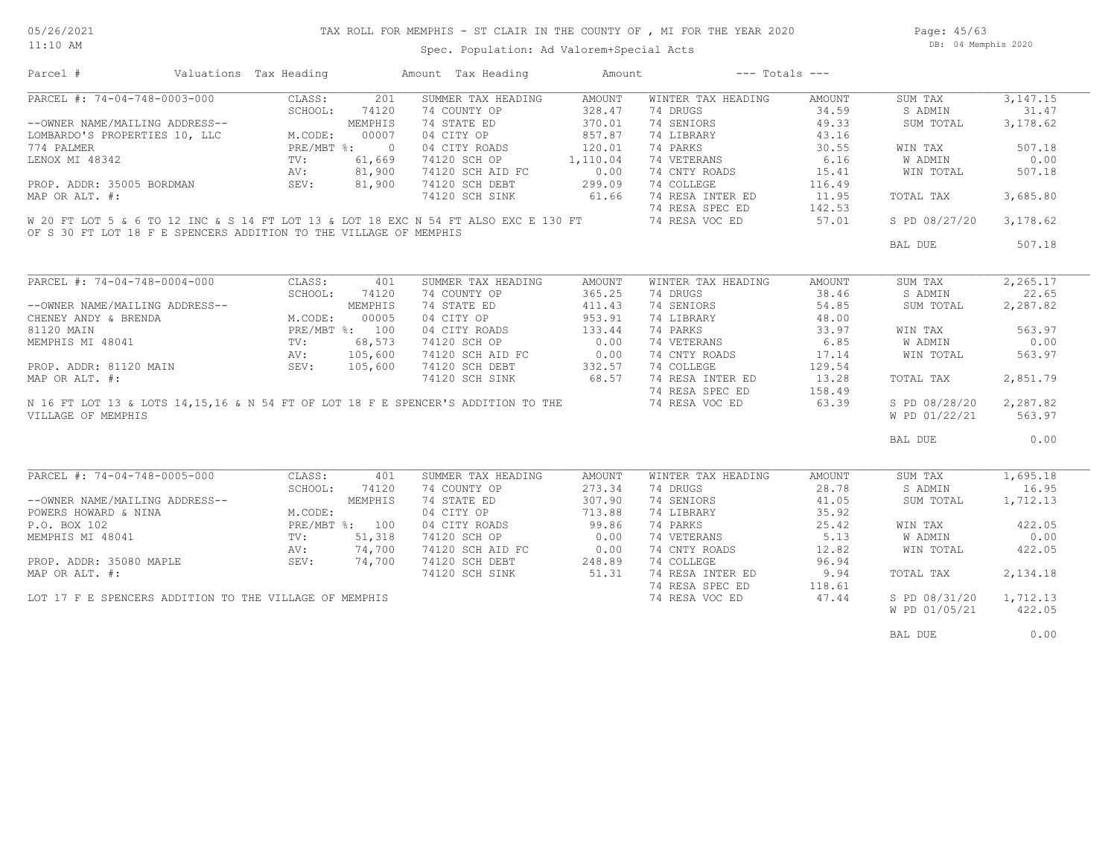Spec. Population: Ad Valorem+Special Acts

Page: 45/63 DB: 04 Memphis 2020

| Parcel #                                                                                                                                                             | Valuations Tax Heading    |         |       | Amount Tax Heading                                                                  | Amount                  |                                                                                                                                                           | $---$ Totals $---$ |                        |           |
|----------------------------------------------------------------------------------------------------------------------------------------------------------------------|---------------------------|---------|-------|-------------------------------------------------------------------------------------|-------------------------|-----------------------------------------------------------------------------------------------------------------------------------------------------------|--------------------|------------------------|-----------|
| PARCEL #: 74-04-748-0003-000                                                                                                                                         |                           | CLASS:  | 201   | SUMMER TAX HEADING                                                                  | AMOUNT                  | WINTER TAX HEADING                                                                                                                                        | AMOUNT             | SUM TAX                | 3,147.15  |
|                                                                                                                                                                      |                           |         |       | 74 COUNTY OP                                                                        | 328.47                  | 74 DRUGS                                                                                                                                                  | 34.59              | S ADMIN                | 31.47     |
| ARCEL T.<br>--OWNER NAME/MAILING ADDRESS--<br>LOMBARDO'S PROPERTIES 10, LLC M.CODE: 00007<br>774 PALMER LENOX MI 48342<br>LENOX MI 48342<br>AV: 81,900<br>AV: 81,900 |                           |         |       | 74 STATE ED                                                                         | 370.01                  | 74 SENIORS                                                                                                                                                | 49.33              | SUM TOTAL              | 3,178.62  |
|                                                                                                                                                                      |                           |         |       | 04 CITY OP                                                                          | 857.87                  | 74 LIBRARY                                                                                                                                                | 43.16              |                        |           |
|                                                                                                                                                                      |                           |         |       | 04 CITY ROADS                                                                       | 120.01                  | 74 PARKS                                                                                                                                                  | 30.55              | WIN TAX                | 507.18    |
|                                                                                                                                                                      |                           |         |       | 74120 SCH OP                                                                        |                         | 74 VETERANS                                                                                                                                               | 6.16               | W ADMIN                | 0.00      |
|                                                                                                                                                                      |                           |         |       | 74120 SCH AID FC                                                                    | $1,110.04$<br>FC $0.00$ | 74 CNTY ROADS                                                                                                                                             | 15.41              | WIN TOTAL              | 507.18    |
| PROP. ADDR: 35005 BORDMAN SEV: 81,900                                                                                                                                |                           |         |       | 74120 SCH DEBT 299.09                                                               |                         | 74 COLLEGE                                                                                                                                                | 116.49             |                        |           |
| MAP OR ALT. #:                                                                                                                                                       |                           |         |       | 74120 SCH SINK 61.66                                                                |                         |                                                                                                                                                           | 11.95              | TOTAL TAX              | 3,685.80  |
|                                                                                                                                                                      |                           |         |       |                                                                                     |                         |                                                                                                                                                           | 142.53             |                        |           |
|                                                                                                                                                                      |                           |         |       | W 20 FT LOT 5 & 6 TO 12 INC & S 14 FT LOT 13 & LOT 18 EXC N 54 FT ALSO EXC E 130 FT |                         | 74 RESA INTER ED<br>74 RESA SPEC ED<br>74 RESA VOC ED                                                                                                     | 57.01              | S PD 08/27/20 3,178.62 |           |
| OF S 30 FT LOT 18 F E SPENCERS ADDITION TO THE VILLAGE OF MEMPHIS                                                                                                    |                           |         |       |                                                                                     |                         |                                                                                                                                                           |                    |                        |           |
|                                                                                                                                                                      |                           |         |       |                                                                                     |                         |                                                                                                                                                           |                    | BAL DUE                | 507.18    |
|                                                                                                                                                                      |                           |         |       |                                                                                     |                         |                                                                                                                                                           |                    |                        |           |
| PARCEL #: 74-04-748-0004-000                                                                                                                                         |                           | CLASS:  | 401   | SUMMER TAX HEADING                                                                  | AMOUNT                  | WINTER TAX HEADING                                                                                                                                        | AMOUNT             | SUM TAX                | 2, 265.17 |
|                                                                                                                                                                      |                           | SCHOOL: | 74120 | 74 COUNTY OP                                                                        | 365.25                  | 74 DRUGS                                                                                                                                                  | 38.46              | S ADMIN                | 22.65     |
|                                                                                                                                                                      |                           |         |       | 74 STATE ED                                                                         | 411.43                  | 74 SENIORS                                                                                                                                                | 54.85              | SUM TOTAL              | 2,287.82  |
|                                                                                                                                                                      |                           |         |       | 04 CITY OP                                                                          | 953.91                  | 74 LIBRARY                                                                                                                                                | 48.00              |                        |           |
|                                                                                                                                                                      |                           |         |       | 04 CITY ROADS                                                                       | 133.44                  | 74 PARKS                                                                                                                                                  | 33.97              | WIN TAX                | 563.97    |
|                                                                                                                                                                      |                           |         |       | 74120 SCH OP 0.00                                                                   |                         | 74 VETERANS                                                                                                                                               | 6.85               | W ADMIN                | 0.00      |
|                                                                                                                                                                      |                           |         |       |                                                                                     |                         |                                                                                                                                                           | 17.14              | WIN TOTAL              | 563.97    |
|                                                                                                                                                                      |                           |         |       | 74120 SCH AID FC 0.00<br>74120 SCH DEBT 332.57<br>74120 SCH SINK 68.57              |                         | 74 CNTY ROADS                                                                                                                                             | 129.54             |                        |           |
|                                                                                                                                                                      |                           |         |       |                                                                                     |                         | 74 COLLEGE                                                                                                                                                |                    |                        |           |
|                                                                                                                                                                      |                           |         |       |                                                                                     |                         | 74 RESA INTER ED                                                                                                                                          | 13.28              | TOTAL TAX              | 2,851.79  |
| PROP. ADDR: 81120 MAIN<br>MAP OR ALT. #:<br>N 16 FF =                                                                                                                |                           |         |       |                                                                                     |                         | 74 RESA SPEC ED<br>158.49 74 RESA SPEC ED 158.49<br>N 16 FT LOT 13 & LOTS 14,15,16 & N 54 FT OF LOT 18 F E SPENCER'S ADDITION TO THE 74 RESA VOC ED 63.39 | 158.49             |                        |           |
|                                                                                                                                                                      |                           |         |       |                                                                                     |                         |                                                                                                                                                           |                    | S PD 08/28/20          | 2,287.82  |
| VILLAGE OF MEMPHIS                                                                                                                                                   |                           |         |       |                                                                                     |                         |                                                                                                                                                           |                    | W PD 01/22/21          | 563.97    |
|                                                                                                                                                                      |                           |         |       |                                                                                     |                         |                                                                                                                                                           |                    | BAL DUE                | 0.00      |
|                                                                                                                                                                      |                           |         |       |                                                                                     |                         |                                                                                                                                                           |                    |                        |           |
| PARCEL #: 74-04-748-0005-000                                                                                                                                         |                           | CLASS:  | 401   | SUMMER TAX HEADING                                                                  | AMOUNT                  | WINTER TAX HEADING                                                                                                                                        | AMOUNT             | SUM TAX                | 1,695.18  |
|                                                                                                                                                                      |                           | SCHOOL: | 74120 | 74 COUNTY OP                                                                        | 273.34                  | 74 DRUGS                                                                                                                                                  | 28.78              | S ADMIN                | 16.95     |
| --OWNER NAME/MAILING ADDRESS--<br>POWERS HOWARD & NINA<br>P.O. BOX 102<br>MEMPHIS MI 48041<br>MEMPHIS MI 48041<br>TV: 51,318                                         |                           |         |       | 74 STATE ED                                                                         | 307.90                  | 74 SENIORS                                                                                                                                                | 41.05              | SUM TOTAL              | 1,712.13  |
|                                                                                                                                                                      |                           |         |       | 04 CITY OP                                                                          | 713.88                  | 74 LIBRARY                                                                                                                                                | 35.92              |                        |           |
|                                                                                                                                                                      |                           |         |       | 04 CITY ROADS                                                                       | 99.86                   | 74 PARKS                                                                                                                                                  | 25.42              | WIN TAX                | 422.05    |
|                                                                                                                                                                      |                           |         |       | 74120 SCH OP 0.00                                                                   |                         | 74 VETERANS                                                                                                                                               | 5.13               | W ADMIN                | 0.00      |
|                                                                                                                                                                      | AV: 74,700<br>SEV: 74,700 |         |       | 74120 SCH AID FC 0.00<br>74120 SCH DEBT 248.89<br>74120 SCH SINK 51.31              |                         | 74 CNTY ROADS                                                                                                                                             | 12.82              | WIN TOTAL              | 422.05    |
| PROP. ADDR: 35080 MAPLE                                                                                                                                              |                           |         |       |                                                                                     |                         | 74 COLLEGE                                                                                                                                                | 96.94              |                        |           |
| MAP OR ALT. #:                                                                                                                                                       |                           |         |       |                                                                                     |                         | 74 RESA INTER ED                                                                                                                                          | 9.94               | TOTAL TAX              | 2,134.18  |
|                                                                                                                                                                      |                           |         |       |                                                                                     |                         | 74 RESA SPEC ED                                                                                                                                           | 118.61             |                        |           |
| LOT 17 F E SPENCERS ADDITION TO THE VILLAGE OF MEMPHIS                                                                                                               |                           |         |       |                                                                                     |                         | 74 RESA VOC ED                                                                                                                                            | 47.44              | S PD 08/31/20          | 1,712.13  |

W PD 01/05/21 422.05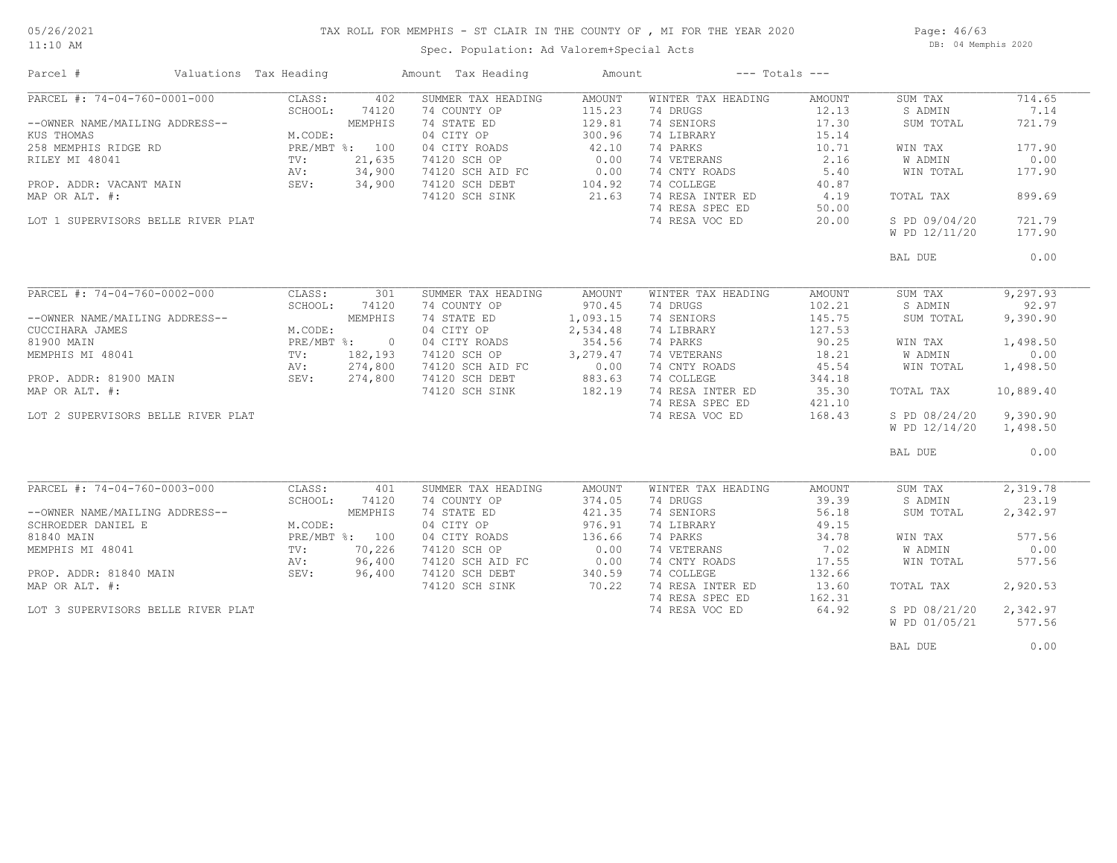## TAX ROLL FOR MEMPHIS - ST CLAIR IN THE COUNTY OF , MI FOR THE YEAR 2020

11:10 AM

### Spec. Population: Ad Valorem+Special Acts

Page: 46/63 DB: 04 Memphis 2020

| Parcel #                                           | Valuations Tax Heading |                                         |                | Amount Tax Heading | Amount             |                    | $---$ Totals $---$ |               |           |
|----------------------------------------------------|------------------------|-----------------------------------------|----------------|--------------------|--------------------|--------------------|--------------------|---------------|-----------|
| PARCEL #: 74-04-760-0001-000                       |                        | CLASS:                                  | 402            | SUMMER TAX HEADING | AMOUNT             | WINTER TAX HEADING | AMOUNT             | SUM TAX       | 714.65    |
|                                                    |                        | SCHOOL:                                 | 74120          | 74 COUNTY OP       | 115.23             | 74 DRUGS           | 12.13              | S ADMIN       | 7.14      |
| --OWNER NAME/MAILING ADDRESS--                     |                        |                                         | MEMPHIS        | 74 STATE ED        | 129.81             | 74 SENIORS         | 17.30              | SUM TOTAL     | 721.79    |
| KUS THOMAS                                         |                        | M.CODE:                                 |                | 04 CITY OP         | 300.96             | 74 LIBRARY         | 15.14              |               |           |
| 258 MEMPHIS RIDGE RD                               |                        |                                         | PRE/MBT %: 100 | 04 CITY ROADS      | 42.10              | 74 PARKS           | 10.71              | WIN TAX       | 177.90    |
| RILEY MI 48041                                     |                        | $\texttt{TV}$ :                         | 21,635         | 74120 SCH OP       | 0.00               | 74 VETERANS        | 2.16               | W ADMIN       | 0.00      |
|                                                    |                        |                                         |                | 74120 SCH AID FC   |                    | 74 CNTY ROADS      | 5.40               | WIN TOTAL     | 177.90    |
| PROP. ADDR: VACANT MAIN                            |                        | TV: 21,635<br>AV: 34,900<br>SEV: 34,900 |                | 74120 SCH DEBT     | $C$ 0.00<br>104.92 | 74 COLLEGE         | 40.87              |               |           |
| MAP OR ALT. #:                                     |                        |                                         |                | 74120 SCH SINK     | 21.63              | 74 RESA INTER ED   | 4.19               | TOTAL TAX     | 899.69    |
|                                                    |                        |                                         |                |                    |                    | 74 RESA SPEC ED    | 50.00              |               |           |
| LOT 1 SUPERVISORS BELLE RIVER PLAT                 |                        |                                         |                |                    |                    | 74 RESA VOC ED     | 20.00              | S PD 09/04/20 | 721.79    |
|                                                    |                        |                                         |                |                    |                    |                    |                    | W PD 12/11/20 | 177.90    |
|                                                    |                        |                                         |                |                    |                    |                    |                    |               |           |
|                                                    |                        |                                         |                |                    |                    |                    |                    | BAL DUE       | 0.00      |
|                                                    |                        |                                         |                |                    |                    |                    |                    |               |           |
|                                                    |                        |                                         |                |                    |                    |                    |                    |               |           |
| PARCEL #: 74-04-760-0002-000                       |                        | CLASS:                                  | 301            | SUMMER TAX HEADING | AMOUNT             | WINTER TAX HEADING | AMOUNT             | SUM TAX       | 9, 297.93 |
|                                                    |                        | SCHOOL:                                 | 74120          | 74 COUNTY OP       | 970.45             | 74 DRUGS           | 102.21             | S ADMIN       | 92.97     |
| --OWNER NAME/MAILING ADDRESS--                     |                        |                                         | MEMPHIS        | 74 STATE ED        | 1,093.15           | 74 SENIORS         | 145.75             | SUM TOTAL     | 9,390.90  |
| CUCCIHARA JAMES                                    |                        | M.CODE:                                 |                | 04 CITY OP         | 2,534.48           | 74 LIBRARY         | 127.53             |               |           |
| 81900 MAIN                                         |                        |                                         | PRE/MBT %: 0   | 04 CITY ROADS      | 354.56             | 74 PARKS           | 90.25              | WIN TAX       | 1,498.50  |
| MEMPHIS MI 48041                                   |                        | $\texttt{TV}$ :                         | 182,193        | 74120 SCH OP       | 3,279.47           | 74 VETERANS        | 18.21              | W ADMIN       | 0.00      |
|                                                    |                        |                                         | 274,800        | 74120 SCH AID FC   | $0.00$<br>883.63   | 74 CNTY ROADS      | 45.54              | WIN TOTAL     | 1,498.50  |
| RV: 274,800<br>PROP. ADDR: 81900 MAIN SEV: 274,800 |                        |                                         |                | 74120 SCH DEBT     | 883.63             | 74 COLLEGE         | 344.18             |               |           |
| MAP OR ALT. #:                                     |                        |                                         |                | 74120 SCH SINK     | 182.19             | 74 RESA INTER ED   | 35.30              | TOTAL TAX     | 10,889.40 |
|                                                    |                        |                                         |                |                    |                    | 74 RESA SPEC ED    | 421.10             |               |           |
| LOT 2 SUPERVISORS BELLE RIVER PLAT                 |                        |                                         |                |                    |                    | 74 RESA VOC ED     | 168.43             | S PD 08/24/20 | 9,390.90  |
|                                                    |                        |                                         |                |                    |                    |                    |                    | W PD 12/14/20 | 1,498.50  |
|                                                    |                        |                                         |                |                    |                    |                    |                    |               |           |
|                                                    |                        |                                         |                |                    |                    |                    |                    | BAL DUE       | 0.00      |
|                                                    |                        |                                         |                |                    |                    |                    |                    |               |           |
|                                                    |                        |                                         |                |                    |                    |                    |                    |               |           |
| PARCEL #: 74-04-760-0003-000                       |                        | CLASS:                                  | 401            | SUMMER TAX HEADING | AMOUNT             | WINTER TAX HEADING | AMOUNT             | SUM TAX       | 2,319.78  |
|                                                    |                        | SCHOOL:                                 | 74120          | 74 COUNTY OP       | 374.05             | 74 DRUGS           | 39.39              | S ADMIN       | 23.19     |
| --OWNER NAME/MAILING ADDRESS--                     |                        |                                         | MEMPHIS        | 74 STATE ED        | 421.35             | 74 SENIORS         | 56.18              | SUM TOTAL     | 2,342.97  |
| SCHROEDER DANIEL E                                 |                        | M.CODE:                                 |                | 04 CITY OP         | 976.91             | 74 LIBRARY         | 49.15              |               |           |
| 81840 MAIN                                         |                        |                                         | PRE/MBT %: 100 | 04 CITY ROADS      | 136.66             | 74 PARKS           | 34.78              | WIN TAX       | 577.56    |
| MEMPHIS MI 48041                                   |                        | $\texttt{TV}$ :                         | 70,226         | 74120 SCH OP       | 0.00               | 74 VETERANS        | 7.02               | W ADMIN       | 0.00      |
|                                                    |                        | AV:                                     | 96,400         | 74120 SCH AID FC   | 0.00               | 74 CNTY ROADS      | 17.55              | WIN TOTAL     | 577.56    |
| PROP. ADDR: 81840 MAIN                             |                        | SEV:                                    | 96,400         | 74120 SCH DEBT     | 340.59             | 74 COLLEGE         | 132.66             |               |           |
| MAP OR ALT. #:                                     |                        |                                         |                | 74120 SCH SINK     | 70.22              | 74 RESA INTER ED   | 13.60              | TOTAL TAX     | 2,920.53  |
|                                                    |                        |                                         |                |                    |                    | 74 RESA SPEC ED    | 162.31             |               |           |
| LOT 3 SUPERVISORS BELLE RIVER PLAT                 |                        |                                         |                |                    |                    | 74 RESA VOC ED     | 64.92              | S PD 08/21/20 | 2,342.97  |
|                                                    |                        |                                         |                |                    |                    |                    |                    | W PD 01/05/21 | 577.56    |
|                                                    |                        |                                         |                |                    |                    |                    |                    |               |           |
|                                                    |                        |                                         |                |                    |                    |                    |                    | BAL DUE       | 0.00      |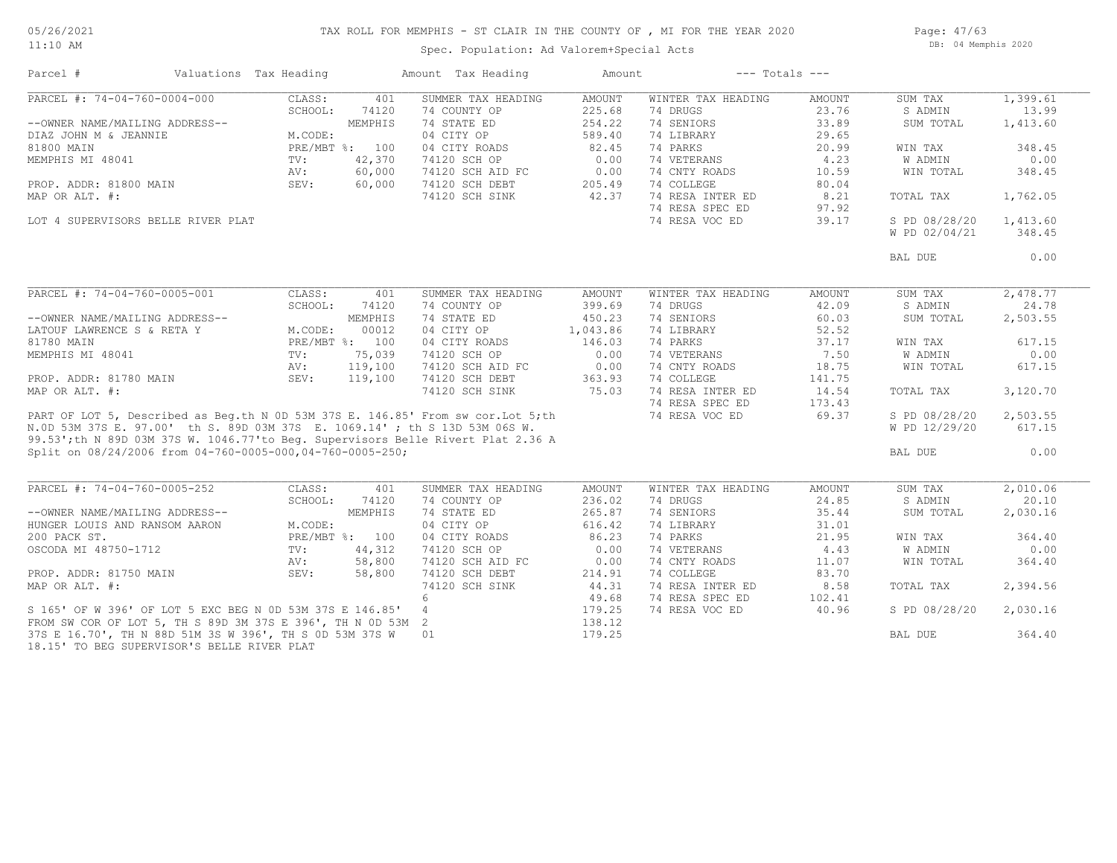#### TAX ROLL FOR MEMPHIS - ST CLAIR IN THE COUNTY OF , MI FOR THE YEAR 2020

11:10 AM

### Spec. Population: Ad Valorem+Special Acts

Page: 47/63 DB: 04 Memphis 2020

| Parcel #                                                                                                                                                                                                                            | Valuations Tax Heading |         | Amount Tax Heading | Amount   |                    | $---$ Totals $---$ |                |          |
|-------------------------------------------------------------------------------------------------------------------------------------------------------------------------------------------------------------------------------------|------------------------|---------|--------------------|----------|--------------------|--------------------|----------------|----------|
| PARCEL #: 74-04-760-0004-000                                                                                                                                                                                                        | CLASS:                 | 401     | SUMMER TAX HEADING | AMOUNT   | WINTER TAX HEADING | AMOUNT             | SUM TAX        | 1,399.61 |
|                                                                                                                                                                                                                                     | SCHOOL:                | 74120   | 74 COUNTY OP       | 225.68   | 74 DRUGS           | 23.76              | S ADMIN        | 13.99    |
| --OWNER NAME/MAILING ADDRESS--                                                                                                                                                                                                      |                        | MEMPHIS | 74 STATE ED        | 254.22   | 74 SENIORS         | 33.89              | SUM TOTAL      | 1,413.60 |
| DIAZ JOHN M & JEANNIE                                                                                                                                                                                                               | M.CODE:                |         | 04 CITY OP         | 589.40   | 74 LIBRARY         | 29.65              |                |          |
| 81800 MAIN                                                                                                                                                                                                                          | PRE/MBT %: 100         |         | 04 CITY ROADS      | 82.45    | 74 PARKS           | 20.99              | WIN TAX        | 348.45   |
| MEMPHIS MI 48041                                                                                                                                                                                                                    | TV:                    | 42,370  | 74120 SCH OP       | 0.00     | 74 VETERANS        | 4.23               | <b>W ADMIN</b> | 0.00     |
|                                                                                                                                                                                                                                     | AV:                    | 60,000  | 74120 SCH AID FC   | 0.00     | 74 CNTY ROADS      | 10.59              | WIN TOTAL      | 348.45   |
| PROP. ADDR: 81800 MAIN                                                                                                                                                                                                              | SEV:                   | 60,000  | 74120 SCH DEBT     | 205.49   | 74 COLLEGE         | 80.04              |                |          |
| MAP OR ALT. #:                                                                                                                                                                                                                      |                        |         | 74120 SCH SINK     | 42.37    | 74 RESA INTER ED   | 8.21               | TOTAL TAX      | 1,762.05 |
|                                                                                                                                                                                                                                     |                        |         |                    |          | 74 RESA SPEC ED    | 97.92              |                |          |
| LOT 4 SUPERVISORS BELLE RIVER PLAT                                                                                                                                                                                                  |                        |         |                    |          | 74 RESA VOC ED     | 39.17              | S PD 08/28/20  | 1,413.60 |
|                                                                                                                                                                                                                                     |                        |         |                    |          |                    |                    | W PD 02/04/21  | 348.45   |
|                                                                                                                                                                                                                                     |                        |         |                    |          |                    |                    | BAL DUE        | 0.00     |
|                                                                                                                                                                                                                                     |                        |         |                    |          |                    |                    |                |          |
| PARCEL #: 74-04-760-0005-001                                                                                                                                                                                                        | CLASS:                 | 401     | SUMMER TAX HEADING | AMOUNT   | WINTER TAX HEADING | AMOUNT             | SUM TAX        | 2,478.77 |
|                                                                                                                                                                                                                                     | SCHOOL:                | 74120   | 74 COUNTY OP       | 399.69   | 74 DRUGS           | 42.09              | S ADMIN        | 24.78    |
| --OWNER NAME/MAILING ADDRESS--                                                                                                                                                                                                      |                        | MEMPHIS | 74 STATE ED        | 450.23   | 74 SENIORS         | 60.03              | SUM TOTAL      | 2,503.55 |
| LATOUF LAWRENCE S & RETA Y                                                                                                                                                                                                          | M.CODE:                | 00012   | 04 CITY OP         | 1,043.86 | 74 LIBRARY         | 52.52              |                |          |
| 81780 MAIN                                                                                                                                                                                                                          | PRE/MBT %: 100         |         | 04 CITY ROADS      | 146.03   | 74 PARKS           | 37.17              | WIN TAX        | 617.15   |
| MEMPHIS MI 48041                                                                                                                                                                                                                    | $\text{TV}$ :          | 75,039  | 74120 SCH OP       | 0.00     | 74 VETERANS        | 7.50               | W ADMIN        | 0.00     |
|                                                                                                                                                                                                                                     | AV:                    | 119,100 | 74120 SCH AID FC   | 0.00     | 74 CNTY ROADS      | 18.75              | WIN TOTAL      | 617.15   |
| PROP. ADDR: 81780 MAIN                                                                                                                                                                                                              | SEV:                   | 119,100 | 74120 SCH DEBT     | 363.93   | 74 COLLEGE         | 141.75             |                |          |
| MAP OR ALT. #:                                                                                                                                                                                                                      |                        |         | 74120 SCH SINK     | 75.03    | 74 RESA INTER ED   | 14.54              | TOTAL TAX      | 3,120.70 |
|                                                                                                                                                                                                                                     |                        |         |                    |          | 74 RESA SPEC ED    | 173.43             |                |          |
|                                                                                                                                                                                                                                     |                        |         |                    |          | 74 RESA VOC ED     | 69.37              | S PD 08/28/20  | 2,503.55 |
| PART OF LOT 5, Described as Beg.th N 0D 53M 37S E. 146.85' From sw cor.Lot 5;th<br>N.OD 53M 37S E. 97.00' th S. 89D 03M 37S E. 1069.14'; th S 13D 53M 06S W.<br>99.53';th N 89D 03M 37S W. 1046.77'to Beg. Supervisors Belle Rivert |                        |         |                    |          |                    |                    | W PD 12/29/20  | 617.15   |
|                                                                                                                                                                                                                                     |                        |         |                    |          |                    |                    |                |          |
| Split on 08/24/2006 from 04-760-0005-000,04-760-0005-250;                                                                                                                                                                           |                        |         |                    |          |                    |                    | BAL DUE        | 0.00     |
|                                                                                                                                                                                                                                     |                        |         |                    |          |                    |                    |                |          |
| PARCEL #: 74-04-760-0005-252                                                                                                                                                                                                        | CLASS:                 | 401     | SUMMER TAX HEADING | AMOUNT   | WINTER TAX HEADING | AMOUNT             | SUM TAX        | 2,010.06 |
|                                                                                                                                                                                                                                     | SCHOOL:                | 74120   | 74 COUNTY OP       | 236.02   | 74 DRUGS           | 24.85              | S ADMIN        | 20.10    |
| --OWNER NAME/MAILING ADDRESS--                                                                                                                                                                                                      |                        | MEMPHIS | 74 STATE ED        | 265.87   | 74 SENIORS         | 35.44              | SUM TOTAL      | 2,030.16 |
| HUNGER LOUIS AND RANSOM AARON                                                                                                                                                                                                       | M.CODE:                |         | 04 CITY OP         | 616.42   | 74 LIBRARY         | 31.01              |                |          |
| 200 PACK ST.                                                                                                                                                                                                                        | PRE/MBT %: 100         |         | 04 CITY ROADS      | 86.23    | 74 PARKS           | 21.95              | WIN TAX        | 364.40   |
| OSCODA MI 48750-1712                                                                                                                                                                                                                | TV:                    | 44,312  | 74120 SCH OP       | 0.00     | 74 VETERANS        | 4.43               | <b>W ADMIN</b> | 0.00     |
|                                                                                                                                                                                                                                     | AV:                    | 58,800  | 74120 SCH AID FC   | 0.00     | 74 CNTY ROADS      | 11.07              | WIN TOTAL      | 364.40   |
| PROP. ADDR: 81750 MAIN                                                                                                                                                                                                              | SEV:                   | 58,800  | 74120 SCH DEBT     | 214.91   | 74 COLLEGE         | 83.70              |                |          |
| MAP OR ALT. #:                                                                                                                                                                                                                      |                        |         | 74120 SCH SINK     | 44.31    | 74 RESA INTER ED   | 8.58               | TOTAL TAX      | 2,394.56 |
|                                                                                                                                                                                                                                     |                        |         | 6                  | 49.68    | 74 RESA SPEC ED    | 102.41             |                |          |
| S 165' OF W 396' OF LOT 5 EXC BEG N 0D 53M 37S E 146.85' 4                                                                                                                                                                          |                        |         |                    | 179.25   | 74 RESA VOC ED     | 40.96              | S PD 08/28/20  | 2,030.16 |
| FROM SW COR OF LOT 5, TH S 89D 3M 37S E 396', TH N 0D 53M 2                                                                                                                                                                         |                        |         |                    | 138.12   |                    |                    |                |          |
| 37S E 16.70', TH N 88D 51M 3S W 396', TH S OD 53M 37S W                                                                                                                                                                             |                        |         | 01                 | 179.25   |                    |                    | BAL DUE        | 364.40   |
|                                                                                                                                                                                                                                     |                        |         |                    |          |                    |                    |                |          |

18.15' TO BEG SUPERVISOR'S BELLE RIVER PLAT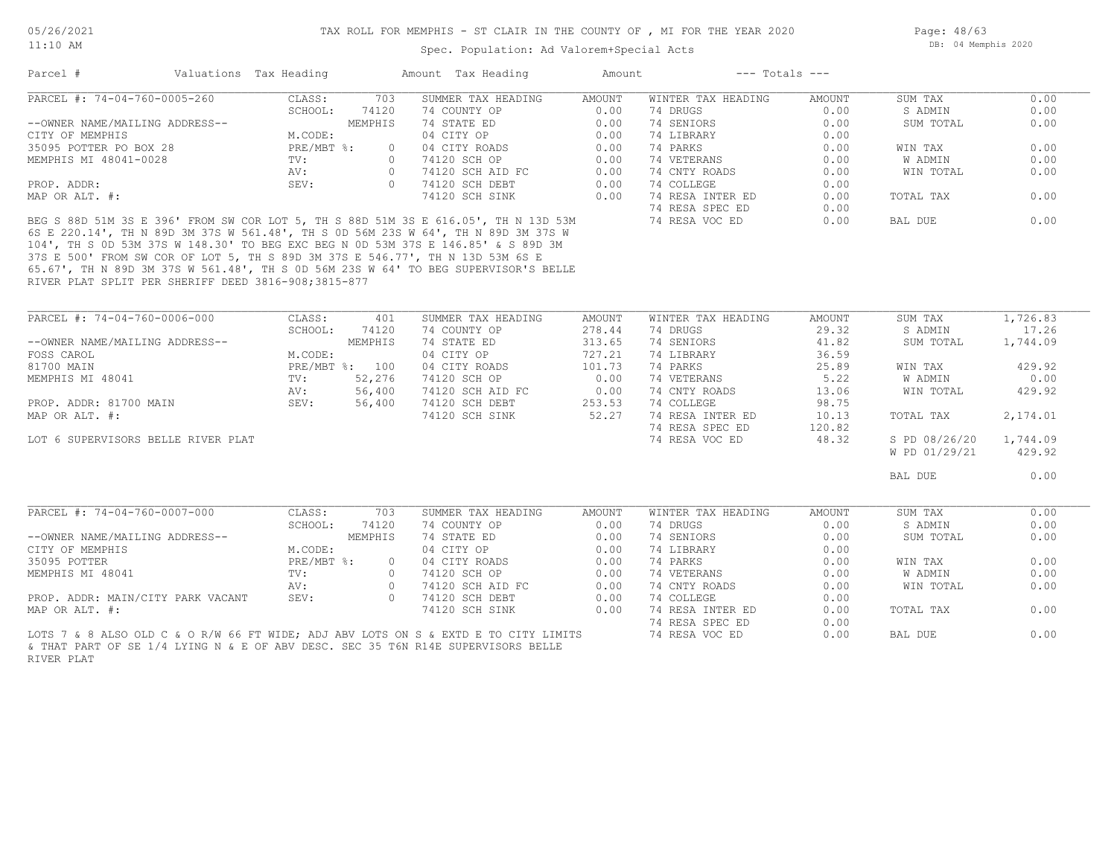11:10 AM

Spec. Population: Ad Valorem+Special Acts

Page: 48/63 DB: 04 Memphis 2020

| Parcel #                       | Valuations Tax Heading    |         | Amount Tax Heading | Amount | $---$ Totals $---$ |        |           |      |
|--------------------------------|---------------------------|---------|--------------------|--------|--------------------|--------|-----------|------|
| PARCEL #: 74-04-760-0005-260   | CLASS:                    | 703     | SUMMER TAX HEADING | AMOUNT | WINTER TAX HEADING | AMOUNT | SUM TAX   | 0.00 |
|                                | SCHOOL:                   | 74120   | 74 COUNTY OP       | 0.00   | 74 DRUGS           | 0.00   | S ADMIN   | 0.00 |
| --OWNER NAME/MAILING ADDRESS-- |                           | MEMPHIS | 74 STATE ED        | 0.00   | 74 SENIORS         | 0.00   | SUM TOTAL | 0.00 |
| CITY OF MEMPHIS                | M.CODE:                   |         | 04 CITY OP         | 0.00   | 74 LIBRARY         | 0.00   |           |      |
| 35095 POTTER PO BOX 28         | $PRE/MBT$ $\frac{1}{6}$ : |         | 04 CITY ROADS      | 0.00   | 74 PARKS           | 0.00   | WIN TAX   | 0.00 |
| MEMPHIS MI 48041-0028          | TV:                       |         | 74120 SCH OP       | 0.00   | 74 VETERANS        | 0.00   | W ADMIN   | 0.00 |
|                                | AV:                       |         | 74120 SCH AID FC   | 0.00   | 74 CNTY ROADS      | 0.00   | WIN TOTAL | 0.00 |
| PROP. ADDR:                    | SEV:                      |         | 74120 SCH DEBT     | 0.00   | 74 COLLEGE         | 0.00   |           |      |
| MAP OR ALT. #:                 |                           |         | 74120 SCH SINK     | 0.00   | 74 RESA INTER ED   | 0.00   | TOTAL TAX | 0.00 |
|                                |                           |         |                    |        | 74 RESA SPEC ED    | 0.00   |           |      |

RIVER PLAT SPLIT PER SHERIFF DEED 3816-908;3815-877 65.67', TH N 89D 3M 37S W 561.48', TH S 0D 56M 23S W 64' TO BEG SUPERVISOR'S BELLE 37S E 500' FROM SW COR OF LOT 5, TH S 89D 3M 37S E 546.77', TH N 13D 53M 6S E 104', TH S 0D 53M 37S W 148.30' TO BEG EXC BEG N 0D 53M 37S E 146.85' & S 89D 3M 6S E 220.14', TH N 89D 3M 37S W 561.48', TH S 0D 56M 23S W 64', TH N 89D 3M 37S W BEG S 88D 51M 3S E 396' FROM SW COR LOT 5, TH S 88D 51M 3S E 616.05', TH N 13D 53M 74 RESA VOC ED 0.00 BAL DUE 0.00

| PARCEL #: 74-04-760-0006-000                                                                        | CLASS:         | 401            | SUMMER TAX HEADING | <b>AMOUNT</b> | WINTER TAX HEADING | <b>AMOUNT</b> | SUM TAX       | 1,726.83 |
|-----------------------------------------------------------------------------------------------------|----------------|----------------|--------------------|---------------|--------------------|---------------|---------------|----------|
|                                                                                                     | SCHOOL:        | 74120          | 74 COUNTY OP       | 278.44        | 74 DRUGS           | 29.32         | S ADMIN       | 17.26    |
| --OWNER NAME/MAILING ADDRESS--                                                                      |                | MEMPHIS        | 74 STATE ED        | 313.65        | 74 SENIORS         | 41.82         | SUM TOTAL     | 1,744.09 |
| FOSS CAROL                                                                                          | M.CODE:        |                | 04 CITY OP         | 727.21        | 74 LIBRARY         | 36.59         |               |          |
| 81700 MAIN                                                                                          | PRE/MBT %: 100 |                | 04 CITY ROADS      | 101.73        | 74 PARKS           | 25.89         | WIN TAX       | 429.92   |
| MEMPHIS MI 48041                                                                                    | $\text{TV}$ :  | 52,276         | 74120 SCH OP       | 0.00          | 74 VETERANS        | 5.22          | W ADMIN       | 0.00     |
|                                                                                                     | AV:            | 56,400         | 74120 SCH AID FC   | 0.00          | 74 CNTY ROADS      | 13.06         | WIN TOTAL     | 429.92   |
| SEV:<br>PROP. ADDR: 81700 MAIN                                                                      |                | 56,400         | 74120 SCH DEBT     | 253.53        | 74 COLLEGE         | 98.75         |               |          |
| MAP OR ALT. #:                                                                                      |                |                | 74120 SCH SINK     | 52.27         | 74 RESA INTER ED   | 10.13         | TOTAL TAX     | 2,174.01 |
|                                                                                                     |                |                |                    |               | 74 RESA SPEC ED    | 120.82        |               |          |
| LOT 6 SUPERVISORS BELLE RIVER PLAT                                                                  |                |                |                    |               | 74 RESA VOC ED     | 48.32         | S PD 08/26/20 | 1,744.09 |
|                                                                                                     |                |                |                    |               |                    |               | W PD 01/29/21 | 429.92   |
|                                                                                                     |                |                |                    |               |                    |               | BAL DUE       | 0.00     |
| PARCEL #: 74-04-760-0007-000                                                                        | CLASS:         | 703            | SUMMER TAX HEADING | AMOUNT        | WINTER TAX HEADING | AMOUNT        | SUM TAX       | 0.00     |
|                                                                                                     | SCHOOL:        | 74120          | 74 COUNTY OP       | 0.00          | 74 DRUGS           | 0.00          | S ADMIN       | 0.00     |
| --OWNER NAME/MAILING ADDRESS--                                                                      |                | MEMPHIS        | 74 STATE ED        | 0.00          | 74 SENIORS         | 0.00          | SUM TOTAL     | 0.00     |
| CITY OF MEMPHIS                                                                                     | M.CODE:        |                | 04 CITY OP         | 0.00          | 74 LIBRARY         | 0.00          |               |          |
| 35095 POTTER                                                                                        | $PRE/MBT$ %:   | $\overline{0}$ | 04 CITY ROADS      | 0.00          | 74 PARKS           | 0.00          | WIN TAX       | 0.00     |
| MEMPHIS MI 48041                                                                                    | TV:            | $\overline{0}$ | 74120 SCH OP       | 0.00          | 74 VETERANS        | 0.00          | W ADMIN       | 0.00     |
|                                                                                                     | AV:            | $\overline{0}$ | 74120 SCH AID FC   | 0.00          | 74 CNTY ROADS      | 0.00          | WIN TOTAL     | 0.00     |
| PROP. ADDR: MAIN/CITY PARK VACANT                                                                   | SEV:           | $\overline{0}$ | 74120 SCH DEBT     | 0.00          | 74 COLLEGE         | 0.00          |               |          |
| MAP OR ALT. #:                                                                                      |                |                | 74120 SCH SINK     | 0.00          | 74 RESA INTER ED   | 0.00          | TOTAL TAX     | 0.00     |
|                                                                                                     |                |                |                    |               | 74 RESA SPEC ED    | 0.00          |               |          |
| LOTS 7 & 8 ALSO OLD C & O R/W 66 FT WIDE; ADJ ABV LOTS ON S & EXTD E TO CITY LIMITS 7 A RESA VOC ED |                |                |                    |               |                    | 0.00          | BAL DUE       | 0.00     |
|                                                                                                     |                |                |                    |               |                    |               |               |          |

\_\_\_\_\_\_\_\_\_\_\_\_\_\_\_\_\_\_\_\_\_\_\_\_\_\_\_\_\_\_\_\_\_\_\_\_\_\_\_\_\_\_\_\_\_\_\_\_\_\_\_\_\_\_\_\_\_\_\_\_\_\_\_\_\_\_\_\_\_\_\_\_\_\_\_\_\_\_\_\_\_\_\_\_\_\_\_\_\_\_\_\_\_\_\_\_\_\_\_\_\_\_\_\_\_\_\_\_\_\_\_\_\_\_\_\_\_\_\_\_\_\_\_\_\_\_\_\_\_\_\_\_\_\_\_\_\_\_\_\_\_\_\_\_\_\_\_\_\_\_\_\_\_\_\_\_\_\_\_\_\_\_\_\_\_\_\_\_\_\_\_\_\_\_\_

RIVER PLAT & THAT PART OF SE 1/4 LYING N & E OF ABV DESC. SEC 35 T6N R14E SUPERVISORS BELLE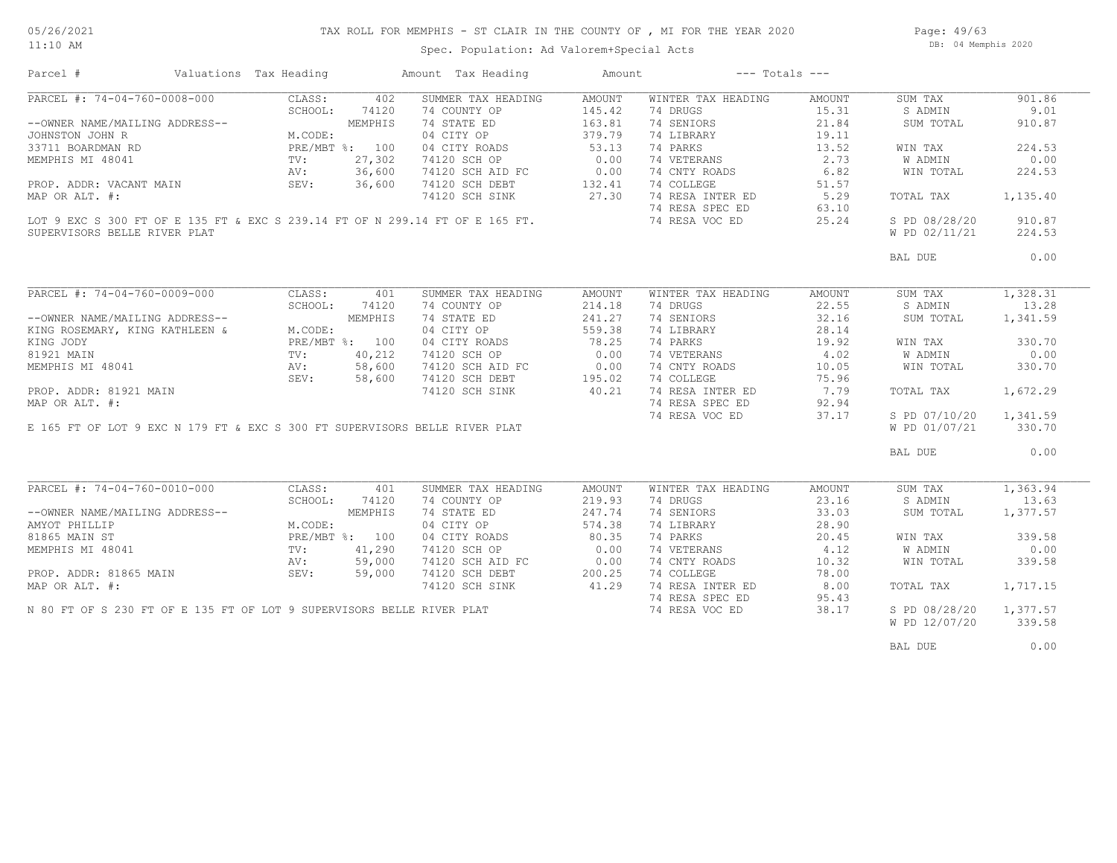Spec. Population: Ad Valorem+Special Acts

Page: 49/63 DB: 04 Memphis 2020

| Parcel #                                                                                                                                | Valuations Tax Heading |         | Amount Tax Heading                                                                                           | Amount | $---$ Totals $---$                      |        |                        |          |
|-----------------------------------------------------------------------------------------------------------------------------------------|------------------------|---------|--------------------------------------------------------------------------------------------------------------|--------|-----------------------------------------|--------|------------------------|----------|
|                                                                                                                                         |                        |         | SUMMER TAX HEADING                                                                                           | AMOUNT | WINTER TAX HEADING                      | AMOUNT | SUM TAX                | 901.86   |
|                                                                                                                                         |                        |         | 74 COUNTY OP                                                                                                 | 145.42 | 74 DRUGS                                | 15.31  | S ADMIN                | 9.01     |
|                                                                                                                                         |                        |         | 74 STATE ED                                                                                                  | 163.81 | 74 SENIORS                              | 21.84  | SUM TOTAL              | 910.87   |
|                                                                                                                                         |                        |         | 04 CITY OP                                                                                                   | 379.79 | 74 LIBRARY                              | 19.11  |                        |          |
|                                                                                                                                         |                        |         | 04 CITY ROADS                                                                                                | 53.13  | 74 PARKS                                | 13.52  | WIN TAX                | 224.53   |
|                                                                                                                                         |                        |         | 74120 SCH OP                                                                                                 | 0.00   | 74 VETERANS                             | 2.73   | W ADMIN                | 0.00     |
|                                                                                                                                         |                        |         |                                                                                                              |        | 74 CNTY ROADS                           | 6.82   | WIN TOTAL              | 224.53   |
|                                                                                                                                         |                        |         | 74120 SCH AID FC 0.00<br>74120 SCH DEBT 132.41<br>74120 SCH SINK 27.30                                       |        | 74 COLLEGE                              | 51.57  |                        |          |
|                                                                                                                                         |                        |         |                                                                                                              |        |                                         |        | TOTAL TAX              | 1,135.40 |
|                                                                                                                                         |                        |         |                                                                                                              |        | 74 RESA INTER ED 5.29                   |        |                        |          |
|                                                                                                                                         |                        |         | LOT 9 EXC S 300 FT OF E 135 FT & EXC S 239.14 FT OF N 299.14 FT OF E 165 FT.<br>SUPPRIJSORS REIJE RIVER RIAT |        | 74 RESA SPEC ED<br>74 RESA VOC ED 25.24 | 63.10  |                        |          |
|                                                                                                                                         |                        |         |                                                                                                              |        |                                         |        | S PD 08/28/20          | 910.87   |
| SUPERVISORS BELLE RIVER PLAT                                                                                                            |                        |         |                                                                                                              |        |                                         |        | W PD 02/11/21          | 224.53   |
|                                                                                                                                         |                        |         |                                                                                                              |        |                                         |        | BAL DUE                | 0.00     |
|                                                                                                                                         |                        |         |                                                                                                              |        |                                         |        |                        |          |
| PARCEL #: 74-04-760-0009-000                                                                                                            | CLASS:                 | 401     | SUMMER TAX HEADING                                                                                           | AMOUNT | WINTER TAX HEADING                      | AMOUNT | SUM TAX                | 1,328.31 |
|                                                                                                                                         | SCHOOL: 74120          |         | 74 COUNTY OP                                                                                                 | 214.18 | 74 DRUGS                                | 22.55  | S ADMIN                | 13.28    |
| --OWNER NAME/MAILING ADDRESS--<br>KING ROSEMARY, KING KATHLEEN &                                                                        |                        | MEMPHIS | 74 STATE ED                                                                                                  | 241.27 | 74 SENIORS                              | 32.16  | SUM TOTAL              | 1,341.59 |
|                                                                                                                                         | M.CODE:                |         | 04 CITY OP                                                                                                   | 559.38 | 74 LIBRARY                              | 28.14  |                        |          |
| KING JODY                                                                                                                               |                        |         |                                                                                                              |        | 74 PARKS                                | 19.92  | WIN TAX                | 330.70   |
|                                                                                                                                         |                        |         | 04 CITY OF THE 78.25<br>04 CITY ROADS 78.25<br>0.00                                                          |        | 74 VETERANS                             | 4.02   | <b>W ADMIN</b>         | 0.00     |
| EXING JODY<br>81921 MAIN TV: 40,212<br>MEMPHIS MI 48041 AV: 58,600<br>TO: 40,212<br>NEW: 58,600<br>SEV: 58,600                          |                        |         |                                                                                                              |        | 74 CNTY ROADS                           | 10.05  | WIN TOTAL              | 330.70   |
|                                                                                                                                         |                        |         | 74120 SCH AID FC 0.00<br>74120 SCH DEBT 195.02<br>74120 SCH SINK 40.21                                       |        | 74 COLLEGE                              | 75.96  |                        |          |
| PROP. ADDR: 81921 MAIN                                                                                                                  |                        |         |                                                                                                              |        |                                         |        | TOTAL TAX              | 1,672.29 |
|                                                                                                                                         |                        |         |                                                                                                              |        | 74 RESA INTER ED 7.79                   |        |                        |          |
| MAP OR ALT. #:                                                                                                                          |                        |         |                                                                                                              |        | 74 RESA SPEC ED                         | 92.94  |                        |          |
|                                                                                                                                         |                        |         |                                                                                                              |        | 74 RESA VOC ED                          | 37.17  | S PD 07/10/20          | 1,341.59 |
|                                                                                                                                         |                        |         | E 165 FT OF LOT 9 EXC N 179 FT & EXC S 300 FT SUPERVISORS BELLE RIVER PLAT                                   |        |                                         |        | W PD 01/07/21          | 330.70   |
|                                                                                                                                         |                        |         |                                                                                                              |        |                                         |        | BAL DUE                | 0.00     |
|                                                                                                                                         |                        |         |                                                                                                              |        |                                         |        |                        |          |
| PARCEL #: 74-04-760-0010-000                                                                                                            | CLASS:                 | 401     | SUMMER TAX HEADING                                                                                           | AMOUNT | WINTER TAX HEADING                      | AMOUNT | SUM TAX                | 1,363.94 |
|                                                                                                                                         | SCHOOL:                | 74120   | 74 COUNTY OP                                                                                                 | 219.93 | 74 DRUGS                                | 23.16  | S ADMIN                | 13.63    |
|                                                                                                                                         |                        |         | 74 STATE ED                                                                                                  | 247.74 | 74 SENIORS                              | 33.03  | SUM TOTAL              | 1,377.57 |
|                                                                                                                                         |                        |         | 04 CITY OP                                                                                                   | 574.38 | 74 LIBRARY                              | 28.90  |                        |          |
|                                                                                                                                         |                        |         |                                                                                                              | 80.35  | 74 PARKS                                | 20.45  | WIN TAX                | 339.58   |
| --OWNER NAME/MAILING ADDRESS--<br>MICODE:<br>81865 MAIN ST PRE/MBT %: 100<br>MEMPHIS MI 48041 TV: 41,290<br>NEMPHIS MI 48041 TV: 50 000 |                        |         | 04 CITY ROADS<br>74120 SCH OP                                                                                | 0.00   | 74 PARKS<br>74 VETERANS                 | 4.12   | W ADMIN                | 0.00     |
|                                                                                                                                         | AV:                    | 59,000  |                                                                                                              |        | 74 CNTY ROADS                           | 10.32  | WIN TOTAL              | 339.58   |
| PROP. ADDR: 81865 MAIN SEV:                                                                                                             |                        | 59,000  | 74120 SCH AID FC 0.00<br>74120 SCH DEBT 200.25                                                               |        | 74 COLLEGE                              | 78.00  |                        |          |
| MAP OR ALT. #:                                                                                                                          |                        |         | 74120 SCH SINK 41.29                                                                                         |        | 74 RESA INTER ED                        | 8.00   | TOTAL TAX              | 1,717.15 |
|                                                                                                                                         |                        |         |                                                                                                              |        | 74 RESA SPEC ED                         | 95.43  |                        |          |
|                                                                                                                                         |                        |         | N 80 FT OF S 230 FT OF E 135 FT OF LOT 9 SUPERVISORS BELLE RIVER PLAT                                        |        | 74 RESA VOC ED                          | 38.17  | S PD 08/28/20 1,377.57 |          |
|                                                                                                                                         |                        |         |                                                                                                              |        |                                         |        | W PD 12/07/20          | 339.58   |
|                                                                                                                                         |                        |         |                                                                                                              |        |                                         |        |                        |          |
|                                                                                                                                         |                        |         |                                                                                                              |        |                                         |        | BAL DUE                | 0.00     |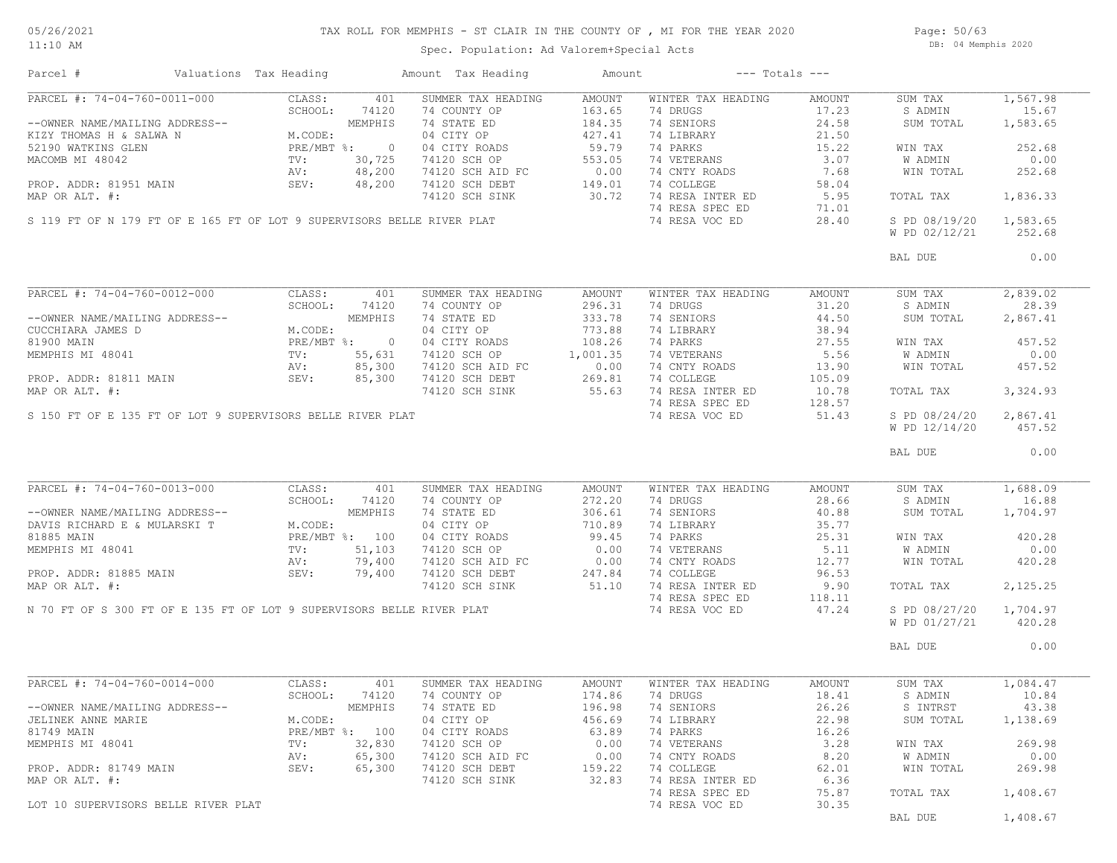## TAX ROLL FOR MEMPHIS - ST CLAIR IN THE COUNTY OF , MI FOR THE YEAR 2020

11:10 AM

#### Spec. Population: Ad Valorem+Special Acts

Page: 50/63 DB: 04 Memphis 2020

| Parcel #                                                               | Valuations Tax Heading |                |                | Amount Tax Heading         | Amount                        | $---$ Totals $---$ |               |               |          |
|------------------------------------------------------------------------|------------------------|----------------|----------------|----------------------------|-------------------------------|--------------------|---------------|---------------|----------|
| PARCEL #: 74-04-760-0011-000                                           |                        | CLASS:         | 401            | SUMMER TAX HEADING         | AMOUNT                        | WINTER TAX HEADING | AMOUNT        | SUM TAX       | 1,567.98 |
|                                                                        |                        | SCHOOL:        | 74120          | 74 COUNTY OP               | 163.65                        | 74 DRUGS           | 17.23         | S ADMIN       | 15.67    |
| --OWNER NAME/MAILING ADDRESS--                                         |                        |                | MEMPHIS        | 74 STATE ED                | 184.35                        | 74 SENIORS         | 24.58         | SUM TOTAL     | 1,583.65 |
| KIZY THOMAS H & SALWA N                                                |                        | M.CODE:        |                | 04 CITY OP                 | 427.41                        | 74 LIBRARY         | 21.50         |               |          |
| 52190 WATKINS GLEN                                                     |                        | PRE/MBT %:     | $\overline{0}$ | 04 CITY ROADS              | 59.79                         | 74 PARKS           | 15.22         | WIN TAX       | 252.68   |
| MACOMB MI 48042                                                        |                        | TV:            | 30,725         | 74120 SCH OP               | 553.05                        | 74 VETERANS        | 3.07          | W ADMIN       | 0.00     |
|                                                                        |                        | AV:            | 48,200         | 74120 SCH AID FC           |                               | 74 CNTY ROADS      | 7.68          | WIN TOTAL     | 252.68   |
| PROP. ADDR: 81951 MAIN                                                 |                        | SEV:           | 48,200         | 74120 SCH DEBT             |                               | 74 COLLEGE         | 58.04         |               |          |
| MAP OR ALT. #:                                                         |                        |                |                | 74120 SCH SINK             | $0.00$<br>$149.01$<br>$30.72$ | 74 RESA INTER ED   | 5.95          | TOTAL TAX     | 1,836.33 |
|                                                                        |                        |                |                |                            |                               | 74 RESA SPEC ED    | 71.01         |               |          |
| S 119 FT OF N 179 FT OF E 165 FT OF LOT 9 SUPERVISORS BELLE RIVER PLAT |                        |                |                |                            |                               | 74 RESA VOC ED     | 28.40         | S PD 08/19/20 | 1,583.65 |
|                                                                        |                        |                |                |                            |                               |                    |               | W PD 02/12/21 | 252.68   |
|                                                                        |                        |                |                |                            |                               |                    |               | BAL DUE       | 0.00     |
|                                                                        |                        |                |                |                            |                               |                    |               |               |          |
| PARCEL #: 74-04-760-0012-000                                           |                        | CLASS:         | 401            | SUMMER TAX HEADING         | AMOUNT                        | WINTER TAX HEADING | AMOUNT        | SUM TAX       | 2,839.02 |
|                                                                        |                        | SCHOOL:        | 74120          | 74 COUNTY OP               | 296.31                        | 74 DRUGS           | 31.20         | S ADMIN       | 28.39    |
| --OWNER NAME/MAILING ADDRESS--                                         |                        |                | MEMPHIS        | 74 STATE ED                | 333.78                        | 74 SENIORS         | 44.50         | SUM TOTAL     | 2,867.41 |
| CUCCHIARA JAMES D                                                      |                        | M.CODE:        |                | 04 CITY OP                 | 773.88                        | 74 LIBRARY         | 38.94         |               |          |
| 81900 MAIN                                                             |                        | PRE/MBT %: 0   |                | 04 CITY ROADS              | 108.26                        | 74 PARKS           | 27.55         | WIN TAX       | 457.52   |
| MEMPHIS MI 48041                                                       |                        | TV:            | 55,631         | 74120 SCH OP               | 1,001.35                      | 74 VETERANS        | 5.56          | W ADMIN       | 0.00     |
|                                                                        |                        | AV:            | 85,300         | 74120 SCH AID FC           | 0.00                          | 74 CNTY ROADS      | 13.90         | WIN TOTAL     | 457.52   |
| PROP. ADDR: 81811 MAIN                                                 |                        | SEV:           | 85,300         | 74120 SCH DEBT             | 269.81                        | 74 COLLEGE         | 105.09        |               |          |
| MAP OR ALT. #:                                                         |                        |                |                | 74120 SCH SINK             | 55.63                         | 74 RESA INTER ED   | 10.78         | TOTAL TAX     | 3,324.93 |
|                                                                        |                        |                |                |                            |                               | 74 RESA SPEC ED    | 128.57        |               |          |
| S 150 FT OF E 135 FT OF LOT 9 SUPERVISORS BELLE RIVER PLAT             |                        |                |                |                            |                               | 74 RESA VOC ED     | 51.43         | S PD 08/24/20 | 2,867.41 |
|                                                                        |                        |                |                |                            |                               |                    |               |               |          |
|                                                                        |                        |                |                |                            |                               |                    |               | W PD 12/14/20 | 457.52   |
|                                                                        |                        |                |                |                            |                               |                    |               | BAL DUE       | 0.00     |
|                                                                        |                        |                |                |                            |                               |                    |               |               |          |
| PARCEL #: 74-04-760-0013-000                                           |                        | CLASS:         | 401            | SUMMER TAX HEADING         | AMOUNT                        | WINTER TAX HEADING | AMOUNT        | SUM TAX       | 1,688.09 |
|                                                                        |                        | SCHOOL:        | 74120          | 74 COUNTY OP               | 272.20                        | 74 DRUGS           | 28.66         | S ADMIN       | 16.88    |
| --OWNER NAME/MAILING ADDRESS--                                         |                        |                | MEMPHIS        | 74 STATE ED                | 306.61                        | 74 SENIORS         | 40.88         | SUM TOTAL     | 1,704.97 |
| DAVIS RICHARD E & MULARSKI T                                           |                        | M.CODE:        |                | 04 CITY OP                 | 710.89                        | 74 LIBRARY         | 35.77         |               |          |
| 81885 MAIN                                                             |                        | PRE/MBT %: 100 |                | 04 CITY ROADS              | 99.45                         | 74 PARKS           | 25.31         | WIN TAX       | 420.28   |
| MEMPHIS MI 48041                                                       |                        | $\text{TV}$ :  | 51,103         | 74120 SCH OP               | 0.00                          | 74 VETERANS        | 5.11          | W ADMIN       | 0.00     |
|                                                                        |                        | AV:            | 79,400         | 74120 SCH AID FC           | 0.00                          | 74 CNTY ROADS      | 12.77         | WIN TOTAL     | 420.28   |
| PROP. ADDR: 81885 MAIN                                                 |                        | SEV:           | 79,400         | 74120 SCH DEBT             | 247.84                        | 74 COLLEGE         | 96.53         |               |          |
| MAP OR ALT. #:                                                         |                        |                |                | 74120 SCH SINK             | 51.10                         | 74 RESA INTER ED   | 9.90          | TOTAL TAX     | 2,125.25 |
|                                                                        |                        |                |                |                            |                               | 74 RESA SPEC ED    | 118.11        |               |          |
| N 70 FT OF S 300 FT OF E 135 FT OF LOT 9 SUPERVISORS BELLE RIVER PLAT  |                        |                |                |                            |                               | 74 RESA VOC ED     | 47.24         | S PD 08/27/20 | 1,704.97 |
|                                                                        |                        |                |                |                            |                               |                    |               | W PD 01/27/21 | 420.28   |
|                                                                        |                        |                |                |                            |                               |                    |               |               |          |
|                                                                        |                        |                |                |                            |                               |                    |               | BAL DUE       | 0.00     |
|                                                                        |                        |                |                |                            |                               |                    |               |               |          |
| PARCEL #: 74-04-760-0014-000                                           |                        | CLASS:         | 401            | SUMMER TAX HEADING         | AMOUNT                        | WINTER TAX HEADING | <b>AMOUNT</b> | SUM TAX       | 1,084.47 |
|                                                                        |                        |                |                | SCHOOL: 74120 74 COUNTY OP |                               | 174.86 74 DRUGS    | 18.41         | S ADMIN 10.84 |          |
| --OWNER NAME/MAILING ADDRESS--                                         |                        |                | MEMPHIS        | 74 STATE ED                | 196.98                        | 74 SENIORS         | 26.26         | S INTRST      | 43.38    |
| JELINEK ANNE MARIE                                                     |                        | M.CODE:        |                | 04 CITY OP                 | 456.69                        | 74 LIBRARY         | 22.98         | SUM TOTAL     | 1,138.69 |
| 81749 MAIN                                                             |                        | PRE/MBT %: 100 |                | 04 CITY ROADS              | 63.89                         | 74 PARKS           | 16.26         |               |          |
| MEMPHIS MI 48041                                                       |                        | TV:            | 32,830         | 74120 SCH OP               | 0.00                          | 74 VETERANS        | 3.28          | WIN TAX       | 269.98   |
|                                                                        |                        | AV:            | 65,300         | 74120 SCH AID FC           | 0.00                          | 74 CNTY ROADS      | 8.20          | W ADMIN       | 0.00     |
| PROP. ADDR: 81749 MAIN                                                 |                        | SEV:           | 65,300         | 74120 SCH DEBT             | 159.22                        | 74 COLLEGE         | 62.01         | WIN TOTAL     | 269.98   |
| MAP OR ALT. #:                                                         |                        |                |                |                            | 32.83                         | 74 RESA INTER ED   | 6.36          |               |          |
|                                                                        |                        |                |                | 74120 SCH SINK             |                               | 74 RESA SPEC ED    | 75.87         | TOTAL TAX     | 1,408.67 |
| LOT 10 SUPERVISORS BELLE RIVER PLAT                                    |                        |                |                |                            |                               | 74 RESA VOC ED     | 30.35         |               |          |
|                                                                        |                        |                |                |                            |                               |                    |               | BAL DUE       | 1,408.67 |
|                                                                        |                        |                |                |                            |                               |                    |               |               |          |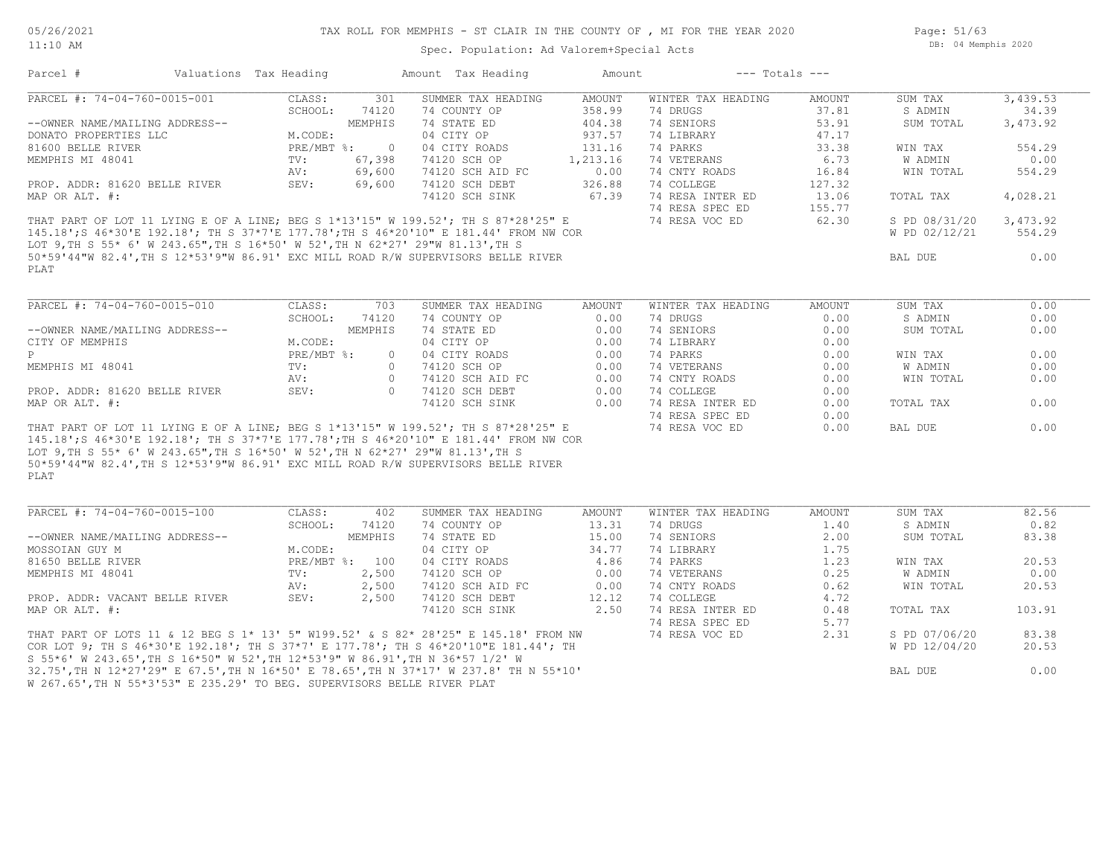#### 11:10 AM

#### TAX ROLL FOR MEMPHIS - ST CLAIR IN THE COUNTY OF , MI FOR THE YEAR 2020

Spec. Population: Ad Valorem+Special Acts

Parcel # Valuations Tax Heading Amount Tax Heading Amount --- Totals ---

Page: 51/63 DB: 04 Memphis 2020

| PARCEL #: 74-04-760-0015-001                                                                                                                                               | CLASS:<br>301                        | SUMMER TAX HEADING | <b>AMOUNT</b> | WINTER TAX HEADING | AMOUNT | SUM TAX       | 3,439.53 |
|----------------------------------------------------------------------------------------------------------------------------------------------------------------------------|--------------------------------------|--------------------|---------------|--------------------|--------|---------------|----------|
|                                                                                                                                                                            | SCHOOL:<br>74120                     | 74 COUNTY OP       | 358.99        | 74 DRUGS           | 37.81  | S ADMIN       | 34.39    |
| --OWNER NAME/MAILING ADDRESS--                                                                                                                                             | MEMPHIS                              | 74 STATE ED        | 404.38        | 74 SENIORS         | 53.91  | SUM TOTAL     | 3,473.92 |
| DONATO PROPERTIES LLC                                                                                                                                                      | M.CODE:                              | 04 CITY OP         | 937.57        | 74 LIBRARY         | 47.17  |               |          |
| 81600 BELLE RIVER                                                                                                                                                          | PRE/MBT %:<br>$\overline{0}$         | 04 CITY ROADS      | 131.16        | 74 PARKS           | 33.38  | WIN TAX       | 554.29   |
| MEMPHIS MI 48041                                                                                                                                                           | 67,398<br>TV:                        | 74120 SCH OP       | 1,213.16      | 74 VETERANS        | 6.73   | W ADMIN       | 0.00     |
|                                                                                                                                                                            | AV:<br>69,600                        | 74120 SCH AID FC   | 0.00          | 74 CNTY ROADS      | 16.84  | WIN TOTAL     | 554.29   |
| PROP. ADDR: 81620 BELLE RIVER                                                                                                                                              | SEV:<br>69,600                       | 74120 SCH DEBT     | 326.88        | 74 COLLEGE         | 127.32 |               |          |
| MAP OR ALT. #:                                                                                                                                                             |                                      | 74120 SCH SINK     | 67.39         | 74 RESA INTER ED   | 13.06  | TOTAL TAX     | 4,028.21 |
|                                                                                                                                                                            |                                      |                    |               | 74 RESA SPEC ED    | 155.77 |               |          |
| THAT PART OF LOT 11 LYING E OF A LINE; BEG S 1*13'15" W 199.52'; TH S 87*28'25" E                                                                                          |                                      |                    |               | 74 RESA VOC ED     | 62.30  | S PD 08/31/20 | 3,473.92 |
| 145.18'; S 46*30'E 192.18'; TH S 37*7'E 177.78'; TH S 46*20'10" E 181.44' FROM NW COR                                                                                      |                                      |                    |               |                    |        | W PD 02/12/21 | 554.29   |
| LOT 9, TH S 55* 6' W 243.65", TH S 16*50' W 52', TH N 62*27' 29"W 81.13', TH S                                                                                             |                                      |                    |               |                    |        |               |          |
| 50*59'44"W 82.4', TH S 12*53'9"W 86.91' EXC MILL ROAD R/W SUPERVISORS BELLE RIVER                                                                                          |                                      |                    |               |                    |        | BAL DUE       | 0.00     |
| PLAT                                                                                                                                                                       |                                      |                    |               |                    |        |               |          |
|                                                                                                                                                                            |                                      |                    |               |                    |        |               |          |
|                                                                                                                                                                            |                                      |                    |               |                    |        |               |          |
| PARCEL #: 74-04-760-0015-010                                                                                                                                               | 703<br>CLASS:                        | SUMMER TAX HEADING | AMOUNT        | WINTER TAX HEADING | AMOUNT | SUM TAX       | 0.00     |
|                                                                                                                                                                            | SCHOOL:<br>74120                     | 74 COUNTY OP       | 0.00          | 74 DRUGS           | 0.00   | S ADMIN       | 0.00     |
| --OWNER NAME/MAILING ADDRESS--                                                                                                                                             | MEMPHIS                              | 74 STATE ED        | 0.00          | 74 SENIORS         | 0.00   | SUM TOTAL     | 0.00     |
| CITY OF MEMPHIS                                                                                                                                                            | M.CODE:                              | 04 CITY OP         | 0.00          | 74 LIBRARY         | 0.00   |               |          |
| P                                                                                                                                                                          | $PRE/MBT$ $\frac{1}{6}$ :<br>$\circ$ | 04 CITY ROADS      | 0.00          | 74 PARKS           | 0.00   | WIN TAX       | 0.00     |
| MEMPHIS MI 48041                                                                                                                                                           | $\Omega$<br>TV:                      | 74120 SCH OP       | 0.00          | 74 VETERANS        | 0.00   | W ADMIN       | 0.00     |
|                                                                                                                                                                            | AV:<br>$\Omega$                      | 74120 SCH AID FC   | 0.00          | 74 CNTY ROADS      | 0.00   | WIN TOTAL     | 0.00     |
| PROP. ADDR: 81620 BELLE RIVER                                                                                                                                              | SEV:<br>$\Omega$                     | 74120 SCH DEBT     | 0.00          | 74 COLLEGE         | 0.00   |               |          |
| MAP OR ALT. #:                                                                                                                                                             |                                      | 74120 SCH SINK     | 0.00          | 74 RESA INTER ED   | 0.00   | TOTAL TAX     | 0.00     |
|                                                                                                                                                                            |                                      |                    |               | 74 RESA SPEC ED    | 0.00   |               |          |
|                                                                                                                                                                            |                                      |                    |               |                    |        |               | 0.00     |
| THAT PART OF LOT 11 LYING E OF A LINE; BEG S 1*13'15" W 199.52'; TH S 87*28'25" E<br>145.18'; S 46*30'E 192.18'; TH S 37*7'E 177.78'; TH S 46*20'10" E 181.44' FROM NW COR |                                      |                    |               | 74 RESA VOC ED     | 0.00   | BAL DUE       |          |
|                                                                                                                                                                            |                                      |                    |               |                    |        |               |          |
| LOT 9, TH S 55* 6' W 243.65", TH S 16*50' W 52', TH N 62*27' 29"W 81.13', TH S                                                                                             |                                      |                    |               |                    |        |               |          |
| 50*59'44"W 82.4', TH S 12*53'9"W 86.91' EXC MILL ROAD R/W SUPERVISORS BELLE RIVER                                                                                          |                                      |                    |               |                    |        |               |          |
| PLAT                                                                                                                                                                       |                                      |                    |               |                    |        |               |          |
|                                                                                                                                                                            |                                      |                    |               |                    |        |               |          |
| PARCEL #: 74-04-760-0015-100                                                                                                                                               | CLASS:<br>402                        | SUMMER TAX HEADING | <b>AMOUNT</b> | WINTER TAX HEADING | AMOUNT | SUM TAX       | 82.56    |
|                                                                                                                                                                            | SCHOOL:<br>74120                     | 74 COUNTY OP       | 13.31         | 74 DRUGS           | 1.40   | S ADMIN       | 0.82     |
| --OWNER NAME/MAILING ADDRESS--                                                                                                                                             | MEMPHIS                              | 74 STATE ED        | 15.00         | 74 SENIORS         | 2.00   | SUM TOTAL     | 83.38    |
| MOSSOIAN GUY M                                                                                                                                                             | M.CODE:                              | 04 CITY OP         | 34.77         | 74 LIBRARY         | 1.75   |               |          |
| 81650 BELLE RIVER                                                                                                                                                          | PRE/MBT %: 100                       | 04 CITY ROADS      | 4.86          | 74 PARKS           | 1.23   | WIN TAX       | 20.53    |
| MEMPHIS MI 48041                                                                                                                                                           | 2,500<br>TV:                         | 74120 SCH OP       | 0.00          | 74 VETERANS        | 0.25   | W ADMIN       | 0.00     |
|                                                                                                                                                                            | 2,500<br>AV:                         | 74120 SCH AID FC   | 0.00          | 74 CNTY ROADS      | 0.62   | WIN TOTAL     | 20.53    |
| PROP. ADDR: VACANT BELLE RIVER                                                                                                                                             | SEV:<br>2,500                        | 74120 SCH DEBT     | 12.12         | 74 COLLEGE         | 4.72   |               |          |
| MAP OR ALT. #:                                                                                                                                                             |                                      | 74120 SCH SINK     | 2,50          | 74 RESA INTER ED   | 0.48   | TOTAL TAX     | 103.91   |
|                                                                                                                                                                            |                                      |                    |               |                    |        |               |          |
|                                                                                                                                                                            |                                      |                    |               | 74 RESA SPEC ED    | 5.77   |               |          |
| THAT PART OF LOTS 11 & 12 BEG S 1* 13' 5" W199.52' & S 82* 28'25" E 145.18' FROM NW                                                                                        |                                      |                    |               | 74 RESA VOC ED     | 2.31   | S PD 07/06/20 | 83.38    |
| COR LOT 9; TH S 46*30'E 192.18'; TH S 37*7' E 177.78'; TH S 46*20'10"E 181.44'; TH                                                                                         |                                      |                    |               |                    |        | W PD 12/04/20 | 20.53    |
| S 55*6' W 243.65', TH S 16*50" W 52', TH 12*53'9" W 86.91', TH N 36*57 1/2' W                                                                                              |                                      |                    |               |                    |        |               |          |
| 32.75', TH N 12*27'29" E 67.5', TH N 16*50' E 78.65', TH N 37*17' W 237.8' TH N 55*10'                                                                                     |                                      |                    |               |                    |        | BAL DUE       | 0.00     |

W 267.65',TH N 55\*3'53" E 235.29' TO BEG. SUPERVISORS BELLE RIVER PLAT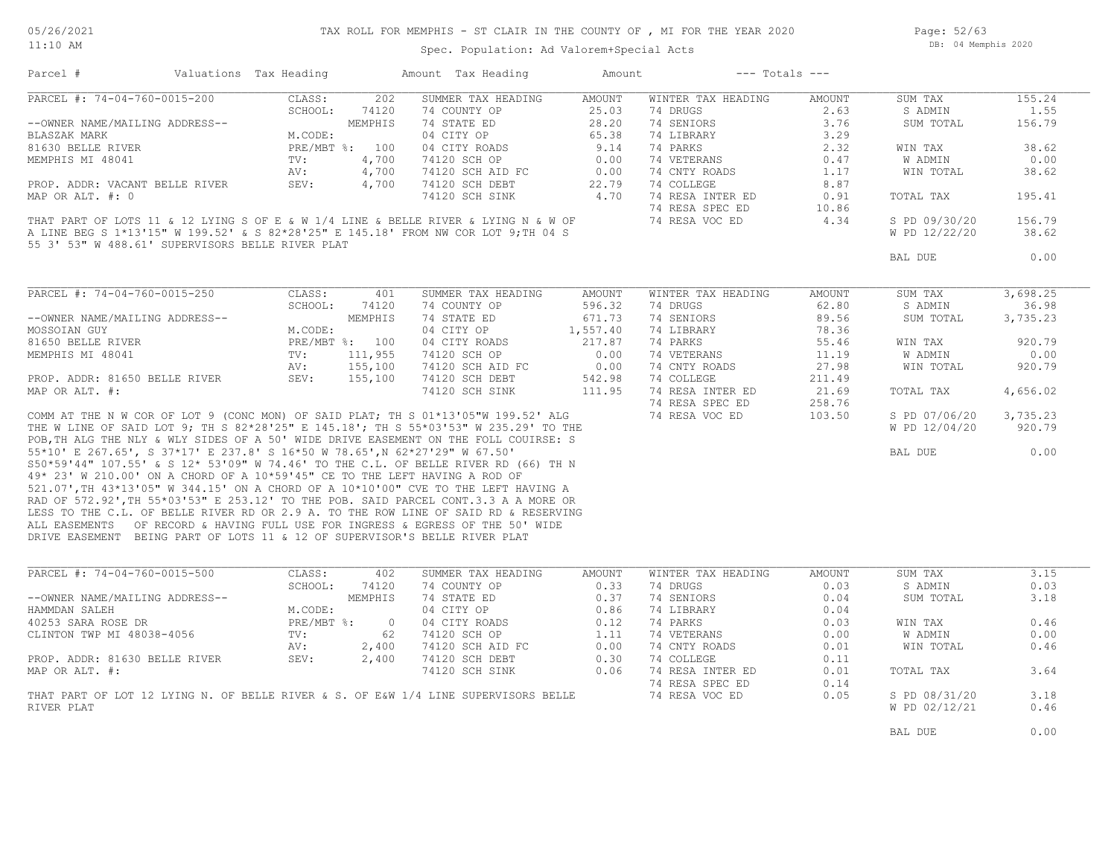Page: 52/63 DB: 04 Memphis 2020

Spec. Population: Ad Valorem+Special Acts

| Parcel #                                                                   | Valuations Tax Heading |            |                | Amount Tax Heading                                                                  | Amount   | $---$ Totals $---$ |        |                |          |
|----------------------------------------------------------------------------|------------------------|------------|----------------|-------------------------------------------------------------------------------------|----------|--------------------|--------|----------------|----------|
| PARCEL #: 74-04-760-0015-200                                               |                        | CLASS:     | 202            | SUMMER TAX HEADING                                                                  | AMOUNT   | WINTER TAX HEADING | AMOUNT | SUM TAX        | 155.24   |
|                                                                            |                        | SCHOOL:    | 74120          | 74 COUNTY OP                                                                        | 25.03    | 74 DRUGS           | 2.63   | S ADMIN        | 1.55     |
| --OWNER NAME/MAILING ADDRESS--                                             |                        |            | MEMPHIS        | 74 STATE ED                                                                         | 28.20    | 74 SENIORS         | 3.76   | SUM TOTAL      | 156.79   |
| BLASZAK MARK                                                               |                        | M.CODE:    |                | 04 CITY OP                                                                          | 65.38    | 74 LIBRARY         | 3.29   |                |          |
| 81630 BELLE RIVER                                                          |                        |            | PRE/MBT %: 100 | 04 CITY ROADS                                                                       | 9.14     | 74 PARKS           | 2.32   | WIN TAX        | 38.62    |
| MEMPHIS MI 48041                                                           |                        | TV:        | 4,700          | 74120 SCH OP                                                                        | 0.00     | 74 VETERANS        | 0.47   | W ADMIN        | 0.00     |
|                                                                            |                        | AV:        | 4,700          | 74120 SCH AID FC                                                                    | 0.00     | 74 CNTY ROADS      | 1.17   | WIN TOTAL      | 38.62    |
| PROP. ADDR: VACANT BELLE RIVER                                             |                        | SEV:       | 4,700          | 74120 SCH DEBT                                                                      | 22.79    | 74 COLLEGE         | 8.87   |                |          |
| MAP OR ALT. #: 0                                                           |                        |            |                | 74120 SCH SINK                                                                      | 4.70     | 74 RESA INTER ED   | 0.91   | TOTAL TAX      | 195.41   |
|                                                                            |                        |            |                |                                                                                     |          | 74 RESA SPEC ED    | 10.86  |                |          |
|                                                                            |                        |            |                | THAT PART OF LOTS 11 & 12 LYING S OF E & W 1/4 LINE & BELLE RIVER & LYING N & W OF  |          | 74 RESA VOC ED     | 4.34   | S PD 09/30/20  | 156.79   |
|                                                                            |                        |            |                | A LINE BEG S 1*13'15" W 199.52' & S 82*28'25" E 145.18' FROM NW COR LOT 9; TH 04 S  |          |                    |        | W PD 12/22/20  | 38.62    |
| 55 3' 53" W 488.61' SUPERVISORS BELLE RIVER PLAT                           |                        |            |                |                                                                                     |          |                    |        |                |          |
|                                                                            |                        |            |                |                                                                                     |          |                    |        | BAL DUE        | 0.00     |
|                                                                            |                        |            |                |                                                                                     |          |                    |        |                |          |
| PARCEL #: 74-04-760-0015-250                                               |                        | CLASS:     | 401            | SUMMER TAX HEADING                                                                  | AMOUNT   | WINTER TAX HEADING | AMOUNT | SUM TAX        | 3,698.25 |
|                                                                            |                        | SCHOOL:    | 74120          | 74 COUNTY OP                                                                        | 596.32   | 74 DRUGS           | 62.80  | S ADMIN        | 36.98    |
| --OWNER NAME/MAILING ADDRESS--                                             |                        |            | MEMPHIS        | 74 STATE ED                                                                         | 671.73   | 74 SENIORS         | 89.56  | SUM TOTAL      | 3,735.23 |
| MOSSOIAN GUY                                                               |                        | M.CODE:    |                | 04 CITY OP                                                                          | 1,557.40 | 74 LIBRARY         | 78.36  |                |          |
| 81650 BELLE RIVER                                                          |                        |            | PRE/MBT %: 100 | 04 CITY ROADS                                                                       | 217.87   | 74 PARKS           | 55.46  | WIN TAX        | 920.79   |
| MEMPHIS MI 48041                                                           |                        | TV:        | 111,955        | 74120 SCH OP                                                                        | 0.00     | 74 VETERANS        | 11.19  | W ADMIN        | 0.00     |
|                                                                            |                        | AV:        | 155,100        | 74120 SCH AID FC                                                                    | 0.00     | 74 CNTY ROADS      | 27.98  | WIN TOTAL      | 920.79   |
| PROP. ADDR: 81650 BELLE RIVER                                              |                        | SEV:       | 155,100        | 74120 SCH DEBT                                                                      | 542.98   | 74 COLLEGE         | 211.49 |                |          |
| MAP OR ALT. #:                                                             |                        |            |                | 74120 SCH SINK                                                                      | 111.95   | 74 RESA INTER ED   | 21.69  | TOTAL TAX      | 4,656.02 |
|                                                                            |                        |            |                |                                                                                     |          | 74 RESA SPEC ED    | 258.76 |                |          |
|                                                                            |                        |            |                | COMM AT THE N W COR OF LOT 9 (CONC MON) OF SAID PLAT; TH S 01*13'05"W 199.52' ALG   |          | 74 RESA VOC ED     | 103.50 | S PD 07/06/20  | 3,735.23 |
|                                                                            |                        |            |                | THE W LINE OF SAID LOT 9; TH S 82*28'25" E 145.18'; TH S 55*03'53" W 235.29' TO THE |          |                    |        | W PD 12/04/20  | 920.79   |
|                                                                            |                        |            |                | POB, TH ALG THE NLY & WLY SIDES OF A 50' WIDE DRIVE EASEMENT ON THE FOLL COUIRSE: S |          |                    |        |                |          |
| 55*10' E 267.65', S 37*17' E 237.8' S 16*50 W 78.65', N 62*27'29" W 67.50' |                        |            |                |                                                                                     |          |                    |        | BAL DUE        | 0.00     |
|                                                                            |                        |            |                | S50*59'44" 107.55' & S 12* 53'09" W 74.46' TO THE C.L. OF BELLE RIVER RD (66) TH N  |          |                    |        |                |          |
| 49* 23' W 210.00' ON A CHORD OF A 10*59'45" CE TO THE LEFT HAVING A ROD OF |                        |            |                |                                                                                     |          |                    |        |                |          |
|                                                                            |                        |            |                | 521.07', TH 43*13'05" W 344.15' ON A CHORD OF A 10*10'00" CVE TO THE LEFT HAVING A  |          |                    |        |                |          |
|                                                                            |                        |            |                | RAD OF 572.92', TH 55*03'53" E 253.12' TO THE POB. SAID PARCEL CONT.3.3 A A MORE OR |          |                    |        |                |          |
|                                                                            |                        |            |                | LESS TO THE C.L. OF BELLE RIVER RD OR 2.9 A. TO THE ROW LINE OF SAID RD & RESERVING |          |                    |        |                |          |
|                                                                            |                        |            |                | ALL EASEMENTS OF RECORD & HAVING FULL USE FOR INGRESS & EGRESS OF THE 50' WIDE      |          |                    |        |                |          |
| DRIVE EASEMENT BEING PART OF LOTS 11 & 12 OF SUPERVISOR'S BELLE RIVER PLAT |                        |            |                |                                                                                     |          |                    |        |                |          |
|                                                                            |                        |            |                |                                                                                     |          |                    |        |                |          |
| PARCEL #: 74-04-760-0015-500                                               |                        | CLASS:     | 402            | SUMMER TAX HEADING                                                                  | AMOUNT   | WINTER TAX HEADING | AMOUNT | SUM TAX        | 3.15     |
|                                                                            |                        | SCHOOL:    | 74120          | 74 COUNTY OP                                                                        | 0.33     | 74 DRUGS           | 0.03   | S ADMIN        | 0.03     |
| --OWNER NAME/MAILING ADDRESS--                                             |                        |            | MEMPHIS        | 74 STATE ED                                                                         | 0.37     | 74 SENIORS         | 0.04   | SUM TOTAL      | 3.18     |
| HAMMDAN SALEH                                                              |                        | M.CODE:    |                | 04 CITY OP                                                                          | 0.86     | 74 LIBRARY         | 0.04   |                |          |
| 40253 SARA ROSE DR                                                         |                        | PRE/MBT %: | $\overline{0}$ | 04 CITY ROADS                                                                       | 0.12     | 74 PARKS           | 0.03   | WIN TAX        | 0.46     |
| CLINTON TWP MI 48038-4056                                                  |                        | TV:        | 62             | 74120 SCH OP                                                                        | 1.11     | 74 VETERANS        | 0.00   | <b>W ADMIN</b> | 0.00     |
|                                                                            |                        | AV:        | 2,400          | 74120 SCH AID FC                                                                    | 0.00     | 74 CNTY ROADS      | 0.01   | WIN TOTAL      | 0.46     |
| PROP. ADDR: 81630 BELLE RIVER                                              |                        | SEV:       | 2,400          | 74120 SCH DEBT                                                                      | 0.30     | 74 COLLEGE         | 0.11   |                |          |
| MAP OR ALT. #:                                                             |                        |            |                | 74120 SCH SINK                                                                      | 0.06     | 74 RESA INTER ED   | 0.01   | TOTAL TAX      | 3.64     |
|                                                                            |                        |            |                |                                                                                     |          | 74 RESA SPEC ED    | 0.14   |                |          |
|                                                                            |                        |            |                | THAT PART OF LOT 12 LYING N. OF BELLE RIVER & S. OF E&W 1/4 LINE SUPERVISORS BELLE  |          | 74 RESA VOC ED     | 0.05   | S PD 08/31/20  | 3.18     |
| RIVER PLAT                                                                 |                        |            |                |                                                                                     |          |                    |        | W PD 02/12/21  | 0.46     |
|                                                                            |                        |            |                |                                                                                     |          |                    |        |                |          |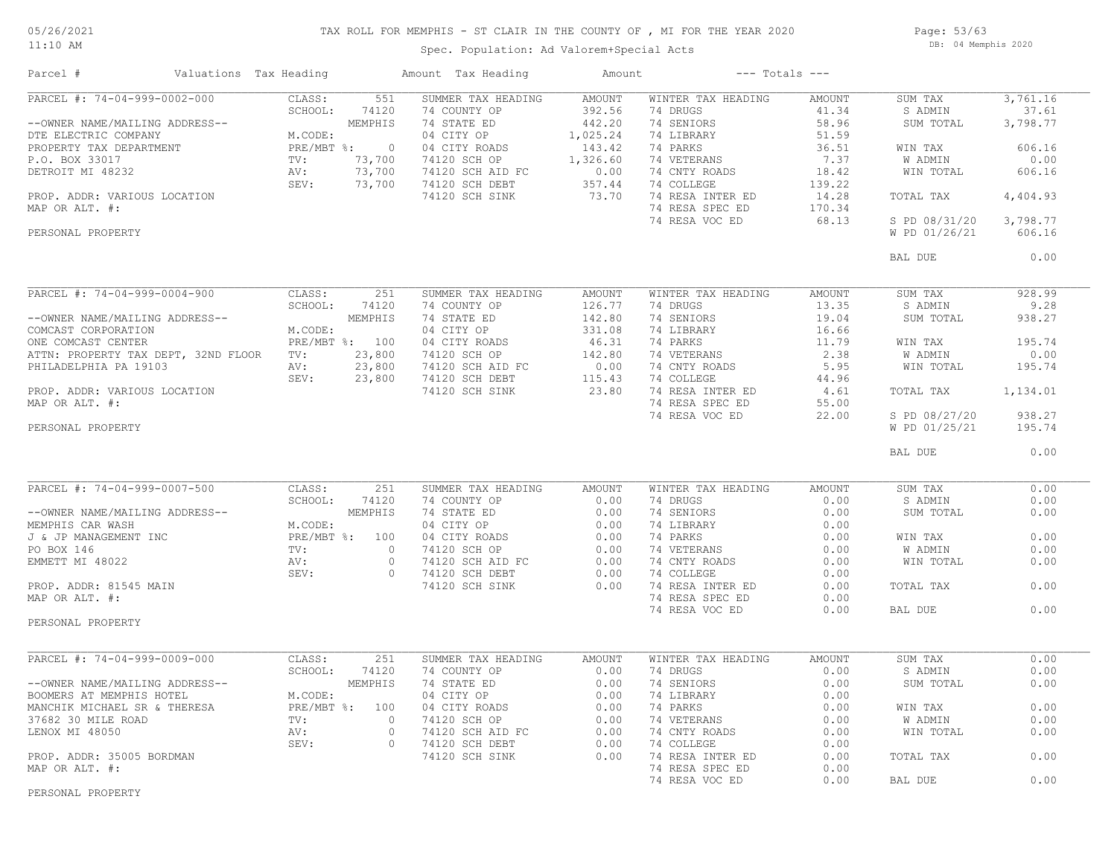#### TAX ROLL FOR MEMPHIS - ST CLAIR IN THE COUNTY OF , MI FOR THE YEAR 2020

11:10 AM

### Spec. Population: Ad Valorem+Special Acts

Page: 53/63 DB: 04 Memphis 2020

| Parcel #                                                                                                                                                                                                                                           | Valuations Tax Heading | Amount Tax Heading                                                                                                                                                                                                                                | Amount |                                                                                                                                                                                                                                                      | $---$ Totals $---$ |                        |                   |
|----------------------------------------------------------------------------------------------------------------------------------------------------------------------------------------------------------------------------------------------------|------------------------|---------------------------------------------------------------------------------------------------------------------------------------------------------------------------------------------------------------------------------------------------|--------|------------------------------------------------------------------------------------------------------------------------------------------------------------------------------------------------------------------------------------------------------|--------------------|------------------------|-------------------|
| PARCEL #: 74-04-999-0002-000                                                                                                                                                                                                                       | CLASS:<br>551          | SUMMER TAX HEADING                                                                                                                                                                                                                                | AMOUNT | WINTER TAX HEADING                                                                                                                                                                                                                                   | AMOUNT             | SUM TAX                | 3,761.16          |
| PARCEL #: /* 12 120 14 20001:<br>1.00001: /*12 1.11.11NG ADDRESS--<br>DTE ELECTRIC COMPANY M.CODE:<br>PROPERTY TAX DEPARTMENT PRE/MBT *: 0 04 CITY ROADS 143.42 74 BARKS 36.51<br>P.O. BOX 33017 TV: 73,700 74120 SCH AID FC 0.00 74               |                        |                                                                                                                                                                                                                                                   |        |                                                                                                                                                                                                                                                      |                    | S ADMIN<br>SUM TOTAL   | 37.61<br>3,798.77 |
|                                                                                                                                                                                                                                                    |                        |                                                                                                                                                                                                                                                   |        |                                                                                                                                                                                                                                                      |                    | WIN TAX                | 606.16            |
|                                                                                                                                                                                                                                                    |                        |                                                                                                                                                                                                                                                   |        |                                                                                                                                                                                                                                                      |                    | W ADMIN                | 0.00              |
|                                                                                                                                                                                                                                                    |                        |                                                                                                                                                                                                                                                   |        |                                                                                                                                                                                                                                                      |                    | WIN TOTAL              | 606.16            |
|                                                                                                                                                                                                                                                    |                        |                                                                                                                                                                                                                                                   |        |                                                                                                                                                                                                                                                      |                    | TOTAL TAX              | 4,404.93          |
|                                                                                                                                                                                                                                                    |                        |                                                                                                                                                                                                                                                   |        | 74 RESA VOC ED                                                                                                                                                                                                                                       | 68.13              | S PD 08/31/20 3,798.77 |                   |
| PERSONAL PROPERTY                                                                                                                                                                                                                                  |                        |                                                                                                                                                                                                                                                   |        |                                                                                                                                                                                                                                                      |                    | W PD 01/26/21          | 606.16            |
|                                                                                                                                                                                                                                                    |                        |                                                                                                                                                                                                                                                   |        |                                                                                                                                                                                                                                                      |                    | BAL DUE                | 0.00              |
| PARCEL #: 74-04-999-0004-900                                                                                                                                                                                                                       | 251<br>CLASS:          | SUMMER TAX HEADING                                                                                                                                                                                                                                | AMOUNT | WINTER TAX HEADING                                                                                                                                                                                                                                   | AMOUNT             | SUM TAX                | 928.99            |
|                                                                                                                                                                                                                                                    | SCHOOL:<br>74120       | NOWMER TAX HEADING<br>74 COUNTY OP 126.77<br>74 STATE ED 142.80<br>04 CITY OP 331.08<br>04 CITY ROADS 46.31<br>74120 SCH AID FC 0.00<br>74120 SCH DEBT 115.43<br>74120 SCH SINK 23.80                                                             |        | 74 DRUGS                                                                                                                                                                                                                                             | 13.35              | S ADMIN                | 9.28              |
|                                                                                                                                                                                                                                                    |                        |                                                                                                                                                                                                                                                   |        | 74 SENIORS                                                                                                                                                                                                                                           | 19.04              | SUM TOTAL              | 938.27            |
| --OWNER NAME/MAILING ADDRESS--<br>COMCAST CORPORATION MEMPHIS<br>ONE COMCAST CENTER PRE/MBT %: 100                                                                                                                                                 |                        |                                                                                                                                                                                                                                                   |        | 74 LIBRARY                                                                                                                                                                                                                                           | 16.66              |                        |                   |
|                                                                                                                                                                                                                                                    |                        |                                                                                                                                                                                                                                                   |        | 74 PARKS                                                                                                                                                                                                                                             | 11.79              | WIN TAX                | 195.74            |
| ATTN: PROPERTY TAX DEPT, 32ND FLOOR TV: 23,800                                                                                                                                                                                                     |                        |                                                                                                                                                                                                                                                   |        |                                                                                                                                                                                                                                                      |                    | W ADMIN                | 0.00              |
|                                                                                                                                                                                                                                                    |                        |                                                                                                                                                                                                                                                   |        |                                                                                                                                                                                                                                                      |                    | WIN TOTAL              | 195.74            |
| PHILADELPHIA PA 19103 MV: 23,800<br>RNOP. ADDR: VARIOUS LOCATION SEV: 23,800                                                                                                                                                                       |                        |                                                                                                                                                                                                                                                   |        |                                                                                                                                                                                                                                                      |                    |                        |                   |
| MAP OR ALT. #:                                                                                                                                                                                                                                     |                        |                                                                                                                                                                                                                                                   |        |                                                                                                                                                                                                                                                      |                    | TOTAL TAX              | 1,134.01          |
|                                                                                                                                                                                                                                                    |                        |                                                                                                                                                                                                                                                   |        | $\begin{tabular}{lllllllll} 74 & PARKS & & & 11.79 \\ 74 & VETERRINS & & & 2.38 \\ 74 & CNTY R OADS & & 5.95 \\ 74 & COLLEGE & & 44.96 \\ 74 & RESA INTER ED & & 4.61 \\ 74 & RESA SPEC ED & & 55.00 \\ 74 & RESA VOC ED & & 22.00 \\ \end{tabular}$ |                    | S PD 08/27/20          | 938.27            |
| PERSONAL PROPERTY                                                                                                                                                                                                                                  |                        |                                                                                                                                                                                                                                                   |        |                                                                                                                                                                                                                                                      |                    | W PD 01/25/21          | 195.74            |
|                                                                                                                                                                                                                                                    |                        |                                                                                                                                                                                                                                                   |        |                                                                                                                                                                                                                                                      |                    | BAL DUE                | 0.00              |
|                                                                                                                                                                                                                                                    |                        |                                                                                                                                                                                                                                                   |        |                                                                                                                                                                                                                                                      |                    |                        |                   |
| PARCEL #: 74-04-999-0007-500                                                                                                                                                                                                                       | CLASS:<br>251          | SUMMER TAX HEADING                                                                                                                                                                                                                                | AMOUNT | WINTER TAX HEADING                                                                                                                                                                                                                                   | AMOUNT             | SUM TAX                | 0.00              |
|                                                                                                                                                                                                                                                    |                        |                                                                                                                                                                                                                                                   |        | 74 DRUGS                                                                                                                                                                                                                                             | 0.00               | S ADMIN                | 0.00<br>0.00      |
|                                                                                                                                                                                                                                                    |                        |                                                                                                                                                                                                                                                   |        |                                                                                                                                                                                                                                                      | 0.00<br>0.00       | SUM TOTAL              |                   |
|                                                                                                                                                                                                                                                    |                        |                                                                                                                                                                                                                                                   |        |                                                                                                                                                                                                                                                      | 0.00               | WIN TAX                | 0.00              |
|                                                                                                                                                                                                                                                    |                        |                                                                                                                                                                                                                                                   |        |                                                                                                                                                                                                                                                      |                    | W ADMIN                | 0.00              |
|                                                                                                                                                                                                                                                    |                        |                                                                                                                                                                                                                                                   |        | 74 PARKS 0.00<br>74 VETERANS 0.00<br>74 CNTY ROADS 0.00<br>20 CNTY ROADS 0.00                                                                                                                                                                        |                    | WIN TOTAL              | 0.00              |
| PARCEL #: 74-04-999-0007-500<br>--OWNER NAME/MAILING ADDRESS--<br>MEMPHIS CAR WASH<br>MEMPHIS CAR WASH<br>MEMPHIS CAR WASH<br>MEMPHIS CAR WASH<br>MEMPHIS CAR WASH<br>MEMPHIS CAR WASH<br>MEMPHIS CAR WASH<br>MEMPHIS CAR WASH<br>MEMPHIS CAR NASH |                        |                                                                                                                                                                                                                                                   |        |                                                                                                                                                                                                                                                      | 0.00               |                        |                   |
|                                                                                                                                                                                                                                                    |                        |                                                                                                                                                                                                                                                   |        |                                                                                                                                                                                                                                                      | 0.00               | TOTAL TAX              | 0.00              |
| MAP OR ALT. #:                                                                                                                                                                                                                                     |                        |                                                                                                                                                                                                                                                   |        | 74 RESA SPEC ED                                                                                                                                                                                                                                      | 0.00               |                        |                   |
| PERSONAL PROPERTY                                                                                                                                                                                                                                  |                        |                                                                                                                                                                                                                                                   |        | 74 RESA VOC ED                                                                                                                                                                                                                                       | 0.00               | BAL DUE                | 0.00              |
| PARCEL #: 74-04-999-0009-000                                                                                                                                                                                                                       | CLASS:<br>251          |                                                                                                                                                                                                                                                   | AMOUNT | WINTER TAX HEADING                                                                                                                                                                                                                                   | AMOUNT             | SUM TAX                | 0.00              |
|                                                                                                                                                                                                                                                    |                        | SUMMER TAX HEADING<br>251 SUMMER TAX HEADING<br>74120 74 COUNTY OP 0.00<br>1EMPHIS 74 STATE ED 0.00<br>04 CITY OP 0.00<br>0 74120 SCH OP 0.00<br>0 74120 SCH AID FC 0.00<br>0 74120 SCH AID FC 0.00<br>74120 SCH DEBT 0.00<br>74120 SCH SINK 0.00 |        | 74 DRUGS                                                                                                                                                                                                                                             | 0.00               | S ADMIN                | 0.00              |
| --OWNER NAME/MAILING ADDRESS--<br>BOOMERS AT MEMPHIS HOTEL<br>MANCHIK MICHAEL SR & THERESA<br>37682 30 MILE ROAD<br>LENOX MI 48050<br>TV: 0<br>2011                                                                                                |                        |                                                                                                                                                                                                                                                   |        | 74 SENIORS                                                                                                                                                                                                                                           | 0.00               | SUM TOTAL              | 0.00              |
|                                                                                                                                                                                                                                                    |                        |                                                                                                                                                                                                                                                   |        | 74 LIBRARY                                                                                                                                                                                                                                           | 0.00               |                        |                   |
|                                                                                                                                                                                                                                                    |                        |                                                                                                                                                                                                                                                   |        | 74 PARKS                                                                                                                                                                                                                                             | 0.00               | WIN TAX                | 0.00              |
|                                                                                                                                                                                                                                                    |                        |                                                                                                                                                                                                                                                   |        |                                                                                                                                                                                                                                                      |                    | W ADMIN                | 0.00              |
|                                                                                                                                                                                                                                                    |                        |                                                                                                                                                                                                                                                   |        |                                                                                                                                                                                                                                                      |                    | WIN TOTAL              | 0.00              |
|                                                                                                                                                                                                                                                    | SEV:                   |                                                                                                                                                                                                                                                   |        | 74 COLLEGE                                                                                                                                                                                                                                           | 0.00               |                        |                   |
| PROP. ADDR: 35005 BORDMAN<br>MAP OR ALT. #:                                                                                                                                                                                                        |                        |                                                                                                                                                                                                                                                   |        | 74 RESA INTER ED<br>74 RESA SPEC ED                                                                                                                                                                                                                  | 0.00<br>0.00       | TOTAL TAX              | 0.00              |
|                                                                                                                                                                                                                                                    |                        |                                                                                                                                                                                                                                                   |        | 74 RESA VOC ED                                                                                                                                                                                                                                       | 0.00               | BAL DUE                | 0.00              |
|                                                                                                                                                                                                                                                    |                        |                                                                                                                                                                                                                                                   |        |                                                                                                                                                                                                                                                      |                    |                        |                   |

PERSONAL PROPERTY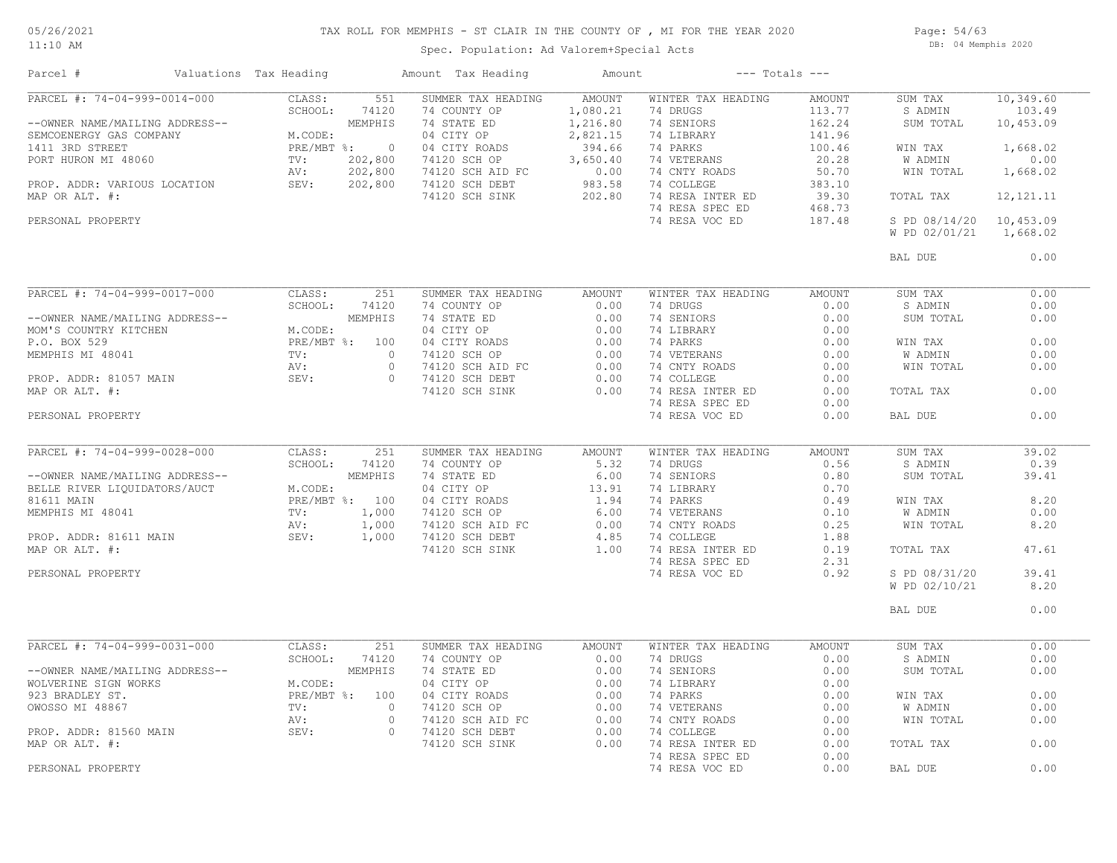## TAX ROLL FOR MEMPHIS - ST CLAIR IN THE COUNTY OF , MI FOR THE YEAR 2020

11:10 AM

#### Spec. Population: Ad Valorem+Special Acts

Page: 54/63 DB: 04 Memphis 2020

| Parcel #                                                                                                                                                                                                                                   | Valuations Tax Heading                                                                                                                                                       |                | Amount Tax Heading                                                                                        | Amount         |                                     | $---$ Totals $---$ |                |             |
|--------------------------------------------------------------------------------------------------------------------------------------------------------------------------------------------------------------------------------------------|------------------------------------------------------------------------------------------------------------------------------------------------------------------------------|----------------|-----------------------------------------------------------------------------------------------------------|----------------|-------------------------------------|--------------------|----------------|-------------|
| PARCEL #: 74-04-999-0014-000                                                                                                                                                                                                               | CLASS:                                                                                                                                                                       | 551            | SUMMER TAX HEADING                                                                                        | AMOUNT         | WINTER TAX HEADING                  | AMOUNT             | SUM TAX        | 10,349.60   |
|                                                                                                                                                                                                                                            | SCHOOL:                                                                                                                                                                      | 74120          | 74 COUNTY OP                                                                                              | 1,080.21       | 74 DRUGS                            | 113.77             | S ADMIN        | 103.49      |
| --OWNER NAME/MAILING ADDRESS--<br>SEMCOENERGY GAS COMPANY MEODE:<br>1411 3RD STREET PRE/MBT %: 0<br>PORT HURON MI 48060 TV: 202,800<br>PROP. ADDR: VARIOUS LOCATION SEV: 202,800<br>W. 202,800<br>PROP. ADDR: VARIOUS LOCATION SEV: 202,80 |                                                                                                                                                                              |                | 74 STATE ED                                                                                               | 1,216.80       | 74 SENIORS                          | 162.24             | SUM TOTAL      | 10,453.09   |
|                                                                                                                                                                                                                                            |                                                                                                                                                                              |                | 04 CITY OP                                                                                                | 2,821.15       | 74 LIBRARY                          | 141.96             |                |             |
|                                                                                                                                                                                                                                            |                                                                                                                                                                              |                | 04 CITY ROADS                                                                                             | 394.66         | 74 PARKS                            | 100.46             | WIN TAX        | 1,668.02    |
|                                                                                                                                                                                                                                            |                                                                                                                                                                              |                | 74120 SCH OP                                                                                              | 3,650.40       | 74 VETERANS                         | 20.28              | W ADMIN        | 0.00        |
|                                                                                                                                                                                                                                            |                                                                                                                                                                              |                | 74120 SCH AID FC                                                                                          | $0.00$<br>0.00 | 74 CNTY ROADS                       | 50.70              | WIN TOTAL      | 1,668.02    |
|                                                                                                                                                                                                                                            |                                                                                                                                                                              |                | 74120 SCH DEBT                                                                                            |                | 74 COLLEGE                          | 383.10             |                |             |
| MAP OR ALT. #:                                                                                                                                                                                                                             |                                                                                                                                                                              |                | 74120 SCH SINK                                                                                            | 202.80         | 74 RESA INTER ED                    | 39.30              | TOTAL TAX      | 12, 121. 11 |
|                                                                                                                                                                                                                                            |                                                                                                                                                                              |                |                                                                                                           |                | 74 RESA SPEC ED                     | 468.73             |                |             |
| PERSONAL PROPERTY                                                                                                                                                                                                                          |                                                                                                                                                                              |                |                                                                                                           |                | 74 RESA VOC ED                      | 187.48             | S PD 08/14/20  | 10,453.09   |
|                                                                                                                                                                                                                                            |                                                                                                                                                                              |                |                                                                                                           |                |                                     |                    | W PD 02/01/21  | 1,668.02    |
|                                                                                                                                                                                                                                            |                                                                                                                                                                              |                |                                                                                                           |                |                                     |                    |                |             |
|                                                                                                                                                                                                                                            |                                                                                                                                                                              |                |                                                                                                           |                |                                     |                    | BAL DUE        | 0.00        |
|                                                                                                                                                                                                                                            |                                                                                                                                                                              |                |                                                                                                           |                |                                     |                    |                | 0.00        |
| PARCEL #: 74-04-999-0017-000                                                                                                                                                                                                               | CLASS:                                                                                                                                                                       | 251            | SUMMER TAX HEADING                                                                                        | AMOUNT         | WINTER TAX HEADING                  | AMOUNT             | SUM TAX        |             |
|                                                                                                                                                                                                                                            | SCHOOL:<br>$\begin{array}{ll} \mathbb{L} & \mathbb{R} \\ & \mathbb{P} \mathbb{R} \\ & \mathbb{TV} \colon \\ & \mathbb{AV} \colon \\ & \mathbb{S} \mathbb{F}^{V} \end{array}$ | 74120          | 74 COUNTY OP                                                                                              | 0.00           | 74 DRUGS                            | 0.00               | S ADMIN        | 0.00        |
| --OWNER NAME/MAILING ADDRESS--                                                                                                                                                                                                             |                                                                                                                                                                              | MEMPHIS        | 74 STATE ED                                                                                               | 0.00           | 74 SENIORS                          | 0.00               | SUM TOTAL      | 0.00        |
| MOM'S COUNTRY KITCHEN                                                                                                                                                                                                                      | M.CODE:                                                                                                                                                                      |                | 04 CITY OP                                                                                                | 0.00           | 74 LIBRARY                          | 0.00               |                |             |
| P.O. BOX 529                                                                                                                                                                                                                               |                                                                                                                                                                              | PRE/MBT %: 100 | 04 CITY ROADS                                                                                             | 0.00           | 74 PARKS                            | 0.00               | WIN TAX        | 0.00        |
| MEMPHIS MI 48041                                                                                                                                                                                                                           |                                                                                                                                                                              | $\bigcap$      | 74120 SCH OP                                                                                              | 0.00           | 74 VETERANS                         | 0.00               | W ADMIN        | 0.00        |
|                                                                                                                                                                                                                                            |                                                                                                                                                                              | $\circ$        | $74120$ SCH AID FC                                                                                        | 0.00           | 74 CNTY ROADS                       | 0.00               | WIN TOTAL      | 0.00        |
| PROP. ADDR: 81057 MAIN                                                                                                                                                                                                                     |                                                                                                                                                                              | $\Omega$       | 74120 SCH DEBT                                                                                            | 0.00           | 74 COLLEGE                          | 0.00               |                |             |
| MAP OR ALT. #:                                                                                                                                                                                                                             |                                                                                                                                                                              |                | 74120 SCH SINK                                                                                            | 0.00           | 74 RESA INTER ED                    | 0.00               | TOTAL TAX      | 0.00        |
|                                                                                                                                                                                                                                            |                                                                                                                                                                              |                |                                                                                                           |                | 74 RESA SPEC ED                     | 0.00               |                |             |
| PERSONAL PROPERTY                                                                                                                                                                                                                          |                                                                                                                                                                              |                |                                                                                                           |                | 74 RESA VOC ED                      | 0.00               | BAL DUE        | 0.00        |
|                                                                                                                                                                                                                                            |                                                                                                                                                                              |                |                                                                                                           |                |                                     |                    |                |             |
| PARCEL #: 74-04-999-0028-000                                                                                                                                                                                                               | CLASS:                                                                                                                                                                       | 251            | SUMMER TAX HEADING                                                                                        | AMOUNT         | WINTER TAX HEADING                  | AMOUNT             | SUM TAX        | 39.02       |
|                                                                                                                                                                                                                                            | SCHOOL:                                                                                                                                                                      | 74120          | 74 COUNTY OP                                                                                              | 5.32           | 74 DRUGS                            | 0.56               | S ADMIN        | 0.39        |
|                                                                                                                                                                                                                                            |                                                                                                                                                                              | MEMPHIS        | 74 STATE ED                                                                                               | 6.00           | 74 SENIORS                          | 0.80               | SUM TOTAL      | 39.41       |
|                                                                                                                                                                                                                                            | M.CODE:                                                                                                                                                                      |                | 04 CITY OP                                                                                                | 13.91          | 74 LIBRARY                          | 0.70               |                |             |
|                                                                                                                                                                                                                                            |                                                                                                                                                                              | PRE/MBT %: 100 |                                                                                                           |                | 74 PARKS                            | 0.49               | WIN TAX        | 8.20        |
|                                                                                                                                                                                                                                            |                                                                                                                                                                              | 1,000          | 04 CITY ROADS<br>74120 SCH OP 6.00<br>74120 SCH AID FC 0.00<br>74120 SCH DEBT 4.85<br>74120 SCH SINK 1.00 |                | 74 VETERANS                         | 0.10               | W ADMIN        | 0.00        |
| UNIVER NAME/MAILING ADDRESS--<br>BELLE RIVER LIQUIDATORS/AUCT M.COD<br>81611 MAIN PRE/M<br>MEMPHIS MI 48041 TV:<br>PROP. ADDR: 81611 MAIN AV:<br>MAP OR ALT. #:                                                                            |                                                                                                                                                                              |                |                                                                                                           |                |                                     |                    |                |             |
|                                                                                                                                                                                                                                            |                                                                                                                                                                              | 1,000          |                                                                                                           |                | 74 CNTY ROADS                       | 0.25               | WIN TOTAL      | 8.20        |
|                                                                                                                                                                                                                                            |                                                                                                                                                                              | 1,000          |                                                                                                           |                | 74 COLLEGE                          | 1.88               |                |             |
|                                                                                                                                                                                                                                            |                                                                                                                                                                              |                |                                                                                                           |                | 74 RESA INTER ED                    | 0.19               | TOTAL TAX      | 47.61       |
|                                                                                                                                                                                                                                            |                                                                                                                                                                              |                |                                                                                                           |                | 74 RESA SPEC ED                     | 2.31               |                |             |
| PERSONAL PROPERTY                                                                                                                                                                                                                          |                                                                                                                                                                              |                |                                                                                                           |                | 74 RESA VOC ED                      | 0.92               | S PD 08/31/20  | 39.41       |
|                                                                                                                                                                                                                                            |                                                                                                                                                                              |                |                                                                                                           |                |                                     |                    | W PD 02/10/21  | 8.20        |
|                                                                                                                                                                                                                                            |                                                                                                                                                                              |                |                                                                                                           |                |                                     |                    | BAL DUE        | 0.00        |
|                                                                                                                                                                                                                                            |                                                                                                                                                                              |                |                                                                                                           |                |                                     |                    |                |             |
| PARCEL #: 74-04-999-0031-000                                                                                                                                                                                                               | CLASS:                                                                                                                                                                       | 251            | SUMMER TAX HEADING                                                                                        | AMOUNT         | WINTER TAX HEADING                  | AMOUNT             | SUM TAX        | 0.00        |
|                                                                                                                                                                                                                                            | SCHOOL:                                                                                                                                                                      | 74120          | 74 COUNTY OP                                                                                              | 0.00           | 74 DRUGS                            | 0.00               | S ADMIN        | 0.00        |
| --OWNER NAME/MAILING ADDRESS--                                                                                                                                                                                                             |                                                                                                                                                                              | MEMPHIS        | 74 STATE ED                                                                                               | 0.00           | 74 SENIORS                          | 0.00               | SUM TOTAL      | 0.00        |
| WOLVERINE SIGN WORKS                                                                                                                                                                                                                       | M.CODE:                                                                                                                                                                      |                | 04 CITY OP                                                                                                | 0.00           | 74 LIBRARY                          | 0.00               |                |             |
| 923 BRADLEY ST.                                                                                                                                                                                                                            |                                                                                                                                                                              | PRE/MBT %: 100 | 04 CITY ROADS                                                                                             | 0.00           | 74 PARKS                            | 0.00               | WIN TAX        | 0.00        |
| OWOSSO MI 48867                                                                                                                                                                                                                            | TV:                                                                                                                                                                          | $\Omega$       | 74120 SCH OP                                                                                              | 0.00           | 74 VETERANS                         | 0.00               | <b>W ADMIN</b> | 0.00        |
|                                                                                                                                                                                                                                            | AV:                                                                                                                                                                          | $\circ$        | 74120 SCH AID FC                                                                                          | 0.00           | 74 CNTY ROADS                       | 0.00               | WIN TOTAL      | 0.00        |
| PROP. ADDR: 81560 MAIN                                                                                                                                                                                                                     | SEV:                                                                                                                                                                         | $\Omega$       | 74120 SCH DEBT                                                                                            | 0.00           | 74 COLLEGE                          | 0.00               |                |             |
|                                                                                                                                                                                                                                            |                                                                                                                                                                              |                |                                                                                                           | 0.00           |                                     | 0.00               |                | 0.00        |
| MAP OR ALT. #:                                                                                                                                                                                                                             |                                                                                                                                                                              |                | 74120 SCH SINK                                                                                            |                | 74 RESA INTER ED<br>74 RESA SPEC ED | 0.00               | TOTAL TAX      |             |
|                                                                                                                                                                                                                                            |                                                                                                                                                                              |                |                                                                                                           |                |                                     |                    |                |             |
| PERSONAL PROPERTY                                                                                                                                                                                                                          |                                                                                                                                                                              |                |                                                                                                           |                | 74 RESA VOC ED                      | 0.00               | BAL DUE        | 0.00        |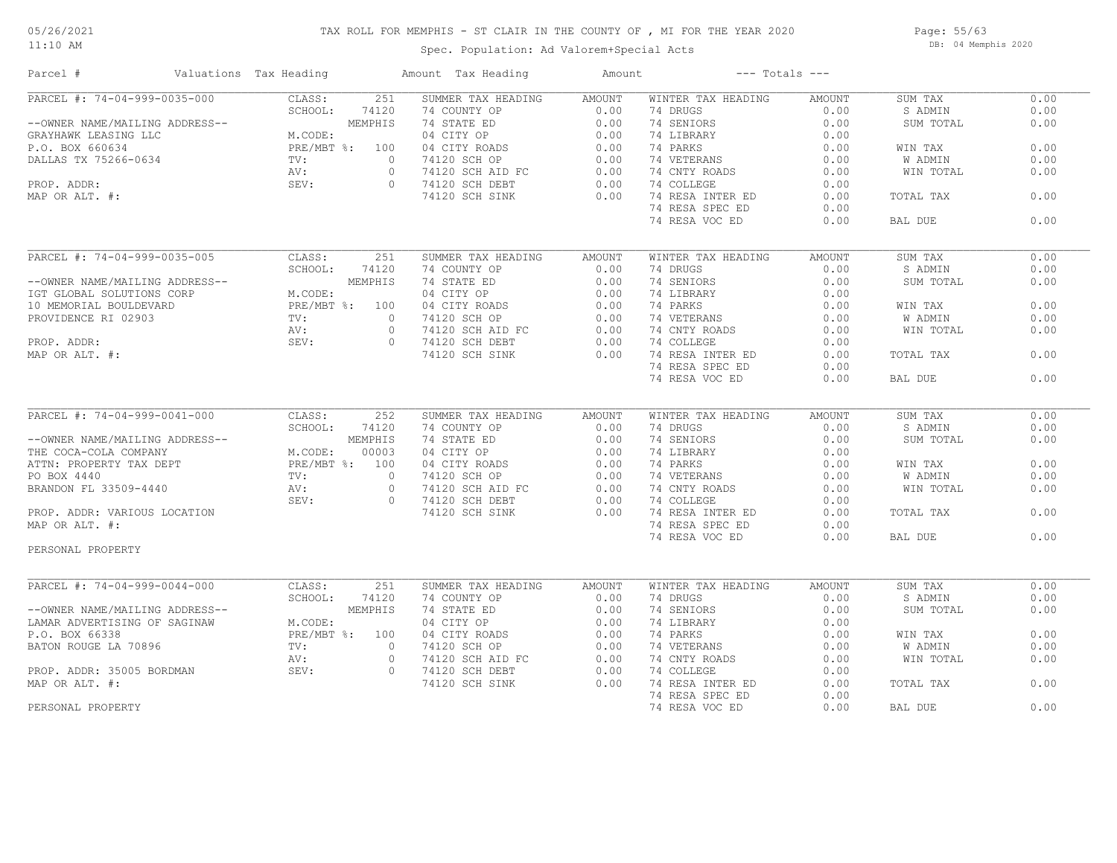11:10 AM

## TAX ROLL FOR MEMPHIS - ST CLAIR IN THE COUNTY OF , MI FOR THE YEAR 2020

Spec. Population: Ad Valorem+Special Acts

Page: 55/63 DB: 04 Memphis 2020

| Parcel #                                                                                                                  | Valuations Tax Heading |                | Amount Tax Heading                                                                                                               | Amount        | $---$ Totals $---$ |               |                |      |
|---------------------------------------------------------------------------------------------------------------------------|------------------------|----------------|----------------------------------------------------------------------------------------------------------------------------------|---------------|--------------------|---------------|----------------|------|
| PARCEL #: 74-04-999-0035-000                                                                                              | CLASS:                 | 251            | SUMMER TAX HEADING                                                                                                               | AMOUNT        | WINTER TAX HEADING | AMOUNT        | SUM TAX        | 0.00 |
|                                                                                                                           |                        | 74120          | 74 COUNTY OP                                                                                                                     | 0.00          | 74 DRUGS           | 0.00          | S ADMIN        | 0.00 |
|                                                                                                                           |                        | MEMPHIS        | 74 STATE ED                                                                                                                      | 0.00          | 74 SENIORS         | 0.00          | SUM TOTAL      | 0.00 |
|                                                                                                                           |                        |                | 04 CITY OP                                                                                                                       | 0.00          | 74 LIBRARY         | 0.00          |                |      |
|                                                                                                                           | PRE/MBT %: 100         |                | 04 CITY ROADS                                                                                                                    | 0.00          | 74 PARKS           | 0.00          | WIN TAX        | 0.00 |
|                                                                                                                           |                        | $\circ$        | 74120 SCH OP                                                                                                                     | 0.00          | 74 VETERANS        | 0.00          | <b>W ADMIN</b> | 0.00 |
|                                                                                                                           |                        |                |                                                                                                                                  |               |                    |               |                |      |
|                                                                                                                           |                        | $\circ$        | 74120 SCH AID FC<br>74120 SCH DEBT                                                                                               | 0.00          | 74 CNTY ROADS      | 0.00          | WIN TOTAL      | 0.00 |
|                                                                                                                           |                        | $\Omega$       |                                                                                                                                  | 0.00          | 74 COLLEGE         | 0.00          |                |      |
|                                                                                                                           |                        |                | 74120 SCH SINK                                                                                                                   | 0.00          | 74 RESA INTER ED   | 0.00          | TOTAL TAX      | 0.00 |
|                                                                                                                           |                        |                |                                                                                                                                  |               | 74 RESA SPEC ED    | 0.00          |                |      |
| ADDRESS--<br>P.O. BOX 660634<br>DALLAS TX 75266-0634<br>PRE/MBT<br>POP. ADDR:<br>POP. ADDR:<br>POR ALT. #:<br>POR ALT. #: |                        |                |                                                                                                                                  |               | 74 RESA VOC ED     | 0.00          | BAL DUE        | 0.00 |
|                                                                                                                           |                        |                |                                                                                                                                  |               |                    |               |                |      |
| PARCEL #: 74-04-999-0035-005                                                                                              | CLASS:                 | 251            | SUMMER TAX HEADING                                                                                                               | AMOUNT        | WINTER TAX HEADING | AMOUNT        | SUM TAX        | 0.00 |
|                                                                                                                           | SCHOOL:                | 74120          | 74 COUNTY OP                                                                                                                     | 0.00          | 74 DRUGS           | 0.00          | S ADMIN        | 0.00 |
| --OWNER NAME/MAILING ADDRESS--                                                                                            |                        | MEMPHIS        |                                                                                                                                  | 0.00          | 74 SENIORS         | 0.00          | SUM TOTAL      | 0.00 |
| IGT GLOBAL SOLUTIONS CORP                                                                                                 | M.CODE:                |                |                                                                                                                                  | 0.00          | 74 LIBRARY         | 0.00          |                |      |
| 10 MEMORIAL BOULDEVARD                                                                                                    | PRE/MBT %: 100         |                |                                                                                                                                  | 0.00          | 74 PARKS           | 0.00          | WIN TAX        | 0.00 |
| PROVIDENCE RI 02903                                                                                                       |                        | $\circ$        |                                                                                                                                  | 0.00          | 74 VETERANS        | 0.00          | W ADMIN        | 0.00 |
|                                                                                                                           | $TV:$<br>AV :<br>SEV : | $\circ$        | /4 COUNTI OF<br>74 STATE ED<br>04 CITY OP<br>94 CITY ROADS<br>74120 SCH AID FC<br>74120 SCH AID FC                               | 0.00          | 74 CNTY ROADS      | 0.00          | WIN TOTAL      | 0.00 |
|                                                                                                                           |                        |                |                                                                                                                                  |               |                    |               |                |      |
| PROP. ADDR:                                                                                                               | SEV:                   | $\circ$        |                                                                                                                                  | 0.00          | 74 COLLEGE         | 0.00          |                |      |
| MAP OR ALT. #:                                                                                                            |                        |                | 74120 SCH SINK                                                                                                                   | 0.00          | 74 RESA INTER ED   | 0.00          | TOTAL TAX      | 0.00 |
|                                                                                                                           |                        |                |                                                                                                                                  |               | 74 RESA SPEC ED    | 0.00          |                |      |
|                                                                                                                           |                        |                |                                                                                                                                  |               | 74 RESA VOC ED     | 0.00          | BAL DUE        | 0.00 |
|                                                                                                                           |                        |                |                                                                                                                                  |               |                    |               |                |      |
|                                                                                                                           |                        |                | SUMMER TAX HEADING                                                                                                               | <b>AMOUNT</b> | WINTER TAX HEADING | <b>AMOUNT</b> | SUM TAX        | 0.00 |
|                                                                                                                           |                        |                |                                                                                                                                  | 0.00          | 74 DRUGS           | 0.00          | S ADMIN        | 0.00 |
|                                                                                                                           |                        |                |                                                                                                                                  | 0.00          | 74 SENIORS         | 0.00          | SUM TOTAL      | 0.00 |
|                                                                                                                           |                        |                |                                                                                                                                  | 0.00          | 74 LIBRARY         | 0.00          |                |      |
|                                                                                                                           |                        |                |                                                                                                                                  |               |                    |               |                |      |
|                                                                                                                           |                        |                |                                                                                                                                  | 0.00          | 74 PARKS           | 0.00          | WIN TAX        | 0.00 |
|                                                                                                                           |                        |                |                                                                                                                                  | 0.00          | 74 VETERANS        | 0.00          | W ADMIN        | 0.00 |
|                                                                                                                           |                        |                | 74 CONTY OP<br>74 CONTY OP<br>74 STATE ED<br>04 CITY OP<br>04 CITY ROADS<br>74120 SCH AID FC<br>74120 SCH BIBT<br>74120 SCH BINK | 0.00          | 74 CNTY ROADS      | 0.00          | WIN TOTAL      | 0.00 |
|                                                                                                                           |                        | $\overline{0}$ |                                                                                                                                  | 0.00          | 74 COLLEGE         | 0.00          |                |      |
| PROP. ADDR: VARIOUS LOCATION                                                                                              |                        |                | 74120 SCH SINK                                                                                                                   | 0.00          | 74 RESA INTER ED   | 0.00          | TOTAL TAX      | 0.00 |
| MAP OR ALT. #:                                                                                                            |                        |                |                                                                                                                                  |               | 74 RESA SPEC ED    | 0.00          |                |      |
|                                                                                                                           |                        |                |                                                                                                                                  |               | 74 RESA VOC ED     | 0.00          | BAL DUE        | 0.00 |
| PERSONAL PROPERTY                                                                                                         |                        |                |                                                                                                                                  |               |                    |               |                |      |
|                                                                                                                           |                        |                |                                                                                                                                  |               |                    |               |                |      |
| PARCEL #: 74-04-999-0044-000                                                                                              | CLASS:                 | 251            | SUMMER TAX HEADING                                                                                                               | <b>AMOUNT</b> | WINTER TAX HEADING | AMOUNT        | SUM TAX        | 0.00 |
|                                                                                                                           | SCHOOL:                | 74120          | 74 COUNTY OP                                                                                                                     | 0.00          | 74 DRUGS           | 0.00          | S ADMIN        | 0.00 |
| --OWNER NAME/MAILING ADDRESS--                                                                                            |                        | MEMPHIS        | 74 STATE ED                                                                                                                      | 0.00          | 74 SENIORS         | 0.00          | SUM TOTAL      | 0.00 |
| LAMAR ADVERTISING OF SAGINAW                                                                                              | M.CODE:                |                |                                                                                                                                  | 0.00          | 74 LIBRARY         | 0.00          |                |      |
| P.O. BOX 66338                                                                                                            | PRE/MBT %: 100         |                |                                                                                                                                  | 0.00          | 74 PARKS           | 0.00          | WIN TAX        | 0.00 |
|                                                                                                                           |                        |                | 74 STATE ED<br>04 CITY OP<br>04 CITY ROADS<br>74120 SCH OP<br>74120 SCH AID FC                                                   |               |                    |               |                |      |
| BATON ROUGE LA 70896                                                                                                      |                        | $\circ$        |                                                                                                                                  | 0.00          | 74 VETERANS        | 0.00          | W ADMIN        | 0.00 |
|                                                                                                                           | AV:                    | $\circ$        |                                                                                                                                  | 0.00          | 74 CNTY ROADS      | 0.00          | WIN TOTAL      | 0.00 |
| PROP. ADDR: 35005 BORDMAN<br>MAP OR ALT #:                                                                                | SEV:                   | $\circ$        | 74120 SCH DEBT                                                                                                                   | 0.00          | 74 COLLEGE         | 0.00          |                |      |
| MAP OR ALT. #:                                                                                                            |                        |                | 74120 SCH SINK                                                                                                                   | 0.00          | 74 RESA INTER ED   | 0.00          | TOTAL TAX      | 0.00 |
|                                                                                                                           |                        |                |                                                                                                                                  |               | 74 RESA SPEC ED    | 0.00          |                |      |
| PERSONAL PROPERTY                                                                                                         |                        |                |                                                                                                                                  |               | 74 RESA VOC ED     | 0.00          | BAL DUE        | 0.00 |
|                                                                                                                           |                        |                |                                                                                                                                  |               |                    |               |                |      |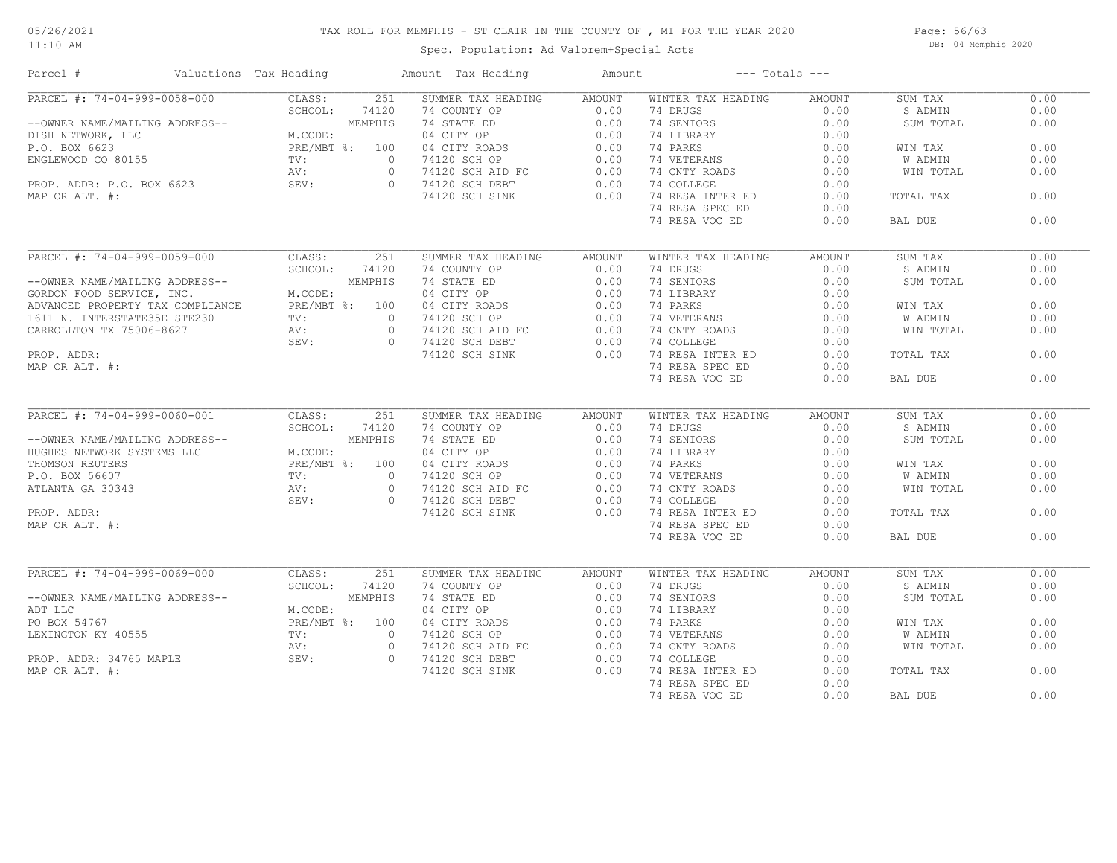#### 11:10 AM

#### TAX ROLL FOR MEMPHIS - ST CLAIR IN THE COUNTY OF , MI FOR THE YEAR 2020

Spec. Population: Ad Valorem+Special Acts

Page: 56/63 DB: 04 Memphis 2020

| Parcel #                                                             | Valuations Tax Heading                                                                                                                                                                                                                           | Amount Tax Heading                                                                                                                                                                                                                                                                                                                                                                                                                                                                                                                                   | Amount        |                              | $---$ Totals $---$ |                |      |
|----------------------------------------------------------------------|--------------------------------------------------------------------------------------------------------------------------------------------------------------------------------------------------------------------------------------------------|------------------------------------------------------------------------------------------------------------------------------------------------------------------------------------------------------------------------------------------------------------------------------------------------------------------------------------------------------------------------------------------------------------------------------------------------------------------------------------------------------------------------------------------------------|---------------|------------------------------|--------------------|----------------|------|
| PARCEL #: 74-04-999-0058-000                                         | CLASS:<br>251                                                                                                                                                                                                                                    | SUMMER TAX HEADING AMOUNT                                                                                                                                                                                                                                                                                                                                                                                                                                                                                                                            |               | WINTER TAX HEADING           | AMOUNT             | SUM TAX        | 0.00 |
|                                                                      |                                                                                                                                                                                                                                                  |                                                                                                                                                                                                                                                                                                                                                                                                                                                                                                                                                      |               | 74 DRUGS                     | 0.00               | S ADMIN        | 0.00 |
|                                                                      | --OWNER NAME/MAILING ADDRESS--<br>DISH NETWORK, LLC<br>P.O. BOX 6623<br>ENGLEWOOD CO 80155<br>PROP. ADDR: P.O. BOX 6623<br>PROP. ADDR: P.O. BOX 6623<br>PROP. ADDR: P.O. BOX 6623<br>PROP. ADDR: P.O. BOX 6623<br>M.CODE: 04 CITY OP<br>PROP. AD |                                                                                                                                                                                                                                                                                                                                                                                                                                                                                                                                                      |               | 74 SENIORS                   | 0.00               | SUM TOTAL      | 0.00 |
|                                                                      |                                                                                                                                                                                                                                                  |                                                                                                                                                                                                                                                                                                                                                                                                                                                                                                                                                      |               | 74 LIBRARY                   | 0.00               |                |      |
|                                                                      |                                                                                                                                                                                                                                                  |                                                                                                                                                                                                                                                                                                                                                                                                                                                                                                                                                      |               | 74 PARKS                     | 0.00               | WIN TAX        | 0.00 |
|                                                                      |                                                                                                                                                                                                                                                  |                                                                                                                                                                                                                                                                                                                                                                                                                                                                                                                                                      |               | 74 VETERANS                  | 0.00               | W ADMIN        | 0.00 |
|                                                                      |                                                                                                                                                                                                                                                  |                                                                                                                                                                                                                                                                                                                                                                                                                                                                                                                                                      |               | 74 CNTY ROADS 0.00           |                    | WIN TOTAL      | 0.00 |
|                                                                      |                                                                                                                                                                                                                                                  |                                                                                                                                                                                                                                                                                                                                                                                                                                                                                                                                                      |               | 74 COLLEGE                   | 0.00               |                |      |
|                                                                      |                                                                                                                                                                                                                                                  |                                                                                                                                                                                                                                                                                                                                                                                                                                                                                                                                                      |               | 74 RESA INTER ED             | 0.00               | TOTAL TAX      | 0.00 |
|                                                                      |                                                                                                                                                                                                                                                  |                                                                                                                                                                                                                                                                                                                                                                                                                                                                                                                                                      |               | 74 RESA SPEC ED              | 0.00               |                |      |
|                                                                      |                                                                                                                                                                                                                                                  |                                                                                                                                                                                                                                                                                                                                                                                                                                                                                                                                                      |               | 74 RESA VOC ED               | 0.00               | BAL DUE        | 0.00 |
|                                                                      |                                                                                                                                                                                                                                                  |                                                                                                                                                                                                                                                                                                                                                                                                                                                                                                                                                      |               |                              |                    |                |      |
| PARCEL #: 74-04-999-0059-000                                         | CLASS:<br>251                                                                                                                                                                                                                                    | SUMMER TAX HEADING                                                                                                                                                                                                                                                                                                                                                                                                                                                                                                                                   | <b>AMOUNT</b> | WINTER TAX HEADING           | AMOUNT             | SUM TAX        | 0.00 |
|                                                                      | SCHOOL: 74120                                                                                                                                                                                                                                    |                                                                                                                                                                                                                                                                                                                                                                                                                                                                                                                                                      |               | 74 DRUGS                     | 0.00               | S ADMIN        | 0.00 |
|                                                                      |                                                                                                                                                                                                                                                  |                                                                                                                                                                                                                                                                                                                                                                                                                                                                                                                                                      |               |                              | 0.00               | SUM TOTAL      | 0.00 |
|                                                                      |                                                                                                                                                                                                                                                  |                                                                                                                                                                                                                                                                                                                                                                                                                                                                                                                                                      |               |                              | 0.00               |                |      |
|                                                                      |                                                                                                                                                                                                                                                  |                                                                                                                                                                                                                                                                                                                                                                                                                                                                                                                                                      |               |                              | 0.00               | WIN TAX        | 0.00 |
|                                                                      | --OWNER NAME/MAILING ADDRESS--<br>GORDON FOOD SERVICE, INC.<br>ADVANCED PROPERTY TAX COMPLIANCE<br>1611 N. INTERSTATE35E STE230 TV:<br>CARROLLTON TX 75006-8627 AV:<br>PROP. ADDR:<br>MAP OR ALT. #:<br>AP OR ALT. #:                            |                                                                                                                                                                                                                                                                                                                                                                                                                                                                                                                                                      |               |                              | 0.00               | W ADMIN        | 0.00 |
|                                                                      |                                                                                                                                                                                                                                                  |                                                                                                                                                                                                                                                                                                                                                                                                                                                                                                                                                      |               |                              | 0.00               | WIN TOTAL      | 0.00 |
|                                                                      |                                                                                                                                                                                                                                                  |                                                                                                                                                                                                                                                                                                                                                                                                                                                                                                                                                      |               |                              | 0.00               |                |      |
|                                                                      |                                                                                                                                                                                                                                                  |                                                                                                                                                                                                                                                                                                                                                                                                                                                                                                                                                      |               |                              | 0.00               | TOTAL TAX      | 0.00 |
|                                                                      |                                                                                                                                                                                                                                                  |                                                                                                                                                                                                                                                                                                                                                                                                                                                                                                                                                      |               | 74 RESA SPEC ED              | 0.00               |                |      |
|                                                                      |                                                                                                                                                                                                                                                  |                                                                                                                                                                                                                                                                                                                                                                                                                                                                                                                                                      |               | 74 RESA VOC ED               | 0.00               | BAL DUE        | 0.00 |
|                                                                      |                                                                                                                                                                                                                                                  |                                                                                                                                                                                                                                                                                                                                                                                                                                                                                                                                                      |               |                              |                    |                |      |
| PARCEL #: 74-04-999-0060-001                                         | CLASS:<br>251                                                                                                                                                                                                                                    | SUMMER TAX HEADING                                                                                                                                                                                                                                                                                                                                                                                                                                                                                                                                   | AMOUNT        | WINTER TAX HEADING           | <b>AMOUNT</b>      | SUM TAX        | 0.00 |
|                                                                      |                                                                                                                                                                                                                                                  |                                                                                                                                                                                                                                                                                                                                                                                                                                                                                                                                                      |               |                              | 0.00               | S ADMIN        | 0.00 |
| --OWNER NAME/MAILING ADDRESS--<br>HUGHES NETWORK SYSTEMS LLC M.CODE: |                                                                                                                                                                                                                                                  |                                                                                                                                                                                                                                                                                                                                                                                                                                                                                                                                                      |               |                              | 0.00               | SUM TOTAL      | 0.00 |
|                                                                      |                                                                                                                                                                                                                                                  |                                                                                                                                                                                                                                                                                                                                                                                                                                                                                                                                                      |               |                              | 0.00               |                |      |
| THOMSON REUTERS                                                      |                                                                                                                                                                                                                                                  |                                                                                                                                                                                                                                                                                                                                                                                                                                                                                                                                                      |               |                              | 0.00               | WIN TAX        | 0.00 |
| P.O. BOX 56607                                                       |                                                                                                                                                                                                                                                  |                                                                                                                                                                                                                                                                                                                                                                                                                                                                                                                                                      |               |                              | 0.00               | W ADMIN        | 0.00 |
| ATLANTA GA 30343                                                     |                                                                                                                                                                                                                                                  |                                                                                                                                                                                                                                                                                                                                                                                                                                                                                                                                                      |               |                              | 0.00               | WIN TOTAL      | 0.00 |
|                                                                      |                                                                                                                                                                                                                                                  |                                                                                                                                                                                                                                                                                                                                                                                                                                                                                                                                                      |               |                              | 0.00               |                |      |
| PROP. ADDR:                                                          |                                                                                                                                                                                                                                                  |                                                                                                                                                                                                                                                                                                                                                                                                                                                                                                                                                      |               |                              | 0.00               | TOTAL TAX      | 0.00 |
| MAP OR ALT. #:                                                       | 14 COUNTY OP 0.00 74 DRUGS<br>14 COUNTY OP 0.00 74 DRUGS<br>14 STEMS LLC M.CODE: 04 CITY OP 0.00 74 SENIORS<br>14 STEMS 14 STATE ED 0.00 74 SENIORS<br>14 STEMS 14 ON 20120 SCH AID FC 0.00 74 VETERANS<br>14 ON 20120 SCH AID FC 0.00 7         |                                                                                                                                                                                                                                                                                                                                                                                                                                                                                                                                                      |               |                              | 0.00               |                |      |
|                                                                      |                                                                                                                                                                                                                                                  |                                                                                                                                                                                                                                                                                                                                                                                                                                                                                                                                                      |               | 74 RESA VOC ED               | 0.00               | BAL DUE        | 0.00 |
| PARCEL #: 74-04-999-0069-000                                         | CLASS:<br>251                                                                                                                                                                                                                                    | $\begin{tabular}{c} .\scriptsize \begin{tabular}{c} A\overline{D} \overline{ING} \\ \scriptsize \end{tabular} \\ \scriptsize \begin{tabular}{c} \multicolumn{2}{c}{} & $ & $ & $ & $ \\ \scriptsize & \multicolumn{2}{c}{} & $ & $ & $ \\ \scriptsize & \multicolumn{2}{c}{} & $ & $ & $ & $ \\ \scriptsize & \multicolumn{2}{c}{} & $ & $ & $ & $ \\ \scriptsize & \multicolumn{2}{c}{} & $ & $ & $ & $ \\ \scriptsize & \multicolumn{2}{c}{} & $ & $ & $ & $ & $ \\ \scriptsize & \multicolumn{2}{c}{} & $ & $ & $ & $ & $ \\ \scriptsize & \mult$ |               | WINTER TAX HEADING           | <b>AMOUNT</b>      | SUM TAX        | 0.00 |
|                                                                      | SCHOOL:<br>74120                                                                                                                                                                                                                                 |                                                                                                                                                                                                                                                                                                                                                                                                                                                                                                                                                      |               | 74 DRUGS                     | 0.00               | S ADMIN        | 0.00 |
|                                                                      |                                                                                                                                                                                                                                                  |                                                                                                                                                                                                                                                                                                                                                                                                                                                                                                                                                      |               | 74 SENIORS                   | 0.00               | SUM TOTAL      | 0.00 |
|                                                                      |                                                                                                                                                                                                                                                  |                                                                                                                                                                                                                                                                                                                                                                                                                                                                                                                                                      |               | 74 LIBRARY                   | 0.00               |                |      |
|                                                                      |                                                                                                                                                                                                                                                  |                                                                                                                                                                                                                                                                                                                                                                                                                                                                                                                                                      |               | 74 PARKS                     | 0.00               | WIN TAX        | 0.00 |
|                                                                      |                                                                                                                                                                                                                                                  |                                                                                                                                                                                                                                                                                                                                                                                                                                                                                                                                                      |               |                              | 0.00               | <b>W ADMIN</b> | 0.00 |
|                                                                      |                                                                                                                                                                                                                                                  |                                                                                                                                                                                                                                                                                                                                                                                                                                                                                                                                                      |               | 74 VETERANS<br>74 CNTY ROADS |                    |                | 0.00 |
|                                                                      |                                                                                                                                                                                                                                                  |                                                                                                                                                                                                                                                                                                                                                                                                                                                                                                                                                      |               |                              | 0.00<br>0.00       | WIN TOTAL      |      |
|                                                                      |                                                                                                                                                                                                                                                  |                                                                                                                                                                                                                                                                                                                                                                                                                                                                                                                                                      |               | 74 COLLEGE                   |                    |                |      |
|                                                                      |                                                                                                                                                                                                                                                  |                                                                                                                                                                                                                                                                                                                                                                                                                                                                                                                                                      |               | 74 RESA INTER ED             | 0.00               | TOTAL TAX      | 0.00 |
|                                                                      |                                                                                                                                                                                                                                                  |                                                                                                                                                                                                                                                                                                                                                                                                                                                                                                                                                      |               | 74 RESA SPEC ED              | 0.00               |                |      |
|                                                                      |                                                                                                                                                                                                                                                  |                                                                                                                                                                                                                                                                                                                                                                                                                                                                                                                                                      |               | 74 RESA VOC ED               | 0.00               | BAL DUE        | 0.00 |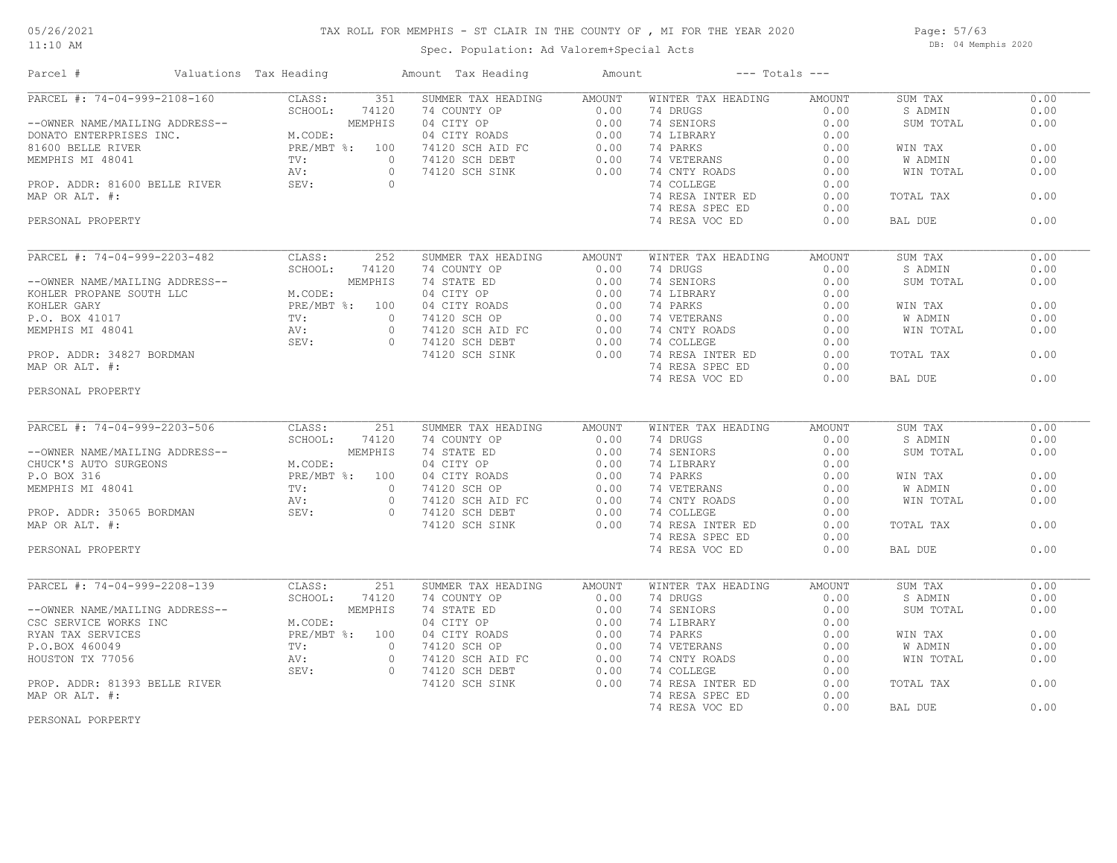#### 05/26/2021 11:10 AM

## TAX ROLL FOR MEMPHIS - ST CLAIR IN THE COUNTY OF , MI FOR THE YEAR 2020

Spec. Population: Ad Valorem+Special Acts

Page: 57/63 DB: 04 Memphis 2020

| Parcel #                                                                                                                | Valuations Tax Heading                                                                                                                                                                                                                     | Amount Tax Heading                                                                                                | Amount        |                    | $---$ Totals $---$ |           |      |
|-------------------------------------------------------------------------------------------------------------------------|--------------------------------------------------------------------------------------------------------------------------------------------------------------------------------------------------------------------------------------------|-------------------------------------------------------------------------------------------------------------------|---------------|--------------------|--------------------|-----------|------|
| PARCEL #: 74-04-999-2108-160                                                                                            | CLASS:<br>351                                                                                                                                                                                                                              | SUMMER TAX HEADING                                                                                                | AMOUNT        | WINTER TAX HEADING | AMOUNT             | SUM TAX   | 0.00 |
|                                                                                                                         |                                                                                                                                                                                                                                            | 74 COUNTY OP                                                                                                      | 0.00          | 74 DRUGS           | 0.00               | S ADMIN   | 0.00 |
| -------<br>--OWNER NAME/MAILING ADDRESS--<br>DONATO ENTERPRISES INC. M.CODE:<br>21600 BELLE RIVER PRE/MBT %: 100<br>TV: |                                                                                                                                                                                                                                            | 04 CITY OP                                                                                                        | 0.00          | 74 SENIORS         | 0.00               | SUM TOTAL | 0.00 |
|                                                                                                                         |                                                                                                                                                                                                                                            | 04 CITY ROADS                                                                                                     | 0.00          | 74 LIBRARY         | 0.00               |           |      |
|                                                                                                                         |                                                                                                                                                                                                                                            | 04 CITI AVILL<br>74120 SCH AID FC<br>2011 DERT                                                                    | 0.00          | 74 PARKS           | 0.00               | WIN TAX   | 0.00 |
|                                                                                                                         |                                                                                                                                                                                                                                            |                                                                                                                   | 0.00          | 74 VETERANS        | 0.00               | W ADMIN   | 0.00 |
|                                                                                                                         | AV:                                                                                                                                                                                                                                        | 74120 SCH SINK<br>$\Omega$                                                                                        | 0.00          | 74 CNTY ROADS      | 0.00               | WIN TOTAL | 0.00 |
| PROP. ADDR: 81600 BELLE RIVER                                                                                           | SEV:                                                                                                                                                                                                                                       | $\circ$                                                                                                           |               | 74 COLLEGE         | 0.00               |           |      |
| MAP OR ALT. #:                                                                                                          |                                                                                                                                                                                                                                            |                                                                                                                   |               | 74 RESA INTER ED   | 0.00               | TOTAL TAX | 0.00 |
|                                                                                                                         |                                                                                                                                                                                                                                            |                                                                                                                   |               | 74 RESA SPEC ED    | 0.00               |           |      |
|                                                                                                                         |                                                                                                                                                                                                                                            |                                                                                                                   |               |                    |                    | BAL DUE   | 0.00 |
| PERSONAL PROPERTY                                                                                                       |                                                                                                                                                                                                                                            |                                                                                                                   |               | 74 RESA VOC ED     | 0.00               |           |      |
| PARCEL #: 74-04-999-2203-482                                                                                            | CLASS:<br>252                                                                                                                                                                                                                              | SUMMER TAX HEADING                                                                                                | <b>AMOUNT</b> | WINTER TAX HEADING | <b>AMOUNT</b>      | SUM TAX   | 0.00 |
|                                                                                                                         | SCHOOL:<br>74120                                                                                                                                                                                                                           | 74 COUNTY OP                                                                                                      | 0.00          | 74 DRUGS           | 0.00               | S ADMIN   | 0.00 |
| --OWNER NAME/MAILING ADDRESS--                                                                                          | MEMPHIS                                                                                                                                                                                                                                    | 74 STATE ED                                                                                                       | 0.00          | 74 SENIORS         | 0.00               | SUM TOTAL | 0.00 |
| KOHLER PROPANE SOUTH LLC                                                                                                | M.CODE:                                                                                                                                                                                                                                    | 04 CITY OP                                                                                                        | 0.00          | 74 LIBRARY         | 0.00               |           |      |
|                                                                                                                         |                                                                                                                                                                                                                                            |                                                                                                                   |               |                    |                    |           |      |
| KOHLER GARY                                                                                                             | PRE/MBT %: 100                                                                                                                                                                                                                             | 04 CITY ROADS                                                                                                     | 0.00          | 74 PARKS           | 0.00               | WIN TAX   | 0.00 |
| P.O. BOX 41017                                                                                                          | TV:                                                                                                                                                                                                                                        | $\circ$<br>74120 SCH OP                                                                                           | 0.00          | 74 VETERANS        | 0.00               | W ADMIN   | 0.00 |
| MEMPHIS MI 48041                                                                                                        | AV:                                                                                                                                                                                                                                        | 74120 SCH AID FC<br>74120 SCH PEPT<br>$\circ$                                                                     | 0.00          | 74 CNTY ROADS      | 0.00               | WIN TOTAL | 0.00 |
|                                                                                                                         | SEV:                                                                                                                                                                                                                                       | $\Omega$<br>74120 SCH DEBT                                                                                        | 0.00          | 74 COLLEGE         | 0.00               |           |      |
| PROP. ADDR: 34827 BORDMAN                                                                                               |                                                                                                                                                                                                                                            | 74120 SCH SINK                                                                                                    | 0.00          | 74 RESA INTER ED   | 0.00               | TOTAL TAX | 0.00 |
| MAP OR ALT. #:                                                                                                          |                                                                                                                                                                                                                                            |                                                                                                                   |               | 74 RESA SPEC ED    | 0.00               |           |      |
|                                                                                                                         |                                                                                                                                                                                                                                            |                                                                                                                   |               | 74 RESA VOC ED     | 0.00               | BAL DUE   | 0.00 |
| PERSONAL PROPERTY                                                                                                       |                                                                                                                                                                                                                                            |                                                                                                                   |               |                    |                    |           |      |
|                                                                                                                         |                                                                                                                                                                                                                                            |                                                                                                                   |               |                    |                    |           |      |
|                                                                                                                         |                                                                                                                                                                                                                                            |                                                                                                                   |               |                    |                    |           |      |
| PARCEL #: 74-04-999-2203-506                                                                                            | CLASS:<br>251                                                                                                                                                                                                                              | SUMMER TAX HEADING                                                                                                | AMOUNT        | WINTER TAX HEADING | <b>AMOUNT</b>      | SUM TAX   | 0.00 |
|                                                                                                                         | SCHOOL:<br>74120                                                                                                                                                                                                                           | 74 COUNTY OP                                                                                                      | 0.00          | 74 DRUGS           | 0.00               | S ADMIN   | 0.00 |
| --OWNER NAME/MAILING ADDRESS--                                                                                          | ADDRESS--<br>M.CODE:<br>M.CODE:<br>PRE/MBT %: 100<br>The Management of the Second Second Second Second Second Second Second Second Second Second Second Second Second Second Second Second Second Second Second Second Second Second Secon | 74 STATE ED                                                                                                       | 0.00          | 74 SENIORS         | 0.00               | SUM TOTAL | 0.00 |
| CHUCK'S AUTO SURGEONS                                                                                                   |                                                                                                                                                                                                                                            |                                                                                                                   | 0.00          | 74 LIBRARY         | 0.00               |           |      |
| P.O BOX 316                                                                                                             |                                                                                                                                                                                                                                            |                                                                                                                   | 0.00          | 74 PARKS           | 0.00               | WIN TAX   | 0.00 |
|                                                                                                                         |                                                                                                                                                                                                                                            | $\Omega$                                                                                                          | 0.00          | 74 VETERANS        | 0.00               | W ADMIN   | 0.00 |
| MEMPHIS MI 48041 TV:<br>PROP. ADDR: 35065 BORDMAN SEV:<br>MAP OR ALT. #:                                                |                                                                                                                                                                                                                                            | 14 STATE DD<br>04 CITY ROADS<br>04 CITY ROADS<br>74120 SCH AID FC<br>74120 SCH AID FC<br>7130 SCH DEBT<br>$\circ$ | 0.00          | 74 CNTY ROADS      | 0.00               | WIN TOTAL | 0.00 |
|                                                                                                                         |                                                                                                                                                                                                                                            | $\Omega$                                                                                                          | 0.00          | 74 COLLEGE         | 0.00               |           |      |
|                                                                                                                         |                                                                                                                                                                                                                                            | 74120 SCH SINK                                                                                                    | 0.00          | 74 RESA INTER ED   | 0.00               | TOTAL TAX | 0.00 |
|                                                                                                                         |                                                                                                                                                                                                                                            |                                                                                                                   |               | 74 RESA SPEC ED    | 0.00               |           |      |
| PERSONAL PROPERTY                                                                                                       |                                                                                                                                                                                                                                            |                                                                                                                   |               | 74 RESA VOC ED     | 0.00               | BAL DUE   | 0.00 |
|                                                                                                                         |                                                                                                                                                                                                                                            |                                                                                                                   |               |                    |                    |           |      |
| PARCEL #: 74-04-999-2208-139                                                                                            | CLASS:<br>251                                                                                                                                                                                                                              | SUMMER TAX HEADING                                                                                                | AMOUNT        | WINTER TAX HEADING | AMOUNT             | SUM TAX   | 0.00 |
|                                                                                                                         | SCHOOL:<br>74120                                                                                                                                                                                                                           | 74 COUNTY OP                                                                                                      | 0.00          | 74 DRUGS           | 0.00               | S ADMIN   | 0.00 |
| --OWNER NAME/MAILING ADDRESS--                                                                                          | MEMPHIS                                                                                                                                                                                                                                    | 74 STATE ED                                                                                                       | 0.00          | 74 SENIORS         | 0.00               | SUM TOTAL | 0.00 |
| CSC SERVICE WORKS INC                                                                                                   | M.CODE:                                                                                                                                                                                                                                    | 04 CITY OP                                                                                                        | 0.00          | 74 LIBRARY         | 0.00               |           |      |
|                                                                                                                         |                                                                                                                                                                                                                                            |                                                                                                                   |               |                    |                    |           |      |
| RYAN TAX SERVICES                                                                                                       | PRE/MBT %: 100                                                                                                                                                                                                                             | 04 CITY ROADS                                                                                                     | 0.00          | 74 PARKS           | 0.00               | WIN TAX   | 0.00 |
| P.O.BOX 460049                                                                                                          | TV:                                                                                                                                                                                                                                        | 74120 SCH OP<br>$\circ$                                                                                           | 0.00          | 74 VETERANS        | 0.00               | W ADMIN   | 0.00 |
| HOUSTON TX 77056                                                                                                        | AV:                                                                                                                                                                                                                                        | $\circ$<br>74120 SCH AID FC                                                                                       | 0.00          | 74 CNTY ROADS      | 0.00               | WIN TOTAL | 0.00 |
|                                                                                                                         | SEV:                                                                                                                                                                                                                                       | 74120 SCH DEBT<br>$\circ$                                                                                         | 0.00          | 74 COLLEGE         | 0.00               |           |      |
| PROP. ADDR: 81393 BELLE RIVER                                                                                           |                                                                                                                                                                                                                                            | 74120 SCH SINK                                                                                                    | 0.00          | 74 RESA INTER ED   | 0.00               | TOTAL TAX | 0.00 |
| MAP OR ALT. #:                                                                                                          |                                                                                                                                                                                                                                            |                                                                                                                   |               | 74 RESA SPEC ED    | 0.00               |           |      |
|                                                                                                                         |                                                                                                                                                                                                                                            |                                                                                                                   |               | 74 RESA VOC ED     | 0.00               | BAL DUE   | 0.00 |
|                                                                                                                         |                                                                                                                                                                                                                                            |                                                                                                                   |               |                    |                    |           |      |

PERSONAL PORPERTY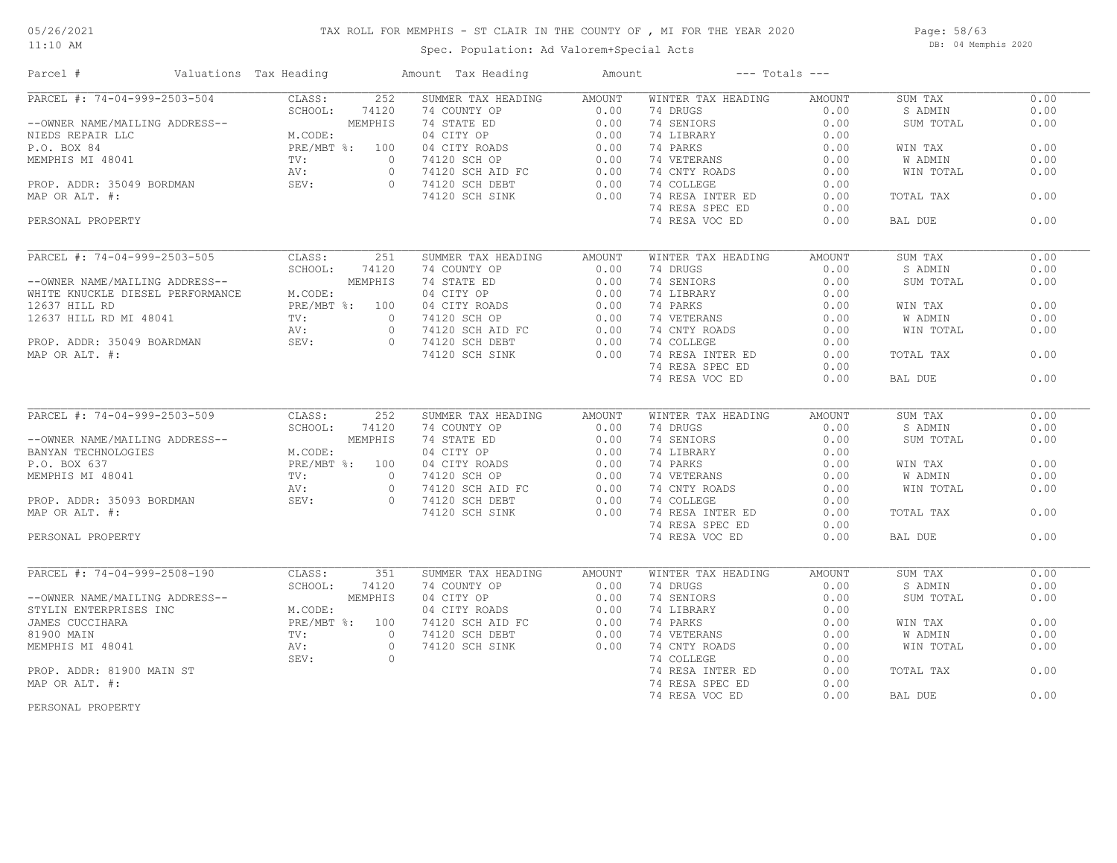11:10 AM

#### TAX ROLL FOR MEMPHIS - ST CLAIR IN THE COUNTY OF , MI FOR THE YEAR 2020

Spec. Population: Ad Valorem+Special Acts

Page: 58/63 DB: 04 Memphis 2020

| Parcel #                                         | Valuations Tax Heading |                | Amount Tax Heading                                              | Amount        |                             | $---$ Totals $---$ |           |      |
|--------------------------------------------------|------------------------|----------------|-----------------------------------------------------------------|---------------|-----------------------------|--------------------|-----------|------|
| PARCEL #: 74-04-999-2503-504                     | CLASS:                 | 252            | SUMMER TAX HEADING                                              | <b>AMOUNT</b> | WINTER TAX HEADING          | AMOUNT             | SUM TAX   | 0.00 |
|                                                  | SCHOOL:                | 74120          | 74 COUNTY OP                                                    | 0.00          | 74 DRUGS                    | 0.00               | S ADMIN   | 0.00 |
| --OWNER NAME/MAILING ADDRESS--                   |                        | MEMPHIS        | 74 STATE ED                                                     | 0.00          | 74 SENIORS                  | 0.00               | SUM TOTAL | 0.00 |
| NIEDS REPAIR LLC                                 | M.CODE:                |                | 04 CITY OP                                                      | 0.00          | 74 LIBRARY                  | 0.00               |           |      |
| P.O. BOX 84                                      |                        | PRE/MBT %: 100 | 04 CITY ROADS                                                   | 0.00          | 74 PARKS                    | 0.00               | WIN TAX   | 0.00 |
| MEMPHIS MI 48041                                 | TV:                    | $\circ$        | 74120 SCH OP                                                    | 0.00          | 74 VETERANS                 | 0.00               | W ADMIN   | 0.00 |
|                                                  | AV:                    | $\circ$        | 74120 SCH AID FC<br>74120 SCH AID FC                            | 0.00          | 74 CNTY ROADS               | 0.00               | WIN TOTAL | 0.00 |
| PROP. ADDR: 35049 BORDMAN SEV:<br>MAP OR ALT. #: |                        | $\Omega$       | 74120 SCH DEBT                                                  | 0.00          | 74 COLLEGE                  | 0.00               |           |      |
|                                                  |                        |                | 74120 SCH SINK                                                  | 0.00          | 74 RESA INTER ED            | 0.00               | TOTAL TAX | 0.00 |
|                                                  |                        |                |                                                                 |               | 74 RESA SPEC ED             | 0.00               |           |      |
| PERSONAL PROPERTY                                |                        |                |                                                                 |               | 74 RESA VOC ED              | 0.00               | BAL DUE   | 0.00 |
|                                                  |                        |                |                                                                 |               |                             |                    |           |      |
| PARCEL #: 74-04-999-2503-505                     | CLASS:                 | 251            | SUMMER TAX HEADING                                              | <b>AMOUNT</b> | WINTER TAX HEADING          | <b>AMOUNT</b>      | SUM TAX   | 0.00 |
|                                                  | SCHOOL:                | 74120          | 74 COUNTY OP                                                    | 0.00          | 74 DRUGS                    | 0.00               | S ADMIN   | 0.00 |
| --OWNER NAME/MAILING ADDRESS--                   |                        | MEMPHIS        | 74 STATE ED                                                     | 0.00          | 74 SENIORS                  | 0.00               | SUM TOTAL | 0.00 |
| WHITE KNUCKLE DIESEL PERFORMANCE                 | M.CODE:                |                | 04 CITY OP                                                      | 0.00          | 74 LIBRARY                  | 0.00               |           |      |
| 12637 HILL RD                                    |                        | PRE/MBT %: 100 | 04 CITY ROADS                                                   | 0.00          | 74 PARKS                    | 0.00               | WIN TAX   | 0.00 |
| 12637 HILL RD MI 48041                           | $\text{TV}$ :          | $\Omega$       | 74120 SCH OP                                                    | 0.00          | 74 VETERANS                 | 0.00               | W ADMIN   | 0.00 |
|                                                  | AV:                    | $\circ$        |                                                                 | 0.00          | 74 CNTY ROADS               | 0.00               | WIN TOTAL | 0.00 |
| PROP. ADDR: 35049 BOARDMAN SEV:                  |                        | $\bigcirc$     | 74120 SCH AID FC<br>74120 SCH DEBT                              | 0.00          | 74 COLLEGE                  | 0.00               |           |      |
| MAP OR ALT. #:                                   |                        |                | 74120 SCH SINK                                                  | 0.00          | 74 RESA INTER ED            | 0.00               | TOTAL TAX | 0.00 |
|                                                  |                        |                |                                                                 |               |                             |                    |           |      |
|                                                  |                        |                |                                                                 |               | 74 RESA SPEC ED             | 0.00               |           |      |
|                                                  |                        |                |                                                                 |               | 74 RESA VOC ED              | 0.00               | BAL DUE   | 0.00 |
| PARCEL #: 74-04-999-2503-509                     | CLASS:                 | 252            | SUMMER TAX HEADING                                              | AMOUNT        | WINTER TAX HEADING          | AMOUNT             | SUM TAX   | 0.00 |
|                                                  | SCHOOL:                | 74120          | 74 COUNTY OP                                                    | 0.00          | 74 DRUGS                    | 0.00               | S ADMIN   | 0.00 |
| --OWNER NAME/MAILING ADDRESS--                   |                        | MEMPHIS        | 74 STATE ED                                                     | 0.00          | 74 SENIORS                  | 0.00               | SUM TOTAL | 0.00 |
| BANYAN TECHNOLOGIES                              | M.CODE:                |                | 04 CITY OP                                                      | 0.00          | 74 LIBRARY                  | 0.00               |           |      |
| P.O. BOX 637                                     |                        | PRE/MBT %: 100 | 04 CITY ROADS                                                   | 0.00          | 74 PARKS                    | 0.00               | WIN TAX   | 0.00 |
| MEMPHIS MI 48041                                 | $\text{TV}$ :          | $\circ$        | 74120 SCH OP                                                    | 0.00          | 74 VETERANS                 | 0.00               | W ADMIN   | 0.00 |
|                                                  | AV:                    | $\circ$        |                                                                 | 0.00          |                             | 0.00               | WIN TOTAL | 0.00 |
| PROP. ADDR: 35093 BORDMAN                        | SEV:                   | $\overline{0}$ | 74120 SCH AID FC                                                |               | 74 CNTY ROADS<br>74 COLLEGE | 0.00               |           |      |
|                                                  |                        |                | 74120 SCH DEBT                                                  | 0.00          |                             |                    |           |      |
| MAP OR ALT. #:                                   |                        |                | 74120 SCH SINK                                                  | 0.00          | 74 RESA INTER ED            | 0.00               | TOTAL TAX | 0.00 |
|                                                  |                        |                |                                                                 |               | 74 RESA SPEC ED             | 0.00               |           |      |
| PERSONAL PROPERTY                                |                        |                |                                                                 |               | 74 RESA VOC ED              | 0.00               | BAL DUE   | 0.00 |
| PARCEL #: 74-04-999-2508-190                     | CLASS:                 | 351            | SUMMER TAX HEADING                                              | AMOUNT        | WINTER TAX HEADING          | AMOUNT             | SUM TAX   | 0.00 |
|                                                  | SCHOOL:                | 74120          | 74 COUNTY OP                                                    | 0.00          | 74 DRUGS                    | 0.00               | S ADMIN   | 0.00 |
| --OWNER NAME/MAILING ADDRESS--                   |                        | MEMPHIS        | 04 CUONIT OF<br>04 CITY OP<br>04 CITY ROADS<br>74120 SCH AID FC | 0.00          | 74 SENIORS                  | 0.00               | SUM TOTAL | 0.00 |
| STYLIN ENTERPRISES INC                           | M.CODE:                |                |                                                                 | 0.00          | 74 LIBRARY                  | 0.00               |           |      |
| JAMES CUCCIHARA                                  |                        | PRE/MBT %: 100 |                                                                 | 0.00          | 74 PARKS                    | 0.00               | WIN TAX   | 0.00 |
|                                                  |                        |                |                                                                 |               |                             |                    |           |      |
| 81900 MAIN                                       | $\text{TV}$ :          | $\circ$        | 74120 SCH DEBT                                                  | 0.00          | 74 VETERANS                 | 0.00               | W ADMIN   | 0.00 |
| MEMPHIS MI 48041                                 | AV:                    | $\circ$        | 74120 SCH SINK                                                  | 0.00          | 74 CNTY ROADS               | 0.00               | WIN TOTAL | 0.00 |
|                                                  | SEV:                   | $\circ$        |                                                                 |               | 74 COLLEGE                  | 0.00               |           |      |
| PROP. ADDR: 81900 MAIN ST                        |                        |                |                                                                 |               | 74 RESA INTER ED            | 0.00               | TOTAL TAX | 0.00 |
| MAP OR ALT. #:                                   |                        |                |                                                                 |               | 74 RESA SPEC ED             | 0.00               |           |      |
|                                                  |                        |                |                                                                 |               | 74 RESA VOC ED              | 0.00               | BAL DUE   | 0.00 |

PERSONAL PROPERTY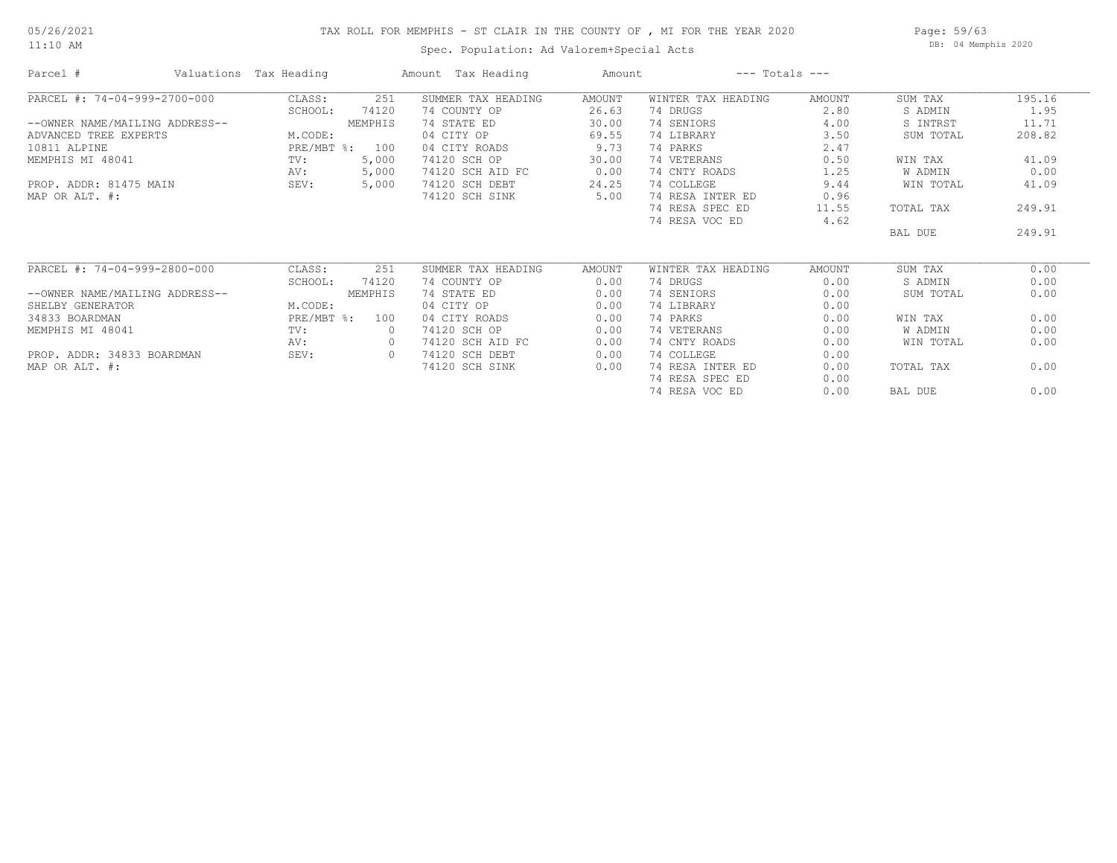11:10 AM

#### TAX ROLL FOR MEMPHIS - ST CLAIR IN THE COUNTY OF , MI FOR THE YEAR 2020

Spec. Population: Ad Valorem+Special Acts

Page: 59/63 DB: 04 Memphis 2020

| Parcel #                       | Valuations Tax Heading |                | Amount Tax Heading | Amount        |                    | $---$ Totals $---$ |           |        |
|--------------------------------|------------------------|----------------|--------------------|---------------|--------------------|--------------------|-----------|--------|
| PARCEL #: 74-04-999-2700-000   | CLASS:                 | 251            | SUMMER TAX HEADING | <b>AMOUNT</b> | WINTER TAX HEADING | <b>AMOUNT</b>      | SUM TAX   | 195.16 |
|                                | SCHOOL:                | 74120          | 74 COUNTY OP       | 26.63         | 74 DRUGS           | 2.80               | S ADMIN   | 1.95   |
| --OWNER NAME/MAILING ADDRESS-- |                        | MEMPHIS        | 74 STATE ED        | 30.00         | 74 SENIORS         | 4.00               | S INTRST  | 11.71  |
| ADVANCED TREE EXPERTS          | M.CODE:                |                | 04 CITY OP         | 69.55         | 74 LIBRARY         | 3.50               | SUM TOTAL | 208.82 |
| 10811 ALPINE                   |                        | PRE/MBT %: 100 | 04 CITY ROADS      | 9.73          | 74 PARKS           | 2.47               |           |        |
| MEMPHIS MI 48041               | TV:                    | 5,000          | 74120 SCH OP       | 30.00         | 74 VETERANS        | 0.50               | WIN TAX   | 41.09  |
|                                | AV:                    | 5,000          | 74120 SCH AID FC   | 0.00          | 74 CNTY ROADS      | 1.25               | W ADMIN   | 0.00   |
| PROP. ADDR: 81475 MAIN         | SEV:                   | 5,000          | 74120 SCH DEBT     | 24.25         | 74 COLLEGE         | 9.44               | WIN TOTAL | 41.09  |
| MAP OR ALT. #:                 |                        |                | 74120 SCH SINK     | 5.00          | 74 RESA INTER ED   | 0.96               |           |        |
|                                |                        |                |                    |               | 74 RESA SPEC ED    | 11.55              | TOTAL TAX | 249.91 |
|                                |                        |                |                    |               | 74 RESA VOC ED     | 4.62               |           |        |
|                                |                        |                |                    |               |                    |                    | BAL DUE   | 249.91 |
| PARCEL #: 74-04-999-2800-000   | CLASS:                 | 251            | SUMMER TAX HEADING | AMOUNT        | WINTER TAX HEADING | AMOUNT             | SUM TAX   | 0.00   |
|                                | SCHOOL:                | 74120          | 74 COUNTY OP       | 0.00          | 74 DRUGS           | 0.00               | S ADMIN   | 0.00   |
| --OWNER NAME/MAILING ADDRESS-- |                        | MEMPHIS        | 74 STATE ED        | 0.00          | 74 SENIORS         | 0.00               | SUM TOTAL | 0.00   |
| SHELBY GENERATOR               | M.CODE:                |                | 04 CITY OP         | 0.00          | 74 LIBRARY         | 0.00               |           |        |
| 34833 BOARDMAN                 | PRE/MBT %:             | 100            | 04 CITY ROADS      | 0.00          | 74 PARKS           | 0.00               | WIN TAX   | 0.00   |
| MEMPHIS MI 48041               | TV:                    | $\circ$        | 74120 SCH OP       | 0.00          | 74 VETERANS        | 0.00               | W ADMIN   | 0.00   |
|                                | AV:                    | $\circ$        | 74120 SCH AID FC   | 0.00          | 74 CNTY ROADS      | 0.00               | WIN TOTAL | 0.00   |
| PROP. ADDR: 34833 BOARDMAN     | SEV:                   | $\circ$        | 74120 SCH DEBT     | 0.00          | 74 COLLEGE         | 0.00               |           |        |
| MAP OR ALT. #:                 |                        |                | 74120 SCH SINK     | 0.00          | 74 RESA INTER ED   | 0.00               | TOTAL TAX | 0.00   |
|                                |                        |                |                    |               | 74 RESA SPEC ED    | 0.00               |           |        |
|                                |                        |                |                    |               |                    |                    |           |        |

74 RESA VOC ED 0.00 BAL DUE 0.00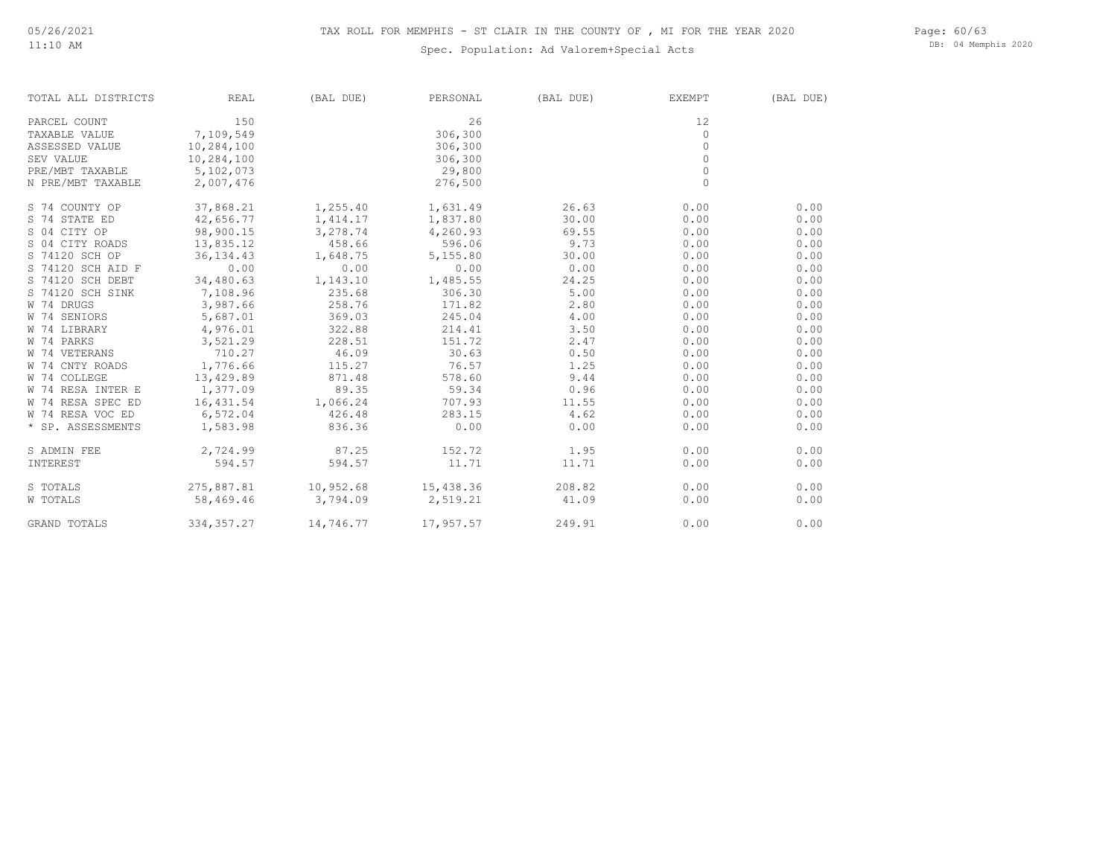#### Spec. Population: Ad Valorem+Special Acts

Page: 60/63 DB: 04 Memphis 2020

| TOTAL ALL DISTRICTS | <b>REAL</b> | (BAL DUE)         | PERSONAL          | (BAL DUE) | EXEMPT       | (BAL DUE) |
|---------------------|-------------|-------------------|-------------------|-----------|--------------|-----------|
| PARCEL COUNT        | 150         |                   | 26                |           | 12           |           |
| TAXABLE VALUE       | 7,109,549   |                   | 306,300           |           | 0            |           |
| ASSESSED VALUE      | 10,284,100  |                   | 306,300           |           | $\mathbf{0}$ |           |
| SEV VALUE           | 10,284,100  |                   | 306,300           |           | $\circ$      |           |
| PRE/MBT TAXABLE     | 5,102,073   |                   | 29,800            |           | $\circ$      |           |
| N PRE/MBT TAXABLE   | 2,007,476   |                   | 276,500           |           | $\circ$      |           |
| S 74 COUNTY OP      | 37,868.21   | 1,255.40 1,631.49 |                   | 26.63     | 0.00         | 0.00      |
| S 74 STATE ED       | 42,656.77   |                   | 1,414.17 1,837.80 | 30.00     | 0.00         | 0.00      |
| S 04 CITY OP        | 98,900.15   | 3,278.74          | 4,260.93          | 69.55     | 0.00         | 0.00      |
| S 04 CITY ROADS     | 13,835.12   | 458.66            | 596.06            | 9.73      | 0.00         | 0.00      |
| S 74120 SCH OP      | 36, 134.43  | 1,648.75          | 5,155.80          | 30.00     | 0.00         | 0.00      |
| S 74120 SCH AID F   | 0.00        | 0.00              | 0.00              | 0.00      | 0.00         | 0.00      |
| S 74120 SCH DEBT    | 34,480.63   | 1,143.10          | 1,485.55          | 24.25     | 0.00         | 0.00      |
| S 74120 SCH SINK    | 7,108.96    | 235.68            | 306.30            | 5.00      | 0.00         | 0.00      |
| W 74 DRUGS          | 3,987.66    | 258.76            | 171.82            | 2.80      | 0.00         | 0.00      |
| W 74 SENIORS        | 5,687.01    | 369.03            | 245.04            | 4.00      | 0.00         | 0.00      |
| W 74 LIBRARY        | 4,976.01    | 322.88            | 214.41            | 3.50      | 0.00         | 0.00      |
| W 74 PARKS          | 3,521.29    | 228.51            | 151.72            | 2.47      | 0.00         | 0.00      |
| W 74 VETERANS       | 710.27      | 46.09             | 30.63             | 0.50      | 0.00         | 0.00      |
| W 74 CNTY ROADS     | 1,776.66    | 115.27            | 76.57             | 1.25      | 0.00         | 0.00      |
| W 74 COLLEGE        | 13,429.89   | 871.48            | 578.60            | 9.44      | 0.00         | 0.00      |
| W 74 RESA INTER E   | 1,377.09    | 89.35             | 59.34             | 0.96      | 0.00         | 0.00      |
| W 74 RESA SPEC ED   | 16, 431.54  | 1,066.24          | 707.93            | 11.55     | 0.00         | 0.00      |
| W 74 RESA VOC ED    | 6,572.04    | 426.48            | 283.15            | 4.62      | 0.00         | 0.00      |
| * SP. ASSESSMENTS   | 1,583.98    | 836.36            | 0.00              | 0.00      | 0.00         | 0.00      |
| S ADMIN FEE         | 2,724.99    | 87.25 152.72      |                   | 1.95      | 0.00         | 0.00      |
| INTEREST            | 594.57      | 594.57            | 11.71             | 11.71     | 0.00         | 0.00      |
| S TOTALS            | 275,887.81  | 10,952.68         | 15,438.36         | 208.82    | 0.00         | 0.00      |
| W TOTALS            | 58,469.46   | 3,794.09          | 2,519.21          | 41.09     | 0.00         | 0.00      |
| GRAND TOTALS        | 334, 357.27 | 14,746.77         | 17,957.57         | 249.91    | 0.00         | 0.00      |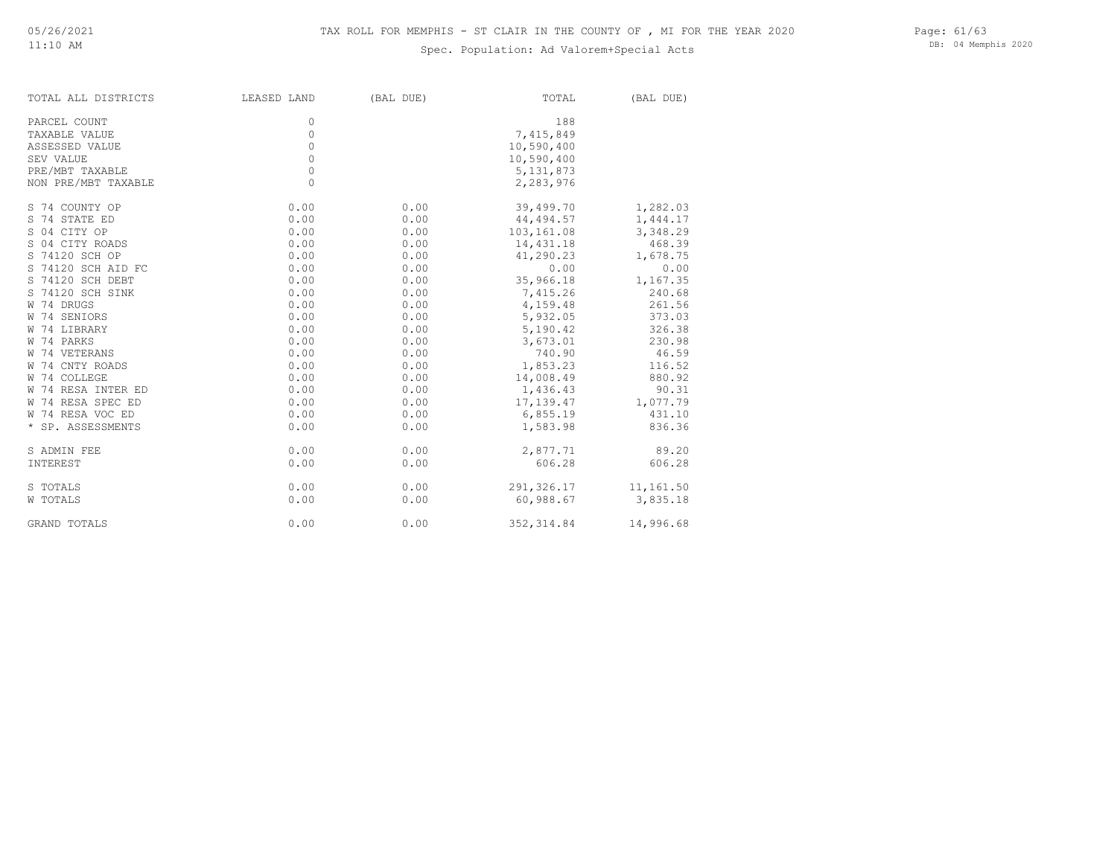#### Spec. Population: Ad Valorem+Special Acts

Page: 61/63 DB: 04 Memphis 2020

| TOTAL ALL DISTRICTS | LEASED LAND | (BAL DUE) | TOTAL                  | (BAL DUE) |
|---------------------|-------------|-----------|------------------------|-----------|
| PARCEL COUNT        | 0           |           | 188                    |           |
| TAXABLE VALUE       | 0           |           | 7,415,849              |           |
| ASSESSED VALUE      | 0           |           | 10,590,400             |           |
| SEV VALUE           | 0           |           | 10,590,400             |           |
| PRE/MBT TAXABLE     | 0           |           | 5, 131, 873            |           |
| NON PRE/MBT TAXABLE | $\circ$     |           | 2,283,976              |           |
| S 74 COUNTY OP      | 0.00        | 0.00      | 39,499.70              | 1,282.03  |
| S 74 STATE ED       | 0.00        | 0.00      | 44,494.57              | 1,444.17  |
| S 04 CITY OP        | 0.00        | 0.00      | 103,161.08             | 3,348.29  |
| S 04 CITY ROADS     | 0.00        | 0.00      | 14,431.18              | 468.39    |
| S 74120 SCH OP      | 0.00        | 0.00      | 41,290.23              | 1,678.75  |
| S 74120 SCH AID FC  | 0.00        | 0.00      | 0.00                   | 0.00      |
| S 74120 SCH DEBT    | 0.00        | 0.00      | 35,966.18              | 1,167.35  |
| S 74120 SCH SINK    | 0.00        | 0.00      | 7,415.26               | 240.68    |
| W 74 DRUGS          | 0.00        | 0.00      | 4,159.48               | 261.56    |
| W 74 SENIORS        | 0.00        | 0.00      | 5,932.05               | 373.03    |
| W 74 LIBRARY        | 0.00        | 0.00      | 5,190.42               | 326.38    |
| W 74 PARKS          | 0.00        | 0.00      | 3,673.01               | 230.98    |
| W 74 VETERANS       | 0.00        | 0.00      | 740.90                 | 46.59     |
| W 74 CNTY ROADS     | 0.00        | 0.00      | 1,853.23               | 116.52    |
| W 74 COLLEGE        | 0.00        | 0.00      | 14,008.49              | 880.92    |
| W 74 RESA INTER ED  | 0.00        | 0.00      | 1,436.43               | 90.31     |
| W 74 RESA SPEC ED   | 0.00        | 0.00      | 17,139.47              | 1,077.79  |
| W 74 RESA VOC ED    | 0.00        | 0.00      | 6,855.19               | 431.10    |
| * SP. ASSESSMENTS   | 0.00        | 0.00      | 1,583.98               | 836.36    |
| S ADMIN FEE         | 0.00        | 0.00      | 2,877.71               | 89.20     |
| INTEREST            | 0.00        | 0.00      | 606.28                 | 606.28    |
| S TOTALS            | 0.00        | 0.00      | 291, 326.17 11, 161.50 |           |
| W TOTALS            | 0.00        | 0.00      | 60,988.67              | 3,835.18  |
| GRAND TOTALS        | 0.00        | 0.00      | 352, 314.84            | 14,996.68 |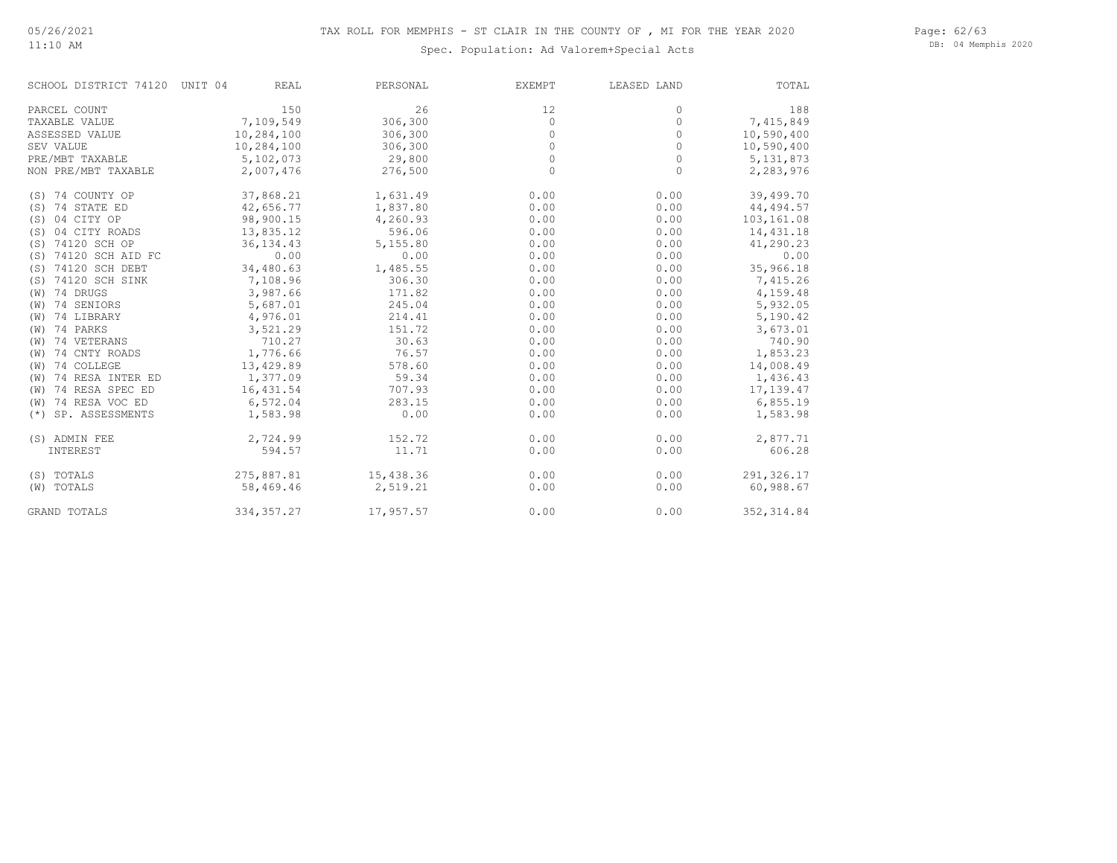#### Page: 62/63 DB: 04 Memphis 2020

#### Spec. Population: Ad Valorem+Special Acts

| SCHOOL DISTRICT 74120 UNIT 04 | <b>REAL</b> | PERSONAL  | EXEMPT  | LEASED LAND | TOTAL       |
|-------------------------------|-------------|-----------|---------|-------------|-------------|
| PARCEL COUNT                  | 150         | 26        | 12      | $\Omega$    | 188         |
| TAXABLE VALUE                 | 7,109,549   | 306,300   | $\circ$ | $\Omega$    | 7,415,849   |
| ASSESSED VALUE                | 10,284,100  | 306,300   | 0       | 0           | 10,590,400  |
| SEV VALUE                     | 10,284,100  | 306,300   | $\circ$ | $\circ$     | 10,590,400  |
| PRE/MBT TAXABLE               | 5,102,073   | 29,800    | $\circ$ | $\circ$     | 5, 131, 873 |
| NON PRE/MBT TAXABLE           | 2,007,476   | 276,500   | $\circ$ | $\circ$     | 2,283,976   |
| (S) 74 COUNTY OP              | 37,868.21   | 1,631.49  | 0.00    | 0.00        | 39,499.70   |
| 74 STATE ED<br>(S)            | 42,656.77   | 1,837.80  | 0.00    | 0.00        | 44, 494.57  |
| 04 CITY OP<br>(S)             | 98,900.15   | 4,260.93  | 0.00    | 0.00        | 103,161.08  |
| 04 CITY ROADS<br>(S)          | 13,835.12   | 596.06    | 0.00    | 0.00        | 14,431.18   |
| (S) 74120 SCH OP              | 36, 134.43  | 5,155.80  | 0.00    | 0.00        | 41,290.23   |
| 74120 SCH AID FC<br>(S)       | 0.00        | 0.00      | 0.00    | 0.00        | 0.00        |
| 74120 SCH DEBT<br>(S)         | 34,480.63   | 1,485.55  | 0.00    | 0.00        | 35,966.18   |
| 74120 SCH SINK<br>(S)         | 7,108.96    | 306.30    | 0.00    | 0.00        | 7,415.26    |
| 74 DRUGS<br>(W)               | 3,987.66    | 171.82    | 0.00    | 0.00        | 4,159.48    |
| 74 SENIORS<br>(W)             | 5,687.01    | 245.04    | 0.00    | 0.00        | 5,932.05    |
| 74 LIBRARY<br>(W)             | 4,976.01    | 214.41    | 0.00    | 0.00        | 5,190.42    |
| 74 PARKS<br>(W)               | 3,521.29    | 151.72    | 0.00    | 0.00        | 3,673.01    |
| 74 VETERANS<br>(W)            | 710.27      | 30.63     | 0.00    | 0.00        | 740.90      |
| 74 CNTY ROADS<br>(W)          | 1,776.66    | 76.57     | 0.00    | 0.00        | 1,853.23    |
| 74 COLLEGE<br>(W)             | 13,429.89   | 578.60    | 0.00    | 0.00        | 14,008.49   |
| 74 RESA INTER ED<br>(W)       | 1,377.09    | 59.34     | 0.00    | 0.00        | 1,436.43    |
| 74 RESA SPEC ED<br>(W)        | 16,431.54   | 707.93    | 0.00    | 0.00        | 17,139.47   |
| 74 RESA VOC ED<br>(W)         | 6,572.04    | 283.15    | 0.00    | 0.00        | 6,855.19    |
| SP. ASSESSMENTS<br>$(* )$     | 1,583.98    | 0.00      | 0.00    | 0.00        | 1,583.98    |
| (S) ADMIN FEE                 | 2,724.99    | 152.72    | 0.00    | 0.00        | 2,877.71    |
| INTEREST                      | 594.57      | 11.71     | 0.00    | 0.00        | 606.28      |
| (S) TOTALS                    | 275,887.81  | 15,438.36 | 0.00    | 0.00        | 291,326.17  |
| (W) TOTALS                    | 58,469.46   | 2,519.21  | 0.00    | 0.00        | 60,988.67   |
| GRAND TOTALS                  | 334, 357.27 | 17,957.57 | 0.00    | 0.00        | 352, 314.84 |